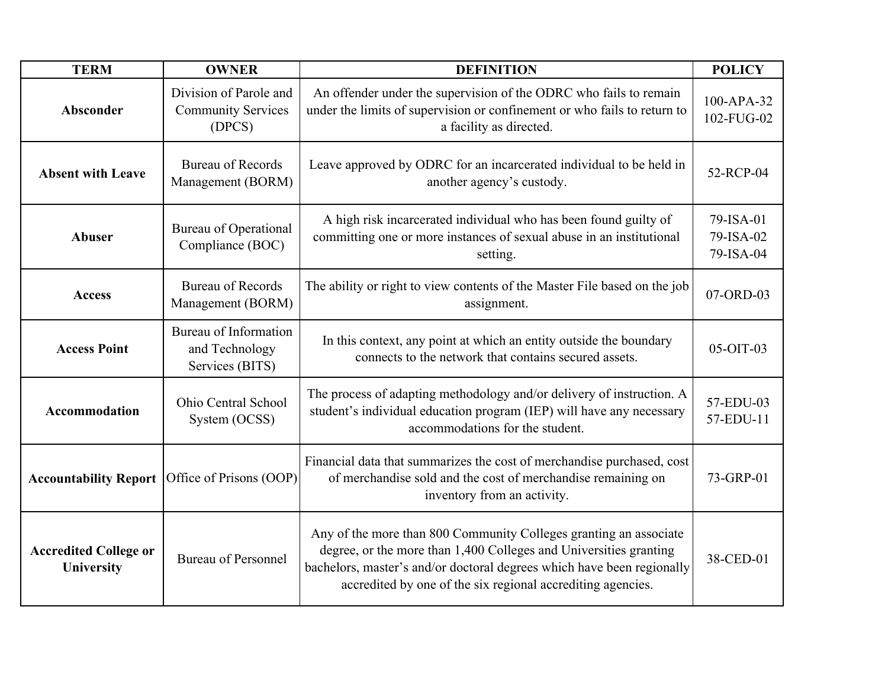| <b>TERM</b>                                | <b>OWNER</b>                                                      | <b>DEFINITION</b>                                                                                                                                                                                                                                                               | <b>POLICY</b>                       |
|--------------------------------------------|-------------------------------------------------------------------|---------------------------------------------------------------------------------------------------------------------------------------------------------------------------------------------------------------------------------------------------------------------------------|-------------------------------------|
| Absconder                                  | Division of Parole and<br><b>Community Services</b><br>(DPCS)     | An offender under the supervision of the ODRC who fails to remain<br>under the limits of supervision or confinement or who fails to return to<br>a facility as directed.                                                                                                        | 100-APA-32<br>102-FUG-02            |
| <b>Absent with Leave</b>                   | <b>Bureau of Records</b><br>Management (BORM)                     | Leave approved by ODRC for an incarcerated individual to be held in<br>another agency's custody.                                                                                                                                                                                | 52-RCP-04                           |
| <b>Abuser</b>                              | <b>Bureau of Operational</b><br>Compliance (BOC)                  | A high risk incarcerated individual who has been found guilty of<br>committing one or more instances of sexual abuse in an institutional<br>setting.                                                                                                                            | 79-ISA-01<br>79-ISA-02<br>79-ISA-04 |
| <b>Access</b>                              | <b>Bureau of Records</b><br>Management (BORM)                     | The ability or right to view contents of the Master File based on the job<br>assignment.                                                                                                                                                                                        | 07-ORD-03                           |
| <b>Access Point</b>                        | <b>Bureau of Information</b><br>and Technology<br>Services (BITS) | In this context, any point at which an entity outside the boundary<br>connects to the network that contains secured assets.                                                                                                                                                     | $05-OIT-03$                         |
| Accommodation                              | Ohio Central School<br>System (OCSS)                              | The process of adapting methodology and/or delivery of instruction. A<br>student's individual education program (IEP) will have any necessary<br>accommodations for the student.                                                                                                | 57-EDU-03<br>57-EDU-11              |
|                                            | <b>Accountability Report   Office of Prisons (OOP)</b>            | Financial data that summarizes the cost of merchandise purchased, cost<br>of merchandise sold and the cost of merchandise remaining on<br>inventory from an activity.                                                                                                           | 73-GRP-01                           |
| <b>Accredited College or</b><br>University | <b>Bureau of Personnel</b>                                        | Any of the more than 800 Community Colleges granting an associate<br>degree, or the more than 1,400 Colleges and Universities granting<br>bachelors, master's and/or doctoral degrees which have been regionally<br>accredited by one of the six regional accrediting agencies. | 38-CED-01                           |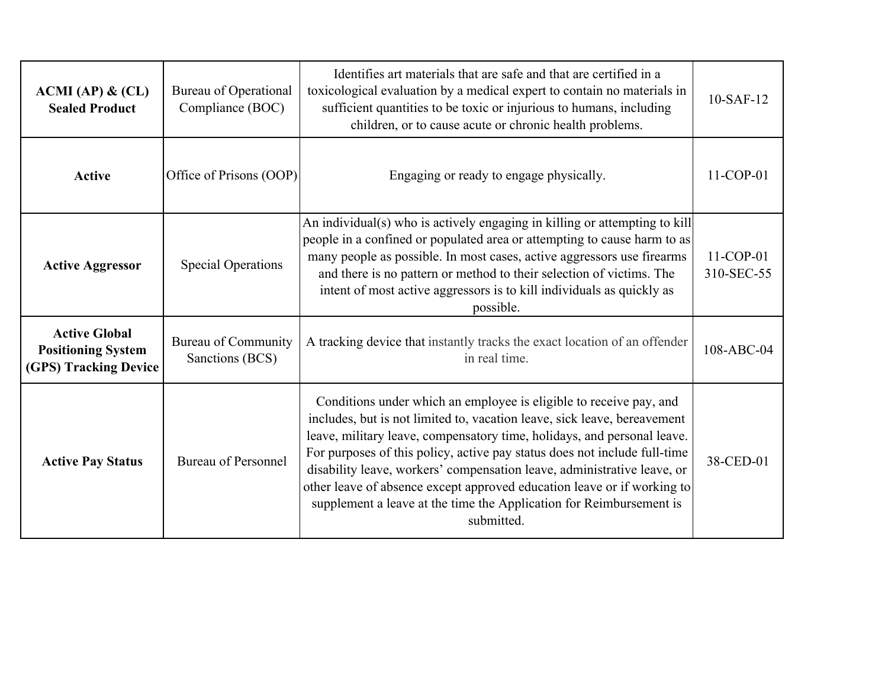| $ACMI$ (AP) & (CL)<br><b>Sealed Product</b>                                | <b>Bureau of Operational</b><br>Compliance (BOC) | Identifies art materials that are safe and that are certified in a<br>toxicological evaluation by a medical expert to contain no materials in<br>sufficient quantities to be toxic or injurious to humans, including<br>children, or to cause acute or chronic health problems.                                                                                                                                                                                                                                                                   | $10-SAF-12$             |
|----------------------------------------------------------------------------|--------------------------------------------------|---------------------------------------------------------------------------------------------------------------------------------------------------------------------------------------------------------------------------------------------------------------------------------------------------------------------------------------------------------------------------------------------------------------------------------------------------------------------------------------------------------------------------------------------------|-------------------------|
| <b>Active</b>                                                              | Office of Prisons (OOP)                          | Engaging or ready to engage physically.                                                                                                                                                                                                                                                                                                                                                                                                                                                                                                           | $11$ -COP-01            |
| <b>Active Aggressor</b>                                                    | <b>Special Operations</b>                        | An individual(s) who is actively engaging in killing or attempting to kill<br>people in a confined or populated area or attempting to cause harm to as<br>many people as possible. In most cases, active aggressors use firearms<br>and there is no pattern or method to their selection of victims. The<br>intent of most active aggressors is to kill individuals as quickly as<br>possible.                                                                                                                                                    | 11-COP-01<br>310-SEC-55 |
| <b>Active Global</b><br><b>Positioning System</b><br>(GPS) Tracking Device | <b>Bureau of Community</b><br>Sanctions (BCS)    | A tracking device that instantly tracks the exact location of an offender<br>in real time.                                                                                                                                                                                                                                                                                                                                                                                                                                                        | 108-ABC-04              |
| <b>Active Pay Status</b>                                                   | <b>Bureau of Personnel</b>                       | Conditions under which an employee is eligible to receive pay, and<br>includes, but is not limited to, vacation leave, sick leave, bereavement<br>leave, military leave, compensatory time, holidays, and personal leave.<br>For purposes of this policy, active pay status does not include full-time<br>disability leave, workers' compensation leave, administrative leave, or<br>other leave of absence except approved education leave or if working to<br>supplement a leave at the time the Application for Reimbursement is<br>submitted. | 38-CED-01               |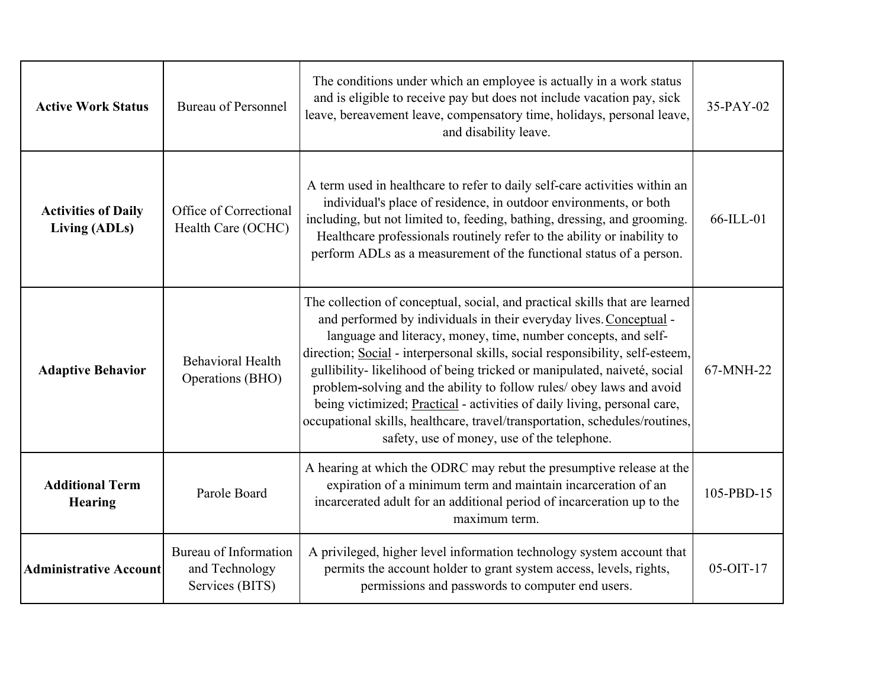| <b>Active Work Status</b>                   | <b>Bureau of Personnel</b>                                 | The conditions under which an employee is actually in a work status<br>and is eligible to receive pay but does not include vacation pay, sick<br>leave, bereavement leave, compensatory time, holidays, personal leave,<br>and disability leave.                                                                                                                                                                                                                                                                                                                                                                                                                  | $35-PAY-02$ |
|---------------------------------------------|------------------------------------------------------------|-------------------------------------------------------------------------------------------------------------------------------------------------------------------------------------------------------------------------------------------------------------------------------------------------------------------------------------------------------------------------------------------------------------------------------------------------------------------------------------------------------------------------------------------------------------------------------------------------------------------------------------------------------------------|-------------|
| <b>Activities of Daily</b><br>Living (ADLs) | Office of Correctional<br>Health Care (OCHC)               | A term used in healthcare to refer to daily self-care activities within an<br>individual's place of residence, in outdoor environments, or both<br>including, but not limited to, feeding, bathing, dressing, and grooming.<br>Healthcare professionals routinely refer to the ability or inability to<br>perform ADLs as a measurement of the functional status of a person.                                                                                                                                                                                                                                                                                     | 66-ILL-01   |
| <b>Adaptive Behavior</b>                    | <b>Behavioral Health</b><br>Operations (BHO)               | The collection of conceptual, social, and practical skills that are learned<br>and performed by individuals in their everyday lives. Conceptual -<br>language and literacy, money, time, number concepts, and self-<br>direction; Social - interpersonal skills, social responsibility, self-esteem,<br>gullibility-likelihood of being tricked or manipulated, naiveté, social<br>problem-solving and the ability to follow rules/ obey laws and avoid<br>being victimized; Practical - activities of daily living, personal care,<br>occupational skills, healthcare, travel/transportation, schedules/routines,<br>safety, use of money, use of the telephone. | 67-MNH-22   |
| <b>Additional Term</b><br><b>Hearing</b>    | Parole Board                                               | A hearing at which the ODRC may rebut the presumptive release at the<br>expiration of a minimum term and maintain incarceration of an<br>incarcerated adult for an additional period of incarceration up to the<br>maximum term.                                                                                                                                                                                                                                                                                                                                                                                                                                  | 105-PBD-15  |
| <b>Administrative Account</b>               | Bureau of Information<br>and Technology<br>Services (BITS) | A privileged, higher level information technology system account that<br>permits the account holder to grant system access, levels, rights,<br>permissions and passwords to computer end users.                                                                                                                                                                                                                                                                                                                                                                                                                                                                   | $05-OIT-17$ |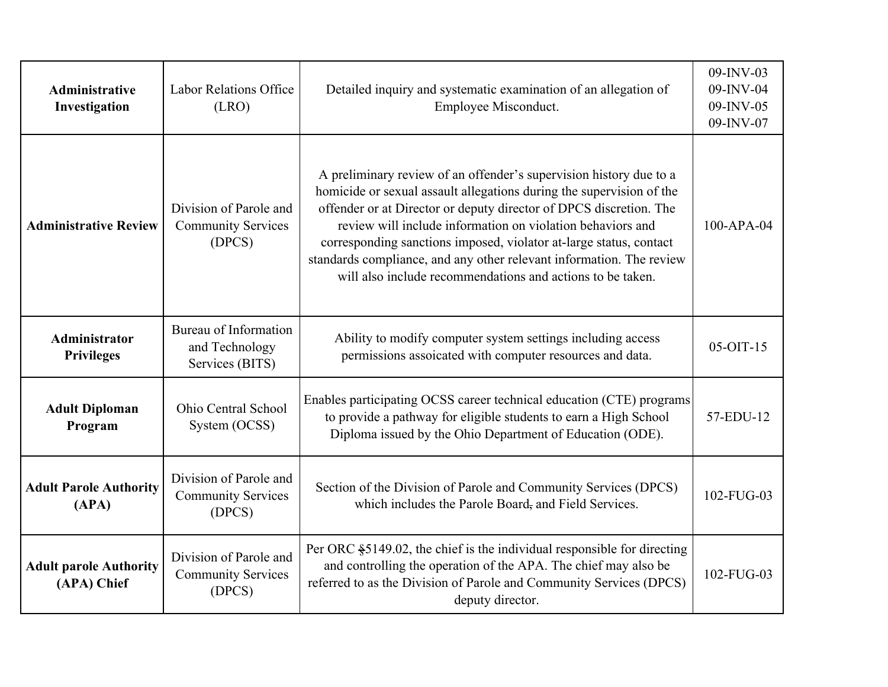| <b>Administrative</b><br>Investigation       | <b>Labor Relations Office</b><br>(LRO)                        | Detailed inquiry and systematic examination of an allegation of<br>Employee Misconduct.                                                                                                                                                                                                                                                                                                                                                                                                    | 09-INV-03<br>09-INV-04<br>09-INV-05<br>09-INV-07 |
|----------------------------------------------|---------------------------------------------------------------|--------------------------------------------------------------------------------------------------------------------------------------------------------------------------------------------------------------------------------------------------------------------------------------------------------------------------------------------------------------------------------------------------------------------------------------------------------------------------------------------|--------------------------------------------------|
| <b>Administrative Review</b>                 | Division of Parole and<br><b>Community Services</b><br>(DPCS) | A preliminary review of an offender's supervision history due to a<br>homicide or sexual assault allegations during the supervision of the<br>offender or at Director or deputy director of DPCS discretion. The<br>review will include information on violation behaviors and<br>corresponding sanctions imposed, violator at-large status, contact<br>standards compliance, and any other relevant information. The review<br>will also include recommendations and actions to be taken. | 100-APA-04                                       |
| Administrator<br><b>Privileges</b>           | Bureau of Information<br>and Technology<br>Services (BITS)    | Ability to modify computer system settings including access<br>permissions assoicated with computer resources and data.                                                                                                                                                                                                                                                                                                                                                                    | $05-OIT-15$                                      |
| <b>Adult Diploman</b><br>Program             | Ohio Central School<br>System (OCSS)                          | Enables participating OCSS career technical education (CTE) programs<br>to provide a pathway for eligible students to earn a High School<br>Diploma issued by the Ohio Department of Education (ODE).                                                                                                                                                                                                                                                                                      | 57-EDU-12                                        |
| <b>Adult Parole Authority</b><br>(APA)       | Division of Parole and<br><b>Community Services</b><br>(DPCS) | Section of the Division of Parole and Community Services (DPCS)<br>which includes the Parole Board, and Field Services.                                                                                                                                                                                                                                                                                                                                                                    | 102-FUG-03                                       |
| <b>Adult parole Authority</b><br>(APA) Chief | Division of Parole and<br><b>Community Services</b><br>(DPCS) | Per ORC §5149.02, the chief is the individual responsible for directing<br>and controlling the operation of the APA. The chief may also be<br>referred to as the Division of Parole and Community Services (DPCS)<br>deputy director.                                                                                                                                                                                                                                                      | 102-FUG-03                                       |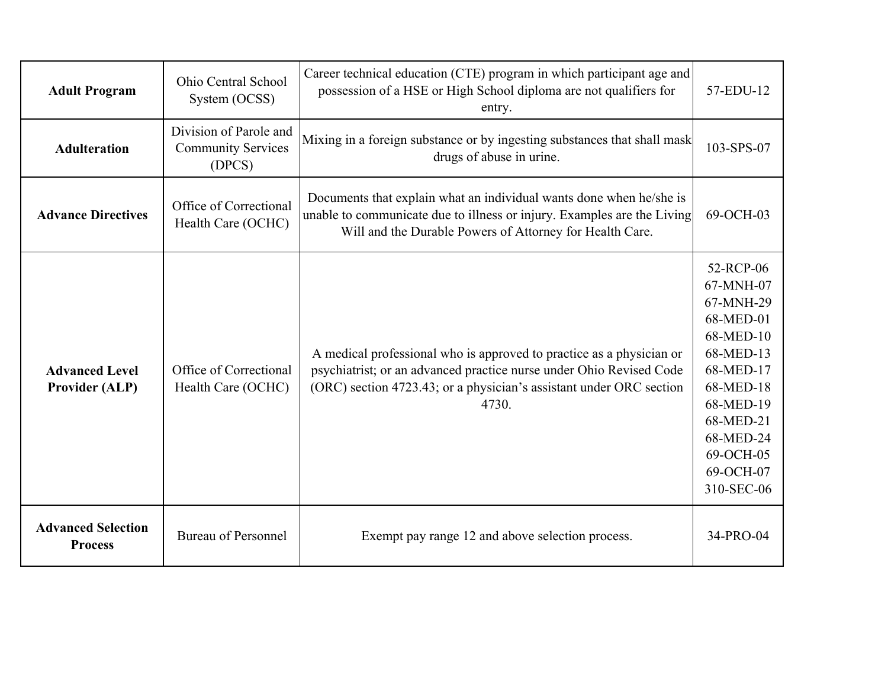| <b>Adult Program</b>                           | Ohio Central School<br>System (OCSS)                          | Career technical education (CTE) program in which participant age and<br>possession of a HSE or High School diploma are not qualifiers for<br>entry.                                                                        | 57-EDU-12                                                                                                                                                                           |
|------------------------------------------------|---------------------------------------------------------------|-----------------------------------------------------------------------------------------------------------------------------------------------------------------------------------------------------------------------------|-------------------------------------------------------------------------------------------------------------------------------------------------------------------------------------|
| <b>Adulteration</b>                            | Division of Parole and<br><b>Community Services</b><br>(DPCS) | Mixing in a foreign substance or by ingesting substances that shall mask<br>drugs of abuse in urine.                                                                                                                        | 103-SPS-07                                                                                                                                                                          |
| <b>Advance Directives</b>                      | Office of Correctional<br>Health Care (OCHC)                  | Documents that explain what an individual wants done when he/she is<br>unable to communicate due to illness or injury. Examples are the Living<br>Will and the Durable Powers of Attorney for Health Care.                  | 69-OCH-03                                                                                                                                                                           |
| <b>Advanced Level</b><br><b>Provider (ALP)</b> | Office of Correctional<br>Health Care (OCHC)                  | A medical professional who is approved to practice as a physician or<br>psychiatrist; or an advanced practice nurse under Ohio Revised Code<br>(ORC) section 4723.43; or a physician's assistant under ORC section<br>4730. | 52-RCP-06<br>67-MNH-07<br>67-MNH-29<br>68-MED-01<br>68-MED-10<br>68-MED-13<br>68-MED-17<br>68-MED-18<br>68-MED-19<br>68-MED-21<br>68-MED-24<br>69-OCH-05<br>69-OCH-07<br>310-SEC-06 |
| <b>Advanced Selection</b><br><b>Process</b>    | <b>Bureau of Personnel</b>                                    | Exempt pay range 12 and above selection process.                                                                                                                                                                            | 34-PRO-04                                                                                                                                                                           |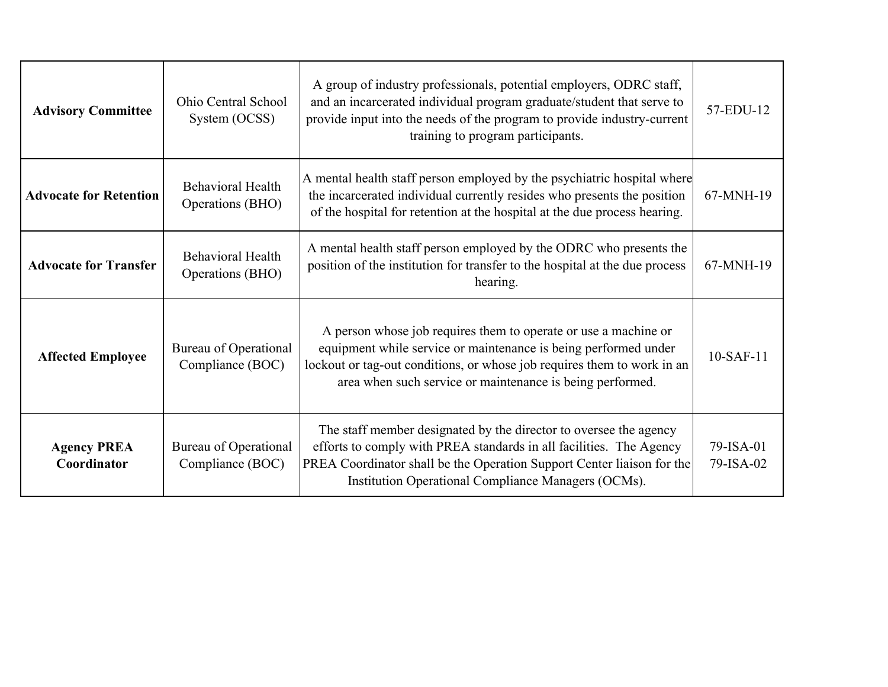| <b>Advisory Committee</b>         | Ohio Central School<br>System (OCSS)             | A group of industry professionals, potential employers, ODRC staff,<br>and an incarcerated individual program graduate/student that serve to<br>provide input into the needs of the program to provide industry-current<br>training to program participants.               | 57-EDU-12              |
|-----------------------------------|--------------------------------------------------|----------------------------------------------------------------------------------------------------------------------------------------------------------------------------------------------------------------------------------------------------------------------------|------------------------|
| <b>Advocate for Retention</b>     | <b>Behavioral Health</b><br>Operations (BHO)     | A mental health staff person employed by the psychiatric hospital where<br>the incarcerated individual currently resides who presents the position<br>of the hospital for retention at the hospital at the due process hearing.                                            | 67-MNH-19              |
| <b>Advocate for Transfer</b>      | <b>Behavioral Health</b><br>Operations (BHO)     | A mental health staff person employed by the ODRC who presents the<br>position of the institution for transfer to the hospital at the due process<br>hearing.                                                                                                              | 67-MNH-19              |
| <b>Affected Employee</b>          | <b>Bureau of Operational</b><br>Compliance (BOC) | A person whose job requires them to operate or use a machine or<br>equipment while service or maintenance is being performed under<br>lockout or tag-out conditions, or whose job requires them to work in an<br>area when such service or maintenance is being performed. | $10-SAF-11$            |
| <b>Agency PREA</b><br>Coordinator | Bureau of Operational<br>Compliance (BOC)        | The staff member designated by the director to oversee the agency<br>efforts to comply with PREA standards in all facilities. The Agency<br>PREA Coordinator shall be the Operation Support Center liaison for the<br>Institution Operational Compliance Managers (OCMs).  | 79-ISA-01<br>79-ISA-02 |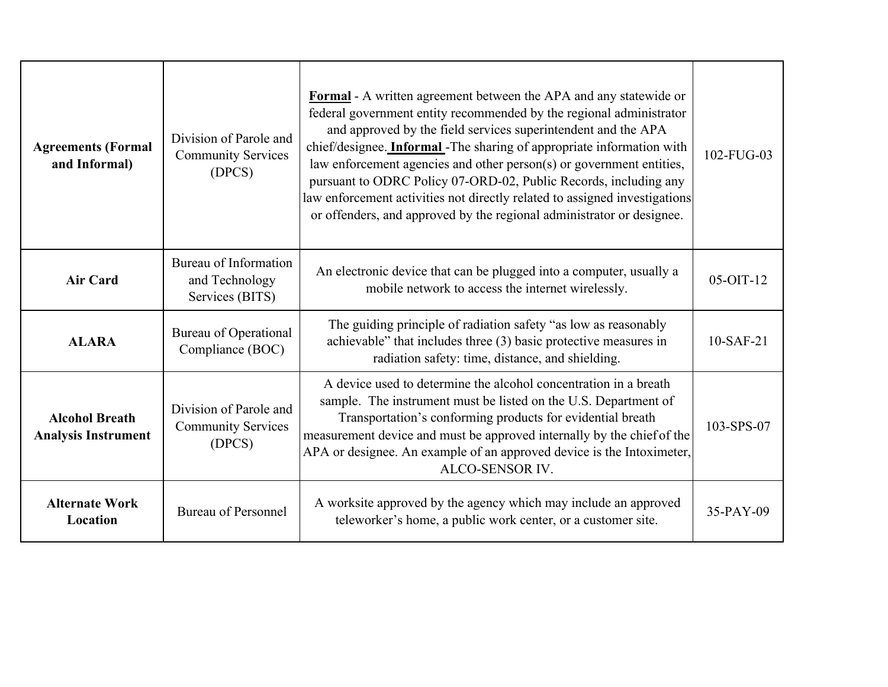| <b>Agreements (Formal</b><br>and Informal)          | Division of Parole and<br><b>Community Services</b><br>(DPCS) | Formal - A written agreement between the APA and any statewide or<br>federal government entity recommended by the regional administrator<br>and approved by the field services superintendent and the APA<br>chief/designee. Informal - The sharing of appropriate information with<br>law enforcement agencies and other person(s) or government entities,<br>pursuant to ODRC Policy 07-ORD-02, Public Records, including any<br>law enforcement activities not directly related to assigned investigations<br>or offenders, and approved by the regional administrator or designee. | 102-FUG-03  |
|-----------------------------------------------------|---------------------------------------------------------------|----------------------------------------------------------------------------------------------------------------------------------------------------------------------------------------------------------------------------------------------------------------------------------------------------------------------------------------------------------------------------------------------------------------------------------------------------------------------------------------------------------------------------------------------------------------------------------------|-------------|
| <b>Air Card</b>                                     | Bureau of Information<br>and Technology<br>Services (BITS)    | An electronic device that can be plugged into a computer, usually a<br>mobile network to access the internet wirelessly.                                                                                                                                                                                                                                                                                                                                                                                                                                                               | $05-OIT-12$ |
| <b>ALARA</b>                                        | <b>Bureau of Operational</b><br>Compliance (BOC)              | The guiding principle of radiation safety "as low as reasonably<br>achievable" that includes three (3) basic protective measures in<br>radiation safety: time, distance, and shielding.                                                                                                                                                                                                                                                                                                                                                                                                | $10-SAF-21$ |
| <b>Alcohol Breath</b><br><b>Analysis Instrument</b> | Division of Parole and<br><b>Community Services</b><br>(DPCS) | A device used to determine the alcohol concentration in a breath<br>sample. The instrument must be listed on the U.S. Department of<br>Transportation's conforming products for evidential breath<br>measurement device and must be approved internally by the chief of the<br>APA or designee. An example of an approved device is the Intoximeter,<br><b>ALCO-SENSOR IV.</b>                                                                                                                                                                                                         | 103-SPS-07  |
| <b>Alternate Work</b><br>Location                   | <b>Bureau of Personnel</b>                                    | A worksite approved by the agency which may include an approved<br>teleworker's home, a public work center, or a customer site.                                                                                                                                                                                                                                                                                                                                                                                                                                                        | 35-PAY-09   |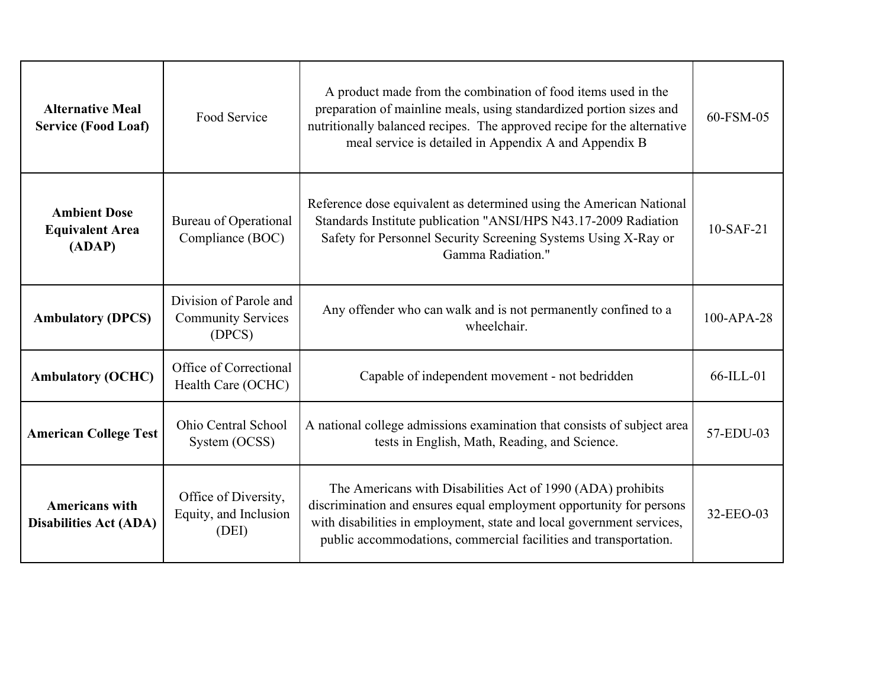| <b>Alternative Meal</b><br><b>Service (Food Loaf)</b>   | Food Service                                                  | A product made from the combination of food items used in the<br>preparation of mainline meals, using standardized portion sizes and<br>nutritionally balanced recipes. The approved recipe for the alternative<br>meal service is detailed in Appendix A and Appendix B        | 60-FSM-05  |
|---------------------------------------------------------|---------------------------------------------------------------|---------------------------------------------------------------------------------------------------------------------------------------------------------------------------------------------------------------------------------------------------------------------------------|------------|
| <b>Ambient Dose</b><br><b>Equivalent Area</b><br>(ADAP) | <b>Bureau of Operational</b><br>Compliance (BOC)              | Reference dose equivalent as determined using the American National<br>Standards Institute publication "ANSI/HPS N43.17-2009 Radiation<br>Safety for Personnel Security Screening Systems Using X-Ray or<br>Gamma Radiation."                                                   | 10-SAF-21  |
| <b>Ambulatory (DPCS)</b>                                | Division of Parole and<br><b>Community Services</b><br>(DPCS) | Any offender who can walk and is not permanently confined to a<br>wheelchair.                                                                                                                                                                                                   | 100-APA-28 |
| <b>Ambulatory (OCHC)</b>                                | Office of Correctional<br>Health Care (OCHC)                  | Capable of independent movement - not bedridden                                                                                                                                                                                                                                 | 66-ILL-01  |
| <b>American College Test</b>                            | Ohio Central School<br>System (OCSS)                          | A national college admissions examination that consists of subject area<br>tests in English, Math, Reading, and Science.                                                                                                                                                        | 57-EDU-03  |
| <b>Americans with</b><br><b>Disabilities Act (ADA)</b>  | Office of Diversity,<br>Equity, and Inclusion<br>(DEI)        | The Americans with Disabilities Act of 1990 (ADA) prohibits<br>discrimination and ensures equal employment opportunity for persons<br>with disabilities in employment, state and local government services,<br>public accommodations, commercial facilities and transportation. | 32-EEO-03  |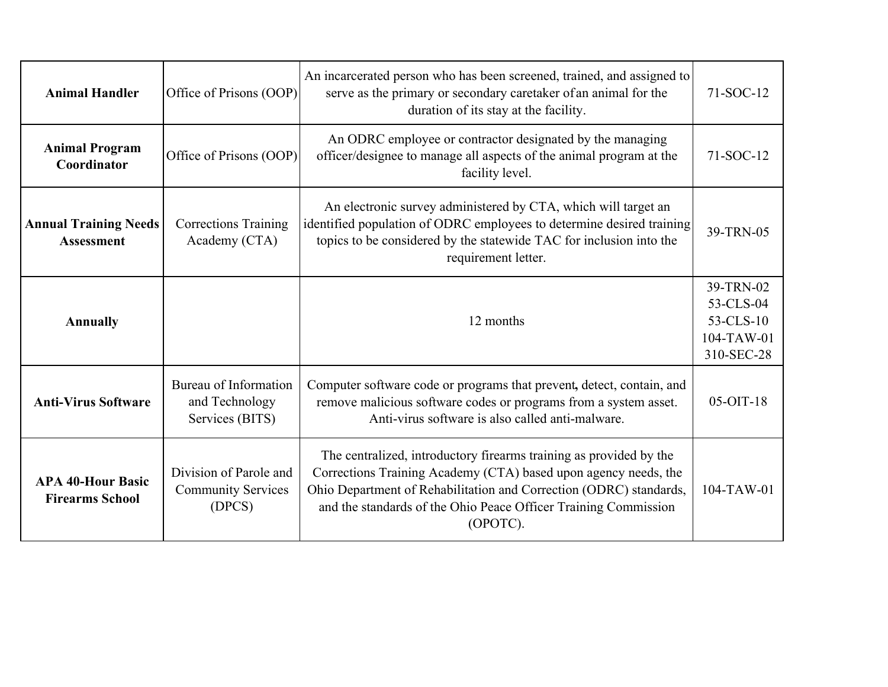| <b>Animal Handler</b>                              | Office of Prisons (OOP)                                       | An incarcerated person who has been screened, trained, and assigned to<br>serve as the primary or secondary caretaker of an animal for the<br>duration of its stay at the facility.                                                                                                        | 71-SOC-12                                                       |
|----------------------------------------------------|---------------------------------------------------------------|--------------------------------------------------------------------------------------------------------------------------------------------------------------------------------------------------------------------------------------------------------------------------------------------|-----------------------------------------------------------------|
| <b>Animal Program</b><br>Coordinator               | Office of Prisons (OOP)                                       | An ODRC employee or contractor designated by the managing<br>officer/designee to manage all aspects of the animal program at the<br>facility level.                                                                                                                                        | 71-SOC-12                                                       |
| <b>Annual Training Needs</b><br><b>Assessment</b>  | <b>Corrections Training</b><br>Academy (CTA)                  | An electronic survey administered by CTA, which will target an<br>identified population of ODRC employees to determine desired training<br>topics to be considered by the statewide TAC for inclusion into the<br>requirement letter.                                                      | 39-TRN-05                                                       |
| <b>Annually</b>                                    |                                                               | 12 months                                                                                                                                                                                                                                                                                  | 39-TRN-02<br>53-CLS-04<br>53-CLS-10<br>104-TAW-01<br>310-SEC-28 |
| <b>Anti-Virus Software</b>                         | Bureau of Information<br>and Technology<br>Services (BITS)    | Computer software code or programs that prevent, detect, contain, and<br>remove malicious software codes or programs from a system asset.<br>Anti-virus software is also called anti-malware.                                                                                              | $05-OTT-18$                                                     |
| <b>APA 40-Hour Basic</b><br><b>Firearms School</b> | Division of Parole and<br><b>Community Services</b><br>(DPCS) | The centralized, introductory firearms training as provided by the<br>Corrections Training Academy (CTA) based upon agency needs, the<br>Ohio Department of Rehabilitation and Correction (ODRC) standards,<br>and the standards of the Ohio Peace Officer Training Commission<br>(OPOTC). | 104-TAW-01                                                      |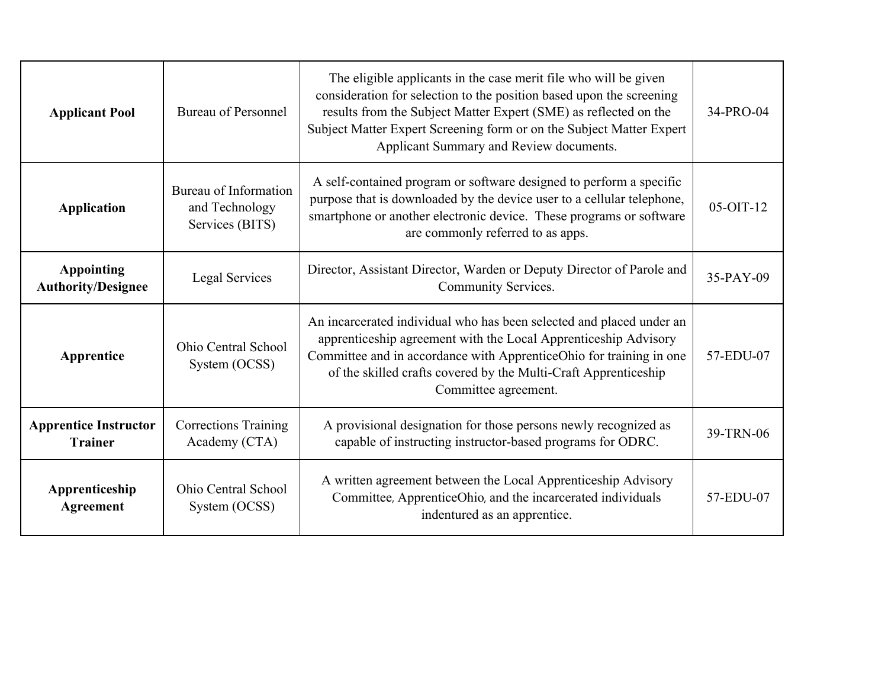| <b>Applicant Pool</b>                          | Bureau of Personnel                                        | The eligible applicants in the case merit file who will be given<br>consideration for selection to the position based upon the screening<br>results from the Subject Matter Expert (SME) as reflected on the<br>Subject Matter Expert Screening form or on the Subject Matter Expert<br>Applicant Summary and Review documents. | 34-PRO-04  |
|------------------------------------------------|------------------------------------------------------------|---------------------------------------------------------------------------------------------------------------------------------------------------------------------------------------------------------------------------------------------------------------------------------------------------------------------------------|------------|
| <b>Application</b>                             | Bureau of Information<br>and Technology<br>Services (BITS) | A self-contained program or software designed to perform a specific<br>purpose that is downloaded by the device user to a cellular telephone,<br>smartphone or another electronic device. These programs or software<br>are commonly referred to as apps.                                                                       | $05-OT-12$ |
| <b>Appointing</b><br><b>Authority/Designee</b> | Legal Services                                             | Director, Assistant Director, Warden or Deputy Director of Parole and<br>Community Services.                                                                                                                                                                                                                                    | 35-PAY-09  |
| Apprentice                                     | Ohio Central School<br>System (OCSS)                       | An incarcerated individual who has been selected and placed under an<br>apprenticeship agreement with the Local Apprenticeship Advisory<br>Committee and in accordance with ApprenticeOhio for training in one<br>of the skilled crafts covered by the Multi-Craft Apprenticeship<br>Committee agreement.                       | 57-EDU-07  |
| <b>Apprentice Instructor</b><br><b>Trainer</b> | <b>Corrections Training</b><br>Academy (CTA)               | A provisional designation for those persons newly recognized as<br>capable of instructing instructor-based programs for ODRC.                                                                                                                                                                                                   | 39-TRN-06  |
| Apprenticeship<br><b>Agreement</b>             | Ohio Central School<br>System (OCSS)                       | A written agreement between the Local Apprenticeship Advisory<br>Committee, ApprenticeOhio, and the incarcerated individuals<br>indentured as an apprentice.                                                                                                                                                                    | 57-EDU-07  |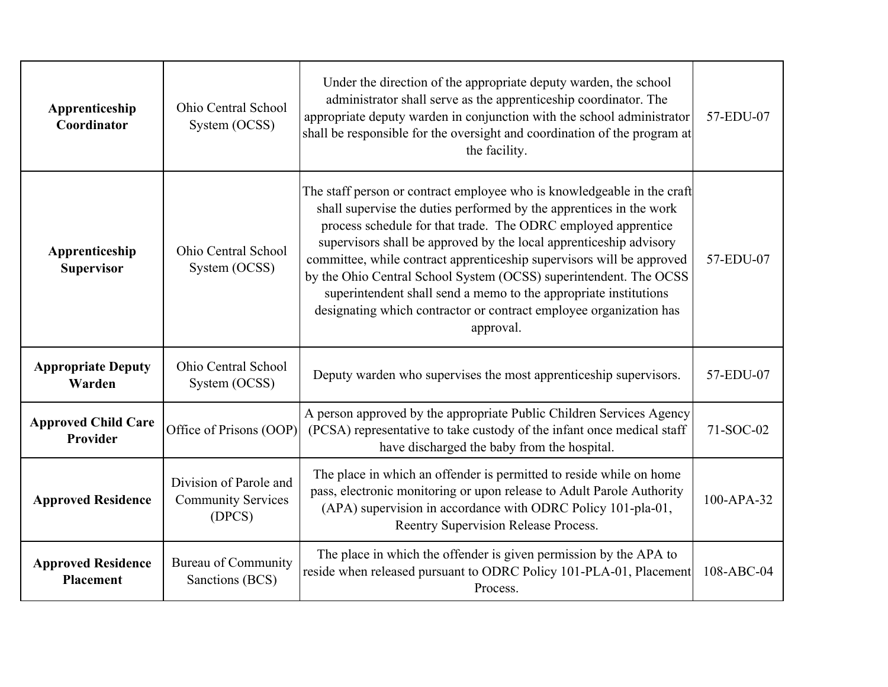| Apprenticeship<br>Coordinator                 | Ohio Central School<br>System (OCSS)                          | Under the direction of the appropriate deputy warden, the school<br>administrator shall serve as the apprenticeship coordinator. The<br>appropriate deputy warden in conjunction with the school administrator<br>shall be responsible for the oversight and coordination of the program at<br>the facility.                                                                                                                                                                                                                                                                               | 57-EDU-07  |
|-----------------------------------------------|---------------------------------------------------------------|--------------------------------------------------------------------------------------------------------------------------------------------------------------------------------------------------------------------------------------------------------------------------------------------------------------------------------------------------------------------------------------------------------------------------------------------------------------------------------------------------------------------------------------------------------------------------------------------|------------|
| Apprenticeship<br><b>Supervisor</b>           | Ohio Central School<br>System (OCSS)                          | The staff person or contract employee who is knowledgeable in the craft<br>shall supervise the duties performed by the apprentices in the work<br>process schedule for that trade. The ODRC employed apprentice<br>supervisors shall be approved by the local apprenticeship advisory<br>committee, while contract apprenticeship supervisors will be approved<br>by the Ohio Central School System (OCSS) superintendent. The OCSS<br>superintendent shall send a memo to the appropriate institutions<br>designating which contractor or contract employee organization has<br>approval. | 57-EDU-07  |
| <b>Appropriate Deputy</b><br>Warden           | Ohio Central School<br>System (OCSS)                          | Deputy warden who supervises the most apprenticeship supervisors.                                                                                                                                                                                                                                                                                                                                                                                                                                                                                                                          | 57-EDU-07  |
| <b>Approved Child Care</b><br>Provider        | Office of Prisons (OOP)                                       | A person approved by the appropriate Public Children Services Agency<br>(PCSA) representative to take custody of the infant once medical staff<br>have discharged the baby from the hospital.                                                                                                                                                                                                                                                                                                                                                                                              | 71-SOC-02  |
| <b>Approved Residence</b>                     | Division of Parole and<br><b>Community Services</b><br>(DPCS) | The place in which an offender is permitted to reside while on home<br>pass, electronic monitoring or upon release to Adult Parole Authority<br>(APA) supervision in accordance with ODRC Policy 101-pla-01,<br>Reentry Supervision Release Process.                                                                                                                                                                                                                                                                                                                                       | 100-APA-32 |
| <b>Approved Residence</b><br><b>Placement</b> | <b>Bureau of Community</b><br>Sanctions (BCS)                 | The place in which the offender is given permission by the APA to<br>reside when released pursuant to ODRC Policy 101-PLA-01, Placement<br>Process.                                                                                                                                                                                                                                                                                                                                                                                                                                        | 108-ABC-04 |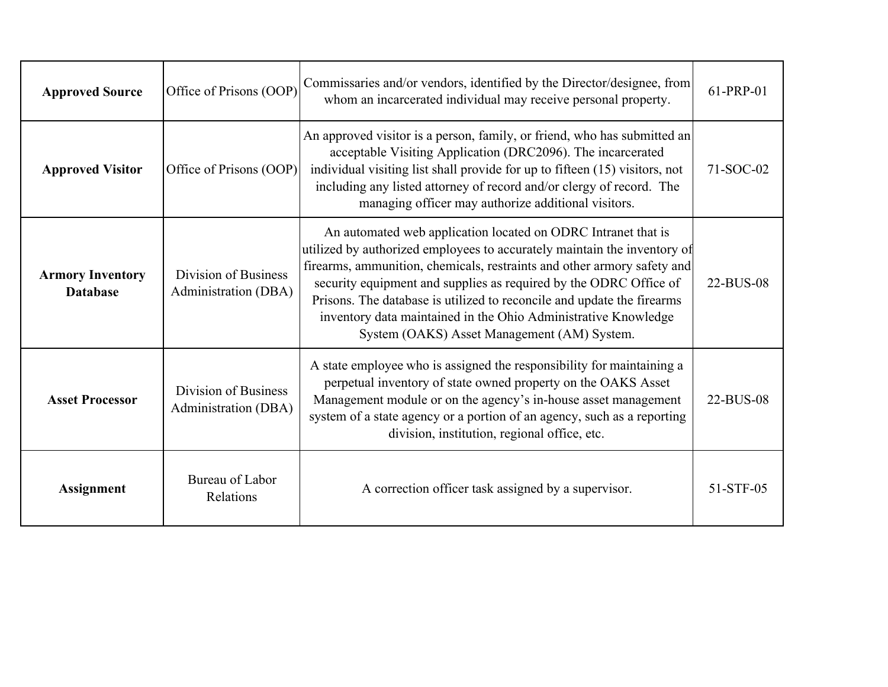| <b>Approved Source</b>                     | Office of Prisons (OOP)                      | Commissaries and/or vendors, identified by the Director/designee, from<br>whom an incarcerated individual may receive personal property.                                                                                                                                                                                                                                                                                                                                             | 61-PRP-01 |
|--------------------------------------------|----------------------------------------------|--------------------------------------------------------------------------------------------------------------------------------------------------------------------------------------------------------------------------------------------------------------------------------------------------------------------------------------------------------------------------------------------------------------------------------------------------------------------------------------|-----------|
| <b>Approved Visitor</b>                    | Office of Prisons (OOP)                      | An approved visitor is a person, family, or friend, who has submitted an<br>acceptable Visiting Application (DRC2096). The incarcerated<br>individual visiting list shall provide for up to fifteen (15) visitors, not<br>including any listed attorney of record and/or clergy of record. The<br>managing officer may authorize additional visitors.                                                                                                                                | 71-SOC-02 |
| <b>Armory Inventory</b><br><b>Database</b> | Division of Business<br>Administration (DBA) | An automated web application located on ODRC Intranet that is<br>utilized by authorized employees to accurately maintain the inventory of<br>firearms, ammunition, chemicals, restraints and other armory safety and<br>security equipment and supplies as required by the ODRC Office of<br>Prisons. The database is utilized to reconcile and update the firearms<br>inventory data maintained in the Ohio Administrative Knowledge<br>System (OAKS) Asset Management (AM) System. | 22-BUS-08 |
| <b>Asset Processor</b>                     | Division of Business<br>Administration (DBA) | A state employee who is assigned the responsibility for maintaining a<br>perpetual inventory of state owned property on the OAKS Asset<br>Management module or on the agency's in-house asset management<br>system of a state agency or a portion of an agency, such as a reporting<br>division, institution, regional office, etc.                                                                                                                                                  | 22-BUS-08 |
| <b>Assignment</b>                          | Bureau of Labor<br>Relations                 | A correction officer task assigned by a supervisor.                                                                                                                                                                                                                                                                                                                                                                                                                                  | 51-STF-05 |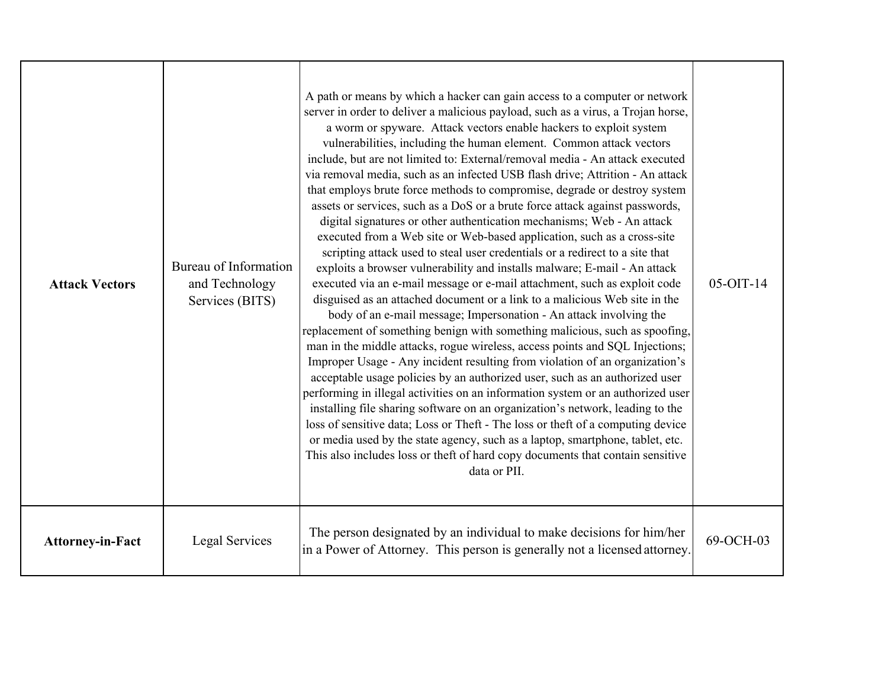| <b>Attack Vectors</b>   | Bureau of Information<br>and Technology<br>Services (BITS) | A path or means by which a hacker can gain access to a computer or network<br>server in order to deliver a malicious payload, such as a virus, a Trojan horse,<br>a worm or spyware. Attack vectors enable hackers to exploit system<br>vulnerabilities, including the human element. Common attack vectors<br>include, but are not limited to: External/removal media - An attack executed<br>via removal media, such as an infected USB flash drive; Attrition - An attack<br>that employs brute force methods to compromise, degrade or destroy system<br>assets or services, such as a DoS or a brute force attack against passwords,<br>digital signatures or other authentication mechanisms; Web - An attack<br>executed from a Web site or Web-based application, such as a cross-site<br>scripting attack used to steal user credentials or a redirect to a site that<br>exploits a browser vulnerability and installs malware; E-mail - An attack<br>executed via an e-mail message or e-mail attachment, such as exploit code<br>disguised as an attached document or a link to a malicious Web site in the<br>body of an e-mail message; Impersonation - An attack involving the<br>replacement of something benign with something malicious, such as spoofing,<br>man in the middle attacks, rogue wireless, access points and SQL Injections;<br>Improper Usage - Any incident resulting from violation of an organization's<br>acceptable usage policies by an authorized user, such as an authorized user<br>performing in illegal activities on an information system or an authorized user<br>installing file sharing software on an organization's network, leading to the<br>loss of sensitive data; Loss or Theft - The loss or theft of a computing device<br>or media used by the state agency, such as a laptop, smartphone, tablet, etc.<br>This also includes loss or theft of hard copy documents that contain sensitive<br>data or PII. | $05-OT-14$ |
|-------------------------|------------------------------------------------------------|---------------------------------------------------------------------------------------------------------------------------------------------------------------------------------------------------------------------------------------------------------------------------------------------------------------------------------------------------------------------------------------------------------------------------------------------------------------------------------------------------------------------------------------------------------------------------------------------------------------------------------------------------------------------------------------------------------------------------------------------------------------------------------------------------------------------------------------------------------------------------------------------------------------------------------------------------------------------------------------------------------------------------------------------------------------------------------------------------------------------------------------------------------------------------------------------------------------------------------------------------------------------------------------------------------------------------------------------------------------------------------------------------------------------------------------------------------------------------------------------------------------------------------------------------------------------------------------------------------------------------------------------------------------------------------------------------------------------------------------------------------------------------------------------------------------------------------------------------------------------------------------------------------------------------------------------------------------------|------------|
| <b>Attorney-in-Fact</b> | Legal Services                                             | The person designated by an individual to make decisions for him/her<br>in a Power of Attorney. This person is generally not a licensed attorney.                                                                                                                                                                                                                                                                                                                                                                                                                                                                                                                                                                                                                                                                                                                                                                                                                                                                                                                                                                                                                                                                                                                                                                                                                                                                                                                                                                                                                                                                                                                                                                                                                                                                                                                                                                                                                   | 69-OCH-03  |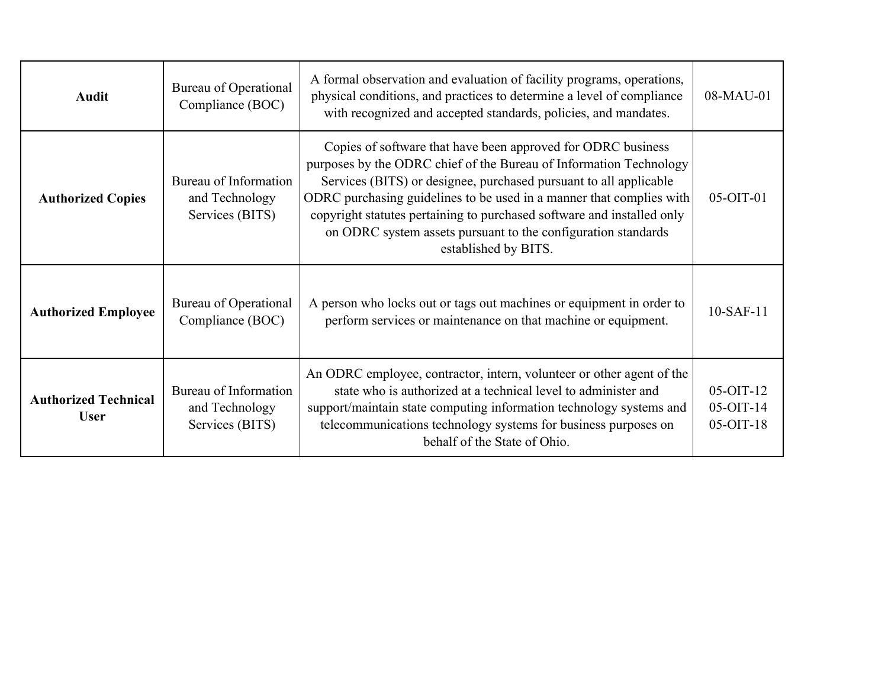| <b>Audit</b>                               | Bureau of Operational<br>Compliance (BOC)                  | A formal observation and evaluation of facility programs, operations,<br>physical conditions, and practices to determine a level of compliance<br>with recognized and accepted standards, policies, and mandates.                                                                                                                                                                                                                                  | 08-MAU-01                                 |
|--------------------------------------------|------------------------------------------------------------|----------------------------------------------------------------------------------------------------------------------------------------------------------------------------------------------------------------------------------------------------------------------------------------------------------------------------------------------------------------------------------------------------------------------------------------------------|-------------------------------------------|
| <b>Authorized Copies</b>                   | Bureau of Information<br>and Technology<br>Services (BITS) | Copies of software that have been approved for ODRC business<br>purposes by the ODRC chief of the Bureau of Information Technology<br>Services (BITS) or designee, purchased pursuant to all applicable<br>ODRC purchasing guidelines to be used in a manner that complies with<br>copyright statutes pertaining to purchased software and installed only<br>on ODRC system assets pursuant to the configuration standards<br>established by BITS. | 05-OIT-01                                 |
| <b>Authorized Employee</b>                 | Bureau of Operational<br>Compliance (BOC)                  | A person who locks out or tags out machines or equipment in order to<br>perform services or maintenance on that machine or equipment.                                                                                                                                                                                                                                                                                                              | $10-SAF-11$                               |
| <b>Authorized Technical</b><br><b>User</b> | Bureau of Information<br>and Technology<br>Services (BITS) | An ODRC employee, contractor, intern, volunteer or other agent of the<br>state who is authorized at a technical level to administer and<br>support/maintain state computing information technology systems and<br>telecommunications technology systems for business purposes on<br>behalf of the State of Ohio.                                                                                                                                   | $05-OTT-12$<br>$05-OIT-14$<br>$05-OIT-18$ |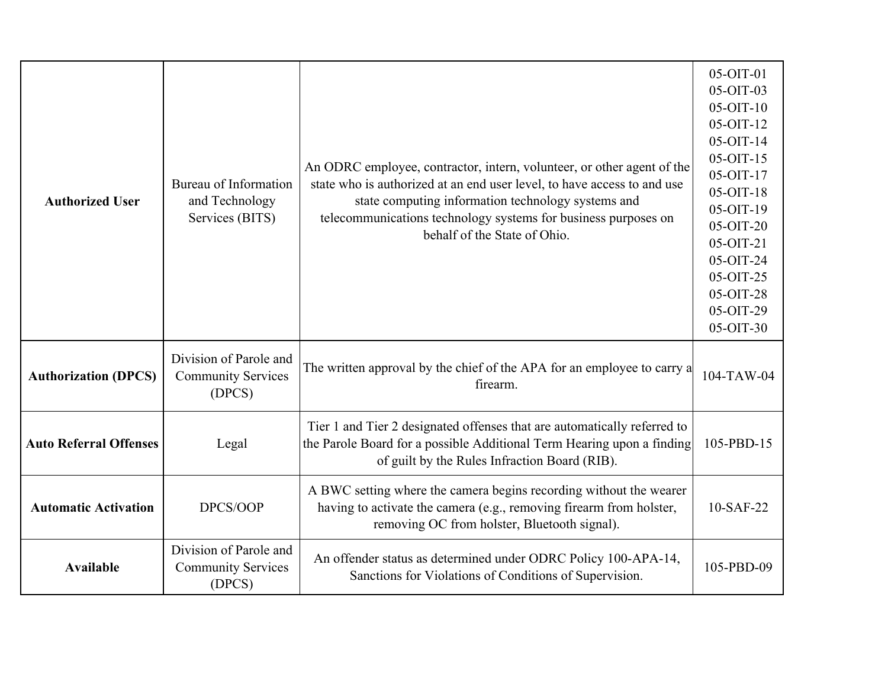| <b>Authorized User</b>        | Bureau of Information<br>and Technology<br>Services (BITS)    | An ODRC employee, contractor, intern, volunteer, or other agent of the<br>state who is authorized at an end user level, to have access to and use<br>state computing information technology systems and<br>telecommunications technology systems for business purposes on<br>behalf of the State of Ohio. | 05-OIT-01<br>$05-OIT-03$<br>$05-OTT-10$<br>05-OIT-12<br>$05-OIT-14$<br>05-OIT-15<br>05-OIT-17<br>05-OIT-18<br>05-OIT-19<br>05-OIT-20<br>05-OIT-21<br>05-OIT-24<br>05-OIT-25<br>05-OIT-28<br>05-OIT-29<br>05-OIT-30 |
|-------------------------------|---------------------------------------------------------------|-----------------------------------------------------------------------------------------------------------------------------------------------------------------------------------------------------------------------------------------------------------------------------------------------------------|--------------------------------------------------------------------------------------------------------------------------------------------------------------------------------------------------------------------|
| <b>Authorization (DPCS)</b>   | Division of Parole and<br><b>Community Services</b><br>(DPCS) | The written approval by the chief of the APA for an employee to carry a<br>firearm.                                                                                                                                                                                                                       | 104-TAW-04                                                                                                                                                                                                         |
| <b>Auto Referral Offenses</b> | Legal                                                         | Tier 1 and Tier 2 designated offenses that are automatically referred to<br>the Parole Board for a possible Additional Term Hearing upon a finding<br>of guilt by the Rules Infraction Board (RIB).                                                                                                       | 105-PBD-15                                                                                                                                                                                                         |
| <b>Automatic Activation</b>   | DPCS/OOP                                                      | A BWC setting where the camera begins recording without the wearer<br>having to activate the camera (e.g., removing firearm from holster,<br>removing OC from holster, Bluetooth signal).                                                                                                                 | 10-SAF-22                                                                                                                                                                                                          |
| <b>Available</b>              | Division of Parole and<br><b>Community Services</b><br>(DPCS) | An offender status as determined under ODRC Policy 100-APA-14,<br>Sanctions for Violations of Conditions of Supervision.                                                                                                                                                                                  | 105-PBD-09                                                                                                                                                                                                         |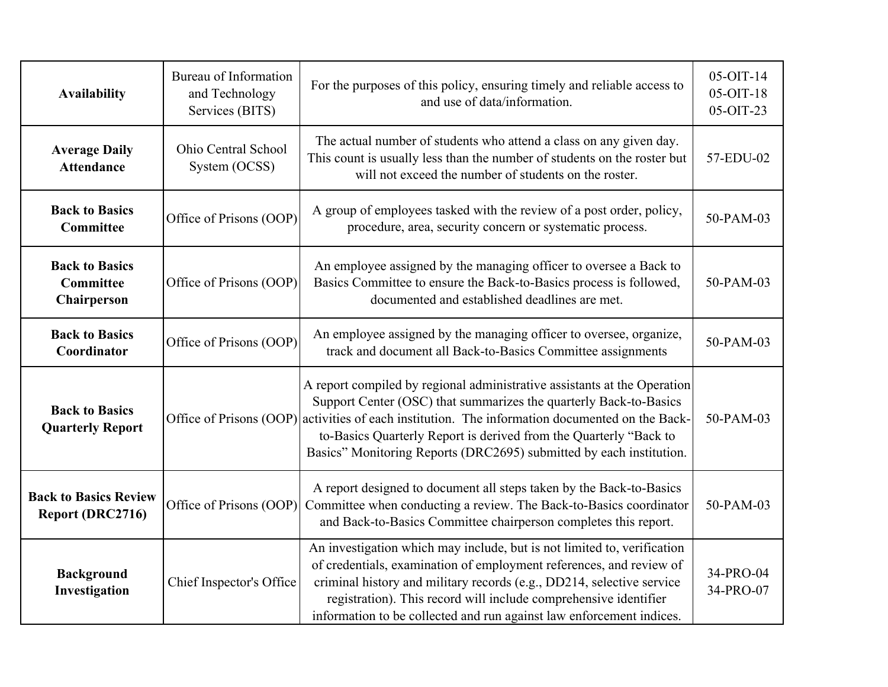| <b>Availability</b>                                      | Bureau of Information<br>and Technology<br>Services (BITS) | For the purposes of this policy, ensuring timely and reliable access to<br>and use of data/information.                                                                                                                                                                                                                                                                                      | 05-OIT-14<br>05-OIT-18<br>05-OIT-23 |
|----------------------------------------------------------|------------------------------------------------------------|----------------------------------------------------------------------------------------------------------------------------------------------------------------------------------------------------------------------------------------------------------------------------------------------------------------------------------------------------------------------------------------------|-------------------------------------|
| <b>Average Daily</b><br><b>Attendance</b>                | Ohio Central School<br>System (OCSS)                       | The actual number of students who attend a class on any given day.<br>This count is usually less than the number of students on the roster but<br>will not exceed the number of students on the roster.                                                                                                                                                                                      | 57-EDU-02                           |
| <b>Back to Basics</b><br>Committee                       | Office of Prisons (OOP)                                    | A group of employees tasked with the review of a post order, policy,<br>procedure, area, security concern or systematic process.                                                                                                                                                                                                                                                             | 50-PAM-03                           |
| <b>Back to Basics</b><br><b>Committee</b><br>Chairperson | Office of Prisons (OOP)                                    | An employee assigned by the managing officer to oversee a Back to<br>Basics Committee to ensure the Back-to-Basics process is followed,<br>documented and established deadlines are met.                                                                                                                                                                                                     | 50-PAM-03                           |
| <b>Back to Basics</b><br>Coordinator                     | Office of Prisons (OOP)                                    | An employee assigned by the managing officer to oversee, organize,<br>track and document all Back-to-Basics Committee assignments                                                                                                                                                                                                                                                            | 50-PAM-03                           |
| <b>Back to Basics</b><br><b>Quarterly Report</b>         |                                                            | A report compiled by regional administrative assistants at the Operation<br>Support Center (OSC) that summarizes the quarterly Back-to-Basics<br>Office of Prisons (OOP) activities of each institution. The information documented on the Back-<br>to-Basics Quarterly Report is derived from the Quarterly "Back to<br>Basics" Monitoring Reports (DRC2695) submitted by each institution. | 50-PAM-03                           |
| <b>Back to Basics Review</b><br>Report (DRC2716)         | Office of Prisons (OOP)                                    | A report designed to document all steps taken by the Back-to-Basics<br>Committee when conducting a review. The Back-to-Basics coordinator<br>and Back-to-Basics Committee chairperson completes this report.                                                                                                                                                                                 | 50-PAM-03                           |
| <b>Background</b><br>Investigation                       | Chief Inspector's Office                                   | An investigation which may include, but is not limited to, verification<br>of credentials, examination of employment references, and review of<br>criminal history and military records (e.g., DD214, selective service<br>registration). This record will include comprehensive identifier<br>information to be collected and run against law enforcement indices.                          | 34-PRO-04<br>34-PRO-07              |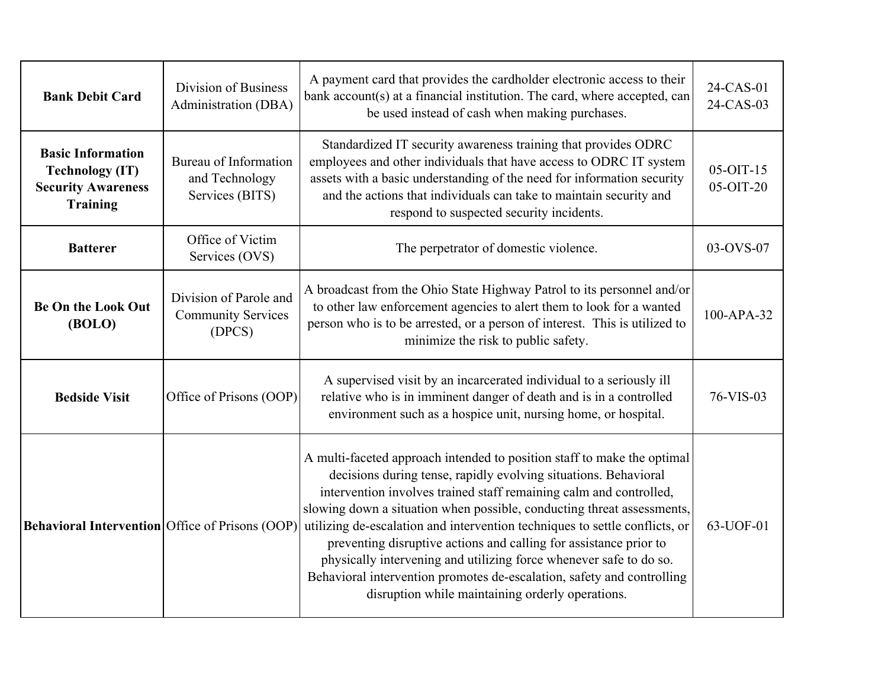| <b>Bank Debit Card</b>                                                                             | Division of Business<br>Administration (DBA)                      | A payment card that provides the cardholder electronic access to their<br>bank account(s) at a financial institution. The card, where accepted, can<br>be used instead of cash when making purchases.                                                                                                                                                                                                                                                                                                                                                                                                                                                                                                     | 24-CAS-01<br>24-CAS-03 |
|----------------------------------------------------------------------------------------------------|-------------------------------------------------------------------|-----------------------------------------------------------------------------------------------------------------------------------------------------------------------------------------------------------------------------------------------------------------------------------------------------------------------------------------------------------------------------------------------------------------------------------------------------------------------------------------------------------------------------------------------------------------------------------------------------------------------------------------------------------------------------------------------------------|------------------------|
| <b>Basic Information</b><br><b>Technology (IT)</b><br><b>Security Awareness</b><br><b>Training</b> | <b>Bureau of Information</b><br>and Technology<br>Services (BITS) | Standardized IT security awareness training that provides ODRC<br>employees and other individuals that have access to ODRC IT system<br>assets with a basic understanding of the need for information security<br>and the actions that individuals can take to maintain security and<br>respond to suspected security incidents.                                                                                                                                                                                                                                                                                                                                                                          | 05-OIT-15<br>05-OIT-20 |
| <b>Batterer</b>                                                                                    | Office of Victim<br>Services (OVS)                                | The perpetrator of domestic violence.                                                                                                                                                                                                                                                                                                                                                                                                                                                                                                                                                                                                                                                                     | 03-OVS-07              |
| <b>Be On the Look Out</b><br>(BOLO)                                                                | Division of Parole and<br><b>Community Services</b><br>(DPCS)     | A broadcast from the Ohio State Highway Patrol to its personnel and/or<br>to other law enforcement agencies to alert them to look for a wanted<br>person who is to be arrested, or a person of interest. This is utilized to<br>minimize the risk to public safety.                                                                                                                                                                                                                                                                                                                                                                                                                                       | 100-APA-32             |
| <b>Bedside Visit</b>                                                                               | Office of Prisons (OOP)                                           | A supervised visit by an incarcerated individual to a seriously ill<br>relative who is in imminent danger of death and is in a controlled<br>environment such as a hospice unit, nursing home, or hospital.                                                                                                                                                                                                                                                                                                                                                                                                                                                                                               | 76-VIS-03              |
|                                                                                                    |                                                                   | A multi-faceted approach intended to position staff to make the optimal<br>decisions during tense, rapidly evolving situations. Behavioral<br>intervention involves trained staff remaining calm and controlled,<br>slowing down a situation when possible, conducting threat assessments,<br><b>Behavioral Intervention</b> Office of Prisons (OOP) utilizing de-escalation and intervention techniques to settle conflicts, or<br>preventing disruptive actions and calling for assistance prior to<br>physically intervening and utilizing force whenever safe to do so.<br>Behavioral intervention promotes de-escalation, safety and controlling<br>disruption while maintaining orderly operations. | 63-UOF-01              |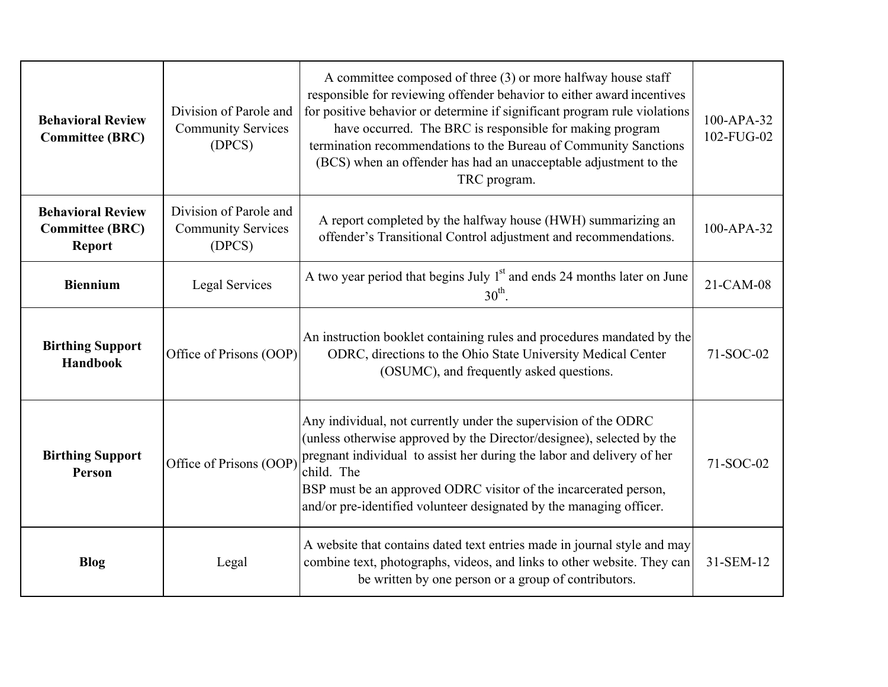| <b>Behavioral Review</b><br><b>Committee (BRC)</b>                  | Division of Parole and<br><b>Community Services</b><br>(DPCS) | A committee composed of three (3) or more halfway house staff<br>responsible for reviewing offender behavior to either award incentives<br>for positive behavior or determine if significant program rule violations<br>have occurred. The BRC is responsible for making program<br>termination recommendations to the Bureau of Community Sanctions<br>(BCS) when an offender has had an unacceptable adjustment to the<br>TRC program. | 100-APA-32<br>102-FUG-02 |
|---------------------------------------------------------------------|---------------------------------------------------------------|------------------------------------------------------------------------------------------------------------------------------------------------------------------------------------------------------------------------------------------------------------------------------------------------------------------------------------------------------------------------------------------------------------------------------------------|--------------------------|
| <b>Behavioral Review</b><br><b>Committee (BRC)</b><br><b>Report</b> | Division of Parole and<br><b>Community Services</b><br>(DPCS) | A report completed by the halfway house (HWH) summarizing an<br>offender's Transitional Control adjustment and recommendations.                                                                                                                                                                                                                                                                                                          | 100-APA-32               |
| <b>Biennium</b>                                                     | Legal Services                                                | A two year period that begins July $1st$ and ends 24 months later on June<br>$30^{\text{th}}$ .                                                                                                                                                                                                                                                                                                                                          | 21-CAM-08                |
| <b>Birthing Support</b><br>Handbook                                 | Office of Prisons (OOP)                                       | An instruction booklet containing rules and procedures mandated by the<br>ODRC, directions to the Ohio State University Medical Center<br>(OSUMC), and frequently asked questions.                                                                                                                                                                                                                                                       | 71-SOC-02                |
| <b>Birthing Support</b><br>Person                                   | Office of Prisons (OOP)                                       | Any individual, not currently under the supervision of the ODRC<br>(unless otherwise approved by the Director/designee), selected by the<br>pregnant individual to assist her during the labor and delivery of her<br>child. The<br>BSP must be an approved ODRC visitor of the incarcerated person,<br>and/or pre-identified volunteer designated by the managing officer.                                                              | 71-SOC-02                |
| <b>Blog</b>                                                         | Legal                                                         | A website that contains dated text entries made in journal style and may<br>combine text, photographs, videos, and links to other website. They can<br>be written by one person or a group of contributors.                                                                                                                                                                                                                              | 31-SEM-12                |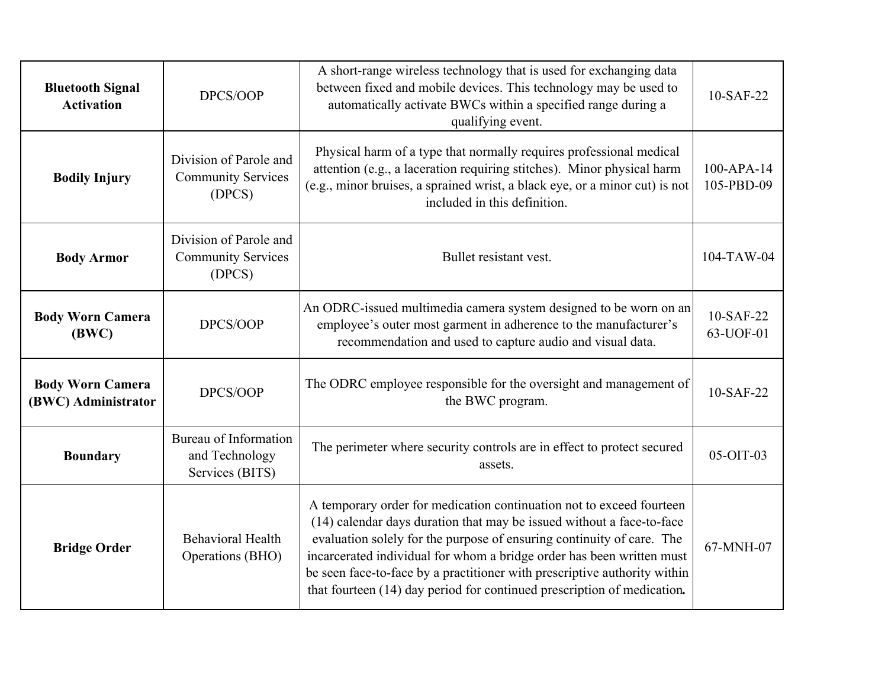| <b>Bluetooth Signal</b><br><b>Activation</b>   | DPCS/OOP                                                      | A short-range wireless technology that is used for exchanging data<br>between fixed and mobile devices. This technology may be used to<br>automatically activate BWCs within a specified range during a<br>qualifying event.                                                                                                                                                                                                                            | 10-SAF-22                |
|------------------------------------------------|---------------------------------------------------------------|---------------------------------------------------------------------------------------------------------------------------------------------------------------------------------------------------------------------------------------------------------------------------------------------------------------------------------------------------------------------------------------------------------------------------------------------------------|--------------------------|
| <b>Bodily Injury</b>                           | Division of Parole and<br><b>Community Services</b><br>(DPCS) | Physical harm of a type that normally requires professional medical<br>attention (e.g., a laceration requiring stitches). Minor physical harm<br>(e.g., minor bruises, a sprained wrist, a black eye, or a minor cut) is not<br>included in this definition.                                                                                                                                                                                            | 100-APA-14<br>105-PBD-09 |
| <b>Body Armor</b>                              | Division of Parole and<br><b>Community Services</b><br>(DPCS) | Bullet resistant vest.                                                                                                                                                                                                                                                                                                                                                                                                                                  | 104-TAW-04               |
| <b>Body Worn Camera</b><br>(BWC)               | DPCS/OOP                                                      | An ODRC-issued multimedia camera system designed to be worn on an<br>employee's outer most garment in adherence to the manufacturer's<br>recommendation and used to capture audio and visual data.                                                                                                                                                                                                                                                      | 10-SAF-22<br>63-UOF-01   |
| <b>Body Worn Camera</b><br>(BWC) Administrator | DPCS/OOP                                                      | The ODRC employee responsible for the oversight and management of<br>the BWC program.                                                                                                                                                                                                                                                                                                                                                                   | 10-SAF-22                |
| <b>Boundary</b>                                | Bureau of Information<br>and Technology<br>Services (BITS)    | The perimeter where security controls are in effect to protect secured<br>assets.                                                                                                                                                                                                                                                                                                                                                                       | 05-OIT-03                |
| <b>Bridge Order</b>                            | <b>Behavioral Health</b><br>Operations (BHO)                  | A temporary order for medication continuation not to exceed fourteen<br>(14) calendar days duration that may be issued without a face-to-face<br>evaluation solely for the purpose of ensuring continuity of care. The<br>incarcerated individual for whom a bridge order has been written must<br>be seen face-to-face by a practitioner with prescriptive authority within<br>that fourteen (14) day period for continued prescription of medication. | 67-MNH-07                |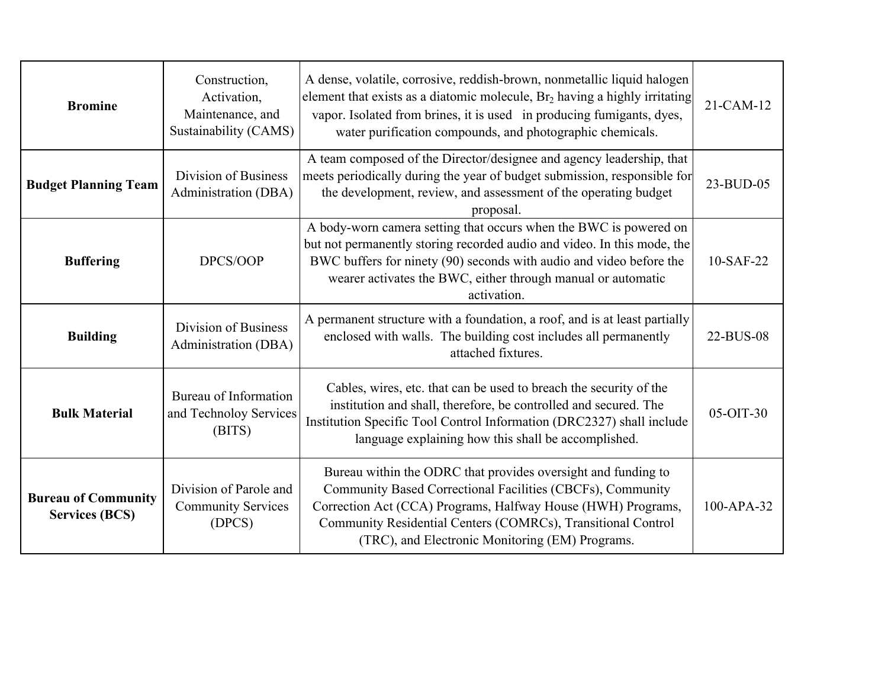| <b>Bromine</b>                                      | Construction,<br>Activation,<br>Maintenance, and<br>Sustainability (CAMS) | A dense, volatile, corrosive, reddish-brown, nonmetallic liquid halogen<br>element that exists as a diatomic molecule, $Br2$ having a highly irritating<br>vapor. Isolated from brines, it is used in producing fumigants, dyes,<br>water purification compounds, and photographic chemicals.                  | 21-CAM-12       |
|-----------------------------------------------------|---------------------------------------------------------------------------|----------------------------------------------------------------------------------------------------------------------------------------------------------------------------------------------------------------------------------------------------------------------------------------------------------------|-----------------|
| <b>Budget Planning Team</b>                         | Division of Business<br>Administration (DBA)                              | A team composed of the Director/designee and agency leadership, that<br>meets periodically during the year of budget submission, responsible for<br>the development, review, and assessment of the operating budget<br>proposal.                                                                               | 23-BUD-05       |
| <b>Buffering</b>                                    | DPCS/OOP                                                                  | A body-worn camera setting that occurs when the BWC is powered on<br>but not permanently storing recorded audio and video. In this mode, the<br>BWC buffers for ninety (90) seconds with audio and video before the<br>wearer activates the BWC, either through manual or automatic<br>activation.             | 10-SAF-22       |
| <b>Building</b>                                     | Division of Business<br>Administration (DBA)                              | A permanent structure with a foundation, a roof, and is at least partially<br>enclosed with walls. The building cost includes all permanently<br>attached fixtures.                                                                                                                                            | 22-BUS-08       |
| <b>Bulk Material</b>                                | Bureau of Information<br>and Technoloy Services<br>(BITS)                 | Cables, wires, etc. that can be used to breach the security of the<br>institution and shall, therefore, be controlled and secured. The<br>Institution Specific Tool Control Information (DRC2327) shall include<br>language explaining how this shall be accomplished.                                         | $05-$ OIT $-30$ |
| <b>Bureau of Community</b><br><b>Services (BCS)</b> | Division of Parole and<br><b>Community Services</b><br>(DPCS)             | Bureau within the ODRC that provides oversight and funding to<br>Community Based Correctional Facilities (CBCFs), Community<br>Correction Act (CCA) Programs, Halfway House (HWH) Programs,<br>Community Residential Centers (COMRCs), Transitional Control<br>(TRC), and Electronic Monitoring (EM) Programs. | 100-APA-32      |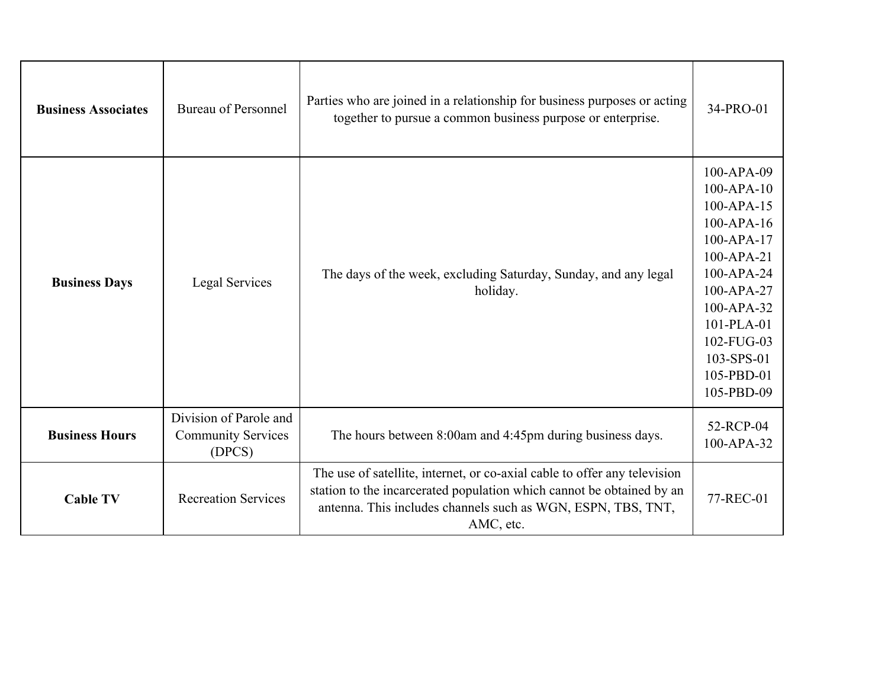| <b>Business Associates</b> | Bureau of Personnel                                           | Parties who are joined in a relationship for business purposes or acting<br>together to pursue a common business purpose or enterprise.                                                                                         | 34-PRO-01                                                                                                                                                                                              |
|----------------------------|---------------------------------------------------------------|---------------------------------------------------------------------------------------------------------------------------------------------------------------------------------------------------------------------------------|--------------------------------------------------------------------------------------------------------------------------------------------------------------------------------------------------------|
| <b>Business Days</b>       | Legal Services                                                | The days of the week, excluding Saturday, Sunday, and any legal<br>holiday.                                                                                                                                                     | 100-APA-09<br>100-APA-10<br>$100 - APA - 15$<br>100-APA-16<br>100-APA-17<br>100-APA-21<br>100-APA-24<br>100-APA-27<br>100-APA-32<br>101-PLA-01<br>102-FUG-03<br>103-SPS-01<br>105-PBD-01<br>105-PBD-09 |
| <b>Business Hours</b>      | Division of Parole and<br><b>Community Services</b><br>(DPCS) | The hours between 8:00am and 4:45pm during business days.                                                                                                                                                                       | 52-RCP-04<br>100-APA-32                                                                                                                                                                                |
| <b>Cable TV</b>            | <b>Recreation Services</b>                                    | The use of satellite, internet, or co-axial cable to offer any television<br>station to the incarcerated population which cannot be obtained by an<br>antenna. This includes channels such as WGN, ESPN, TBS, TNT,<br>AMC, etc. | 77-REC-01                                                                                                                                                                                              |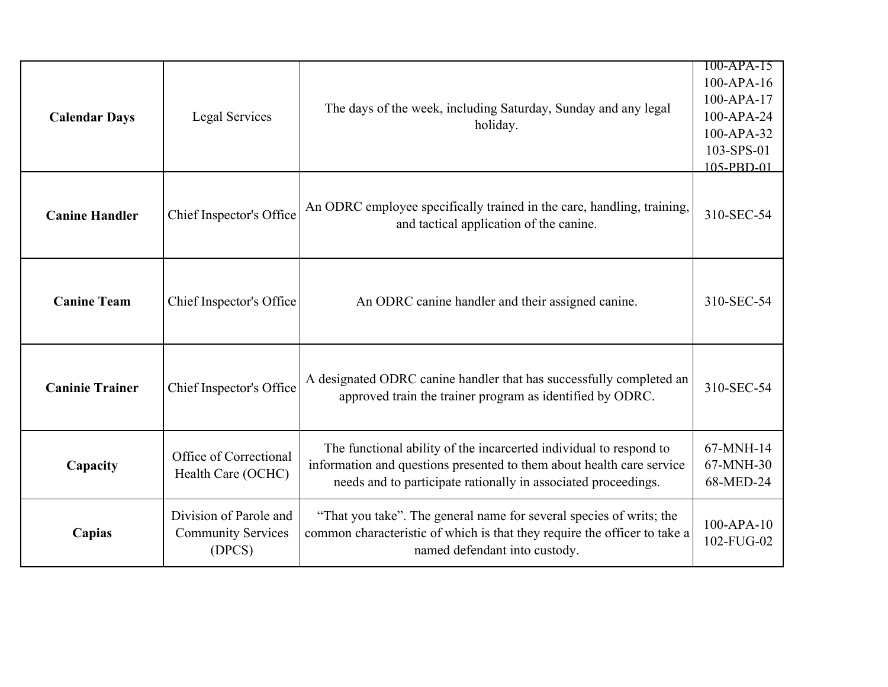| <b>Calendar Days</b>   | Legal Services                                                | The days of the week, including Saturday, Sunday and any legal<br>holiday.                                                                                                                                    | $100 - APA - 15$<br>100-APA-16<br>100-APA-17<br>100-APA-24<br>100-APA-32<br>103-SPS-01<br>105-PBD-01 |
|------------------------|---------------------------------------------------------------|---------------------------------------------------------------------------------------------------------------------------------------------------------------------------------------------------------------|------------------------------------------------------------------------------------------------------|
| <b>Canine Handler</b>  | Chief Inspector's Office                                      | An ODRC employee specifically trained in the care, handling, training,<br>and tactical application of the canine.                                                                                             | 310-SEC-54                                                                                           |
| <b>Canine Team</b>     | Chief Inspector's Office                                      | An ODRC canine handler and their assigned canine.                                                                                                                                                             | 310-SEC-54                                                                                           |
| <b>Caninie Trainer</b> | Chief Inspector's Office                                      | A designated ODRC canine handler that has successfully completed an<br>approved train the trainer program as identified by ODRC.                                                                              | 310-SEC-54                                                                                           |
| Capacity               | Office of Correctional<br>Health Care (OCHC)                  | The functional ability of the incarcerted individual to respond to<br>information and questions presented to them about health care service<br>needs and to participate rationally in associated proceedings. | 67-MNH-14<br>67-MNH-30<br>68-MED-24                                                                  |
| Capias                 | Division of Parole and<br><b>Community Services</b><br>(DPCS) | "That you take". The general name for several species of writs; the<br>common characteristic of which is that they require the officer to take a<br>named defendant into custody.                             | 100-APA-10<br>102-FUG-02                                                                             |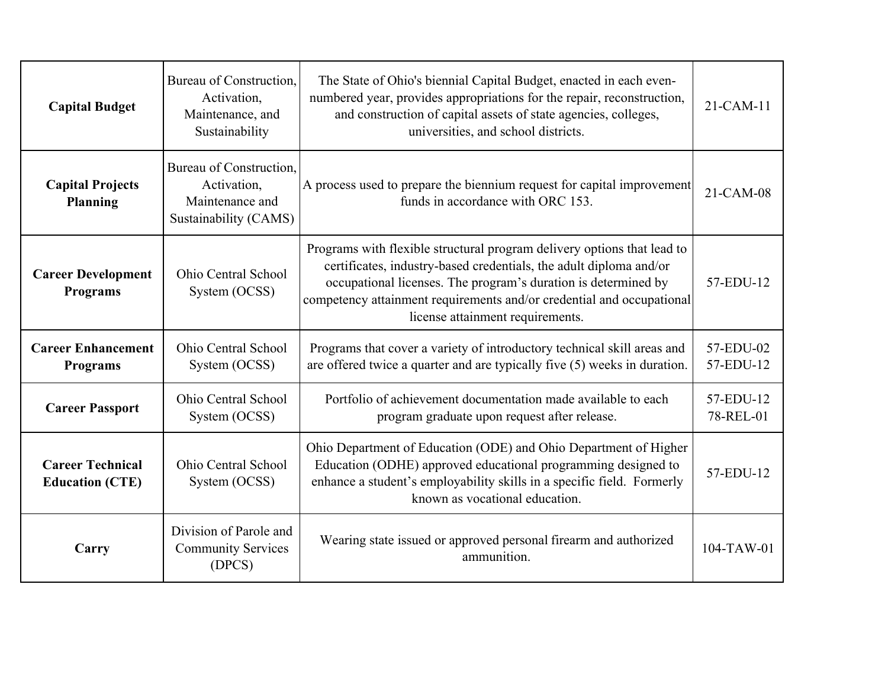| <b>Capital Budget</b>                             | Bureau of Construction,<br>Activation,<br>Maintenance, and<br>Sustainability       | The State of Ohio's biennial Capital Budget, enacted in each even-<br>numbered year, provides appropriations for the repair, reconstruction,<br>and construction of capital assets of state agencies, colleges,<br>universities, and school districts.                                                                       | $21$ -CAM-11           |
|---------------------------------------------------|------------------------------------------------------------------------------------|------------------------------------------------------------------------------------------------------------------------------------------------------------------------------------------------------------------------------------------------------------------------------------------------------------------------------|------------------------|
| <b>Capital Projects</b><br><b>Planning</b>        | Bureau of Construction,<br>Activation,<br>Maintenance and<br>Sustainability (CAMS) | A process used to prepare the biennium request for capital improvement<br>funds in accordance with ORC 153.                                                                                                                                                                                                                  | 21-CAM-08              |
| <b>Career Development</b><br><b>Programs</b>      | Ohio Central School<br>System (OCSS)                                               | Programs with flexible structural program delivery options that lead to<br>certificates, industry-based credentials, the adult diploma and/or<br>occupational licenses. The program's duration is determined by<br>competency attainment requirements and/or credential and occupational<br>license attainment requirements. | 57-EDU-12              |
| <b>Career Enhancement</b><br><b>Programs</b>      | Ohio Central School<br>System (OCSS)                                               | Programs that cover a variety of introductory technical skill areas and<br>are offered twice a quarter and are typically five (5) weeks in duration.                                                                                                                                                                         | 57-EDU-02<br>57-EDU-12 |
| <b>Career Passport</b>                            | Ohio Central School<br>System (OCSS)                                               | Portfolio of achievement documentation made available to each<br>program graduate upon request after release.                                                                                                                                                                                                                | 57-EDU-12<br>78-REL-01 |
| <b>Career Technical</b><br><b>Education (CTE)</b> | Ohio Central School<br>System (OCSS)                                               | Ohio Department of Education (ODE) and Ohio Department of Higher<br>Education (ODHE) approved educational programming designed to<br>enhance a student's employability skills in a specific field. Formerly<br>known as vocational education.                                                                                | 57-EDU-12              |
| Carry                                             | Division of Parole and<br><b>Community Services</b><br>(DPCS)                      | Wearing state issued or approved personal firearm and authorized<br>ammunition.                                                                                                                                                                                                                                              | 104-TAW-01             |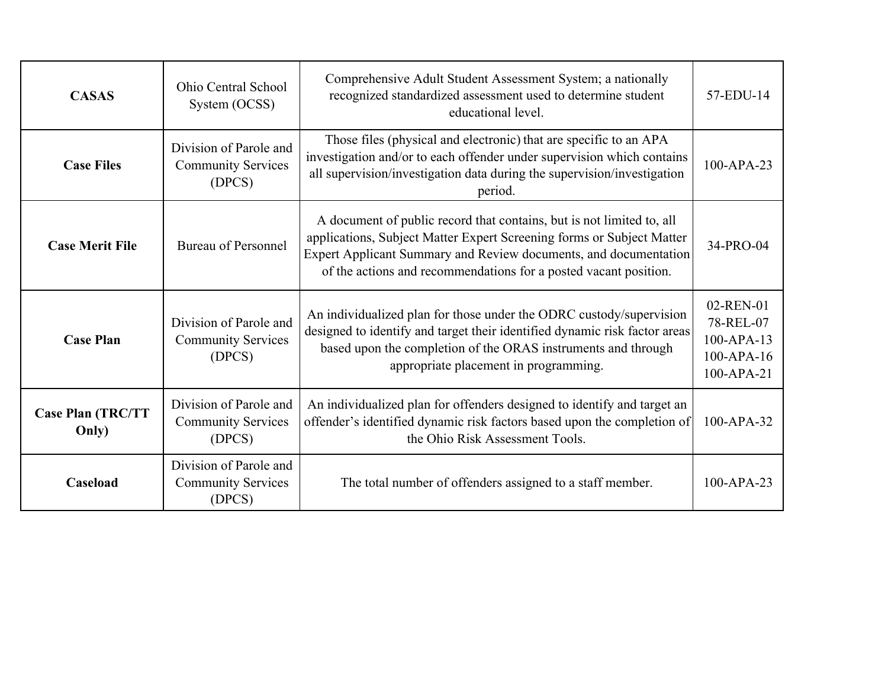| <b>CASAS</b>                      | Ohio Central School<br>System (OCSS)                          | Comprehensive Adult Student Assessment System; a nationally<br>recognized standardized assessment used to determine student<br>educational level.                                                                                                                                      | 57-EDU-14                                                        |
|-----------------------------------|---------------------------------------------------------------|----------------------------------------------------------------------------------------------------------------------------------------------------------------------------------------------------------------------------------------------------------------------------------------|------------------------------------------------------------------|
| <b>Case Files</b>                 | Division of Parole and<br><b>Community Services</b><br>(DPCS) | Those files (physical and electronic) that are specific to an APA<br>investigation and/or to each offender under supervision which contains<br>all supervision/investigation data during the supervision/investigation<br>period.                                                      | 100-APA-23                                                       |
| <b>Case Merit File</b>            | <b>Bureau of Personnel</b>                                    | A document of public record that contains, but is not limited to, all<br>applications, Subject Matter Expert Screening forms or Subject Matter<br>Expert Applicant Summary and Review documents, and documentation<br>of the actions and recommendations for a posted vacant position. | 34-PRO-04                                                        |
| <b>Case Plan</b>                  | Division of Parole and<br><b>Community Services</b><br>(DPCS) | An individualized plan for those under the ODRC custody/supervision<br>designed to identify and target their identified dynamic risk factor areas<br>based upon the completion of the ORAS instruments and through<br>appropriate placement in programming.                            | 02-REN-01<br>78-REL-07<br>100-APA-13<br>100-APA-16<br>100-APA-21 |
| <b>Case Plan (TRC/TT</b><br>Only) | Division of Parole and<br><b>Community Services</b><br>(DPCS) | An individualized plan for offenders designed to identify and target an<br>offender's identified dynamic risk factors based upon the completion of<br>the Ohio Risk Assessment Tools.                                                                                                  | 100-APA-32                                                       |
| Caseload                          | Division of Parole and<br><b>Community Services</b><br>(DPCS) | The total number of offenders assigned to a staff member.                                                                                                                                                                                                                              | 100-APA-23                                                       |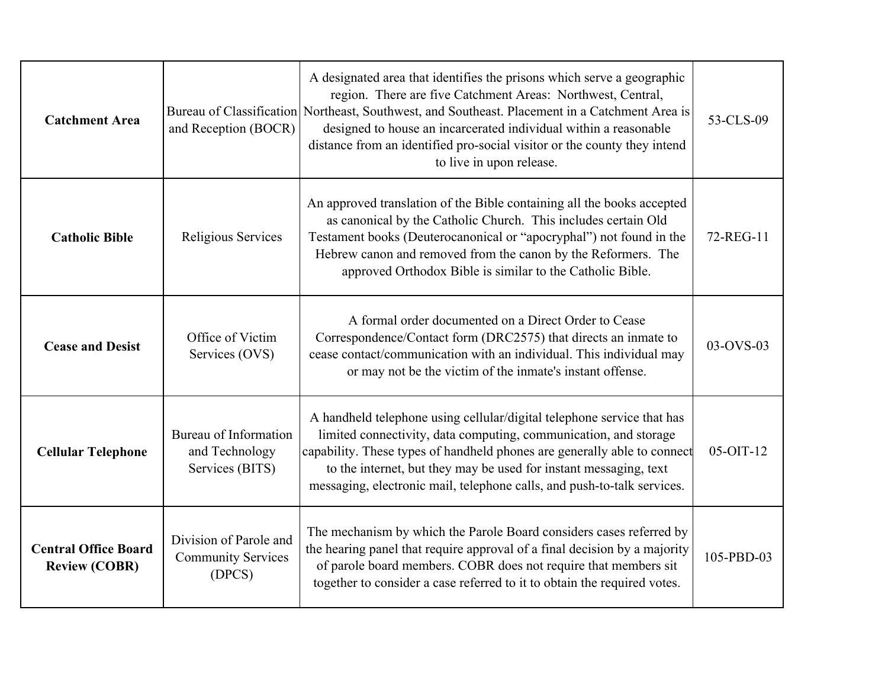| <b>Catchment Area</b>                               | and Reception (BOCR)                                          | A designated area that identifies the prisons which serve a geographic<br>region. There are five Catchment Areas: Northwest, Central,<br>Bureau of Classification Northeast, Southwest, and Southeast. Placement in a Catchment Area is<br>designed to house an incarcerated individual within a reasonable<br>distance from an identified pro-social visitor or the county they intend<br>to live in upon release. | 53-CLS-09   |
|-----------------------------------------------------|---------------------------------------------------------------|---------------------------------------------------------------------------------------------------------------------------------------------------------------------------------------------------------------------------------------------------------------------------------------------------------------------------------------------------------------------------------------------------------------------|-------------|
| <b>Catholic Bible</b>                               | Religious Services                                            | An approved translation of the Bible containing all the books accepted<br>as canonical by the Catholic Church. This includes certain Old<br>Testament books (Deuterocanonical or "apocryphal") not found in the<br>Hebrew canon and removed from the canon by the Reformers. The<br>approved Orthodox Bible is similar to the Catholic Bible.                                                                       | 72-REG-11   |
| <b>Cease and Desist</b>                             | Office of Victim<br>Services (OVS)                            | A formal order documented on a Direct Order to Cease<br>Correspondence/Contact form (DRC2575) that directs an inmate to<br>cease contact/communication with an individual. This individual may<br>or may not be the victim of the inmate's instant offense.                                                                                                                                                         | $03-OVS-03$ |
| <b>Cellular Telephone</b>                           | Bureau of Information<br>and Technology<br>Services (BITS)    | A handheld telephone using cellular/digital telephone service that has<br>limited connectivity, data computing, communication, and storage<br>capability. These types of handheld phones are generally able to connect<br>to the internet, but they may be used for instant messaging, text<br>messaging, electronic mail, telephone calls, and push-to-talk services.                                              | 05-OIT-12   |
| <b>Central Office Board</b><br><b>Review (COBR)</b> | Division of Parole and<br><b>Community Services</b><br>(DPCS) | The mechanism by which the Parole Board considers cases referred by<br>the hearing panel that require approval of a final decision by a majority<br>of parole board members. COBR does not require that members sit<br>together to consider a case referred to it to obtain the required votes.                                                                                                                     | 105-PBD-03  |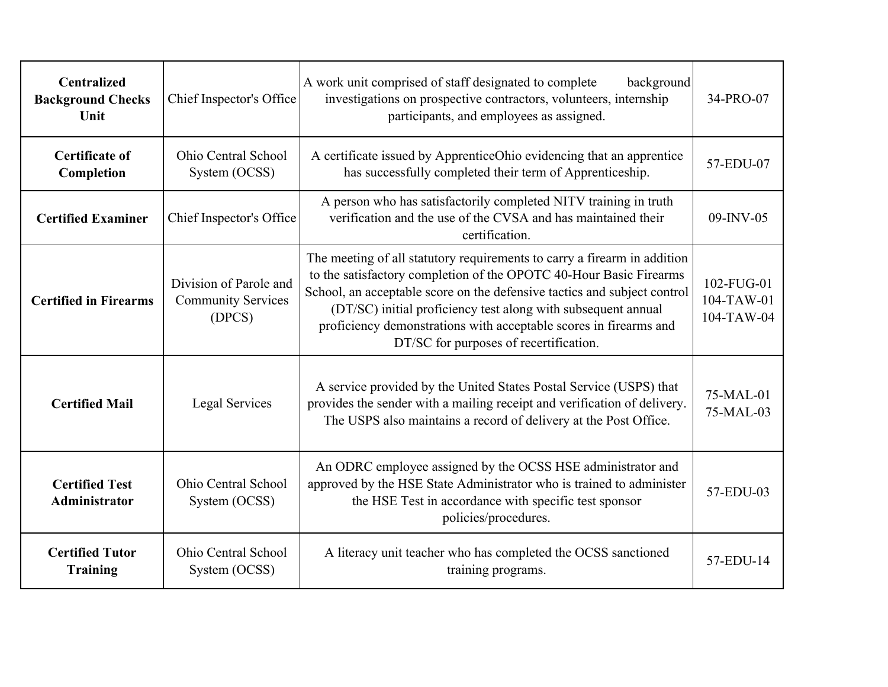| <b>Centralized</b><br><b>Background Checks</b><br>Unit | Chief Inspector's Office                                      | background<br>A work unit comprised of staff designated to complete<br>investigations on prospective contractors, volunteers, internship<br>participants, and employees as assigned.                                                                                                                                                                                                                       | 34-PRO-07                              |
|--------------------------------------------------------|---------------------------------------------------------------|------------------------------------------------------------------------------------------------------------------------------------------------------------------------------------------------------------------------------------------------------------------------------------------------------------------------------------------------------------------------------------------------------------|----------------------------------------|
| <b>Certificate of</b><br>Completion                    | Ohio Central School<br>System (OCSS)                          | A certificate issued by ApprenticeOhio evidencing that an apprentice<br>has successfully completed their term of Apprenticeship.                                                                                                                                                                                                                                                                           | 57-EDU-07                              |
| <b>Certified Examiner</b>                              | Chief Inspector's Office                                      | A person who has satisfactorily completed NITV training in truth<br>verification and the use of the CVSA and has maintained their<br>certification.                                                                                                                                                                                                                                                        | $09$ -INV-05                           |
| <b>Certified in Firearms</b>                           | Division of Parole and<br><b>Community Services</b><br>(DPCS) | The meeting of all statutory requirements to carry a firearm in addition<br>to the satisfactory completion of the OPOTC 40-Hour Basic Firearms<br>School, an acceptable score on the defensive tactics and subject control<br>(DT/SC) initial proficiency test along with subsequent annual<br>proficiency demonstrations with acceptable scores in firearms and<br>DT/SC for purposes of recertification. | 102-FUG-01<br>104-TAW-01<br>104-TAW-04 |
| <b>Certified Mail</b>                                  | Legal Services                                                | A service provided by the United States Postal Service (USPS) that<br>provides the sender with a mailing receipt and verification of delivery.<br>The USPS also maintains a record of delivery at the Post Office.                                                                                                                                                                                         | 75-MAL-01<br>75-MAL-03                 |
| <b>Certified Test</b><br>Administrator                 | Ohio Central School<br>System (OCSS)                          | An ODRC employee assigned by the OCSS HSE administrator and<br>approved by the HSE State Administrator who is trained to administer<br>the HSE Test in accordance with specific test sponsor<br>policies/procedures.                                                                                                                                                                                       | 57-EDU-03                              |
| <b>Certified Tutor</b><br><b>Training</b>              | Ohio Central School<br>System (OCSS)                          | A literacy unit teacher who has completed the OCSS sanctioned<br>training programs.                                                                                                                                                                                                                                                                                                                        | 57-EDU-14                              |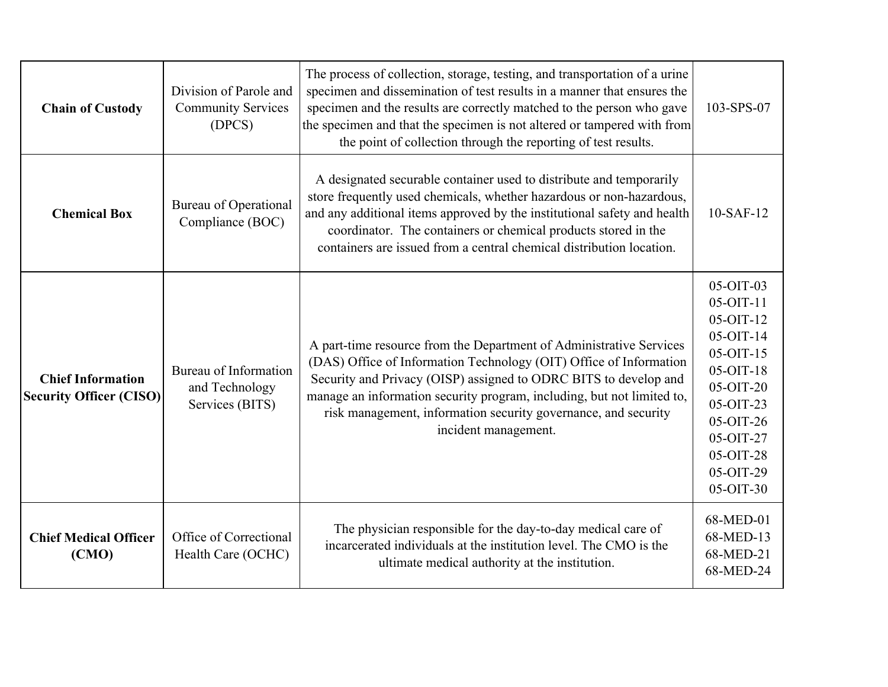| <b>Chain of Custody</b>                                    | Division of Parole and<br><b>Community Services</b><br>(DPCS) | The process of collection, storage, testing, and transportation of a urine<br>specimen and dissemination of test results in a manner that ensures the<br>specimen and the results are correctly matched to the person who gave<br>the specimen and that the specimen is not altered or tampered with from<br>the point of collection through the reporting of test results.       | 103-SPS-07                                                                                                                                                                 |
|------------------------------------------------------------|---------------------------------------------------------------|-----------------------------------------------------------------------------------------------------------------------------------------------------------------------------------------------------------------------------------------------------------------------------------------------------------------------------------------------------------------------------------|----------------------------------------------------------------------------------------------------------------------------------------------------------------------------|
| <b>Chemical Box</b>                                        | <b>Bureau of Operational</b><br>Compliance (BOC)              | A designated securable container used to distribute and temporarily<br>store frequently used chemicals, whether hazardous or non-hazardous,<br>and any additional items approved by the institutional safety and health<br>coordinator. The containers or chemical products stored in the<br>containers are issued from a central chemical distribution location.                 | $10-SAF-12$                                                                                                                                                                |
| <b>Chief Information</b><br><b>Security Officer (CISO)</b> | Bureau of Information<br>and Technology<br>Services (BITS)    | A part-time resource from the Department of Administrative Services<br>(DAS) Office of Information Technology (OIT) Office of Information<br>Security and Privacy (OISP) assigned to ODRC BITS to develop and<br>manage an information security program, including, but not limited to,<br>risk management, information security governance, and security<br>incident management. | $05-OIT-03$<br>05-OIT-11<br>05-OIT-12<br>$05-OT-14$<br>$05-OIT-15$<br>05-OIT-18<br>05-OIT-20<br>05-OIT-23<br>05-OIT-26<br>05-OIT-27<br>05-OIT-28<br>05-OIT-29<br>05-OIT-30 |
| <b>Chief Medical Officer</b><br>(CMO)                      | Office of Correctional<br>Health Care (OCHC)                  | The physician responsible for the day-to-day medical care of<br>incarcerated individuals at the institution level. The CMO is the<br>ultimate medical authority at the institution.                                                                                                                                                                                               | 68-MED-01<br>68-MED-13<br>68-MED-21<br>68-MED-24                                                                                                                           |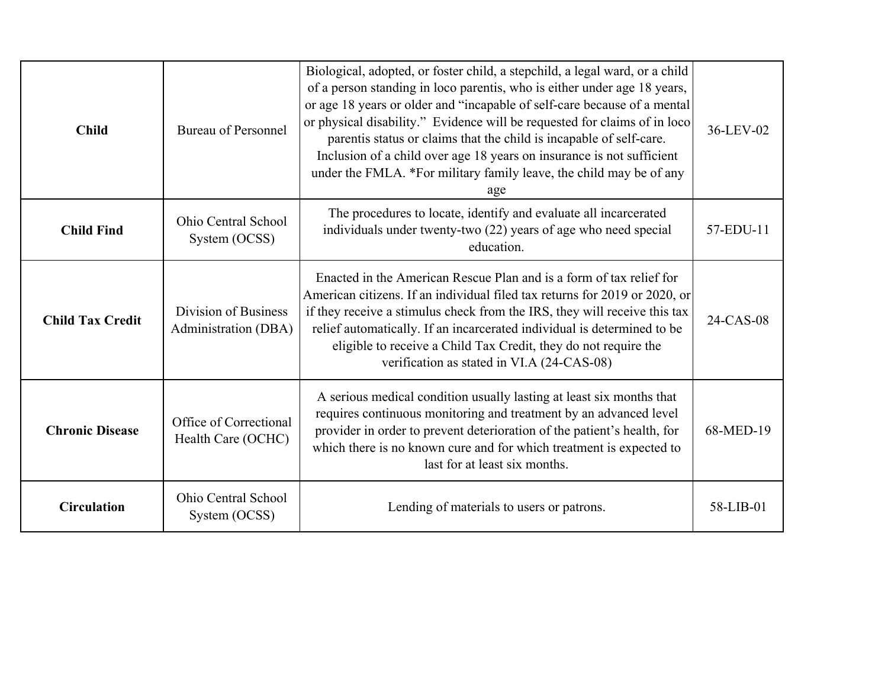| <b>Child</b>            | <b>Bureau of Personnel</b>                   | Biological, adopted, or foster child, a stepchild, a legal ward, or a child<br>of a person standing in loco parentis, who is either under age 18 years,<br>or age 18 years or older and "incapable of self-care because of a mental<br>or physical disability." Evidence will be requested for claims of in loco<br>parentis status or claims that the child is incapable of self-care.<br>Inclusion of a child over age 18 years on insurance is not sufficient<br>under the FMLA. *For military family leave, the child may be of any<br>age | 36-LEV-02    |
|-------------------------|----------------------------------------------|------------------------------------------------------------------------------------------------------------------------------------------------------------------------------------------------------------------------------------------------------------------------------------------------------------------------------------------------------------------------------------------------------------------------------------------------------------------------------------------------------------------------------------------------|--------------|
| <b>Child Find</b>       | Ohio Central School<br>System (OCSS)         | The procedures to locate, identify and evaluate all incarcerated<br>individuals under twenty-two (22) years of age who need special<br>education.                                                                                                                                                                                                                                                                                                                                                                                              | 57-EDU-11    |
| <b>Child Tax Credit</b> | Division of Business<br>Administration (DBA) | Enacted in the American Rescue Plan and is a form of tax relief for<br>American citizens. If an individual filed tax returns for 2019 or 2020, or<br>if they receive a stimulus check from the IRS, they will receive this tax<br>relief automatically. If an incarcerated individual is determined to be<br>eligible to receive a Child Tax Credit, they do not require the<br>verification as stated in VI.A (24-CAS-08)                                                                                                                     | $24$ -CAS-08 |
| <b>Chronic Disease</b>  | Office of Correctional<br>Health Care (OCHC) | A serious medical condition usually lasting at least six months that<br>requires continuous monitoring and treatment by an advanced level<br>provider in order to prevent deterioration of the patient's health, for<br>which there is no known cure and for which treatment is expected to<br>last for at least six months.                                                                                                                                                                                                                   | 68-MED-19    |
| <b>Circulation</b>      | Ohio Central School<br>System (OCSS)         | Lending of materials to users or patrons.                                                                                                                                                                                                                                                                                                                                                                                                                                                                                                      | 58-LIB-01    |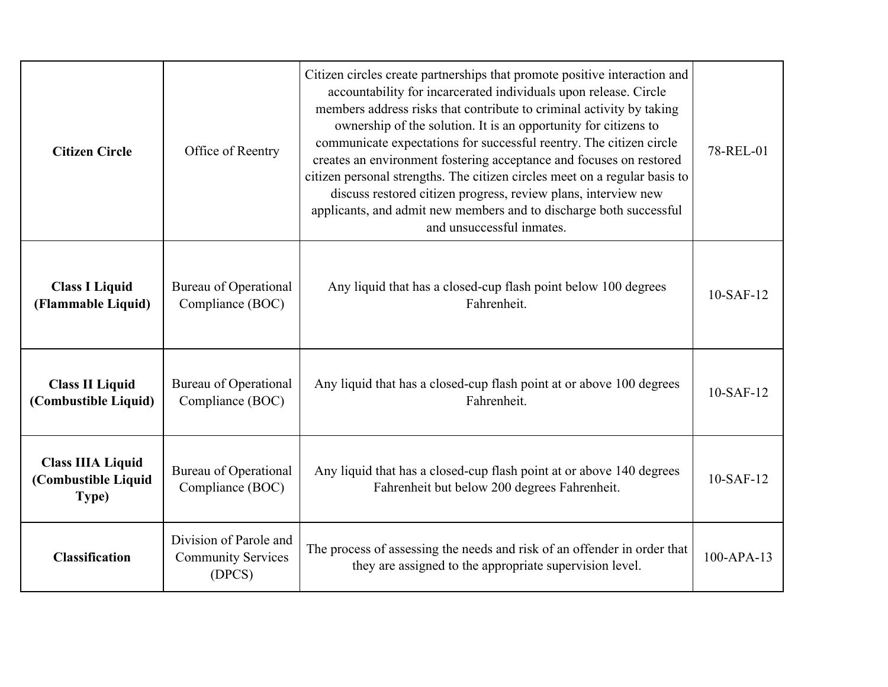| <b>Citizen Circle</b>                                    | Office of Reentry                                             | Citizen circles create partnerships that promote positive interaction and<br>accountability for incarcerated individuals upon release. Circle<br>members address risks that contribute to criminal activity by taking<br>ownership of the solution. It is an opportunity for citizens to<br>communicate expectations for successful reentry. The citizen circle<br>creates an environment fostering acceptance and focuses on restored<br>citizen personal strengths. The citizen circles meet on a regular basis to<br>discuss restored citizen progress, review plans, interview new<br>applicants, and admit new members and to discharge both successful<br>and unsuccessful inmates. | 78-REL-01   |
|----------------------------------------------------------|---------------------------------------------------------------|-------------------------------------------------------------------------------------------------------------------------------------------------------------------------------------------------------------------------------------------------------------------------------------------------------------------------------------------------------------------------------------------------------------------------------------------------------------------------------------------------------------------------------------------------------------------------------------------------------------------------------------------------------------------------------------------|-------------|
| <b>Class I Liquid</b><br>(Flammable Liquid)              | <b>Bureau of Operational</b><br>Compliance (BOC)              | Any liquid that has a closed-cup flash point below 100 degrees<br>Fahrenheit.                                                                                                                                                                                                                                                                                                                                                                                                                                                                                                                                                                                                             | $10-SAF-12$ |
| <b>Class II Liquid</b><br>(Combustible Liquid)           | <b>Bureau of Operational</b><br>Compliance (BOC)              | Any liquid that has a closed-cup flash point at or above 100 degrees<br>Fahrenheit.                                                                                                                                                                                                                                                                                                                                                                                                                                                                                                                                                                                                       | $10-SAF-12$ |
| <b>Class IIIA Liquid</b><br>(Combustible Liquid<br>Type) | <b>Bureau of Operational</b><br>Compliance (BOC)              | Any liquid that has a closed-cup flash point at or above 140 degrees<br>Fahrenheit but below 200 degrees Fahrenheit.                                                                                                                                                                                                                                                                                                                                                                                                                                                                                                                                                                      | $10-SAF-12$ |
| <b>Classification</b>                                    | Division of Parole and<br><b>Community Services</b><br>(DPCS) | The process of assessing the needs and risk of an offender in order that<br>they are assigned to the appropriate supervision level.                                                                                                                                                                                                                                                                                                                                                                                                                                                                                                                                                       | 100-APA-13  |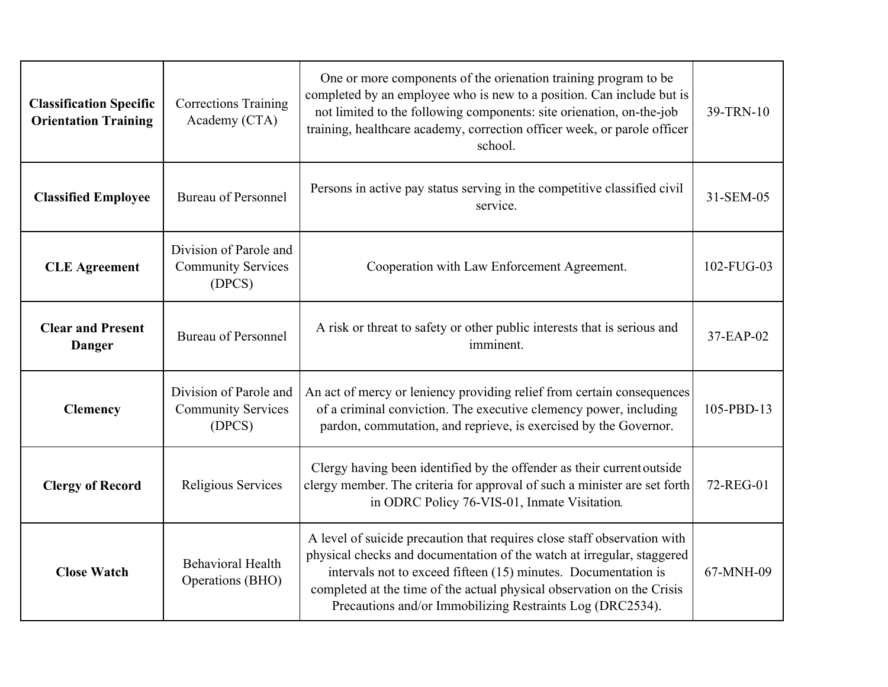| <b>Classification Specific</b><br><b>Orientation Training</b> | <b>Corrections Training</b><br>Academy (CTA)                  | One or more components of the orienation training program to be<br>completed by an employee who is new to a position. Can include but is<br>not limited to the following components: site orienation, on-the-job<br>training, healthcare academy, correction officer week, or parole officer<br>school.                                                     | 39-TRN-10  |
|---------------------------------------------------------------|---------------------------------------------------------------|-------------------------------------------------------------------------------------------------------------------------------------------------------------------------------------------------------------------------------------------------------------------------------------------------------------------------------------------------------------|------------|
| <b>Classified Employee</b>                                    | <b>Bureau of Personnel</b>                                    | Persons in active pay status serving in the competitive classified civil<br>service.                                                                                                                                                                                                                                                                        | 31-SEM-05  |
| <b>CLE</b> Agreement                                          | Division of Parole and<br><b>Community Services</b><br>(DPCS) | Cooperation with Law Enforcement Agreement.                                                                                                                                                                                                                                                                                                                 | 102-FUG-03 |
| <b>Clear and Present</b><br><b>Danger</b>                     | <b>Bureau of Personnel</b>                                    | A risk or threat to safety or other public interests that is serious and<br>imminent.                                                                                                                                                                                                                                                                       | 37-EAP-02  |
| <b>Clemency</b>                                               | Division of Parole and<br><b>Community Services</b><br>(DPCS) | An act of mercy or leniency providing relief from certain consequences<br>of a criminal conviction. The executive clemency power, including<br>pardon, commutation, and reprieve, is exercised by the Governor.                                                                                                                                             | 105-PBD-13 |
| <b>Clergy of Record</b>                                       | Religious Services                                            | Clergy having been identified by the offender as their current outside<br>clergy member. The criteria for approval of such a minister are set forth<br>in ODRC Policy 76-VIS-01, Inmate Visitation.                                                                                                                                                         | 72-REG-01  |
| <b>Close Watch</b>                                            | <b>Behavioral Health</b><br>Operations (BHO)                  | A level of suicide precaution that requires close staff observation with<br>physical checks and documentation of the watch at irregular, staggered<br>intervals not to exceed fifteen (15) minutes. Documentation is<br>completed at the time of the actual physical observation on the Crisis<br>Precautions and/or Immobilizing Restraints Log (DRC2534). | 67-MNH-09  |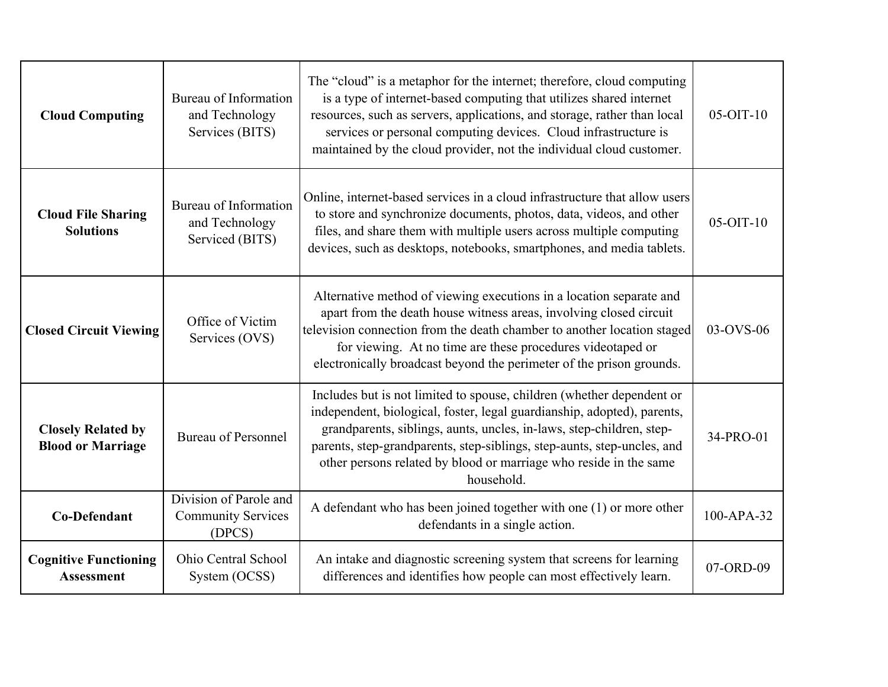| <b>Cloud Computing</b>                                | Bureau of Information<br>and Technology<br>Services (BITS)    | The "cloud" is a metaphor for the internet; therefore, cloud computing<br>is a type of internet-based computing that utilizes shared internet<br>resources, such as servers, applications, and storage, rather than local<br>services or personal computing devices. Cloud infrastructure is<br>maintained by the cloud provider, not the individual cloud customer.                   | $05-OIT-10$ |
|-------------------------------------------------------|---------------------------------------------------------------|----------------------------------------------------------------------------------------------------------------------------------------------------------------------------------------------------------------------------------------------------------------------------------------------------------------------------------------------------------------------------------------|-------------|
| <b>Cloud File Sharing</b><br><b>Solutions</b>         | Bureau of Information<br>and Technology<br>Serviced (BITS)    | Online, internet-based services in a cloud infrastructure that allow users<br>to store and synchronize documents, photos, data, videos, and other<br>files, and share them with multiple users across multiple computing<br>devices, such as desktops, notebooks, smartphones, and media tablets.                                                                                      | $05-OTT-10$ |
| <b>Closed Circuit Viewing</b>                         | Office of Victim<br>Services (OVS)                            | Alternative method of viewing executions in a location separate and<br>apart from the death house witness areas, involving closed circuit<br>television connection from the death chamber to another location staged<br>for viewing. At no time are these procedures videotaped or<br>electronically broadcast beyond the perimeter of the prison grounds.                             | 03-OVS-06   |
| <b>Closely Related by</b><br><b>Blood or Marriage</b> | <b>Bureau of Personnel</b>                                    | Includes but is not limited to spouse, children (whether dependent or<br>independent, biological, foster, legal guardianship, adopted), parents,<br>grandparents, siblings, aunts, uncles, in-laws, step-children, step-<br>parents, step-grandparents, step-siblings, step-aunts, step-uncles, and<br>other persons related by blood or marriage who reside in the same<br>household. | 34-PRO-01   |
| <b>Co-Defendant</b>                                   | Division of Parole and<br><b>Community Services</b><br>(DPCS) | A defendant who has been joined together with one (1) or more other<br>defendants in a single action.                                                                                                                                                                                                                                                                                  | 100-APA-32  |
| <b>Cognitive Functioning</b><br><b>Assessment</b>     | Ohio Central School<br>System (OCSS)                          | An intake and diagnostic screening system that screens for learning<br>differences and identifies how people can most effectively learn.                                                                                                                                                                                                                                               | 07-ORD-09   |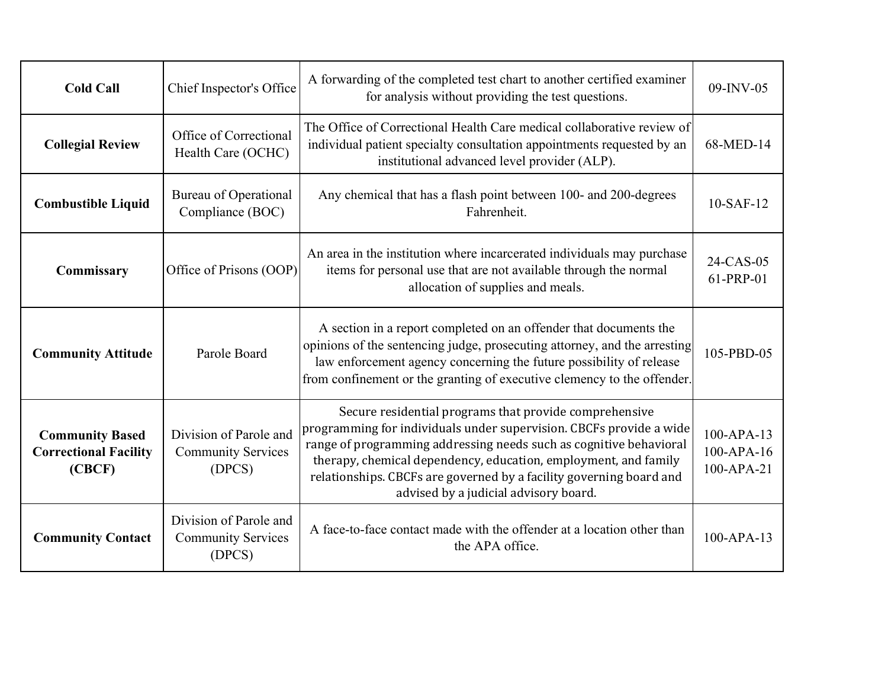| <b>Cold Call</b>                                                 | Chief Inspector's Office                                      | A forwarding of the completed test chart to another certified examiner<br>for analysis without providing the test questions.                                                                                                                                                                                                                                                           | $09$ -INV-05                           |
|------------------------------------------------------------------|---------------------------------------------------------------|----------------------------------------------------------------------------------------------------------------------------------------------------------------------------------------------------------------------------------------------------------------------------------------------------------------------------------------------------------------------------------------|----------------------------------------|
| <b>Collegial Review</b>                                          | Office of Correctional<br>Health Care (OCHC)                  | The Office of Correctional Health Care medical collaborative review of<br>individual patient specialty consultation appointments requested by an<br>institutional advanced level provider (ALP).                                                                                                                                                                                       | 68-MED-14                              |
| <b>Combustible Liquid</b>                                        | <b>Bureau of Operational</b><br>Compliance (BOC)              | Any chemical that has a flash point between 100- and 200-degrees<br>Fahrenheit.                                                                                                                                                                                                                                                                                                        | $10-SAF-12$                            |
| Commissary                                                       | Office of Prisons (OOP)                                       | An area in the institution where incarcerated individuals may purchase<br>items for personal use that are not available through the normal<br>allocation of supplies and meals.                                                                                                                                                                                                        | 24-CAS-05<br>61-PRP-01                 |
| <b>Community Attitude</b>                                        | Parole Board                                                  | A section in a report completed on an offender that documents the<br>opinions of the sentencing judge, prosecuting attorney, and the arresting<br>law enforcement agency concerning the future possibility of release<br>from confinement or the granting of executive clemency to the offender.                                                                                       | 105-PBD-05                             |
| <b>Community Based</b><br><b>Correctional Facility</b><br>(CBCF) | Division of Parole and<br><b>Community Services</b><br>(DPCS) | Secure residential programs that provide comprehensive<br>programming for individuals under supervision. CBCFs provide a wide<br>range of programming addressing needs such as cognitive behavioral<br>therapy, chemical dependency, education, employment, and family<br>relationships. CBCFs are governed by a facility governing board and<br>advised by a judicial advisory board. | 100-APA-13<br>100-APA-16<br>100-APA-21 |
| <b>Community Contact</b>                                         | Division of Parole and<br><b>Community Services</b><br>(DPCS) | A face-to-face contact made with the offender at a location other than<br>the APA office.                                                                                                                                                                                                                                                                                              | 100-APA-13                             |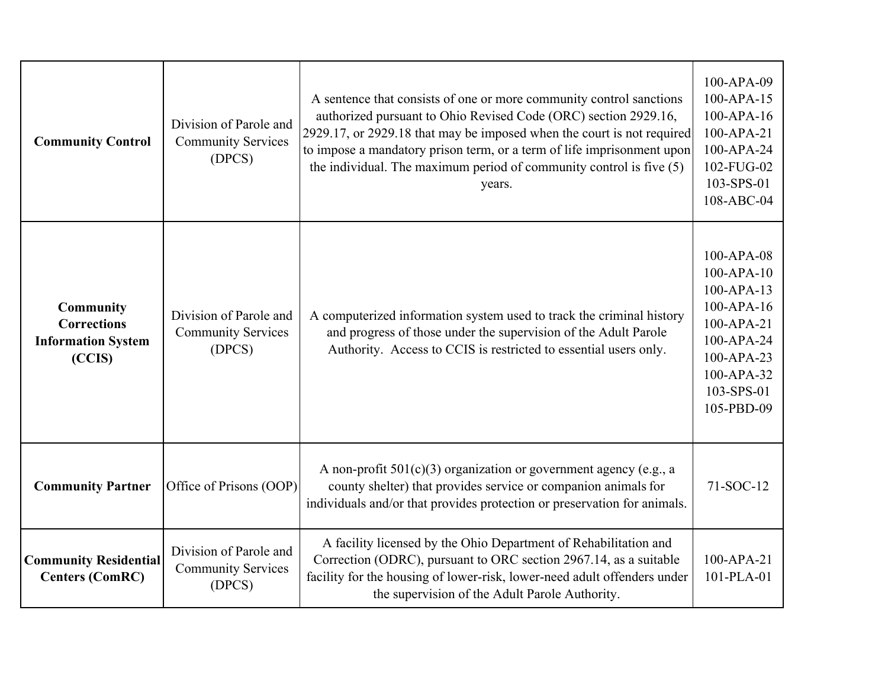| <b>Community Control</b>                                                      | Division of Parole and<br><b>Community Services</b><br>(DPCS) | A sentence that consists of one or more community control sanctions<br>authorized pursuant to Ohio Revised Code (ORC) section 2929.16,<br>2929.17, or 2929.18 that may be imposed when the court is not required<br>to impose a mandatory prison term, or a term of life imprisonment upon<br>the individual. The maximum period of community control is five $(5)$<br>years. | 100-APA-09<br>100-APA-15<br>100-APA-16<br>100-APA-21<br>100-APA-24<br>102-FUG-02<br>103-SPS-01<br>108-ABC-04                                   |
|-------------------------------------------------------------------------------|---------------------------------------------------------------|-------------------------------------------------------------------------------------------------------------------------------------------------------------------------------------------------------------------------------------------------------------------------------------------------------------------------------------------------------------------------------|------------------------------------------------------------------------------------------------------------------------------------------------|
| <b>Community</b><br><b>Corrections</b><br><b>Information System</b><br>(CCIS) | Division of Parole and<br><b>Community Services</b><br>(DPCS) | A computerized information system used to track the criminal history<br>and progress of those under the supervision of the Adult Parole<br>Authority. Access to CCIS is restricted to essential users only.                                                                                                                                                                   | 100-APA-08<br>$100 - APA - 10$<br>100-APA-13<br>100-APA-16<br>100-APA-21<br>100-APA-24<br>100-APA-23<br>100-APA-32<br>103-SPS-01<br>105-PBD-09 |
| <b>Community Partner</b>                                                      | Office of Prisons (OOP)                                       | A non-profit $501(c)(3)$ organization or government agency (e.g., a<br>county shelter) that provides service or companion animals for<br>individuals and/or that provides protection or preservation for animals.                                                                                                                                                             | 71-SOC-12                                                                                                                                      |
| <b>Community Residential</b><br><b>Centers (ComRC)</b>                        | Division of Parole and<br><b>Community Services</b><br>(DPCS) | A facility licensed by the Ohio Department of Rehabilitation and<br>Correction (ODRC), pursuant to ORC section 2967.14, as a suitable<br>facility for the housing of lower-risk, lower-need adult offenders under<br>the supervision of the Adult Parole Authority.                                                                                                           | 100-APA-21<br>101-PLA-01                                                                                                                       |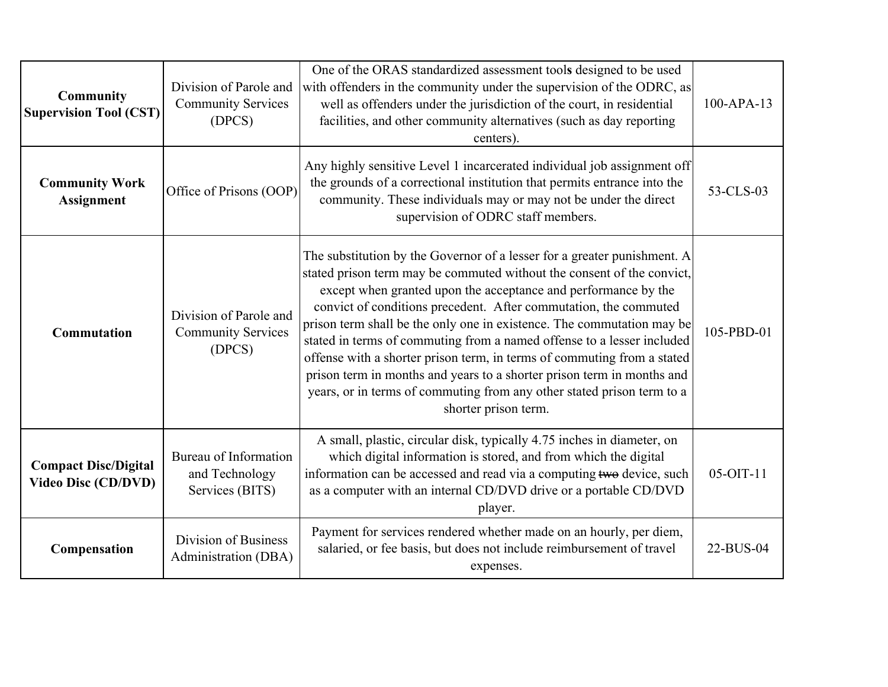| <b>Community</b><br><b>Supervision Tool (CST)</b>         | Division of Parole and<br><b>Community Services</b><br>(DPCS) | One of the ORAS standardized assessment tools designed to be used<br>with offenders in the community under the supervision of the ODRC, as<br>well as offenders under the jurisdiction of the court, in residential<br>facilities, and other community alternatives (such as day reporting<br>centers).                                                                                                                                                                                                                                                                                                                                                                                             | $100-APA-13$ |
|-----------------------------------------------------------|---------------------------------------------------------------|-----------------------------------------------------------------------------------------------------------------------------------------------------------------------------------------------------------------------------------------------------------------------------------------------------------------------------------------------------------------------------------------------------------------------------------------------------------------------------------------------------------------------------------------------------------------------------------------------------------------------------------------------------------------------------------------------------|--------------|
| <b>Community Work</b><br><b>Assignment</b>                | Office of Prisons (OOP)                                       | Any highly sensitive Level 1 incarcerated individual job assignment off<br>the grounds of a correctional institution that permits entrance into the<br>community. These individuals may or may not be under the direct<br>supervision of ODRC staff members.                                                                                                                                                                                                                                                                                                                                                                                                                                        | 53-CLS-03    |
| Commutation                                               | Division of Parole and<br><b>Community Services</b><br>(DPCS) | The substitution by the Governor of a lesser for a greater punishment. A<br>stated prison term may be commuted without the consent of the convict,<br>except when granted upon the acceptance and performance by the<br>convict of conditions precedent. After commutation, the commuted<br>prison term shall be the only one in existence. The commutation may be<br>stated in terms of commuting from a named offense to a lesser included<br>offense with a shorter prison term, in terms of commuting from a stated<br>prison term in months and years to a shorter prison term in months and<br>years, or in terms of commuting from any other stated prison term to a<br>shorter prison term. | 105-PBD-01   |
| <b>Compact Disc/Digital</b><br><b>Video Disc (CD/DVD)</b> | Bureau of Information<br>and Technology<br>Services (BITS)    | A small, plastic, circular disk, typically 4.75 inches in diameter, on<br>which digital information is stored, and from which the digital<br>information can be accessed and read via a computing two device, such<br>as a computer with an internal CD/DVD drive or a portable CD/DVD<br>player.                                                                                                                                                                                                                                                                                                                                                                                                   | $05-OIT-11$  |
| Compensation                                              | Division of Business<br>Administration (DBA)                  | Payment for services rendered whether made on an hourly, per diem,<br>salaried, or fee basis, but does not include reimbursement of travel<br>expenses.                                                                                                                                                                                                                                                                                                                                                                                                                                                                                                                                             | 22-BUS-04    |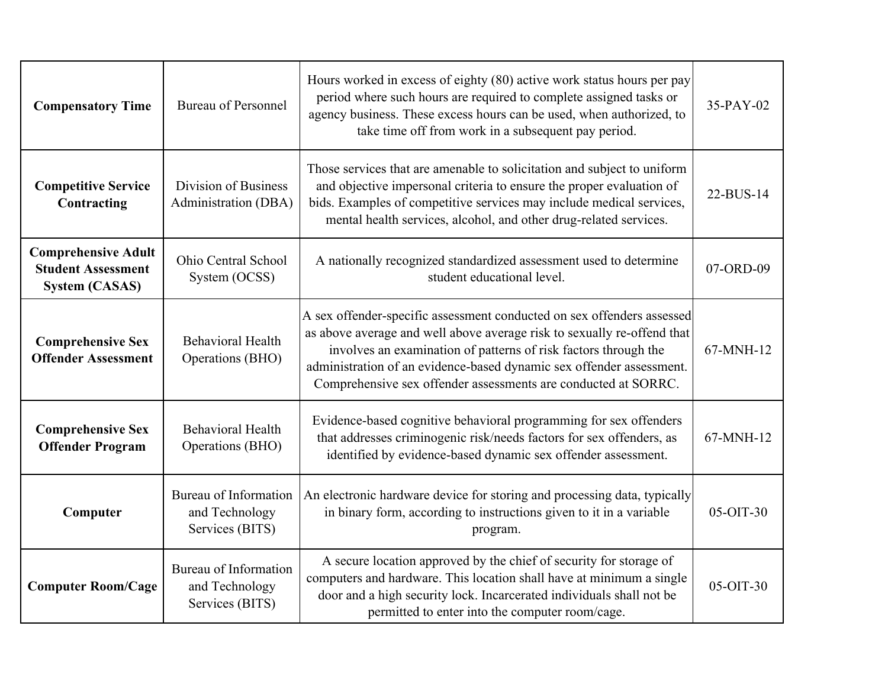| <b>Compensatory Time</b>                                                         | <b>Bureau of Personnel</b>                                 | Hours worked in excess of eighty (80) active work status hours per pay<br>period where such hours are required to complete assigned tasks or<br>agency business. These excess hours can be used, when authorized, to<br>take time off from work in a subsequent pay period.                                                                                    | 35-PAY-02   |
|----------------------------------------------------------------------------------|------------------------------------------------------------|----------------------------------------------------------------------------------------------------------------------------------------------------------------------------------------------------------------------------------------------------------------------------------------------------------------------------------------------------------------|-------------|
| <b>Competitive Service</b><br>Contracting                                        | Division of Business<br>Administration (DBA)               | Those services that are amenable to solicitation and subject to uniform<br>and objective impersonal criteria to ensure the proper evaluation of<br>bids. Examples of competitive services may include medical services,<br>mental health services, alcohol, and other drug-related services.                                                                   | 22-BUS-14   |
| <b>Comprehensive Adult</b><br><b>Student Assessment</b><br><b>System (CASAS)</b> | Ohio Central School<br>System (OCSS)                       | A nationally recognized standardized assessment used to determine<br>student educational level.                                                                                                                                                                                                                                                                | 07-ORD-09   |
| <b>Comprehensive Sex</b><br><b>Offender Assessment</b>                           | <b>Behavioral Health</b><br>Operations (BHO)               | A sex offender-specific assessment conducted on sex offenders assessed<br>as above average and well above average risk to sexually re-offend that<br>involves an examination of patterns of risk factors through the<br>administration of an evidence-based dynamic sex offender assessment.<br>Comprehensive sex offender assessments are conducted at SORRC. | 67-MNH-12   |
| <b>Comprehensive Sex</b><br><b>Offender Program</b>                              | <b>Behavioral Health</b><br>Operations (BHO)               | Evidence-based cognitive behavioral programming for sex offenders<br>that addresses criminogenic risk/needs factors for sex offenders, as<br>identified by evidence-based dynamic sex offender assessment.                                                                                                                                                     | 67-MNH-12   |
| Computer                                                                         | Bureau of Information<br>and Technology<br>Services (BITS) | An electronic hardware device for storing and processing data, typically<br>in binary form, according to instructions given to it in a variable<br>program.                                                                                                                                                                                                    | 05-OIT-30   |
| <b>Computer Room/Cage</b>                                                        | Bureau of Information<br>and Technology<br>Services (BITS) | A secure location approved by the chief of security for storage of<br>computers and hardware. This location shall have at minimum a single<br>door and a high security lock. Incarcerated individuals shall not be<br>permitted to enter into the computer room/cage.                                                                                          | $05-OIT-30$ |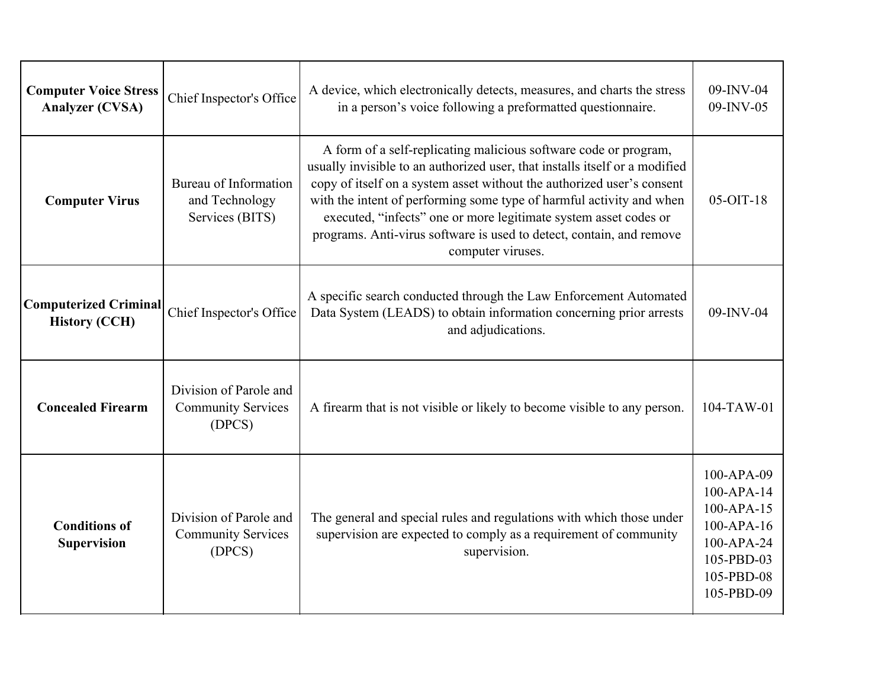| <b>Computer Voice Stress</b><br><b>Analyzer (CVSA)</b> | Chief Inspector's Office                                      | A device, which electronically detects, measures, and charts the stress<br>in a person's voice following a preformatted questionnaire.                                                                                                                                                                                                                                                                                                                             | 09-INV-04<br>09-INV-05                                                                                       |
|--------------------------------------------------------|---------------------------------------------------------------|--------------------------------------------------------------------------------------------------------------------------------------------------------------------------------------------------------------------------------------------------------------------------------------------------------------------------------------------------------------------------------------------------------------------------------------------------------------------|--------------------------------------------------------------------------------------------------------------|
| <b>Computer Virus</b>                                  | Bureau of Information<br>and Technology<br>Services (BITS)    | A form of a self-replicating malicious software code or program,<br>usually invisible to an authorized user, that installs itself or a modified<br>copy of itself on a system asset without the authorized user's consent<br>with the intent of performing some type of harmful activity and when<br>executed, "infects" one or more legitimate system asset codes or<br>programs. Anti-virus software is used to detect, contain, and remove<br>computer viruses. | $05-OTT-18$                                                                                                  |
| <b>Computerized Criminal</b><br><b>History (CCH)</b>   | Chief Inspector's Office                                      | A specific search conducted through the Law Enforcement Automated<br>Data System (LEADS) to obtain information concerning prior arrests<br>and adjudications.                                                                                                                                                                                                                                                                                                      | $09$ -INV-04                                                                                                 |
| <b>Concealed Firearm</b>                               | Division of Parole and<br><b>Community Services</b><br>(DPCS) | A firearm that is not visible or likely to become visible to any person.                                                                                                                                                                                                                                                                                                                                                                                           | 104-TAW-01                                                                                                   |
| <b>Conditions of</b><br><b>Supervision</b>             | Division of Parole and<br><b>Community Services</b><br>(DPCS) | The general and special rules and regulations with which those under<br>supervision are expected to comply as a requirement of community<br>supervision.                                                                                                                                                                                                                                                                                                           | 100-APA-09<br>100-APA-14<br>100-APA-15<br>100-APA-16<br>100-APA-24<br>105-PBD-03<br>105-PBD-08<br>105-PBD-09 |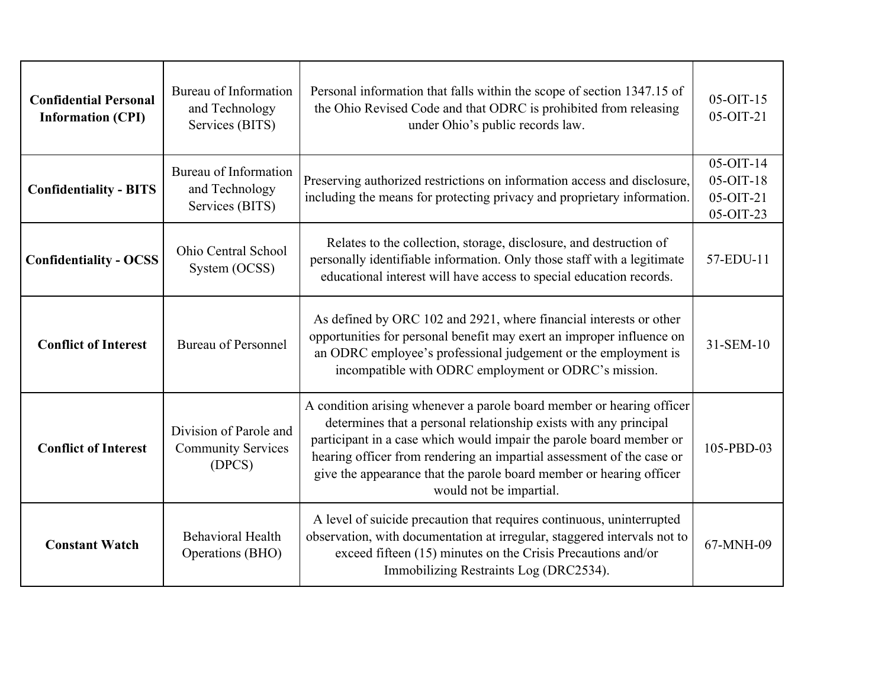| <b>Confidential Personal</b><br><b>Information (CPI)</b> | Bureau of Information<br>and Technology<br>Services (BITS)    | Personal information that falls within the scope of section 1347.15 of<br>the Ohio Revised Code and that ODRC is prohibited from releasing<br>under Ohio's public records law.                                                                                                                                                                                                               | $05-OIT-15$<br>$05-OIT-21$                       |
|----------------------------------------------------------|---------------------------------------------------------------|----------------------------------------------------------------------------------------------------------------------------------------------------------------------------------------------------------------------------------------------------------------------------------------------------------------------------------------------------------------------------------------------|--------------------------------------------------|
| <b>Confidentiality - BITS</b>                            | Bureau of Information<br>and Technology<br>Services (BITS)    | Preserving authorized restrictions on information access and disclosure,<br>including the means for protecting privacy and proprietary information.                                                                                                                                                                                                                                          | 05-OIT-14<br>05-OIT-18<br>05-OIT-21<br>05-OIT-23 |
| <b>Confidentiality - OCSS</b>                            | Ohio Central School<br>System (OCSS)                          | Relates to the collection, storage, disclosure, and destruction of<br>personally identifiable information. Only those staff with a legitimate<br>educational interest will have access to special education records.                                                                                                                                                                         | 57-EDU-11                                        |
| <b>Conflict of Interest</b>                              | <b>Bureau of Personnel</b>                                    | As defined by ORC 102 and 2921, where financial interests or other<br>opportunities for personal benefit may exert an improper influence on<br>an ODRC employee's professional judgement or the employment is<br>incompatible with ODRC employment or ODRC's mission.                                                                                                                        | 31-SEM-10                                        |
| <b>Conflict of Interest</b>                              | Division of Parole and<br><b>Community Services</b><br>(DPCS) | A condition arising whenever a parole board member or hearing officer<br>determines that a personal relationship exists with any principal<br>participant in a case which would impair the parole board member or<br>hearing officer from rendering an impartial assessment of the case or<br>give the appearance that the parole board member or hearing officer<br>would not be impartial. | 105-PBD-03                                       |
| <b>Constant Watch</b>                                    | <b>Behavioral Health</b><br>Operations (BHO)                  | A level of suicide precaution that requires continuous, uninterrupted<br>observation, with documentation at irregular, staggered intervals not to<br>exceed fifteen (15) minutes on the Crisis Precautions and/or<br>Immobilizing Restraints Log (DRC2534).                                                                                                                                  | 67-MNH-09                                        |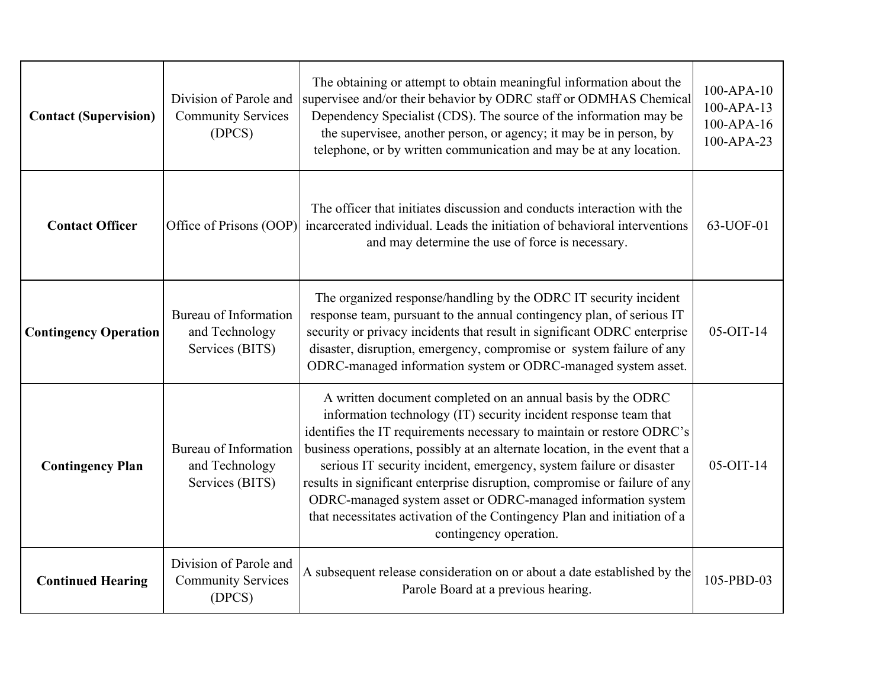| <b>Contact (Supervision)</b> | Division of Parole and<br><b>Community Services</b><br>(DPCS) | The obtaining or attempt to obtain meaningful information about the<br>supervisee and/or their behavior by ODRC staff or ODMHAS Chemical<br>Dependency Specialist (CDS). The source of the information may be<br>the supervisee, another person, or agency; it may be in person, by<br>telephone, or by written communication and may be at any location.                                                                                                                                                                                                                                                           | 100-APA-10<br>100-APA-13<br>100-APA-16<br>100-APA-23 |
|------------------------------|---------------------------------------------------------------|---------------------------------------------------------------------------------------------------------------------------------------------------------------------------------------------------------------------------------------------------------------------------------------------------------------------------------------------------------------------------------------------------------------------------------------------------------------------------------------------------------------------------------------------------------------------------------------------------------------------|------------------------------------------------------|
| <b>Contact Officer</b>       | Office of Prisons (OOP)                                       | The officer that initiates discussion and conducts interaction with the<br>incarcerated individual. Leads the initiation of behavioral interventions<br>and may determine the use of force is necessary.                                                                                                                                                                                                                                                                                                                                                                                                            | 63-UOF-01                                            |
| <b>Contingency Operation</b> | Bureau of Information<br>and Technology<br>Services (BITS)    | The organized response/handling by the ODRC IT security incident<br>response team, pursuant to the annual contingency plan, of serious IT<br>security or privacy incidents that result in significant ODRC enterprise<br>disaster, disruption, emergency, compromise or system failure of any<br>ODRC-managed information system or ODRC-managed system asset.                                                                                                                                                                                                                                                      | $05-OTT-14$                                          |
| <b>Contingency Plan</b>      | Bureau of Information<br>and Technology<br>Services (BITS)    | A written document completed on an annual basis by the ODRC<br>information technology (IT) security incident response team that<br>identifies the IT requirements necessary to maintain or restore ODRC's<br>business operations, possibly at an alternate location, in the event that a<br>serious IT security incident, emergency, system failure or disaster<br>results in significant enterprise disruption, compromise or failure of any<br>ODRC-managed system asset or ODRC-managed information system<br>that necessitates activation of the Contingency Plan and initiation of a<br>contingency operation. | $05-OTT-14$                                          |
| <b>Continued Hearing</b>     | Division of Parole and<br><b>Community Services</b><br>(DPCS) | A subsequent release consideration on or about a date established by the<br>Parole Board at a previous hearing.                                                                                                                                                                                                                                                                                                                                                                                                                                                                                                     | 105-PBD-03                                           |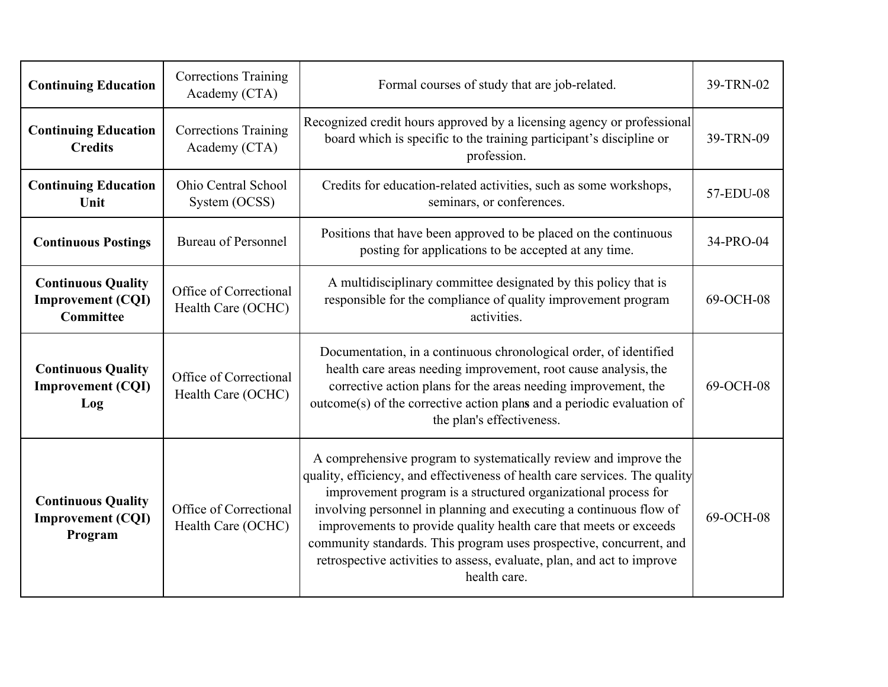| <b>Continuing Education</b>                                               | <b>Corrections Training</b><br>Academy (CTA) | Formal courses of study that are job-related.                                                                                                                                                                                                                                                                                                                                                                                                                                                                                 | 39-TRN-02 |
|---------------------------------------------------------------------------|----------------------------------------------|-------------------------------------------------------------------------------------------------------------------------------------------------------------------------------------------------------------------------------------------------------------------------------------------------------------------------------------------------------------------------------------------------------------------------------------------------------------------------------------------------------------------------------|-----------|
| <b>Continuing Education</b><br><b>Credits</b>                             | <b>Corrections Training</b><br>Academy (CTA) | Recognized credit hours approved by a licensing agency or professional<br>board which is specific to the training participant's discipline or<br>profession.                                                                                                                                                                                                                                                                                                                                                                  | 39-TRN-09 |
| <b>Continuing Education</b><br>Unit                                       | Ohio Central School<br>System (OCSS)         | Credits for education-related activities, such as some workshops,<br>seminars, or conferences.                                                                                                                                                                                                                                                                                                                                                                                                                                | 57-EDU-08 |
| <b>Continuous Postings</b>                                                | <b>Bureau of Personnel</b>                   | Positions that have been approved to be placed on the continuous<br>posting for applications to be accepted at any time.                                                                                                                                                                                                                                                                                                                                                                                                      | 34-PRO-04 |
| <b>Continuous Quality</b><br><b>Improvement (CQI)</b><br><b>Committee</b> | Office of Correctional<br>Health Care (OCHC) | A multidisciplinary committee designated by this policy that is<br>responsible for the compliance of quality improvement program<br>activities.                                                                                                                                                                                                                                                                                                                                                                               | 69-OCH-08 |
| <b>Continuous Quality</b><br><b>Improvement (CQI)</b><br>Log              | Office of Correctional<br>Health Care (OCHC) | Documentation, in a continuous chronological order, of identified<br>health care areas needing improvement, root cause analysis, the<br>corrective action plans for the areas needing improvement, the<br>outcome(s) of the corrective action plans and a periodic evaluation of<br>the plan's effectiveness.                                                                                                                                                                                                                 | 69-OCH-08 |
| <b>Continuous Quality</b><br><b>Improvement (CQI)</b><br>Program          | Office of Correctional<br>Health Care (OCHC) | A comprehensive program to systematically review and improve the<br>quality, efficiency, and effectiveness of health care services. The quality<br>improvement program is a structured organizational process for<br>involving personnel in planning and executing a continuous flow of<br>improvements to provide quality health care that meets or exceeds<br>community standards. This program uses prospective, concurrent, and<br>retrospective activities to assess, evaluate, plan, and act to improve<br>health care. | 69-OCH-08 |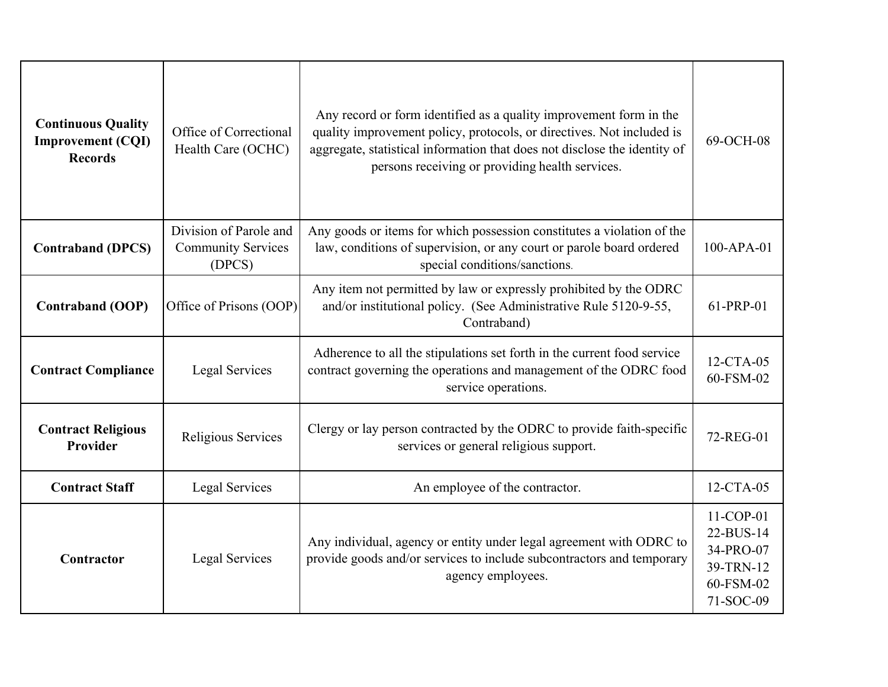| <b>Continuous Quality</b><br><b>Improvement (CQI)</b><br><b>Records</b> | Office of Correctional<br>Health Care (OCHC)                  | Any record or form identified as a quality improvement form in the<br>quality improvement policy, protocols, or directives. Not included is<br>aggregate, statistical information that does not disclose the identity of<br>persons receiving or providing health services. | 69-OCH-08                                                                  |
|-------------------------------------------------------------------------|---------------------------------------------------------------|-----------------------------------------------------------------------------------------------------------------------------------------------------------------------------------------------------------------------------------------------------------------------------|----------------------------------------------------------------------------|
| <b>Contraband (DPCS)</b>                                                | Division of Parole and<br><b>Community Services</b><br>(DPCS) | Any goods or items for which possession constitutes a violation of the<br>law, conditions of supervision, or any court or parole board ordered<br>special conditions/sanctions.                                                                                             | 100-APA-01                                                                 |
| <b>Contraband (OOP)</b>                                                 | Office of Prisons (OOP)                                       | Any item not permitted by law or expressly prohibited by the ODRC<br>and/or institutional policy. (See Administrative Rule 5120-9-55,<br>Contraband)                                                                                                                        | 61-PRP-01                                                                  |
| <b>Contract Compliance</b>                                              | <b>Legal Services</b>                                         | Adherence to all the stipulations set forth in the current food service<br>contract governing the operations and management of the ODRC food<br>service operations.                                                                                                         | 12-CTA-05<br>60-FSM-02                                                     |
| <b>Contract Religious</b><br>Provider                                   | Religious Services                                            | Clergy or lay person contracted by the ODRC to provide faith-specific<br>services or general religious support.                                                                                                                                                             | 72-REG-01                                                                  |
| <b>Contract Staff</b>                                                   | Legal Services                                                | An employee of the contractor.                                                                                                                                                                                                                                              | 12-CTA-05                                                                  |
| Contractor                                                              | Legal Services                                                | Any individual, agency or entity under legal agreement with ODRC to<br>provide goods and/or services to include subcontractors and temporary<br>agency employees.                                                                                                           | 11-COP-01<br>22-BUS-14<br>34-PRO-07<br>39-TRN-12<br>60-FSM-02<br>71-SOC-09 |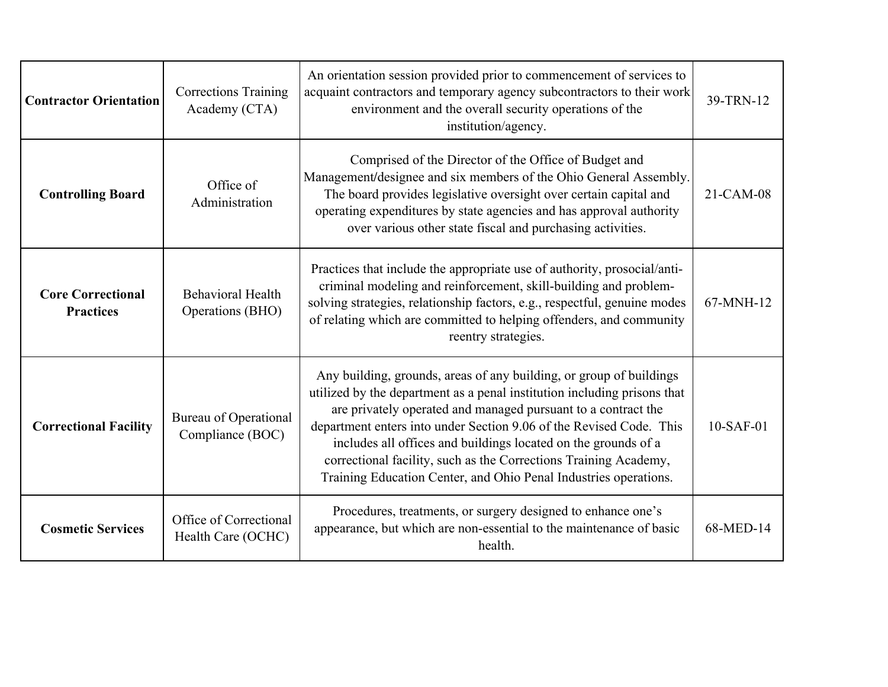| <b>Contractor Orientation</b>                | <b>Corrections Training</b><br>Academy (CTA) | An orientation session provided prior to commencement of services to<br>acquaint contractors and temporary agency subcontractors to their work<br>environment and the overall security operations of the<br>institution/agency.                                                                                                                                                                                                                                                                   | 39-TRN-12   |
|----------------------------------------------|----------------------------------------------|---------------------------------------------------------------------------------------------------------------------------------------------------------------------------------------------------------------------------------------------------------------------------------------------------------------------------------------------------------------------------------------------------------------------------------------------------------------------------------------------------|-------------|
| <b>Controlling Board</b>                     | Office of<br>Administration                  | Comprised of the Director of the Office of Budget and<br>Management/designee and six members of the Ohio General Assembly.<br>The board provides legislative oversight over certain capital and<br>operating expenditures by state agencies and has approval authority<br>over various other state fiscal and purchasing activities.                                                                                                                                                              | 21-CAM-08   |
| <b>Core Correctional</b><br><b>Practices</b> | <b>Behavioral Health</b><br>Operations (BHO) | Practices that include the appropriate use of authority, prosocial/anti-<br>criminal modeling and reinforcement, skill-building and problem-<br>solving strategies, relationship factors, e.g., respectful, genuine modes<br>of relating which are committed to helping offenders, and community<br>reentry strategies.                                                                                                                                                                           | 67-MNH-12   |
| <b>Correctional Facility</b>                 | Bureau of Operational<br>Compliance (BOC)    | Any building, grounds, areas of any building, or group of buildings<br>utilized by the department as a penal institution including prisons that<br>are privately operated and managed pursuant to a contract the<br>department enters into under Section 9.06 of the Revised Code. This<br>includes all offices and buildings located on the grounds of a<br>correctional facility, such as the Corrections Training Academy,<br>Training Education Center, and Ohio Penal Industries operations. | $10-SAF-01$ |
| <b>Cosmetic Services</b>                     | Office of Correctional<br>Health Care (OCHC) | Procedures, treatments, or surgery designed to enhance one's<br>appearance, but which are non-essential to the maintenance of basic<br>health.                                                                                                                                                                                                                                                                                                                                                    | 68-MED-14   |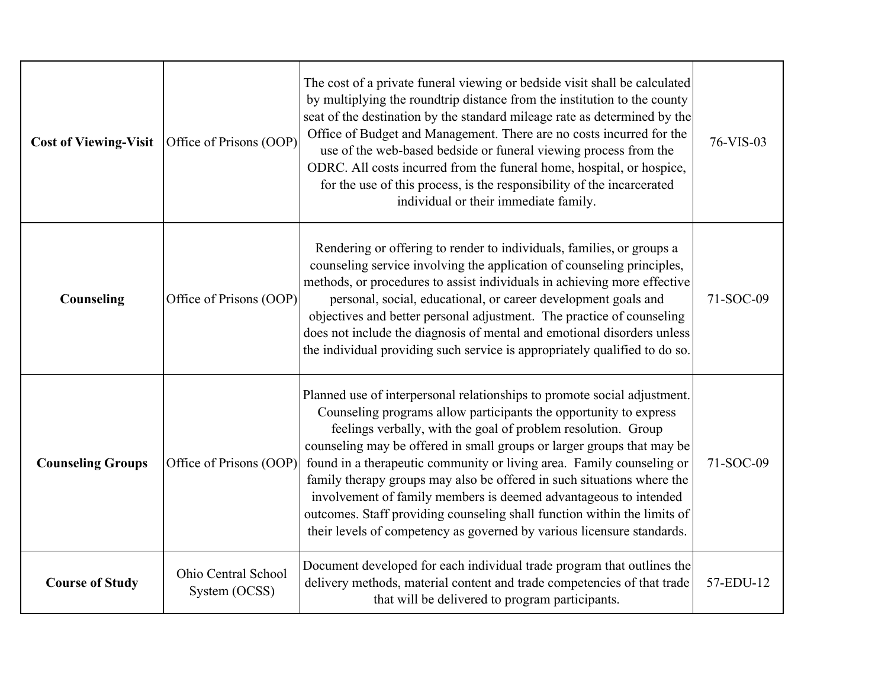| <b>Cost of Viewing-Visit</b> | Office of Prisons (OOP)              | The cost of a private funeral viewing or bedside visit shall be calculated<br>by multiplying the roundtrip distance from the institution to the county<br>seat of the destination by the standard mileage rate as determined by the<br>Office of Budget and Management. There are no costs incurred for the<br>use of the web-based bedside or funeral viewing process from the<br>ODRC. All costs incurred from the funeral home, hospital, or hospice,<br>for the use of this process, is the responsibility of the incarcerated<br>individual or their immediate family.                                                                                           | 76-VIS-03 |
|------------------------------|--------------------------------------|-----------------------------------------------------------------------------------------------------------------------------------------------------------------------------------------------------------------------------------------------------------------------------------------------------------------------------------------------------------------------------------------------------------------------------------------------------------------------------------------------------------------------------------------------------------------------------------------------------------------------------------------------------------------------|-----------|
| Counseling                   | Office of Prisons (OOP)              | Rendering or offering to render to individuals, families, or groups a<br>counseling service involving the application of counseling principles,<br>methods, or procedures to assist individuals in achieving more effective<br>personal, social, educational, or career development goals and<br>objectives and better personal adjustment. The practice of counseling<br>does not include the diagnosis of mental and emotional disorders unless<br>the individual providing such service is appropriately qualified to do so.                                                                                                                                       | 71-SOC-09 |
| <b>Counseling Groups</b>     | Office of Prisons (OOP)              | Planned use of interpersonal relationships to promote social adjustment.<br>Counseling programs allow participants the opportunity to express<br>feelings verbally, with the goal of problem resolution. Group<br>counseling may be offered in small groups or larger groups that may be<br>found in a therapeutic community or living area. Family counseling or<br>family therapy groups may also be offered in such situations where the<br>involvement of family members is deemed advantageous to intended<br>outcomes. Staff providing counseling shall function within the limits of<br>their levels of competency as governed by various licensure standards. | 71-SOC-09 |
| <b>Course of Study</b>       | Ohio Central School<br>System (OCSS) | Document developed for each individual trade program that outlines the<br>delivery methods, material content and trade competencies of that trade<br>that will be delivered to program participants.                                                                                                                                                                                                                                                                                                                                                                                                                                                                  | 57-EDU-12 |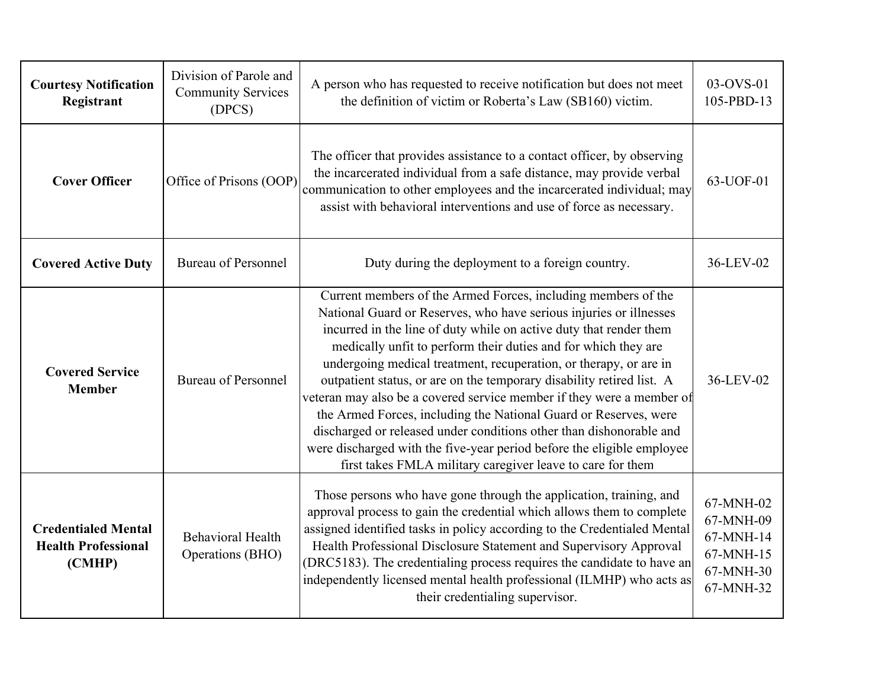| <b>Courtesy Notification</b><br>Registrant                         | Division of Parole and<br><b>Community Services</b><br>(DPCS) | A person who has requested to receive notification but does not meet<br>the definition of victim or Roberta's Law (SB160) victim.                                                                                                                                                                                                                                                                                                                                                                                                                                                                                                                                                                                                                                                     | 03-OVS-01<br>105-PBD-13                                                    |
|--------------------------------------------------------------------|---------------------------------------------------------------|---------------------------------------------------------------------------------------------------------------------------------------------------------------------------------------------------------------------------------------------------------------------------------------------------------------------------------------------------------------------------------------------------------------------------------------------------------------------------------------------------------------------------------------------------------------------------------------------------------------------------------------------------------------------------------------------------------------------------------------------------------------------------------------|----------------------------------------------------------------------------|
| <b>Cover Officer</b>                                               | Office of Prisons (OOP)                                       | The officer that provides assistance to a contact officer, by observing<br>the incarcerated individual from a safe distance, may provide verbal<br>communication to other employees and the incarcerated individual; may<br>assist with behavioral interventions and use of force as necessary.                                                                                                                                                                                                                                                                                                                                                                                                                                                                                       | 63-UOF-01                                                                  |
| <b>Covered Active Duty</b>                                         | <b>Bureau of Personnel</b>                                    | Duty during the deployment to a foreign country.                                                                                                                                                                                                                                                                                                                                                                                                                                                                                                                                                                                                                                                                                                                                      | 36-LEV-02                                                                  |
| <b>Covered Service</b><br><b>Member</b>                            | <b>Bureau of Personnel</b>                                    | Current members of the Armed Forces, including members of the<br>National Guard or Reserves, who have serious injuries or illnesses<br>incurred in the line of duty while on active duty that render them<br>medically unfit to perform their duties and for which they are<br>undergoing medical treatment, recuperation, or therapy, or are in<br>outpatient status, or are on the temporary disability retired list. A<br>veteran may also be a covered service member if they were a member of<br>the Armed Forces, including the National Guard or Reserves, were<br>discharged or released under conditions other than dishonorable and<br>were discharged with the five-year period before the eligible employee<br>first takes FMLA military caregiver leave to care for them | 36-LEV-02                                                                  |
| <b>Credentialed Mental</b><br><b>Health Professional</b><br>(CMHP) | <b>Behavioral Health</b><br>Operations (BHO)                  | Those persons who have gone through the application, training, and<br>approval process to gain the credential which allows them to complete<br>assigned identified tasks in policy according to the Credentialed Mental<br>Health Professional Disclosure Statement and Supervisory Approval<br>(DRC5183). The credentialing process requires the candidate to have an<br>independently licensed mental health professional (ILMHP) who acts as<br>their credentialing supervisor.                                                                                                                                                                                                                                                                                                    | 67-MNH-02<br>67-MNH-09<br>67-MNH-14<br>67-MNH-15<br>67-MNH-30<br>67-MNH-32 |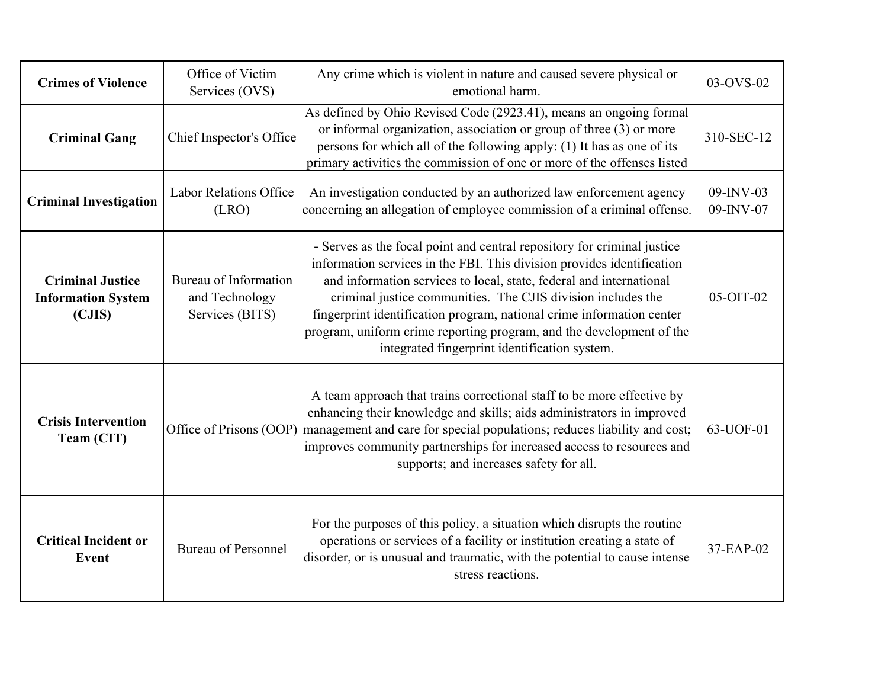| <b>Crimes of Violence</b>                                      | Office of Victim<br>Services (OVS)                         | Any crime which is violent in nature and caused severe physical or<br>emotional harm.                                                                                                                                                                                                                                                                                                                                                                                                      | 03-OVS-02              |
|----------------------------------------------------------------|------------------------------------------------------------|--------------------------------------------------------------------------------------------------------------------------------------------------------------------------------------------------------------------------------------------------------------------------------------------------------------------------------------------------------------------------------------------------------------------------------------------------------------------------------------------|------------------------|
| <b>Criminal Gang</b>                                           | Chief Inspector's Office                                   | As defined by Ohio Revised Code (2923.41), means an ongoing formal<br>or informal organization, association or group of three (3) or more<br>persons for which all of the following apply: (1) It has as one of its<br>primary activities the commission of one or more of the offenses listed                                                                                                                                                                                             | 310-SEC-12             |
| <b>Criminal Investigation</b>                                  | <b>Labor Relations Office</b><br>(LRO)                     | An investigation conducted by an authorized law enforcement agency<br>concerning an allegation of employee commission of a criminal offense.                                                                                                                                                                                                                                                                                                                                               | 09-INV-03<br>09-INV-07 |
| <b>Criminal Justice</b><br><b>Information System</b><br>(CJIS) | Bureau of Information<br>and Technology<br>Services (BITS) | - Serves as the focal point and central repository for criminal justice<br>information services in the FBI. This division provides identification<br>and information services to local, state, federal and international<br>criminal justice communities. The CJIS division includes the<br>fingerprint identification program, national crime information center<br>program, uniform crime reporting program, and the development of the<br>integrated fingerprint identification system. | $05-OIT-02$            |
| <b>Crisis Intervention</b><br>Team (CIT)                       |                                                            | A team approach that trains correctional staff to be more effective by<br>enhancing their knowledge and skills; aids administrators in improved<br>Office of Prisons (OOP) management and care for special populations; reduces liability and cost;<br>improves community partnerships for increased access to resources and<br>supports; and increases safety for all.                                                                                                                    | 63-UOF-01              |
| <b>Critical Incident or</b><br>Event                           | <b>Bureau of Personnel</b>                                 | For the purposes of this policy, a situation which disrupts the routine<br>operations or services of a facility or institution creating a state of<br>disorder, or is unusual and traumatic, with the potential to cause intense<br>stress reactions.                                                                                                                                                                                                                                      | 37-EAP-02              |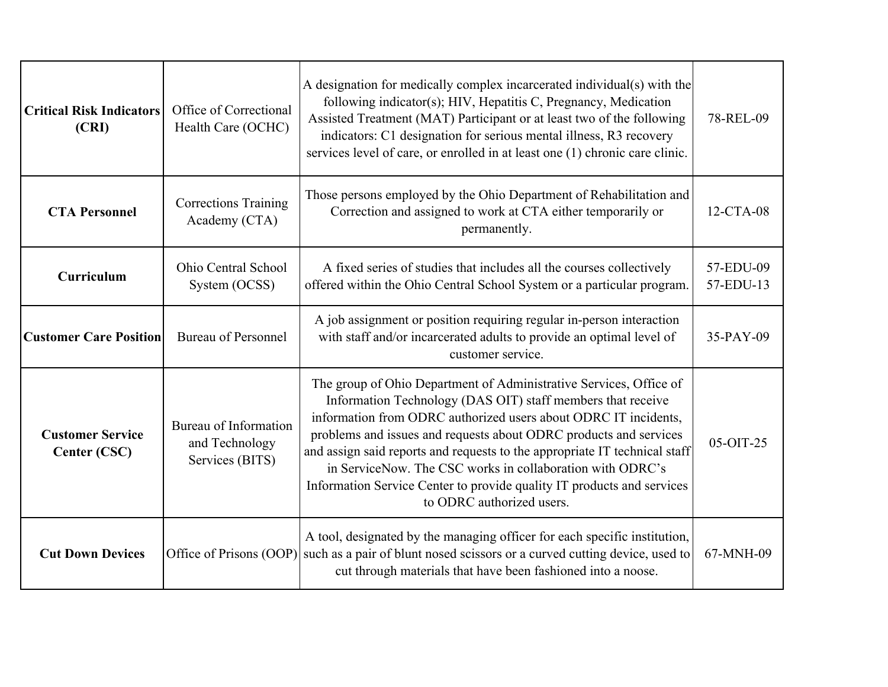| <b>Critical Risk Indicators</b><br>(CRI) | Office of Correctional<br>Health Care (OCHC)               | A designation for medically complex incarcerated individual(s) with the<br>following indicator(s); HIV, Hepatitis C, Pregnancy, Medication<br>Assisted Treatment (MAT) Participant or at least two of the following<br>indicators: C1 designation for serious mental illness, R3 recovery<br>services level of care, or enrolled in at least one (1) chronic care clinic.                                                                                                                                                   | 78-REL-09              |
|------------------------------------------|------------------------------------------------------------|-----------------------------------------------------------------------------------------------------------------------------------------------------------------------------------------------------------------------------------------------------------------------------------------------------------------------------------------------------------------------------------------------------------------------------------------------------------------------------------------------------------------------------|------------------------|
| <b>CTA Personnel</b>                     | <b>Corrections Training</b><br>Academy (CTA)               | Those persons employed by the Ohio Department of Rehabilitation and<br>Correction and assigned to work at CTA either temporarily or<br>permanently.                                                                                                                                                                                                                                                                                                                                                                         | 12-CTA-08              |
| Curriculum                               | Ohio Central School<br>System (OCSS)                       | A fixed series of studies that includes all the courses collectively<br>offered within the Ohio Central School System or a particular program.                                                                                                                                                                                                                                                                                                                                                                              | 57-EDU-09<br>57-EDU-13 |
| <b>Customer Care Position</b>            | <b>Bureau of Personnel</b>                                 | A job assignment or position requiring regular in-person interaction<br>with staff and/or incarcerated adults to provide an optimal level of<br>customer service.                                                                                                                                                                                                                                                                                                                                                           | 35-PAY-09              |
| <b>Customer Service</b><br>Center (CSC)  | Bureau of Information<br>and Technology<br>Services (BITS) | The group of Ohio Department of Administrative Services, Office of<br>Information Technology (DAS OIT) staff members that receive<br>information from ODRC authorized users about ODRC IT incidents,<br>problems and issues and requests about ODRC products and services<br>and assign said reports and requests to the appropriate IT technical staff<br>in ServiceNow. The CSC works in collaboration with ODRC's<br>Information Service Center to provide quality IT products and services<br>to ODRC authorized users. | 05-OIT-25              |
| <b>Cut Down Devices</b>                  |                                                            | A tool, designated by the managing officer for each specific institution,<br>Office of Prisons (OOP) such as a pair of blunt nosed scissors or a curved cutting device, used to<br>cut through materials that have been fashioned into a noose.                                                                                                                                                                                                                                                                             | 67-MNH-09              |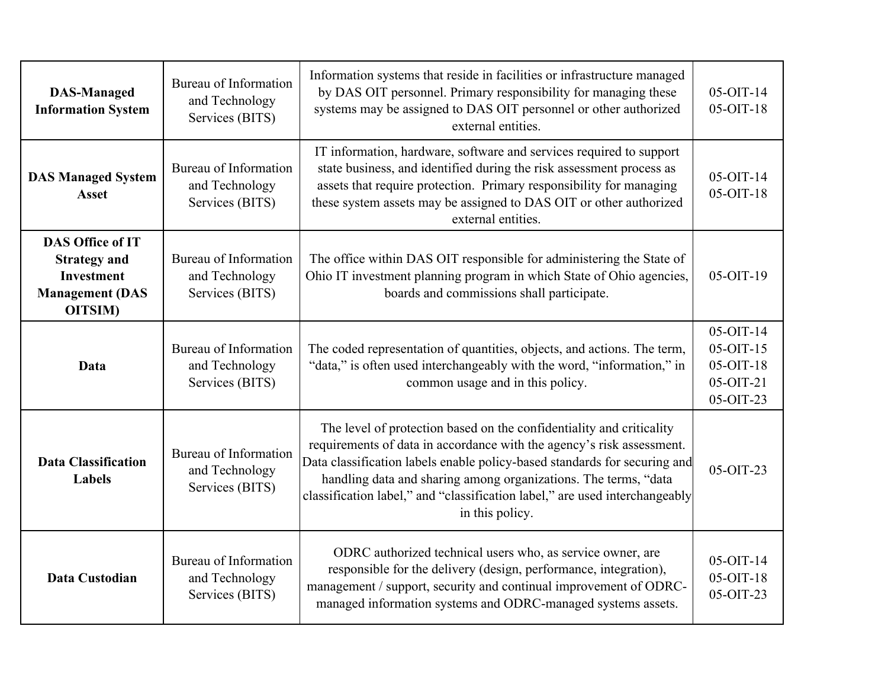| <b>DAS-Managed</b><br><b>Information System</b>                                                          | Bureau of Information<br>and Technology<br>Services (BITS) | Information systems that reside in facilities or infrastructure managed<br>by DAS OIT personnel. Primary responsibility for managing these<br>systems may be assigned to DAS OIT personnel or other authorized<br>external entities.                                                                                                                                                            | $05-OIT-14$<br>05-OIT-18                                       |
|----------------------------------------------------------------------------------------------------------|------------------------------------------------------------|-------------------------------------------------------------------------------------------------------------------------------------------------------------------------------------------------------------------------------------------------------------------------------------------------------------------------------------------------------------------------------------------------|----------------------------------------------------------------|
| <b>DAS Managed System</b><br><b>Asset</b>                                                                | Bureau of Information<br>and Technology<br>Services (BITS) | IT information, hardware, software and services required to support<br>state business, and identified during the risk assessment process as<br>assets that require protection. Primary responsibility for managing<br>these system assets may be assigned to DAS OIT or other authorized<br>external entities.                                                                                  | $05-OTT-14$<br>05-OIT-18                                       |
| <b>DAS Office of IT</b><br><b>Strategy and</b><br><b>Investment</b><br><b>Management (DAS</b><br>OITSIM) | Bureau of Information<br>and Technology<br>Services (BITS) | The office within DAS OIT responsible for administering the State of<br>Ohio IT investment planning program in which State of Ohio agencies,<br>boards and commissions shall participate.                                                                                                                                                                                                       | $05-OT-19$                                                     |
| <b>Data</b>                                                                                              | Bureau of Information<br>and Technology<br>Services (BITS) | The coded representation of quantities, objects, and actions. The term,<br>"data," is often used interchangeably with the word, "information," in<br>common usage and in this policy.                                                                                                                                                                                                           | $05-OT-14$<br>05-OIT-15<br>05-OIT-18<br>05-OIT-21<br>05-OIT-23 |
| <b>Data Classification</b><br><b>Labels</b>                                                              | Bureau of Information<br>and Technology<br>Services (BITS) | The level of protection based on the confidentiality and criticality<br>requirements of data in accordance with the agency's risk assessment.<br>Data classification labels enable policy-based standards for securing and<br>handling data and sharing among organizations. The terms, "data<br>classification label," and "classification label," are used interchangeably<br>in this policy. | $05-OIT-23$                                                    |
| Data Custodian                                                                                           | Bureau of Information<br>and Technology<br>Services (BITS) | ODRC authorized technical users who, as service owner, are<br>responsible for the delivery (design, performance, integration),<br>management / support, security and continual improvement of ODRC-<br>managed information systems and ODRC-managed systems assets.                                                                                                                             | 05-OIT-14<br>05-OIT-18<br>$05-OIT-23$                          |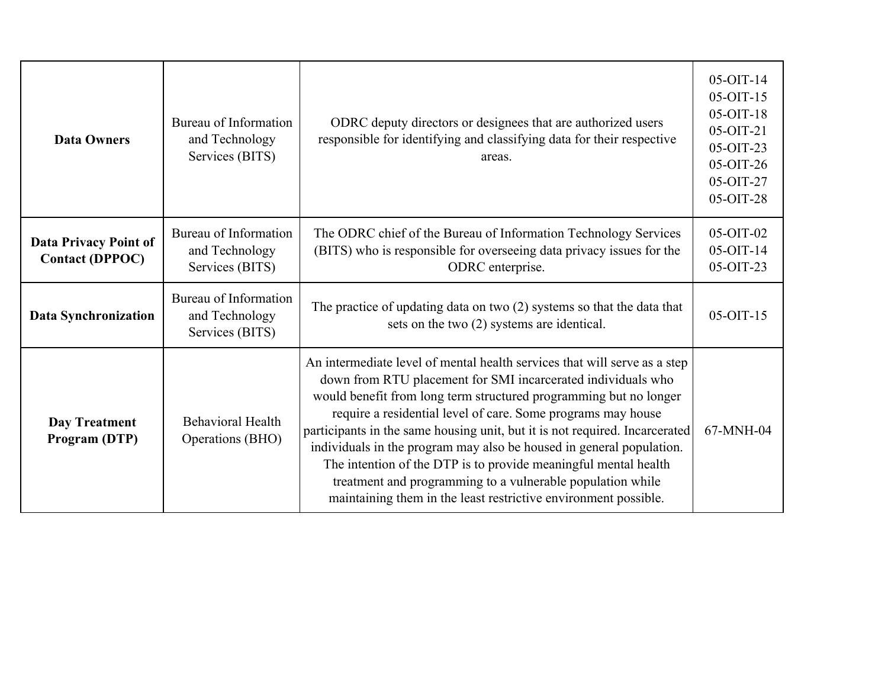| <b>Data Owners</b>                              | Bureau of Information<br>and Technology<br>Services (BITS) | ODRC deputy directors or designees that are authorized users<br>responsible for identifying and classifying data for their respective<br>areas.                                                                                                                                                                                                                                                                                                                                                                                                                                                                                           | $05-OIT-14$<br>$05-OIT-15$<br>05-OIT-18<br>05-OIT-21<br>05-OIT-23<br>05-OIT-26<br>05-OIT-27<br>05-OIT-28 |
|-------------------------------------------------|------------------------------------------------------------|-------------------------------------------------------------------------------------------------------------------------------------------------------------------------------------------------------------------------------------------------------------------------------------------------------------------------------------------------------------------------------------------------------------------------------------------------------------------------------------------------------------------------------------------------------------------------------------------------------------------------------------------|----------------------------------------------------------------------------------------------------------|
| Data Privacy Point of<br><b>Contact (DPPOC)</b> | Bureau of Information<br>and Technology<br>Services (BITS) | The ODRC chief of the Bureau of Information Technology Services<br>(BITS) who is responsible for overseeing data privacy issues for the<br>ODRC enterprise.                                                                                                                                                                                                                                                                                                                                                                                                                                                                               | 05-OIT-02<br>$05-OIT-14$<br>05-OIT-23                                                                    |
| Data Synchronization                            | Bureau of Information<br>and Technology<br>Services (BITS) | The practice of updating data on two $(2)$ systems so that the data that<br>sets on the two $(2)$ systems are identical.                                                                                                                                                                                                                                                                                                                                                                                                                                                                                                                  | $05-OIT-15$                                                                                              |
| Day Treatment<br>Program (DTP)                  | <b>Behavioral Health</b><br>Operations (BHO)               | An intermediate level of mental health services that will serve as a step<br>down from RTU placement for SMI incarcerated individuals who<br>would benefit from long term structured programming but no longer<br>require a residential level of care. Some programs may house<br>participants in the same housing unit, but it is not required. Incarcerated<br>individuals in the program may also be housed in general population.<br>The intention of the DTP is to provide meaningful mental health<br>treatment and programming to a vulnerable population while<br>maintaining them in the least restrictive environment possible. | 67-MNH-04                                                                                                |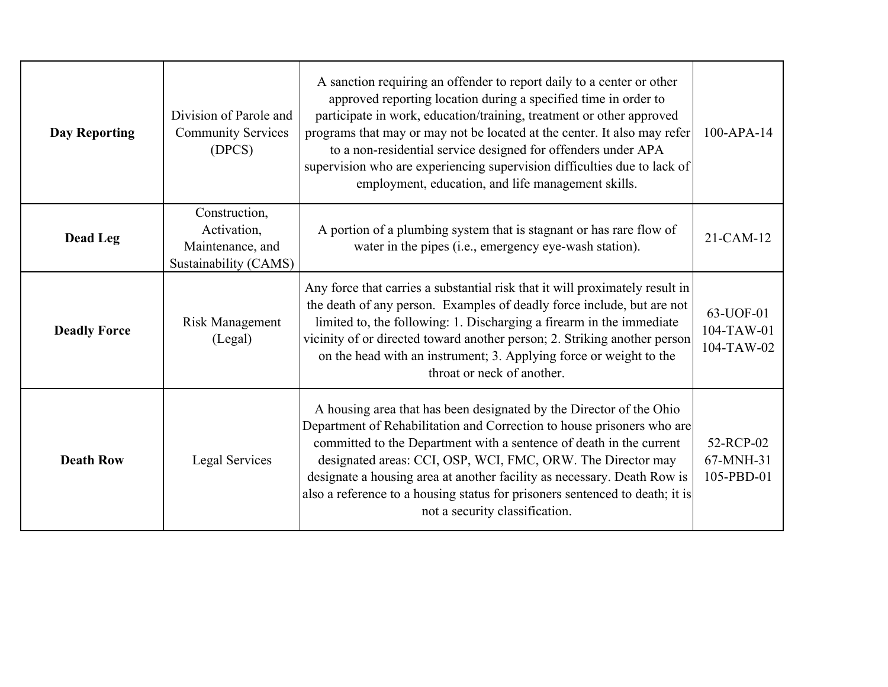| <b>Day Reporting</b> | Division of Parole and<br><b>Community Services</b><br>(DPCS)             | A sanction requiring an offender to report daily to a center or other<br>approved reporting location during a specified time in order to<br>participate in work, education/training, treatment or other approved<br>programs that may or may not be located at the center. It also may refer<br>to a non-residential service designed for offenders under APA<br>supervision who are experiencing supervision difficulties due to lack of<br>employment, education, and life management skills. | $100 - APA - 14$                      |
|----------------------|---------------------------------------------------------------------------|-------------------------------------------------------------------------------------------------------------------------------------------------------------------------------------------------------------------------------------------------------------------------------------------------------------------------------------------------------------------------------------------------------------------------------------------------------------------------------------------------|---------------------------------------|
| <b>Dead Leg</b>      | Construction,<br>Activation,<br>Maintenance, and<br>Sustainability (CAMS) | A portion of a plumbing system that is stagnant or has rare flow of<br>water in the pipes (i.e., emergency eye-wash station).                                                                                                                                                                                                                                                                                                                                                                   | 21-CAM-12                             |
| <b>Deadly Force</b>  | <b>Risk Management</b><br>(Legal)                                         | Any force that carries a substantial risk that it will proximately result in<br>the death of any person. Examples of deadly force include, but are not<br>limited to, the following: 1. Discharging a firearm in the immediate<br>vicinity of or directed toward another person; 2. Striking another person<br>on the head with an instrument; 3. Applying force or weight to the<br>throat or neck of another.                                                                                 | 63-UOF-01<br>104-TAW-01<br>104-TAW-02 |
| <b>Death Row</b>     | Legal Services                                                            | A housing area that has been designated by the Director of the Ohio<br>Department of Rehabilitation and Correction to house prisoners who are<br>committed to the Department with a sentence of death in the current<br>designated areas: CCI, OSP, WCI, FMC, ORW. The Director may<br>designate a housing area at another facility as necessary. Death Row is<br>also a reference to a housing status for prisoners sentenced to death; it is<br>not a security classification.                | 52-RCP-02<br>67-MNH-31<br>105-PBD-01  |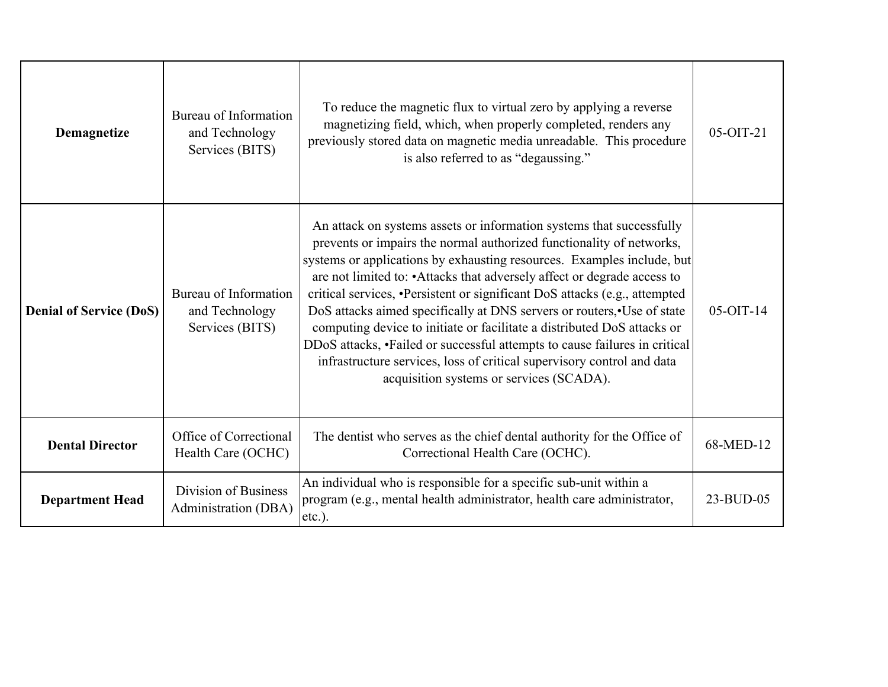| Demagnetize                    | Bureau of Information<br>and Technology<br>Services (BITS) | To reduce the magnetic flux to virtual zero by applying a reverse<br>magnetizing field, which, when properly completed, renders any<br>previously stored data on magnetic media unreadable. This procedure<br>is also referred to as "degaussing."                                                                                                                                                                                                                                                                                                                                                                                                                                                                                          | $05-OIT-21$ |
|--------------------------------|------------------------------------------------------------|---------------------------------------------------------------------------------------------------------------------------------------------------------------------------------------------------------------------------------------------------------------------------------------------------------------------------------------------------------------------------------------------------------------------------------------------------------------------------------------------------------------------------------------------------------------------------------------------------------------------------------------------------------------------------------------------------------------------------------------------|-------------|
| <b>Denial of Service (DoS)</b> | Bureau of Information<br>and Technology<br>Services (BITS) | An attack on systems assets or information systems that successfully<br>prevents or impairs the normal authorized functionality of networks,<br>systems or applications by exhausting resources. Examples include, but<br>are not limited to: • Attacks that adversely affect or degrade access to<br>critical services, ·Persistent or significant DoS attacks (e.g., attempted<br>DoS attacks aimed specifically at DNS servers or routers, • Use of state<br>computing device to initiate or facilitate a distributed DoS attacks or<br>DDoS attacks, •Failed or successful attempts to cause failures in critical<br>infrastructure services, loss of critical supervisory control and data<br>acquisition systems or services (SCADA). | $05-OIT-14$ |
| <b>Dental Director</b>         | Office of Correctional<br>Health Care (OCHC)               | The dentist who serves as the chief dental authority for the Office of<br>Correctional Health Care (OCHC).                                                                                                                                                                                                                                                                                                                                                                                                                                                                                                                                                                                                                                  | 68-MED-12   |
| <b>Department Head</b>         | Division of Business<br>Administration (DBA)               | An individual who is responsible for a specific sub-unit within a<br>program (e.g., mental health administrator, health care administrator,<br>$etc.$ ).                                                                                                                                                                                                                                                                                                                                                                                                                                                                                                                                                                                    | 23-BUD-05   |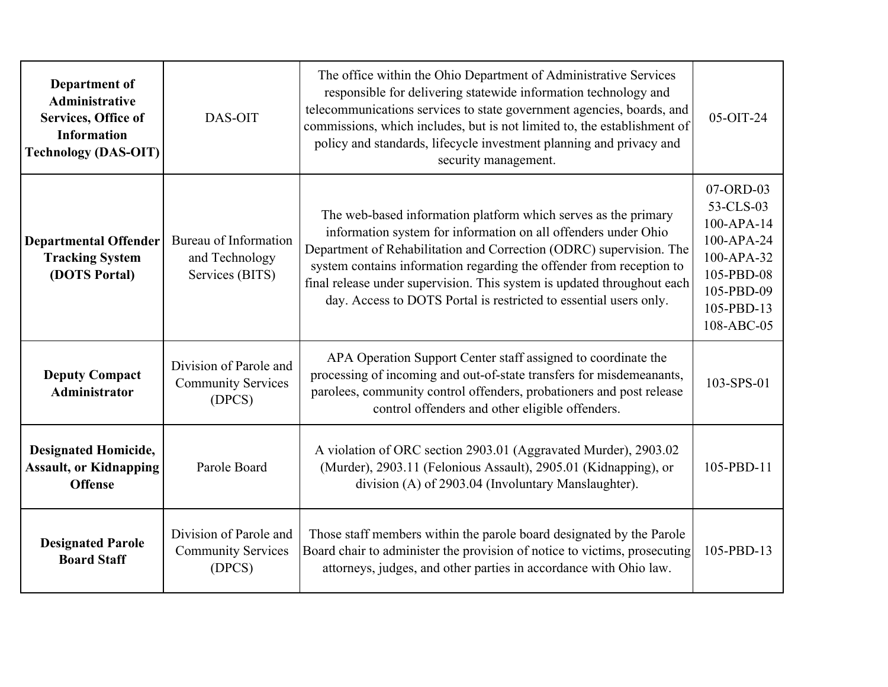| Department of<br><b>Administrative</b><br>Services, Office of<br><b>Information</b><br><b>Technology (DAS-OIT)</b> | <b>DAS-OIT</b>                                                | The office within the Ohio Department of Administrative Services<br>responsible for delivering statewide information technology and<br>telecommunications services to state government agencies, boards, and<br>commissions, which includes, but is not limited to, the establishment of<br>policy and standards, lifecycle investment planning and privacy and<br>security management.                                         | 05-OIT-24                                                                                                                |
|--------------------------------------------------------------------------------------------------------------------|---------------------------------------------------------------|---------------------------------------------------------------------------------------------------------------------------------------------------------------------------------------------------------------------------------------------------------------------------------------------------------------------------------------------------------------------------------------------------------------------------------|--------------------------------------------------------------------------------------------------------------------------|
| <b>Departmental Offender</b><br><b>Tracking System</b><br>(DOTS Portal)                                            | Bureau of Information<br>and Technology<br>Services (BITS)    | The web-based information platform which serves as the primary<br>information system for information on all offenders under Ohio<br>Department of Rehabilitation and Correction (ODRC) supervision. The<br>system contains information regarding the offender from reception to<br>final release under supervision. This system is updated throughout each<br>day. Access to DOTS Portal is restricted to essential users only. | 07-ORD-03<br>53-CLS-03<br>100-APA-14<br>100-APA-24<br>100-APA-32<br>105-PBD-08<br>105-PBD-09<br>105-PBD-13<br>108-ABC-05 |
| <b>Deputy Compact</b><br>Administrator                                                                             | Division of Parole and<br><b>Community Services</b><br>(DPCS) | APA Operation Support Center staff assigned to coordinate the<br>processing of incoming and out-of-state transfers for misdemeanants,<br>parolees, community control offenders, probationers and post release<br>control offenders and other eligible offenders.                                                                                                                                                                | 103-SPS-01                                                                                                               |
| <b>Designated Homicide,</b><br><b>Assault, or Kidnapping</b><br><b>Offense</b>                                     | Parole Board                                                  | A violation of ORC section 2903.01 (Aggravated Murder), 2903.02<br>(Murder), 2903.11 (Felonious Assault), 2905.01 (Kidnapping), or<br>division (A) of 2903.04 (Involuntary Manslaughter).                                                                                                                                                                                                                                       | 105-PBD-11                                                                                                               |
| <b>Designated Parole</b><br><b>Board Staff</b>                                                                     | Division of Parole and<br><b>Community Services</b><br>(DPCS) | Those staff members within the parole board designated by the Parole<br>Board chair to administer the provision of notice to victims, prosecuting<br>attorneys, judges, and other parties in accordance with Ohio law.                                                                                                                                                                                                          | 105-PBD-13                                                                                                               |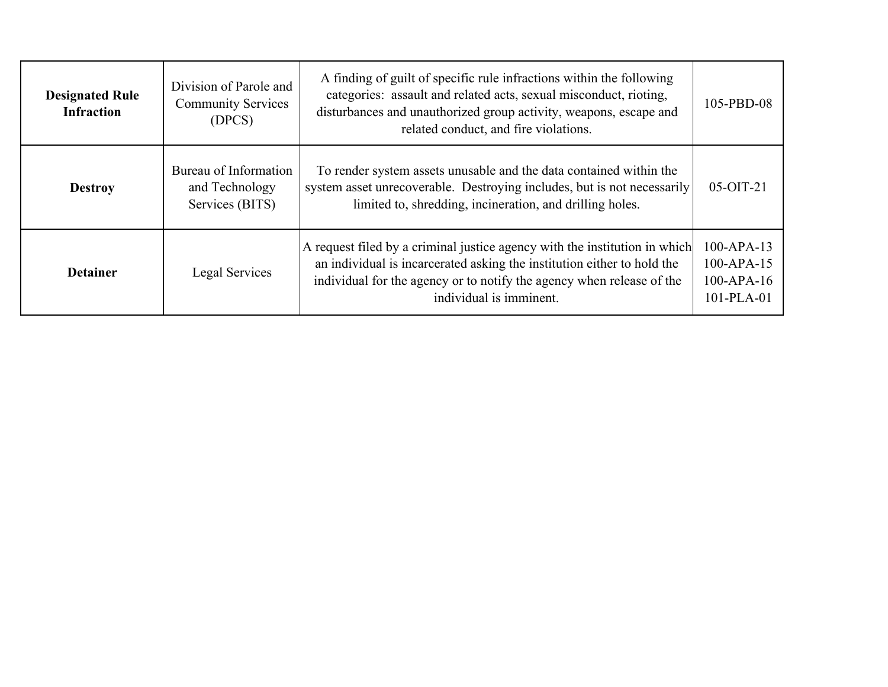| <b>Designated Rule</b><br><b>Infraction</b> | Division of Parole and<br><b>Community Services</b><br>(DPCS) | A finding of guilt of specific rule infractions within the following<br>categories: assault and related acts, sexual misconduct, rioting,<br>disturbances and unauthorized group activity, weapons, escape and<br>related conduct, and fire violations.   | 105-PBD-08                                                 |
|---------------------------------------------|---------------------------------------------------------------|-----------------------------------------------------------------------------------------------------------------------------------------------------------------------------------------------------------------------------------------------------------|------------------------------------------------------------|
| <b>Destroy</b>                              | Bureau of Information<br>and Technology<br>Services (BITS)    | To render system assets unusable and the data contained within the<br>system asset unrecoverable. Destroying includes, but is not necessarily<br>limited to, shredding, incineration, and drilling holes.                                                 | 05-OIT-21                                                  |
| <b>Detainer</b>                             | Legal Services                                                | A request filed by a criminal justice agency with the institution in which<br>an individual is incarcerated asking the institution either to hold the<br>individual for the agency or to notify the agency when release of the<br>individual is imminent. | 100-APA-13<br>100-APA-15<br>$100 - APA - 16$<br>101-PLA-01 |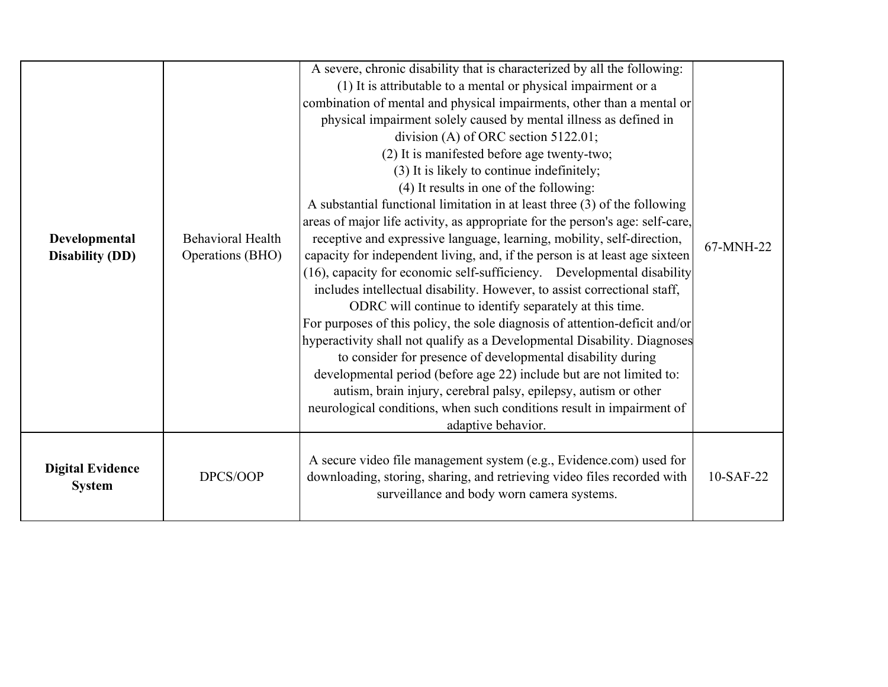|                         |                          | A severe, chronic disability that is characterized by all the following:      |           |
|-------------------------|--------------------------|-------------------------------------------------------------------------------|-----------|
|                         |                          | (1) It is attributable to a mental or physical impairment or a                |           |
|                         |                          | combination of mental and physical impairments, other than a mental or        |           |
|                         |                          | physical impairment solely caused by mental illness as defined in             |           |
|                         |                          | division (A) of ORC section 5122.01;                                          |           |
|                         |                          | (2) It is manifested before age twenty-two;                                   |           |
|                         |                          | (3) It is likely to continue indefinitely;                                    |           |
|                         |                          | (4) It results in one of the following:                                       |           |
|                         |                          | A substantial functional limitation in at least three (3) of the following    |           |
|                         |                          | areas of major life activity, as appropriate for the person's age: self-care, |           |
| Developmental           | <b>Behavioral Health</b> | receptive and expressive language, learning, mobility, self-direction,        | 67-MNH-22 |
| <b>Disability (DD)</b>  | Operations (BHO)         | capacity for independent living, and, if the person is at least age sixteen   |           |
|                         |                          | (16), capacity for economic self-sufficiency. Developmental disability        |           |
|                         |                          | includes intellectual disability. However, to assist correctional staff,      |           |
|                         |                          | ODRC will continue to identify separately at this time.                       |           |
|                         |                          | For purposes of this policy, the sole diagnosis of attention-deficit and/or   |           |
|                         |                          | hyperactivity shall not qualify as a Developmental Disability. Diagnoses      |           |
|                         |                          | to consider for presence of developmental disability during                   |           |
|                         |                          | developmental period (before age 22) include but are not limited to:          |           |
|                         |                          | autism, brain injury, cerebral palsy, epilepsy, autism or other               |           |
|                         |                          | neurological conditions, when such conditions result in impairment of         |           |
|                         |                          | adaptive behavior.                                                            |           |
|                         |                          |                                                                               |           |
| <b>Digital Evidence</b> |                          | A secure video file management system (e.g., Evidence.com) used for           |           |
| <b>System</b>           | DPCS/OOP                 | downloading, storing, sharing, and retrieving video files recorded with       | 10-SAF-22 |
|                         |                          | surveillance and body worn camera systems.                                    |           |
|                         |                          |                                                                               |           |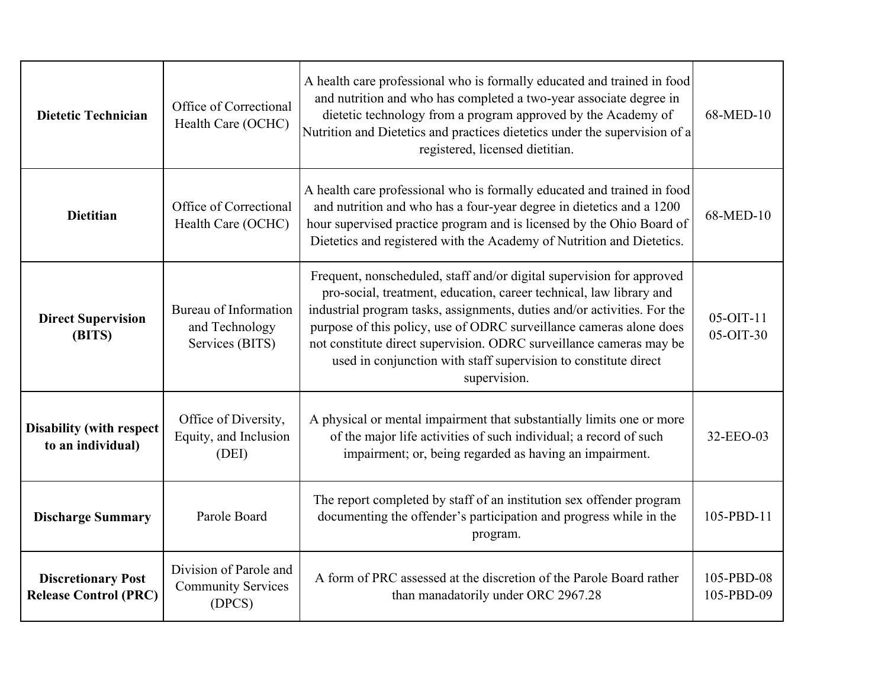| <b>Dietetic Technician</b>                                | Office of Correctional<br>Health Care (OCHC)                  | A health care professional who is formally educated and trained in food<br>and nutrition and who has completed a two-year associate degree in<br>dietetic technology from a program approved by the Academy of<br>Nutrition and Dietetics and practices dietetics under the supervision of a<br>registered, licensed dietitian.                                                                                                                           | 68-MED-10                |
|-----------------------------------------------------------|---------------------------------------------------------------|-----------------------------------------------------------------------------------------------------------------------------------------------------------------------------------------------------------------------------------------------------------------------------------------------------------------------------------------------------------------------------------------------------------------------------------------------------------|--------------------------|
| <b>Dietitian</b>                                          | Office of Correctional<br>Health Care (OCHC)                  | A health care professional who is formally educated and trained in food<br>and nutrition and who has a four-year degree in dietetics and a 1200<br>hour supervised practice program and is licensed by the Ohio Board of<br>Dietetics and registered with the Academy of Nutrition and Dietetics.                                                                                                                                                         | 68-MED-10                |
| <b>Direct Supervision</b><br>(BITS)                       | Bureau of Information<br>and Technology<br>Services (BITS)    | Frequent, nonscheduled, staff and/or digital supervision for approved<br>pro-social, treatment, education, career technical, law library and<br>industrial program tasks, assignments, duties and/or activities. For the<br>purpose of this policy, use of ODRC surveillance cameras alone does<br>not constitute direct supervision. ODRC surveillance cameras may be<br>used in conjunction with staff supervision to constitute direct<br>supervision. | $05-OIT-11$<br>05-OIT-30 |
| <b>Disability (with respect</b><br>to an individual)      | Office of Diversity,<br>Equity, and Inclusion<br>(DEI)        | A physical or mental impairment that substantially limits one or more<br>of the major life activities of such individual; a record of such<br>impairment; or, being regarded as having an impairment.                                                                                                                                                                                                                                                     | 32-EEO-03                |
| <b>Discharge Summary</b>                                  | Parole Board                                                  | The report completed by staff of an institution sex offender program<br>documenting the offender's participation and progress while in the<br>program.                                                                                                                                                                                                                                                                                                    | 105-PBD-11               |
| <b>Discretionary Post</b><br><b>Release Control (PRC)</b> | Division of Parole and<br><b>Community Services</b><br>(DPCS) | A form of PRC assessed at the discretion of the Parole Board rather<br>than manadatorily under ORC 2967.28                                                                                                                                                                                                                                                                                                                                                | 105-PBD-08<br>105-PBD-09 |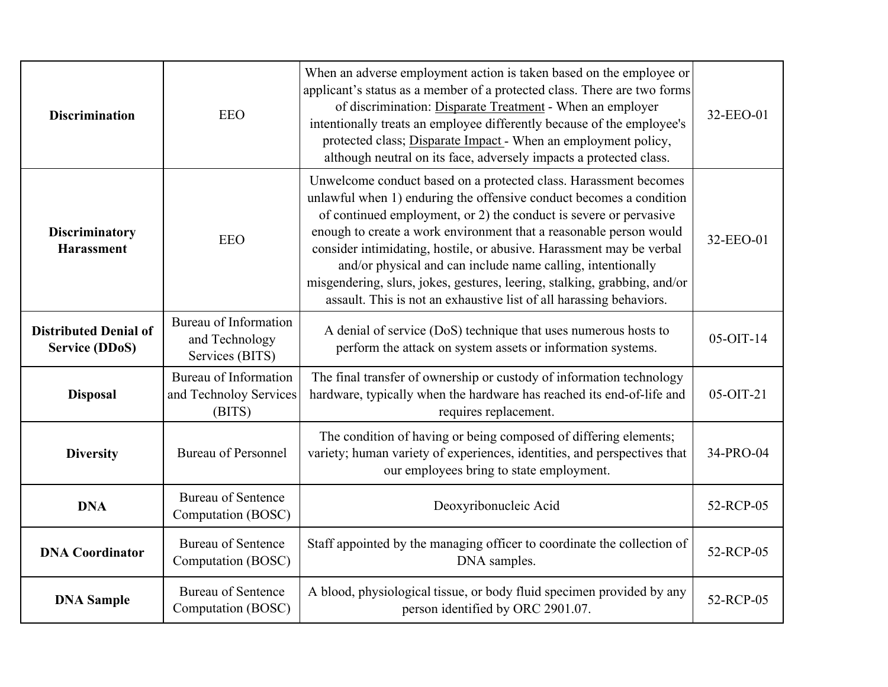| <b>Discrimination</b>                                 | EEO                                                               | When an adverse employment action is taken based on the employee or<br>applicant's status as a member of a protected class. There are two forms<br>of discrimination: Disparate Treatment - When an employer<br>intentionally treats an employee differently because of the employee's<br>protected class; Disparate Impact - When an employment policy,<br>although neutral on its face, adversely impacts a protected class.                                                                                                                                                | 32-EEO-01   |
|-------------------------------------------------------|-------------------------------------------------------------------|-------------------------------------------------------------------------------------------------------------------------------------------------------------------------------------------------------------------------------------------------------------------------------------------------------------------------------------------------------------------------------------------------------------------------------------------------------------------------------------------------------------------------------------------------------------------------------|-------------|
| <b>Discriminatory</b><br><b>Harassment</b>            | <b>EEO</b>                                                        | Unwelcome conduct based on a protected class. Harassment becomes<br>unlawful when 1) enduring the offensive conduct becomes a condition<br>of continued employment, or 2) the conduct is severe or pervasive<br>enough to create a work environment that a reasonable person would<br>consider intimidating, hostile, or abusive. Harassment may be verbal<br>and/or physical and can include name calling, intentionally<br>misgendering, slurs, jokes, gestures, leering, stalking, grabbing, and/or<br>assault. This is not an exhaustive list of all harassing behaviors. | 32-EEO-01   |
| <b>Distributed Denial of</b><br><b>Service (DDoS)</b> | <b>Bureau of Information</b><br>and Technology<br>Services (BITS) | A denial of service (DoS) technique that uses numerous hosts to<br>perform the attack on system assets or information systems.                                                                                                                                                                                                                                                                                                                                                                                                                                                | $05-OTT-14$ |
| <b>Disposal</b>                                       | Bureau of Information<br>and Technoloy Services<br>(BITS)         | The final transfer of ownership or custody of information technology<br>hardware, typically when the hardware has reached its end-of-life and<br>requires replacement.                                                                                                                                                                                                                                                                                                                                                                                                        | 05-OIT-21   |
| <b>Diversity</b>                                      | <b>Bureau of Personnel</b>                                        | The condition of having or being composed of differing elements;<br>variety; human variety of experiences, identities, and perspectives that<br>our employees bring to state employment.                                                                                                                                                                                                                                                                                                                                                                                      | 34-PRO-04   |
| <b>DNA</b>                                            | <b>Bureau of Sentence</b><br>Computation (BOSC)                   | Deoxyribonucleic Acid                                                                                                                                                                                                                                                                                                                                                                                                                                                                                                                                                         | 52-RCP-05   |
| <b>DNA Coordinator</b>                                | <b>Bureau of Sentence</b><br>Computation (BOSC)                   | Staff appointed by the managing officer to coordinate the collection of<br>DNA samples.                                                                                                                                                                                                                                                                                                                                                                                                                                                                                       | 52-RCP-05   |
| <b>DNA</b> Sample                                     | <b>Bureau of Sentence</b><br>Computation (BOSC)                   | A blood, physiological tissue, or body fluid specimen provided by any<br>person identified by ORC 2901.07.                                                                                                                                                                                                                                                                                                                                                                                                                                                                    | 52-RCP-05   |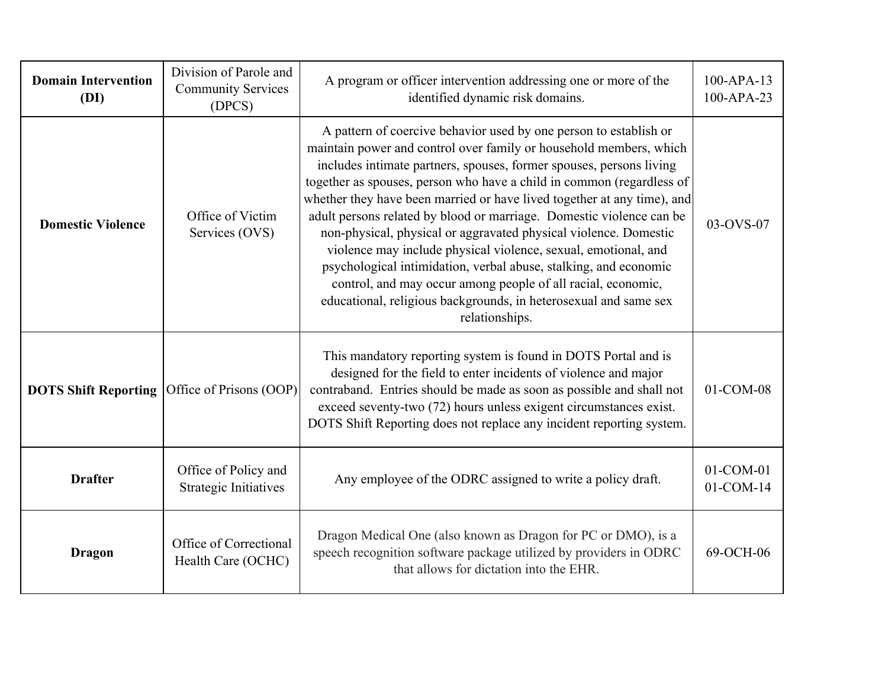| <b>Domain Intervention</b><br>(DI)                    | Division of Parole and<br><b>Community Services</b><br>(DPCS) | A program or officer intervention addressing one or more of the<br>identified dynamic risk domains.                                                                                                                                                                                                                                                                                                                                                                                                                                                                                                                                                                                                                                                                                                        | 100-APA-13<br>100-APA-23  |
|-------------------------------------------------------|---------------------------------------------------------------|------------------------------------------------------------------------------------------------------------------------------------------------------------------------------------------------------------------------------------------------------------------------------------------------------------------------------------------------------------------------------------------------------------------------------------------------------------------------------------------------------------------------------------------------------------------------------------------------------------------------------------------------------------------------------------------------------------------------------------------------------------------------------------------------------------|---------------------------|
| <b>Domestic Violence</b>                              | Office of Victim<br>Services (OVS)                            | A pattern of coercive behavior used by one person to establish or<br>maintain power and control over family or household members, which<br>includes intimate partners, spouses, former spouses, persons living<br>together as spouses, person who have a child in common (regardless of<br>whether they have been married or have lived together at any time), and<br>adult persons related by blood or marriage. Domestic violence can be<br>non-physical, physical or aggravated physical violence. Domestic<br>violence may include physical violence, sexual, emotional, and<br>psychological intimidation, verbal abuse, stalking, and economic<br>control, and may occur among people of all racial, economic,<br>educational, religious backgrounds, in heterosexual and same sex<br>relationships. | 03-OVS-07                 |
| <b>DOTS Shift Reporting   Office of Prisons (OOP)</b> |                                                               | This mandatory reporting system is found in DOTS Portal and is<br>designed for the field to enter incidents of violence and major<br>contraband. Entries should be made as soon as possible and shall not<br>exceed seventy-two (72) hours unless exigent circumstances exist.<br>DOTS Shift Reporting does not replace any incident reporting system.                                                                                                                                                                                                                                                                                                                                                                                                                                                     | 01-COM-08                 |
| <b>Drafter</b>                                        | Office of Policy and<br><b>Strategic Initiatives</b>          | Any employee of the ODRC assigned to write a policy draft.                                                                                                                                                                                                                                                                                                                                                                                                                                                                                                                                                                                                                                                                                                                                                 | $01$ -COM-01<br>01-COM-14 |
| <b>Dragon</b>                                         | Office of Correctional<br>Health Care (OCHC)                  | Dragon Medical One (also known as Dragon for PC or DMO), is a<br>speech recognition software package utilized by providers in ODRC<br>that allows for dictation into the EHR.                                                                                                                                                                                                                                                                                                                                                                                                                                                                                                                                                                                                                              | 69-OCH-06                 |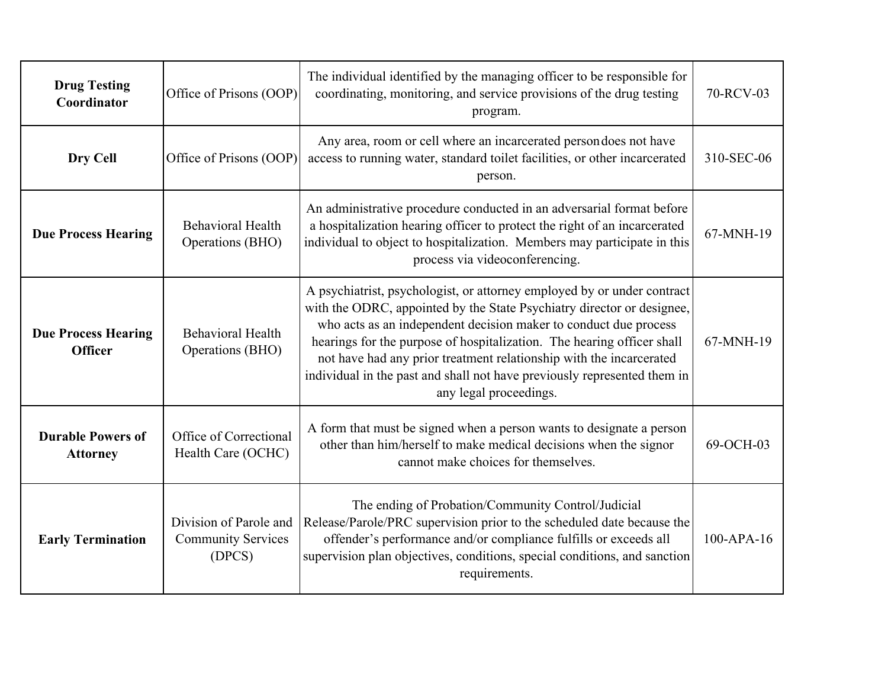| <b>Drug Testing</b><br>Coordinator           | Office of Prisons (OOP)                                       | The individual identified by the managing officer to be responsible for<br>coordinating, monitoring, and service provisions of the drug testing<br>program.                                                                                                                                                                                                                                                                                                                  | 70-RCV-03    |
|----------------------------------------------|---------------------------------------------------------------|------------------------------------------------------------------------------------------------------------------------------------------------------------------------------------------------------------------------------------------------------------------------------------------------------------------------------------------------------------------------------------------------------------------------------------------------------------------------------|--------------|
| Dry Cell                                     | Office of Prisons (OOP)                                       | Any area, room or cell where an incarcerated person does not have<br>access to running water, standard toilet facilities, or other incarcerated<br>person.                                                                                                                                                                                                                                                                                                                   | 310-SEC-06   |
| <b>Due Process Hearing</b>                   | <b>Behavioral Health</b><br>Operations (BHO)                  | An administrative procedure conducted in an adversarial format before<br>a hospitalization hearing officer to protect the right of an incarcerated<br>individual to object to hospitalization. Members may participate in this<br>process via videoconferencing.                                                                                                                                                                                                             | 67-MNH-19    |
| <b>Due Process Hearing</b><br><b>Officer</b> | <b>Behavioral Health</b><br>Operations (BHO)                  | A psychiatrist, psychologist, or attorney employed by or under contract<br>with the ODRC, appointed by the State Psychiatry director or designee,<br>who acts as an independent decision maker to conduct due process<br>hearings for the purpose of hospitalization. The hearing officer shall<br>not have had any prior treatment relationship with the incarcerated<br>individual in the past and shall not have previously represented them in<br>any legal proceedings. | 67-MNH-19    |
| <b>Durable Powers of</b><br><b>Attorney</b>  | Office of Correctional<br>Health Care (OCHC)                  | A form that must be signed when a person wants to designate a person<br>other than him/herself to make medical decisions when the signor<br>cannot make choices for themselves.                                                                                                                                                                                                                                                                                              | 69-OCH-03    |
| <b>Early Termination</b>                     | Division of Parole and<br><b>Community Services</b><br>(DPCS) | The ending of Probation/Community Control/Judicial<br>Release/Parole/PRC supervision prior to the scheduled date because the<br>offender's performance and/or compliance fulfills or exceeds all<br>supervision plan objectives, conditions, special conditions, and sanction<br>requirements.                                                                                                                                                                               | $100-APA-16$ |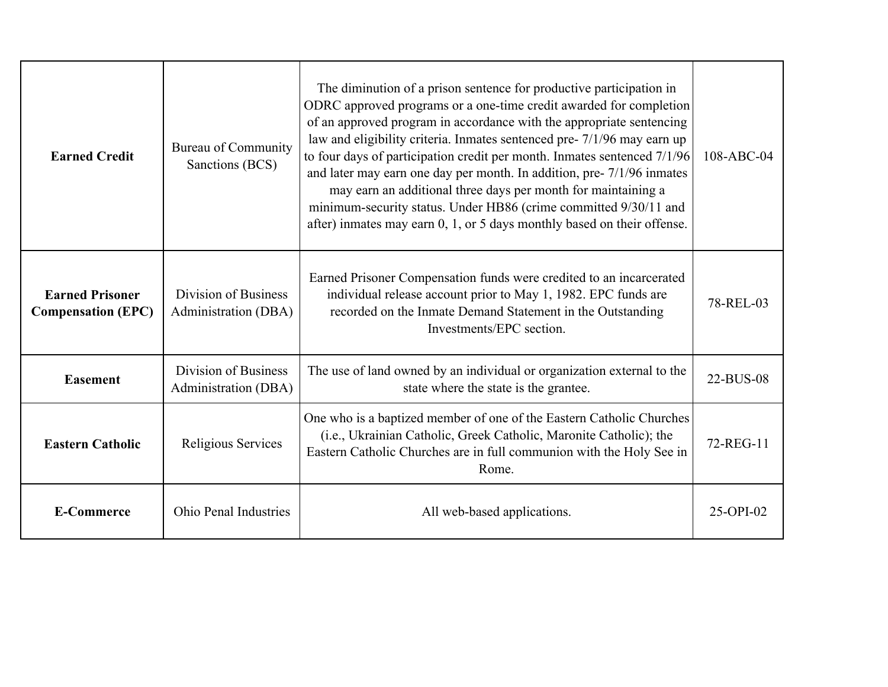| <b>Earned Credit</b>                                | <b>Bureau of Community</b><br>Sanctions (BCS) | The diminution of a prison sentence for productive participation in<br>ODRC approved programs or a one-time credit awarded for completion<br>of an approved program in accordance with the appropriate sentencing<br>law and eligibility criteria. Inmates sentenced pre- 7/1/96 may earn up<br>to four days of participation credit per month. Inmates sentenced 7/1/96<br>and later may earn one day per month. In addition, pre- 7/1/96 inmates<br>may earn an additional three days per month for maintaining a<br>minimum-security status. Under HB86 (crime committed 9/30/11 and<br>after) inmates may earn 0, 1, or 5 days monthly based on their offense. | 108-ABC-04 |
|-----------------------------------------------------|-----------------------------------------------|--------------------------------------------------------------------------------------------------------------------------------------------------------------------------------------------------------------------------------------------------------------------------------------------------------------------------------------------------------------------------------------------------------------------------------------------------------------------------------------------------------------------------------------------------------------------------------------------------------------------------------------------------------------------|------------|
| <b>Earned Prisoner</b><br><b>Compensation (EPC)</b> | Division of Business<br>Administration (DBA)  | Earned Prisoner Compensation funds were credited to an incarcerated<br>individual release account prior to May 1, 1982. EPC funds are<br>recorded on the Inmate Demand Statement in the Outstanding<br>Investments/EPC section.                                                                                                                                                                                                                                                                                                                                                                                                                                    | 78-REL-03  |
| <b>Easement</b>                                     | Division of Business<br>Administration (DBA)  | The use of land owned by an individual or organization external to the<br>state where the state is the grantee.                                                                                                                                                                                                                                                                                                                                                                                                                                                                                                                                                    | 22-BUS-08  |
| <b>Eastern Catholic</b>                             | Religious Services                            | One who is a baptized member of one of the Eastern Catholic Churches<br>(i.e., Ukrainian Catholic, Greek Catholic, Maronite Catholic); the<br>Eastern Catholic Churches are in full communion with the Holy See in<br>Rome.                                                                                                                                                                                                                                                                                                                                                                                                                                        | 72-REG-11  |
| <b>E-Commerce</b>                                   | Ohio Penal Industries                         | All web-based applications.                                                                                                                                                                                                                                                                                                                                                                                                                                                                                                                                                                                                                                        | 25-OPI-02  |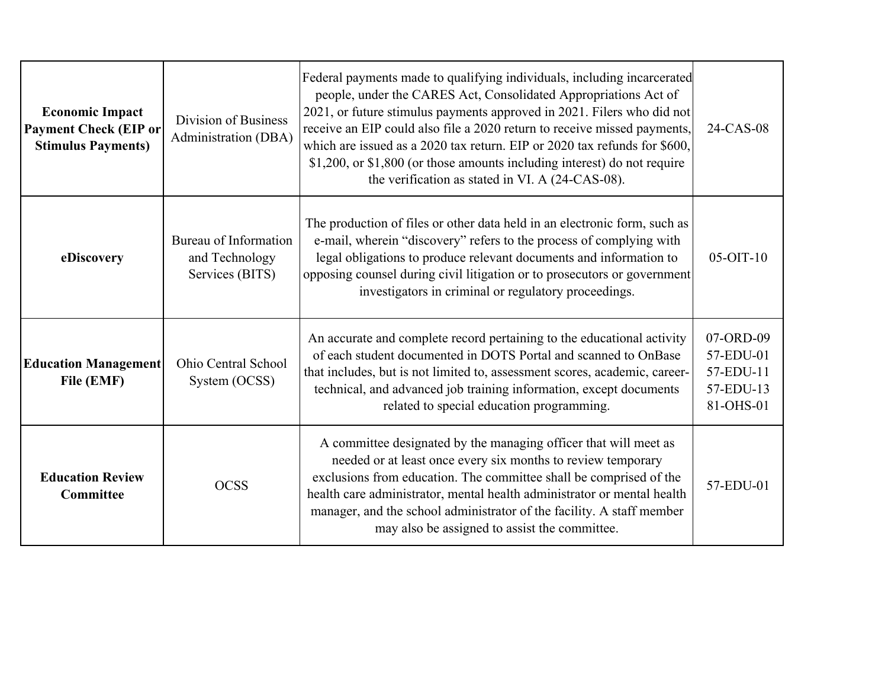| <b>Economic Impact</b><br><b>Payment Check (EIP or</b><br><b>Stimulus Payments)</b> | Division of Business<br>Administration (DBA)               | Federal payments made to qualifying individuals, including incarcerated<br>people, under the CARES Act, Consolidated Appropriations Act of<br>2021, or future stimulus payments approved in 2021. Filers who did not<br>receive an EIP could also file a 2020 return to receive missed payments,<br>which are issued as a 2020 tax return. EIP or 2020 tax refunds for \$600,<br>\$1,200, or \$1,800 (or those amounts including interest) do not require<br>the verification as stated in VI. A (24-CAS-08). | 24-CAS-08                                                     |
|-------------------------------------------------------------------------------------|------------------------------------------------------------|---------------------------------------------------------------------------------------------------------------------------------------------------------------------------------------------------------------------------------------------------------------------------------------------------------------------------------------------------------------------------------------------------------------------------------------------------------------------------------------------------------------|---------------------------------------------------------------|
| eDiscovery                                                                          | Bureau of Information<br>and Technology<br>Services (BITS) | The production of files or other data held in an electronic form, such as<br>e-mail, wherein "discovery" refers to the process of complying with<br>legal obligations to produce relevant documents and information to<br>opposing counsel during civil litigation or to prosecutors or government<br>investigators in criminal or regulatory proceedings.                                                                                                                                                    | $05-OTT-10$                                                   |
| <b>Education Management</b><br>File (EMF)                                           | Ohio Central School<br>System (OCSS)                       | An accurate and complete record pertaining to the educational activity<br>of each student documented in DOTS Portal and scanned to OnBase<br>that includes, but is not limited to, assessment scores, academic, career-<br>technical, and advanced job training information, except documents<br>related to special education programming.                                                                                                                                                                    | 07-ORD-09<br>57-EDU-01<br>57-EDU-11<br>57-EDU-13<br>81-OHS-01 |
| <b>Education Review</b><br>Committee                                                | <b>OCSS</b>                                                | A committee designated by the managing officer that will meet as<br>needed or at least once every six months to review temporary<br>exclusions from education. The committee shall be comprised of the<br>health care administrator, mental health administrator or mental health<br>manager, and the school administrator of the facility. A staff member<br>may also be assigned to assist the committee.                                                                                                   | 57-EDU-01                                                     |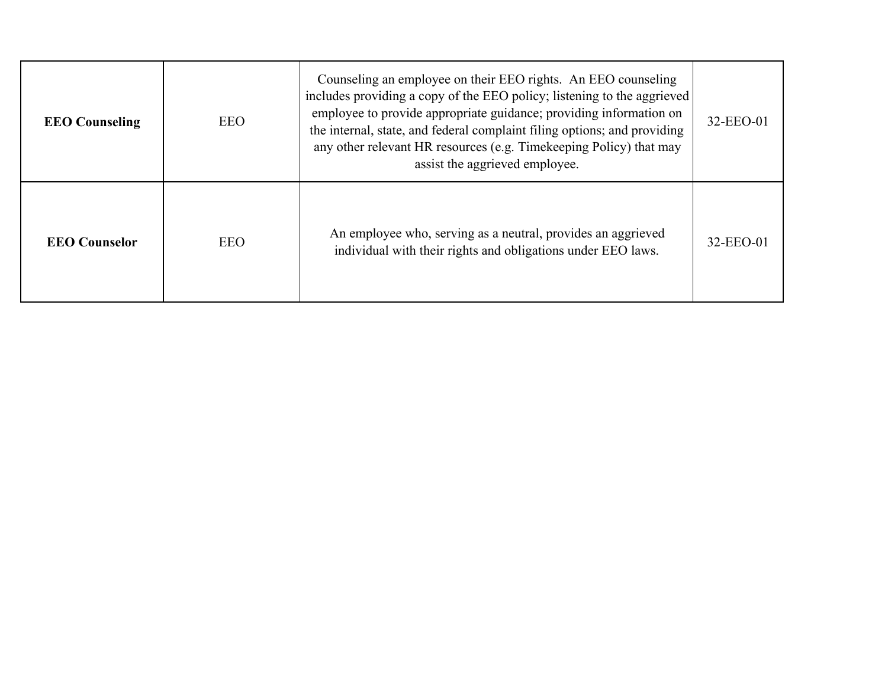| <b>EEO Counseling</b> | EEO | Counseling an employee on their EEO rights. An EEO counseling<br>includes providing a copy of the EEO policy; listening to the aggrieved<br>employee to provide appropriate guidance; providing information on<br>the internal, state, and federal complaint filing options; and providing<br>any other relevant HR resources (e.g. Timekeeping Policy) that may<br>assist the aggrieved employee. | 32-EEO-01 |
|-----------------------|-----|----------------------------------------------------------------------------------------------------------------------------------------------------------------------------------------------------------------------------------------------------------------------------------------------------------------------------------------------------------------------------------------------------|-----------|
| <b>EEO Counselor</b>  | EEO | An employee who, serving as a neutral, provides an aggrieved<br>individual with their rights and obligations under EEO laws.                                                                                                                                                                                                                                                                       | 32-EEO-01 |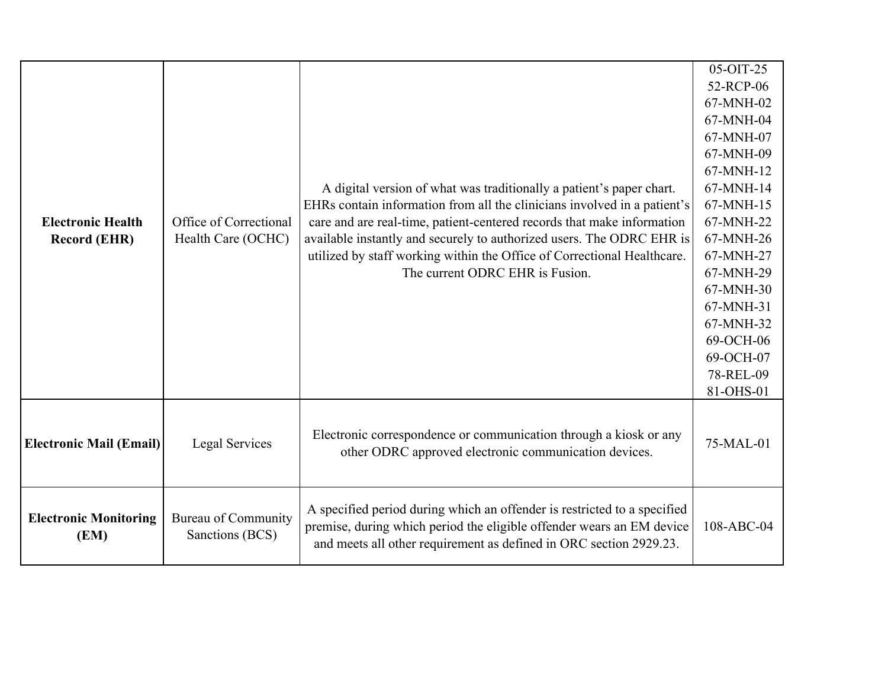| <b>Electronic Health</b><br><b>Record (EHR)</b> | Office of Correctional<br>Health Care (OCHC)  | A digital version of what was traditionally a patient's paper chart.<br>EHRs contain information from all the clinicians involved in a patient's<br>care and are real-time, patient-centered records that make information<br>available instantly and securely to authorized users. The ODRC EHR is<br>utilized by staff working within the Office of Correctional Healthcare.<br>The current ODRC EHR is Fusion. | 05-OIT-25<br>52-RCP-06<br>67-MNH-02<br>67-MNH-04<br>67-MNH-07<br>67-MNH-09<br>67-MNH-12<br>67-MNH-14<br>67-MNH-15<br>67-MNH-22<br>67-MNH-26<br>67-MNH-27<br>67-MNH-29<br>67-MNH-30<br>67-MNH-31<br>67-MNH-32<br>69-OCH-06<br>69-OCH-07<br>78-REL-09<br>81-OHS-01 |
|-------------------------------------------------|-----------------------------------------------|-------------------------------------------------------------------------------------------------------------------------------------------------------------------------------------------------------------------------------------------------------------------------------------------------------------------------------------------------------------------------------------------------------------------|------------------------------------------------------------------------------------------------------------------------------------------------------------------------------------------------------------------------------------------------------------------|
| <b>Electronic Mail (Email)</b>                  | Legal Services                                | Electronic correspondence or communication through a kiosk or any<br>other ODRC approved electronic communication devices.                                                                                                                                                                                                                                                                                        | 75-MAL-01                                                                                                                                                                                                                                                        |
| <b>Electronic Monitoring</b><br>(EM)            | <b>Bureau of Community</b><br>Sanctions (BCS) | A specified period during which an offender is restricted to a specified<br>premise, during which period the eligible offender wears an EM device<br>and meets all other requirement as defined in ORC section 2929.23.                                                                                                                                                                                           | 108-ABC-04                                                                                                                                                                                                                                                       |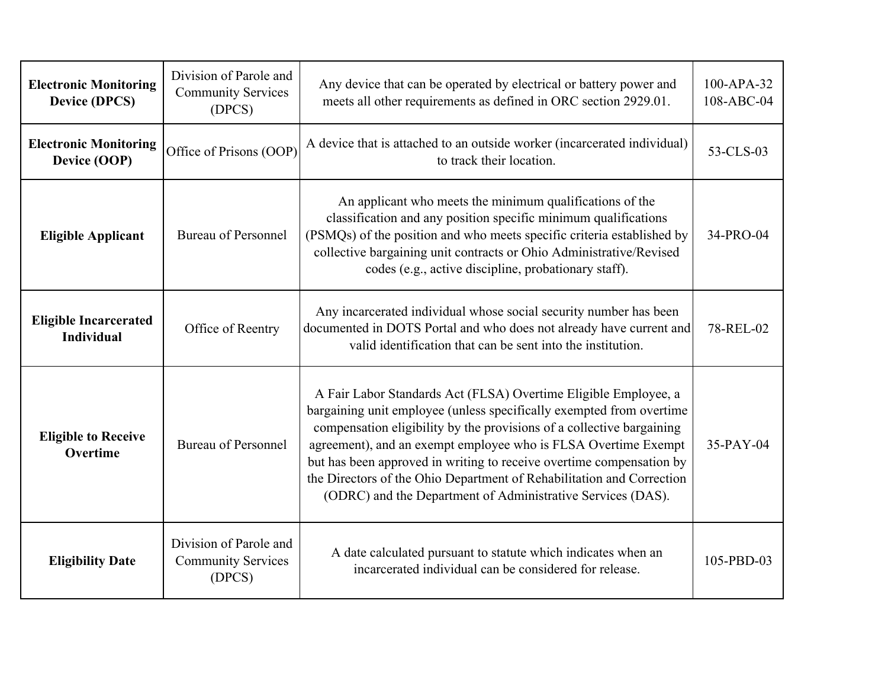| <b>Electronic Monitoring</b><br><b>Device (DPCS)</b> | Division of Parole and<br><b>Community Services</b><br>(DPCS) | Any device that can be operated by electrical or battery power and<br>meets all other requirements as defined in ORC section 2929.01.                                                                                                                                                                                                                                                                                                                                                              | 100-APA-32<br>108-ABC-04 |
|------------------------------------------------------|---------------------------------------------------------------|----------------------------------------------------------------------------------------------------------------------------------------------------------------------------------------------------------------------------------------------------------------------------------------------------------------------------------------------------------------------------------------------------------------------------------------------------------------------------------------------------|--------------------------|
| <b>Electronic Monitoring</b><br>Device (OOP)         | Office of Prisons (OOP)                                       | A device that is attached to an outside worker (incarcerated individual)<br>to track their location.                                                                                                                                                                                                                                                                                                                                                                                               | 53-CLS-03                |
| <b>Eligible Applicant</b>                            | <b>Bureau of Personnel</b>                                    | An applicant who meets the minimum qualifications of the<br>classification and any position specific minimum qualifications<br>(PSMQs) of the position and who meets specific criteria established by<br>collective bargaining unit contracts or Ohio Administrative/Revised<br>codes (e.g., active discipline, probationary staff).                                                                                                                                                               | 34-PRO-04                |
| <b>Eligible Incarcerated</b><br><b>Individual</b>    | Office of Reentry                                             | Any incarcerated individual whose social security number has been<br>documented in DOTS Portal and who does not already have current and<br>valid identification that can be sent into the institution.                                                                                                                                                                                                                                                                                            | 78-REL-02                |
| <b>Eligible to Receive</b><br><b>Overtime</b>        | <b>Bureau of Personnel</b>                                    | A Fair Labor Standards Act (FLSA) Overtime Eligible Employee, a<br>bargaining unit employee (unless specifically exempted from overtime<br>compensation eligibility by the provisions of a collective bargaining<br>agreement), and an exempt employee who is FLSA Overtime Exempt<br>but has been approved in writing to receive overtime compensation by<br>the Directors of the Ohio Department of Rehabilitation and Correction<br>(ODRC) and the Department of Administrative Services (DAS). | 35-PAY-04                |
| <b>Eligibility Date</b>                              | Division of Parole and<br><b>Community Services</b><br>(DPCS) | A date calculated pursuant to statute which indicates when an<br>incarcerated individual can be considered for release.                                                                                                                                                                                                                                                                                                                                                                            | 105-PBD-03               |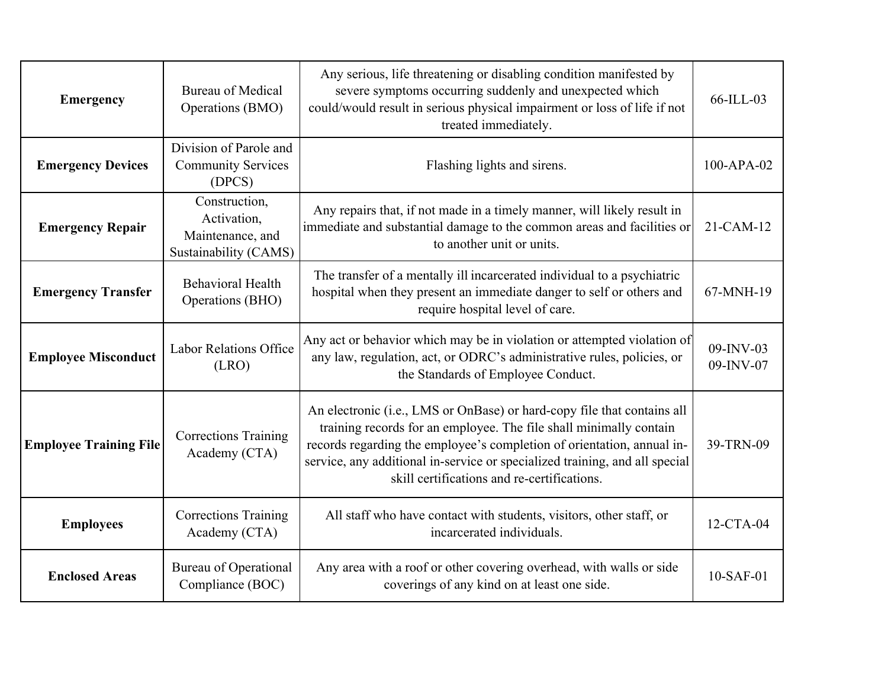| <b>Emergency</b>              | <b>Bureau of Medical</b><br>Operations (BMO)                              | Any serious, life threatening or disabling condition manifested by<br>severe symptoms occurring suddenly and unexpected which<br>could/would result in serious physical impairment or loss of life if not<br>treated immediately.                                                                                                                     | 66-ILL-03              |
|-------------------------------|---------------------------------------------------------------------------|-------------------------------------------------------------------------------------------------------------------------------------------------------------------------------------------------------------------------------------------------------------------------------------------------------------------------------------------------------|------------------------|
| <b>Emergency Devices</b>      | Division of Parole and<br><b>Community Services</b><br>(DPCS)             | Flashing lights and sirens.                                                                                                                                                                                                                                                                                                                           | 100-APA-02             |
| <b>Emergency Repair</b>       | Construction,<br>Activation,<br>Maintenance, and<br>Sustainability (CAMS) | Any repairs that, if not made in a timely manner, will likely result in<br>immediate and substantial damage to the common areas and facilities or<br>to another unit or units.                                                                                                                                                                        | 21-CAM-12              |
| <b>Emergency Transfer</b>     | <b>Behavioral Health</b><br>Operations (BHO)                              | The transfer of a mentally ill incarcerated individual to a psychiatric<br>hospital when they present an immediate danger to self or others and<br>require hospital level of care.                                                                                                                                                                    | 67-MNH-19              |
| <b>Employee Misconduct</b>    | <b>Labor Relations Office</b><br>(LRO)                                    | Any act or behavior which may be in violation or attempted violation of<br>any law, regulation, act, or ODRC's administrative rules, policies, or<br>the Standards of Employee Conduct.                                                                                                                                                               | 09-INV-03<br>09-INV-07 |
| <b>Employee Training File</b> | <b>Corrections Training</b><br>Academy (CTA)                              | An electronic (i.e., LMS or OnBase) or hard-copy file that contains all<br>training records for an employee. The file shall minimally contain<br>records regarding the employee's completion of orientation, annual in-<br>service, any additional in-service or specialized training, and all special<br>skill certifications and re-certifications. | 39-TRN-09              |
| <b>Employees</b>              | <b>Corrections Training</b><br>Academy (CTA)                              | All staff who have contact with students, visitors, other staff, or<br>incarcerated individuals.                                                                                                                                                                                                                                                      | 12-CTA-04              |
| <b>Enclosed Areas</b>         | <b>Bureau of Operational</b><br>Compliance (BOC)                          | Any area with a roof or other covering overhead, with walls or side<br>coverings of any kind on at least one side.                                                                                                                                                                                                                                    | $10-SAF-01$            |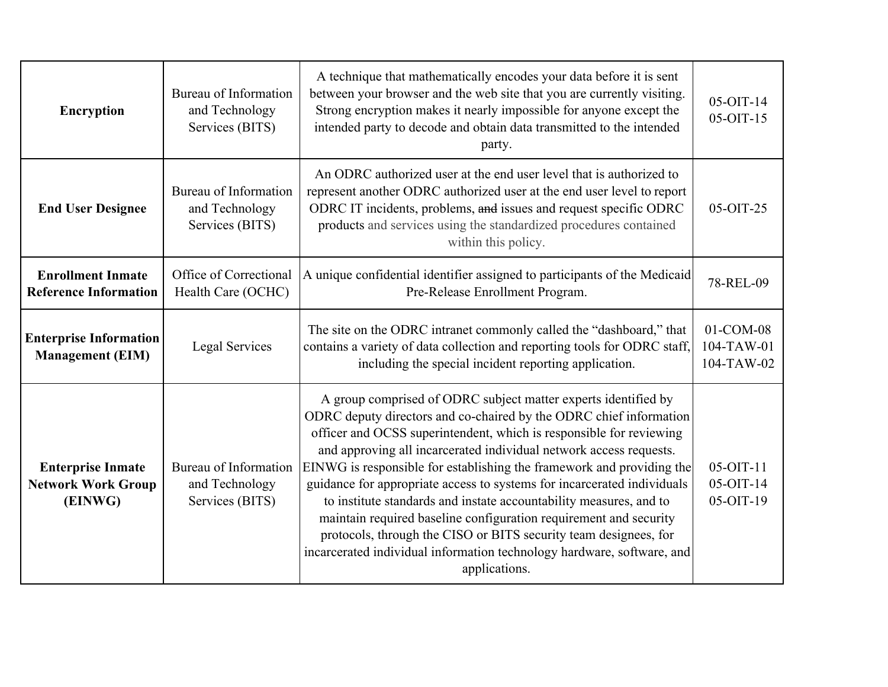| <b>Encryption</b>                                                | Bureau of Information<br>and Technology<br>Services (BITS) | A technique that mathematically encodes your data before it is sent<br>between your browser and the web site that you are currently visiting.<br>Strong encryption makes it nearly impossible for anyone except the<br>intended party to decode and obtain data transmitted to the intended<br>party.                                                                                                                                                                                                                                                                                                                                                                                                                                           | 05-OIT-14<br>$05-OIT-15$              |
|------------------------------------------------------------------|------------------------------------------------------------|-------------------------------------------------------------------------------------------------------------------------------------------------------------------------------------------------------------------------------------------------------------------------------------------------------------------------------------------------------------------------------------------------------------------------------------------------------------------------------------------------------------------------------------------------------------------------------------------------------------------------------------------------------------------------------------------------------------------------------------------------|---------------------------------------|
| <b>End User Designee</b>                                         | Bureau of Information<br>and Technology<br>Services (BITS) | An ODRC authorized user at the end user level that is authorized to<br>represent another ODRC authorized user at the end user level to report<br>ODRC IT incidents, problems, and issues and request specific ODRC<br>products and services using the standardized procedures contained<br>within this policy.                                                                                                                                                                                                                                                                                                                                                                                                                                  | $05-OIT-25$                           |
| <b>Enrollment Inmate</b><br><b>Reference Information</b>         | Office of Correctional<br>Health Care (OCHC)               | A unique confidential identifier assigned to participants of the Medicaid<br>Pre-Release Enrollment Program.                                                                                                                                                                                                                                                                                                                                                                                                                                                                                                                                                                                                                                    | 78-REL-09                             |
| <b>Enterprise Information</b><br><b>Management (EIM)</b>         | Legal Services                                             | The site on the ODRC intranet commonly called the "dashboard," that<br>contains a variety of data collection and reporting tools for ODRC staff,<br>including the special incident reporting application.                                                                                                                                                                                                                                                                                                                                                                                                                                                                                                                                       | 01-COM-08<br>104-TAW-01<br>104-TAW-02 |
| <b>Enterprise Inmate</b><br><b>Network Work Group</b><br>(EINWG) | Bureau of Information<br>and Technology<br>Services (BITS) | A group comprised of ODRC subject matter experts identified by<br>ODRC deputy directors and co-chaired by the ODRC chief information<br>officer and OCSS superintendent, which is responsible for reviewing<br>and approving all incarcerated individual network access requests.<br>EINWG is responsible for establishing the framework and providing the<br>guidance for appropriate access to systems for incarcerated individuals<br>to institute standards and instate accountability measures, and to<br>maintain required baseline configuration requirement and security<br>protocols, through the CISO or BITS security team designees, for<br>incarcerated individual information technology hardware, software, and<br>applications. | $05-OIT-11$<br>05-OIT-14<br>05-OIT-19 |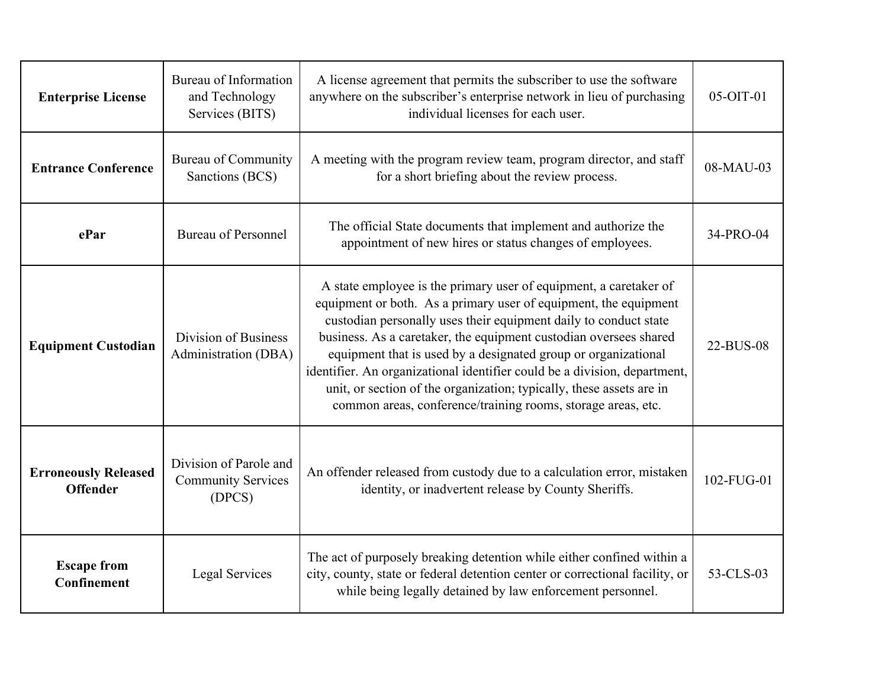| <b>Enterprise License</b>                      | Bureau of Information<br>and Technology<br>Services (BITS)    | A license agreement that permits the subscriber to use the software<br>anywhere on the subscriber's enterprise network in lieu of purchasing<br>individual licenses for each user.                                                                                                                                                                                                                                                                                                                                                                                    | 05-OIT-01  |
|------------------------------------------------|---------------------------------------------------------------|-----------------------------------------------------------------------------------------------------------------------------------------------------------------------------------------------------------------------------------------------------------------------------------------------------------------------------------------------------------------------------------------------------------------------------------------------------------------------------------------------------------------------------------------------------------------------|------------|
| <b>Entrance Conference</b>                     | <b>Bureau of Community</b><br>Sanctions (BCS)                 | A meeting with the program review team, program director, and staff<br>for a short briefing about the review process.                                                                                                                                                                                                                                                                                                                                                                                                                                                 | 08-MAU-03  |
| ePar                                           | <b>Bureau of Personnel</b>                                    | The official State documents that implement and authorize the<br>appointment of new hires or status changes of employees.                                                                                                                                                                                                                                                                                                                                                                                                                                             | 34-PRO-04  |
| <b>Equipment Custodian</b>                     | Division of Business<br>Administration (DBA)                  | A state employee is the primary user of equipment, a caretaker of<br>equipment or both. As a primary user of equipment, the equipment<br>custodian personally uses their equipment daily to conduct state<br>business. As a caretaker, the equipment custodian oversees shared<br>equipment that is used by a designated group or organizational<br>identifier. An organizational identifier could be a division, department,<br>unit, or section of the organization; typically, these assets are in<br>common areas, conference/training rooms, storage areas, etc. | 22-BUS-08  |
| <b>Erroneously Released</b><br><b>Offender</b> | Division of Parole and<br><b>Community Services</b><br>(DPCS) | An offender released from custody due to a calculation error, mistaken<br>identity, or inadvertent release by County Sheriffs.                                                                                                                                                                                                                                                                                                                                                                                                                                        | 102-FUG-01 |
| <b>Escape from</b><br>Confinement              | Legal Services                                                | The act of purposely breaking detention while either confined within a<br>city, county, state or federal detention center or correctional facility, or<br>while being legally detained by law enforcement personnel.                                                                                                                                                                                                                                                                                                                                                  | 53-CLS-03  |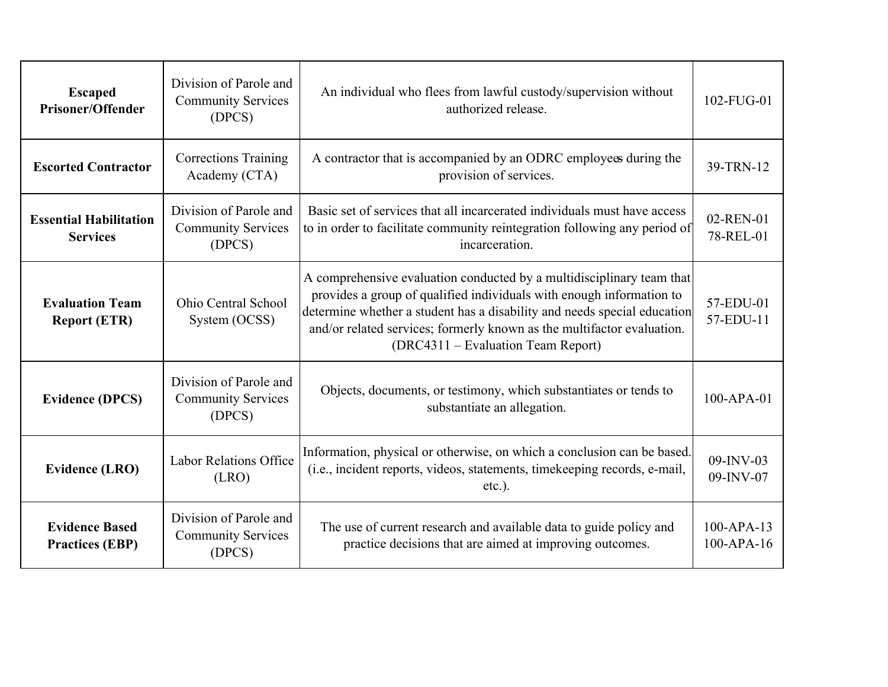| <b>Escaped</b><br>Prisoner/Offender              | Division of Parole and<br><b>Community Services</b><br>(DPCS) | An individual who flees from lawful custody/supervision without<br>authorized release.                                                                                                                                                                                                                                                    | 102-FUG-01                     |
|--------------------------------------------------|---------------------------------------------------------------|-------------------------------------------------------------------------------------------------------------------------------------------------------------------------------------------------------------------------------------------------------------------------------------------------------------------------------------------|--------------------------------|
| <b>Escorted Contractor</b>                       | <b>Corrections Training</b><br>Academy (CTA)                  | A contractor that is accompanied by an ODRC employees during the<br>provision of services.                                                                                                                                                                                                                                                | 39-TRN-12                      |
| <b>Essential Habilitation</b><br><b>Services</b> | Division of Parole and<br><b>Community Services</b><br>(DPCS) | Basic set of services that all incarcerated individuals must have access<br>to in order to facilitate community reintegration following any period of<br>incarceration.                                                                                                                                                                   | 02-REN-01<br>78-REL-01         |
| <b>Evaluation Team</b><br><b>Report (ETR)</b>    | Ohio Central School<br>System (OCSS)                          | A comprehensive evaluation conducted by a multidisciplinary team that<br>provides a group of qualified individuals with enough information to<br>determine whether a student has a disability and needs special education<br>and/or related services; formerly known as the multifactor evaluation.<br>(DRC4311 – Evaluation Team Report) | 57-EDU-01<br>57-EDU-11         |
| <b>Evidence (DPCS)</b>                           | Division of Parole and<br><b>Community Services</b><br>(DPCS) | Objects, documents, or testimony, which substantiates or tends to<br>substantiate an allegation.                                                                                                                                                                                                                                          | $100 - APA - 01$               |
| <b>Evidence (LRO)</b>                            | <b>Labor Relations Office</b><br>(LRO)                        | Information, physical or otherwise, on which a conclusion can be based.<br>(i.e., incident reports, videos, statements, timekeeping records, e-mail,<br>$etc.$ ).                                                                                                                                                                         | $09$ -INV-03<br>09-INV-07      |
| <b>Evidence Based</b><br><b>Practices (EBP)</b>  | Division of Parole and<br><b>Community Services</b><br>(DPCS) | The use of current research and available data to guide policy and<br>practice decisions that are aimed at improving outcomes.                                                                                                                                                                                                            | 100-APA-13<br>$100 - APA - 16$ |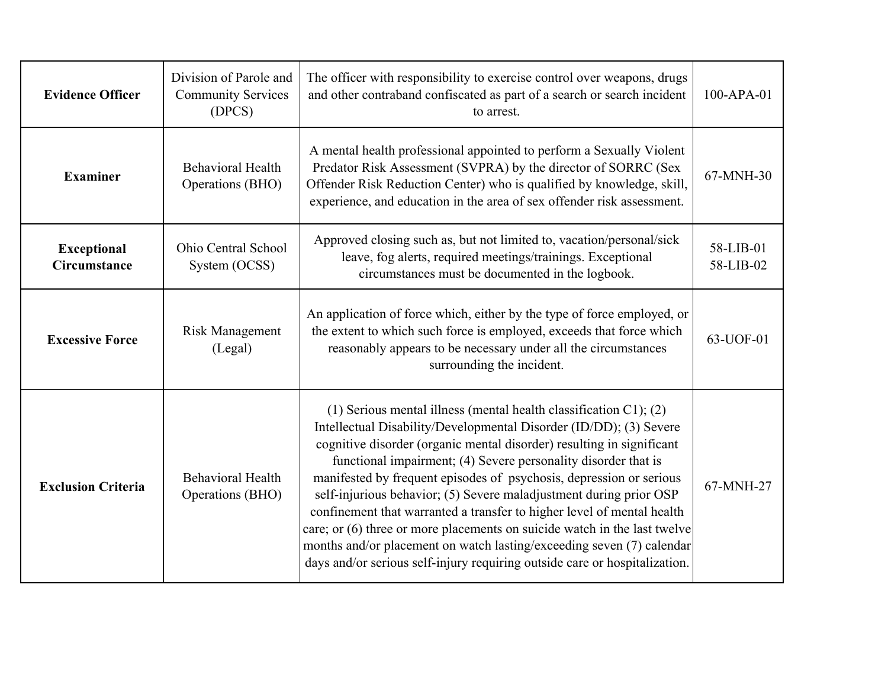| <b>Evidence Officer</b>            | Division of Parole and<br><b>Community Services</b><br>(DPCS) | The officer with responsibility to exercise control over weapons, drugs<br>and other contraband confiscated as part of a search or search incident<br>to arrest.                                                                                                                                                                                                                                                                                                                                                                                                                                                                                                                                                                                | 100-APA-01             |
|------------------------------------|---------------------------------------------------------------|-------------------------------------------------------------------------------------------------------------------------------------------------------------------------------------------------------------------------------------------------------------------------------------------------------------------------------------------------------------------------------------------------------------------------------------------------------------------------------------------------------------------------------------------------------------------------------------------------------------------------------------------------------------------------------------------------------------------------------------------------|------------------------|
| <b>Examiner</b>                    | <b>Behavioral Health</b><br>Operations (BHO)                  | A mental health professional appointed to perform a Sexually Violent<br>Predator Risk Assessment (SVPRA) by the director of SORRC (Sex<br>Offender Risk Reduction Center) who is qualified by knowledge, skill,<br>experience, and education in the area of sex offender risk assessment.                                                                                                                                                                                                                                                                                                                                                                                                                                                       | 67-MNH-30              |
| <b>Exceptional</b><br>Circumstance | Ohio Central School<br>System (OCSS)                          | Approved closing such as, but not limited to, vacation/personal/sick<br>leave, fog alerts, required meetings/trainings. Exceptional<br>circumstances must be documented in the logbook.                                                                                                                                                                                                                                                                                                                                                                                                                                                                                                                                                         | 58-LIB-01<br>58-LIB-02 |
| <b>Excessive Force</b>             | <b>Risk Management</b><br>(Legal)                             | An application of force which, either by the type of force employed, or<br>the extent to which such force is employed, exceeds that force which<br>reasonably appears to be necessary under all the circumstances<br>surrounding the incident.                                                                                                                                                                                                                                                                                                                                                                                                                                                                                                  | 63-UOF-01              |
| <b>Exclusion Criteria</b>          | <b>Behavioral Health</b><br>Operations (BHO)                  | (1) Serious mental illness (mental health classification C1); (2)<br>Intellectual Disability/Developmental Disorder (ID/DD); (3) Severe<br>cognitive disorder (organic mental disorder) resulting in significant<br>functional impairment; (4) Severe personality disorder that is<br>manifested by frequent episodes of psychosis, depression or serious<br>self-injurious behavior; (5) Severe maladjustment during prior OSP<br>confinement that warranted a transfer to higher level of mental health<br>care; or $(6)$ three or more placements on suicide watch in the last twelve<br>months and/or placement on watch lasting/exceeding seven (7) calendar<br>days and/or serious self-injury requiring outside care or hospitalization. | 67-MNH-27              |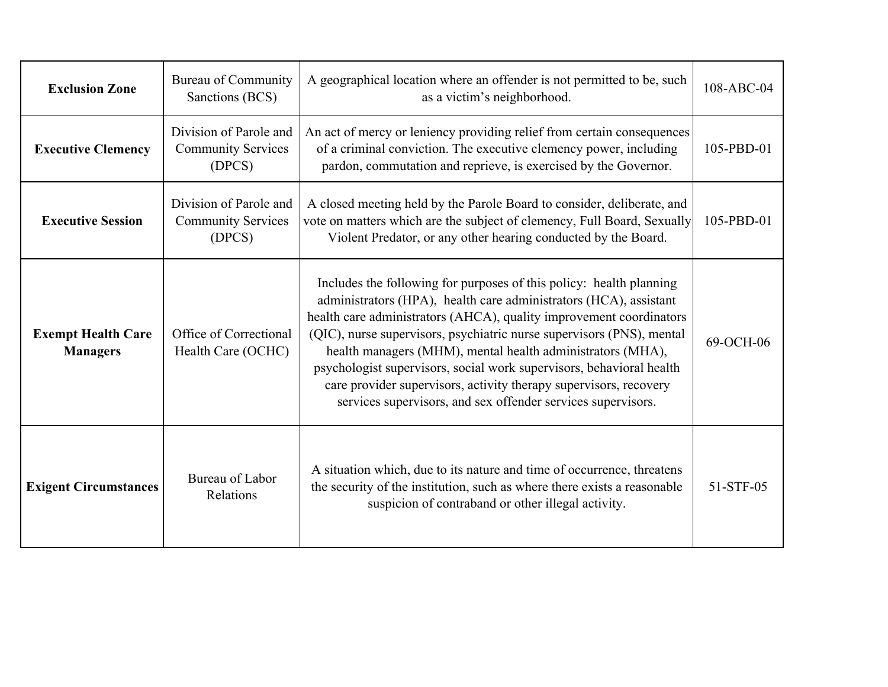| <b>Exclusion Zone</b>                        | <b>Bureau of Community</b><br>Sanctions (BCS)                 | A geographical location where an offender is not permitted to be, such<br>as a victim's neighborhood.                                                                                                                                                                                                                                                                                                                                                                                                                                                               | 108-ABC-04 |
|----------------------------------------------|---------------------------------------------------------------|---------------------------------------------------------------------------------------------------------------------------------------------------------------------------------------------------------------------------------------------------------------------------------------------------------------------------------------------------------------------------------------------------------------------------------------------------------------------------------------------------------------------------------------------------------------------|------------|
| <b>Executive Clemency</b>                    | Division of Parole and<br><b>Community Services</b><br>(DPCS) | An act of mercy or leniency providing relief from certain consequences<br>of a criminal conviction. The executive clemency power, including<br>pardon, commutation and reprieve, is exercised by the Governor.                                                                                                                                                                                                                                                                                                                                                      | 105-PBD-01 |
| <b>Executive Session</b>                     | Division of Parole and<br><b>Community Services</b><br>(DPCS) | A closed meeting held by the Parole Board to consider, deliberate, and<br>vote on matters which are the subject of clemency, Full Board, Sexually<br>Violent Predator, or any other hearing conducted by the Board.                                                                                                                                                                                                                                                                                                                                                 | 105-PBD-01 |
| <b>Exempt Health Care</b><br><b>Managers</b> | Office of Correctional<br>Health Care (OCHC)                  | Includes the following for purposes of this policy: health planning<br>administrators (HPA), health care administrators (HCA), assistant<br>health care administrators (AHCA), quality improvement coordinators<br>(QIC), nurse supervisors, psychiatric nurse supervisors (PNS), mental<br>health managers (MHM), mental health administrators (MHA),<br>psychologist supervisors, social work supervisors, behavioral health<br>care provider supervisors, activity therapy supervisors, recovery<br>services supervisors, and sex offender services supervisors. | 69-OCH-06  |
| <b>Exigent Circumstances</b>                 | Bureau of Labor<br>Relations                                  | A situation which, due to its nature and time of occurrence, threatens<br>the security of the institution, such as where there exists a reasonable<br>suspicion of contraband or other illegal activity.                                                                                                                                                                                                                                                                                                                                                            | 51-STF-05  |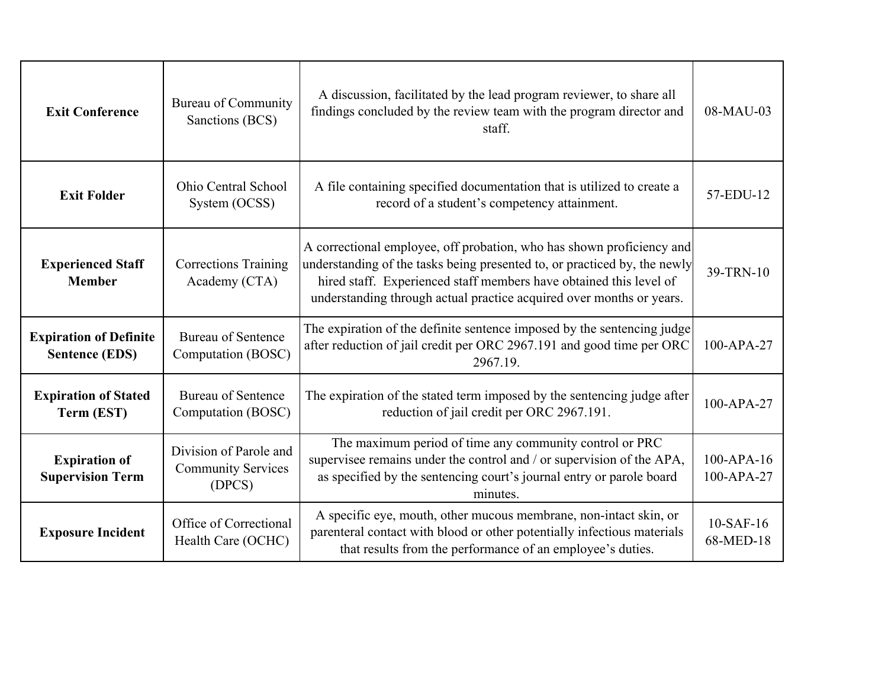| <b>Exit Conference</b>                                 | <b>Bureau of Community</b><br>Sanctions (BCS)                 | A discussion, facilitated by the lead program reviewer, to share all<br>findings concluded by the review team with the program director and<br>staff.                                                                                                                                            | 08-MAU-03                |
|--------------------------------------------------------|---------------------------------------------------------------|--------------------------------------------------------------------------------------------------------------------------------------------------------------------------------------------------------------------------------------------------------------------------------------------------|--------------------------|
| <b>Exit Folder</b>                                     | Ohio Central School<br>System (OCSS)                          | A file containing specified documentation that is utilized to create a<br>record of a student's competency attainment.                                                                                                                                                                           | 57-EDU-12                |
| <b>Experienced Staff</b><br><b>Member</b>              | <b>Corrections Training</b><br>Academy (CTA)                  | A correctional employee, off probation, who has shown proficiency and<br>understanding of the tasks being presented to, or practiced by, the newly<br>hired staff. Experienced staff members have obtained this level of<br>understanding through actual practice acquired over months or years. | 39-TRN-10                |
| <b>Expiration of Definite</b><br><b>Sentence (EDS)</b> | <b>Bureau of Sentence</b><br>Computation (BOSC)               | The expiration of the definite sentence imposed by the sentencing judge<br>after reduction of jail credit per ORC 2967.191 and good time per ORC<br>2967.19.                                                                                                                                     | 100-APA-27               |
| <b>Expiration of Stated</b><br>Term (EST)              | <b>Bureau of Sentence</b><br>Computation (BOSC)               | The expiration of the stated term imposed by the sentencing judge after<br>reduction of jail credit per ORC 2967.191.                                                                                                                                                                            | 100-APA-27               |
| <b>Expiration of</b><br><b>Supervision Term</b>        | Division of Parole and<br><b>Community Services</b><br>(DPCS) | The maximum period of time any community control or PRC<br>supervisee remains under the control and / or supervision of the APA,<br>as specified by the sentencing court's journal entry or parole board<br>minutes.                                                                             | 100-APA-16<br>100-APA-27 |
| <b>Exposure Incident</b>                               | Office of Correctional<br>Health Care (OCHC)                  | A specific eye, mouth, other mucous membrane, non-intact skin, or<br>parenteral contact with blood or other potentially infectious materials<br>that results from the performance of an employee's duties.                                                                                       | $10-SAF-16$<br>68-MED-18 |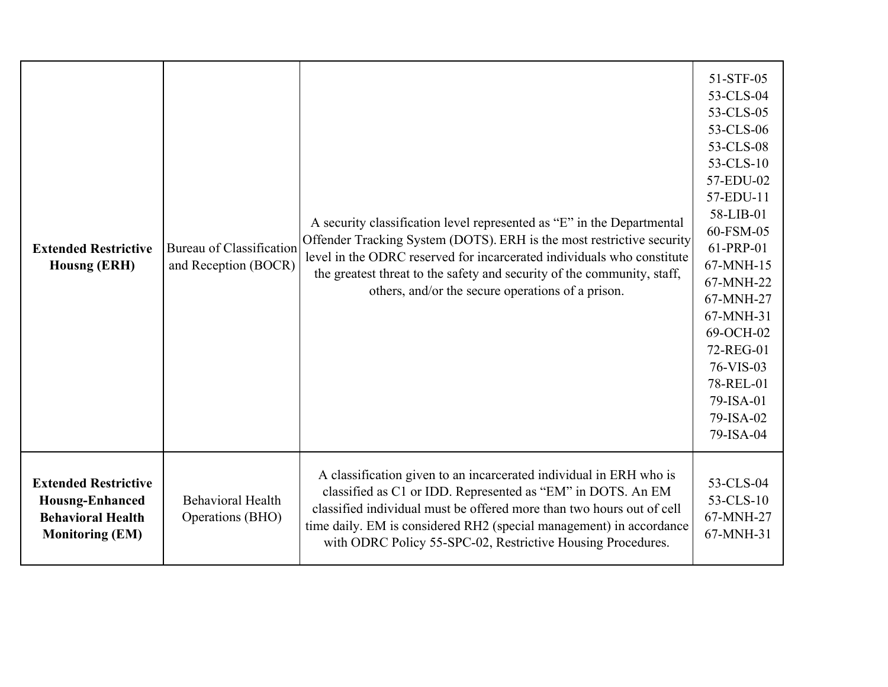| <b>Extended Restrictive</b><br><b>Housng (ERH)</b>                                                          | <b>Bureau of Classification</b><br>and Reception (BOCR) | A security classification level represented as "E" in the Departmental<br>Offender Tracking System (DOTS). ERH is the most restrictive security<br>level in the ODRC reserved for incarcerated individuals who constitute<br>the greatest threat to the safety and security of the community, staff,<br>others, and/or the secure operations of a prison. | 51-STF-05<br>53-CLS-04<br>53-CLS-05<br>53-CLS-06<br>53-CLS-08<br>53-CLS-10<br>57-EDU-02<br>57-EDU-11<br>58-LIB-01<br>60-FSM-05<br>61-PRP-01<br>67-MNH-15<br>67-MNH-22<br>67-MNH-27<br>67-MNH-31<br>69-OCH-02<br>72-REG-01<br>76-VIS-03<br>78-REL-01<br>79-ISA-01<br>79-ISA-02<br>79-ISA-04 |
|-------------------------------------------------------------------------------------------------------------|---------------------------------------------------------|-----------------------------------------------------------------------------------------------------------------------------------------------------------------------------------------------------------------------------------------------------------------------------------------------------------------------------------------------------------|--------------------------------------------------------------------------------------------------------------------------------------------------------------------------------------------------------------------------------------------------------------------------------------------|
| <b>Extended Restrictive</b><br><b>Housng-Enhanced</b><br><b>Behavioral Health</b><br><b>Monitoring (EM)</b> | <b>Behavioral Health</b><br>Operations (BHO)            | A classification given to an incarcerated individual in ERH who is<br>classified as C1 or IDD. Represented as "EM" in DOTS. An EM<br>classified individual must be offered more than two hours out of cell<br>time daily. EM is considered RH2 (special management) in accordance<br>with ODRC Policy 55-SPC-02, Restrictive Housing Procedures.          | 53-CLS-04<br>53-CLS-10<br>67-MNH-27<br>67-MNH-31                                                                                                                                                                                                                                           |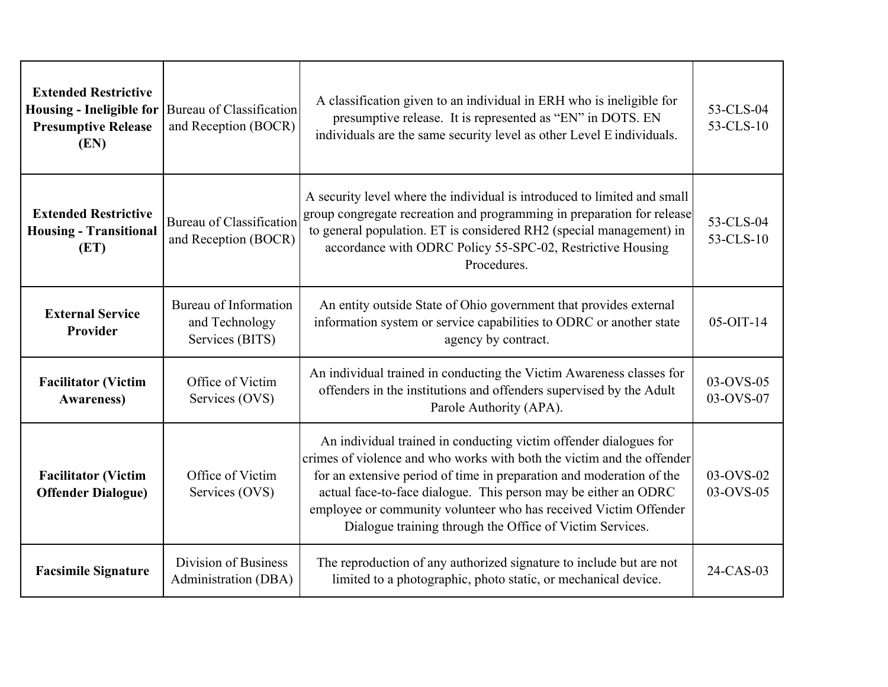| <b>Extended Restrictive</b><br>Housing - Ineligible for   Bureau of Classification<br><b>Presumptive Release</b><br>(EN) | and Reception (BOCR)                                       | A classification given to an individual in ERH who is ineligible for<br>presumptive release. It is represented as "EN" in DOTS. EN<br>individuals are the same security level as other Level E individuals.                                                                                                                                                                                                            | 53-CLS-04<br>53-CLS-10 |
|--------------------------------------------------------------------------------------------------------------------------|------------------------------------------------------------|------------------------------------------------------------------------------------------------------------------------------------------------------------------------------------------------------------------------------------------------------------------------------------------------------------------------------------------------------------------------------------------------------------------------|------------------------|
| <b>Extended Restrictive</b><br><b>Housing - Transitional</b><br>(ET)                                                     | <b>Bureau of Classification</b><br>and Reception (BOCR)    | A security level where the individual is introduced to limited and small<br>group congregate recreation and programming in preparation for release<br>to general population. ET is considered RH2 (special management) in<br>accordance with ODRC Policy 55-SPC-02, Restrictive Housing<br>Procedures.                                                                                                                 | 53-CLS-04<br>53-CLS-10 |
| <b>External Service</b><br>Provider                                                                                      | Bureau of Information<br>and Technology<br>Services (BITS) | An entity outside State of Ohio government that provides external<br>information system or service capabilities to ODRC or another state<br>agency by contract.                                                                                                                                                                                                                                                        | $05-OT-14$             |
| <b>Facilitator (Victim</b><br><b>Awareness)</b>                                                                          | Office of Victim<br>Services (OVS)                         | An individual trained in conducting the Victim Awareness classes for<br>offenders in the institutions and offenders supervised by the Adult<br>Parole Authority (APA).                                                                                                                                                                                                                                                 | 03-OVS-05<br>03-OVS-07 |
| <b>Facilitator (Victim</b><br><b>Offender Dialogue)</b>                                                                  | Office of Victim<br>Services (OVS)                         | An individual trained in conducting victim offender dialogues for<br>crimes of violence and who works with both the victim and the offender<br>for an extensive period of time in preparation and moderation of the<br>actual face-to-face dialogue. This person may be either an ODRC<br>employee or community volunteer who has received Victim Offender<br>Dialogue training through the Office of Victim Services. | 03-OVS-02<br>03-OVS-05 |
| <b>Facsimile Signature</b>                                                                                               | Division of Business<br>Administration (DBA)               | The reproduction of any authorized signature to include but are not<br>limited to a photographic, photo static, or mechanical device.                                                                                                                                                                                                                                                                                  | $24$ -CAS-03           |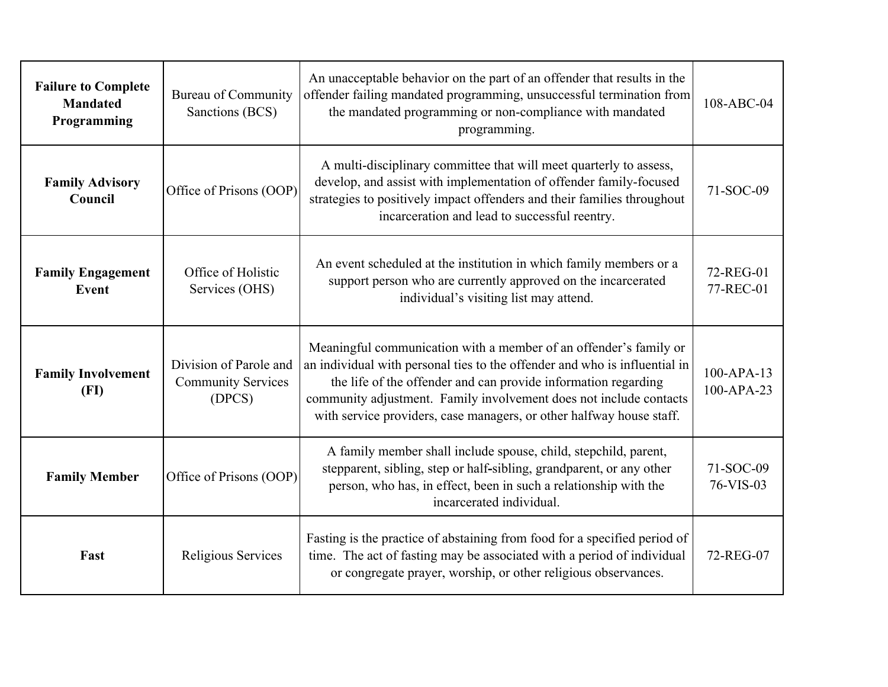| <b>Failure to Complete</b><br><b>Mandated</b><br>Programming | <b>Bureau of Community</b><br>Sanctions (BCS)                 | An unacceptable behavior on the part of an offender that results in the<br>offender failing mandated programming, unsuccessful termination from<br>the mandated programming or non-compliance with mandated<br>programming.                                                                                                                                     | 108-ABC-04                 |
|--------------------------------------------------------------|---------------------------------------------------------------|-----------------------------------------------------------------------------------------------------------------------------------------------------------------------------------------------------------------------------------------------------------------------------------------------------------------------------------------------------------------|----------------------------|
| <b>Family Advisory</b><br>Council                            | Office of Prisons (OOP)                                       | A multi-disciplinary committee that will meet quarterly to assess,<br>develop, and assist with implementation of offender family-focused<br>strategies to positively impact offenders and their families throughout<br>incarceration and lead to successful reentry.                                                                                            | 71-SOC-09                  |
| <b>Family Engagement</b><br>Event                            | Office of Holistic<br>Services (OHS)                          | An event scheduled at the institution in which family members or a<br>support person who are currently approved on the incarcerated<br>individual's visiting list may attend.                                                                                                                                                                                   | 72-REG-01<br>77-REC-01     |
| <b>Family Involvement</b><br>(FI)                            | Division of Parole and<br><b>Community Services</b><br>(DPCS) | Meaningful communication with a member of an offender's family or<br>an individual with personal ties to the offender and who is influential in<br>the life of the offender and can provide information regarding<br>community adjustment. Family involvement does not include contacts<br>with service providers, case managers, or other halfway house staff. | $100-APA-13$<br>100-APA-23 |
| <b>Family Member</b>                                         | Office of Prisons (OOP)                                       | A family member shall include spouse, child, stepchild, parent,<br>stepparent, sibling, step or half-sibling, grandparent, or any other<br>person, who has, in effect, been in such a relationship with the<br>incarcerated individual.                                                                                                                         | 71-SOC-09<br>76-VIS-03     |
| Fast                                                         | Religious Services                                            | Fasting is the practice of abstaining from food for a specified period of<br>time. The act of fasting may be associated with a period of individual<br>or congregate prayer, worship, or other religious observances.                                                                                                                                           | 72-REG-07                  |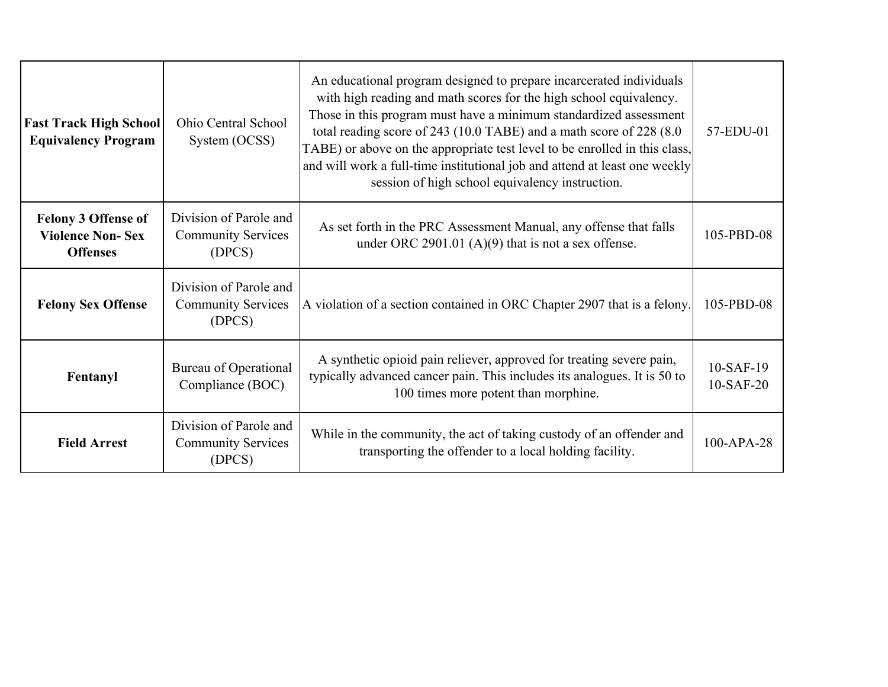| <b>Fast Track High School</b><br><b>Equivalency Program</b>              | Ohio Central School<br>System (OCSS)                          | An educational program designed to prepare incarcerated individuals<br>with high reading and math scores for the high school equivalency.<br>Those in this program must have a minimum standardized assessment<br>total reading score of 243 (10.0 TABE) and a math score of 228 (8.0<br>TABE) or above on the appropriate test level to be enrolled in this class,<br>and will work a full-time institutional job and attend at least one weekly<br>session of high school equivalency instruction. | 57-EDU-01                |
|--------------------------------------------------------------------------|---------------------------------------------------------------|------------------------------------------------------------------------------------------------------------------------------------------------------------------------------------------------------------------------------------------------------------------------------------------------------------------------------------------------------------------------------------------------------------------------------------------------------------------------------------------------------|--------------------------|
| <b>Felony 3 Offense of</b><br><b>Violence Non-Sex</b><br><b>Offenses</b> | Division of Parole and<br><b>Community Services</b><br>(DPCS) | As set forth in the PRC Assessment Manual, any offense that falls<br>under ORC 2901.01 (A)(9) that is not a sex offense.                                                                                                                                                                                                                                                                                                                                                                             | 105-PBD-08               |
| <b>Felony Sex Offense</b>                                                | Division of Parole and<br><b>Community Services</b><br>(DPCS) | A violation of a section contained in ORC Chapter 2907 that is a felony.                                                                                                                                                                                                                                                                                                                                                                                                                             | 105-PBD-08               |
| Fentanyl                                                                 | Bureau of Operational<br>Compliance (BOC)                     | A synthetic opioid pain reliever, approved for treating severe pain,<br>typically advanced cancer pain. This includes its analogues. It is 50 to<br>100 times more potent than morphine.                                                                                                                                                                                                                                                                                                             | $10-SAF-19$<br>10-SAF-20 |
| <b>Field Arrest</b>                                                      | Division of Parole and<br><b>Community Services</b><br>(DPCS) | While in the community, the act of taking custody of an offender and<br>transporting the offender to a local holding facility.                                                                                                                                                                                                                                                                                                                                                                       | 100-APA-28               |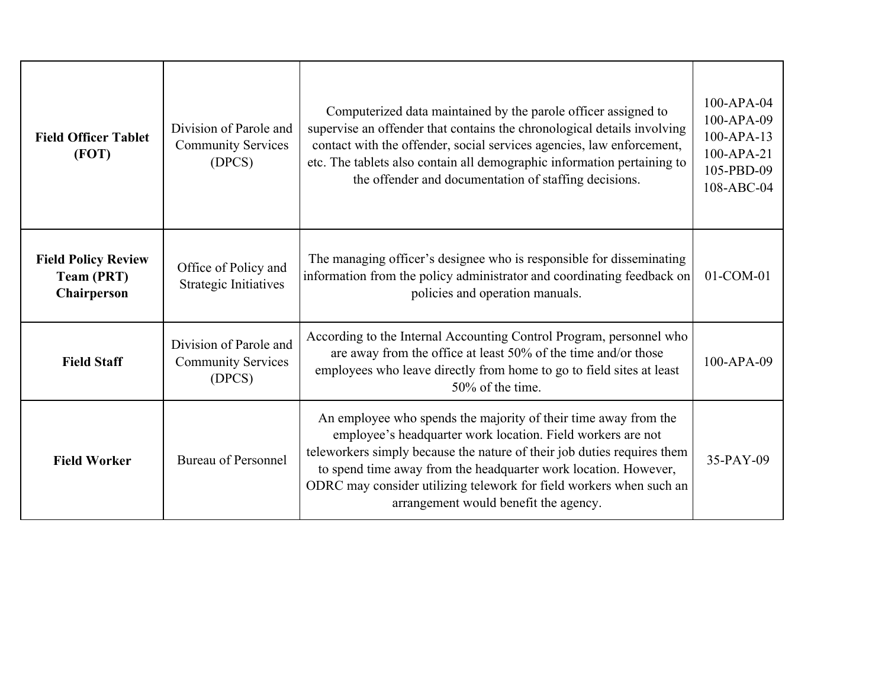| <b>Field Officer Tablet</b><br>(FOT)                           | Division of Parole and<br><b>Community Services</b><br>(DPCS) | Computerized data maintained by the parole officer assigned to<br>supervise an offender that contains the chronological details involving<br>contact with the offender, social services agencies, law enforcement,<br>etc. The tablets also contain all demographic information pertaining to<br>the offender and documentation of staffing decisions.                                       | 100-APA-04<br>100-APA-09<br>100-APA-13<br>$100 - APA - 21$<br>105-PBD-09<br>108-ABC-04 |
|----------------------------------------------------------------|---------------------------------------------------------------|----------------------------------------------------------------------------------------------------------------------------------------------------------------------------------------------------------------------------------------------------------------------------------------------------------------------------------------------------------------------------------------------|----------------------------------------------------------------------------------------|
| <b>Field Policy Review</b><br><b>Team (PRT)</b><br>Chairperson | Office of Policy and<br><b>Strategic Initiatives</b>          | The managing officer's designee who is responsible for disseminating<br>information from the policy administrator and coordinating feedback on<br>policies and operation manuals.                                                                                                                                                                                                            | $01$ -COM-01                                                                           |
| <b>Field Staff</b>                                             | Division of Parole and<br><b>Community Services</b><br>(DPCS) | According to the Internal Accounting Control Program, personnel who<br>are away from the office at least 50% of the time and/or those<br>employees who leave directly from home to go to field sites at least<br>50% of the time.                                                                                                                                                            | 100-APA-09                                                                             |
| <b>Field Worker</b>                                            | <b>Bureau of Personnel</b>                                    | An employee who spends the majority of their time away from the<br>employee's headquarter work location. Field workers are not<br>teleworkers simply because the nature of their job duties requires them<br>to spend time away from the headquarter work location. However,<br>ODRC may consider utilizing telework for field workers when such an<br>arrangement would benefit the agency. | 35-PAY-09                                                                              |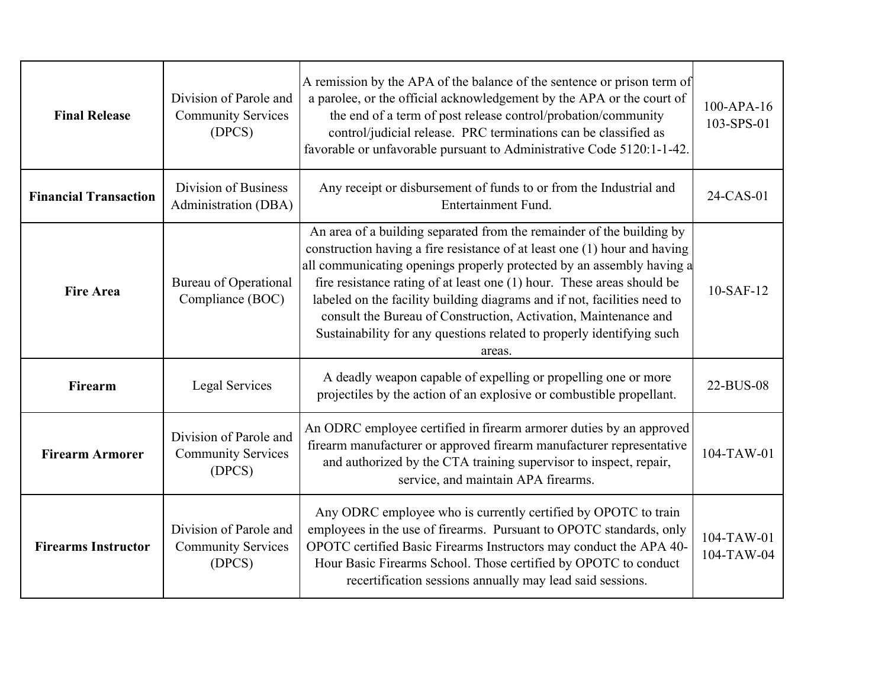| <b>Final Release</b>         | Division of Parole and<br><b>Community Services</b><br>(DPCS) | A remission by the APA of the balance of the sentence or prison term of<br>a parolee, or the official acknowledgement by the APA or the court of<br>the end of a term of post release control/probation/community<br>control/judicial release. PRC terminations can be classified as<br>favorable or unfavorable pursuant to Administrative Code 5120:1-1-42.                                                                                                                                                                             | 100-APA-16<br>103-SPS-01 |
|------------------------------|---------------------------------------------------------------|-------------------------------------------------------------------------------------------------------------------------------------------------------------------------------------------------------------------------------------------------------------------------------------------------------------------------------------------------------------------------------------------------------------------------------------------------------------------------------------------------------------------------------------------|--------------------------|
| <b>Financial Transaction</b> | Division of Business<br>Administration (DBA)                  | Any receipt or disbursement of funds to or from the Industrial and<br>Entertainment Fund.                                                                                                                                                                                                                                                                                                                                                                                                                                                 | 24-CAS-01                |
| <b>Fire Area</b>             | <b>Bureau of Operational</b><br>Compliance (BOC)              | An area of a building separated from the remainder of the building by<br>construction having a fire resistance of at least one (1) hour and having<br>all communicating openings properly protected by an assembly having a<br>fire resistance rating of at least one $(1)$ hour. These areas should be<br>labeled on the facility building diagrams and if not, facilities need to<br>consult the Bureau of Construction, Activation, Maintenance and<br>Sustainability for any questions related to properly identifying such<br>areas. | $10-SAF-12$              |
| <b>Firearm</b>               | Legal Services                                                | A deadly weapon capable of expelling or propelling one or more<br>projectiles by the action of an explosive or combustible propellant.                                                                                                                                                                                                                                                                                                                                                                                                    | 22-BUS-08                |
| <b>Firearm Armorer</b>       | Division of Parole and<br><b>Community Services</b><br>(DPCS) | An ODRC employee certified in firearm armorer duties by an approved<br>firearm manufacturer or approved firearm manufacturer representative<br>and authorized by the CTA training supervisor to inspect, repair,<br>service, and maintain APA firearms.                                                                                                                                                                                                                                                                                   | 104-TAW-01               |
| <b>Firearms Instructor</b>   | Division of Parole and<br><b>Community Services</b><br>(DPCS) | Any ODRC employee who is currently certified by OPOTC to train<br>employees in the use of firearms. Pursuant to OPOTC standards, only<br>OPOTC certified Basic Firearms Instructors may conduct the APA 40-<br>Hour Basic Firearms School. Those certified by OPOTC to conduct<br>recertification sessions annually may lead said sessions.                                                                                                                                                                                               | 104-TAW-01<br>104-TAW-04 |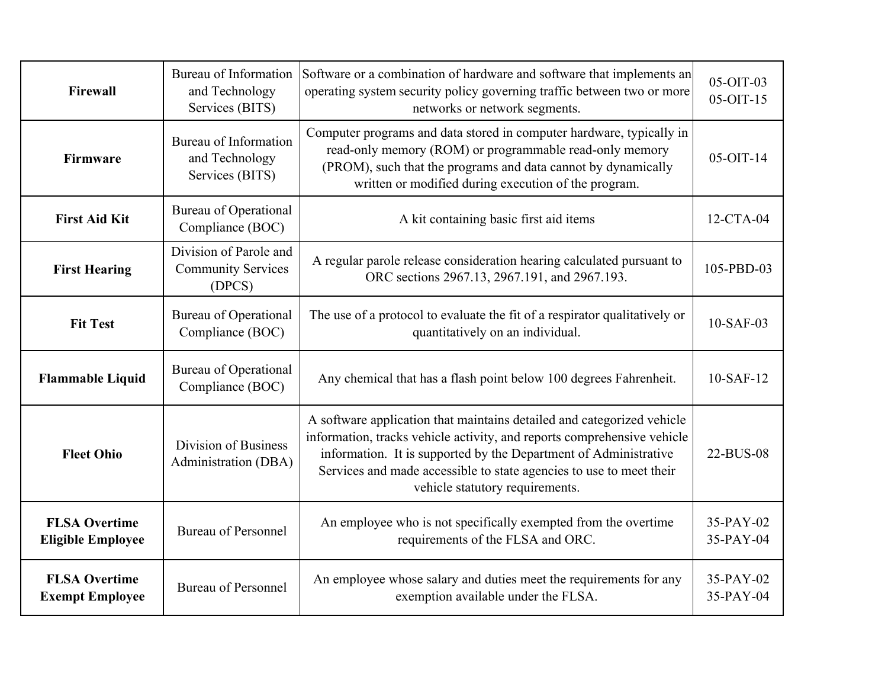| <b>Firewall</b>                                  | <b>Bureau of Information</b><br>and Technology<br>Services (BITS) | Software or a combination of hardware and software that implements an<br>operating system security policy governing traffic between two or more<br>networks or network segments.                                                                                                                                                | 05-OIT-03<br>05-OIT-15 |
|--------------------------------------------------|-------------------------------------------------------------------|---------------------------------------------------------------------------------------------------------------------------------------------------------------------------------------------------------------------------------------------------------------------------------------------------------------------------------|------------------------|
| <b>Firmware</b>                                  | Bureau of Information<br>and Technology<br>Services (BITS)        | Computer programs and data stored in computer hardware, typically in<br>read-only memory (ROM) or programmable read-only memory<br>(PROM), such that the programs and data cannot by dynamically<br>written or modified during execution of the program.                                                                        | $05-OIT-14$            |
| <b>First Aid Kit</b>                             | <b>Bureau of Operational</b><br>Compliance (BOC)                  | A kit containing basic first aid items                                                                                                                                                                                                                                                                                          | 12-CTA-04              |
| <b>First Hearing</b>                             | Division of Parole and<br><b>Community Services</b><br>(DPCS)     | A regular parole release consideration hearing calculated pursuant to<br>ORC sections 2967.13, 2967.191, and 2967.193.                                                                                                                                                                                                          | 105-PBD-03             |
| <b>Fit Test</b>                                  | <b>Bureau of Operational</b><br>Compliance (BOC)                  | The use of a protocol to evaluate the fit of a respirator qualitatively or<br>quantitatively on an individual.                                                                                                                                                                                                                  | 10-SAF-03              |
| <b>Flammable Liquid</b>                          | <b>Bureau of Operational</b><br>Compliance (BOC)                  | Any chemical that has a flash point below 100 degrees Fahrenheit.                                                                                                                                                                                                                                                               | $10-SAF-12$            |
| <b>Fleet Ohio</b>                                | Division of Business<br>Administration (DBA)                      | A software application that maintains detailed and categorized vehicle<br>information, tracks vehicle activity, and reports comprehensive vehicle<br>information. It is supported by the Department of Administrative<br>Services and made accessible to state agencies to use to meet their<br>vehicle statutory requirements. | 22-BUS-08              |
| <b>FLSA Overtime</b><br><b>Eligible Employee</b> | <b>Bureau of Personnel</b>                                        | An employee who is not specifically exempted from the overtime<br>requirements of the FLSA and ORC.                                                                                                                                                                                                                             | 35-PAY-02<br>35-PAY-04 |
| <b>FLSA Overtime</b><br><b>Exempt Employee</b>   | <b>Bureau of Personnel</b>                                        | An employee whose salary and duties meet the requirements for any<br>exemption available under the FLSA.                                                                                                                                                                                                                        | 35-PAY-02<br>35-PAY-04 |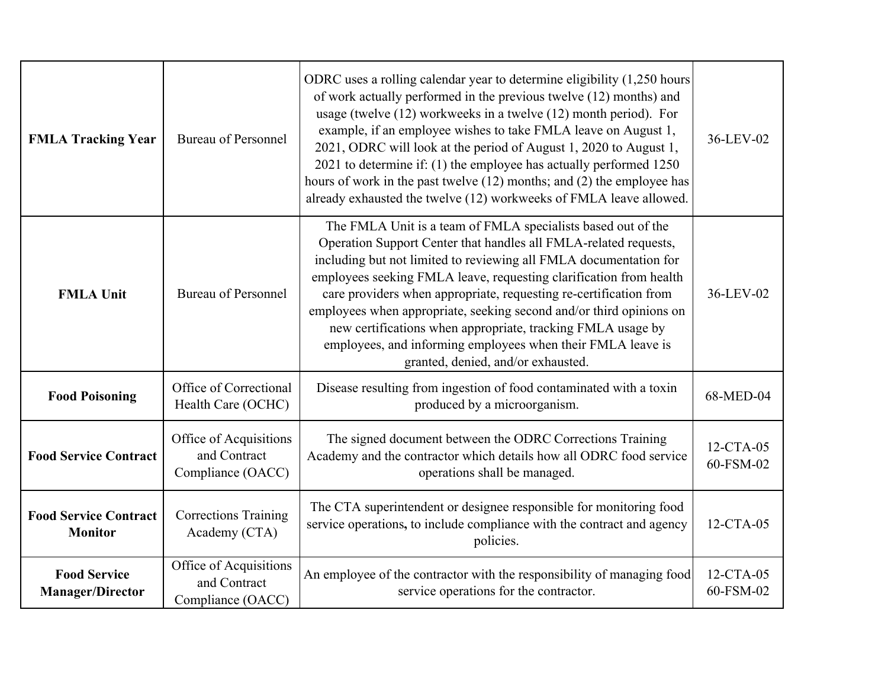| <b>FMLA Tracking Year</b>                      | <b>Bureau of Personnel</b>                                  | ODRC uses a rolling calendar year to determine eligibility (1,250 hours<br>of work actually performed in the previous twelve (12) months) and<br>usage (twelve $(12)$ workweeks in a twelve $(12)$ month period). For<br>example, if an employee wishes to take FMLA leave on August 1,<br>2021, ODRC will look at the period of August 1, 2020 to August 1,<br>$2021$ to determine if: (1) the employee has actually performed 1250<br>hours of work in the past twelve (12) months; and (2) the employee has<br>already exhausted the twelve (12) workweeks of FMLA leave allowed.        | 36-LEV-02              |
|------------------------------------------------|-------------------------------------------------------------|---------------------------------------------------------------------------------------------------------------------------------------------------------------------------------------------------------------------------------------------------------------------------------------------------------------------------------------------------------------------------------------------------------------------------------------------------------------------------------------------------------------------------------------------------------------------------------------------|------------------------|
| <b>FMLA Unit</b>                               | <b>Bureau of Personnel</b>                                  | The FMLA Unit is a team of FMLA specialists based out of the<br>Operation Support Center that handles all FMLA-related requests,<br>including but not limited to reviewing all FMLA documentation for<br>employees seeking FMLA leave, requesting clarification from health<br>care providers when appropriate, requesting re-certification from<br>employees when appropriate, seeking second and/or third opinions on<br>new certifications when appropriate, tracking FMLA usage by<br>employees, and informing employees when their FMLA leave is<br>granted, denied, and/or exhausted. | 36-LEV-02              |
| <b>Food Poisoning</b>                          | Office of Correctional<br>Health Care (OCHC)                | Disease resulting from ingestion of food contaminated with a toxin<br>produced by a microorganism.                                                                                                                                                                                                                                                                                                                                                                                                                                                                                          | 68-MED-04              |
| <b>Food Service Contract</b>                   | Office of Acquisitions<br>and Contract<br>Compliance (OACC) | The signed document between the ODRC Corrections Training<br>Academy and the contractor which details how all ODRC food service<br>operations shall be managed.                                                                                                                                                                                                                                                                                                                                                                                                                             | 12-CTA-05<br>60-FSM-02 |
| <b>Food Service Contract</b><br><b>Monitor</b> | <b>Corrections Training</b><br>Academy (CTA)                | The CTA superintendent or designee responsible for monitoring food<br>service operations, to include compliance with the contract and agency<br>policies.                                                                                                                                                                                                                                                                                                                                                                                                                                   | 12-CTA-05              |
| <b>Food Service</b><br><b>Manager/Director</b> | Office of Acquisitions<br>and Contract<br>Compliance (OACC) | An employee of the contractor with the responsibility of managing food<br>service operations for the contractor.                                                                                                                                                                                                                                                                                                                                                                                                                                                                            | 12-CTA-05<br>60-FSM-02 |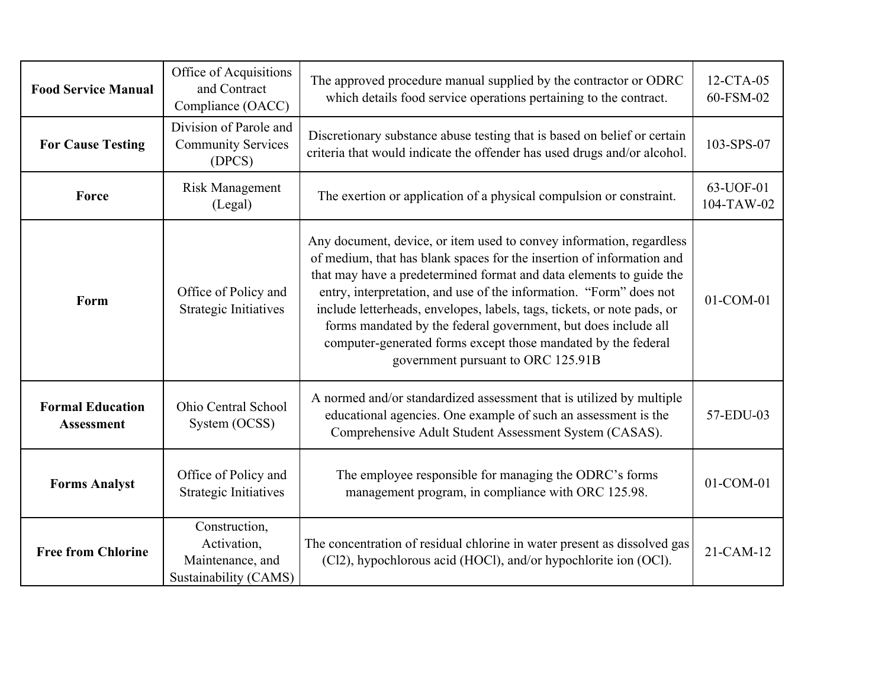| <b>Food Service Manual</b>                   | Office of Acquisitions<br>and Contract<br>Compliance (OACC)               | The approved procedure manual supplied by the contractor or ODRC<br>which details food service operations pertaining to the contract.                                                                                                                                                                                                                                                                                                                                                                                                          | 12-CTA-05<br>60-FSM-02  |
|----------------------------------------------|---------------------------------------------------------------------------|------------------------------------------------------------------------------------------------------------------------------------------------------------------------------------------------------------------------------------------------------------------------------------------------------------------------------------------------------------------------------------------------------------------------------------------------------------------------------------------------------------------------------------------------|-------------------------|
| <b>For Cause Testing</b>                     | Division of Parole and<br><b>Community Services</b><br>(DPCS)             | Discretionary substance abuse testing that is based on belief or certain<br>criteria that would indicate the offender has used drugs and/or alcohol.                                                                                                                                                                                                                                                                                                                                                                                           | 103-SPS-07              |
| Force                                        | <b>Risk Management</b><br>(Legal)                                         | The exertion or application of a physical compulsion or constraint.                                                                                                                                                                                                                                                                                                                                                                                                                                                                            | 63-UOF-01<br>104-TAW-02 |
| Form                                         | Office of Policy and<br><b>Strategic Initiatives</b>                      | Any document, device, or item used to convey information, regardless<br>of medium, that has blank spaces for the insertion of information and<br>that may have a predetermined format and data elements to guide the<br>entry, interpretation, and use of the information. "Form" does not<br>include letterheads, envelopes, labels, tags, tickets, or note pads, or<br>forms mandated by the federal government, but does include all<br>computer-generated forms except those mandated by the federal<br>government pursuant to ORC 125.91B | 01-COM-01               |
| <b>Formal Education</b><br><b>Assessment</b> | Ohio Central School<br>System (OCSS)                                      | A normed and/or standardized assessment that is utilized by multiple<br>educational agencies. One example of such an assessment is the<br>Comprehensive Adult Student Assessment System (CASAS).                                                                                                                                                                                                                                                                                                                                               | 57-EDU-03               |
| <b>Forms Analyst</b>                         | Office of Policy and<br><b>Strategic Initiatives</b>                      | The employee responsible for managing the ODRC's forms<br>management program, in compliance with ORC 125.98.                                                                                                                                                                                                                                                                                                                                                                                                                                   | 01-COM-01               |
| <b>Free from Chlorine</b>                    | Construction,<br>Activation,<br>Maintenance, and<br>Sustainability (CAMS) | The concentration of residual chlorine in water present as dissolved gas<br>(Cl2), hypochlorous acid (HOCl), and/or hypochlorite ion (OCl).                                                                                                                                                                                                                                                                                                                                                                                                    | 21-CAM-12               |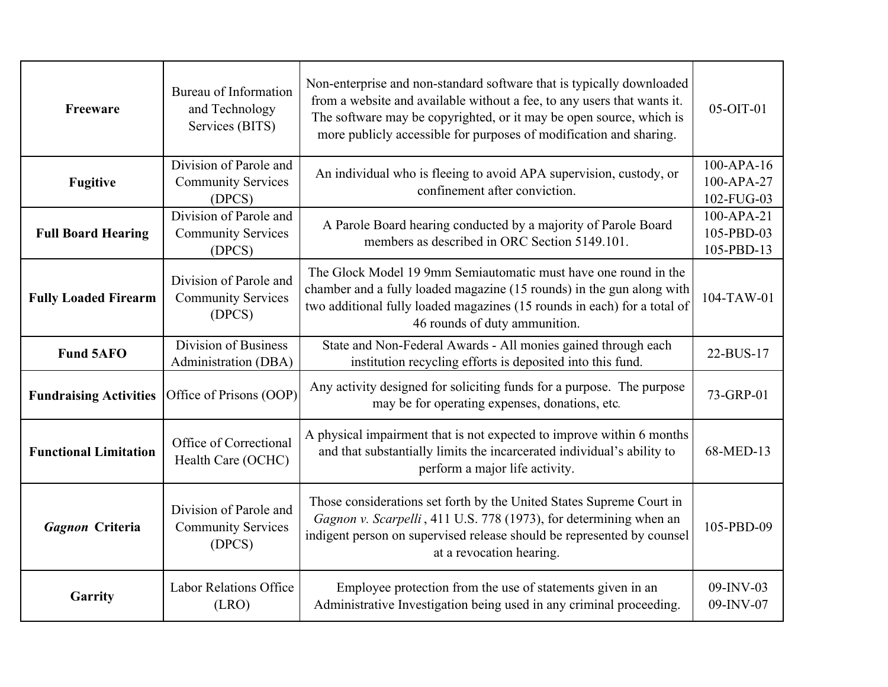| Freeware                      | Bureau of Information<br>and Technology<br>Services (BITS)    | Non-enterprise and non-standard software that is typically downloaded<br>from a website and available without a fee, to any users that wants it.<br>The software may be copyrighted, or it may be open source, which is<br>more publicly accessible for purposes of modification and sharing. | $05-$ OIT $-01$                        |
|-------------------------------|---------------------------------------------------------------|-----------------------------------------------------------------------------------------------------------------------------------------------------------------------------------------------------------------------------------------------------------------------------------------------|----------------------------------------|
| <b>Fugitive</b>               | Division of Parole and<br><b>Community Services</b><br>(DPCS) | An individual who is fleeing to avoid APA supervision, custody, or<br>confinement after conviction.                                                                                                                                                                                           | 100-APA-16<br>100-APA-27<br>102-FUG-03 |
| <b>Full Board Hearing</b>     | Division of Parole and<br><b>Community Services</b><br>(DPCS) | A Parole Board hearing conducted by a majority of Parole Board<br>members as described in ORC Section 5149.101.                                                                                                                                                                               | 100-APA-21<br>105-PBD-03<br>105-PBD-13 |
| <b>Fully Loaded Firearm</b>   | Division of Parole and<br><b>Community Services</b><br>(DPCS) | The Glock Model 19 9mm Semiautomatic must have one round in the<br>chamber and a fully loaded magazine (15 rounds) in the gun along with<br>two additional fully loaded magazines (15 rounds in each) for a total of<br>46 rounds of duty ammunition.                                         | 104-TAW-01                             |
| <b>Fund 5AFO</b>              | Division of Business<br>Administration (DBA)                  | State and Non-Federal Awards - All monies gained through each<br>institution recycling efforts is deposited into this fund.                                                                                                                                                                   | 22-BUS-17                              |
| <b>Fundraising Activities</b> | Office of Prisons (OOP)                                       | Any activity designed for soliciting funds for a purpose. The purpose<br>may be for operating expenses, donations, etc.                                                                                                                                                                       | 73-GRP-01                              |
| <b>Functional Limitation</b>  | Office of Correctional<br>Health Care (OCHC)                  | A physical impairment that is not expected to improve within 6 months<br>and that substantially limits the incarcerated individual's ability to<br>perform a major life activity.                                                                                                             | 68-MED-13                              |
| Gagnon Criteria               | Division of Parole and<br><b>Community Services</b><br>(DPCS) | Those considerations set forth by the United States Supreme Court in<br>Gagnon v. Scarpelli, 411 U.S. 778 (1973), for determining when an<br>indigent person on supervised release should be represented by counsel<br>at a revocation hearing.                                               | 105-PBD-09                             |
| <b>Garrity</b>                | <b>Labor Relations Office</b><br>(LRO)                        | Employee protection from the use of statements given in an<br>Administrative Investigation being used in any criminal proceeding.                                                                                                                                                             | 09-INV-03<br>09-INV-07                 |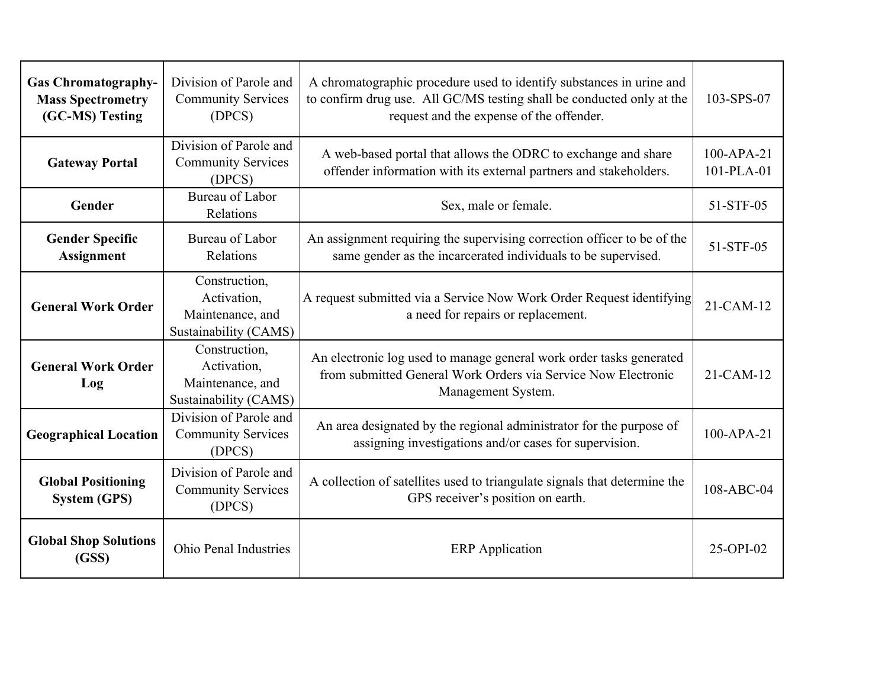| <b>Gas Chromatography-</b><br><b>Mass Spectrometry</b><br>(GC-MS) Testing | Division of Parole and<br><b>Community Services</b><br>(DPCS)             | A chromatographic procedure used to identify substances in urine and<br>to confirm drug use. All GC/MS testing shall be conducted only at the<br>request and the expense of the offender. | 103-SPS-07               |
|---------------------------------------------------------------------------|---------------------------------------------------------------------------|-------------------------------------------------------------------------------------------------------------------------------------------------------------------------------------------|--------------------------|
| <b>Gateway Portal</b>                                                     | Division of Parole and<br><b>Community Services</b><br>(DPCS)             | A web-based portal that allows the ODRC to exchange and share<br>offender information with its external partners and stakeholders.                                                        | 100-APA-21<br>101-PLA-01 |
| Gender                                                                    | Bureau of Labor<br>Relations                                              | Sex, male or female.                                                                                                                                                                      | 51-STF-05                |
| <b>Gender Specific</b><br><b>Assignment</b>                               | Bureau of Labor<br>Relations                                              | An assignment requiring the supervising correction officer to be of the<br>same gender as the incarcerated individuals to be supervised.                                                  | 51-STF-05                |
| <b>General Work Order</b>                                                 | Construction,<br>Activation,<br>Maintenance, and<br>Sustainability (CAMS) | A request submitted via a Service Now Work Order Request identifying<br>a need for repairs or replacement.                                                                                | 21-CAM-12                |
| <b>General Work Order</b><br>Log                                          | Construction,<br>Activation,<br>Maintenance, and<br>Sustainability (CAMS) | An electronic log used to manage general work order tasks generated<br>from submitted General Work Orders via Service Now Electronic<br>Management System.                                | 21-CAM-12                |
| <b>Geographical Location</b>                                              | Division of Parole and<br><b>Community Services</b><br>(DPCS)             | An area designated by the regional administrator for the purpose of<br>assigning investigations and/or cases for supervision.                                                             | 100-APA-21               |
| <b>Global Positioning</b><br><b>System (GPS)</b>                          | Division of Parole and<br><b>Community Services</b><br>(DPCS)             | A collection of satellites used to triangulate signals that determine the<br>GPS receiver's position on earth.                                                                            | 108-ABC-04               |
| <b>Global Shop Solutions</b><br>(GSS)                                     | Ohio Penal Industries                                                     | <b>ERP</b> Application                                                                                                                                                                    | 25-OPI-02                |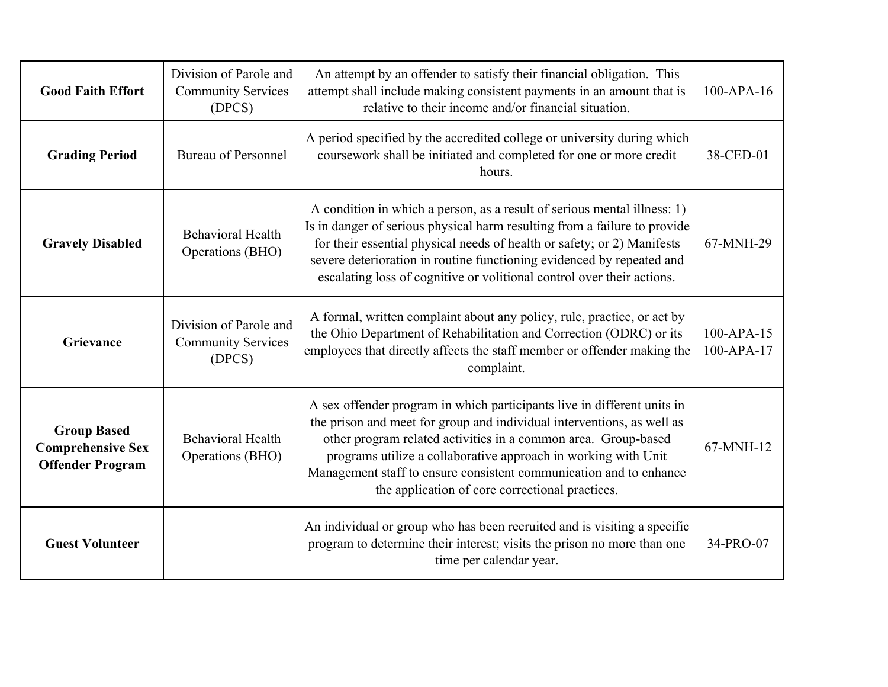| <b>Good Faith Effort</b>                                                  | Division of Parole and<br><b>Community Services</b><br>(DPCS) | An attempt by an offender to satisfy their financial obligation. This<br>attempt shall include making consistent payments in an amount that is<br>relative to their income and/or financial situation.                                                                                                                                                                                                         | 100-APA-16               |
|---------------------------------------------------------------------------|---------------------------------------------------------------|----------------------------------------------------------------------------------------------------------------------------------------------------------------------------------------------------------------------------------------------------------------------------------------------------------------------------------------------------------------------------------------------------------------|--------------------------|
| <b>Grading Period</b>                                                     | <b>Bureau of Personnel</b>                                    | A period specified by the accredited college or university during which<br>coursework shall be initiated and completed for one or more credit<br>hours.                                                                                                                                                                                                                                                        | 38-CED-01                |
| <b>Gravely Disabled</b>                                                   | <b>Behavioral Health</b><br>Operations (BHO)                  | A condition in which a person, as a result of serious mental illness: 1)<br>Is in danger of serious physical harm resulting from a failure to provide<br>for their essential physical needs of health or safety; or 2) Manifests<br>severe deterioration in routine functioning evidenced by repeated and<br>escalating loss of cognitive or volitional control over their actions.                            | 67-MNH-29                |
| Grievance                                                                 | Division of Parole and<br><b>Community Services</b><br>(DPCS) | A formal, written complaint about any policy, rule, practice, or act by<br>the Ohio Department of Rehabilitation and Correction (ODRC) or its<br>employees that directly affects the staff member or offender making the<br>complaint.                                                                                                                                                                         | 100-APA-15<br>100-APA-17 |
| <b>Group Based</b><br><b>Comprehensive Sex</b><br><b>Offender Program</b> | <b>Behavioral Health</b><br>Operations (BHO)                  | A sex offender program in which participants live in different units in<br>the prison and meet for group and individual interventions, as well as<br>other program related activities in a common area. Group-based<br>programs utilize a collaborative approach in working with Unit<br>Management staff to ensure consistent communication and to enhance<br>the application of core correctional practices. | 67-MNH-12                |
| <b>Guest Volunteer</b>                                                    |                                                               | An individual or group who has been recruited and is visiting a specific<br>program to determine their interest; visits the prison no more than one<br>time per calendar year.                                                                                                                                                                                                                                 | 34-PRO-07                |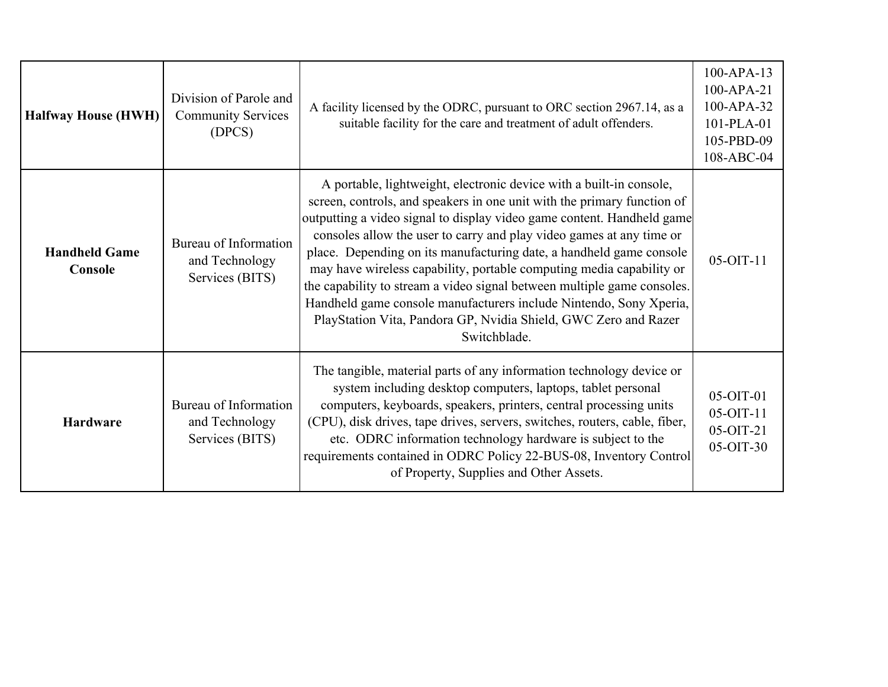| <b>Halfway House (HWH)</b>      | Division of Parole and<br><b>Community Services</b><br>(DPCS) | A facility licensed by the ODRC, pursuant to ORC section 2967.14, as a<br>suitable facility for the care and treatment of adult offenders.                                                                                                                                                                                                                                                                                                                                                                                                                                                                                                                                          | 100-APA-13<br>100-APA-21<br>100-APA-32<br>101-PLA-01<br>105-PBD-09<br>108-ABC-04 |
|---------------------------------|---------------------------------------------------------------|-------------------------------------------------------------------------------------------------------------------------------------------------------------------------------------------------------------------------------------------------------------------------------------------------------------------------------------------------------------------------------------------------------------------------------------------------------------------------------------------------------------------------------------------------------------------------------------------------------------------------------------------------------------------------------------|----------------------------------------------------------------------------------|
| <b>Handheld Game</b><br>Console | Bureau of Information<br>and Technology<br>Services (BITS)    | A portable, lightweight, electronic device with a built-in console,<br>screen, controls, and speakers in one unit with the primary function of<br>outputting a video signal to display video game content. Handheld game<br>consoles allow the user to carry and play video games at any time or<br>place. Depending on its manufacturing date, a handheld game console<br>may have wireless capability, portable computing media capability or<br>the capability to stream a video signal between multiple game consoles.<br>Handheld game console manufacturers include Nintendo, Sony Xperia,<br>PlayStation Vita, Pandora GP, Nvidia Shield, GWC Zero and Razer<br>Switchblade. | 05-OIT-11                                                                        |
| <b>Hardware</b>                 | Bureau of Information<br>and Technology<br>Services (BITS)    | The tangible, material parts of any information technology device or<br>system including desktop computers, laptops, tablet personal<br>computers, keyboards, speakers, printers, central processing units<br>(CPU), disk drives, tape drives, servers, switches, routers, cable, fiber,<br>etc. ODRC information technology hardware is subject to the<br>requirements contained in ODRC Policy 22-BUS-08, Inventory Control<br>of Property, Supplies and Other Assets.                                                                                                                                                                                                            | 05-OIT-01<br>05-OIT-11<br>05-OIT-21<br>05-OIT-30                                 |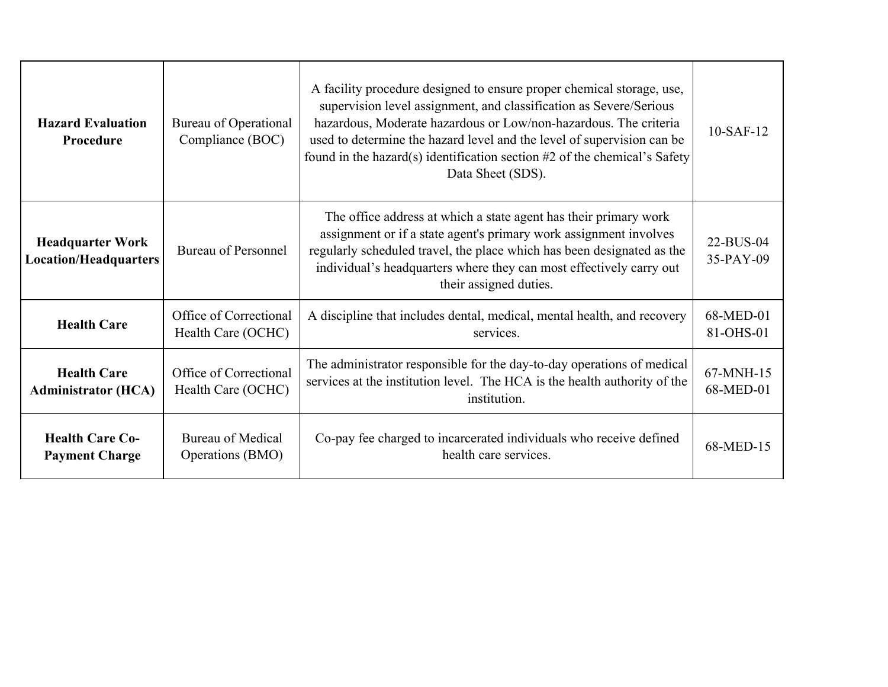| <b>Hazard Evaluation</b><br><b>Procedure</b>            | Bureau of Operational<br>Compliance (BOC)    | A facility procedure designed to ensure proper chemical storage, use,<br>supervision level assignment, and classification as Severe/Serious<br>hazardous, Moderate hazardous or Low/non-hazardous. The criteria<br>used to determine the hazard level and the level of supervision can be<br>found in the hazard(s) identification section $#2$ of the chemical's Safety<br>Data Sheet (SDS). | $10-SAF-12$            |
|---------------------------------------------------------|----------------------------------------------|-----------------------------------------------------------------------------------------------------------------------------------------------------------------------------------------------------------------------------------------------------------------------------------------------------------------------------------------------------------------------------------------------|------------------------|
| <b>Headquarter Work</b><br><b>Location/Headquarters</b> | <b>Bureau of Personnel</b>                   | The office address at which a state agent has their primary work<br>assignment or if a state agent's primary work assignment involves<br>regularly scheduled travel, the place which has been designated as the<br>individual's headquarters where they can most effectively carry out<br>their assigned duties.                                                                              | 22-BUS-04<br>35-PAY-09 |
| <b>Health Care</b>                                      | Office of Correctional<br>Health Care (OCHC) | A discipline that includes dental, medical, mental health, and recovery<br>services.                                                                                                                                                                                                                                                                                                          | 68-MED-01<br>81-OHS-01 |
| <b>Health Care</b><br><b>Administrator (HCA)</b>        | Office of Correctional<br>Health Care (OCHC) | The administrator responsible for the day-to-day operations of medical<br>services at the institution level. The HCA is the health authority of the<br>institution.                                                                                                                                                                                                                           | 67-MNH-15<br>68-MED-01 |
| <b>Health Care Co-</b><br><b>Payment Charge</b>         | <b>Bureau of Medical</b><br>Operations (BMO) | Co-pay fee charged to incarcerated individuals who receive defined<br>health care services.                                                                                                                                                                                                                                                                                                   | 68-MED-15              |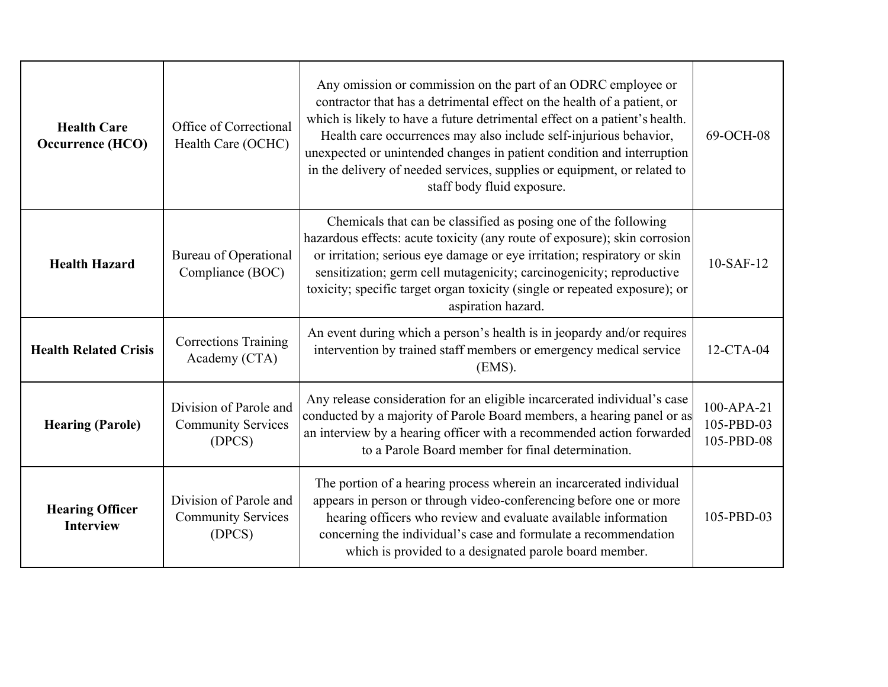| <b>Health Care</b><br><b>Occurrence (HCO)</b> | Office of Correctional<br>Health Care (OCHC)                  | Any omission or commission on the part of an ODRC employee or<br>contractor that has a detrimental effect on the health of a patient, or<br>which is likely to have a future detrimental effect on a patient's health.<br>Health care occurrences may also include self-injurious behavior,<br>unexpected or unintended changes in patient condition and interruption<br>in the delivery of needed services, supplies or equipment, or related to<br>staff body fluid exposure. | 69-OCH-08                              |
|-----------------------------------------------|---------------------------------------------------------------|---------------------------------------------------------------------------------------------------------------------------------------------------------------------------------------------------------------------------------------------------------------------------------------------------------------------------------------------------------------------------------------------------------------------------------------------------------------------------------|----------------------------------------|
| <b>Health Hazard</b>                          | <b>Bureau of Operational</b><br>Compliance (BOC)              | Chemicals that can be classified as posing one of the following<br>hazardous effects: acute toxicity (any route of exposure); skin corrosion<br>or irritation; serious eye damage or eye irritation; respiratory or skin<br>sensitization; germ cell mutagenicity; carcinogenicity; reproductive<br>toxicity; specific target organ toxicity (single or repeated exposure); or<br>aspiration hazard.                                                                            | $10-SAF-12$                            |
| <b>Health Related Crisis</b>                  | <b>Corrections Training</b><br>Academy (CTA)                  | An event during which a person's health is in jeopardy and/or requires<br>intervention by trained staff members or emergency medical service<br>(EMS).                                                                                                                                                                                                                                                                                                                          | $12-CTA-04$                            |
| <b>Hearing (Parole)</b>                       | Division of Parole and<br><b>Community Services</b><br>(DPCS) | Any release consideration for an eligible incarcerated individual's case<br>conducted by a majority of Parole Board members, a hearing panel or as<br>an interview by a hearing officer with a recommended action forwarded<br>to a Parole Board member for final determination.                                                                                                                                                                                                | 100-APA-21<br>105-PBD-03<br>105-PBD-08 |
| <b>Hearing Officer</b><br><b>Interview</b>    | Division of Parole and<br><b>Community Services</b><br>(DPCS) | The portion of a hearing process wherein an incarcerated individual<br>appears in person or through video-conferencing before one or more<br>hearing officers who review and evaluate available information<br>concerning the individual's case and formulate a recommendation<br>which is provided to a designated parole board member.                                                                                                                                        | 105-PBD-03                             |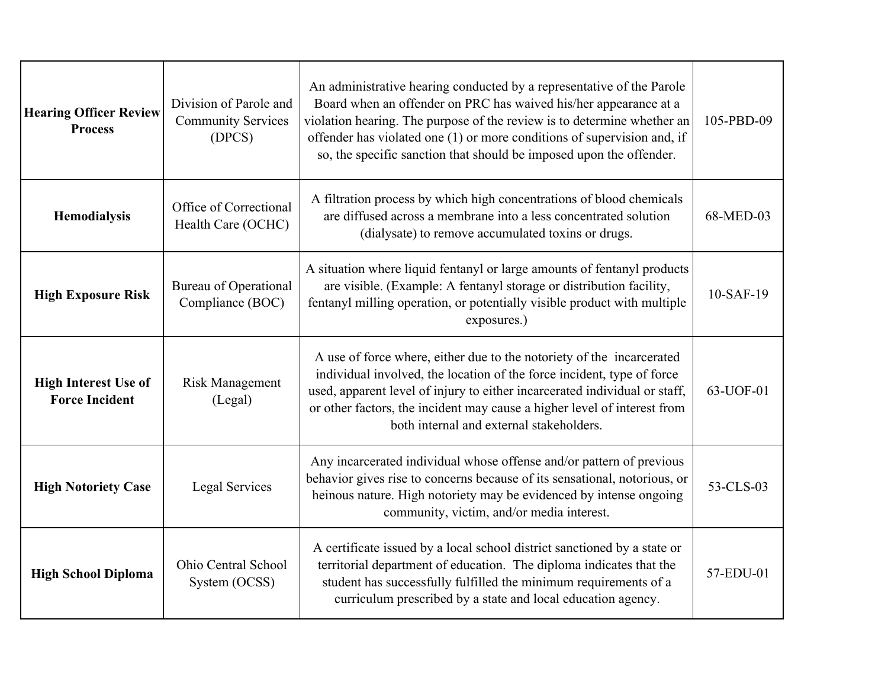| <b>Hearing Officer Review</b><br><b>Process</b>      | Division of Parole and<br><b>Community Services</b><br>(DPCS) | An administrative hearing conducted by a representative of the Parole<br>Board when an offender on PRC has waived his/her appearance at a<br>violation hearing. The purpose of the review is to determine whether an<br>offender has violated one (1) or more conditions of supervision and, if<br>so, the specific sanction that should be imposed upon the offender. | 105-PBD-09  |
|------------------------------------------------------|---------------------------------------------------------------|------------------------------------------------------------------------------------------------------------------------------------------------------------------------------------------------------------------------------------------------------------------------------------------------------------------------------------------------------------------------|-------------|
| Hemodialysis                                         | Office of Correctional<br>Health Care (OCHC)                  | A filtration process by which high concentrations of blood chemicals<br>are diffused across a membrane into a less concentrated solution<br>(dialysate) to remove accumulated toxins or drugs.                                                                                                                                                                         | 68-MED-03   |
| <b>High Exposure Risk</b>                            | <b>Bureau of Operational</b><br>Compliance (BOC)              | A situation where liquid fentanyl or large amounts of fentanyl products<br>are visible. (Example: A fentanyl storage or distribution facility,<br>fentanyl milling operation, or potentially visible product with multiple<br>exposures.)                                                                                                                              | $10-SAF-19$ |
| <b>High Interest Use of</b><br><b>Force Incident</b> | <b>Risk Management</b><br>(Legal)                             | A use of force where, either due to the notoriety of the incarcerated<br>individual involved, the location of the force incident, type of force<br>used, apparent level of injury to either incarcerated individual or staff,<br>or other factors, the incident may cause a higher level of interest from<br>both internal and external stakeholders.                  | 63-UOF-01   |
| <b>High Notoriety Case</b>                           | Legal Services                                                | Any incarcerated individual whose offense and/or pattern of previous<br>behavior gives rise to concerns because of its sensational, notorious, or<br>heinous nature. High notoriety may be evidenced by intense ongoing<br>community, victim, and/or media interest.                                                                                                   | 53-CLS-03   |
| <b>High School Diploma</b>                           | Ohio Central School<br>System (OCSS)                          | A certificate issued by a local school district sanctioned by a state or<br>territorial department of education. The diploma indicates that the<br>student has successfully fulfilled the minimum requirements of a<br>curriculum prescribed by a state and local education agency.                                                                                    | 57-EDU-01   |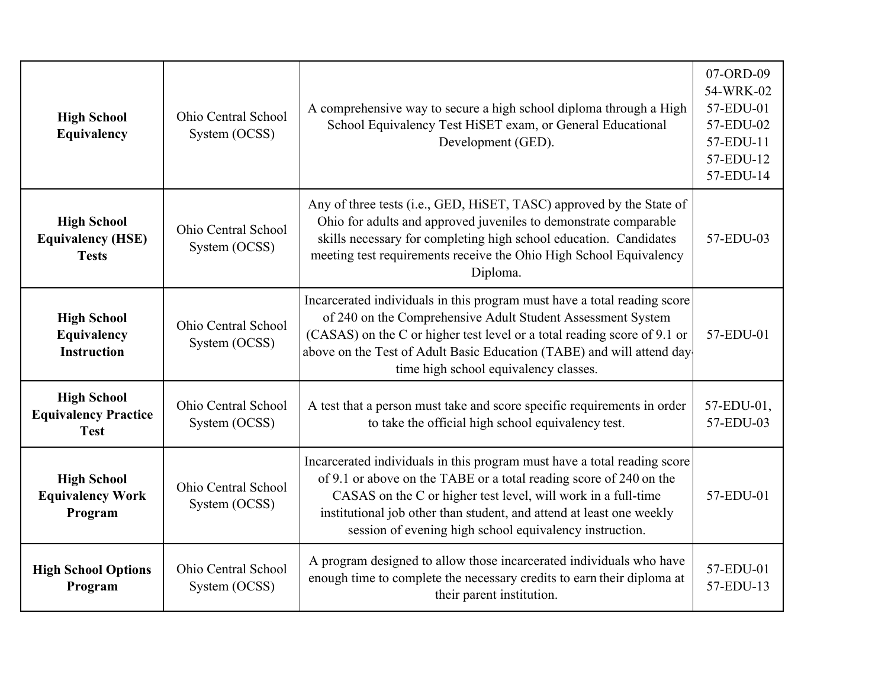| <b>High School</b><br>Equivalency                                | Ohio Central School<br>System (OCSS) | A comprehensive way to secure a high school diploma through a High<br>School Equivalency Test HiSET exam, or General Educational<br>Development (GED).                                                                                                                                                                                             | 07-ORD-09<br>54-WRK-02<br>57-EDU-01<br>57-EDU-02<br>57-EDU-11<br>57-EDU-12<br>57-EDU-14 |
|------------------------------------------------------------------|--------------------------------------|----------------------------------------------------------------------------------------------------------------------------------------------------------------------------------------------------------------------------------------------------------------------------------------------------------------------------------------------------|-----------------------------------------------------------------------------------------|
| <b>High School</b><br><b>Equivalency (HSE)</b><br><b>Tests</b>   | Ohio Central School<br>System (OCSS) | Any of three tests (i.e., GED, HiSET, TASC) approved by the State of<br>Ohio for adults and approved juveniles to demonstrate comparable<br>skills necessary for completing high school education. Candidates<br>meeting test requirements receive the Ohio High School Equivalency<br>Diploma.                                                    | 57-EDU-03                                                                               |
| <b>High School</b><br><b>Equivalency</b><br><b>Instruction</b>   | Ohio Central School<br>System (OCSS) | Incarcerated individuals in this program must have a total reading score<br>of 240 on the Comprehensive Adult Student Assessment System<br>(CASAS) on the C or higher test level or a total reading score of 9.1 or<br>above on the Test of Adult Basic Education (TABE) and will attend day<br>time high school equivalency classes.              | 57-EDU-01                                                                               |
| <b>High School</b><br><b>Equivalency Practice</b><br><b>Test</b> | Ohio Central School<br>System (OCSS) | A test that a person must take and score specific requirements in order<br>to take the official high school equivalency test.                                                                                                                                                                                                                      | 57-EDU-01,<br>57-EDU-03                                                                 |
| <b>High School</b><br><b>Equivalency Work</b><br>Program         | Ohio Central School<br>System (OCSS) | Incarcerated individuals in this program must have a total reading score<br>of 9.1 or above on the TABE or a total reading score of 240 on the<br>CASAS on the C or higher test level, will work in a full-time<br>institutional job other than student, and attend at least one weekly<br>session of evening high school equivalency instruction. | 57-EDU-01                                                                               |
| <b>High School Options</b><br>Program                            | Ohio Central School<br>System (OCSS) | A program designed to allow those incarcerated individuals who have<br>enough time to complete the necessary credits to earn their diploma at<br>their parent institution.                                                                                                                                                                         | 57-EDU-01<br>57-EDU-13                                                                  |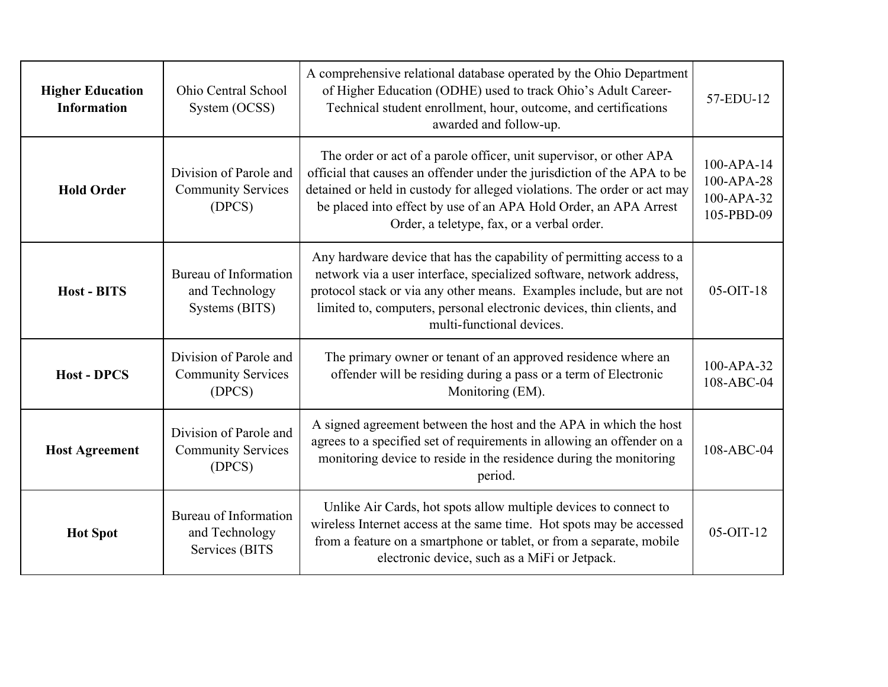| <b>Higher Education</b><br><b>Information</b> | Ohio Central School<br>System (OCSS)                          | A comprehensive relational database operated by the Ohio Department<br>of Higher Education (ODHE) used to track Ohio's Adult Career-<br>Technical student enrollment, hour, outcome, and certifications<br>awarded and follow-up.                                                                                                             | 57-EDU-12                                            |
|-----------------------------------------------|---------------------------------------------------------------|-----------------------------------------------------------------------------------------------------------------------------------------------------------------------------------------------------------------------------------------------------------------------------------------------------------------------------------------------|------------------------------------------------------|
| <b>Hold Order</b>                             | Division of Parole and<br><b>Community Services</b><br>(DPCS) | The order or act of a parole officer, unit supervisor, or other APA<br>official that causes an offender under the jurisdiction of the APA to be<br>detained or held in custody for alleged violations. The order or act may<br>be placed into effect by use of an APA Hold Order, an APA Arrest<br>Order, a teletype, fax, or a verbal order. | 100-APA-14<br>100-APA-28<br>100-APA-32<br>105-PBD-09 |
| <b>Host - BITS</b>                            | Bureau of Information<br>and Technology<br>Systems (BITS)     | Any hardware device that has the capability of permitting access to a<br>network via a user interface, specialized software, network address,<br>protocol stack or via any other means. Examples include, but are not<br>limited to, computers, personal electronic devices, thin clients, and<br>multi-functional devices.                   | 05-OIT-18                                            |
| <b>Host - DPCS</b>                            | Division of Parole and<br><b>Community Services</b><br>(DPCS) | The primary owner or tenant of an approved residence where an<br>offender will be residing during a pass or a term of Electronic<br>Monitoring (EM).                                                                                                                                                                                          | 100-APA-32<br>108-ABC-04                             |
| <b>Host Agreement</b>                         | Division of Parole and<br><b>Community Services</b><br>(DPCS) | A signed agreement between the host and the APA in which the host<br>agrees to a specified set of requirements in allowing an offender on a<br>monitoring device to reside in the residence during the monitoring<br>period.                                                                                                                  | 108-ABC-04                                           |
| <b>Hot Spot</b>                               | Bureau of Information<br>and Technology<br>Services (BITS     | Unlike Air Cards, hot spots allow multiple devices to connect to<br>wireless Internet access at the same time. Hot spots may be accessed<br>from a feature on a smartphone or tablet, or from a separate, mobile<br>electronic device, such as a MiFi or Jetpack.                                                                             | 05-OIT-12                                            |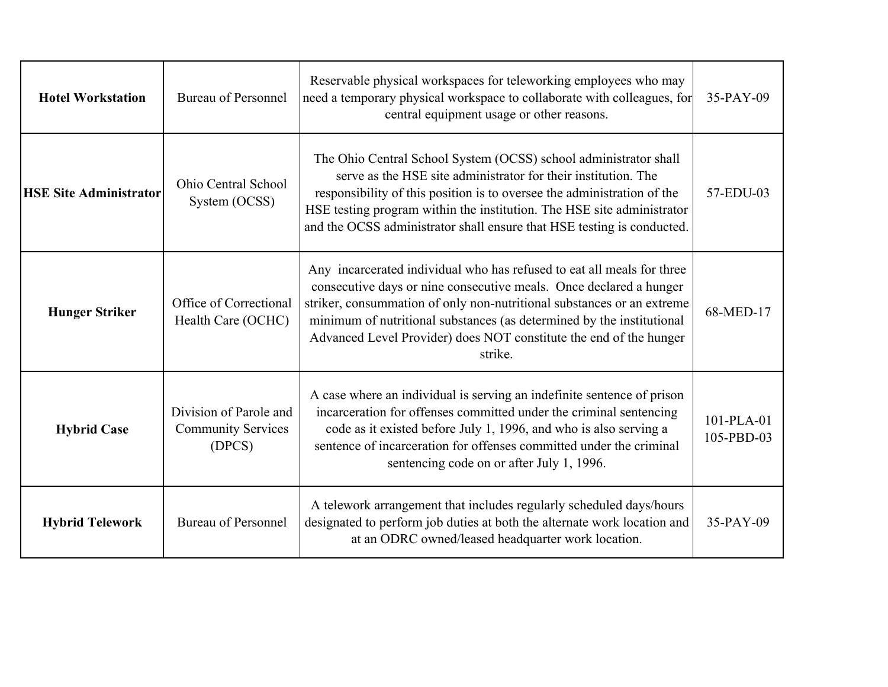| <b>Hotel Workstation</b>      | <b>Bureau of Personnel</b>                                    | Reservable physical workspaces for teleworking employees who may<br>need a temporary physical workspace to collaborate with colleagues, for<br>central equipment usage or other reasons.                                                                                                                                                                                         | 35-PAY-09                |
|-------------------------------|---------------------------------------------------------------|----------------------------------------------------------------------------------------------------------------------------------------------------------------------------------------------------------------------------------------------------------------------------------------------------------------------------------------------------------------------------------|--------------------------|
| <b>HSE Site Administrator</b> | Ohio Central School<br>System (OCSS)                          | The Ohio Central School System (OCSS) school administrator shall<br>serve as the HSE site administrator for their institution. The<br>responsibility of this position is to oversee the administration of the<br>HSE testing program within the institution. The HSE site administrator<br>and the OCSS administrator shall ensure that HSE testing is conducted.                | 57-EDU-03                |
| <b>Hunger Striker</b>         | Office of Correctional<br>Health Care (OCHC)                  | Any incarcerated individual who has refused to eat all meals for three<br>consecutive days or nine consecutive meals. Once declared a hunger<br>striker, consummation of only non-nutritional substances or an extreme<br>minimum of nutritional substances (as determined by the institutional<br>Advanced Level Provider) does NOT constitute the end of the hunger<br>strike. | 68-MED-17                |
| <b>Hybrid Case</b>            | Division of Parole and<br><b>Community Services</b><br>(DPCS) | A case where an individual is serving an indefinite sentence of prison<br>incarceration for offenses committed under the criminal sentencing<br>code as it existed before July 1, 1996, and who is also serving a<br>sentence of incarceration for offenses committed under the criminal<br>sentencing code on or after July 1, 1996.                                            | 101-PLA-01<br>105-PBD-03 |
| <b>Hybrid Telework</b>        | <b>Bureau of Personnel</b>                                    | A telework arrangement that includes regularly scheduled days/hours<br>designated to perform job duties at both the alternate work location and<br>at an ODRC owned/leased headquarter work location.                                                                                                                                                                            | 35-PAY-09                |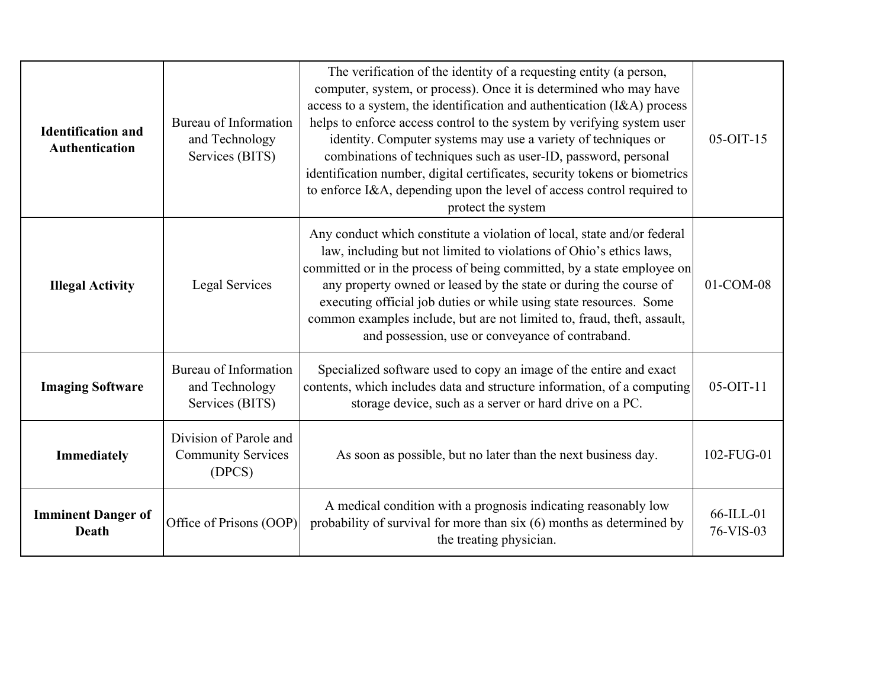| <b>Identification and</b><br><b>Authentication</b> | Bureau of Information<br>and Technology<br>Services (BITS)    | The verification of the identity of a requesting entity (a person,<br>computer, system, or process). Once it is determined who may have<br>access to a system, the identification and authentication (I&A) process<br>helps to enforce access control to the system by verifying system user<br>identity. Computer systems may use a variety of techniques or<br>combinations of techniques such as user-ID, password, personal<br>identification number, digital certificates, security tokens or biometrics<br>to enforce I&A, depending upon the level of access control required to<br>protect the system | $05-OTT-15$            |
|----------------------------------------------------|---------------------------------------------------------------|---------------------------------------------------------------------------------------------------------------------------------------------------------------------------------------------------------------------------------------------------------------------------------------------------------------------------------------------------------------------------------------------------------------------------------------------------------------------------------------------------------------------------------------------------------------------------------------------------------------|------------------------|
| <b>Illegal Activity</b>                            | Legal Services                                                | Any conduct which constitute a violation of local, state and/or federal<br>law, including but not limited to violations of Ohio's ethics laws,<br>committed or in the process of being committed, by a state employee on<br>any property owned or leased by the state or during the course of<br>executing official job duties or while using state resources. Some<br>common examples include, but are not limited to, fraud, theft, assault,<br>and possession, use or conveyance of contraband.                                                                                                            | $01$ -COM-08           |
| <b>Imaging Software</b>                            | Bureau of Information<br>and Technology<br>Services (BITS)    | Specialized software used to copy an image of the entire and exact<br>contents, which includes data and structure information, of a computing<br>storage device, such as a server or hard drive on a PC.                                                                                                                                                                                                                                                                                                                                                                                                      | $05-OIT-11$            |
| <b>Immediately</b>                                 | Division of Parole and<br><b>Community Services</b><br>(DPCS) | As soon as possible, but no later than the next business day.                                                                                                                                                                                                                                                                                                                                                                                                                                                                                                                                                 | 102-FUG-01             |
| <b>Imminent Danger of</b><br>Death                 | Office of Prisons (OOP)                                       | A medical condition with a prognosis indicating reasonably low<br>probability of survival for more than six (6) months as determined by<br>the treating physician.                                                                                                                                                                                                                                                                                                                                                                                                                                            | 66-ILL-01<br>76-VIS-03 |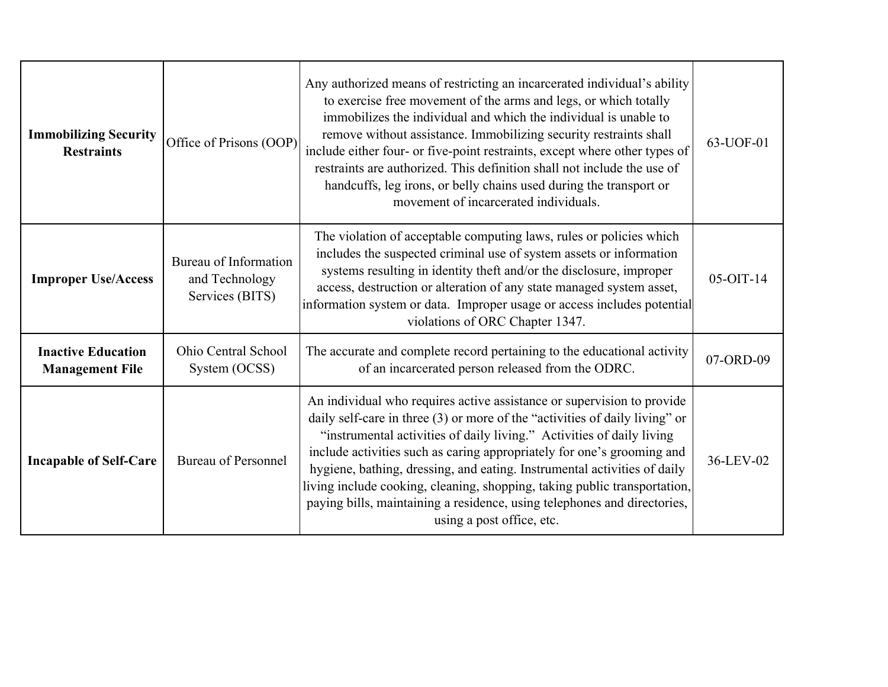| <b>Immobilizing Security</b><br><b>Restraints</b>   | Office of Prisons (OOP)                                    | Any authorized means of restricting an incarcerated individual's ability<br>to exercise free movement of the arms and legs, or which totally<br>immobilizes the individual and which the individual is unable to<br>remove without assistance. Immobilizing security restraints shall<br>include either four- or five-point restraints, except where other types of<br>restraints are authorized. This definition shall not include the use of<br>handcuffs, leg irons, or belly chains used during the transport or<br>movement of incarcerated individuals.              | 63-UOF-01   |
|-----------------------------------------------------|------------------------------------------------------------|----------------------------------------------------------------------------------------------------------------------------------------------------------------------------------------------------------------------------------------------------------------------------------------------------------------------------------------------------------------------------------------------------------------------------------------------------------------------------------------------------------------------------------------------------------------------------|-------------|
| <b>Improper Use/Access</b>                          | Bureau of Information<br>and Technology<br>Services (BITS) | The violation of acceptable computing laws, rules or policies which<br>includes the suspected criminal use of system assets or information<br>systems resulting in identity theft and/or the disclosure, improper<br>access, destruction or alteration of any state managed system asset,<br>information system or data. Improper usage or access includes potential<br>violations of ORC Chapter 1347.                                                                                                                                                                    | $05-OIT-14$ |
| <b>Inactive Education</b><br><b>Management File</b> | Ohio Central School<br>System (OCSS)                       | The accurate and complete record pertaining to the educational activity<br>of an incarcerated person released from the ODRC.                                                                                                                                                                                                                                                                                                                                                                                                                                               | 07-ORD-09   |
| <b>Incapable of Self-Care</b>                       | <b>Bureau of Personnel</b>                                 | An individual who requires active assistance or supervision to provide<br>daily self-care in three (3) or more of the "activities of daily living" or<br>"instrumental activities of daily living." Activities of daily living<br>include activities such as caring appropriately for one's grooming and<br>hygiene, bathing, dressing, and eating. Instrumental activities of daily<br>living include cooking, cleaning, shopping, taking public transportation,<br>paying bills, maintaining a residence, using telephones and directories,<br>using a post office, etc. | 36-LEV-02   |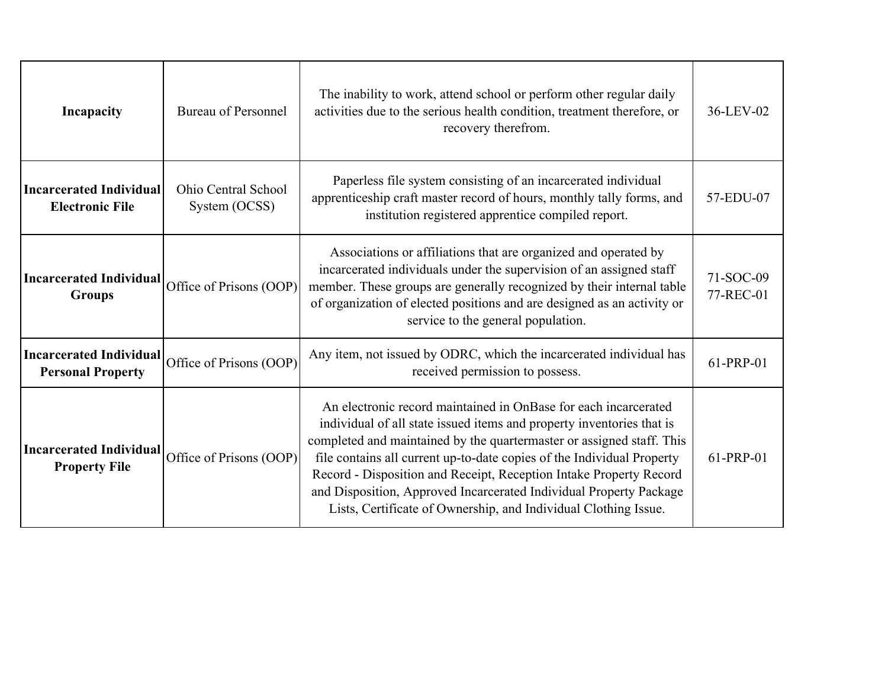| Incapacity                                                 | <b>Bureau of Personnel</b>           | The inability to work, attend school or perform other regular daily<br>activities due to the serious health condition, treatment therefore, or<br>recovery therefrom.                                                                                                                                                                                                                                                                                                                                      | 36-LEV-02              |
|------------------------------------------------------------|--------------------------------------|------------------------------------------------------------------------------------------------------------------------------------------------------------------------------------------------------------------------------------------------------------------------------------------------------------------------------------------------------------------------------------------------------------------------------------------------------------------------------------------------------------|------------------------|
| <b>Incarcerated Individual</b><br><b>Electronic File</b>   | Ohio Central School<br>System (OCSS) | Paperless file system consisting of an incarcerated individual<br>apprenticeship craft master record of hours, monthly tally forms, and<br>institution registered apprentice compiled report.                                                                                                                                                                                                                                                                                                              | 57-EDU-07              |
| <b>Incarcerated Individual</b><br><b>Groups</b>            | Office of Prisons (OOP)              | Associations or affiliations that are organized and operated by<br>incarcerated individuals under the supervision of an assigned staff<br>member. These groups are generally recognized by their internal table<br>of organization of elected positions and are designed as an activity or<br>service to the general population.                                                                                                                                                                           | 71-SOC-09<br>77-REC-01 |
| <b>Incarcerated Individual</b><br><b>Personal Property</b> | Office of Prisons (OOP)              | Any item, not issued by ODRC, which the incarcerated individual has<br>received permission to possess.                                                                                                                                                                                                                                                                                                                                                                                                     | 61-PRP-01              |
| <b>Incarcerated Individual</b><br><b>Property File</b>     | Office of Prisons (OOP)              | An electronic record maintained in OnBase for each incarcerated<br>individual of all state issued items and property inventories that is<br>completed and maintained by the quartermaster or assigned staff. This<br>file contains all current up-to-date copies of the Individual Property<br>Record - Disposition and Receipt, Reception Intake Property Record<br>and Disposition, Approved Incarcerated Individual Property Package<br>Lists, Certificate of Ownership, and Individual Clothing Issue. | 61-PRP-01              |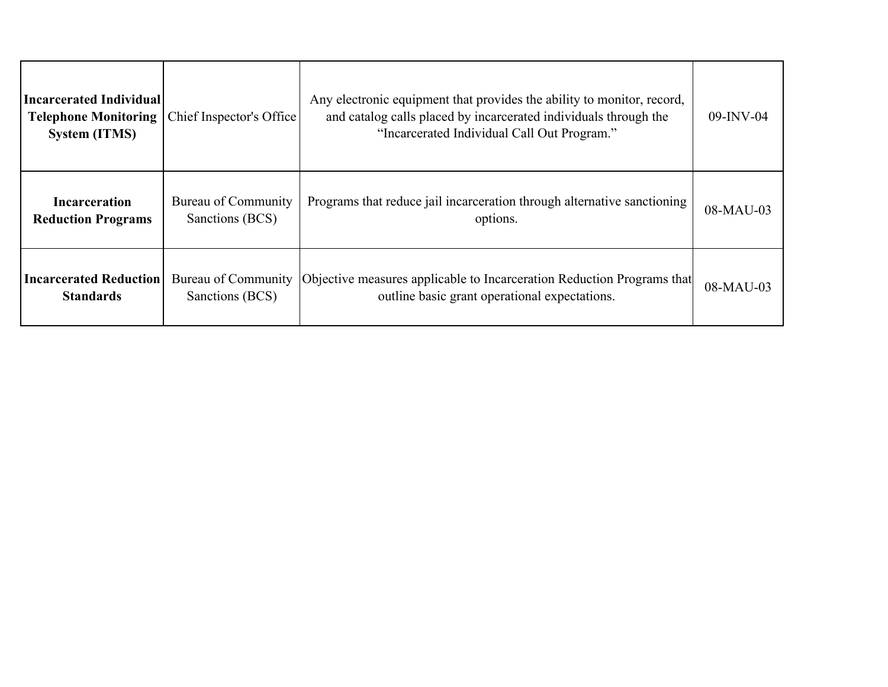| Incarcerated Individual<br><b>Telephone Monitoring</b><br><b>System (ITMS)</b> | Chief Inspector's Office | Any electronic equipment that provides the ability to monitor, record,<br>and catalog calls placed by incarcerated individuals through the<br>"Incarcerated Individual Call Out Program." | $09$ -INV-04 |
|--------------------------------------------------------------------------------|--------------------------|-------------------------------------------------------------------------------------------------------------------------------------------------------------------------------------------|--------------|
| Incarceration                                                                  | Bureau of Community      | Programs that reduce jail incarceration through alternative sanctioning                                                                                                                   | 08-MAU-03    |
| <b>Reduction Programs</b>                                                      | Sanctions (BCS)          | options.                                                                                                                                                                                  |              |
| <b>Incarcerated Reduction</b>                                                  | Bureau of Community      | Objective measures applicable to Incarceration Reduction Programs that                                                                                                                    | 08-MAU-03    |
| <b>Standards</b>                                                               | Sanctions (BCS)          | outline basic grant operational expectations.                                                                                                                                             |              |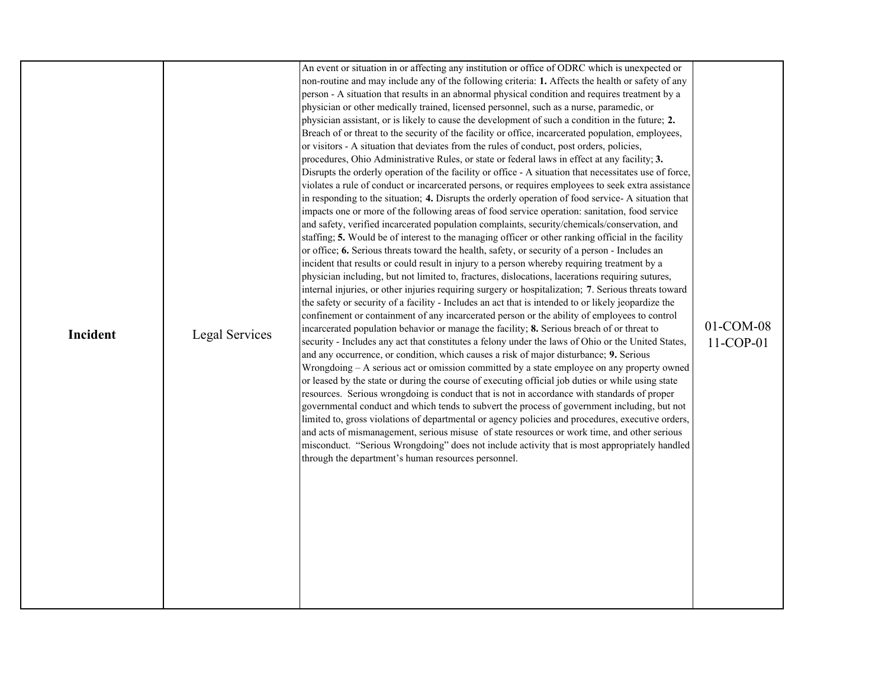| Incident | Legal Services | An event or situation in or affecting any institution or office of ODRC which is unexpected or<br>non-routine and may include any of the following criteria: 1. Affects the health or safety of any<br>person - A situation that results in an abnormal physical condition and requires treatment by a<br>physician or other medically trained, licensed personnel, such as a nurse, paramedic, or<br>physician assistant, or is likely to cause the development of such a condition in the future; 2.<br>Breach of or threat to the security of the facility or office, incarcerated population, employees,<br>or visitors - A situation that deviates from the rules of conduct, post orders, policies,<br>procedures, Ohio Administrative Rules, or state or federal laws in effect at any facility; 3.<br>Disrupts the orderly operation of the facility or office - A situation that necessitates use of force,<br>violates a rule of conduct or incarcerated persons, or requires employees to seek extra assistance<br>in responding to the situation; 4. Disrupts the orderly operation of food service- A situation that<br>impacts one or more of the following areas of food service operation: sanitation, food service<br>and safety, verified incarcerated population complaints, security/chemicals/conservation, and<br>staffing; 5. Would be of interest to the managing officer or other ranking official in the facility<br>or office; 6. Serious threats toward the health, safety, or security of a person - Includes an<br>incident that results or could result in injury to a person whereby requiring treatment by a<br>physician including, but not limited to, fractures, dislocations, lacerations requiring sutures,<br>internal injuries, or other injuries requiring surgery or hospitalization; 7. Serious threats toward<br>the safety or security of a facility - Includes an act that is intended to or likely jeopardize the<br>confinement or containment of any incarcerated person or the ability of employees to control<br>incarcerated population behavior or manage the facility; 8. Serious breach of or threat to<br>security - Includes any act that constitutes a felony under the laws of Ohio or the United States,<br>and any occurrence, or condition, which causes a risk of major disturbance; 9. Serious<br>Wrongdoing - A serious act or omission committed by a state employee on any property owned<br>or leased by the state or during the course of executing official job duties or while using state<br>resources. Serious wrongdoing is conduct that is not in accordance with standards of proper<br>governmental conduct and which tends to subvert the process of government including, but not<br>limited to, gross violations of departmental or agency policies and procedures, executive orders,<br>and acts of mismanagement, serious misuse of state resources or work time, and other serious<br>misconduct. "Serious Wrongdoing" does not include activity that is most appropriately handled<br>through the department's human resources personnel. | 01-COM-08<br>11-COP-01 |
|----------|----------------|-------------------------------------------------------------------------------------------------------------------------------------------------------------------------------------------------------------------------------------------------------------------------------------------------------------------------------------------------------------------------------------------------------------------------------------------------------------------------------------------------------------------------------------------------------------------------------------------------------------------------------------------------------------------------------------------------------------------------------------------------------------------------------------------------------------------------------------------------------------------------------------------------------------------------------------------------------------------------------------------------------------------------------------------------------------------------------------------------------------------------------------------------------------------------------------------------------------------------------------------------------------------------------------------------------------------------------------------------------------------------------------------------------------------------------------------------------------------------------------------------------------------------------------------------------------------------------------------------------------------------------------------------------------------------------------------------------------------------------------------------------------------------------------------------------------------------------------------------------------------------------------------------------------------------------------------------------------------------------------------------------------------------------------------------------------------------------------------------------------------------------------------------------------------------------------------------------------------------------------------------------------------------------------------------------------------------------------------------------------------------------------------------------------------------------------------------------------------------------------------------------------------------------------------------------------------------------------------------------------------------------------------------------------------------------------------------------------------------------------------------------------------------------------------------------------------------------------------------------------------------------------------------------------------------------------------------------------------------------------------------------------------------------------------------------------------------------------------------------------------------------|------------------------|
|----------|----------------|-------------------------------------------------------------------------------------------------------------------------------------------------------------------------------------------------------------------------------------------------------------------------------------------------------------------------------------------------------------------------------------------------------------------------------------------------------------------------------------------------------------------------------------------------------------------------------------------------------------------------------------------------------------------------------------------------------------------------------------------------------------------------------------------------------------------------------------------------------------------------------------------------------------------------------------------------------------------------------------------------------------------------------------------------------------------------------------------------------------------------------------------------------------------------------------------------------------------------------------------------------------------------------------------------------------------------------------------------------------------------------------------------------------------------------------------------------------------------------------------------------------------------------------------------------------------------------------------------------------------------------------------------------------------------------------------------------------------------------------------------------------------------------------------------------------------------------------------------------------------------------------------------------------------------------------------------------------------------------------------------------------------------------------------------------------------------------------------------------------------------------------------------------------------------------------------------------------------------------------------------------------------------------------------------------------------------------------------------------------------------------------------------------------------------------------------------------------------------------------------------------------------------------------------------------------------------------------------------------------------------------------------------------------------------------------------------------------------------------------------------------------------------------------------------------------------------------------------------------------------------------------------------------------------------------------------------------------------------------------------------------------------------------------------------------------------------------------------------------------------------------|------------------------|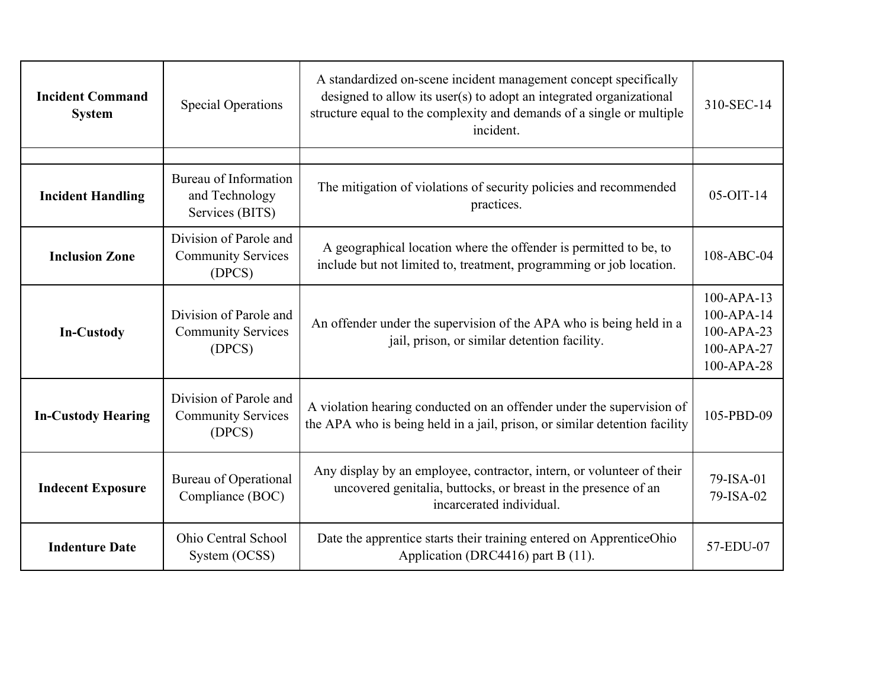| <b>Incident Command</b><br><b>System</b> | <b>Special Operations</b>                                     | A standardized on-scene incident management concept specifically<br>designed to allow its user(s) to adopt an integrated organizational<br>structure equal to the complexity and demands of a single or multiple<br>incident. | 310-SEC-14                                                           |
|------------------------------------------|---------------------------------------------------------------|-------------------------------------------------------------------------------------------------------------------------------------------------------------------------------------------------------------------------------|----------------------------------------------------------------------|
|                                          |                                                               |                                                                                                                                                                                                                               |                                                                      |
| <b>Incident Handling</b>                 | Bureau of Information<br>and Technology<br>Services (BITS)    | The mitigation of violations of security policies and recommended<br>practices.                                                                                                                                               | $05-OIT-14$                                                          |
| <b>Inclusion Zone</b>                    | Division of Parole and<br><b>Community Services</b><br>(DPCS) | A geographical location where the offender is permitted to be, to<br>include but not limited to, treatment, programming or job location.                                                                                      | 108-ABC-04                                                           |
| <b>In-Custody</b>                        | Division of Parole and<br><b>Community Services</b><br>(DPCS) | An offender under the supervision of the APA who is being held in a<br>jail, prison, or similar detention facility.                                                                                                           | $100-APA-13$<br>100-APA-14<br>100-APA-23<br>100-APA-27<br>100-APA-28 |
| <b>In-Custody Hearing</b>                | Division of Parole and<br><b>Community Services</b><br>(DPCS) | A violation hearing conducted on an offender under the supervision of<br>the APA who is being held in a jail, prison, or similar detention facility                                                                           | 105-PBD-09                                                           |
| <b>Indecent Exposure</b>                 | <b>Bureau of Operational</b><br>Compliance (BOC)              | Any display by an employee, contractor, intern, or volunteer of their<br>uncovered genitalia, buttocks, or breast in the presence of an<br>incarcerated individual.                                                           | 79-ISA-01<br>79-ISA-02                                               |
| <b>Indenture Date</b>                    | Ohio Central School<br>System (OCSS)                          | Date the apprentice starts their training entered on ApprenticeOhio<br>Application (DRC4416) part B (11).                                                                                                                     | 57-EDU-07                                                            |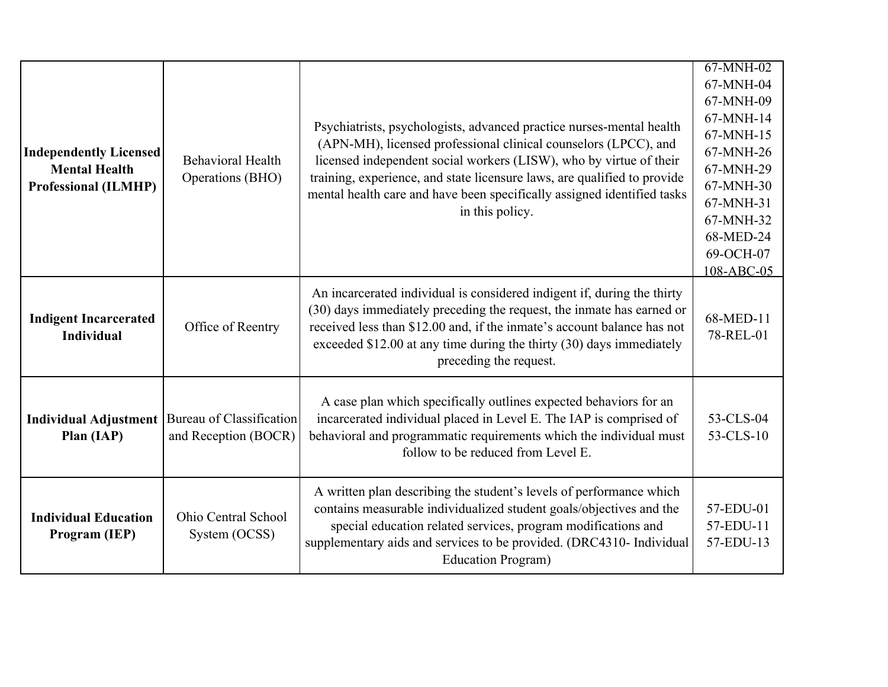| <b>Independently Licensed</b><br><b>Mental Health</b><br><b>Professional (ILMHP)</b> | <b>Behavioral Health</b><br>Operations (BHO) | Psychiatrists, psychologists, advanced practice nurses-mental health<br>(APN-MH), licensed professional clinical counselors (LPCC), and<br>licensed independent social workers (LISW), who by virtue of their<br>training, experience, and state licensure laws, are qualified to provide<br>mental health care and have been specifically assigned identified tasks<br>in this policy. | 67-MNH-02<br>67-MNH-04<br>67-MNH-09<br>67-MNH-14<br>67-MNH-15<br>67-MNH-26<br>67-MNH-29<br>67-MNH-30<br>67-MNH-31<br>67-MNH-32<br>68-MED-24<br>69-OCH-07<br>108-ABC-05 |
|--------------------------------------------------------------------------------------|----------------------------------------------|-----------------------------------------------------------------------------------------------------------------------------------------------------------------------------------------------------------------------------------------------------------------------------------------------------------------------------------------------------------------------------------------|------------------------------------------------------------------------------------------------------------------------------------------------------------------------|
| <b>Indigent Incarcerated</b><br><b>Individual</b>                                    | Office of Reentry                            | An incarcerated individual is considered indigent if, during the thirty<br>(30) days immediately preceding the request, the inmate has earned or<br>received less than \$12.00 and, if the inmate's account balance has not<br>exceeded \$12.00 at any time during the thirty (30) days immediately<br>preceding the request.                                                           | 68-MED-11<br>78-REL-01                                                                                                                                                 |
| Individual Adjustment   Bureau of Classification<br>Plan (IAP)                       | and Reception (BOCR)                         | A case plan which specifically outlines expected behaviors for an<br>incarcerated individual placed in Level E. The IAP is comprised of<br>behavioral and programmatic requirements which the individual must<br>follow to be reduced from Level E.                                                                                                                                     | 53-CLS-04<br>53-CLS-10                                                                                                                                                 |
| <b>Individual Education</b><br>Program (IEP)                                         | Ohio Central School<br>System (OCSS)         | A written plan describing the student's levels of performance which<br>contains measurable individualized student goals/objectives and the<br>special education related services, program modifications and<br>supplementary aids and services to be provided. (DRC4310- Individual<br><b>Education Program</b> )                                                                       | 57-EDU-01<br>57-EDU-11<br>57-EDU-13                                                                                                                                    |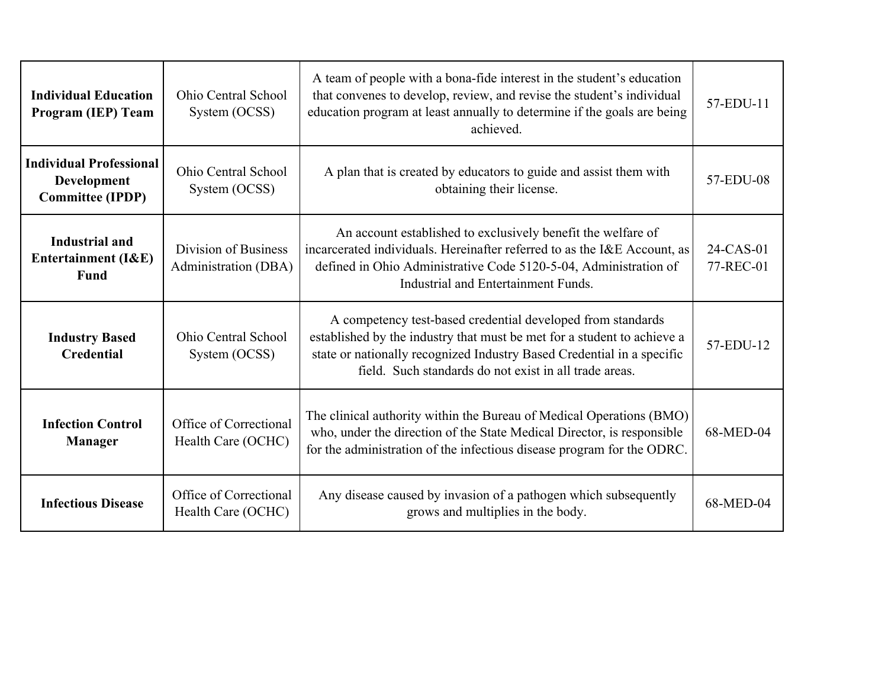| <b>Individual Education</b><br>Program (IEP) Team                               | Ohio Central School<br>System (OCSS)         | A team of people with a bona-fide interest in the student's education<br>that convenes to develop, review, and revise the student's individual<br>education program at least annually to determine if the goals are being<br>achieved.                                     | 57-EDU-11              |
|---------------------------------------------------------------------------------|----------------------------------------------|----------------------------------------------------------------------------------------------------------------------------------------------------------------------------------------------------------------------------------------------------------------------------|------------------------|
| <b>Individual Professional</b><br><b>Development</b><br><b>Committee (IPDP)</b> | Ohio Central School<br>System (OCSS)         | A plan that is created by educators to guide and assist them with<br>obtaining their license.                                                                                                                                                                              | 57-EDU-08              |
| <b>Industrial and</b><br>Entertainment (I&E)<br>Fund                            | Division of Business<br>Administration (DBA) | An account established to exclusively benefit the welfare of<br>incarcerated individuals. Hereinafter referred to as the I&E Account, as<br>defined in Ohio Administrative Code 5120-5-04, Administration of<br>Industrial and Entertainment Funds.                        | 24-CAS-01<br>77-REC-01 |
| <b>Industry Based</b><br><b>Credential</b>                                      | Ohio Central School<br>System (OCSS)         | A competency test-based credential developed from standards<br>established by the industry that must be met for a student to achieve a<br>state or nationally recognized Industry Based Credential in a specific<br>field. Such standards do not exist in all trade areas. | 57-EDU-12              |
| <b>Infection Control</b><br><b>Manager</b>                                      | Office of Correctional<br>Health Care (OCHC) | The clinical authority within the Bureau of Medical Operations (BMO)<br>who, under the direction of the State Medical Director, is responsible<br>for the administration of the infectious disease program for the ODRC.                                                   | 68-MED-04              |
| <b>Infectious Disease</b>                                                       | Office of Correctional<br>Health Care (OCHC) | Any disease caused by invasion of a pathogen which subsequently<br>grows and multiplies in the body.                                                                                                                                                                       | 68-MED-04              |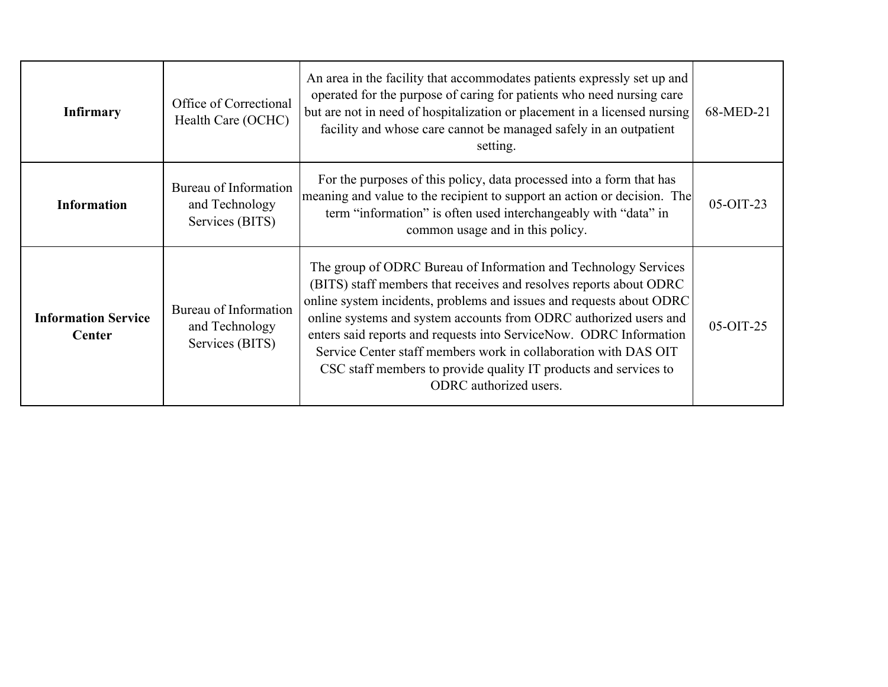| <b>Infirmary</b>                            | Office of Correctional<br>Health Care (OCHC)               | An area in the facility that accommodates patients expressly set up and<br>operated for the purpose of caring for patients who need nursing care<br>but are not in need of hospitalization or placement in a licensed nursing<br>facility and whose care cannot be managed safely in an outpatient<br>setting.                                                                                                                                                                                                            | 68-MED-21   |
|---------------------------------------------|------------------------------------------------------------|---------------------------------------------------------------------------------------------------------------------------------------------------------------------------------------------------------------------------------------------------------------------------------------------------------------------------------------------------------------------------------------------------------------------------------------------------------------------------------------------------------------------------|-------------|
| <b>Information</b>                          | Bureau of Information<br>and Technology<br>Services (BITS) | For the purposes of this policy, data processed into a form that has<br>meaning and value to the recipient to support an action or decision. The<br>term "information" is often used interchangeably with "data" in<br>common usage and in this policy.                                                                                                                                                                                                                                                                   | 05-OIT-23   |
| <b>Information Service</b><br><b>Center</b> | Bureau of Information<br>and Technology<br>Services (BITS) | The group of ODRC Bureau of Information and Technology Services<br>(BITS) staff members that receives and resolves reports about ODRC<br>online system incidents, problems and issues and requests about ODRC<br>online systems and system accounts from ODRC authorized users and<br>enters said reports and requests into ServiceNow. ODRC Information<br>Service Center staff members work in collaboration with DAS OIT<br>CSC staff members to provide quality IT products and services to<br>ODRC authorized users. | $05-OIT-25$ |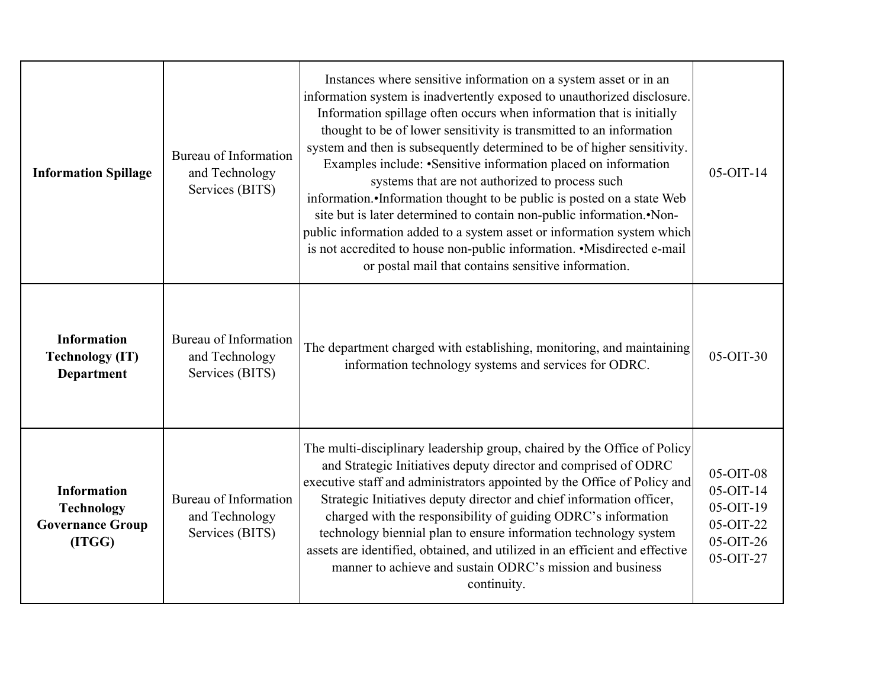| <b>Information Spillage</b>                                                  | Bureau of Information<br>and Technology<br>Services (BITS) | Instances where sensitive information on a system asset or in an<br>information system is inadvertently exposed to unauthorized disclosure.<br>Information spillage often occurs when information that is initially<br>thought to be of lower sensitivity is transmitted to an information<br>system and then is subsequently determined to be of higher sensitivity.<br>Examples include: • Sensitive information placed on information<br>systems that are not authorized to process such<br>information. Information thought to be public is posted on a state Web<br>site but is later determined to contain non-public information.•Non-<br>public information added to a system asset or information system which<br>is not accredited to house non-public information. • Misdirected e-mail<br>or postal mail that contains sensitive information. | $05-$ OIT $-14$                                                             |
|------------------------------------------------------------------------------|------------------------------------------------------------|-----------------------------------------------------------------------------------------------------------------------------------------------------------------------------------------------------------------------------------------------------------------------------------------------------------------------------------------------------------------------------------------------------------------------------------------------------------------------------------------------------------------------------------------------------------------------------------------------------------------------------------------------------------------------------------------------------------------------------------------------------------------------------------------------------------------------------------------------------------|-----------------------------------------------------------------------------|
| <b>Information</b><br><b>Technology (IT)</b><br><b>Department</b>            | Bureau of Information<br>and Technology<br>Services (BITS) | The department charged with establishing, monitoring, and maintaining<br>information technology systems and services for ODRC.                                                                                                                                                                                                                                                                                                                                                                                                                                                                                                                                                                                                                                                                                                                            | 05-OIT-30                                                                   |
| <b>Information</b><br><b>Technology</b><br><b>Governance Group</b><br>(ITGG) | Bureau of Information<br>and Technology<br>Services (BITS) | The multi-disciplinary leadership group, chaired by the Office of Policy<br>and Strategic Initiatives deputy director and comprised of ODRC<br>executive staff and administrators appointed by the Office of Policy and<br>Strategic Initiatives deputy director and chief information officer,<br>charged with the responsibility of guiding ODRC's information<br>technology biennial plan to ensure information technology system<br>assets are identified, obtained, and utilized in an efficient and effective<br>manner to achieve and sustain ODRC's mission and business<br>continuity.                                                                                                                                                                                                                                                           | 05-OIT-08<br>$05-OT-14$<br>05-OIT-19<br>05-OIT-22<br>05-OIT-26<br>05-OIT-27 |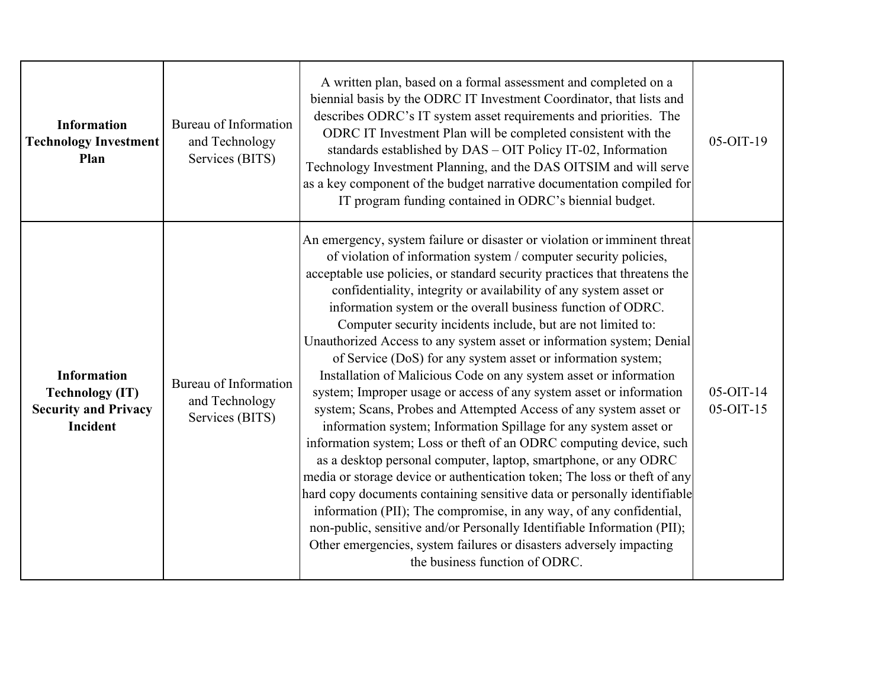| <b>Information</b><br><b>Technology Investment</b><br>Plan                                     | Bureau of Information<br>and Technology<br>Services (BITS) | A written plan, based on a formal assessment and completed on a<br>biennial basis by the ODRC IT Investment Coordinator, that lists and<br>describes ODRC's IT system asset requirements and priorities. The<br>ODRC IT Investment Plan will be completed consistent with the<br>standards established by DAS - OIT Policy IT-02, Information<br>Technology Investment Planning, and the DAS OITSIM and will serve<br>as a key component of the budget narrative documentation compiled for<br>IT program funding contained in ODRC's biennial budget.                                                                                                                                                                                                                                                                                                                                                                                                                                                                                                                                                                                                                                                                                                                                                                                                                                                                      | $05-OT-19$              |
|------------------------------------------------------------------------------------------------|------------------------------------------------------------|-----------------------------------------------------------------------------------------------------------------------------------------------------------------------------------------------------------------------------------------------------------------------------------------------------------------------------------------------------------------------------------------------------------------------------------------------------------------------------------------------------------------------------------------------------------------------------------------------------------------------------------------------------------------------------------------------------------------------------------------------------------------------------------------------------------------------------------------------------------------------------------------------------------------------------------------------------------------------------------------------------------------------------------------------------------------------------------------------------------------------------------------------------------------------------------------------------------------------------------------------------------------------------------------------------------------------------------------------------------------------------------------------------------------------------|-------------------------|
| <b>Information</b><br><b>Technology (IT)</b><br><b>Security and Privacy</b><br><b>Incident</b> | Bureau of Information<br>and Technology<br>Services (BITS) | An emergency, system failure or disaster or violation or imminent threat<br>of violation of information system / computer security policies,<br>acceptable use policies, or standard security practices that threatens the<br>confidentiality, integrity or availability of any system asset or<br>information system or the overall business function of ODRC.<br>Computer security incidents include, but are not limited to:<br>Unauthorized Access to any system asset or information system; Denial<br>of Service (DoS) for any system asset or information system;<br>Installation of Malicious Code on any system asset or information<br>system; Improper usage or access of any system asset or information<br>system; Scans, Probes and Attempted Access of any system asset or<br>information system; Information Spillage for any system asset or<br>information system; Loss or theft of an ODRC computing device, such<br>as a desktop personal computer, laptop, smartphone, or any ODRC<br>media or storage device or authentication token; The loss or theft of any<br>hard copy documents containing sensitive data or personally identifiable<br>information (PII); The compromise, in any way, of any confidential,<br>non-public, sensitive and/or Personally Identifiable Information (PII);<br>Other emergencies, system failures or disasters adversely impacting<br>the business function of ODRC. | $05-OT-14$<br>05-OIT-15 |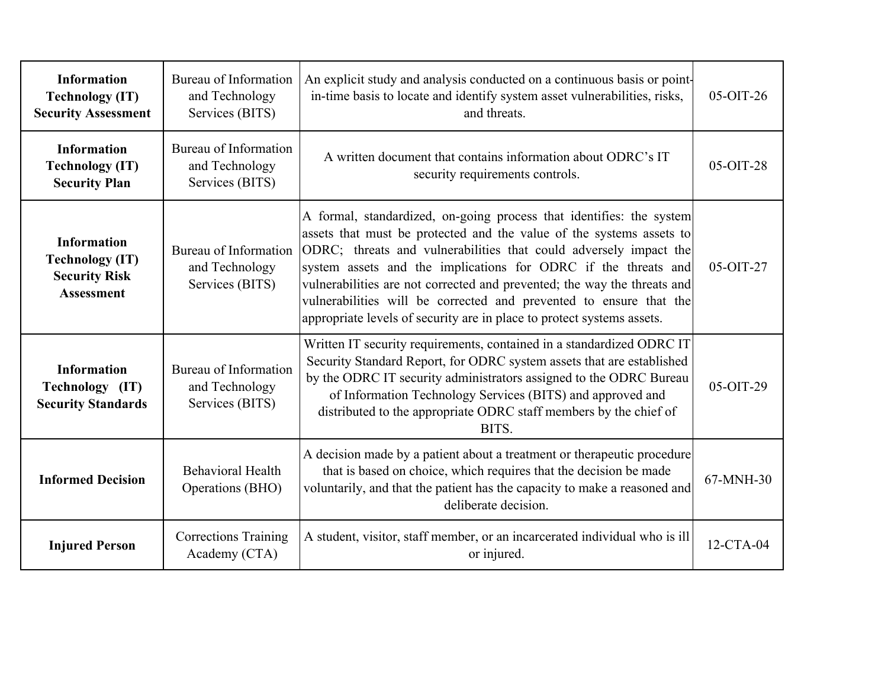| <b>Information</b><br><b>Technology (IT)</b><br><b>Security Assessment</b>                | Bureau of Information<br>and Technology<br>Services (BITS) | An explicit study and analysis conducted on a continuous basis or point-<br>in-time basis to locate and identify system asset vulnerabilities, risks,<br>and threats.                                                                                                                                                                                                                                                                                                                                           | 05-OIT-26 |
|-------------------------------------------------------------------------------------------|------------------------------------------------------------|-----------------------------------------------------------------------------------------------------------------------------------------------------------------------------------------------------------------------------------------------------------------------------------------------------------------------------------------------------------------------------------------------------------------------------------------------------------------------------------------------------------------|-----------|
| <b>Information</b><br><b>Technology (IT)</b><br><b>Security Plan</b>                      | Bureau of Information<br>and Technology<br>Services (BITS) | A written document that contains information about ODRC's IT<br>security requirements controls.                                                                                                                                                                                                                                                                                                                                                                                                                 | 05-OIT-28 |
| <b>Information</b><br><b>Technology (IT)</b><br><b>Security Risk</b><br><b>Assessment</b> | Bureau of Information<br>and Technology<br>Services (BITS) | A formal, standardized, on-going process that identifies: the system<br>assets that must be protected and the value of the systems assets to<br>ODRC; threats and vulnerabilities that could adversely impact the<br>system assets and the implications for ODRC if the threats and<br>vulnerabilities are not corrected and prevented; the way the threats and<br>vulnerabilities will be corrected and prevented to ensure that the<br>appropriate levels of security are in place to protect systems assets. | 05-OIT-27 |
| <b>Information</b><br>Technology (IT)<br><b>Security Standards</b>                        | Bureau of Information<br>and Technology<br>Services (BITS) | Written IT security requirements, contained in a standardized ODRC IT<br>Security Standard Report, for ODRC system assets that are established<br>by the ODRC IT security administrators assigned to the ODRC Bureau<br>of Information Technology Services (BITS) and approved and<br>distributed to the appropriate ODRC staff members by the chief of<br>BITS.                                                                                                                                                | 05-OIT-29 |
| <b>Informed Decision</b>                                                                  | <b>Behavioral Health</b><br>Operations (BHO)               | A decision made by a patient about a treatment or therapeutic procedure<br>that is based on choice, which requires that the decision be made<br>voluntarily, and that the patient has the capacity to make a reasoned and<br>deliberate decision.                                                                                                                                                                                                                                                               | 67-MNH-30 |
| <b>Injured Person</b>                                                                     | <b>Corrections Training</b><br>Academy (CTA)               | A student, visitor, staff member, or an incarcerated individual who is ill<br>or injured.                                                                                                                                                                                                                                                                                                                                                                                                                       | 12-CTA-04 |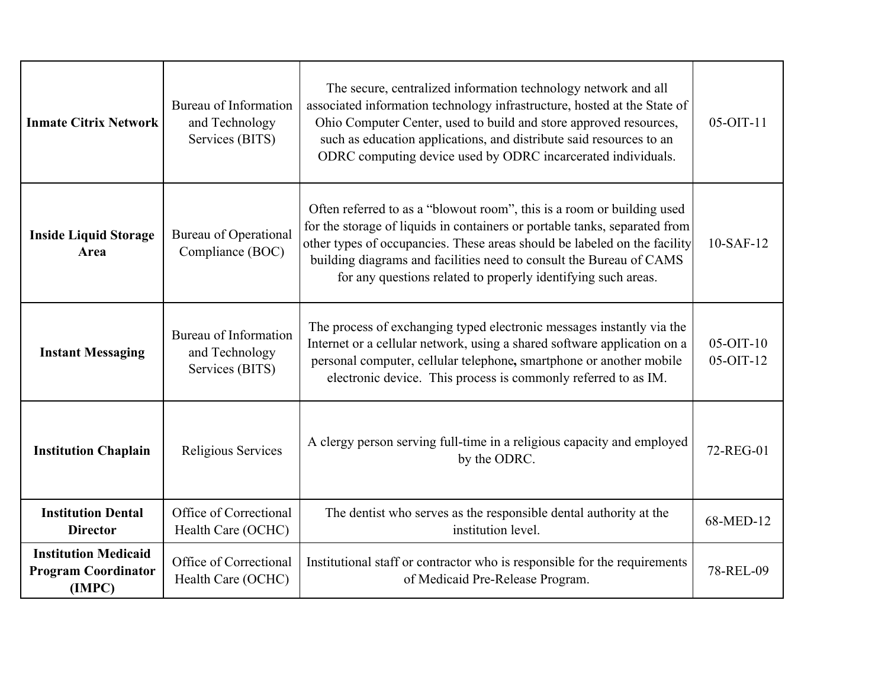| <b>Inmate Citrix Network</b>                                       | Bureau of Information<br>and Technology<br>Services (BITS) | The secure, centralized information technology network and all<br>associated information technology infrastructure, hosted at the State of<br>Ohio Computer Center, used to build and store approved resources,<br>such as education applications, and distribute said resources to an<br>ODRC computing device used by ODRC incarcerated individuals.                    | 05-OIT-11                 |
|--------------------------------------------------------------------|------------------------------------------------------------|---------------------------------------------------------------------------------------------------------------------------------------------------------------------------------------------------------------------------------------------------------------------------------------------------------------------------------------------------------------------------|---------------------------|
| <b>Inside Liquid Storage</b><br>Area                               | <b>Bureau of Operational</b><br>Compliance (BOC)           | Often referred to as a "blowout room", this is a room or building used<br>for the storage of liquids in containers or portable tanks, separated from<br>other types of occupancies. These areas should be labeled on the facility<br>building diagrams and facilities need to consult the Bureau of CAMS<br>for any questions related to properly identifying such areas. | $10-SAF-12$               |
| <b>Instant Messaging</b>                                           | Bureau of Information<br>and Technology<br>Services (BITS) | The process of exchanging typed electronic messages instantly via the<br>Internet or a cellular network, using a shared software application on a<br>personal computer, cellular telephone, smartphone or another mobile<br>electronic device. This process is commonly referred to as IM.                                                                                | $05-OIT-10$<br>$05-OT-12$ |
| <b>Institution Chaplain</b>                                        | Religious Services                                         | A clergy person serving full-time in a religious capacity and employed<br>by the ODRC.                                                                                                                                                                                                                                                                                    | 72-REG-01                 |
| <b>Institution Dental</b><br><b>Director</b>                       | Office of Correctional<br>Health Care (OCHC)               | The dentist who serves as the responsible dental authority at the<br>institution level.                                                                                                                                                                                                                                                                                   | 68-MED-12                 |
| <b>Institution Medicaid</b><br><b>Program Coordinator</b><br>IMPC) | Office of Correctional<br>Health Care (OCHC)               | Institutional staff or contractor who is responsible for the requirements<br>of Medicaid Pre-Release Program.                                                                                                                                                                                                                                                             | 78-REL-09                 |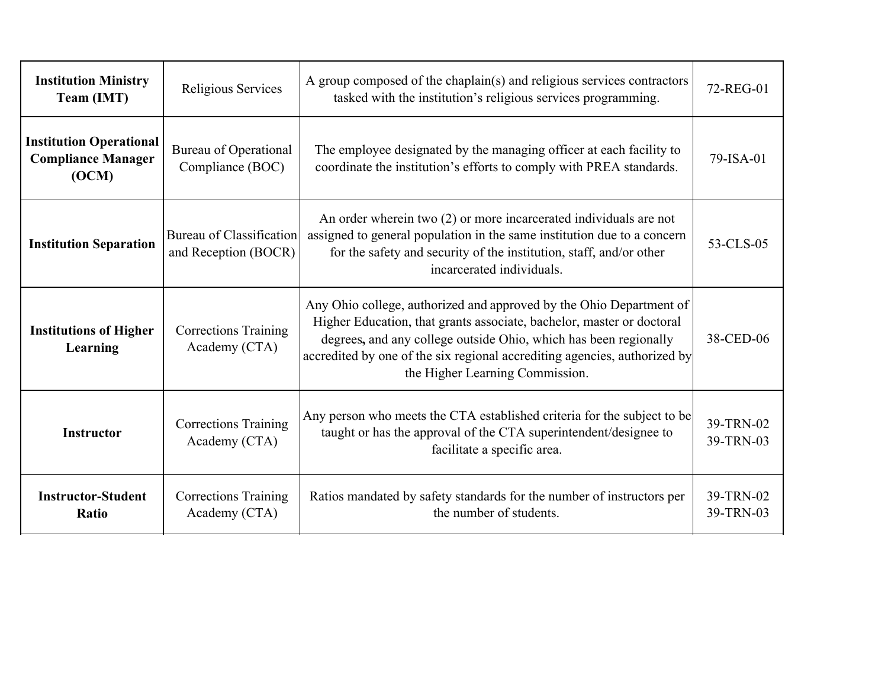| <b>Institution Ministry</b><br>Team (IMT)                            | Religious Services                               | A group composed of the chaplain(s) and religious services contractors<br>tasked with the institution's religious services programming.                                                                                                                                                                                          | 72-REG-01              |
|----------------------------------------------------------------------|--------------------------------------------------|----------------------------------------------------------------------------------------------------------------------------------------------------------------------------------------------------------------------------------------------------------------------------------------------------------------------------------|------------------------|
| <b>Institution Operational</b><br><b>Compliance Manager</b><br>(OCM) | <b>Bureau of Operational</b><br>Compliance (BOC) | The employee designated by the managing officer at each facility to<br>coordinate the institution's efforts to comply with PREA standards.                                                                                                                                                                                       | 79-ISA-01              |
| <b>Institution Separation</b>                                        | Bureau of Classification<br>and Reception (BOCR) | An order wherein two $(2)$ or more incarcerated individuals are not<br>assigned to general population in the same institution due to a concern<br>for the safety and security of the institution, staff, and/or other<br>incarcerated individuals.                                                                               | 53-CLS-05              |
| <b>Institutions of Higher</b><br>Learning                            | <b>Corrections Training</b><br>Academy (CTA)     | Any Ohio college, authorized and approved by the Ohio Department of<br>Higher Education, that grants associate, bachelor, master or doctoral<br>degrees, and any college outside Ohio, which has been regionally<br>accredited by one of the six regional accrediting agencies, authorized by<br>the Higher Learning Commission. | 38-CED-06              |
| <b>Instructor</b>                                                    | <b>Corrections Training</b><br>Academy (CTA)     | Any person who meets the CTA established criteria for the subject to be<br>taught or has the approval of the CTA superintendent/designee to<br>facilitate a specific area.                                                                                                                                                       | 39-TRN-02<br>39-TRN-03 |
| <b>Instructor-Student</b><br><b>Ratio</b>                            | <b>Corrections Training</b><br>Academy (CTA)     | Ratios mandated by safety standards for the number of instructors per<br>the number of students.                                                                                                                                                                                                                                 | 39-TRN-02<br>39-TRN-03 |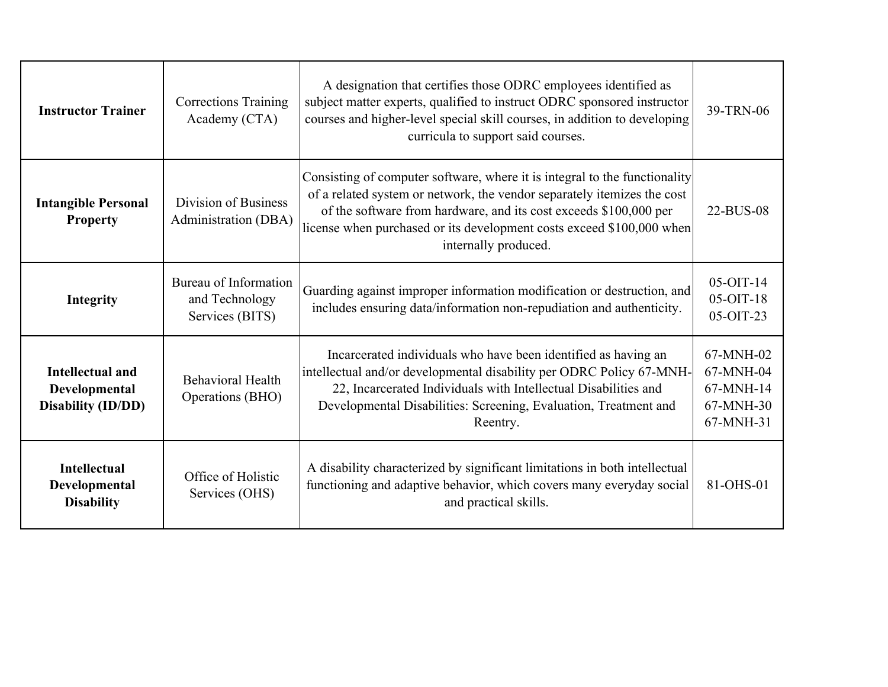| <b>Instructor Trainer</b>                                      | <b>Corrections Training</b><br>Academy (CTA)               | A designation that certifies those ODRC employees identified as<br>subject matter experts, qualified to instruct ODRC sponsored instructor<br>courses and higher-level special skill courses, in addition to developing<br>curricula to support said courses.                                                               | 39-TRN-06                                                     |
|----------------------------------------------------------------|------------------------------------------------------------|-----------------------------------------------------------------------------------------------------------------------------------------------------------------------------------------------------------------------------------------------------------------------------------------------------------------------------|---------------------------------------------------------------|
| <b>Intangible Personal</b><br><b>Property</b>                  | Division of Business<br>Administration (DBA)               | Consisting of computer software, where it is integral to the functionality<br>of a related system or network, the vendor separately itemizes the cost<br>of the software from hardware, and its cost exceeds \$100,000 per<br>license when purchased or its development costs exceed \$100,000 when<br>internally produced. | 22-BUS-08                                                     |
| Integrity                                                      | Bureau of Information<br>and Technology<br>Services (BITS) | Guarding against improper information modification or destruction, and<br>includes ensuring data/information non-repudiation and authenticity.                                                                                                                                                                              | $05-OTT-14$<br>$05-OT-18$<br>05-OIT-23                        |
| <b>Intellectual and</b><br>Developmental<br>Disability (ID/DD) | <b>Behavioral Health</b><br>Operations (BHO)               | Incarcerated individuals who have been identified as having an<br>intellectual and/or developmental disability per ODRC Policy 67-MNH-<br>22, Incarcerated Individuals with Intellectual Disabilities and<br>Developmental Disabilities: Screening, Evaluation, Treatment and<br>Reentry.                                   | 67-MNH-02<br>67-MNH-04<br>67-MNH-14<br>67-MNH-30<br>67-MNH-31 |
| <b>Intellectual</b><br>Developmental<br><b>Disability</b>      | Office of Holistic<br>Services (OHS)                       | A disability characterized by significant limitations in both intellectual<br>functioning and adaptive behavior, which covers many everyday social<br>and practical skills.                                                                                                                                                 | 81-OHS-01                                                     |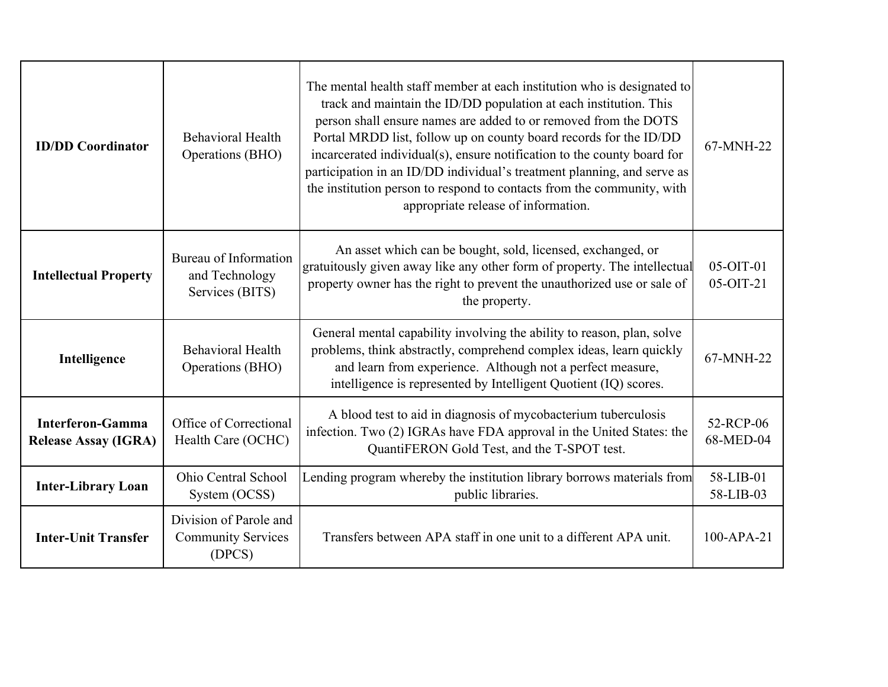| <b>ID/DD Coordinator</b>                               | <b>Behavioral Health</b><br>Operations (BHO)                  | The mental health staff member at each institution who is designated to<br>track and maintain the ID/DD population at each institution. This<br>person shall ensure names are added to or removed from the DOTS<br>Portal MRDD list, follow up on county board records for the ID/DD<br>incarcerated individual(s), ensure notification to the county board for<br>participation in an ID/DD individual's treatment planning, and serve as<br>the institution person to respond to contacts from the community, with<br>appropriate release of information. | 67-MNH-22                |
|--------------------------------------------------------|---------------------------------------------------------------|-------------------------------------------------------------------------------------------------------------------------------------------------------------------------------------------------------------------------------------------------------------------------------------------------------------------------------------------------------------------------------------------------------------------------------------------------------------------------------------------------------------------------------------------------------------|--------------------------|
| <b>Intellectual Property</b>                           | Bureau of Information<br>and Technology<br>Services (BITS)    | An asset which can be bought, sold, licensed, exchanged, or<br>gratuitously given away like any other form of property. The intellectual<br>property owner has the right to prevent the unauthorized use or sale of<br>the property.                                                                                                                                                                                                                                                                                                                        | $05-OIT-01$<br>05-OIT-21 |
| Intelligence                                           | <b>Behavioral Health</b><br>Operations (BHO)                  | General mental capability involving the ability to reason, plan, solve<br>problems, think abstractly, comprehend complex ideas, learn quickly<br>and learn from experience. Although not a perfect measure,<br>intelligence is represented by Intelligent Quotient (IQ) scores.                                                                                                                                                                                                                                                                             | 67-MNH-22                |
| <b>Interferon-Gamma</b><br><b>Release Assay (IGRA)</b> | Office of Correctional<br>Health Care (OCHC)                  | A blood test to aid in diagnosis of mycobacterium tuberculosis<br>infection. Two (2) IGRAs have FDA approval in the United States: the<br>QuantiFERON Gold Test, and the T-SPOT test.                                                                                                                                                                                                                                                                                                                                                                       | 52-RCP-06<br>68-MED-04   |
| <b>Inter-Library Loan</b>                              | Ohio Central School<br>System (OCSS)                          | Lending program whereby the institution library borrows materials from<br>public libraries.                                                                                                                                                                                                                                                                                                                                                                                                                                                                 | 58-LIB-01<br>58-LIB-03   |
| <b>Inter-Unit Transfer</b>                             | Division of Parole and<br><b>Community Services</b><br>(DPCS) | Transfers between APA staff in one unit to a different APA unit.                                                                                                                                                                                                                                                                                                                                                                                                                                                                                            | 100-APA-21               |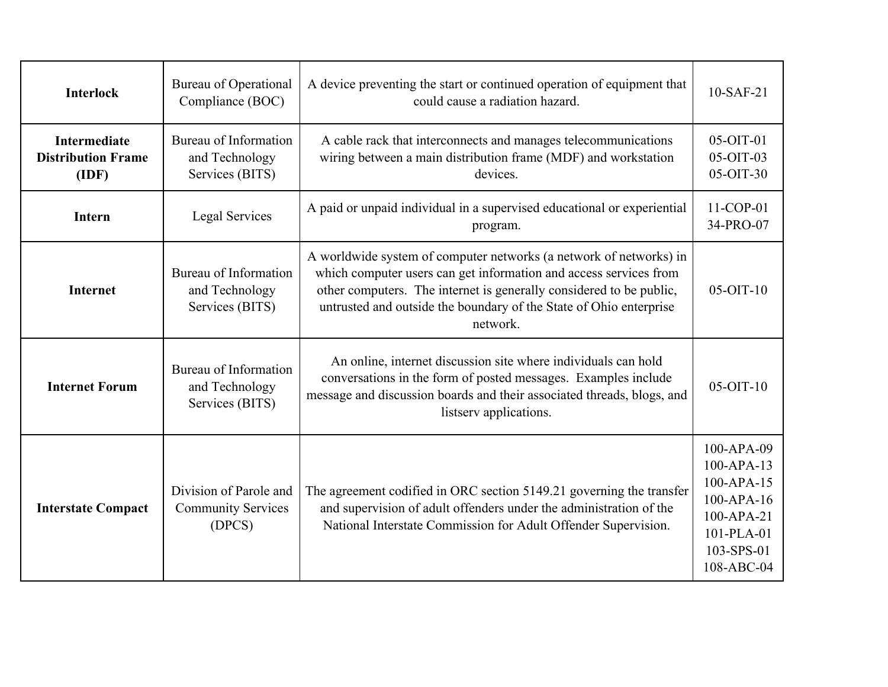| <b>Interlock</b>                                   | <b>Bureau of Operational</b><br>Compliance (BOC)              | A device preventing the start or continued operation of equipment that<br>could cause a radiation hazard.                                                                                                                                                                                        | $10-SAF-21$                                                                                                    |
|----------------------------------------------------|---------------------------------------------------------------|--------------------------------------------------------------------------------------------------------------------------------------------------------------------------------------------------------------------------------------------------------------------------------------------------|----------------------------------------------------------------------------------------------------------------|
| Intermediate<br><b>Distribution Frame</b><br>(IDF) | Bureau of Information<br>and Technology<br>Services (BITS)    | A cable rack that interconnects and manages telecommunications<br>wiring between a main distribution frame (MDF) and workstation<br>devices.                                                                                                                                                     | 05-OIT-01<br>05-OIT-03<br>05-OIT-30                                                                            |
| <b>Intern</b>                                      | Legal Services                                                | A paid or unpaid individual in a supervised educational or experiential<br>program.                                                                                                                                                                                                              | 11-COP-01<br>34-PRO-07                                                                                         |
| <b>Internet</b>                                    | Bureau of Information<br>and Technology<br>Services (BITS)    | A worldwide system of computer networks (a network of networks) in<br>which computer users can get information and access services from<br>other computers. The internet is generally considered to be public,<br>untrusted and outside the boundary of the State of Ohio enterprise<br>network. | $05-OIT-10$                                                                                                    |
| <b>Internet Forum</b>                              | Bureau of Information<br>and Technology<br>Services (BITS)    | An online, internet discussion site where individuals can hold<br>conversations in the form of posted messages. Examples include<br>message and discussion boards and their associated threads, blogs, and<br>listserv applications.                                                             | $05-OIT-10$                                                                                                    |
| <b>Interstate Compact</b>                          | Division of Parole and<br><b>Community Services</b><br>(DPCS) | The agreement codified in ORC section 5149.21 governing the transfer<br>and supervision of adult offenders under the administration of the<br>National Interstate Commission for Adult Offender Supervision.                                                                                     | 100-APA-09<br>$100-APA-13$<br>100-APA-15<br>100-APA-16<br>100-APA-21<br>101-PLA-01<br>103-SPS-01<br>108-ABC-04 |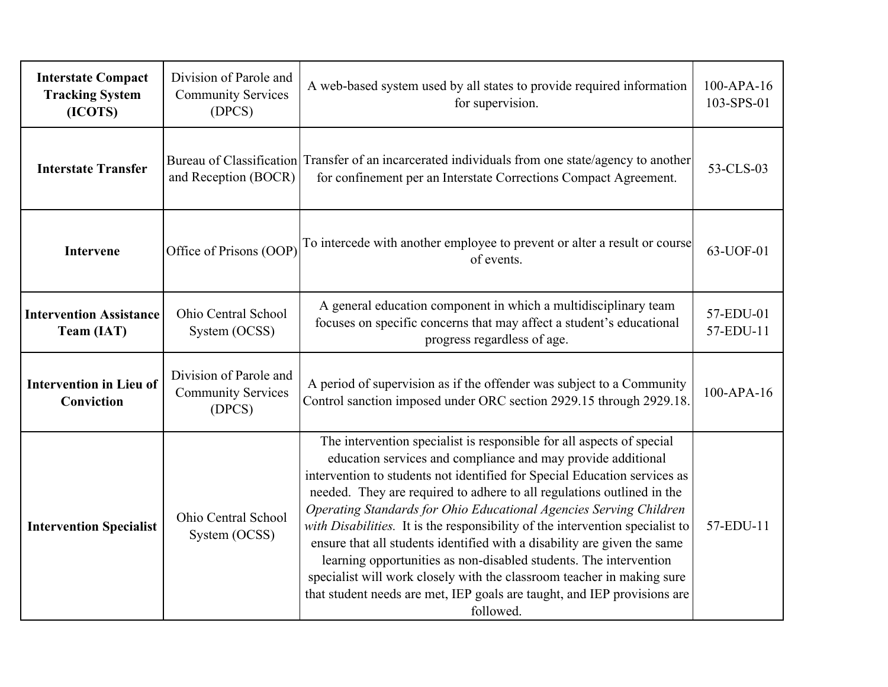| <b>Interstate Compact</b><br><b>Tracking System</b><br>(ICOTS) | Division of Parole and<br><b>Community Services</b><br>(DPCS) | A web-based system used by all states to provide required information<br>for supervision.                                                                                                                                                                                                                                                                                                                                                                                                                                                                                                                                                                                                                                                                               | 100-APA-16<br>103-SPS-01 |
|----------------------------------------------------------------|---------------------------------------------------------------|-------------------------------------------------------------------------------------------------------------------------------------------------------------------------------------------------------------------------------------------------------------------------------------------------------------------------------------------------------------------------------------------------------------------------------------------------------------------------------------------------------------------------------------------------------------------------------------------------------------------------------------------------------------------------------------------------------------------------------------------------------------------------|--------------------------|
| <b>Interstate Transfer</b>                                     | and Reception (BOCR)                                          | Bureau of Classification Transfer of an incarcerated individuals from one state/agency to another<br>for confinement per an Interstate Corrections Compact Agreement.                                                                                                                                                                                                                                                                                                                                                                                                                                                                                                                                                                                                   | 53-CLS-03                |
| <b>Intervene</b>                                               | Office of Prisons (OOP)                                       | To intercede with another employee to prevent or alter a result or course<br>of events.                                                                                                                                                                                                                                                                                                                                                                                                                                                                                                                                                                                                                                                                                 | 63-UOF-01                |
| <b>Intervention Assistance</b><br>Team (IAT)                   | Ohio Central School<br>System (OCSS)                          | A general education component in which a multidisciplinary team<br>focuses on specific concerns that may affect a student's educational<br>progress regardless of age.                                                                                                                                                                                                                                                                                                                                                                                                                                                                                                                                                                                                  | 57-EDU-01<br>57-EDU-11   |
| <b>Intervention in Lieu of</b><br>Conviction                   | Division of Parole and<br><b>Community Services</b><br>(DPCS) | A period of supervision as if the offender was subject to a Community<br>Control sanction imposed under ORC section 2929.15 through 2929.18                                                                                                                                                                                                                                                                                                                                                                                                                                                                                                                                                                                                                             | 100-APA-16               |
| <b>Intervention Specialist</b>                                 | Ohio Central School<br>System (OCSS)                          | The intervention specialist is responsible for all aspects of special<br>education services and compliance and may provide additional<br>intervention to students not identified for Special Education services as<br>needed. They are required to adhere to all regulations outlined in the<br>Operating Standards for Ohio Educational Agencies Serving Children<br>with Disabilities. It is the responsibility of the intervention specialist to<br>ensure that all students identified with a disability are given the same<br>learning opportunities as non-disabled students. The intervention<br>specialist will work closely with the classroom teacher in making sure<br>that student needs are met, IEP goals are taught, and IEP provisions are<br>followed. | 57-EDU-11                |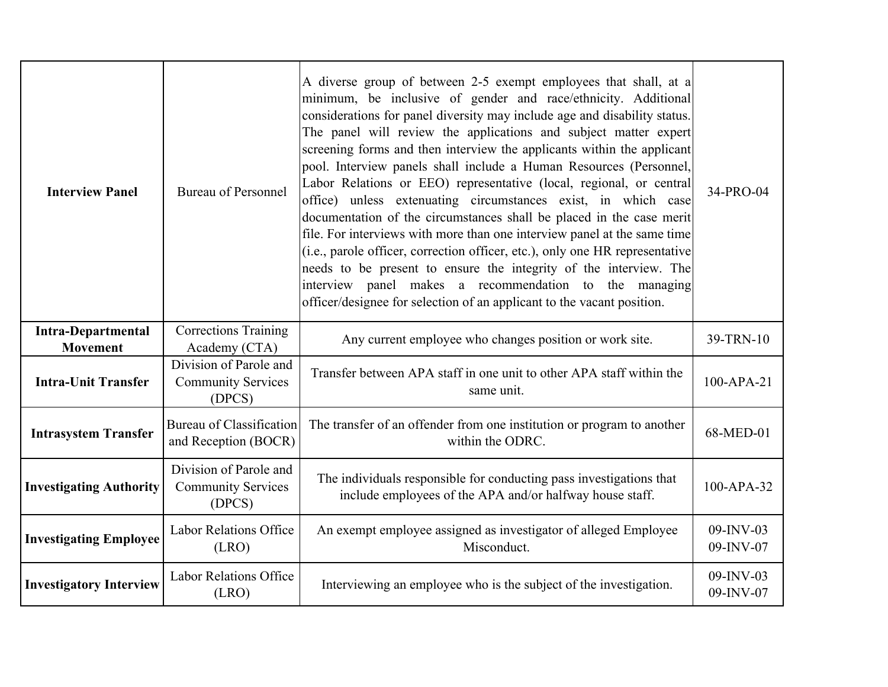| <b>Interview Panel</b>                       | <b>Bureau of Personnel</b>                                    | A diverse group of between 2-5 exempt employees that shall, at a<br>minimum, be inclusive of gender and race/ethnicity. Additional<br>considerations for panel diversity may include age and disability status.<br>The panel will review the applications and subject matter expert<br>screening forms and then interview the applicants within the applicant<br>pool. Interview panels shall include a Human Resources (Personnel,<br>Labor Relations or EEO) representative (local, regional, or central<br>office) unless extenuating circumstances exist, in which case<br>documentation of the circumstances shall be placed in the case merit<br>file. For interviews with more than one interview panel at the same time<br>(i.e., parole officer, correction officer, etc.), only one HR representative<br>needs to be present to ensure the integrity of the interview. The<br>interview panel makes a recommendation to the managing<br>officer/designee for selection of an applicant to the vacant position. | 34-PRO-04                 |
|----------------------------------------------|---------------------------------------------------------------|--------------------------------------------------------------------------------------------------------------------------------------------------------------------------------------------------------------------------------------------------------------------------------------------------------------------------------------------------------------------------------------------------------------------------------------------------------------------------------------------------------------------------------------------------------------------------------------------------------------------------------------------------------------------------------------------------------------------------------------------------------------------------------------------------------------------------------------------------------------------------------------------------------------------------------------------------------------------------------------------------------------------------|---------------------------|
| <b>Intra-Departmental</b><br><b>Movement</b> | <b>Corrections Training</b><br>Academy (CTA)                  | Any current employee who changes position or work site.                                                                                                                                                                                                                                                                                                                                                                                                                                                                                                                                                                                                                                                                                                                                                                                                                                                                                                                                                                  | 39-TRN-10                 |
| <b>Intra-Unit Transfer</b>                   | Division of Parole and<br><b>Community Services</b><br>(DPCS) | Transfer between APA staff in one unit to other APA staff within the<br>same unit.                                                                                                                                                                                                                                                                                                                                                                                                                                                                                                                                                                                                                                                                                                                                                                                                                                                                                                                                       | 100-APA-21                |
| <b>Intrasystem Transfer</b>                  | <b>Bureau of Classification</b><br>and Reception (BOCR)       | The transfer of an offender from one institution or program to another<br>within the ODRC.                                                                                                                                                                                                                                                                                                                                                                                                                                                                                                                                                                                                                                                                                                                                                                                                                                                                                                                               | 68-MED-01                 |
| <b>Investigating Authority</b>               | Division of Parole and<br><b>Community Services</b><br>(DPCS) | The individuals responsible for conducting pass investigations that<br>include employees of the APA and/or halfway house staff.                                                                                                                                                                                                                                                                                                                                                                                                                                                                                                                                                                                                                                                                                                                                                                                                                                                                                          | 100-APA-32                |
| <b>Investigating Employee</b>                | <b>Labor Relations Office</b><br>(LRO)                        | An exempt employee assigned as investigator of alleged Employee<br>Misconduct.                                                                                                                                                                                                                                                                                                                                                                                                                                                                                                                                                                                                                                                                                                                                                                                                                                                                                                                                           | $09$ -INV-03<br>09-INV-07 |
| <b>Investigatory Interview</b>               | <b>Labor Relations Office</b><br>(LRO)                        | Interviewing an employee who is the subject of the investigation.                                                                                                                                                                                                                                                                                                                                                                                                                                                                                                                                                                                                                                                                                                                                                                                                                                                                                                                                                        | 09-INV-03<br>09-INV-07    |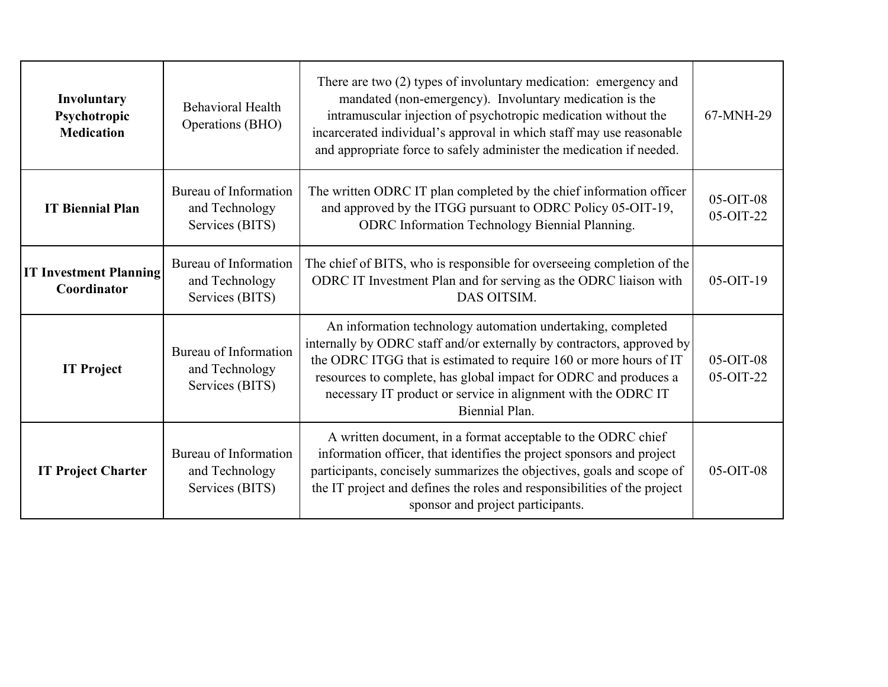| Involuntary<br>Psychotropic<br><b>Medication</b> | <b>Behavioral Health</b><br>Operations (BHO)               | There are two (2) types of involuntary medication: emergency and<br>mandated (non-emergency). Involuntary medication is the<br>intramuscular injection of psychotropic medication without the<br>incarcerated individual's approval in which staff may use reasonable<br>and appropriate force to safely administer the medication if needed.                      | 67-MNH-29              |
|--------------------------------------------------|------------------------------------------------------------|--------------------------------------------------------------------------------------------------------------------------------------------------------------------------------------------------------------------------------------------------------------------------------------------------------------------------------------------------------------------|------------------------|
| <b>IT Biennial Plan</b>                          | Bureau of Information<br>and Technology<br>Services (BITS) | The written ODRC IT plan completed by the chief information officer<br>and approved by the ITGG pursuant to ODRC Policy 05-OIT-19,<br>ODRC Information Technology Biennial Planning.                                                                                                                                                                               | 05-OIT-08<br>05-OIT-22 |
| <b>IT Investment Planning</b><br>Coordinator     | Bureau of Information<br>and Technology<br>Services (BITS) | The chief of BITS, who is responsible for overseeing completion of the<br>ODRC IT Investment Plan and for serving as the ODRC liaison with<br>DAS OITSIM.                                                                                                                                                                                                          | 05-OIT-19              |
| <b>IT Project</b>                                | Bureau of Information<br>and Technology<br>Services (BITS) | An information technology automation undertaking, completed<br>internally by ODRC staff and/or externally by contractors, approved by<br>the ODRC ITGG that is estimated to require 160 or more hours of IT<br>resources to complete, has global impact for ODRC and produces a<br>necessary IT product or service in alignment with the ODRC IT<br>Biennial Plan. | 05-OIT-08<br>05-OIT-22 |
| <b>IT Project Charter</b>                        | Bureau of Information<br>and Technology<br>Services (BITS) | A written document, in a format acceptable to the ODRC chief<br>information officer, that identifies the project sponsors and project<br>participants, concisely summarizes the objectives, goals and scope of<br>the IT project and defines the roles and responsibilities of the project<br>sponsor and project participants.                                    | 05-OIT-08              |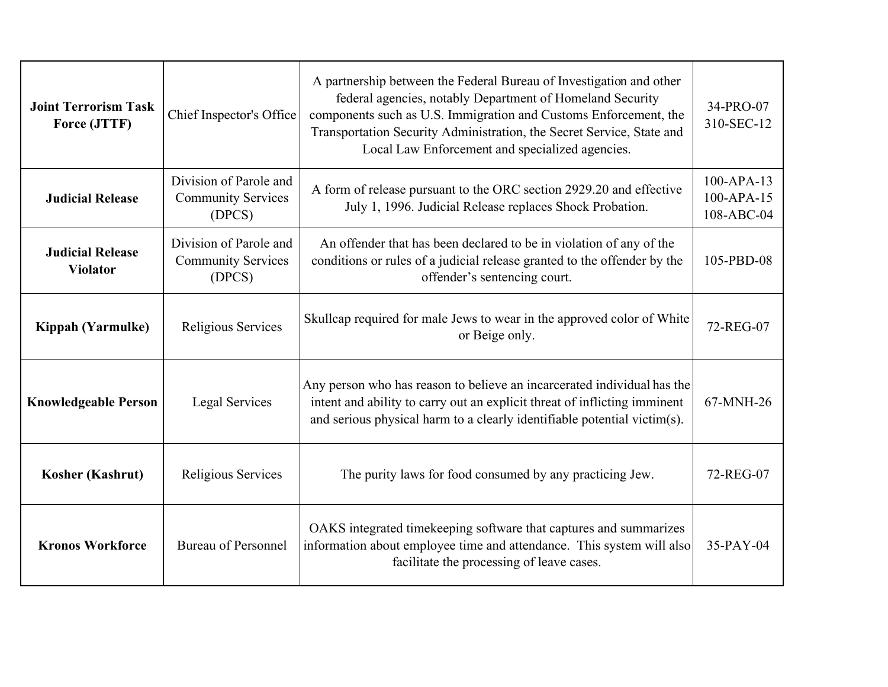| <b>Joint Terrorism Task</b><br>Force (JTTF) | Chief Inspector's Office                                      | A partnership between the Federal Bureau of Investigation and other<br>federal agencies, notably Department of Homeland Security<br>components such as U.S. Immigration and Customs Enforcement, the<br>Transportation Security Administration, the Secret Service, State and<br>Local Law Enforcement and specialized agencies. | 34-PRO-07<br>310-SEC-12                  |
|---------------------------------------------|---------------------------------------------------------------|----------------------------------------------------------------------------------------------------------------------------------------------------------------------------------------------------------------------------------------------------------------------------------------------------------------------------------|------------------------------------------|
| <b>Judicial Release</b>                     | Division of Parole and<br><b>Community Services</b><br>(DPCS) | A form of release pursuant to the ORC section 2929.20 and effective<br>July 1, 1996. Judicial Release replaces Shock Probation.                                                                                                                                                                                                  | 100-APA-13<br>$100-APA-15$<br>108-ABC-04 |
| <b>Judicial Release</b><br><b>Violator</b>  | Division of Parole and<br><b>Community Services</b><br>(DPCS) | An offender that has been declared to be in violation of any of the<br>conditions or rules of a judicial release granted to the offender by the<br>offender's sentencing court.                                                                                                                                                  | 105-PBD-08                               |
| Kippah (Yarmulke)                           | Religious Services                                            | Skullcap required for male Jews to wear in the approved color of White<br>or Beige only.                                                                                                                                                                                                                                         | 72-REG-07                                |
| <b>Knowledgeable Person</b>                 | Legal Services                                                | Any person who has reason to believe an incarcerated individual has the<br>intent and ability to carry out an explicit threat of inflicting imminent<br>and serious physical harm to a clearly identifiable potential victim(s).                                                                                                 | 67-MNH-26                                |
| <b>Kosher (Kashrut)</b>                     | Religious Services                                            | The purity laws for food consumed by any practicing Jew.                                                                                                                                                                                                                                                                         | 72-REG-07                                |
| <b>Kronos Workforce</b>                     | <b>Bureau of Personnel</b>                                    | OAKS integrated timekeeping software that captures and summarizes<br>information about employee time and attendance. This system will also<br>facilitate the processing of leave cases.                                                                                                                                          | 35-PAY-04                                |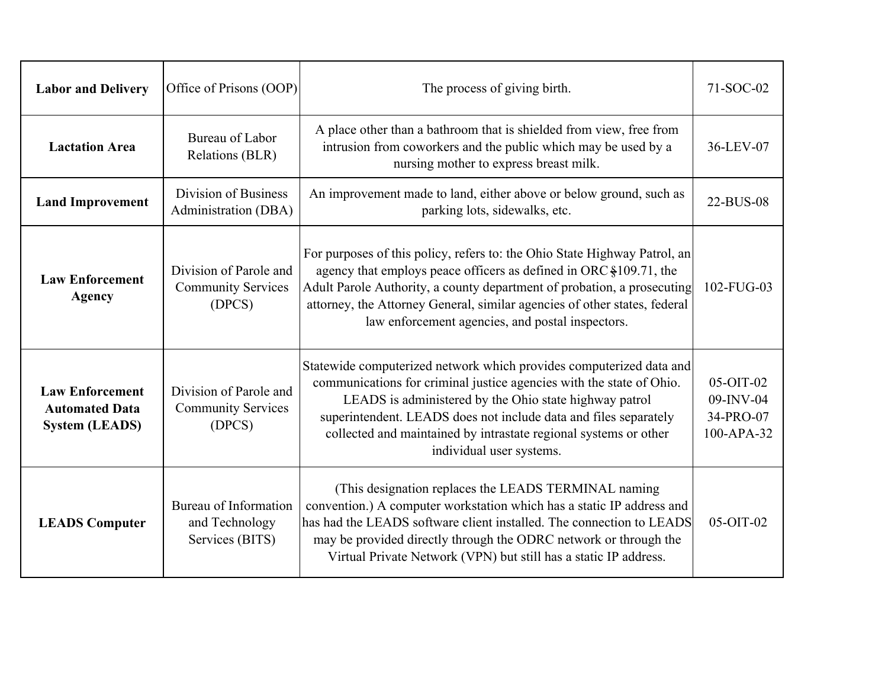| <b>Labor and Delivery</b>                                                | Office of Prisons (OOP)                                       | The process of giving birth.                                                                                                                                                                                                                                                                                                                                              | 71-SOC-02                                         |
|--------------------------------------------------------------------------|---------------------------------------------------------------|---------------------------------------------------------------------------------------------------------------------------------------------------------------------------------------------------------------------------------------------------------------------------------------------------------------------------------------------------------------------------|---------------------------------------------------|
| <b>Lactation Area</b>                                                    | Bureau of Labor<br>Relations (BLR)                            | A place other than a bathroom that is shielded from view, free from<br>intrusion from coworkers and the public which may be used by a<br>nursing mother to express breast milk.                                                                                                                                                                                           | 36-LEV-07                                         |
| <b>Land Improvement</b>                                                  | Division of Business<br>Administration (DBA)                  | An improvement made to land, either above or below ground, such as<br>parking lots, sidewalks, etc.                                                                                                                                                                                                                                                                       | 22-BUS-08                                         |
| <b>Law Enforcement</b><br><b>Agency</b>                                  | Division of Parole and<br><b>Community Services</b><br>(DPCS) | For purposes of this policy, refers to: the Ohio State Highway Patrol, an<br>agency that employs peace officers as defined in ORC $\S$ 109.71, the<br>Adult Parole Authority, a county department of probation, a prosecuting<br>attorney, the Attorney General, similar agencies of other states, federal<br>law enforcement agencies, and postal inspectors.            | 102-FUG-03                                        |
| <b>Law Enforcement</b><br><b>Automated Data</b><br><b>System (LEADS)</b> | Division of Parole and<br><b>Community Services</b><br>(DPCS) | Statewide computerized network which provides computerized data and<br>communications for criminal justice agencies with the state of Ohio.<br>LEADS is administered by the Ohio state highway patrol<br>superintendent. LEADS does not include data and files separately<br>collected and maintained by intrastate regional systems or other<br>individual user systems. | 05-OIT-02<br>09-INV-04<br>34-PRO-07<br>100-APA-32 |
| <b>LEADS Computer</b>                                                    | Bureau of Information<br>and Technology<br>Services (BITS)    | (This designation replaces the LEADS TERMINAL naming<br>convention.) A computer workstation which has a static IP address and<br>has had the LEADS software client installed. The connection to LEADS<br>may be provided directly through the ODRC network or through the<br>Virtual Private Network (VPN) but still has a static IP address.                             | $05-$ OIT $-02$                                   |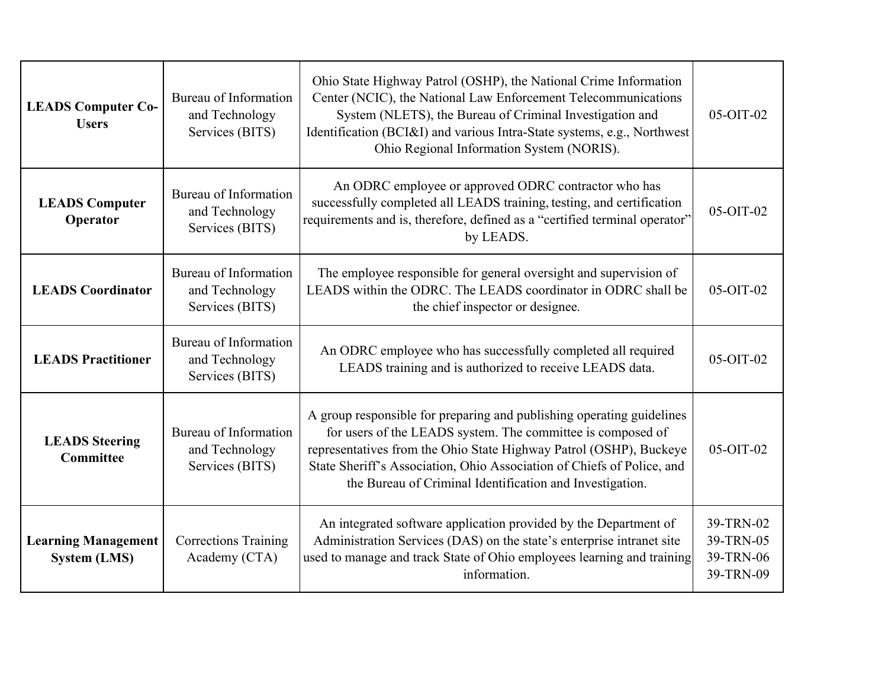| <b>LEADS Computer Co-</b><br><b>Users</b>         | Bureau of Information<br>and Technology<br>Services (BITS) | Ohio State Highway Patrol (OSHP), the National Crime Information<br>Center (NCIC), the National Law Enforcement Telecommunications<br>System (NLETS), the Bureau of Criminal Investigation and<br>Identification (BCI&I) and various Intra-State systems, e.g., Northwest<br>Ohio Regional Information System (NORIS).                           | 05-OIT-02                                        |
|---------------------------------------------------|------------------------------------------------------------|--------------------------------------------------------------------------------------------------------------------------------------------------------------------------------------------------------------------------------------------------------------------------------------------------------------------------------------------------|--------------------------------------------------|
| <b>LEADS Computer</b><br>Operator                 | Bureau of Information<br>and Technology<br>Services (BITS) | An ODRC employee or approved ODRC contractor who has<br>successfully completed all LEADS training, testing, and certification<br>requirements and is, therefore, defined as a "certified terminal operator"<br>by LEADS.                                                                                                                         | 05-OIT-02                                        |
| <b>LEADS</b> Coordinator                          | Bureau of Information<br>and Technology<br>Services (BITS) | The employee responsible for general oversight and supervision of<br>LEADS within the ODRC. The LEADS coordinator in ODRC shall be<br>the chief inspector or designee.                                                                                                                                                                           | $05-OT-02$                                       |
| <b>LEADS Practitioner</b>                         | Bureau of Information<br>and Technology<br>Services (BITS) | An ODRC employee who has successfully completed all required<br>LEADS training and is authorized to receive LEADS data.                                                                                                                                                                                                                          | 05-OIT-02                                        |
| <b>LEADS</b> Steering<br>Committee                | Bureau of Information<br>and Technology<br>Services (BITS) | A group responsible for preparing and publishing operating guidelines<br>for users of the LEADS system. The committee is composed of<br>representatives from the Ohio State Highway Patrol (OSHP), Buckeye<br>State Sheriff's Association, Ohio Association of Chiefs of Police, and<br>the Bureau of Criminal Identification and Investigation. | $05-$ OIT $-02$                                  |
| <b>Learning Management</b><br><b>System (LMS)</b> | <b>Corrections Training</b><br>Academy (CTA)               | An integrated software application provided by the Department of<br>Administration Services (DAS) on the state's enterprise intranet site<br>used to manage and track State of Ohio employees learning and training<br>information.                                                                                                              | 39-TRN-02<br>39-TRN-05<br>39-TRN-06<br>39-TRN-09 |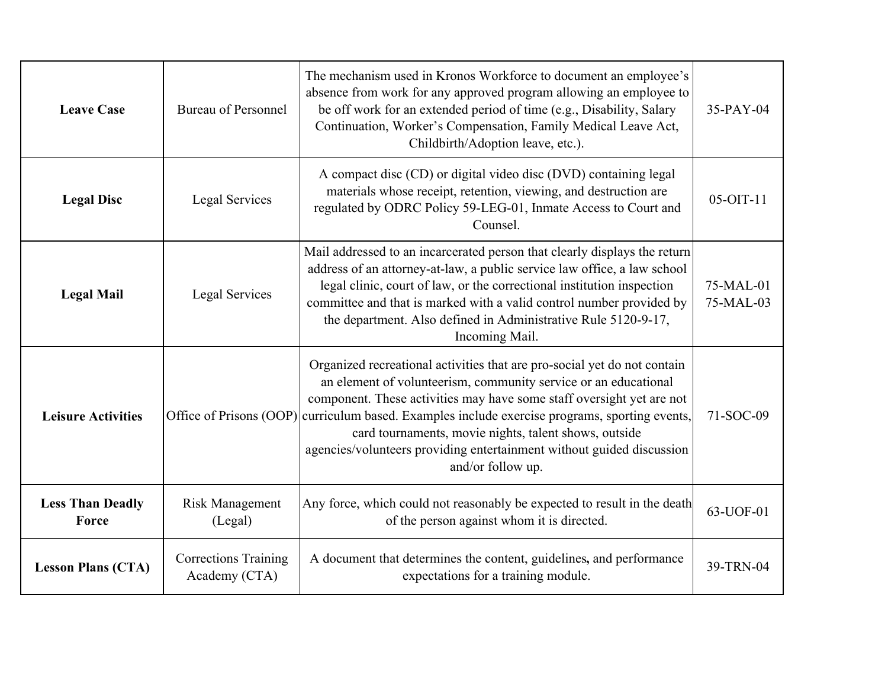| <b>Leave Case</b>                | <b>Bureau of Personnel</b>                   | The mechanism used in Kronos Workforce to document an employee's<br>absence from work for any approved program allowing an employee to<br>be off work for an extended period of time (e.g., Disability, Salary<br>Continuation, Worker's Compensation, Family Medical Leave Act,<br>Childbirth/Adoption leave, etc.).                                                                                                                                                         | 35-PAY-04              |
|----------------------------------|----------------------------------------------|-------------------------------------------------------------------------------------------------------------------------------------------------------------------------------------------------------------------------------------------------------------------------------------------------------------------------------------------------------------------------------------------------------------------------------------------------------------------------------|------------------------|
| <b>Legal Disc</b>                | Legal Services                               | A compact disc (CD) or digital video disc (DVD) containing legal<br>materials whose receipt, retention, viewing, and destruction are<br>regulated by ODRC Policy 59-LEG-01, Inmate Access to Court and<br>Counsel.                                                                                                                                                                                                                                                            | $05-OIT-11$            |
| <b>Legal Mail</b>                | Legal Services                               | Mail addressed to an incarcerated person that clearly displays the return<br>address of an attorney-at-law, a public service law office, a law school<br>legal clinic, court of law, or the correctional institution inspection<br>committee and that is marked with a valid control number provided by<br>the department. Also defined in Administrative Rule 5120-9-17,<br>Incoming Mail.                                                                                   | 75-MAL-01<br>75-MAL-03 |
| <b>Leisure Activities</b>        |                                              | Organized recreational activities that are pro-social yet do not contain<br>an element of volunteerism, community service or an educational<br>component. These activities may have some staff oversight yet are not<br>Office of Prisons (OOP) curriculum based. Examples include exercise programs, sporting events,<br>card tournaments, movie nights, talent shows, outside<br>agencies/volunteers providing entertainment without guided discussion<br>and/or follow up. | 71-SOC-09              |
| <b>Less Than Deadly</b><br>Force | <b>Risk Management</b><br>(Legal)            | Any force, which could not reasonably be expected to result in the death<br>of the person against whom it is directed.                                                                                                                                                                                                                                                                                                                                                        | 63-UOF-01              |
| <b>Lesson Plans (CTA)</b>        | <b>Corrections Training</b><br>Academy (CTA) | A document that determines the content, guidelines, and performance<br>expectations for a training module.                                                                                                                                                                                                                                                                                                                                                                    | 39-TRN-04              |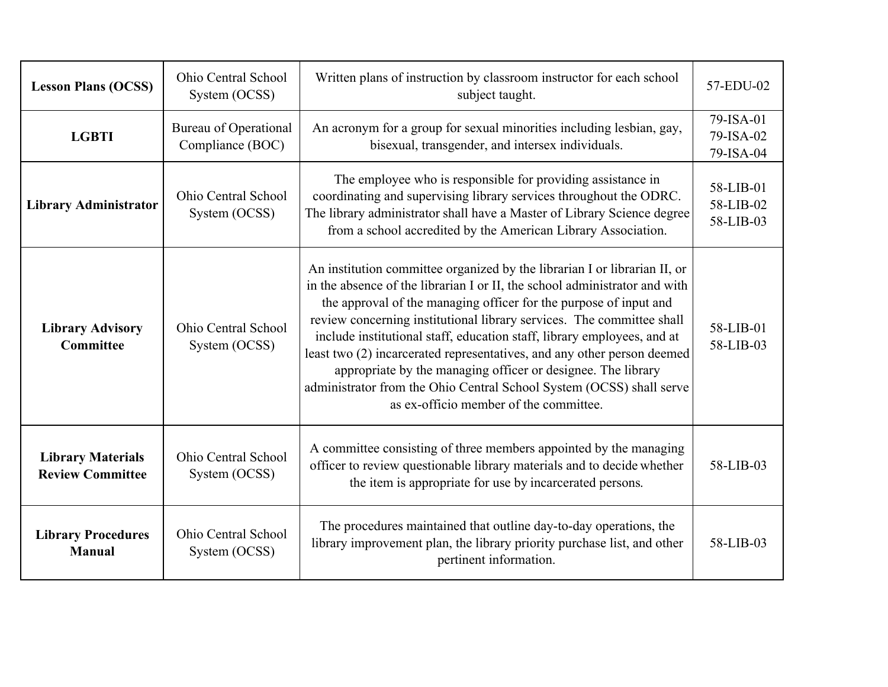| <b>Lesson Plans (OCSS)</b>                          | Ohio Central School<br>System (OCSS)             | Written plans of instruction by classroom instructor for each school<br>subject taught.                                                                                                                                                                                                                                                                                                                                                                                                                                                                                                                                                       | 57-EDU-02                           |
|-----------------------------------------------------|--------------------------------------------------|-----------------------------------------------------------------------------------------------------------------------------------------------------------------------------------------------------------------------------------------------------------------------------------------------------------------------------------------------------------------------------------------------------------------------------------------------------------------------------------------------------------------------------------------------------------------------------------------------------------------------------------------------|-------------------------------------|
| <b>LGBTI</b>                                        | <b>Bureau of Operational</b><br>Compliance (BOC) | An acronym for a group for sexual minorities including lesbian, gay,<br>bisexual, transgender, and intersex individuals.                                                                                                                                                                                                                                                                                                                                                                                                                                                                                                                      | 79-ISA-01<br>79-ISA-02<br>79-ISA-04 |
| <b>Library Administrator</b>                        | Ohio Central School<br>System (OCSS)             | The employee who is responsible for providing assistance in<br>coordinating and supervising library services throughout the ODRC.<br>The library administrator shall have a Master of Library Science degree<br>from a school accredited by the American Library Association.                                                                                                                                                                                                                                                                                                                                                                 | 58-LIB-01<br>58-LIB-02<br>58-LIB-03 |
| <b>Library Advisory</b><br><b>Committee</b>         | Ohio Central School<br>System (OCSS)             | An institution committee organized by the librarian I or librarian II, or<br>in the absence of the librarian I or II, the school administrator and with<br>the approval of the managing officer for the purpose of input and<br>review concerning institutional library services. The committee shall<br>include institutional staff, education staff, library employees, and at<br>least two (2) incarcerated representatives, and any other person deemed<br>appropriate by the managing officer or designee. The library<br>administrator from the Ohio Central School System (OCSS) shall serve<br>as ex-officio member of the committee. | 58-LIB-01<br>58-LIB-03              |
| <b>Library Materials</b><br><b>Review Committee</b> | Ohio Central School<br>System (OCSS)             | A committee consisting of three members appointed by the managing<br>officer to review questionable library materials and to decide whether<br>the item is appropriate for use by incarcerated persons.                                                                                                                                                                                                                                                                                                                                                                                                                                       | 58-LIB-03                           |
| <b>Library Procedures</b><br><b>Manual</b>          | Ohio Central School<br>System (OCSS)             | The procedures maintained that outline day-to-day operations, the<br>library improvement plan, the library priority purchase list, and other<br>pertinent information.                                                                                                                                                                                                                                                                                                                                                                                                                                                                        | 58-LIB-03                           |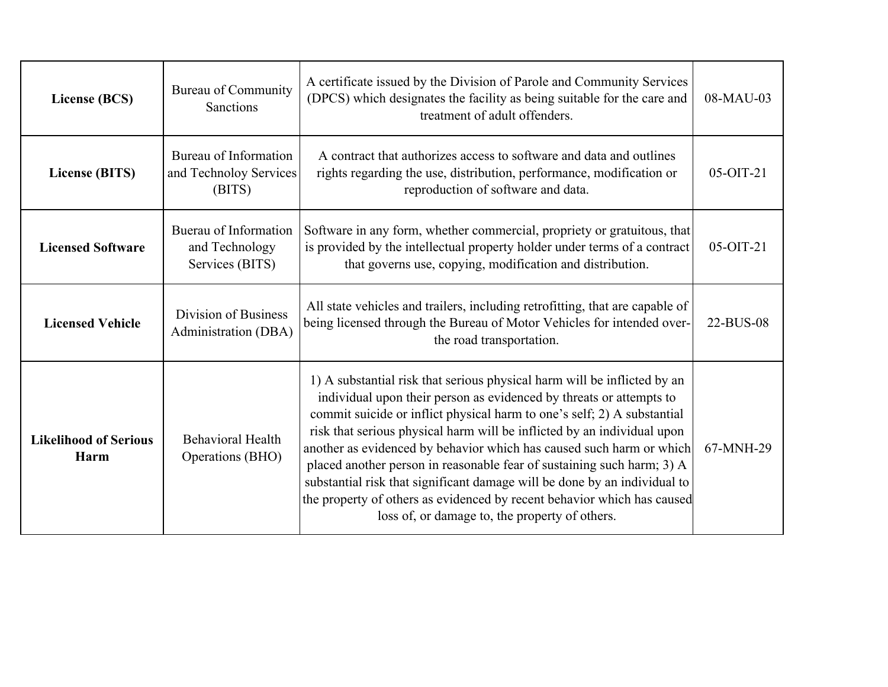| License (BCS)                        | Bureau of Community<br><b>Sanctions</b>                    | A certificate issued by the Division of Parole and Community Services<br>(DPCS) which designates the facility as being suitable for the care and<br>treatment of adult offenders.                                                                                                                                                                                                                                                                                                                                                                                                                                                                                 | 08-MAU-03   |
|--------------------------------------|------------------------------------------------------------|-------------------------------------------------------------------------------------------------------------------------------------------------------------------------------------------------------------------------------------------------------------------------------------------------------------------------------------------------------------------------------------------------------------------------------------------------------------------------------------------------------------------------------------------------------------------------------------------------------------------------------------------------------------------|-------------|
| <b>License (BITS)</b>                | Bureau of Information<br>and Technoloy Services<br>(BITS)  | A contract that authorizes access to software and data and outlines<br>rights regarding the use, distribution, performance, modification or<br>reproduction of software and data.                                                                                                                                                                                                                                                                                                                                                                                                                                                                                 | $05-OIT-21$ |
| <b>Licensed Software</b>             | Buerau of Information<br>and Technology<br>Services (BITS) | Software in any form, whether commercial, propriety or gratuitous, that<br>is provided by the intellectual property holder under terms of a contract<br>that governs use, copying, modification and distribution.                                                                                                                                                                                                                                                                                                                                                                                                                                                 | $05-OIT-21$ |
| <b>Licensed Vehicle</b>              | Division of Business<br>Administration (DBA)               | All state vehicles and trailers, including retrofitting, that are capable of<br>being licensed through the Bureau of Motor Vehicles for intended over-<br>the road transportation.                                                                                                                                                                                                                                                                                                                                                                                                                                                                                | 22-BUS-08   |
| <b>Likelihood of Serious</b><br>Harm | <b>Behavioral Health</b><br>Operations (BHO)               | 1) A substantial risk that serious physical harm will be inflicted by an<br>individual upon their person as evidenced by threats or attempts to<br>commit suicide or inflict physical harm to one's self; 2) A substantial<br>risk that serious physical harm will be inflicted by an individual upon<br>another as evidenced by behavior which has caused such harm or which<br>placed another person in reasonable fear of sustaining such harm; 3) A<br>substantial risk that significant damage will be done by an individual to<br>the property of others as evidenced by recent behavior which has caused<br>loss of, or damage to, the property of others. | 67-MNH-29   |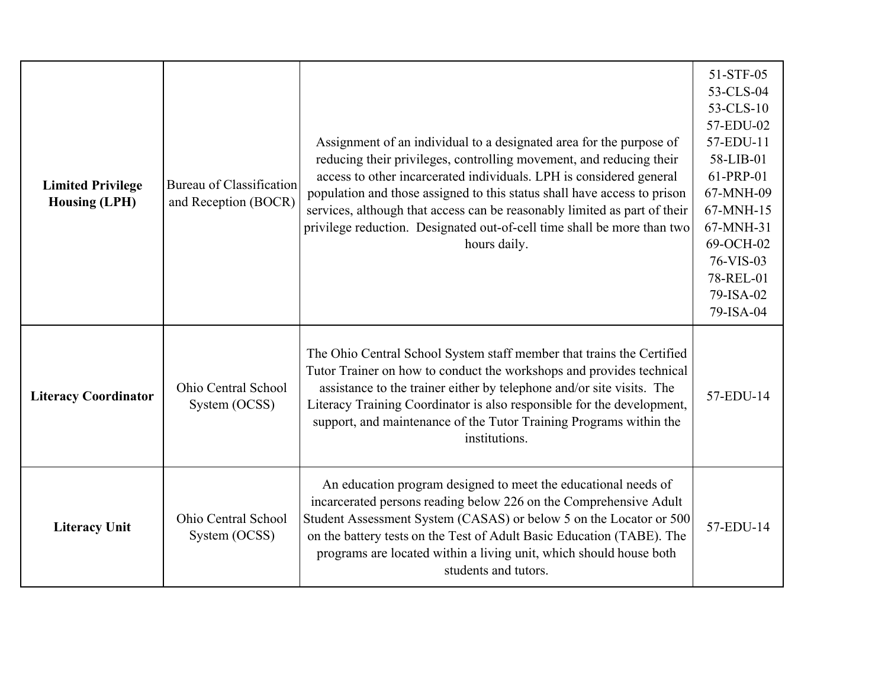| <b>Limited Privilege</b><br><b>Housing (LPH)</b> | <b>Bureau of Classification</b><br>and Reception (BOCR) | Assignment of an individual to a designated area for the purpose of<br>reducing their privileges, controlling movement, and reducing their<br>access to other incarcerated individuals. LPH is considered general<br>population and those assigned to this status shall have access to prison<br>services, although that access can be reasonably limited as part of their<br>privilege reduction. Designated out-of-cell time shall be more than two<br>hours daily. | 51-STF-05<br>53-CLS-04<br>53-CLS-10<br>57-EDU-02<br>57-EDU-11<br>58-LIB-01<br>61-PRP-01<br>67-MNH-09<br>67-MNH-15<br>67-MNH-31<br>69-OCH-02<br>76-VIS-03<br>78-REL-01<br>79-ISA-02<br>79-ISA-04 |
|--------------------------------------------------|---------------------------------------------------------|-----------------------------------------------------------------------------------------------------------------------------------------------------------------------------------------------------------------------------------------------------------------------------------------------------------------------------------------------------------------------------------------------------------------------------------------------------------------------|-------------------------------------------------------------------------------------------------------------------------------------------------------------------------------------------------|
| <b>Literacy Coordinator</b>                      | Ohio Central School<br>System (OCSS)                    | The Ohio Central School System staff member that trains the Certified<br>Tutor Trainer on how to conduct the workshops and provides technical<br>assistance to the trainer either by telephone and/or site visits. The<br>Literacy Training Coordinator is also responsible for the development,<br>support, and maintenance of the Tutor Training Programs within the<br>institutions.                                                                               | 57-EDU-14                                                                                                                                                                                       |
| <b>Literacy Unit</b>                             | Ohio Central School<br>System (OCSS)                    | An education program designed to meet the educational needs of<br>incarcerated persons reading below 226 on the Comprehensive Adult<br>Student Assessment System (CASAS) or below 5 on the Locator or 500<br>on the battery tests on the Test of Adult Basic Education (TABE). The<br>programs are located within a living unit, which should house both<br>students and tutors.                                                                                      | 57-EDU-14                                                                                                                                                                                       |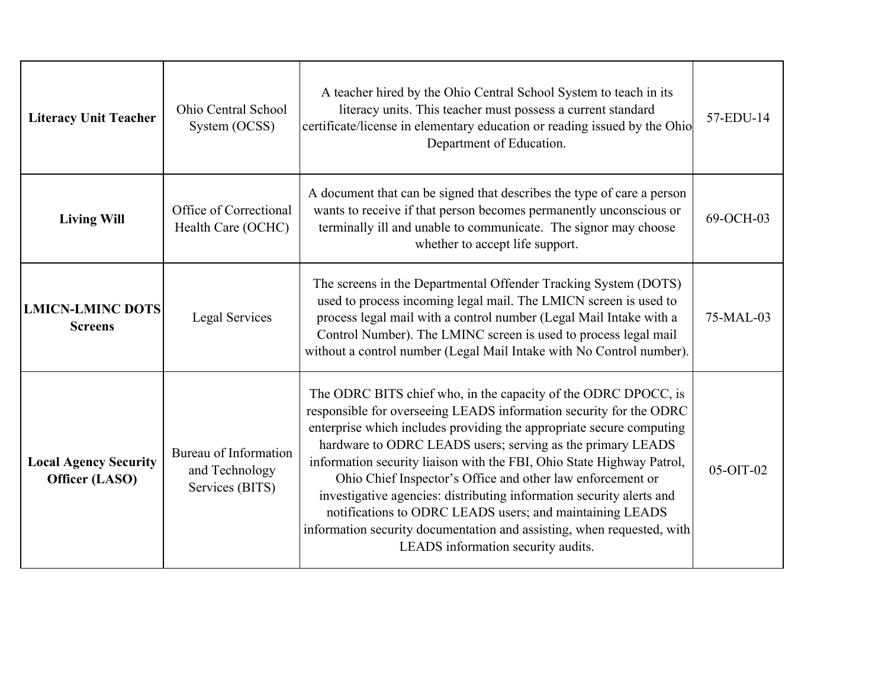| <b>Literacy Unit Teacher</b>                   | Ohio Central School<br>System (OCSS)                       | A teacher hired by the Ohio Central School System to teach in its<br>literacy units. This teacher must possess a current standard<br>certificate/license in elementary education or reading issued by the Ohio<br>Department of Education.                                                                                                                                                                                                                                                                                                                                                                                                                            | 57-EDU-14   |
|------------------------------------------------|------------------------------------------------------------|-----------------------------------------------------------------------------------------------------------------------------------------------------------------------------------------------------------------------------------------------------------------------------------------------------------------------------------------------------------------------------------------------------------------------------------------------------------------------------------------------------------------------------------------------------------------------------------------------------------------------------------------------------------------------|-------------|
| <b>Living Will</b>                             | Office of Correctional<br>Health Care (OCHC)               | A document that can be signed that describes the type of care a person<br>wants to receive if that person becomes permanently unconscious or<br>terminally ill and unable to communicate. The signor may choose<br>whether to accept life support.                                                                                                                                                                                                                                                                                                                                                                                                                    | 69-OCH-03   |
| <b>LMICN-LMINC DOTS</b><br><b>Screens</b>      | Legal Services                                             | The screens in the Departmental Offender Tracking System (DOTS)<br>used to process incoming legal mail. The LMICN screen is used to<br>process legal mail with a control number (Legal Mail Intake with a<br>Control Number). The LMINC screen is used to process legal mail<br>without a control number (Legal Mail Intake with No Control number).                                                                                                                                                                                                                                                                                                                  | 75-MAL-03   |
| <b>Local Agency Security</b><br>Officer (LASO) | Bureau of Information<br>and Technology<br>Services (BITS) | The ODRC BITS chief who, in the capacity of the ODRC DPOCC, is<br>responsible for overseeing LEADS information security for the ODRC<br>enterprise which includes providing the appropriate secure computing<br>hardware to ODRC LEADS users; serving as the primary LEADS<br>information security liaison with the FBI, Ohio State Highway Patrol,<br>Ohio Chief Inspector's Office and other law enforcement or<br>investigative agencies: distributing information security alerts and<br>notifications to ODRC LEADS users; and maintaining LEADS<br>information security documentation and assisting, when requested, with<br>LEADS information security audits. | $05-OIT-02$ |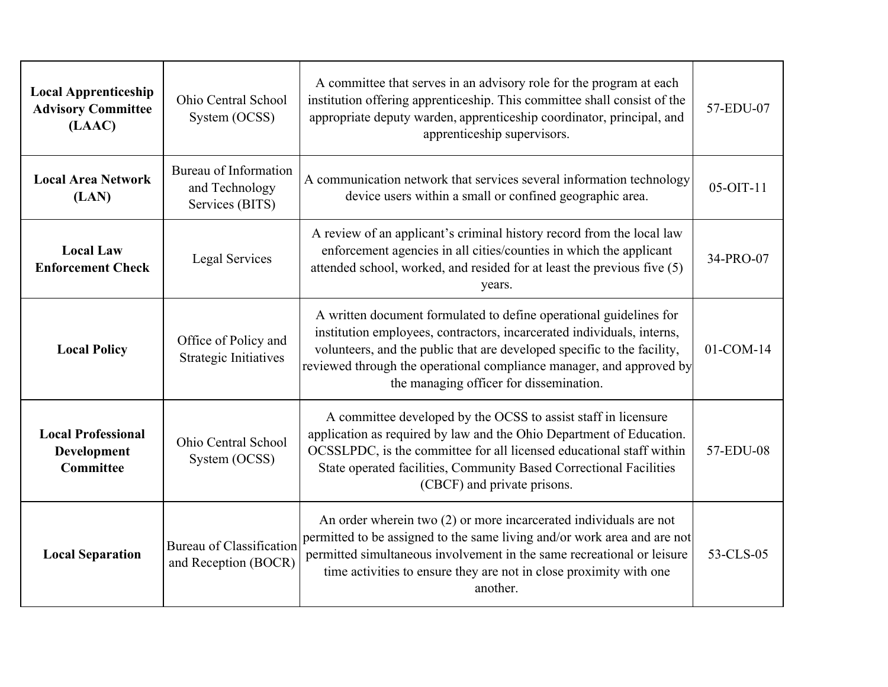| <b>Local Apprenticeship</b><br><b>Advisory Committee</b><br>(LAAC) | Ohio Central School<br>System (OCSS)                       | A committee that serves in an advisory role for the program at each<br>institution offering apprenticeship. This committee shall consist of the<br>appropriate deputy warden, apprenticeship coordinator, principal, and<br>apprenticeship supervisors.                                                                                    | 57-EDU-07 |
|--------------------------------------------------------------------|------------------------------------------------------------|--------------------------------------------------------------------------------------------------------------------------------------------------------------------------------------------------------------------------------------------------------------------------------------------------------------------------------------------|-----------|
| <b>Local Area Network</b><br>(LAN)                                 | Bureau of Information<br>and Technology<br>Services (BITS) | A communication network that services several information technology<br>device users within a small or confined geographic area.                                                                                                                                                                                                           | 05-OIT-11 |
| <b>Local Law</b><br><b>Enforcement Check</b>                       | Legal Services                                             | A review of an applicant's criminal history record from the local law<br>enforcement agencies in all cities/counties in which the applicant<br>attended school, worked, and resided for at least the previous five (5)<br>years.                                                                                                           | 34-PRO-07 |
| <b>Local Policy</b>                                                | Office of Policy and<br><b>Strategic Initiatives</b>       | A written document formulated to define operational guidelines for<br>institution employees, contractors, incarcerated individuals, interns,<br>volunteers, and the public that are developed specific to the facility,<br>reviewed through the operational compliance manager, and approved by<br>the managing officer for dissemination. | 01-COM-14 |
| <b>Local Professional</b><br>Development<br><b>Committee</b>       | Ohio Central School<br>System (OCSS)                       | A committee developed by the OCSS to assist staff in licensure<br>application as required by law and the Ohio Department of Education.<br>OCSSLPDC, is the committee for all licensed educational staff within<br>State operated facilities, Community Based Correctional Facilities<br>(CBCF) and private prisons.                        | 57-EDU-08 |
| <b>Local Separation</b>                                            | Bureau of Classification<br>and Reception (BOCR)           | An order wherein two $(2)$ or more incarcerated individuals are not<br>permitted to be assigned to the same living and/or work area and are not<br>permitted simultaneous involvement in the same recreational or leisure<br>time activities to ensure they are not in close proximity with one<br>another.                                | 53-CLS-05 |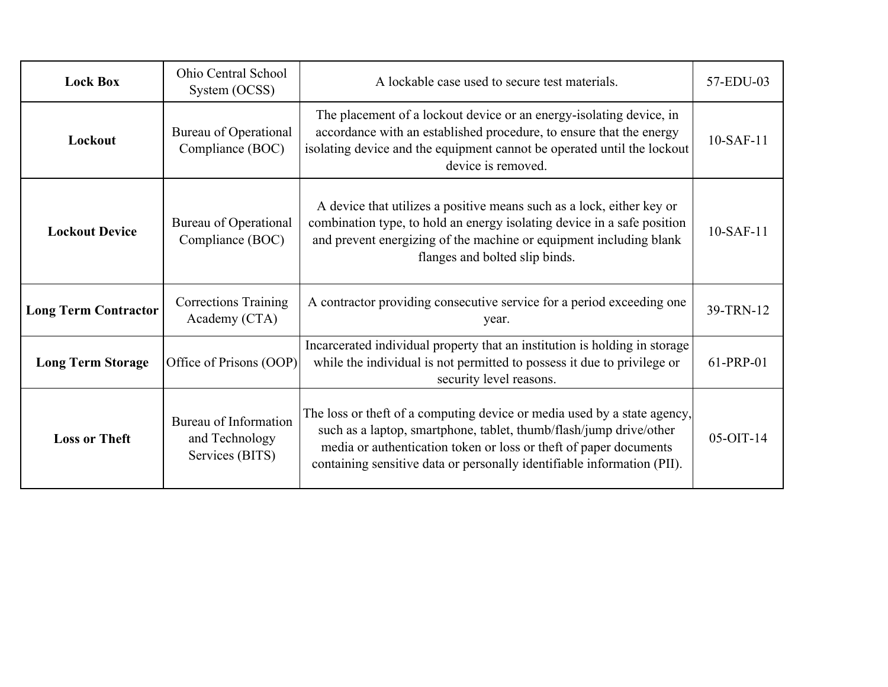| <b>Lock Box</b>             | Ohio Central School<br>System (OCSS)                       | A lockable case used to secure test materials.                                                                                                                                                                                                                                                 | 57-EDU-03   |
|-----------------------------|------------------------------------------------------------|------------------------------------------------------------------------------------------------------------------------------------------------------------------------------------------------------------------------------------------------------------------------------------------------|-------------|
| Lockout                     | Bureau of Operational<br>Compliance (BOC)                  | The placement of a lockout device or an energy-isolating device, in<br>accordance with an established procedure, to ensure that the energy<br>isolating device and the equipment cannot be operated until the lockout<br>device is removed.                                                    | $10-SAF-11$ |
| <b>Lockout Device</b>       | <b>Bureau of Operational</b><br>Compliance (BOC)           | A device that utilizes a positive means such as a lock, either key or<br>combination type, to hold an energy isolating device in a safe position<br>and prevent energizing of the machine or equipment including blank<br>flanges and bolted slip binds.                                       | $10-SAF-11$ |
| <b>Long Term Contractor</b> | <b>Corrections Training</b><br>Academy (CTA)               | A contractor providing consecutive service for a period exceeding one<br>year.                                                                                                                                                                                                                 | 39-TRN-12   |
| <b>Long Term Storage</b>    | Office of Prisons (OOP)                                    | Incarcerated individual property that an institution is holding in storage<br>while the individual is not permitted to possess it due to privilege or<br>security level reasons.                                                                                                               | 61-PRP-01   |
| <b>Loss or Theft</b>        | Bureau of Information<br>and Technology<br>Services (BITS) | The loss or theft of a computing device or media used by a state agency,<br>such as a laptop, smartphone, tablet, thumb/flash/jump drive/other<br>media or authentication token or loss or theft of paper documents<br>containing sensitive data or personally identifiable information (PII). | $05-OT-14$  |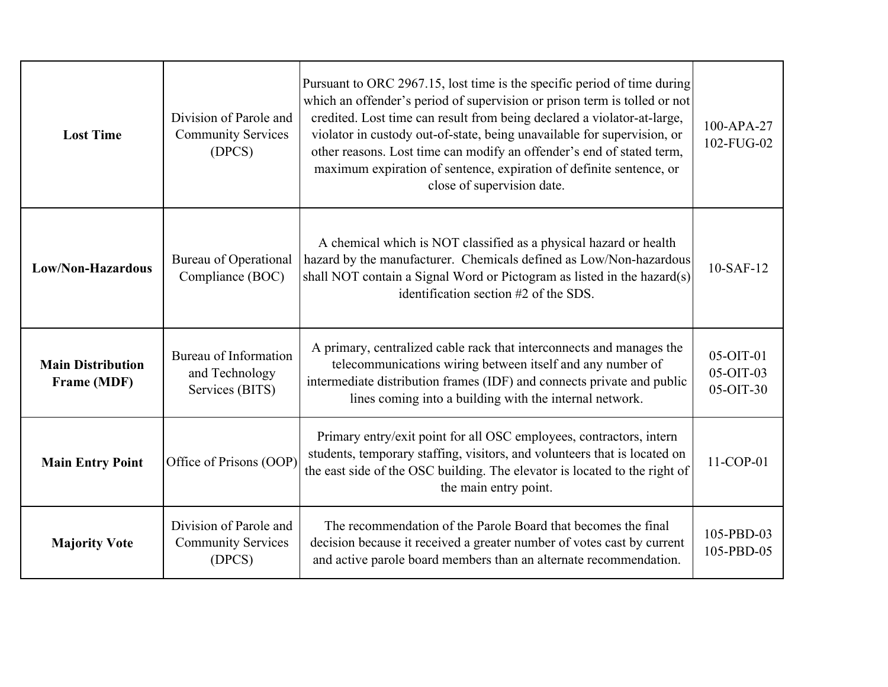| <b>Lost Time</b>                        | Division of Parole and<br><b>Community Services</b><br>(DPCS)     | Pursuant to ORC 2967.15, lost time is the specific period of time during<br>which an offender's period of supervision or prison term is tolled or not<br>credited. Lost time can result from being declared a violator-at-large,<br>violator in custody out-of-state, being unavailable for supervision, or<br>other reasons. Lost time can modify an offender's end of stated term,<br>maximum expiration of sentence, expiration of definite sentence, or<br>close of supervision date. | 100-APA-27<br>102-FUG-02              |
|-----------------------------------------|-------------------------------------------------------------------|-------------------------------------------------------------------------------------------------------------------------------------------------------------------------------------------------------------------------------------------------------------------------------------------------------------------------------------------------------------------------------------------------------------------------------------------------------------------------------------------|---------------------------------------|
| <b>Low/Non-Hazardous</b>                | Bureau of Operational<br>Compliance (BOC)                         | A chemical which is NOT classified as a physical hazard or health<br>hazard by the manufacturer. Chemicals defined as Low/Non-hazardous<br>shall NOT contain a Signal Word or Pictogram as listed in the hazard(s)<br>identification section #2 of the SDS.                                                                                                                                                                                                                               | $10-SAF-12$                           |
| <b>Main Distribution</b><br>Frame (MDF) | <b>Bureau of Information</b><br>and Technology<br>Services (BITS) | A primary, centralized cable rack that interconnects and manages the<br>telecommunications wiring between itself and any number of<br>intermediate distribution frames (IDF) and connects private and public<br>lines coming into a building with the internal network.                                                                                                                                                                                                                   | 05-OIT-01<br>05-OIT-03<br>$05-OIT-30$ |
| <b>Main Entry Point</b>                 | Office of Prisons (OOP)                                           | Primary entry/exit point for all OSC employees, contractors, intern<br>students, temporary staffing, visitors, and volunteers that is located on<br>the east side of the OSC building. The elevator is located to the right of<br>the main entry point.                                                                                                                                                                                                                                   | 11-COP-01                             |
| <b>Majority Vote</b>                    | Division of Parole and<br><b>Community Services</b><br>(DPCS)     | The recommendation of the Parole Board that becomes the final<br>decision because it received a greater number of votes cast by current<br>and active parole board members than an alternate recommendation.                                                                                                                                                                                                                                                                              | 105-PBD-03<br>105-PBD-05              |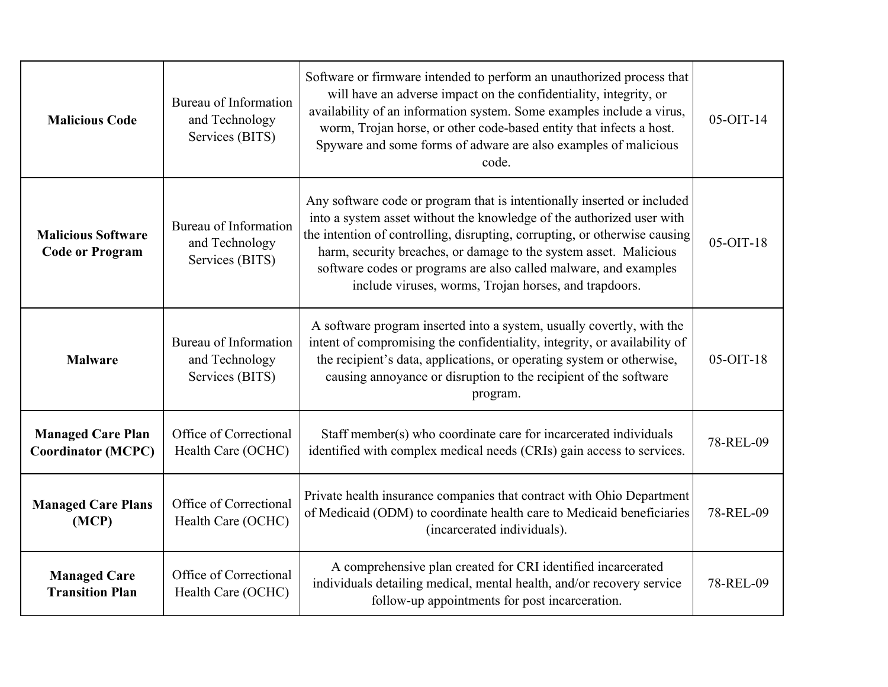| <b>Malicious Code</b>                                 | Bureau of Information<br>and Technology<br>Services (BITS)        | Software or firmware intended to perform an unauthorized process that<br>will have an adverse impact on the confidentiality, integrity, or<br>availability of an information system. Some examples include a virus,<br>worm, Trojan horse, or other code-based entity that infects a host.<br>Spyware and some forms of adware are also examples of malicious<br>code.                                                           | $05-OT-14$  |
|-------------------------------------------------------|-------------------------------------------------------------------|----------------------------------------------------------------------------------------------------------------------------------------------------------------------------------------------------------------------------------------------------------------------------------------------------------------------------------------------------------------------------------------------------------------------------------|-------------|
| <b>Malicious Software</b><br><b>Code or Program</b>   | <b>Bureau of Information</b><br>and Technology<br>Services (BITS) | Any software code or program that is intentionally inserted or included<br>into a system asset without the knowledge of the authorized user with<br>the intention of controlling, disrupting, corrupting, or otherwise causing<br>harm, security breaches, or damage to the system asset. Malicious<br>software codes or programs are also called malware, and examples<br>include viruses, worms, Trojan horses, and trapdoors. | $05-OTT-18$ |
| <b>Malware</b>                                        | <b>Bureau of Information</b><br>and Technology<br>Services (BITS) | A software program inserted into a system, usually covertly, with the<br>intent of compromising the confidentiality, integrity, or availability of<br>the recipient's data, applications, or operating system or otherwise,<br>causing annoyance or disruption to the recipient of the software<br>program.                                                                                                                      | 05-OIT-18   |
| <b>Managed Care Plan</b><br><b>Coordinator (MCPC)</b> | Office of Correctional<br>Health Care (OCHC)                      | Staff member(s) who coordinate care for incarcerated individuals<br>identified with complex medical needs (CRIs) gain access to services.                                                                                                                                                                                                                                                                                        | 78-REL-09   |
| <b>Managed Care Plans</b><br>(MCP)                    | Office of Correctional<br>Health Care (OCHC)                      | Private health insurance companies that contract with Ohio Department<br>of Medicaid (ODM) to coordinate health care to Medicaid beneficiaries<br>(incarcerated individuals).                                                                                                                                                                                                                                                    | 78-REL-09   |
| <b>Managed Care</b><br><b>Transition Plan</b>         | Office of Correctional<br>Health Care (OCHC)                      | A comprehensive plan created for CRI identified incarcerated<br>individuals detailing medical, mental health, and/or recovery service<br>follow-up appointments for post incarceration.                                                                                                                                                                                                                                          | 78-REL-09   |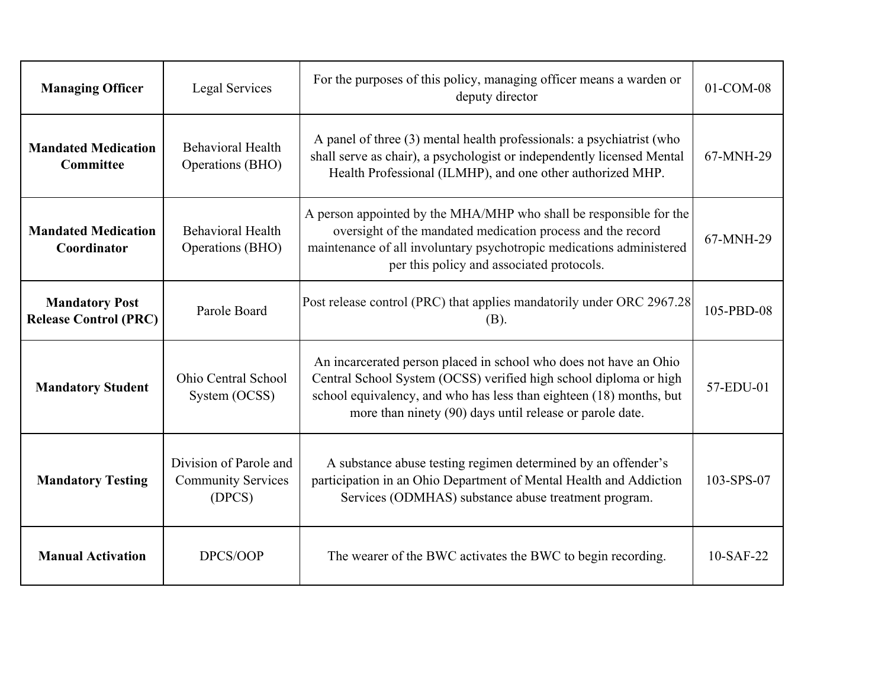| <b>Managing Officer</b>                               | Legal Services                                                | For the purposes of this policy, managing officer means a warden or<br>deputy director                                                                                                                                                                                    | $01$ -COM-08 |
|-------------------------------------------------------|---------------------------------------------------------------|---------------------------------------------------------------------------------------------------------------------------------------------------------------------------------------------------------------------------------------------------------------------------|--------------|
| <b>Mandated Medication</b><br>Committee               | <b>Behavioral Health</b><br>Operations (BHO)                  | A panel of three (3) mental health professionals: a psychiatrist (who<br>shall serve as chair), a psychologist or independently licensed Mental<br>Health Professional (ILMHP), and one other authorized MHP.                                                             | 67-MNH-29    |
| <b>Mandated Medication</b><br>Coordinator             | <b>Behavioral Health</b><br>Operations (BHO)                  | A person appointed by the MHA/MHP who shall be responsible for the<br>oversight of the mandated medication process and the record<br>maintenance of all involuntary psychotropic medications administered<br>per this policy and associated protocols.                    | 67-MNH-29    |
| <b>Mandatory Post</b><br><b>Release Control (PRC)</b> | Parole Board                                                  | Post release control (PRC) that applies mandatorily under ORC 2967.28<br>(B).                                                                                                                                                                                             | 105-PBD-08   |
| <b>Mandatory Student</b>                              | Ohio Central School<br>System (OCSS)                          | An incarcerated person placed in school who does not have an Ohio<br>Central School System (OCSS) verified high school diploma or high<br>school equivalency, and who has less than eighteen (18) months, but<br>more than ninety (90) days until release or parole date. | 57-EDU-01    |
| <b>Mandatory Testing</b>                              | Division of Parole and<br><b>Community Services</b><br>(DPCS) | A substance abuse testing regimen determined by an offender's<br>participation in an Ohio Department of Mental Health and Addiction<br>Services (ODMHAS) substance abuse treatment program.                                                                               | 103-SPS-07   |
| <b>Manual Activation</b>                              | DPCS/OOP                                                      | The wearer of the BWC activates the BWC to begin recording.                                                                                                                                                                                                               | 10-SAF-22    |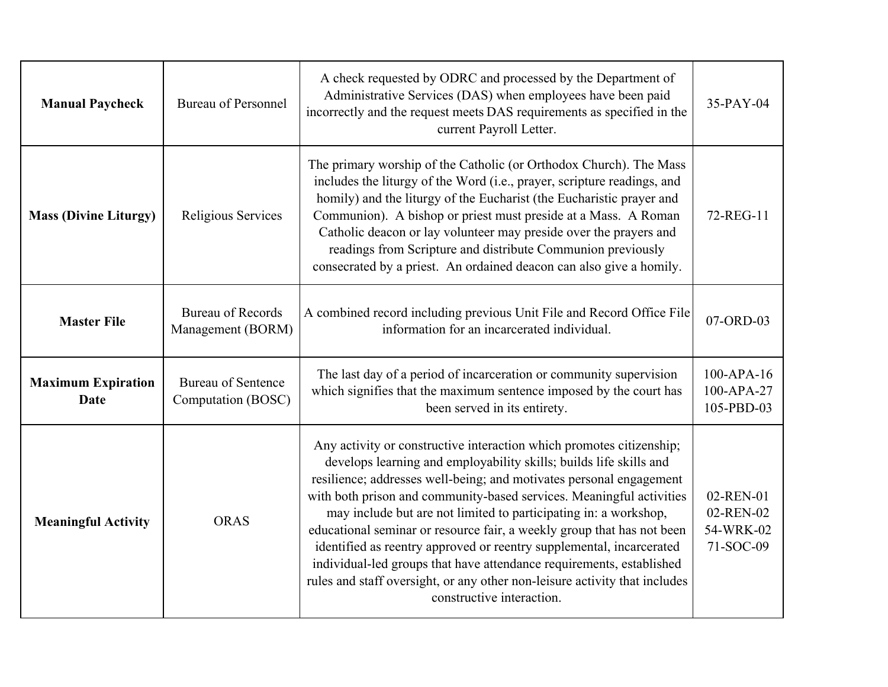| <b>Manual Paycheck</b>                   | <b>Bureau of Personnel</b>                      | A check requested by ODRC and processed by the Department of<br>Administrative Services (DAS) when employees have been paid<br>incorrectly and the request meets DAS requirements as specified in the<br>current Payroll Letter.                                                                                                                                                                                                                                                                                                                                                                                                                                                                   | 35-PAY-04                                        |
|------------------------------------------|-------------------------------------------------|----------------------------------------------------------------------------------------------------------------------------------------------------------------------------------------------------------------------------------------------------------------------------------------------------------------------------------------------------------------------------------------------------------------------------------------------------------------------------------------------------------------------------------------------------------------------------------------------------------------------------------------------------------------------------------------------------|--------------------------------------------------|
| <b>Mass (Divine Liturgy)</b>             | Religious Services                              | The primary worship of the Catholic (or Orthodox Church). The Mass<br>includes the liturgy of the Word (i.e., prayer, scripture readings, and<br>homily) and the liturgy of the Eucharist (the Eucharistic prayer and<br>Communion). A bishop or priest must preside at a Mass. A Roman<br>Catholic deacon or lay volunteer may preside over the prayers and<br>readings from Scripture and distribute Communion previously<br>consecrated by a priest. An ordained deacon can also give a homily.                                                                                                                                                                                                 | 72-REG-11                                        |
| <b>Master File</b>                       | <b>Bureau of Records</b><br>Management (BORM)   | A combined record including previous Unit File and Record Office File<br>information for an incarcerated individual.                                                                                                                                                                                                                                                                                                                                                                                                                                                                                                                                                                               | 07-ORD-03                                        |
| <b>Maximum Expiration</b><br><b>Date</b> | <b>Bureau of Sentence</b><br>Computation (BOSC) | The last day of a period of incarceration or community supervision<br>which signifies that the maximum sentence imposed by the court has<br>been served in its entirety.                                                                                                                                                                                                                                                                                                                                                                                                                                                                                                                           | 100-APA-16<br>100-APA-27<br>105-PBD-03           |
| <b>Meaningful Activity</b>               | <b>ORAS</b>                                     | Any activity or constructive interaction which promotes citizenship;<br>develops learning and employability skills; builds life skills and<br>resilience; addresses well-being; and motivates personal engagement<br>with both prison and community-based services. Meaningful activities<br>may include but are not limited to participating in: a workshop,<br>educational seminar or resource fair, a weekly group that has not been<br>identified as reentry approved or reentry supplemental, incarcerated<br>individual-led groups that have attendance requirements, established<br>rules and staff oversight, or any other non-leisure activity that includes<br>constructive interaction. | 02-REN-01<br>02-REN-02<br>54-WRK-02<br>71-SOC-09 |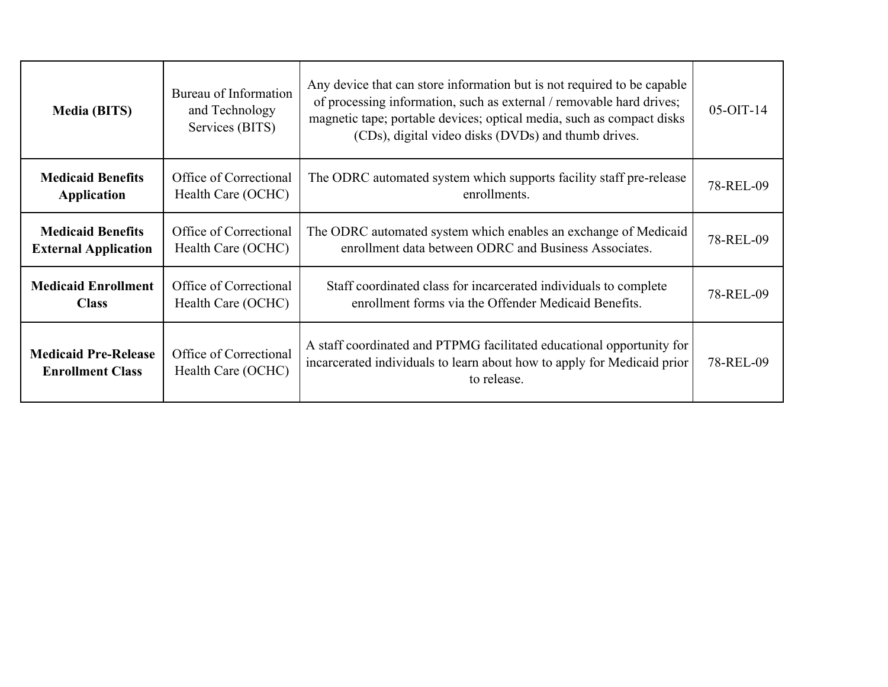| <b>Media (BITS)</b>                                    | Bureau of Information<br>and Technology<br>Services (BITS) | Any device that can store information but is not required to be capable<br>of processing information, such as external / removable hard drives;<br>magnetic tape; portable devices; optical media, such as compact disks<br>(CDs), digital video disks (DVDs) and thumb drives. | $05-OTT-14$ |
|--------------------------------------------------------|------------------------------------------------------------|---------------------------------------------------------------------------------------------------------------------------------------------------------------------------------------------------------------------------------------------------------------------------------|-------------|
| <b>Medicaid Benefits</b>                               | Office of Correctional                                     | The ODRC automated system which supports facility staff pre-release                                                                                                                                                                                                             | 78-REL-09   |
| <b>Application</b>                                     | Health Care (OCHC)                                         | enrollments.                                                                                                                                                                                                                                                                    |             |
| <b>Medicaid Benefits</b>                               | Office of Correctional                                     | The ODRC automated system which enables an exchange of Medicaid                                                                                                                                                                                                                 | 78-REL-09   |
| <b>External Application</b>                            | Health Care (OCHC)                                         | enrollment data between ODRC and Business Associates.                                                                                                                                                                                                                           |             |
| <b>Medicaid Enrollment</b>                             | Office of Correctional                                     | Staff coordinated class for incarcerated individuals to complete                                                                                                                                                                                                                | 78-REL-09   |
| <b>Class</b>                                           | Health Care (OCHC)                                         | enrollment forms via the Offender Medicaid Benefits.                                                                                                                                                                                                                            |             |
| <b>Medicaid Pre-Release</b><br><b>Enrollment Class</b> | Office of Correctional<br>Health Care (OCHC)               | A staff coordinated and PTPMG facilitated educational opportunity for<br>incarcerated individuals to learn about how to apply for Medicaid prior<br>to release.                                                                                                                 | 78-REL-09   |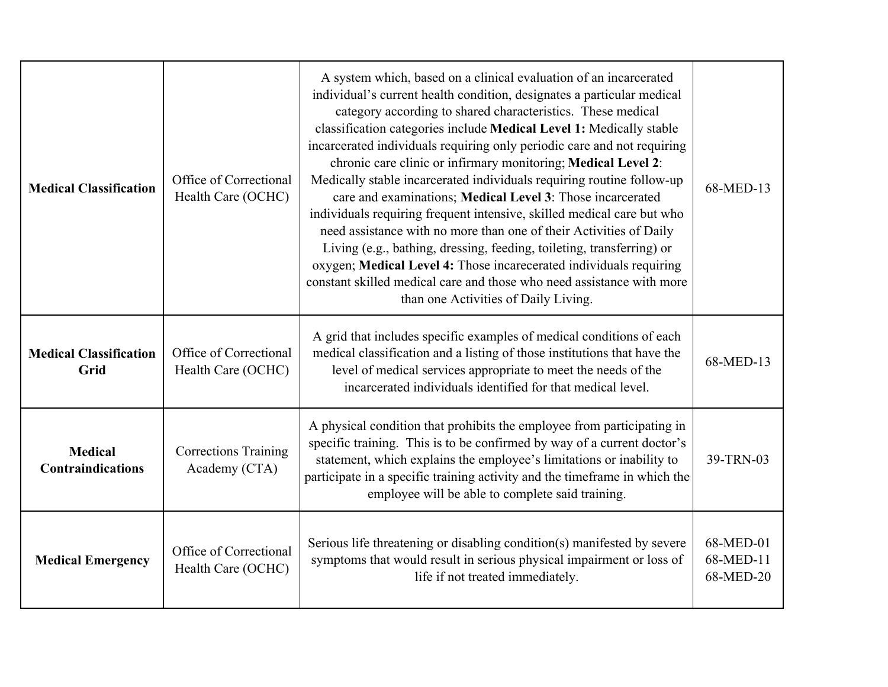| <b>Medical Classification</b>              | Office of Correctional<br>Health Care (OCHC) | A system which, based on a clinical evaluation of an incarcerated<br>individual's current health condition, designates a particular medical<br>category according to shared characteristics. These medical<br>classification categories include Medical Level 1: Medically stable<br>incarcerated individuals requiring only periodic care and not requiring<br>chronic care clinic or infirmary monitoring; Medical Level 2:<br>Medically stable incarcerated individuals requiring routine follow-up<br>care and examinations; Medical Level 3: Those incarcerated<br>individuals requiring frequent intensive, skilled medical care but who<br>need assistance with no more than one of their Activities of Daily<br>Living (e.g., bathing, dressing, feeding, toileting, transferring) or<br>oxygen; Medical Level 4: Those incarecerated individuals requiring<br>constant skilled medical care and those who need assistance with more<br>than one Activities of Daily Living. | 68-MED-13                           |
|--------------------------------------------|----------------------------------------------|--------------------------------------------------------------------------------------------------------------------------------------------------------------------------------------------------------------------------------------------------------------------------------------------------------------------------------------------------------------------------------------------------------------------------------------------------------------------------------------------------------------------------------------------------------------------------------------------------------------------------------------------------------------------------------------------------------------------------------------------------------------------------------------------------------------------------------------------------------------------------------------------------------------------------------------------------------------------------------------|-------------------------------------|
| <b>Medical Classification</b><br>Grid      | Office of Correctional<br>Health Care (OCHC) | A grid that includes specific examples of medical conditions of each<br>medical classification and a listing of those institutions that have the<br>level of medical services appropriate to meet the needs of the<br>incarcerated individuals identified for that medical level.                                                                                                                                                                                                                                                                                                                                                                                                                                                                                                                                                                                                                                                                                                    | 68-MED-13                           |
| <b>Medical</b><br><b>Contraindications</b> | <b>Corrections Training</b><br>Academy (CTA) | A physical condition that prohibits the employee from participating in<br>specific training. This is to be confirmed by way of a current doctor's<br>statement, which explains the employee's limitations or inability to<br>participate in a specific training activity and the timeframe in which the<br>employee will be able to complete said training.                                                                                                                                                                                                                                                                                                                                                                                                                                                                                                                                                                                                                          | 39-TRN-03                           |
| <b>Medical Emergency</b>                   | Office of Correctional<br>Health Care (OCHC) | Serious life threatening or disabling condition(s) manifested by severe<br>symptoms that would result in serious physical impairment or loss of<br>life if not treated immediately.                                                                                                                                                                                                                                                                                                                                                                                                                                                                                                                                                                                                                                                                                                                                                                                                  | 68-MED-01<br>68-MED-11<br>68-MED-20 |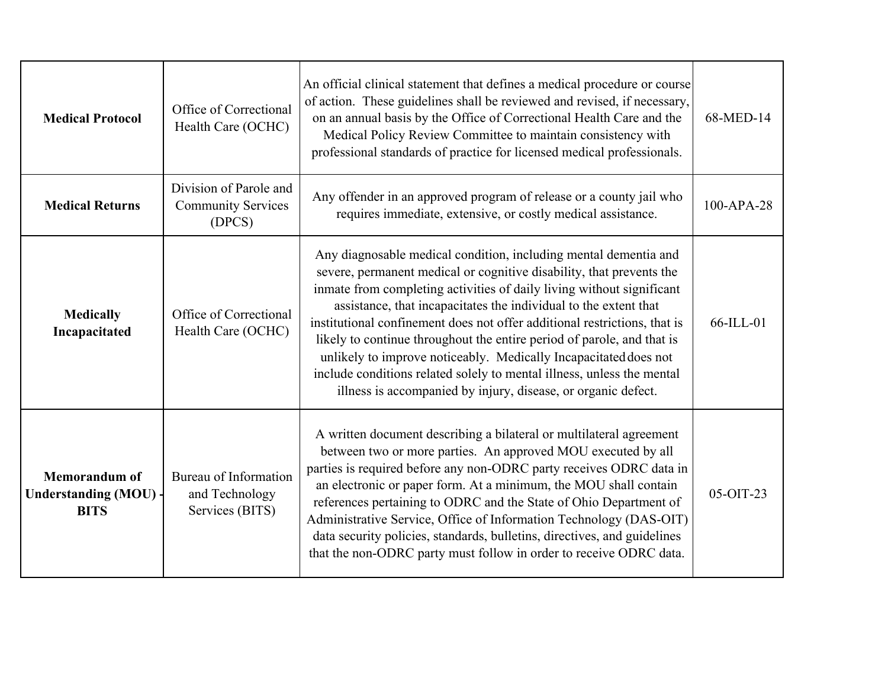| <b>Medical Protocol</b>                                             | Office of Correctional<br>Health Care (OCHC)                  | An official clinical statement that defines a medical procedure or course<br>of action. These guidelines shall be reviewed and revised, if necessary,<br>on an annual basis by the Office of Correctional Health Care and the<br>Medical Policy Review Committee to maintain consistency with<br>professional standards of practice for licensed medical professionals.                                                                                                                                                                                                                                                                                     | 68-MED-14   |
|---------------------------------------------------------------------|---------------------------------------------------------------|-------------------------------------------------------------------------------------------------------------------------------------------------------------------------------------------------------------------------------------------------------------------------------------------------------------------------------------------------------------------------------------------------------------------------------------------------------------------------------------------------------------------------------------------------------------------------------------------------------------------------------------------------------------|-------------|
| <b>Medical Returns</b>                                              | Division of Parole and<br><b>Community Services</b><br>(DPCS) | Any offender in an approved program of release or a county jail who<br>requires immediate, extensive, or costly medical assistance.                                                                                                                                                                                                                                                                                                                                                                                                                                                                                                                         | 100-APA-28  |
| <b>Medically</b><br>Incapacitated                                   | Office of Correctional<br>Health Care (OCHC)                  | Any diagnosable medical condition, including mental dementia and<br>severe, permanent medical or cognitive disability, that prevents the<br>inmate from completing activities of daily living without significant<br>assistance, that incapacitates the individual to the extent that<br>institutional confinement does not offer additional restrictions, that is<br>likely to continue throughout the entire period of parole, and that is<br>unlikely to improve noticeably. Medically Incapacitated does not<br>include conditions related solely to mental illness, unless the mental<br>illness is accompanied by injury, disease, or organic defect. | 66-ILL-01   |
| <b>Memorandum of</b><br><b>Understanding (MOU) -</b><br><b>BITS</b> | Bureau of Information<br>and Technology<br>Services (BITS)    | A written document describing a bilateral or multilateral agreement<br>between two or more parties. An approved MOU executed by all<br>parties is required before any non-ODRC party receives ODRC data in<br>an electronic or paper form. At a minimum, the MOU shall contain<br>references pertaining to ODRC and the State of Ohio Department of<br>Administrative Service, Office of Information Technology (DAS-OIT)<br>data security policies, standards, bulletins, directives, and guidelines<br>that the non-ODRC party must follow in order to receive ODRC data.                                                                                 | $05-OIT-23$ |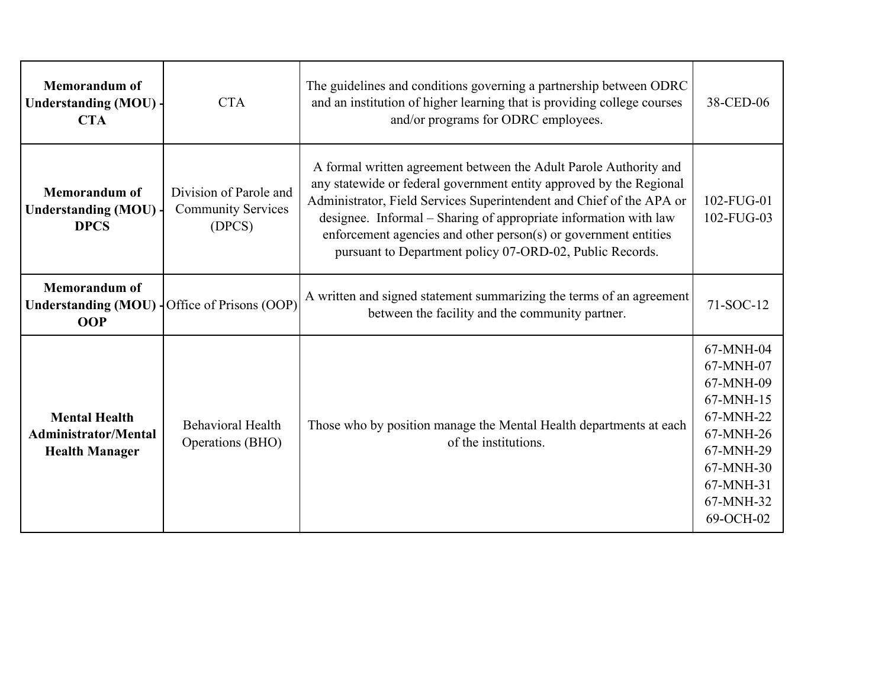| <b>Memorandum of</b><br><b>Understanding (MOU) -</b><br><b>CTA</b>                         | <b>CTA</b>                                                    | The guidelines and conditions governing a partnership between ODRC<br>and an institution of higher learning that is providing college courses<br>and/or programs for ODRC employees.                                                                                                                                                                                                                                | 38-CED-06                                                                                                                                   |
|--------------------------------------------------------------------------------------------|---------------------------------------------------------------|---------------------------------------------------------------------------------------------------------------------------------------------------------------------------------------------------------------------------------------------------------------------------------------------------------------------------------------------------------------------------------------------------------------------|---------------------------------------------------------------------------------------------------------------------------------------------|
| <b>Memorandum of</b><br><b>Understanding (MOU) -</b><br><b>DPCS</b>                        | Division of Parole and<br><b>Community Services</b><br>(DPCS) | A formal written agreement between the Adult Parole Authority and<br>any statewide or federal government entity approved by the Regional<br>Administrator, Field Services Superintendent and Chief of the APA or<br>designee. Informal - Sharing of appropriate information with law<br>enforcement agencies and other person(s) or government entities<br>pursuant to Department policy 07-ORD-02, Public Records. | 102-FUG-01<br>102-FUG-03                                                                                                                    |
| <b>Memorandum of</b><br><b>Understanding (MOU)</b> - Office of Prisons (OOP)<br><b>OOP</b> |                                                               | A written and signed statement summarizing the terms of an agreement<br>between the facility and the community partner.                                                                                                                                                                                                                                                                                             | 71-SOC-12                                                                                                                                   |
| <b>Mental Health</b><br><b>Administrator/Mental</b><br><b>Health Manager</b>               | <b>Behavioral Health</b><br>Operations (BHO)                  | Those who by position manage the Mental Health departments at each<br>of the institutions.                                                                                                                                                                                                                                                                                                                          | 67-MNH-04<br>67-MNH-07<br>67-MNH-09<br>67-MNH-15<br>67-MNH-22<br>67-MNH-26<br>67-MNH-29<br>67-MNH-30<br>67-MNH-31<br>67-MNH-32<br>69-OCH-02 |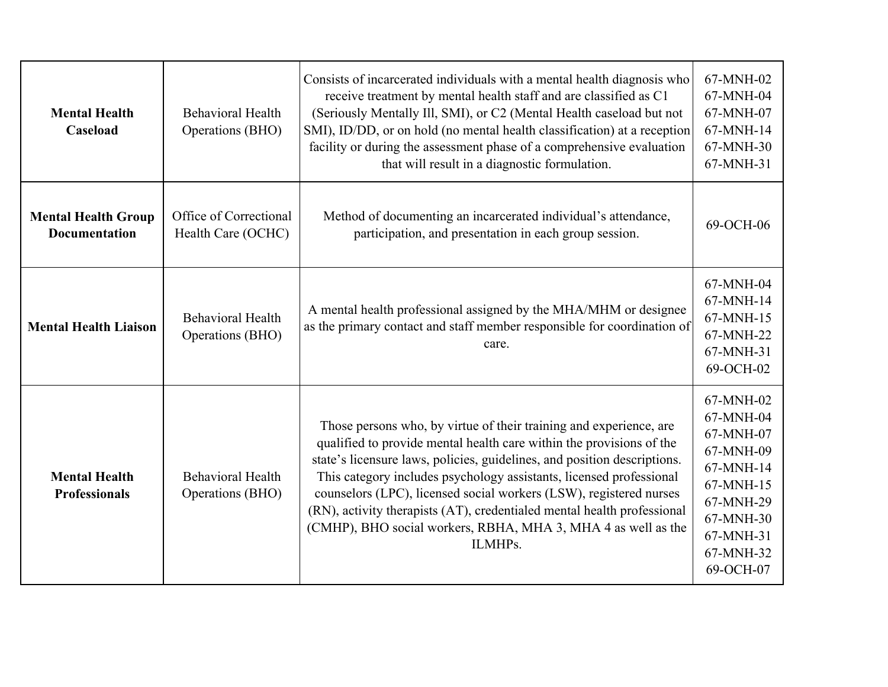| <b>Mental Health</b><br>Caseload                   | <b>Behavioral Health</b><br>Operations (BHO) | Consists of incarcerated individuals with a mental health diagnosis who<br>receive treatment by mental health staff and are classified as C1<br>(Seriously Mentally Ill, SMI), or C2 (Mental Health caseload but not<br>SMI), ID/DD, or on hold (no mental health classification) at a reception<br>facility or during the assessment phase of a comprehensive evaluation<br>that will result in a diagnostic formulation.                                                                                                 | 67-MNH-02<br>67-MNH-04<br>67-MNH-07<br>67-MNH-14<br>67-MNH-30<br>67-MNH-31                                                                  |
|----------------------------------------------------|----------------------------------------------|----------------------------------------------------------------------------------------------------------------------------------------------------------------------------------------------------------------------------------------------------------------------------------------------------------------------------------------------------------------------------------------------------------------------------------------------------------------------------------------------------------------------------|---------------------------------------------------------------------------------------------------------------------------------------------|
| <b>Mental Health Group</b><br><b>Documentation</b> | Office of Correctional<br>Health Care (OCHC) | Method of documenting an incarcerated individual's attendance,<br>participation, and presentation in each group session.                                                                                                                                                                                                                                                                                                                                                                                                   | 69-OCH-06                                                                                                                                   |
| <b>Mental Health Liaison</b>                       | <b>Behavioral Health</b><br>Operations (BHO) | A mental health professional assigned by the MHA/MHM or designee<br>as the primary contact and staff member responsible for coordination of<br>care.                                                                                                                                                                                                                                                                                                                                                                       | 67-MNH-04<br>67-MNH-14<br>67-MNH-15<br>67-MNH-22<br>67-MNH-31<br>69-OCH-02                                                                  |
| <b>Mental Health</b><br><b>Professionals</b>       | <b>Behavioral Health</b><br>Operations (BHO) | Those persons who, by virtue of their training and experience, are<br>qualified to provide mental health care within the provisions of the<br>state's licensure laws, policies, guidelines, and position descriptions.<br>This category includes psychology assistants, licensed professional<br>counselors (LPC), licensed social workers (LSW), registered nurses<br>(RN), activity therapists (AT), credentialed mental health professional<br>(CMHP), BHO social workers, RBHA, MHA 3, MHA 4 as well as the<br>ILMHPs. | 67-MNH-02<br>67-MNH-04<br>67-MNH-07<br>67-MNH-09<br>67-MNH-14<br>67-MNH-15<br>67-MNH-29<br>67-MNH-30<br>67-MNH-31<br>67-MNH-32<br>69-OCH-07 |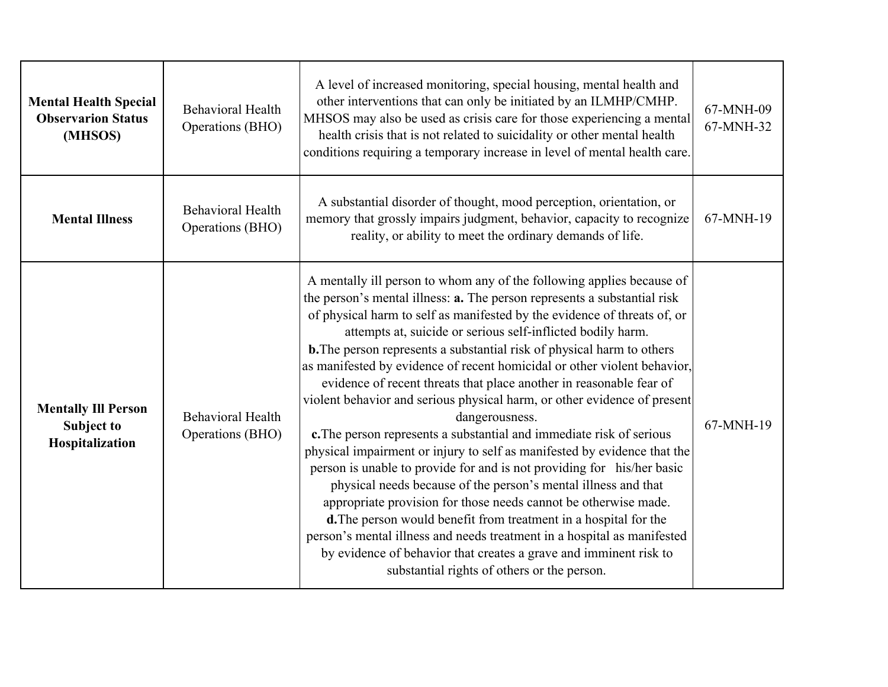| <b>Mental Health Special</b><br><b>Observarion Status</b><br>(MHSOS) | <b>Behavioral Health</b><br>Operations (BHO) | A level of increased monitoring, special housing, mental health and<br>other interventions that can only be initiated by an ILMHP/CMHP.<br>MHSOS may also be used as crisis care for those experiencing a mental<br>health crisis that is not related to suicidality or other mental health<br>conditions requiring a temporary increase in level of mental health care.                                                                                                                                                                                                                                                                                                                                                                                                                                                                                                                                                                                                                                                                                                                                                                                                                                                                                             | 67-MNH-09<br>67-MNH-32 |
|----------------------------------------------------------------------|----------------------------------------------|----------------------------------------------------------------------------------------------------------------------------------------------------------------------------------------------------------------------------------------------------------------------------------------------------------------------------------------------------------------------------------------------------------------------------------------------------------------------------------------------------------------------------------------------------------------------------------------------------------------------------------------------------------------------------------------------------------------------------------------------------------------------------------------------------------------------------------------------------------------------------------------------------------------------------------------------------------------------------------------------------------------------------------------------------------------------------------------------------------------------------------------------------------------------------------------------------------------------------------------------------------------------|------------------------|
| <b>Mental Illness</b>                                                | <b>Behavioral Health</b><br>Operations (BHO) | A substantial disorder of thought, mood perception, orientation, or<br>memory that grossly impairs judgment, behavior, capacity to recognize<br>reality, or ability to meet the ordinary demands of life.                                                                                                                                                                                                                                                                                                                                                                                                                                                                                                                                                                                                                                                                                                                                                                                                                                                                                                                                                                                                                                                            | 67-MNH-19              |
| <b>Mentally Ill Person</b><br>Subject to<br>Hospitalization          | <b>Behavioral Health</b><br>Operations (BHO) | A mentally ill person to whom any of the following applies because of<br>the person's mental illness: a. The person represents a substantial risk<br>of physical harm to self as manifested by the evidence of threats of, or<br>attempts at, suicide or serious self-inflicted bodily harm.<br><b>b.</b> The person represents a substantial risk of physical harm to others<br>as manifested by evidence of recent homicidal or other violent behavior,<br>evidence of recent threats that place another in reasonable fear of<br>violent behavior and serious physical harm, or other evidence of present<br>dangerousness.<br>c. The person represents a substantial and immediate risk of serious<br>physical impairment or injury to self as manifested by evidence that the<br>person is unable to provide for and is not providing for his/her basic<br>physical needs because of the person's mental illness and that<br>appropriate provision for those needs cannot be otherwise made.<br>d. The person would benefit from treatment in a hospital for the<br>person's mental illness and needs treatment in a hospital as manifested<br>by evidence of behavior that creates a grave and imminent risk to<br>substantial rights of others or the person. | 67-MNH-19              |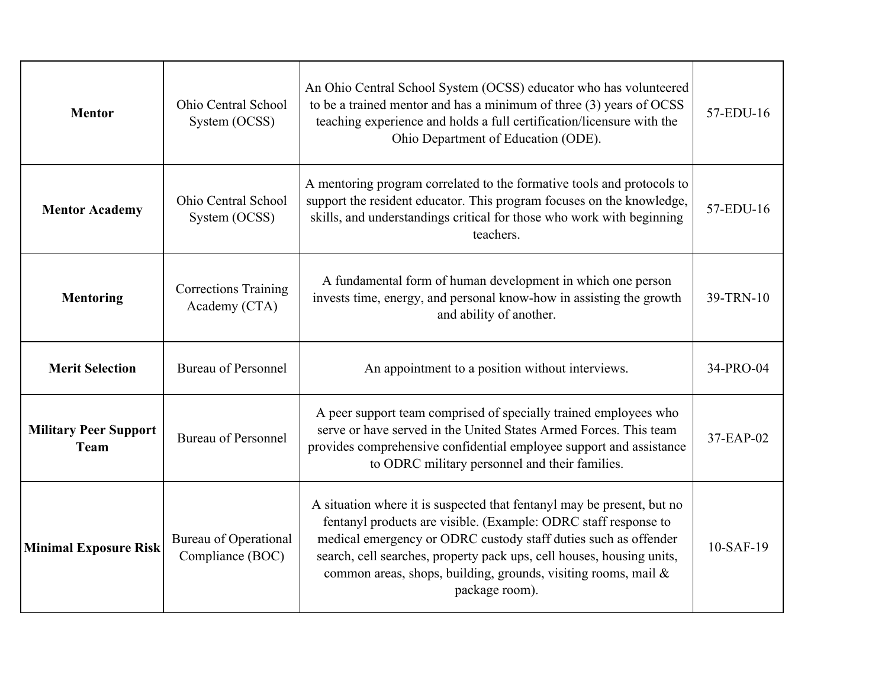| <b>Mentor</b>                               | Ohio Central School<br>System (OCSS)             | An Ohio Central School System (OCSS) educator who has volunteered<br>to be a trained mentor and has a minimum of three (3) years of OCSS<br>teaching experience and holds a full certification/licensure with the<br>Ohio Department of Education (ODE).                                                                                                                  | 57-EDU-16 |
|---------------------------------------------|--------------------------------------------------|---------------------------------------------------------------------------------------------------------------------------------------------------------------------------------------------------------------------------------------------------------------------------------------------------------------------------------------------------------------------------|-----------|
| <b>Mentor Academy</b>                       | Ohio Central School<br>System (OCSS)             | A mentoring program correlated to the formative tools and protocols to<br>support the resident educator. This program focuses on the knowledge,<br>skills, and understandings critical for those who work with beginning<br>teachers.                                                                                                                                     | 57-EDU-16 |
| <b>Mentoring</b>                            | <b>Corrections Training</b><br>Academy (CTA)     | A fundamental form of human development in which one person<br>invests time, energy, and personal know-how in assisting the growth<br>and ability of another.                                                                                                                                                                                                             | 39-TRN-10 |
| <b>Merit Selection</b>                      | <b>Bureau of Personnel</b>                       | An appointment to a position without interviews.                                                                                                                                                                                                                                                                                                                          | 34-PRO-04 |
| <b>Military Peer Support</b><br><b>Team</b> | <b>Bureau of Personnel</b>                       | A peer support team comprised of specially trained employees who<br>serve or have served in the United States Armed Forces. This team<br>provides comprehensive confidential employee support and assistance<br>to ODRC military personnel and their families.                                                                                                            | 37-EAP-02 |
| <b>Minimal Exposure Risk</b>                | <b>Bureau of Operational</b><br>Compliance (BOC) | A situation where it is suspected that fentanyl may be present, but no<br>fentanyl products are visible. (Example: ODRC staff response to<br>medical emergency or ODRC custody staff duties such as offender<br>search, cell searches, property pack ups, cell houses, housing units,<br>common areas, shops, building, grounds, visiting rooms, mail &<br>package room). | 10-SAF-19 |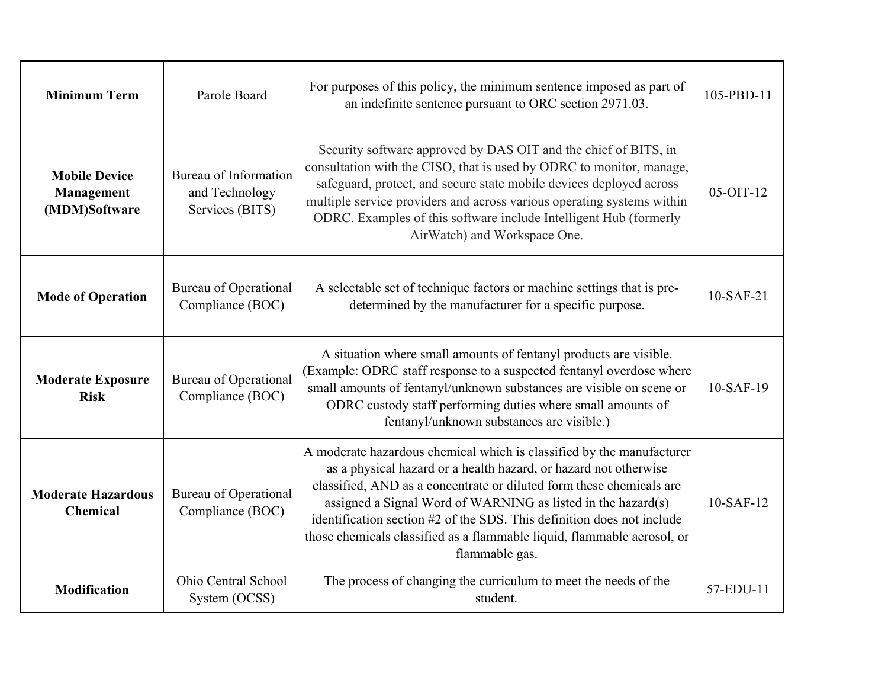| <b>Minimum Term</b>                                 | Parole Board                                               | For purposes of this policy, the minimum sentence imposed as part of<br>an indefinite sentence pursuant to ORC section 2971.03.                                                                                                                                                                                                                                                                                                                          | 105-PBD-11  |
|-----------------------------------------------------|------------------------------------------------------------|----------------------------------------------------------------------------------------------------------------------------------------------------------------------------------------------------------------------------------------------------------------------------------------------------------------------------------------------------------------------------------------------------------------------------------------------------------|-------------|
| <b>Mobile Device</b><br>Management<br>(MDM)Software | Bureau of Information<br>and Technology<br>Services (BITS) | Security software approved by DAS OIT and the chief of BITS, in<br>consultation with the CISO, that is used by ODRC to monitor, manage,<br>safeguard, protect, and secure state mobile devices deployed across<br>multiple service providers and across various operating systems within<br>ODRC. Examples of this software include Intelligent Hub (formerly<br>AirWatch) and Workspace One.                                                            | $05-OT-12$  |
| <b>Mode of Operation</b>                            | <b>Bureau of Operational</b><br>Compliance (BOC)           | A selectable set of technique factors or machine settings that is pre-<br>determined by the manufacturer for a specific purpose.                                                                                                                                                                                                                                                                                                                         | 10-SAF-21   |
| <b>Moderate Exposure</b><br><b>Risk</b>             | <b>Bureau of Operational</b><br>Compliance (BOC)           | A situation where small amounts of fentanyl products are visible.<br>(Example: ODRC staff response to a suspected fentanyl overdose where<br>small amounts of fentanyl/unknown substances are visible on scene or<br>ODRC custody staff performing duties where small amounts of<br>fentanyl/unknown substances are visible.)                                                                                                                            | 10-SAF-19   |
| <b>Moderate Hazardous</b><br><b>Chemical</b>        | <b>Bureau of Operational</b><br>Compliance (BOC)           | A moderate hazardous chemical which is classified by the manufacturer<br>as a physical hazard or a health hazard, or hazard not otherwise<br>classified, AND as a concentrate or diluted form these chemicals are<br>assigned a Signal Word of WARNING as listed in the hazard(s)<br>identification section #2 of the SDS. This definition does not include<br>those chemicals classified as a flammable liquid, flammable aerosol, or<br>flammable gas. | $10-SAF-12$ |
| <b>Modification</b>                                 | Ohio Central School<br>System (OCSS)                       | The process of changing the curriculum to meet the needs of the<br>student.                                                                                                                                                                                                                                                                                                                                                                              | 57-EDU-11   |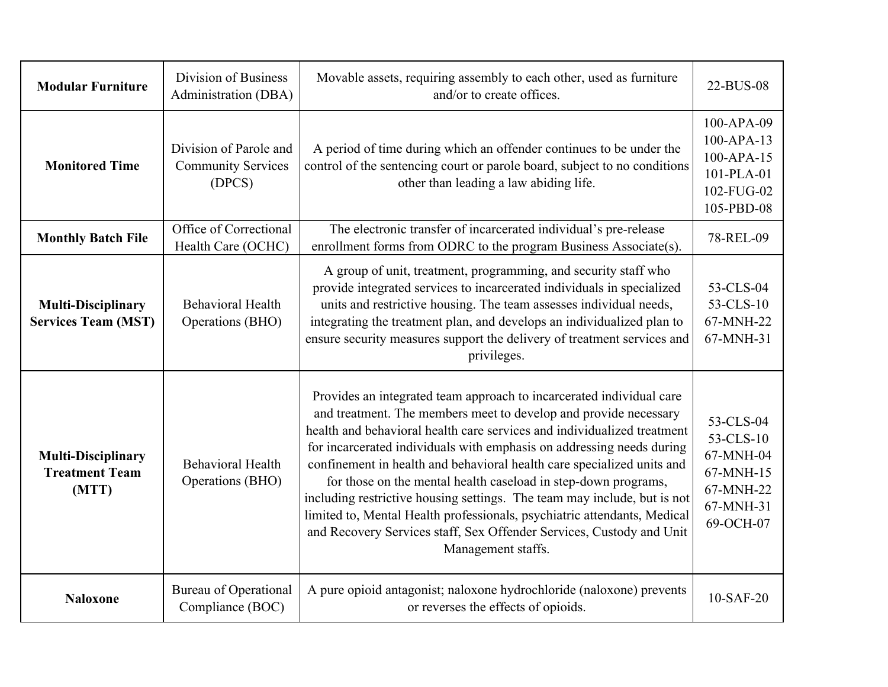| <b>Modular Furniture</b>                                    | Division of Business<br>Administration (DBA)                  | Movable assets, requiring assembly to each other, used as furniture<br>and/or to create offices.                                                                                                                                                                                                                                                                                                                                                                                                                                                                                                                                                                                               | 22-BUS-08                                                                               |
|-------------------------------------------------------------|---------------------------------------------------------------|------------------------------------------------------------------------------------------------------------------------------------------------------------------------------------------------------------------------------------------------------------------------------------------------------------------------------------------------------------------------------------------------------------------------------------------------------------------------------------------------------------------------------------------------------------------------------------------------------------------------------------------------------------------------------------------------|-----------------------------------------------------------------------------------------|
| <b>Monitored Time</b>                                       | Division of Parole and<br><b>Community Services</b><br>(DPCS) | A period of time during which an offender continues to be under the<br>control of the sentencing court or parole board, subject to no conditions<br>other than leading a law abiding life.                                                                                                                                                                                                                                                                                                                                                                                                                                                                                                     | 100-APA-09<br>100-APA-13<br>100-APA-15<br>101-PLA-01<br>102-FUG-02<br>105-PBD-08        |
| <b>Monthly Batch File</b>                                   | Office of Correctional<br>Health Care (OCHC)                  | The electronic transfer of incarcerated individual's pre-release<br>enrollment forms from ODRC to the program Business Associate(s).                                                                                                                                                                                                                                                                                                                                                                                                                                                                                                                                                           | 78-REL-09                                                                               |
| <b>Multi-Disciplinary</b><br><b>Services Team (MST)</b>     | <b>Behavioral Health</b><br>Operations (BHO)                  | A group of unit, treatment, programming, and security staff who<br>provide integrated services to incarcerated individuals in specialized<br>units and restrictive housing. The team assesses individual needs,<br>integrating the treatment plan, and develops an individualized plan to<br>ensure security measures support the delivery of treatment services and<br>privileges.                                                                                                                                                                                                                                                                                                            | 53-CLS-04<br>53-CLS-10<br>67-MNH-22<br>67-MNH-31                                        |
| <b>Multi-Disciplinary</b><br><b>Treatment Team</b><br>(MTT) | <b>Behavioral Health</b><br>Operations (BHO)                  | Provides an integrated team approach to incarcerated individual care<br>and treatment. The members meet to develop and provide necessary<br>health and behavioral health care services and individualized treatment<br>for incarcerated individuals with emphasis on addressing needs during<br>confinement in health and behavioral health care specialized units and<br>for those on the mental health caseload in step-down programs,<br>including restrictive housing settings. The team may include, but is not<br>limited to, Mental Health professionals, psychiatric attendants, Medical<br>and Recovery Services staff, Sex Offender Services, Custody and Unit<br>Management staffs. | 53-CLS-04<br>53-CLS-10<br>67-MNH-04<br>67-MNH-15<br>67-MNH-22<br>67-MNH-31<br>69-OCH-07 |
| <b>Naloxone</b>                                             | <b>Bureau of Operational</b><br>Compliance (BOC)              | A pure opioid antagonist; naloxone hydrochloride (naloxone) prevents<br>or reverses the effects of opioids.                                                                                                                                                                                                                                                                                                                                                                                                                                                                                                                                                                                    | 10-SAF-20                                                                               |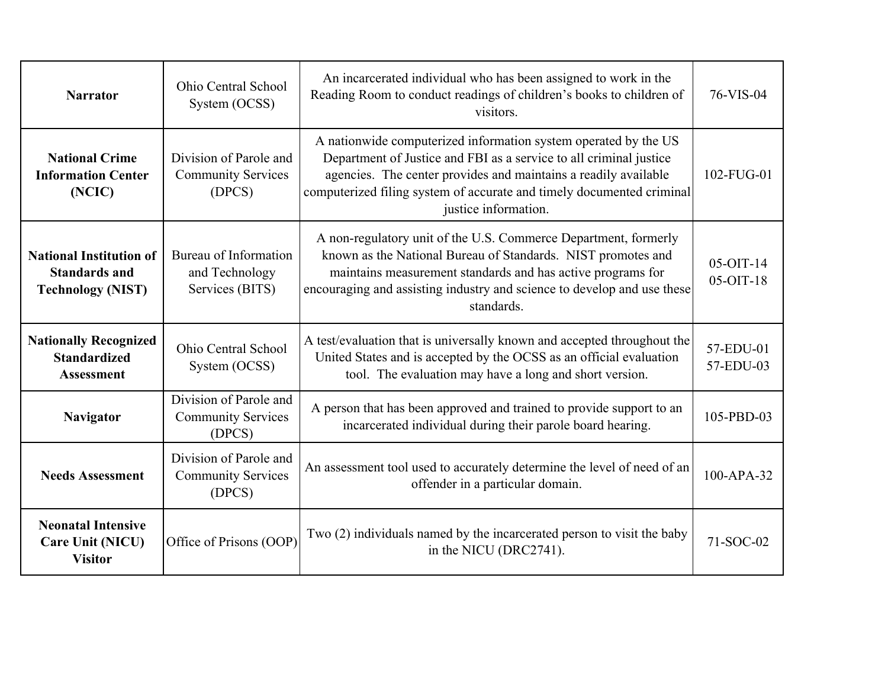| <b>Narrator</b>                                                                    | Ohio Central School<br>System (OCSS)                          | An incarcerated individual who has been assigned to work in the<br>Reading Room to conduct readings of children's books to children of<br>visitors.                                                                                                                                                       | 76-VIS-04                  |
|------------------------------------------------------------------------------------|---------------------------------------------------------------|-----------------------------------------------------------------------------------------------------------------------------------------------------------------------------------------------------------------------------------------------------------------------------------------------------------|----------------------------|
| <b>National Crime</b><br><b>Information Center</b><br>(NCIC)                       | Division of Parole and<br><b>Community Services</b><br>(DPCS) | A nationwide computerized information system operated by the US<br>Department of Justice and FBI as a service to all criminal justice<br>agencies. The center provides and maintains a readily available<br>computerized filing system of accurate and timely documented criminal<br>justice information. | 102-FUG-01                 |
| <b>National Institution of</b><br><b>Standards and</b><br><b>Technology (NIST)</b> | Bureau of Information<br>and Technology<br>Services (BITS)    | A non-regulatory unit of the U.S. Commerce Department, formerly<br>known as the National Bureau of Standards. NIST promotes and<br>maintains measurement standards and has active programs for<br>encouraging and assisting industry and science to develop and use these<br>standards.                   | $05-OTT-14$<br>$05-OIT-18$ |
| <b>Nationally Recognized</b><br><b>Standardized</b><br><b>Assessment</b>           | Ohio Central School<br>System (OCSS)                          | A test/evaluation that is universally known and accepted throughout the<br>United States and is accepted by the OCSS as an official evaluation<br>tool. The evaluation may have a long and short version.                                                                                                 | 57-EDU-01<br>57-EDU-03     |
| <b>Navigator</b>                                                                   | Division of Parole and<br><b>Community Services</b><br>(DPCS) | A person that has been approved and trained to provide support to an<br>incarcerated individual during their parole board hearing.                                                                                                                                                                        | 105-PBD-03                 |
| <b>Needs Assessment</b>                                                            | Division of Parole and<br><b>Community Services</b><br>(DPCS) | An assessment tool used to accurately determine the level of need of an<br>offender in a particular domain.                                                                                                                                                                                               | 100-APA-32                 |
| <b>Neonatal Intensive</b><br><b>Care Unit (NICU)</b><br><b>Visitor</b>             | Office of Prisons (OOP)                                       | Two (2) individuals named by the incarcerated person to visit the baby<br>in the NICU (DRC2741).                                                                                                                                                                                                          | 71-SOC-02                  |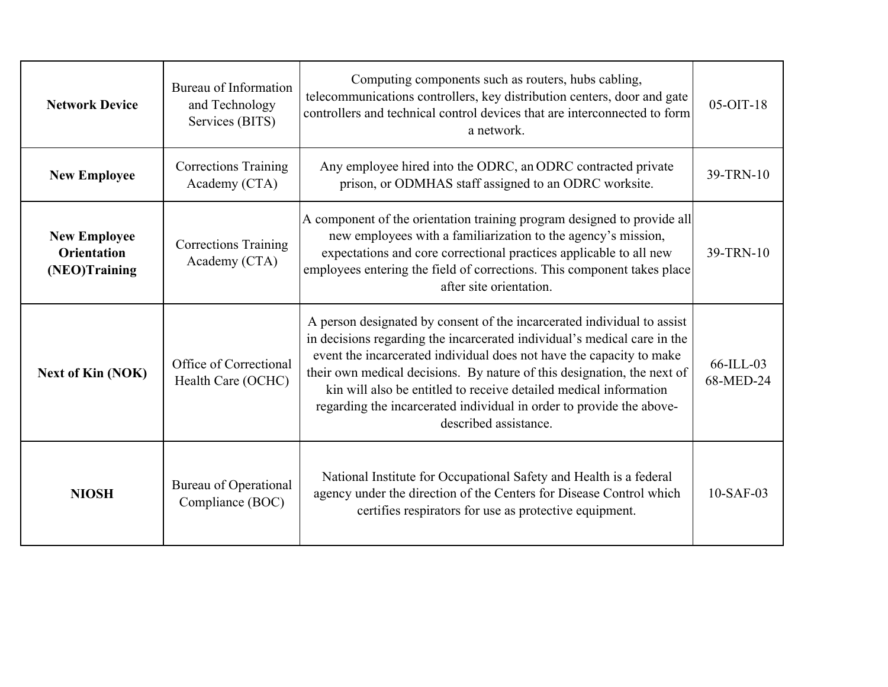| <b>Network Device</b>                                      | Bureau of Information<br>and Technology<br>Services (BITS) | Computing components such as routers, hubs cabling,<br>telecommunications controllers, key distribution centers, door and gate<br>controllers and technical control devices that are interconnected to form<br>a network.                                                                                                                                                                                                                                                    | $05-$ OIT $-18$        |
|------------------------------------------------------------|------------------------------------------------------------|------------------------------------------------------------------------------------------------------------------------------------------------------------------------------------------------------------------------------------------------------------------------------------------------------------------------------------------------------------------------------------------------------------------------------------------------------------------------------|------------------------|
| <b>New Employee</b>                                        | <b>Corrections Training</b><br>Academy (CTA)               | Any employee hired into the ODRC, an ODRC contracted private<br>prison, or ODMHAS staff assigned to an ODRC worksite.                                                                                                                                                                                                                                                                                                                                                        | 39-TRN-10              |
| <b>New Employee</b><br><b>Orientation</b><br>(NEO)Training | <b>Corrections Training</b><br>Academy (CTA)               | A component of the orientation training program designed to provide all<br>new employees with a familiarization to the agency's mission,<br>expectations and core correctional practices applicable to all new<br>employees entering the field of corrections. This component takes place<br>after site orientation.                                                                                                                                                         | 39-TRN-10              |
| <b>Next of Kin (NOK)</b>                                   | Office of Correctional<br>Health Care (OCHC)               | A person designated by consent of the incarcerated individual to assist<br>in decisions regarding the incarcerated individual's medical care in the<br>event the incarcerated individual does not have the capacity to make<br>their own medical decisions. By nature of this designation, the next of<br>kin will also be entitled to receive detailed medical information<br>regarding the incarcerated individual in order to provide the above-<br>described assistance. | 66-ILL-03<br>68-MED-24 |
| <b>NIOSH</b>                                               | <b>Bureau of Operational</b><br>Compliance (BOC)           | National Institute for Occupational Safety and Health is a federal<br>agency under the direction of the Centers for Disease Control which<br>certifies respirators for use as protective equipment.                                                                                                                                                                                                                                                                          | 10-SAF-03              |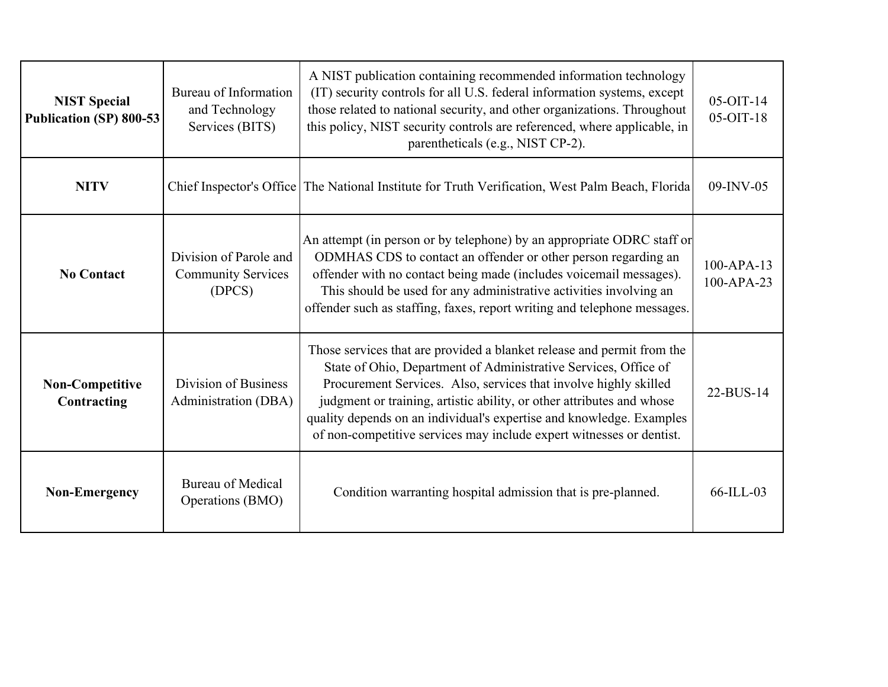| <b>NIST Special</b><br><b>Publication (SP) 800-53</b> | <b>Bureau of Information</b><br>and Technology<br>Services (BITS) | A NIST publication containing recommended information technology<br>(IT) security controls for all U.S. federal information systems, except<br>those related to national security, and other organizations. Throughout<br>this policy, NIST security controls are referenced, where applicable, in<br>parentheticals (e.g., NIST CP-2).                                                                                                | $05-OIT-14$<br>$05-OTT-18$ |
|-------------------------------------------------------|-------------------------------------------------------------------|----------------------------------------------------------------------------------------------------------------------------------------------------------------------------------------------------------------------------------------------------------------------------------------------------------------------------------------------------------------------------------------------------------------------------------------|----------------------------|
| <b>NITV</b>                                           |                                                                   | Chief Inspector's Office   The National Institute for Truth Verification, West Palm Beach, Florida                                                                                                                                                                                                                                                                                                                                     | $09$ -INV-05               |
| <b>No Contact</b>                                     | Division of Parole and<br><b>Community Services</b><br>(DPCS)     | An attempt (in person or by telephone) by an appropriate ODRC staff or<br>ODMHAS CDS to contact an offender or other person regarding an<br>offender with no contact being made (includes voicemail messages).<br>This should be used for any administrative activities involving an<br>offender such as staffing, faxes, report writing and telephone messages.                                                                       | 100-APA-13<br>100-APA-23   |
| <b>Non-Competitive</b><br>Contracting                 | Division of Business<br>Administration (DBA)                      | Those services that are provided a blanket release and permit from the<br>State of Ohio, Department of Administrative Services, Office of<br>Procurement Services. Also, services that involve highly skilled<br>judgment or training, artistic ability, or other attributes and whose<br>quality depends on an individual's expertise and knowledge. Examples<br>of non-competitive services may include expert witnesses or dentist. | 22-BUS-14                  |
| Non-Emergency                                         | <b>Bureau of Medical</b><br>Operations (BMO)                      | Condition warranting hospital admission that is pre-planned.                                                                                                                                                                                                                                                                                                                                                                           | 66-ILL-03                  |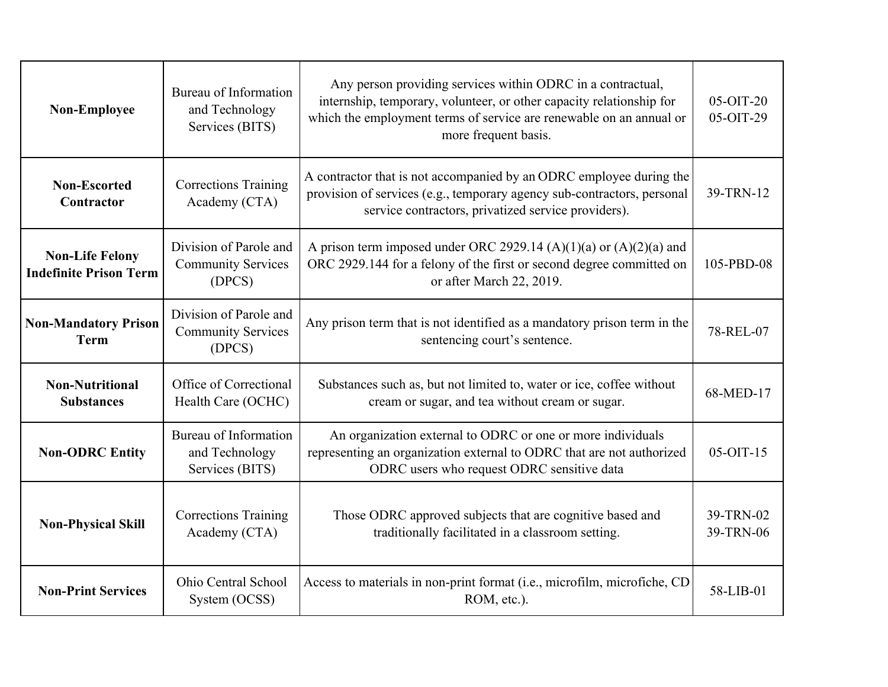| <b>Non-Employee</b>                                     | Bureau of Information<br>and Technology<br>Services (BITS)    | Any person providing services within ODRC in a contractual,<br>internship, temporary, volunteer, or other capacity relationship for<br>which the employment terms of service are renewable on an annual or<br>more frequent basis. | 05-OIT-20<br>05-OIT-29 |
|---------------------------------------------------------|---------------------------------------------------------------|------------------------------------------------------------------------------------------------------------------------------------------------------------------------------------------------------------------------------------|------------------------|
| <b>Non-Escorted</b><br>Contractor                       | <b>Corrections Training</b><br>Academy (CTA)                  | A contractor that is not accompanied by an ODRC employee during the<br>provision of services (e.g., temporary agency sub-contractors, personal<br>service contractors, privatized service providers).                              | 39-TRN-12              |
| <b>Non-Life Felony</b><br><b>Indefinite Prison Term</b> | Division of Parole and<br><b>Community Services</b><br>(DPCS) | A prison term imposed under ORC 2929.14 $(A)(1)(a)$ or $(A)(2)(a)$ and<br>ORC 2929.144 for a felony of the first or second degree committed on<br>or after March 22, 2019.                                                         | 105-PBD-08             |
| <b>Non-Mandatory Prison</b><br><b>Term</b>              | Division of Parole and<br><b>Community Services</b><br>(DPCS) | Any prison term that is not identified as a mandatory prison term in the<br>sentencing court's sentence.                                                                                                                           | 78-REL-07              |
| <b>Non-Nutritional</b><br><b>Substances</b>             | Office of Correctional<br>Health Care (OCHC)                  | Substances such as, but not limited to, water or ice, coffee without<br>cream or sugar, and tea without cream or sugar.                                                                                                            | 68-MED-17              |
| <b>Non-ODRC Entity</b>                                  | Bureau of Information<br>and Technology<br>Services (BITS)    | An organization external to ODRC or one or more individuals<br>representing an organization external to ODRC that are not authorized<br>ODRC users who request ODRC sensitive data                                                 | $05-OIT-15$            |
| <b>Non-Physical Skill</b>                               | <b>Corrections Training</b><br>Academy (CTA)                  | Those ODRC approved subjects that are cognitive based and<br>traditionally facilitated in a classroom setting.                                                                                                                     | 39-TRN-02<br>39-TRN-06 |
| <b>Non-Print Services</b>                               | Ohio Central School<br>System (OCSS)                          | Access to materials in non-print format (i.e., microfilm, microfiche, CD<br>ROM, etc.).                                                                                                                                            | 58-LIB-01              |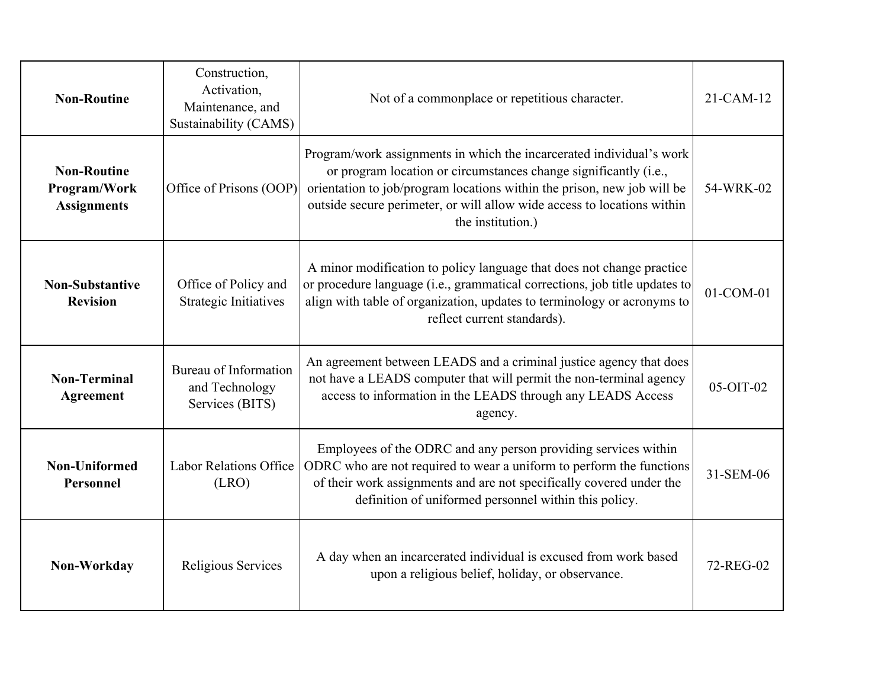| <b>Non-Routine</b>                                       | Construction,<br>Activation,<br>Maintenance, and<br>Sustainability (CAMS) | Not of a commonplace or repetitious character.                                                                                                                                                                                                                                                                      | 21-CAM-12    |
|----------------------------------------------------------|---------------------------------------------------------------------------|---------------------------------------------------------------------------------------------------------------------------------------------------------------------------------------------------------------------------------------------------------------------------------------------------------------------|--------------|
| <b>Non-Routine</b><br>Program/Work<br><b>Assignments</b> | Office of Prisons (OOP)                                                   | Program/work assignments in which the incarcerated individual's work<br>or program location or circumstances change significantly (i.e.,<br>orientation to job/program locations within the prison, new job will be<br>outside secure perimeter, or will allow wide access to locations within<br>the institution.) | 54-WRK-02    |
| <b>Non-Substantive</b><br><b>Revision</b>                | Office of Policy and<br><b>Strategic Initiatives</b>                      | A minor modification to policy language that does not change practice<br>or procedure language (i.e., grammatical corrections, job title updates to<br>align with table of organization, updates to terminology or acronyms to<br>reflect current standards).                                                       | $01$ -COM-01 |
| <b>Non-Terminal</b><br><b>Agreement</b>                  | Bureau of Information<br>and Technology<br>Services (BITS)                | An agreement between LEADS and a criminal justice agency that does<br>not have a LEADS computer that will permit the non-terminal agency<br>access to information in the LEADS through any LEADS Access<br>agency.                                                                                                  | $05-OT-02$   |
| <b>Non-Uniformed</b><br><b>Personnel</b>                 | <b>Labor Relations Office</b><br>(LRO)                                    | Employees of the ODRC and any person providing services within<br>ODRC who are not required to wear a uniform to perform the functions<br>of their work assignments and are not specifically covered under the<br>definition of uniformed personnel within this policy.                                             | 31-SEM-06    |
| Non-Workday                                              | Religious Services                                                        | A day when an incarcerated individual is excused from work based<br>upon a religious belief, holiday, or observance.                                                                                                                                                                                                | 72-REG-02    |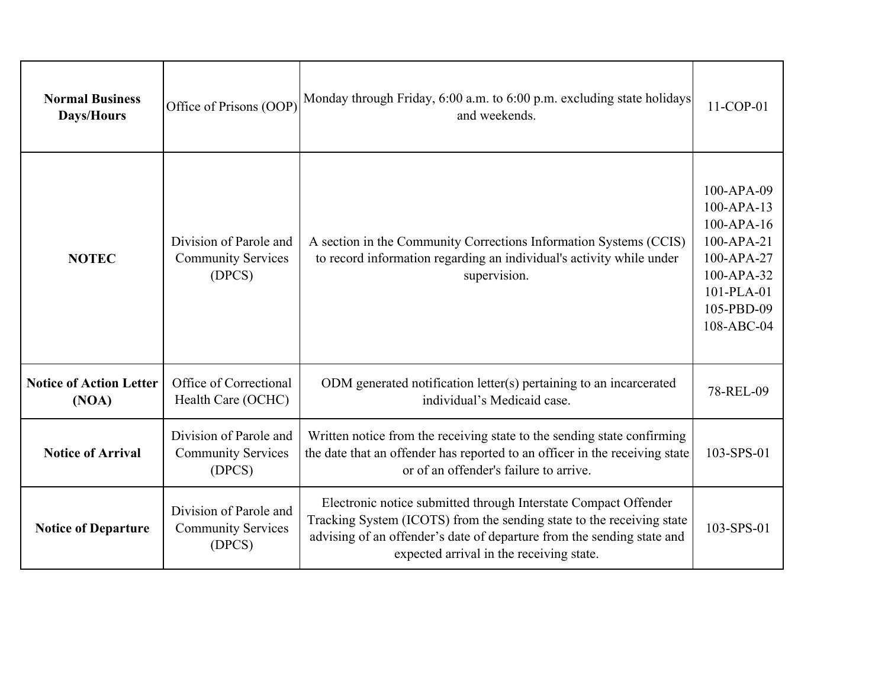| <b>Normal Business</b><br>Days/Hours    | Office of Prisons (OOP)                                       | Monday through Friday, 6:00 a.m. to 6:00 p.m. excluding state holidays<br>and weekends.                                                                                                                                                                        | 11-COP-01                                                                                                                      |
|-----------------------------------------|---------------------------------------------------------------|----------------------------------------------------------------------------------------------------------------------------------------------------------------------------------------------------------------------------------------------------------------|--------------------------------------------------------------------------------------------------------------------------------|
| <b>NOTEC</b>                            | Division of Parole and<br><b>Community Services</b><br>(DPCS) | A section in the Community Corrections Information Systems (CCIS)<br>to record information regarding an individual's activity while under<br>supervision.                                                                                                      | 100-APA-09<br>$100-APA-13$<br>$100-APA-16$<br>100-APA-21<br>100-APA-27<br>100-APA-32<br>101-PLA-01<br>105-PBD-09<br>108-ABC-04 |
| <b>Notice of Action Letter</b><br>(NOA) | Office of Correctional<br>Health Care (OCHC)                  | ODM generated notification letter(s) pertaining to an incarcerated<br>individual's Medicaid case.                                                                                                                                                              | 78-REL-09                                                                                                                      |
| <b>Notice of Arrival</b>                | Division of Parole and<br><b>Community Services</b><br>(DPCS) | Written notice from the receiving state to the sending state confirming<br>the date that an offender has reported to an officer in the receiving state<br>or of an offender's failure to arrive.                                                               | 103-SPS-01                                                                                                                     |
| <b>Notice of Departure</b>              | Division of Parole and<br><b>Community Services</b><br>(DPCS) | Electronic notice submitted through Interstate Compact Offender<br>Tracking System (ICOTS) from the sending state to the receiving state<br>advising of an offender's date of departure from the sending state and<br>expected arrival in the receiving state. | 103-SPS-01                                                                                                                     |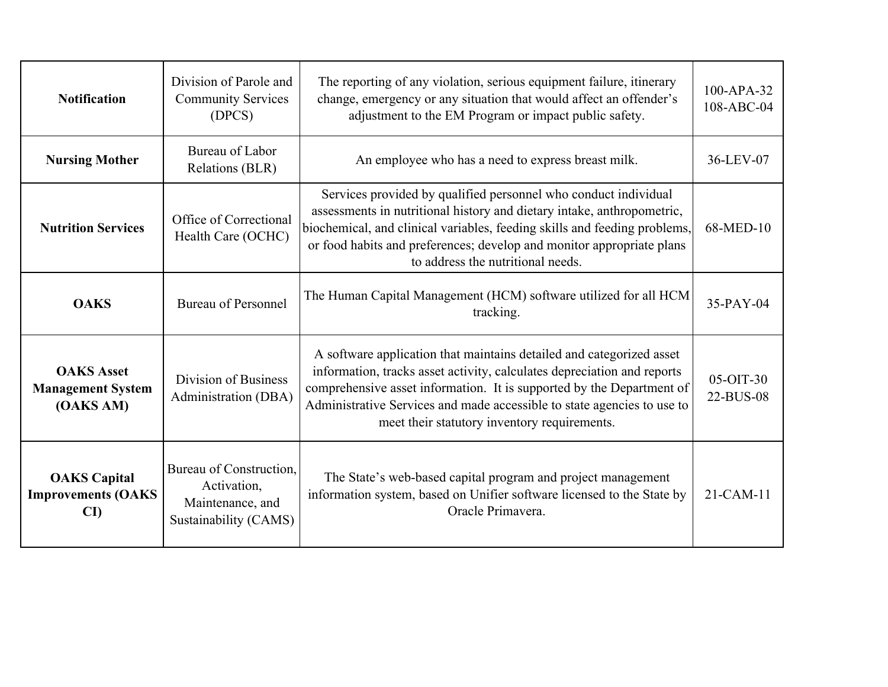| <b>Notification</b>                                                        | Division of Parole and<br><b>Community Services</b><br>(DPCS)                       | The reporting of any violation, serious equipment failure, itinerary<br>change, emergency or any situation that would affect an offender's<br>adjustment to the EM Program or impact public safety.                                                                                                                                                 | 100-APA-32<br>108-ABC-04 |
|----------------------------------------------------------------------------|-------------------------------------------------------------------------------------|-----------------------------------------------------------------------------------------------------------------------------------------------------------------------------------------------------------------------------------------------------------------------------------------------------------------------------------------------------|--------------------------|
| <b>Nursing Mother</b>                                                      | Bureau of Labor<br>Relations (BLR)                                                  | An employee who has a need to express breast milk.                                                                                                                                                                                                                                                                                                  | 36-LEV-07                |
| <b>Nutrition Services</b>                                                  | Office of Correctional<br>Health Care (OCHC)                                        | Services provided by qualified personnel who conduct individual<br>assessments in nutritional history and dietary intake, anthropometric,<br>biochemical, and clinical variables, feeding skills and feeding problems,<br>or food habits and preferences; develop and monitor appropriate plans<br>to address the nutritional needs.                | 68-MED-10                |
| <b>OAKS</b>                                                                | <b>Bureau of Personnel</b>                                                          | The Human Capital Management (HCM) software utilized for all HCM<br>tracking.                                                                                                                                                                                                                                                                       | 35-PAY-04                |
| <b>OAKS</b> Asset<br><b>Management System</b><br>(OAKS AM)                 | Division of Business<br>Administration (DBA)                                        | A software application that maintains detailed and categorized asset<br>information, tracks asset activity, calculates depreciation and reports<br>comprehensive asset information. It is supported by the Department of<br>Administrative Services and made accessible to state agencies to use to<br>meet their statutory inventory requirements. | $05-OIT-30$<br>22-BUS-08 |
| <b>OAKS</b> Capital<br><b>Improvements (OAKS</b><br>$\mathbf{C}\mathbf{D}$ | Bureau of Construction,<br>Activation,<br>Maintenance, and<br>Sustainability (CAMS) | The State's web-based capital program and project management<br>information system, based on Unifier software licensed to the State by<br>Oracle Primavera.                                                                                                                                                                                         | 21-CAM-11                |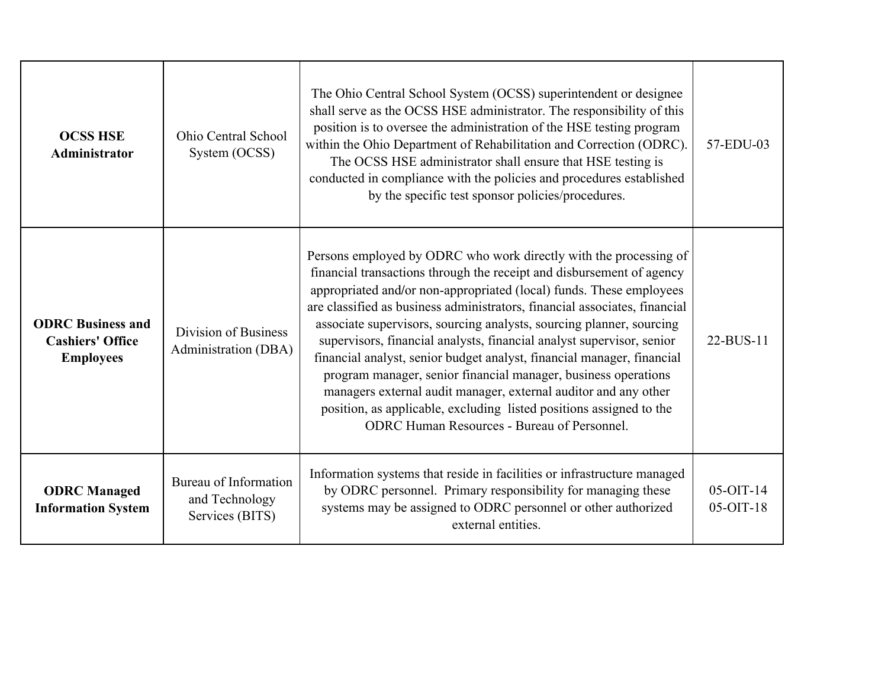| <b>OCSS HSE</b><br>Administrator                                        | Ohio Central School<br>System (OCSS)                       | The Ohio Central School System (OCSS) superintendent or designee<br>shall serve as the OCSS HSE administrator. The responsibility of this<br>position is to oversee the administration of the HSE testing program<br>within the Ohio Department of Rehabilitation and Correction (ODRC).<br>The OCSS HSE administrator shall ensure that HSE testing is<br>conducted in compliance with the policies and procedures established<br>by the specific test sponsor policies/procedures.                                                                                                                                                                                                                                                                                                         | 57-EDU-03                  |
|-------------------------------------------------------------------------|------------------------------------------------------------|----------------------------------------------------------------------------------------------------------------------------------------------------------------------------------------------------------------------------------------------------------------------------------------------------------------------------------------------------------------------------------------------------------------------------------------------------------------------------------------------------------------------------------------------------------------------------------------------------------------------------------------------------------------------------------------------------------------------------------------------------------------------------------------------|----------------------------|
| <b>ODRC</b> Business and<br><b>Cashiers' Office</b><br><b>Employees</b> | Division of Business<br>Administration (DBA)               | Persons employed by ODRC who work directly with the processing of<br>financial transactions through the receipt and disbursement of agency<br>appropriated and/or non-appropriated (local) funds. These employees<br>are classified as business administrators, financial associates, financial<br>associate supervisors, sourcing analysts, sourcing planner, sourcing<br>supervisors, financial analysts, financial analyst supervisor, senior<br>financial analyst, senior budget analyst, financial manager, financial<br>program manager, senior financial manager, business operations<br>managers external audit manager, external auditor and any other<br>position, as applicable, excluding listed positions assigned to the<br><b>ODRC Human Resources - Bureau of Personnel.</b> | 22-BUS-11                  |
| <b>ODRC</b> Managed<br><b>Information System</b>                        | Bureau of Information<br>and Technology<br>Services (BITS) | Information systems that reside in facilities or infrastructure managed<br>by ODRC personnel. Primary responsibility for managing these<br>systems may be assigned to ODRC personnel or other authorized<br>external entities.                                                                                                                                                                                                                                                                                                                                                                                                                                                                                                                                                               | $05-OIT-14$<br>$05-OIT-18$ |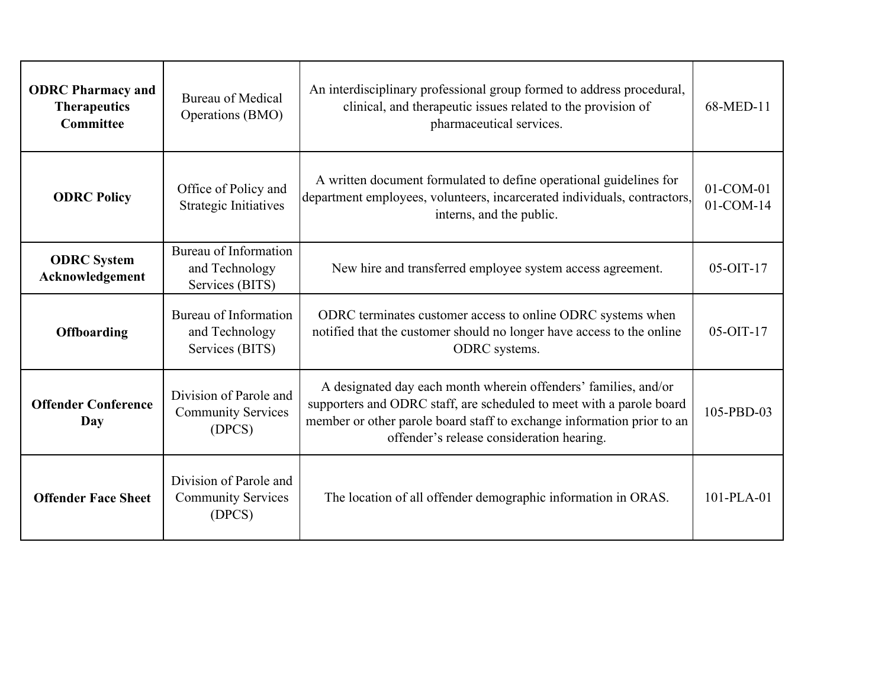| <b>ODRC</b> Pharmacy and<br><b>Therapeutics</b><br><b>Committee</b> | <b>Bureau of Medical</b><br>Operations (BMO)                  | An interdisciplinary professional group formed to address procedural,<br>clinical, and therapeutic issues related to the provision of<br>pharmaceutical services.                                                                                              | 68-MED-11                 |
|---------------------------------------------------------------------|---------------------------------------------------------------|----------------------------------------------------------------------------------------------------------------------------------------------------------------------------------------------------------------------------------------------------------------|---------------------------|
| <b>ODRC Policy</b>                                                  | Office of Policy and<br><b>Strategic Initiatives</b>          | A written document formulated to define operational guidelines for<br>department employees, volunteers, incarcerated individuals, contractors,<br>interns, and the public.                                                                                     | 01-COM-01<br>$01$ -COM-14 |
| <b>ODRC</b> System<br>Acknowledgement                               | Bureau of Information<br>and Technology<br>Services (BITS)    | New hire and transferred employee system access agreement.                                                                                                                                                                                                     | 05-OIT-17                 |
| Offboarding                                                         | Bureau of Information<br>and Technology<br>Services (BITS)    | ODRC terminates customer access to online ODRC systems when<br>notified that the customer should no longer have access to the online<br>ODRC systems.                                                                                                          | $05-OTT-17$               |
| <b>Offender Conference</b><br>Day                                   | Division of Parole and<br><b>Community Services</b><br>(DPCS) | A designated day each month wherein offenders' families, and/or<br>supporters and ODRC staff, are scheduled to meet with a parole board<br>member or other parole board staff to exchange information prior to an<br>offender's release consideration hearing. | 105-PBD-03                |
| <b>Offender Face Sheet</b>                                          | Division of Parole and<br><b>Community Services</b><br>(DPCS) | The location of all offender demographic information in ORAS.                                                                                                                                                                                                  | 101-PLA-01                |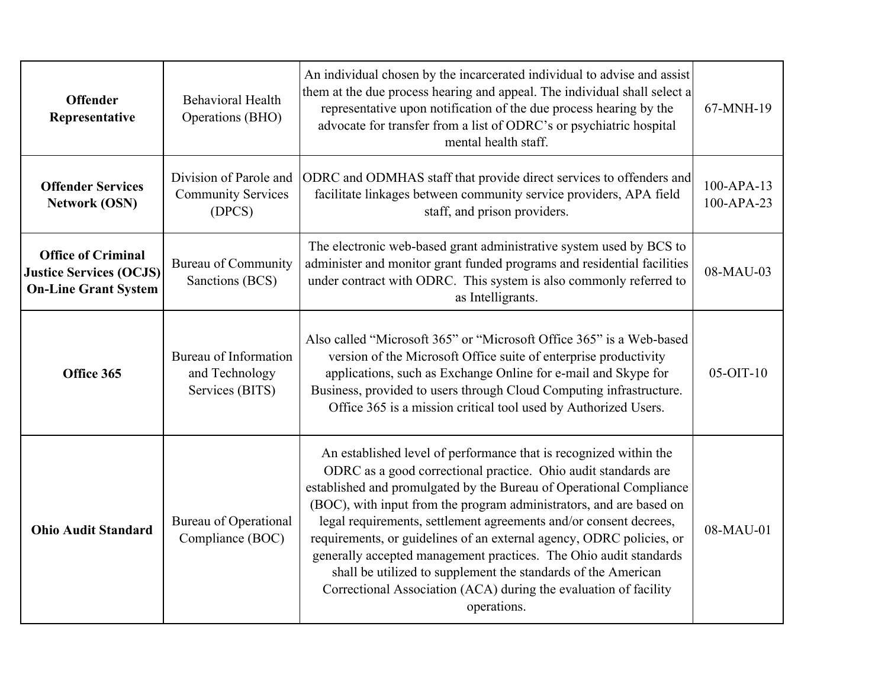| <b>Offender</b><br>Representative                                                          | <b>Behavioral Health</b><br>Operations (BHO)                  | An individual chosen by the incarcerated individual to advise and assist<br>them at the due process hearing and appeal. The individual shall select a<br>representative upon notification of the due process hearing by the<br>advocate for transfer from a list of ODRC's or psychiatric hospital<br>mental health staff.                                                                                                                                                                                                                                                                                                                              | 67-MNH-19                |
|--------------------------------------------------------------------------------------------|---------------------------------------------------------------|---------------------------------------------------------------------------------------------------------------------------------------------------------------------------------------------------------------------------------------------------------------------------------------------------------------------------------------------------------------------------------------------------------------------------------------------------------------------------------------------------------------------------------------------------------------------------------------------------------------------------------------------------------|--------------------------|
| <b>Offender Services</b><br><b>Network (OSN)</b>                                           | Division of Parole and<br><b>Community Services</b><br>(DPCS) | ODRC and ODMHAS staff that provide direct services to offenders and<br>facilitate linkages between community service providers, APA field<br>staff, and prison providers.                                                                                                                                                                                                                                                                                                                                                                                                                                                                               | 100-APA-13<br>100-APA-23 |
| <b>Office of Criminal</b><br><b>Justice Services (OCJS)</b><br><b>On-Line Grant System</b> | <b>Bureau of Community</b><br>Sanctions (BCS)                 | The electronic web-based grant administrative system used by BCS to<br>administer and monitor grant funded programs and residential facilities<br>under contract with ODRC. This system is also commonly referred to<br>as Intelligrants.                                                                                                                                                                                                                                                                                                                                                                                                               | 08-MAU-03                |
| Office 365                                                                                 | Bureau of Information<br>and Technology<br>Services (BITS)    | Also called "Microsoft 365" or "Microsoft Office 365" is a Web-based<br>version of the Microsoft Office suite of enterprise productivity<br>applications, such as Exchange Online for e-mail and Skype for<br>Business, provided to users through Cloud Computing infrastructure.<br>Office 365 is a mission critical tool used by Authorized Users.                                                                                                                                                                                                                                                                                                    | $05-OIT-10$              |
| <b>Ohio Audit Standard</b>                                                                 | <b>Bureau of Operational</b><br>Compliance (BOC)              | An established level of performance that is recognized within the<br>ODRC as a good correctional practice. Ohio audit standards are<br>established and promulgated by the Bureau of Operational Compliance<br>(BOC), with input from the program administrators, and are based on<br>legal requirements, settlement agreements and/or consent decrees,<br>requirements, or guidelines of an external agency, ODRC policies, or<br>generally accepted management practices. The Ohio audit standards<br>shall be utilized to supplement the standards of the American<br>Correctional Association (ACA) during the evaluation of facility<br>operations. | 08-MAU-01                |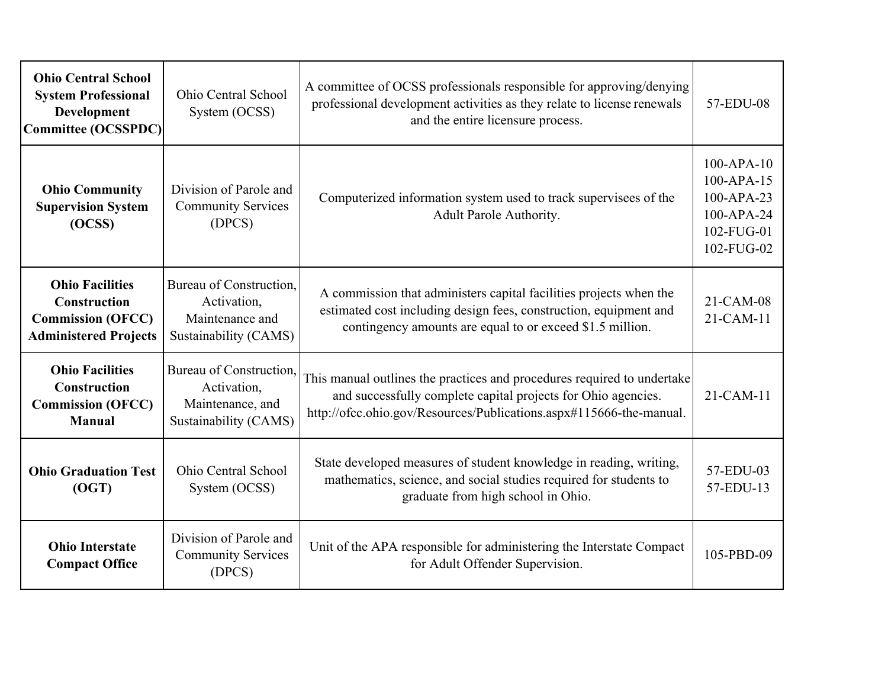| <b>Ohio Central School</b><br><b>System Professional</b><br>Development<br>Committee (OCSSPDC)            | Ohio Central School<br>System (OCSS)                                                | A committee of OCSS professionals responsible for approving/denying<br>professional development activities as they relate to license renewals<br>and the entire licensure process.                              | 57-EDU-08                                                                        |
|-----------------------------------------------------------------------------------------------------------|-------------------------------------------------------------------------------------|-----------------------------------------------------------------------------------------------------------------------------------------------------------------------------------------------------------------|----------------------------------------------------------------------------------|
| <b>Ohio Community</b><br><b>Supervision System</b><br>(OCSS)                                              | Division of Parole and<br><b>Community Services</b><br>(DPCS)                       | Computerized information system used to track supervisees of the<br>Adult Parole Authority.                                                                                                                     | 100-APA-10<br>100-APA-15<br>100-APA-23<br>100-APA-24<br>102-FUG-01<br>102-FUG-02 |
| <b>Ohio Facilities</b><br><b>Construction</b><br><b>Commission (OFCC)</b><br><b>Administered Projects</b> | Bureau of Construction,<br>Activation,<br>Maintenance and<br>Sustainability (CAMS)  | A commission that administers capital facilities projects when the<br>estimated cost including design fees, construction, equipment and<br>contingency amounts are equal to or exceed \$1.5 million.            | 21-CAM-08<br>21-CAM-11                                                           |
| <b>Ohio Facilities</b><br>Construction<br><b>Commission (OFCC)</b><br><b>Manual</b>                       | Bureau of Construction,<br>Activation,<br>Maintenance, and<br>Sustainability (CAMS) | This manual outlines the practices and procedures required to undertake<br>and successfully complete capital projects for Ohio agencies.<br>http://ofcc.ohio.gov/Resources/Publications.aspx#115666-the-manual. | 21-CAM-11                                                                        |
| <b>Ohio Graduation Test</b><br>(OGT)                                                                      | Ohio Central School<br>System (OCSS)                                                | State developed measures of student knowledge in reading, writing,<br>mathematics, science, and social studies required for students to<br>graduate from high school in Ohio.                                   | 57-EDU-03<br>57-EDU-13                                                           |
| <b>Ohio Interstate</b><br><b>Compact Office</b>                                                           | Division of Parole and<br><b>Community Services</b><br>(DPCS)                       | Unit of the APA responsible for administering the Interstate Compact<br>for Adult Offender Supervision.                                                                                                         | 105-PBD-09                                                                       |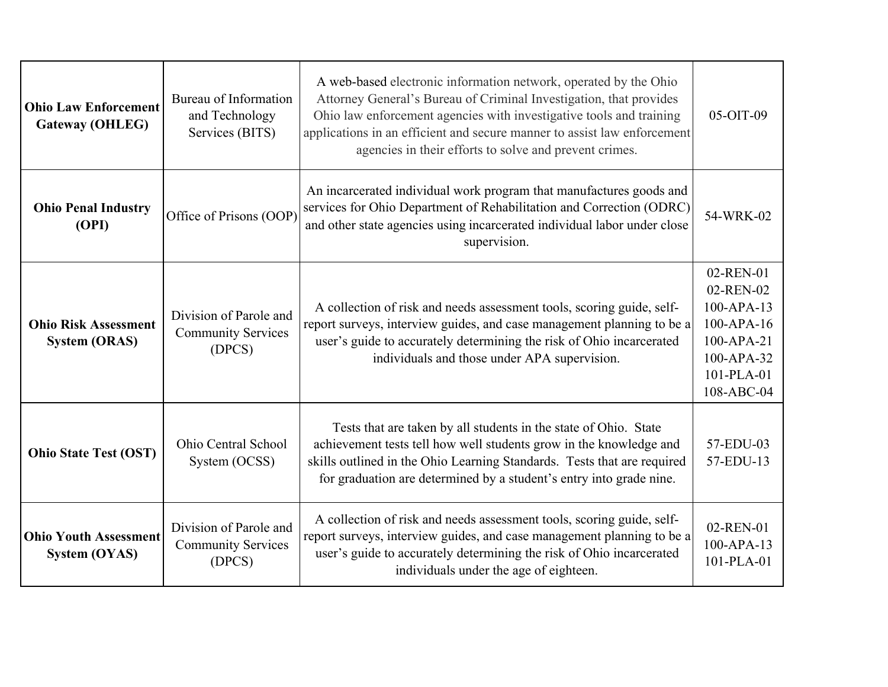| <b>Ohio Law Enforcement</b><br>Gateway (OHLEG)       | Bureau of Information<br>and Technology<br>Services (BITS)    | A web-based electronic information network, operated by the Ohio<br>Attorney General's Bureau of Criminal Investigation, that provides<br>Ohio law enforcement agencies with investigative tools and training<br>applications in an efficient and secure manner to assist law enforcement<br>agencies in their efforts to solve and prevent crimes. | 05-OIT-09                                                                                                  |
|------------------------------------------------------|---------------------------------------------------------------|-----------------------------------------------------------------------------------------------------------------------------------------------------------------------------------------------------------------------------------------------------------------------------------------------------------------------------------------------------|------------------------------------------------------------------------------------------------------------|
| <b>Ohio Penal Industry</b><br>(OPI)                  | Office of Prisons (OOP)                                       | An incarcerated individual work program that manufactures goods and<br>services for Ohio Department of Rehabilitation and Correction (ODRC)<br>and other state agencies using incarcerated individual labor under close<br>supervision.                                                                                                             | 54-WRK-02                                                                                                  |
| <b>Ohio Risk Assessment</b><br><b>System (ORAS)</b>  | Division of Parole and<br><b>Community Services</b><br>(DPCS) | A collection of risk and needs assessment tools, scoring guide, self-<br>report surveys, interview guides, and case management planning to be a<br>user's guide to accurately determining the risk of Ohio incarcerated<br>individuals and those under APA supervision.                                                                             | 02-REN-01<br>02-REN-02<br>100-APA-13<br>100-APA-16<br>100-APA-21<br>100-APA-32<br>101-PLA-01<br>108-ABC-04 |
| <b>Ohio State Test (OST)</b>                         | Ohio Central School<br>System (OCSS)                          | Tests that are taken by all students in the state of Ohio. State<br>achievement tests tell how well students grow in the knowledge and<br>skills outlined in the Ohio Learning Standards. Tests that are required<br>for graduation are determined by a student's entry into grade nine.                                                            | 57-EDU-03<br>57-EDU-13                                                                                     |
| <b>Ohio Youth Assessment</b><br><b>System (OYAS)</b> | Division of Parole and<br><b>Community Services</b><br>(DPCS) | A collection of risk and needs assessment tools, scoring guide, self-<br>report surveys, interview guides, and case management planning to be a<br>user's guide to accurately determining the risk of Ohio incarcerated<br>individuals under the age of eighteen.                                                                                   | 02-REN-01<br>100-APA-13<br>101-PLA-01                                                                      |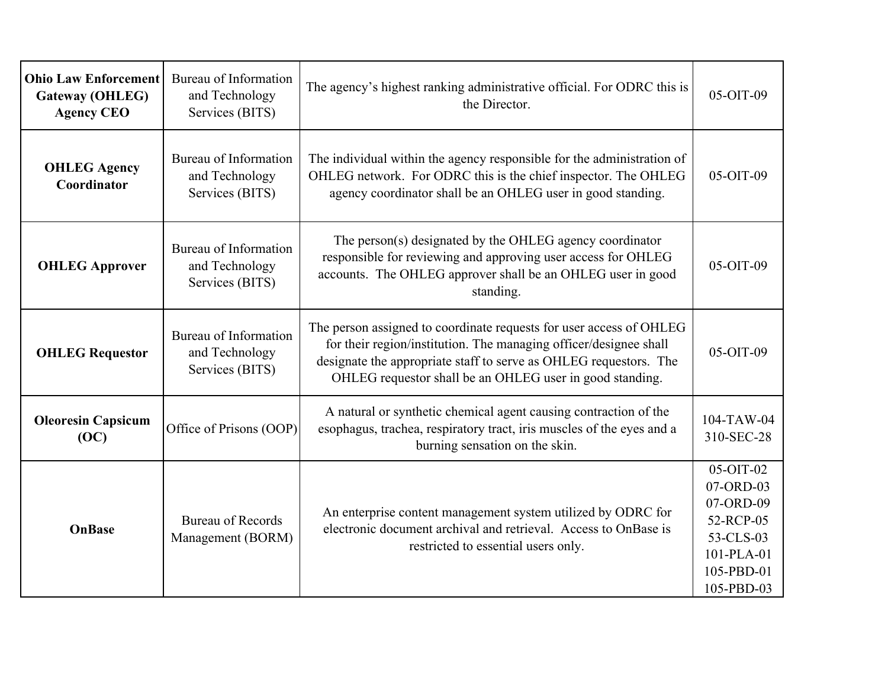| <b>Ohio Law Enforcement</b><br><b>Gateway (OHLEG)</b><br><b>Agency CEO</b> | Bureau of Information<br>and Technology<br>Services (BITS) | The agency's highest ranking administrative official. For ODRC this is<br>the Director.                                                                                                                                                                                   | 05-OIT-09                                                                                               |
|----------------------------------------------------------------------------|------------------------------------------------------------|---------------------------------------------------------------------------------------------------------------------------------------------------------------------------------------------------------------------------------------------------------------------------|---------------------------------------------------------------------------------------------------------|
| <b>OHLEG Agency</b><br>Coordinator                                         | Bureau of Information<br>and Technology<br>Services (BITS) | The individual within the agency responsible for the administration of<br>OHLEG network. For ODRC this is the chief inspector. The OHLEG<br>agency coordinator shall be an OHLEG user in good standing.                                                                   | 05-OIT-09                                                                                               |
| <b>OHLEG Approver</b>                                                      | Bureau of Information<br>and Technology<br>Services (BITS) | The person(s) designated by the OHLEG agency coordinator<br>responsible for reviewing and approving user access for OHLEG<br>accounts. The OHLEG approver shall be an OHLEG user in good<br>standing.                                                                     | 05-OIT-09                                                                                               |
| <b>OHLEG Requestor</b>                                                     | Bureau of Information<br>and Technology<br>Services (BITS) | The person assigned to coordinate requests for user access of OHLEG<br>for their region/institution. The managing officer/designee shall<br>designate the appropriate staff to serve as OHLEG requestors. The<br>OHLEG requestor shall be an OHLEG user in good standing. | 05-OIT-09                                                                                               |
| <b>Oleoresin Capsicum</b><br>(OC)                                          | Office of Prisons (OOP)                                    | A natural or synthetic chemical agent causing contraction of the<br>esophagus, trachea, respiratory tract, iris muscles of the eyes and a<br>burning sensation on the skin.                                                                                               | 104-TAW-04<br>310-SEC-28                                                                                |
| <b>OnBase</b>                                                              | <b>Bureau of Records</b><br>Management (BORM)              | An enterprise content management system utilized by ODRC for<br>electronic document archival and retrieval. Access to OnBase is<br>restricted to essential users only.                                                                                                    | 05-OIT-02<br>07-ORD-03<br>07-ORD-09<br>52-RCP-05<br>53-CLS-03<br>101-PLA-01<br>105-PBD-01<br>105-PBD-03 |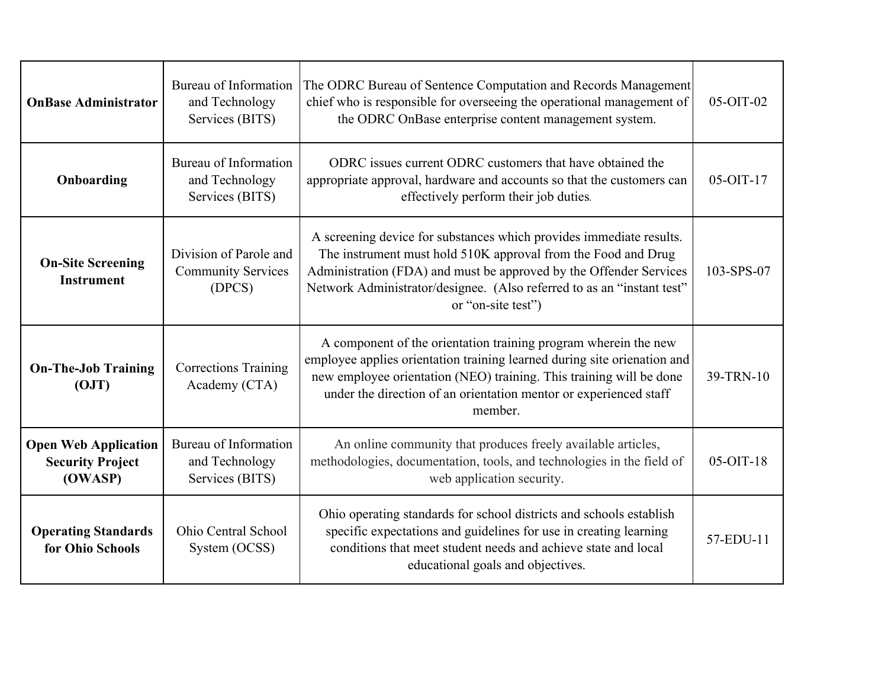| <b>OnBase Administrator</b>                                       | Bureau of Information<br>and Technology<br>Services (BITS)    | The ODRC Bureau of Sentence Computation and Records Management<br>chief who is responsible for overseeing the operational management of<br>the ODRC OnBase enterprise content management system.                                                                                                           | 05-OIT-02       |
|-------------------------------------------------------------------|---------------------------------------------------------------|------------------------------------------------------------------------------------------------------------------------------------------------------------------------------------------------------------------------------------------------------------------------------------------------------------|-----------------|
| Onboarding                                                        | Bureau of Information<br>and Technology<br>Services (BITS)    | ODRC issues current ODRC customers that have obtained the<br>appropriate approval, hardware and accounts so that the customers can<br>effectively perform their job duties.                                                                                                                                | $05-$ OIT $-17$ |
| <b>On-Site Screening</b><br><b>Instrument</b>                     | Division of Parole and<br><b>Community Services</b><br>(DPCS) | A screening device for substances which provides immediate results.<br>The instrument must hold 510K approval from the Food and Drug<br>Administration (FDA) and must be approved by the Offender Services<br>Network Administrator/designee. (Also referred to as an "instant test"<br>or "on-site test") | 103-SPS-07      |
| <b>On-The-Job Training</b><br>(OJT)                               | <b>Corrections Training</b><br>Academy (CTA)                  | A component of the orientation training program wherein the new<br>employee applies orientation training learned during site orienation and<br>new employee orientation (NEO) training. This training will be done<br>under the direction of an orientation mentor or experienced staff<br>member.         | 39-TRN-10       |
| <b>Open Web Application</b><br><b>Security Project</b><br>(OWASP) | Bureau of Information<br>and Technology<br>Services (BITS)    | An online community that produces freely available articles,<br>methodologies, documentation, tools, and technologies in the field of<br>web application security.                                                                                                                                         | $05-OTT-18$     |
| <b>Operating Standards</b><br>for Ohio Schools                    | Ohio Central School<br>System (OCSS)                          | Ohio operating standards for school districts and schools establish<br>specific expectations and guidelines for use in creating learning<br>conditions that meet student needs and achieve state and local<br>educational goals and objectives.                                                            | 57-EDU-11       |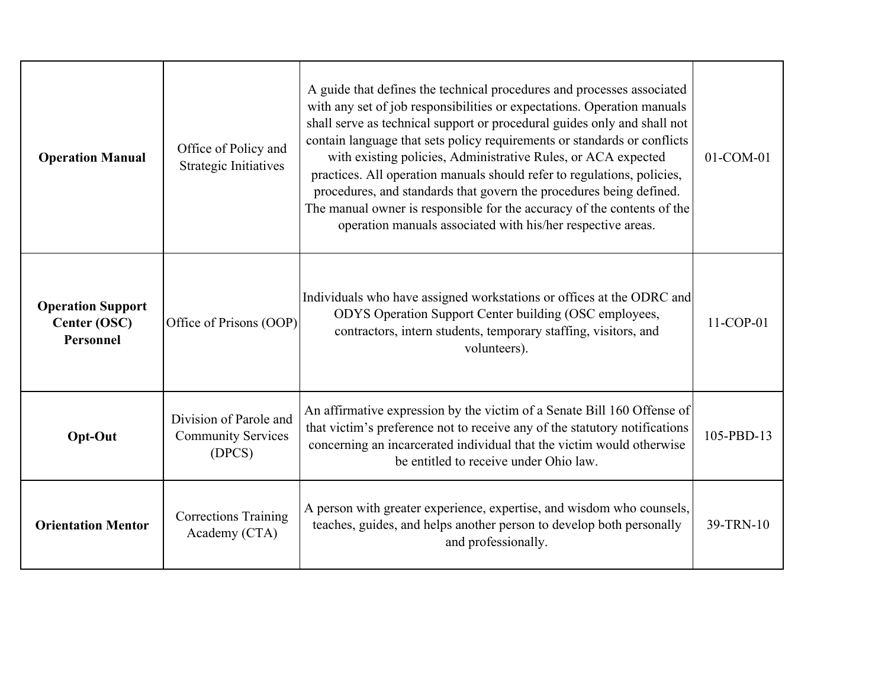| <b>Operation Manual</b>                                      | Office of Policy and<br><b>Strategic Initiatives</b>          | A guide that defines the technical procedures and processes associated<br>with any set of job responsibilities or expectations. Operation manuals<br>shall serve as technical support or procedural guides only and shall not<br>contain language that sets policy requirements or standards or conflicts<br>with existing policies, Administrative Rules, or ACA expected<br>practices. All operation manuals should refer to regulations, policies,<br>procedures, and standards that govern the procedures being defined.<br>The manual owner is responsible for the accuracy of the contents of the<br>operation manuals associated with his/her respective areas. | 01-COM-01  |
|--------------------------------------------------------------|---------------------------------------------------------------|------------------------------------------------------------------------------------------------------------------------------------------------------------------------------------------------------------------------------------------------------------------------------------------------------------------------------------------------------------------------------------------------------------------------------------------------------------------------------------------------------------------------------------------------------------------------------------------------------------------------------------------------------------------------|------------|
| <b>Operation Support</b><br>Center (OSC)<br><b>Personnel</b> | Office of Prisons (OOP)                                       | Individuals who have assigned workstations or offices at the ODRC and<br>ODYS Operation Support Center building (OSC employees,<br>contractors, intern students, temporary staffing, visitors, and<br>volunteers).                                                                                                                                                                                                                                                                                                                                                                                                                                                     | 11-COP-01  |
| Opt-Out                                                      | Division of Parole and<br><b>Community Services</b><br>(DPCS) | An affirmative expression by the victim of a Senate Bill 160 Offense of<br>that victim's preference not to receive any of the statutory notifications<br>concerning an incarcerated individual that the victim would otherwise<br>be entitled to receive under Ohio law.                                                                                                                                                                                                                                                                                                                                                                                               | 105-PBD-13 |
| <b>Orientation Mentor</b>                                    | <b>Corrections Training</b><br>Academy (CTA)                  | A person with greater experience, expertise, and wisdom who counsels,<br>teaches, guides, and helps another person to develop both personally<br>and professionally.                                                                                                                                                                                                                                                                                                                                                                                                                                                                                                   | 39-TRN-10  |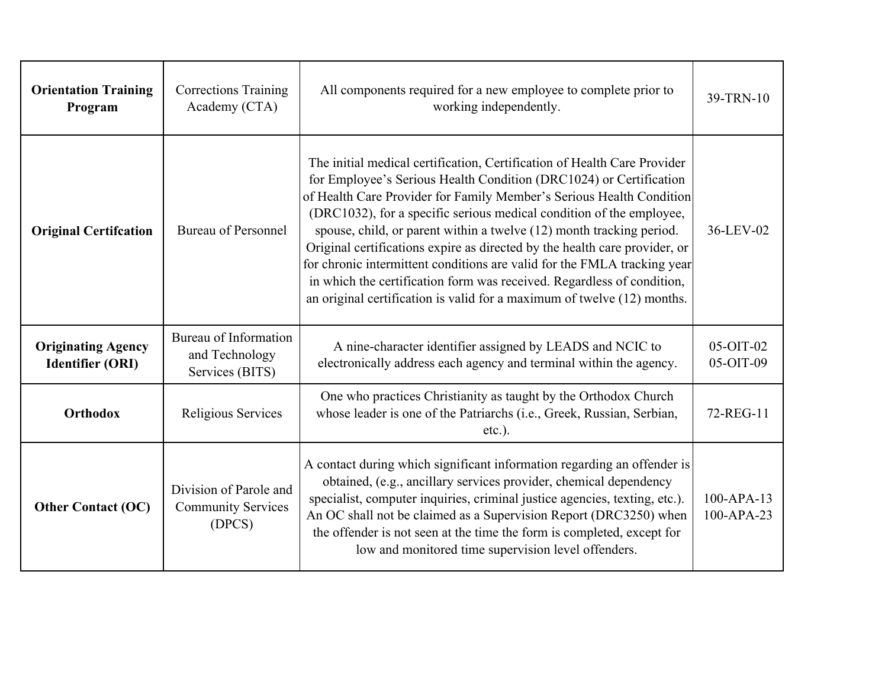| <b>Orientation Training</b><br>Program               | <b>Corrections Training</b><br>Academy (CTA)                  | All components required for a new employee to complete prior to<br>working independently.                                                                                                                                                                                                                                                                                                                                                                                                                                                                                                                                                                                             | 39-TRN-10                |
|------------------------------------------------------|---------------------------------------------------------------|---------------------------------------------------------------------------------------------------------------------------------------------------------------------------------------------------------------------------------------------------------------------------------------------------------------------------------------------------------------------------------------------------------------------------------------------------------------------------------------------------------------------------------------------------------------------------------------------------------------------------------------------------------------------------------------|--------------------------|
| <b>Original Certifcation</b>                         | <b>Bureau of Personnel</b>                                    | The initial medical certification, Certification of Health Care Provider<br>for Employee's Serious Health Condition (DRC1024) or Certification<br>of Health Care Provider for Family Member's Serious Health Condition<br>(DRC1032), for a specific serious medical condition of the employee,<br>spouse, child, or parent within a twelve (12) month tracking period.<br>Original certifications expire as directed by the health care provider, or<br>for chronic intermittent conditions are valid for the FMLA tracking year<br>in which the certification form was received. Regardless of condition,<br>an original certification is valid for a maximum of twelve (12) months. | 36-LEV-02                |
| <b>Originating Agency</b><br><b>Identifier (ORI)</b> | Bureau of Information<br>and Technology<br>Services (BITS)    | A nine-character identifier assigned by LEADS and NCIC to<br>electronically address each agency and terminal within the agency.                                                                                                                                                                                                                                                                                                                                                                                                                                                                                                                                                       | 05-OIT-02<br>05-OIT-09   |
| <b>Orthodox</b>                                      | Religious Services                                            | One who practices Christianity as taught by the Orthodox Church<br>whose leader is one of the Patriarchs (i.e., Greek, Russian, Serbian,<br>$etc.$ ).                                                                                                                                                                                                                                                                                                                                                                                                                                                                                                                                 | 72-REG-11                |
| <b>Other Contact (OC)</b>                            | Division of Parole and<br><b>Community Services</b><br>(DPCS) | A contact during which significant information regarding an offender is<br>obtained, (e.g., ancillary services provider, chemical dependency<br>specialist, computer inquiries, criminal justice agencies, texting, etc.).<br>An OC shall not be claimed as a Supervision Report (DRC3250) when<br>the offender is not seen at the time the form is completed, except for<br>low and monitored time supervision level offenders.                                                                                                                                                                                                                                                      | 100-APA-13<br>100-APA-23 |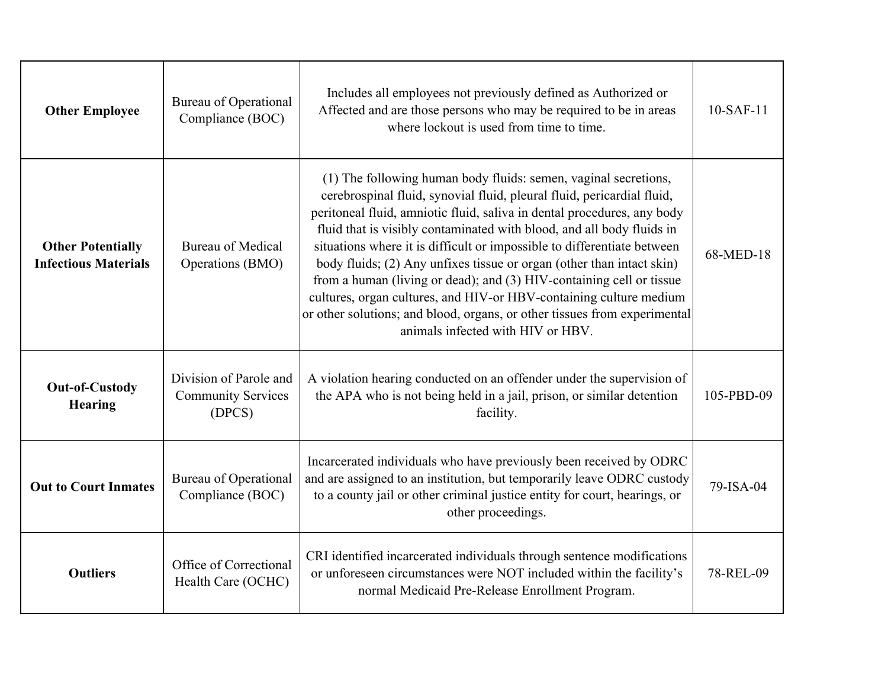| <b>Other Employee</b>                                   | <b>Bureau of Operational</b><br>Compliance (BOC)              | Includes all employees not previously defined as Authorized or<br>Affected and are those persons who may be required to be in areas<br>where lockout is used from time to time.                                                                                                                                                                                                                                                                                                                                                                                                                                                                                                                                   | $10-SAF-11$ |
|---------------------------------------------------------|---------------------------------------------------------------|-------------------------------------------------------------------------------------------------------------------------------------------------------------------------------------------------------------------------------------------------------------------------------------------------------------------------------------------------------------------------------------------------------------------------------------------------------------------------------------------------------------------------------------------------------------------------------------------------------------------------------------------------------------------------------------------------------------------|-------------|
| <b>Other Potentially</b><br><b>Infectious Materials</b> | <b>Bureau of Medical</b><br>Operations (BMO)                  | (1) The following human body fluids: semen, vaginal secretions,<br>cerebrospinal fluid, synovial fluid, pleural fluid, pericardial fluid,<br>peritoneal fluid, amniotic fluid, saliva in dental procedures, any body<br>fluid that is visibly contaminated with blood, and all body fluids in<br>situations where it is difficult or impossible to differentiate between<br>body fluids; (2) Any unfixes tissue or organ (other than intact skin)<br>from a human (living or dead); and (3) HIV-containing cell or tissue<br>cultures, organ cultures, and HIV-or HBV-containing culture medium<br>or other solutions; and blood, organs, or other tissues from experimental<br>animals infected with HIV or HBV. | 68-MED-18   |
| <b>Out-of-Custody</b><br><b>Hearing</b>                 | Division of Parole and<br><b>Community Services</b><br>(DPCS) | A violation hearing conducted on an offender under the supervision of<br>the APA who is not being held in a jail, prison, or similar detention<br>facility.                                                                                                                                                                                                                                                                                                                                                                                                                                                                                                                                                       | 105-PBD-09  |
| <b>Out to Court Inmates</b>                             | <b>Bureau of Operational</b><br>Compliance (BOC)              | Incarcerated individuals who have previously been received by ODRC<br>and are assigned to an institution, but temporarily leave ODRC custody<br>to a county jail or other criminal justice entity for court, hearings, or<br>other proceedings.                                                                                                                                                                                                                                                                                                                                                                                                                                                                   | 79-ISA-04   |
| <b>Outliers</b>                                         | Office of Correctional<br>Health Care (OCHC)                  | CRI identified incarcerated individuals through sentence modifications<br>or unforeseen circumstances were NOT included within the facility's<br>normal Medicaid Pre-Release Enrollment Program.                                                                                                                                                                                                                                                                                                                                                                                                                                                                                                                  | 78-REL-09   |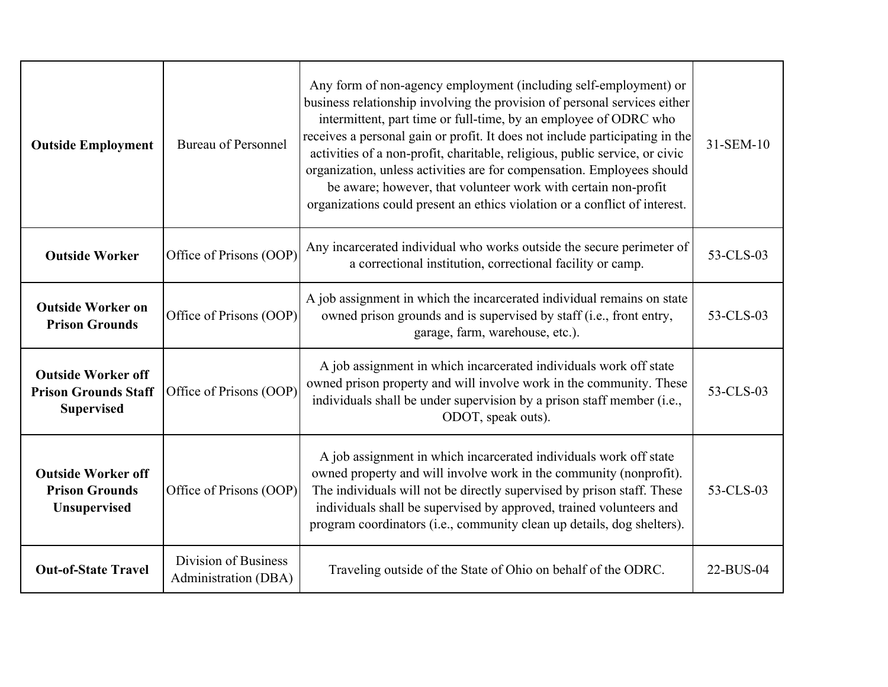| <b>Outside Employment</b>                                                     | <b>Bureau of Personnel</b>                   | Any form of non-agency employment (including self-employment) or<br>business relationship involving the provision of personal services either<br>intermittent, part time or full-time, by an employee of ODRC who<br>receives a personal gain or profit. It does not include participating in the<br>activities of a non-profit, charitable, religious, public service, or civic<br>organization, unless activities are for compensation. Employees should<br>be aware; however, that volunteer work with certain non-profit<br>organizations could present an ethics violation or a conflict of interest. | 31-SEM-10 |
|-------------------------------------------------------------------------------|----------------------------------------------|------------------------------------------------------------------------------------------------------------------------------------------------------------------------------------------------------------------------------------------------------------------------------------------------------------------------------------------------------------------------------------------------------------------------------------------------------------------------------------------------------------------------------------------------------------------------------------------------------------|-----------|
| <b>Outside Worker</b>                                                         | Office of Prisons (OOP)                      | Any incarcerated individual who works outside the secure perimeter of<br>a correctional institution, correctional facility or camp.                                                                                                                                                                                                                                                                                                                                                                                                                                                                        | 53-CLS-03 |
| <b>Outside Worker on</b><br><b>Prison Grounds</b>                             | Office of Prisons (OOP)                      | A job assignment in which the incarcerated individual remains on state<br>owned prison grounds and is supervised by staff (i.e., front entry,<br>garage, farm, warehouse, etc.).                                                                                                                                                                                                                                                                                                                                                                                                                           | 53-CLS-03 |
| <b>Outside Worker off</b><br><b>Prison Grounds Staff</b><br><b>Supervised</b> | Office of Prisons (OOP)                      | A job assignment in which incarcerated individuals work off state<br>owned prison property and will involve work in the community. These<br>individuals shall be under supervision by a prison staff member (i.e.,<br>ODOT, speak outs).                                                                                                                                                                                                                                                                                                                                                                   | 53-CLS-03 |
| <b>Outside Worker off</b><br><b>Prison Grounds</b><br>Unsupervised            | Office of Prisons (OOP)                      | A job assignment in which incarcerated individuals work off state<br>owned property and will involve work in the community (nonprofit).<br>The individuals will not be directly supervised by prison staff. These<br>individuals shall be supervised by approved, trained volunteers and<br>program coordinators (i.e., community clean up details, dog shelters).                                                                                                                                                                                                                                         | 53-CLS-03 |
| <b>Out-of-State Travel</b>                                                    | Division of Business<br>Administration (DBA) | Traveling outside of the State of Ohio on behalf of the ODRC.                                                                                                                                                                                                                                                                                                                                                                                                                                                                                                                                              | 22-BUS-04 |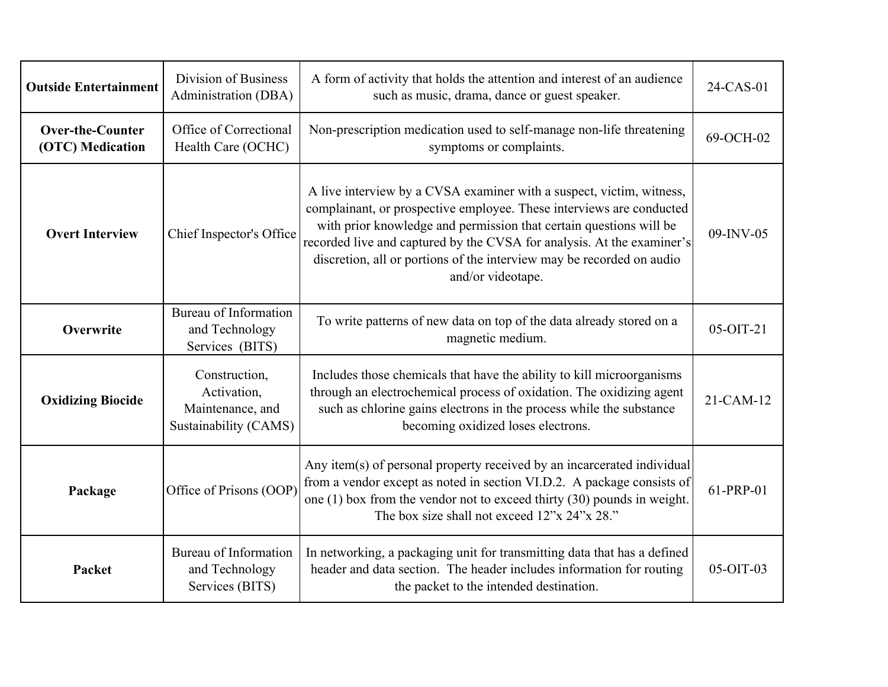| <b>Outside Entertainment</b>                | Division of Business<br>Administration (DBA)                              | A form of activity that holds the attention and interest of an audience<br>such as music, drama, dance or guest speaker.                                                                                                                                                                                                                                                                   | 24-CAS-01   |
|---------------------------------------------|---------------------------------------------------------------------------|--------------------------------------------------------------------------------------------------------------------------------------------------------------------------------------------------------------------------------------------------------------------------------------------------------------------------------------------------------------------------------------------|-------------|
| <b>Over-the-Counter</b><br>(OTC) Medication | Office of Correctional<br>Health Care (OCHC)                              | Non-prescription medication used to self-manage non-life threatening<br>symptoms or complaints.                                                                                                                                                                                                                                                                                            | 69-OCH-02   |
| <b>Overt Interview</b>                      | Chief Inspector's Office                                                  | A live interview by a CVSA examiner with a suspect, victim, witness,<br>complainant, or prospective employee. These interviews are conducted<br>with prior knowledge and permission that certain questions will be<br>recorded live and captured by the CVSA for analysis. At the examiner's<br>discretion, all or portions of the interview may be recorded on audio<br>and/or videotape. | 09-INV-05   |
| Overwrite                                   | <b>Bureau of Information</b><br>and Technology<br>Services (BITS)         | To write patterns of new data on top of the data already stored on a<br>magnetic medium.                                                                                                                                                                                                                                                                                                   | $05-OIT-21$ |
| <b>Oxidizing Biocide</b>                    | Construction,<br>Activation,<br>Maintenance, and<br>Sustainability (CAMS) | Includes those chemicals that have the ability to kill microorganisms<br>through an electrochemical process of oxidation. The oxidizing agent<br>such as chlorine gains electrons in the process while the substance<br>becoming oxidized loses electrons.                                                                                                                                 | 21-CAM-12   |
| Package                                     | Office of Prisons (OOP)                                                   | Any item(s) of personal property received by an incarcerated individual<br>from a vendor except as noted in section VI.D.2. A package consists of<br>one $(1)$ box from the vendor not to exceed thirty $(30)$ pounds in weight.<br>The box size shall not exceed 12"x 24"x 28."                                                                                                           | 61-PRP-01   |
| Packet                                      | Bureau of Information<br>and Technology<br>Services (BITS)                | In networking, a packaging unit for transmitting data that has a defined<br>header and data section. The header includes information for routing<br>the packet to the intended destination.                                                                                                                                                                                                | 05-OIT-03   |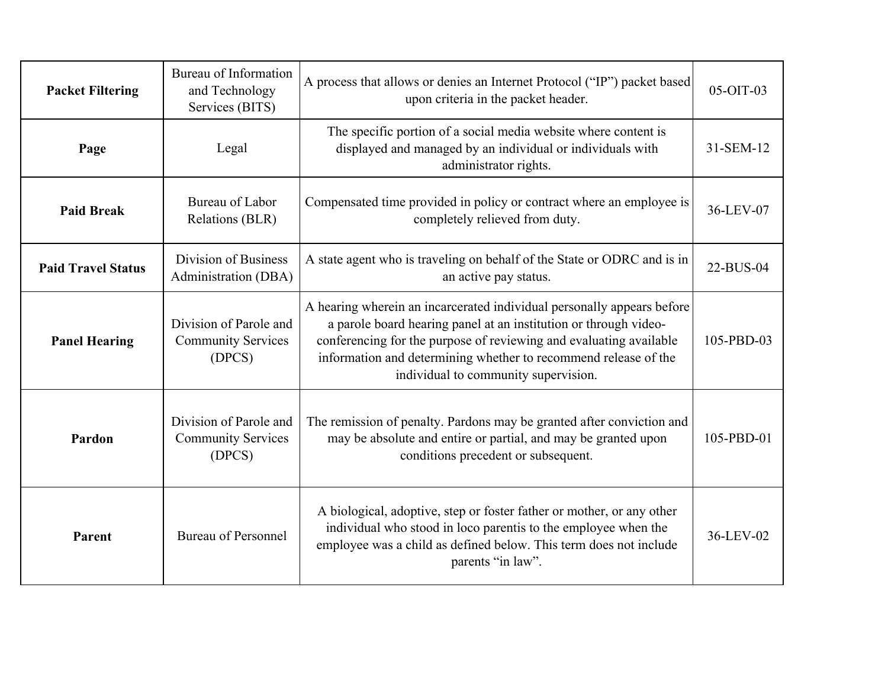| <b>Packet Filtering</b>   | Bureau of Information<br>and Technology<br>Services (BITS)    | A process that allows or denies an Internet Protocol ("IP") packet based<br>upon criteria in the packet header.                                                                                                                                                                                                             | 05-OIT-03  |
|---------------------------|---------------------------------------------------------------|-----------------------------------------------------------------------------------------------------------------------------------------------------------------------------------------------------------------------------------------------------------------------------------------------------------------------------|------------|
| Page                      | Legal                                                         | The specific portion of a social media website where content is<br>displayed and managed by an individual or individuals with<br>administrator rights.                                                                                                                                                                      | 31-SEM-12  |
| <b>Paid Break</b>         | Bureau of Labor<br>Relations (BLR)                            | Compensated time provided in policy or contract where an employee is<br>completely relieved from duty.                                                                                                                                                                                                                      | 36-LEV-07  |
| <b>Paid Travel Status</b> | Division of Business<br>Administration (DBA)                  | A state agent who is traveling on behalf of the State or ODRC and is in<br>an active pay status.                                                                                                                                                                                                                            | 22-BUS-04  |
| <b>Panel Hearing</b>      | Division of Parole and<br><b>Community Services</b><br>(DPCS) | A hearing wherein an incarcerated individual personally appears before<br>a parole board hearing panel at an institution or through video-<br>conferencing for the purpose of reviewing and evaluating available<br>information and determining whether to recommend release of the<br>individual to community supervision. | 105-PBD-03 |
| Pardon                    | Division of Parole and<br><b>Community Services</b><br>(DPCS) | The remission of penalty. Pardons may be granted after conviction and<br>may be absolute and entire or partial, and may be granted upon<br>conditions precedent or subsequent.                                                                                                                                              | 105-PBD-01 |
| Parent                    | <b>Bureau of Personnel</b>                                    | A biological, adoptive, step or foster father or mother, or any other<br>individual who stood in loco parentis to the employee when the<br>employee was a child as defined below. This term does not include<br>parents "in law".                                                                                           | 36-LEV-02  |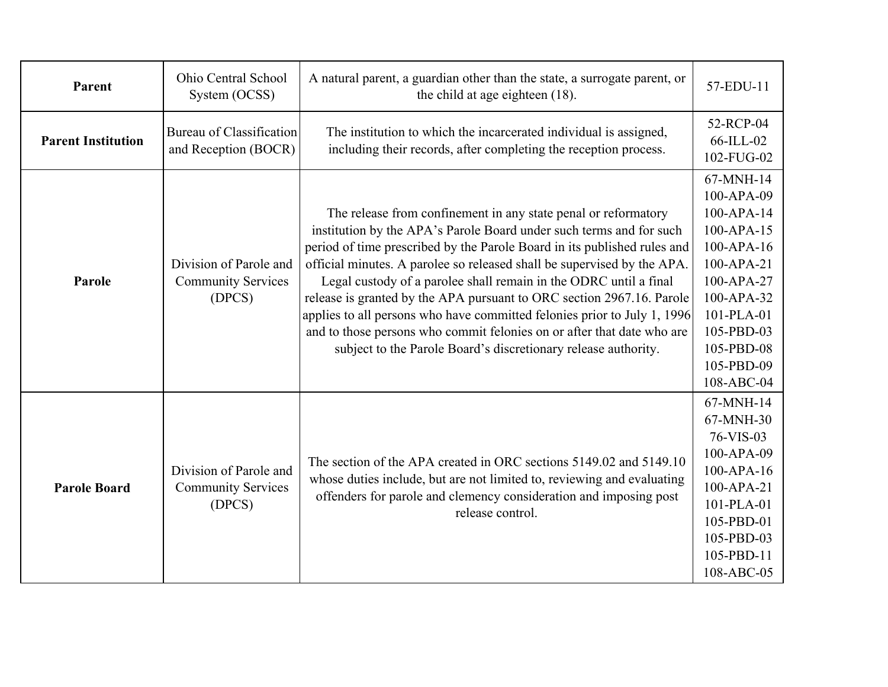| Parent                    | Ohio Central School<br>System (OCSS)                          | A natural parent, a guardian other than the state, a surrogate parent, or<br>the child at age eighteen (18).                                                                                                                                                                                                                                                                                                                                                                                                                                                                                                                                                       | 57-EDU-11                                                                                                                                                                         |
|---------------------------|---------------------------------------------------------------|--------------------------------------------------------------------------------------------------------------------------------------------------------------------------------------------------------------------------------------------------------------------------------------------------------------------------------------------------------------------------------------------------------------------------------------------------------------------------------------------------------------------------------------------------------------------------------------------------------------------------------------------------------------------|-----------------------------------------------------------------------------------------------------------------------------------------------------------------------------------|
| <b>Parent Institution</b> | Bureau of Classification<br>and Reception (BOCR)              | The institution to which the incarcerated individual is assigned,<br>including their records, after completing the reception process.                                                                                                                                                                                                                                                                                                                                                                                                                                                                                                                              | 52-RCP-04<br>66-ILL-02<br>102-FUG-02                                                                                                                                              |
| Parole                    | Division of Parole and<br><b>Community Services</b><br>(DPCS) | The release from confinement in any state penal or reformatory<br>institution by the APA's Parole Board under such terms and for such<br>period of time prescribed by the Parole Board in its published rules and<br>official minutes. A parolee so released shall be supervised by the APA.<br>Legal custody of a parolee shall remain in the ODRC until a final<br>release is granted by the APA pursuant to ORC section 2967.16. Parole<br>applies to all persons who have committed felonies prior to July 1, 1996<br>and to those persons who commit felonies on or after that date who are<br>subject to the Parole Board's discretionary release authority. | 67-MNH-14<br>100-APA-09<br>100-APA-14<br>100-APA-15<br>100-APA-16<br>100-APA-21<br>100-APA-27<br>100-APA-32<br>101-PLA-01<br>105-PBD-03<br>105-PBD-08<br>105-PBD-09<br>108-ABC-04 |
| <b>Parole Board</b>       | Division of Parole and<br><b>Community Services</b><br>(DPCS) | The section of the APA created in ORC sections 5149.02 and 5149.10<br>whose duties include, but are not limited to, reviewing and evaluating<br>offenders for parole and clemency consideration and imposing post<br>release control.                                                                                                                                                                                                                                                                                                                                                                                                                              | 67-MNH-14<br>67-MNH-30<br>76-VIS-03<br>100-APA-09<br>100-APA-16<br>100-APA-21<br>101-PLA-01<br>105-PBD-01<br>105-PBD-03<br>105-PBD-11<br>108-ABC-05                               |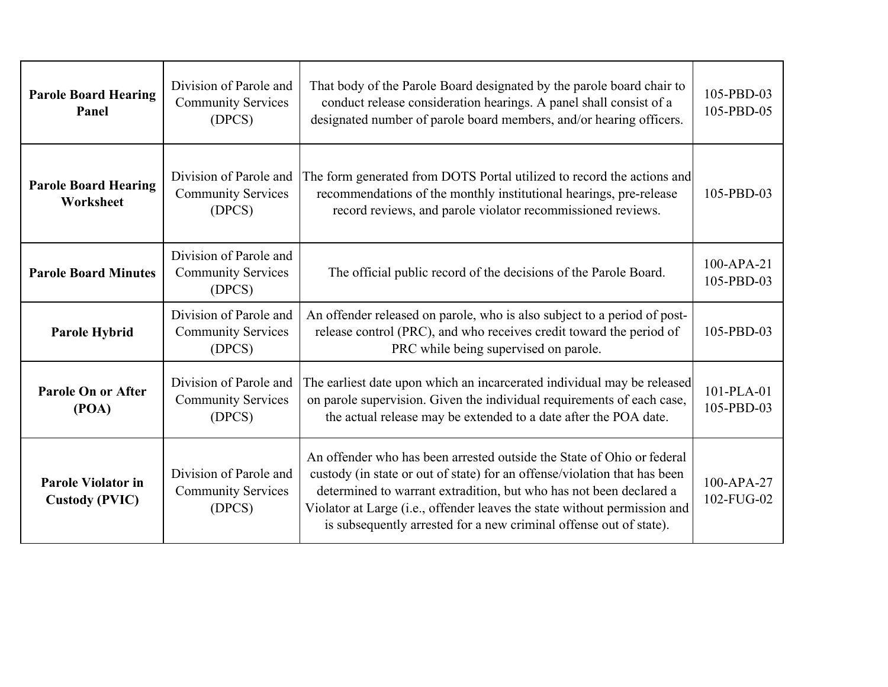| <b>Parole Board Hearing</b><br>Panel               | Division of Parole and<br><b>Community Services</b><br>(DPCS) | That body of the Parole Board designated by the parole board chair to<br>conduct release consideration hearings. A panel shall consist of a<br>designated number of parole board members, and/or hearing officers.                                                                                                                                                           | 105-PBD-03<br>105-PBD-05    |
|----------------------------------------------------|---------------------------------------------------------------|------------------------------------------------------------------------------------------------------------------------------------------------------------------------------------------------------------------------------------------------------------------------------------------------------------------------------------------------------------------------------|-----------------------------|
| <b>Parole Board Hearing</b><br>Worksheet           | Division of Parole and<br><b>Community Services</b><br>(DPCS) | The form generated from DOTS Portal utilized to record the actions and<br>recommendations of the monthly institutional hearings, pre-release<br>record reviews, and parole violator recommissioned reviews.                                                                                                                                                                  | 105-PBD-03                  |
| <b>Parole Board Minutes</b>                        | Division of Parole and<br><b>Community Services</b><br>(DPCS) | The official public record of the decisions of the Parole Board.                                                                                                                                                                                                                                                                                                             | 100-APA-21<br>105-PBD-03    |
| Parole Hybrid                                      | Division of Parole and<br><b>Community Services</b><br>(DPCS) | An offender released on parole, who is also subject to a period of post-<br>release control (PRC), and who receives credit toward the period of<br>PRC while being supervised on parole.                                                                                                                                                                                     | 105-PBD-03                  |
| <b>Parole On or After</b><br>(POA)                 | Division of Parole and<br><b>Community Services</b><br>(DPCS) | The earliest date upon which an incarcerated individual may be released<br>on parole supervision. Given the individual requirements of each case,<br>the actual release may be extended to a date after the POA date.                                                                                                                                                        | $101$ -PLA-01<br>105-PBD-03 |
| <b>Parole Violator in</b><br><b>Custody (PVIC)</b> | Division of Parole and<br><b>Community Services</b><br>(DPCS) | An offender who has been arrested outside the State of Ohio or federal<br>custody (in state or out of state) for an offense/violation that has been<br>determined to warrant extradition, but who has not been declared a<br>Violator at Large (i.e., offender leaves the state without permission and<br>is subsequently arrested for a new criminal offense out of state). | 100-APA-27<br>102-FUG-02    |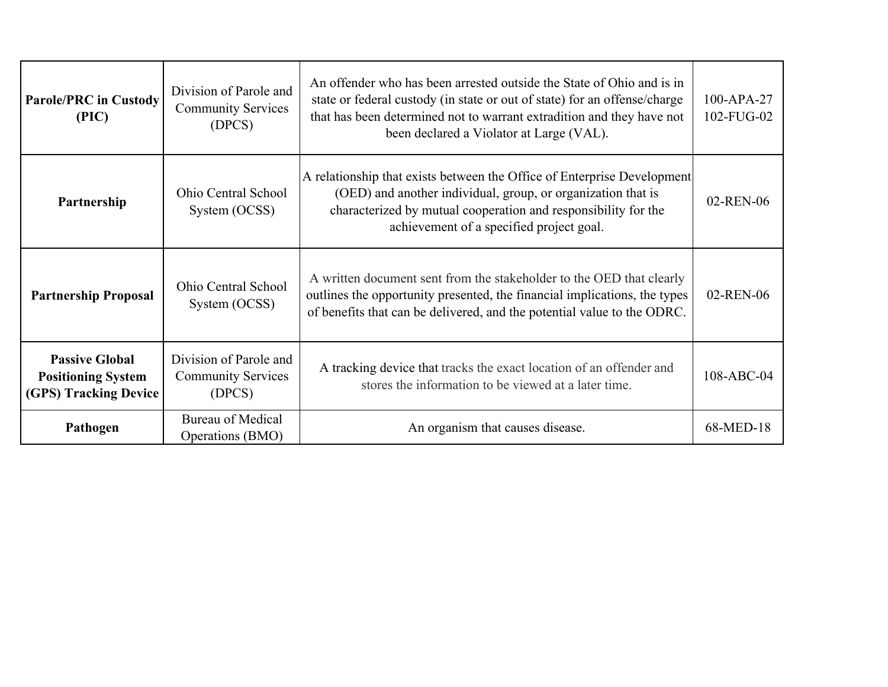| <b>Parole/PRC in Custody</b><br>(PIC)                                       | Division of Parole and<br><b>Community Services</b><br>(DPCS) | An offender who has been arrested outside the State of Ohio and is in<br>state or federal custody (in state or out of state) for an offense/charge<br>that has been determined not to warrant extradition and they have not<br>been declared a Violator at Large (VAL). | 100-APA-27<br>102-FUG-02 |
|-----------------------------------------------------------------------------|---------------------------------------------------------------|-------------------------------------------------------------------------------------------------------------------------------------------------------------------------------------------------------------------------------------------------------------------------|--------------------------|
| Partnership                                                                 | Ohio Central School<br>System (OCSS)                          | A relationship that exists between the Office of Enterprise Development<br>(OED) and another individual, group, or organization that is<br>characterized by mutual cooperation and responsibility for the<br>achievement of a specified project goal.                   | 02-REN-06                |
| <b>Partnership Proposal</b>                                                 | Ohio Central School<br>System (OCSS)                          | A written document sent from the stakeholder to the OED that clearly<br>outlines the opportunity presented, the financial implications, the types<br>of benefits that can be delivered, and the potential value to the ODRC.                                            | 02-REN-06                |
| <b>Passive Global</b><br><b>Positioning System</b><br>(GPS) Tracking Device | Division of Parole and<br><b>Community Services</b><br>(DPCS) | A tracking device that tracks the exact location of an offender and<br>stores the information to be viewed at a later time.                                                                                                                                             | 108-ABC-04               |
| Pathogen                                                                    | <b>Bureau of Medical</b><br>Operations (BMO)                  | An organism that causes disease.                                                                                                                                                                                                                                        | 68-MED-18                |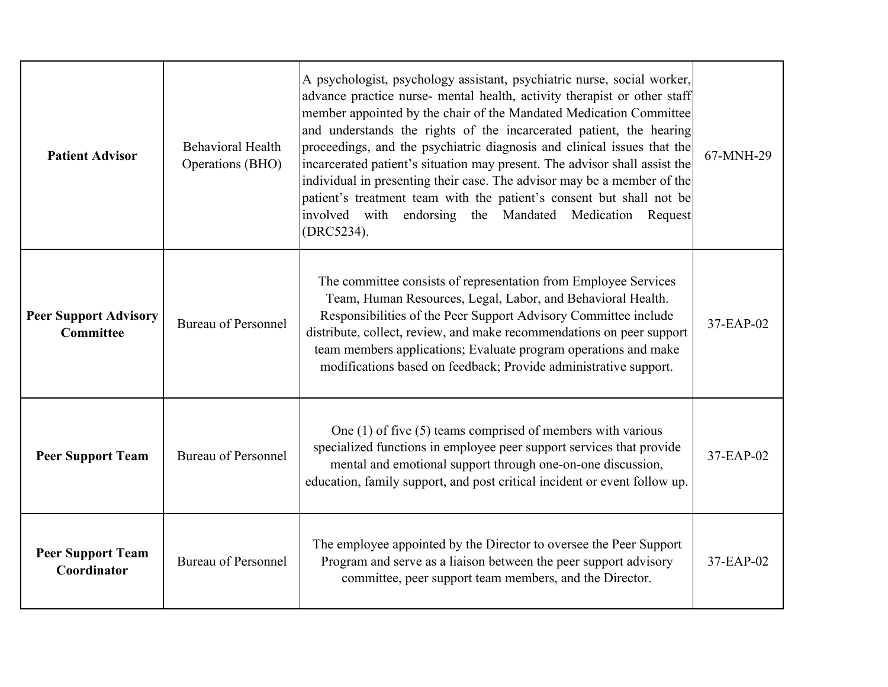| <b>Patient Advisor</b>                           | <b>Behavioral Health</b><br>Operations (BHO) | A psychologist, psychology assistant, psychiatric nurse, social worker,<br>advance practice nurse- mental health, activity therapist or other staff<br>member appointed by the chair of the Mandated Medication Committee<br>and understands the rights of the incarcerated patient, the hearing<br>proceedings, and the psychiatric diagnosis and clinical issues that the<br>incarcerated patient's situation may present. The advisor shall assist the<br>individual in presenting their case. The advisor may be a member of the<br>patient's treatment team with the patient's consent but shall not be<br>involved with endorsing the Mandated Medication Request<br>(DRC5234). | 67-MNH-29 |
|--------------------------------------------------|----------------------------------------------|---------------------------------------------------------------------------------------------------------------------------------------------------------------------------------------------------------------------------------------------------------------------------------------------------------------------------------------------------------------------------------------------------------------------------------------------------------------------------------------------------------------------------------------------------------------------------------------------------------------------------------------------------------------------------------------|-----------|
| <b>Peer Support Advisory</b><br><b>Committee</b> | <b>Bureau of Personnel</b>                   | The committee consists of representation from Employee Services<br>Team, Human Resources, Legal, Labor, and Behavioral Health.<br>Responsibilities of the Peer Support Advisory Committee include<br>distribute, collect, review, and make recommendations on peer support<br>team members applications; Evaluate program operations and make<br>modifications based on feedback; Provide administrative support.                                                                                                                                                                                                                                                                     | 37-EAP-02 |
| <b>Peer Support Team</b>                         | <b>Bureau of Personnel</b>                   | One $(1)$ of five $(5)$ teams comprised of members with various<br>specialized functions in employee peer support services that provide<br>mental and emotional support through one-on-one discussion,<br>education, family support, and post critical incident or event follow up.                                                                                                                                                                                                                                                                                                                                                                                                   | 37-EAP-02 |
| <b>Peer Support Team</b><br>Coordinator          | <b>Bureau of Personnel</b>                   | The employee appointed by the Director to oversee the Peer Support<br>Program and serve as a liaison between the peer support advisory<br>committee, peer support team members, and the Director.                                                                                                                                                                                                                                                                                                                                                                                                                                                                                     | 37-EAP-02 |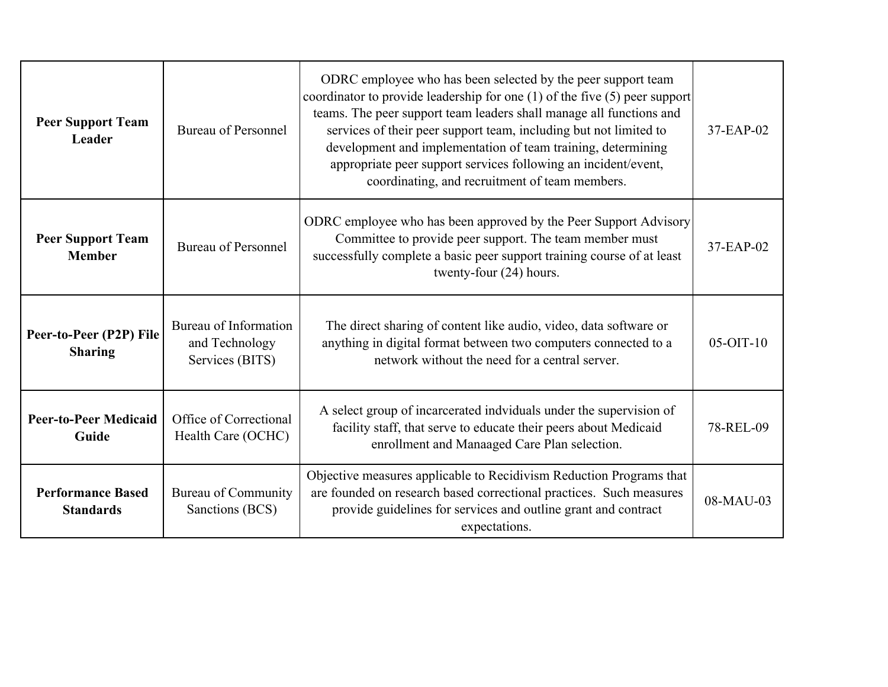| <b>Peer Support Team</b><br><b>Leader</b>    | <b>Bureau of Personnel</b>                                 | ODRC employee who has been selected by the peer support team<br>coordinator to provide leadership for one $(1)$ of the five $(5)$ peer support<br>teams. The peer support team leaders shall manage all functions and<br>services of their peer support team, including but not limited to<br>development and implementation of team training, determining<br>appropriate peer support services following an incident/event,<br>coordinating, and recruitment of team members. | 37-EAP-02   |
|----------------------------------------------|------------------------------------------------------------|--------------------------------------------------------------------------------------------------------------------------------------------------------------------------------------------------------------------------------------------------------------------------------------------------------------------------------------------------------------------------------------------------------------------------------------------------------------------------------|-------------|
| <b>Peer Support Team</b><br><b>Member</b>    | <b>Bureau of Personnel</b>                                 | ODRC employee who has been approved by the Peer Support Advisory<br>Committee to provide peer support. The team member must<br>successfully complete a basic peer support training course of at least<br>twenty-four (24) hours.                                                                                                                                                                                                                                               | 37-EAP-02   |
| Peer-to-Peer (P2P) File<br><b>Sharing</b>    | Bureau of Information<br>and Technology<br>Services (BITS) | The direct sharing of content like audio, video, data software or<br>anything in digital format between two computers connected to a<br>network without the need for a central server.                                                                                                                                                                                                                                                                                         | $05-OTT-10$ |
| <b>Peer-to-Peer Medicaid</b><br>Guide        | Office of Correctional<br>Health Care (OCHC)               | A select group of incarcerated indviduals under the supervision of<br>facility staff, that serve to educate their peers about Medicaid<br>enrollment and Manaaged Care Plan selection.                                                                                                                                                                                                                                                                                         | 78-REL-09   |
| <b>Performance Based</b><br><b>Standards</b> | <b>Bureau of Community</b><br>Sanctions (BCS)              | Objective measures applicable to Recidivism Reduction Programs that<br>are founded on research based correctional practices. Such measures<br>provide guidelines for services and outline grant and contract<br>expectations.                                                                                                                                                                                                                                                  | 08-MAU-03   |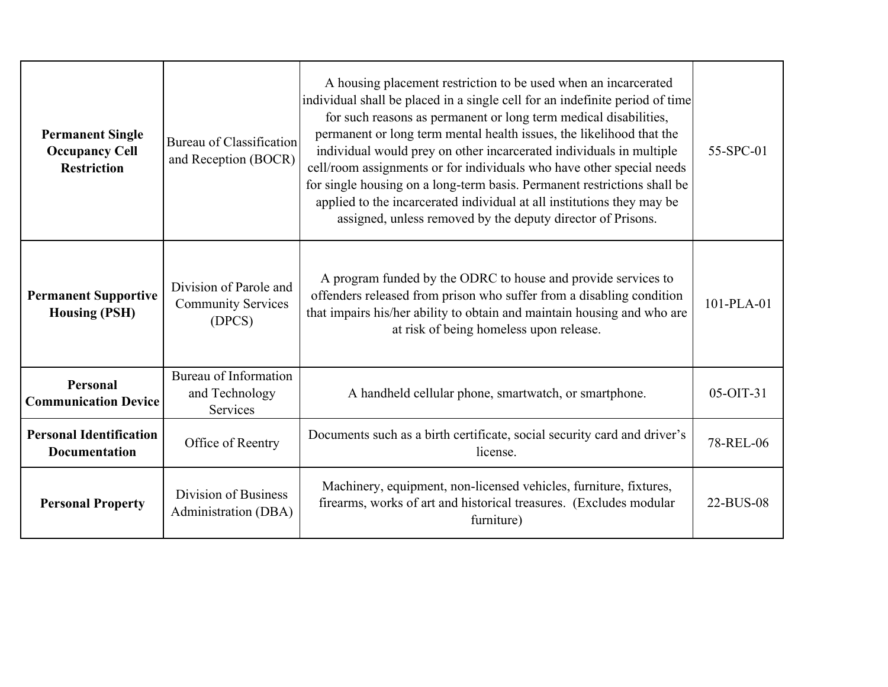| <b>Permanent Single</b><br><b>Occupancy Cell</b><br><b>Restriction</b> | Bureau of Classification<br>and Reception (BOCR)              | A housing placement restriction to be used when an incarcerated<br>individual shall be placed in a single cell for an indefinite period of time<br>for such reasons as permanent or long term medical disabilities,<br>permanent or long term mental health issues, the likelihood that the<br>individual would prey on other incarcerated individuals in multiple<br>cell/room assignments or for individuals who have other special needs<br>for single housing on a long-term basis. Permanent restrictions shall be<br>applied to the incarcerated individual at all institutions they may be<br>assigned, unless removed by the deputy director of Prisons. | 55-SPC-01   |
|------------------------------------------------------------------------|---------------------------------------------------------------|------------------------------------------------------------------------------------------------------------------------------------------------------------------------------------------------------------------------------------------------------------------------------------------------------------------------------------------------------------------------------------------------------------------------------------------------------------------------------------------------------------------------------------------------------------------------------------------------------------------------------------------------------------------|-------------|
| <b>Permanent Supportive</b><br><b>Housing (PSH)</b>                    | Division of Parole and<br><b>Community Services</b><br>(DPCS) | A program funded by the ODRC to house and provide services to<br>offenders released from prison who suffer from a disabling condition<br>that impairs his/her ability to obtain and maintain housing and who are<br>at risk of being homeless upon release.                                                                                                                                                                                                                                                                                                                                                                                                      | 101-PLA-01  |
| Personal<br><b>Communication Device</b>                                | Bureau of Information<br>and Technology<br>Services           | A handheld cellular phone, smartwatch, or smartphone.                                                                                                                                                                                                                                                                                                                                                                                                                                                                                                                                                                                                            | $05-OIT-31$ |
| <b>Personal Identification</b><br><b>Documentation</b>                 | Office of Reentry                                             | Documents such as a birth certificate, social security card and driver's<br>license.                                                                                                                                                                                                                                                                                                                                                                                                                                                                                                                                                                             | 78-REL-06   |
| <b>Personal Property</b>                                               | Division of Business<br>Administration (DBA)                  | Machinery, equipment, non-licensed vehicles, furniture, fixtures,<br>firearms, works of art and historical treasures. (Excludes modular<br>furniture)                                                                                                                                                                                                                                                                                                                                                                                                                                                                                                            | 22-BUS-08   |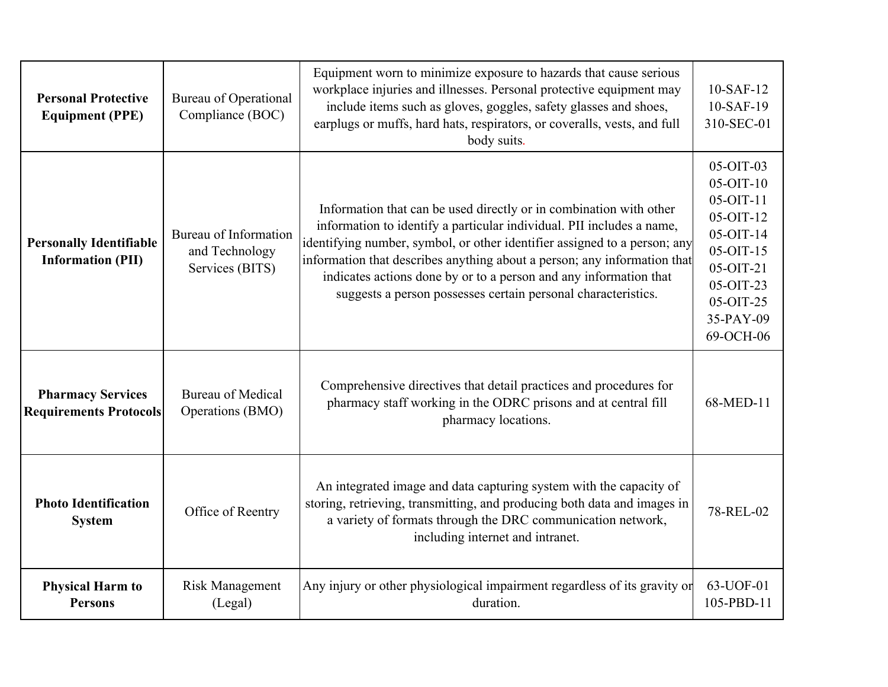| <b>Personal Protective</b><br><b>Equipment (PPE)</b>       | <b>Bureau of Operational</b><br>Compliance (BOC)           | Equipment worn to minimize exposure to hazards that cause serious<br>workplace injuries and illnesses. Personal protective equipment may<br>include items such as gloves, goggles, safety glasses and shoes,<br>earplugs or muffs, hard hats, respirators, or coveralls, vests, and full<br>body suits.                                                                                                                                    | $10-SAF-12$<br>$10-SAF-19$<br>310-SEC-01                                                                                                          |
|------------------------------------------------------------|------------------------------------------------------------|--------------------------------------------------------------------------------------------------------------------------------------------------------------------------------------------------------------------------------------------------------------------------------------------------------------------------------------------------------------------------------------------------------------------------------------------|---------------------------------------------------------------------------------------------------------------------------------------------------|
| <b>Personally Identifiable</b><br><b>Information (PII)</b> | Bureau of Information<br>and Technology<br>Services (BITS) | Information that can be used directly or in combination with other<br>information to identify a particular individual. PII includes a name,<br>identifying number, symbol, or other identifier assigned to a person; any<br>information that describes anything about a person; any information that<br>indicates actions done by or to a person and any information that<br>suggests a person possesses certain personal characteristics. | 05-OIT-03<br>$05-OTT-10$<br>05-OIT-11<br>05-OIT-12<br>$05-OTT-14$<br>$05-OTT-15$<br>05-OIT-21<br>05-OIT-23<br>05-OIT-25<br>35-PAY-09<br>69-OCH-06 |
| <b>Pharmacy Services</b><br><b>Requirements Protocols</b>  | <b>Bureau of Medical</b><br>Operations (BMO)               | Comprehensive directives that detail practices and procedures for<br>pharmacy staff working in the ODRC prisons and at central fill<br>pharmacy locations.                                                                                                                                                                                                                                                                                 | 68-MED-11                                                                                                                                         |
| <b>Photo Identification</b><br><b>System</b>               | Office of Reentry                                          | An integrated image and data capturing system with the capacity of<br>storing, retrieving, transmitting, and producing both data and images in<br>a variety of formats through the DRC communication network,<br>including internet and intranet.                                                                                                                                                                                          | 78-REL-02                                                                                                                                         |
| <b>Physical Harm to</b><br><b>Persons</b>                  | <b>Risk Management</b><br>(Legal)                          | Any injury or other physiological impairment regardless of its gravity or<br>duration.                                                                                                                                                                                                                                                                                                                                                     | 63-UOF-01<br>105-PBD-11                                                                                                                           |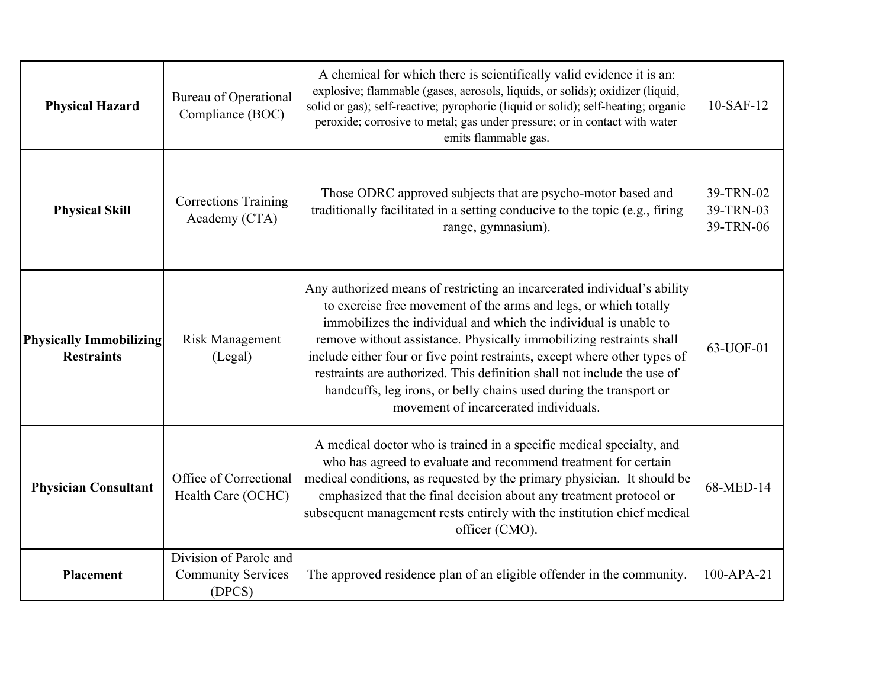| <b>Physical Hazard</b>                              | <b>Bureau of Operational</b><br>Compliance (BOC)              | A chemical for which there is scientifically valid evidence it is an:<br>explosive; flammable (gases, aerosols, liquids, or solids); oxidizer (liquid,<br>solid or gas); self-reactive; pyrophoric (liquid or solid); self-heating; organic<br>peroxide; corrosive to metal; gas under pressure; or in contact with water<br>emits flammable gas.                                                                                                                                                                                                              | 10-SAF-12                           |
|-----------------------------------------------------|---------------------------------------------------------------|----------------------------------------------------------------------------------------------------------------------------------------------------------------------------------------------------------------------------------------------------------------------------------------------------------------------------------------------------------------------------------------------------------------------------------------------------------------------------------------------------------------------------------------------------------------|-------------------------------------|
| <b>Physical Skill</b>                               | <b>Corrections Training</b><br>Academy (CTA)                  | Those ODRC approved subjects that are psycho-motor based and<br>traditionally facilitated in a setting conducive to the topic (e.g., firing<br>range, gymnasium).                                                                                                                                                                                                                                                                                                                                                                                              | 39-TRN-02<br>39-TRN-03<br>39-TRN-06 |
| <b>Physically Immobilizing</b><br><b>Restraints</b> | <b>Risk Management</b><br>(Legal)                             | Any authorized means of restricting an incarcerated individual's ability<br>to exercise free movement of the arms and legs, or which totally<br>immobilizes the individual and which the individual is unable to<br>remove without assistance. Physically immobilizing restraints shall<br>include either four or five point restraints, except where other types of<br>restraints are authorized. This definition shall not include the use of<br>handcuffs, leg irons, or belly chains used during the transport or<br>movement of incarcerated individuals. | 63-UOF-01                           |
| <b>Physician Consultant</b>                         | Office of Correctional<br>Health Care (OCHC)                  | A medical doctor who is trained in a specific medical specialty, and<br>who has agreed to evaluate and recommend treatment for certain<br>medical conditions, as requested by the primary physician. It should be<br>emphasized that the final decision about any treatment protocol or<br>subsequent management rests entirely with the institution chief medical<br>officer (CMO).                                                                                                                                                                           | 68-MED-14                           |
| <b>Placement</b>                                    | Division of Parole and<br><b>Community Services</b><br>(DPCS) | The approved residence plan of an eligible offender in the community.                                                                                                                                                                                                                                                                                                                                                                                                                                                                                          | 100-APA-21                          |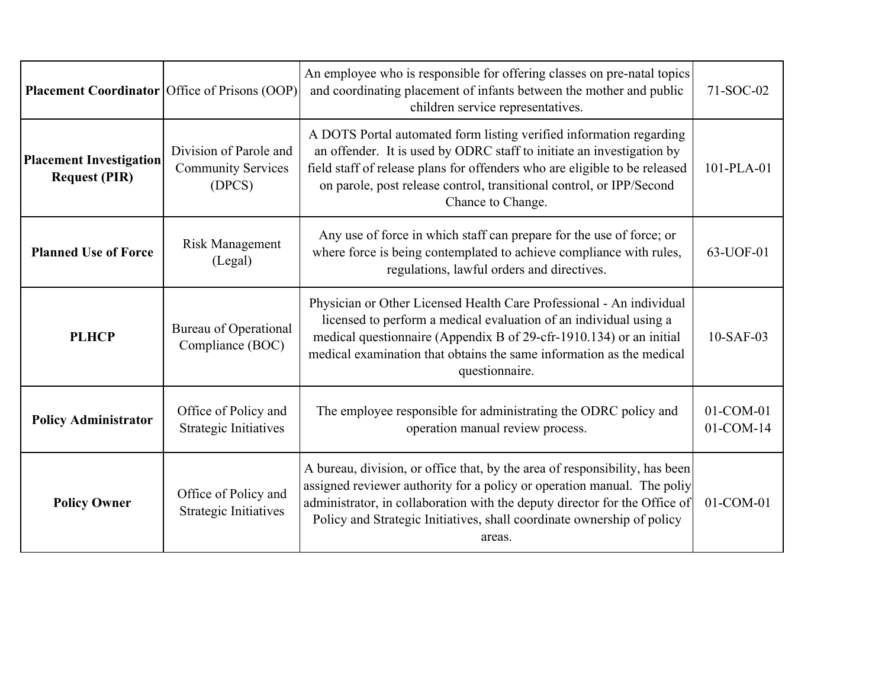| Placement Coordinator Office of Prisons (OOP)          |                                                               | An employee who is responsible for offering classes on pre-natal topics<br>and coordinating placement of infants between the mother and public<br>children service representatives.                                                                                                                                      | 71-SOC-02                    |
|--------------------------------------------------------|---------------------------------------------------------------|--------------------------------------------------------------------------------------------------------------------------------------------------------------------------------------------------------------------------------------------------------------------------------------------------------------------------|------------------------------|
| <b>Placement Investigation</b><br><b>Request (PIR)</b> | Division of Parole and<br><b>Community Services</b><br>(DPCS) | A DOTS Portal automated form listing verified information regarding<br>an offender. It is used by ODRC staff to initiate an investigation by<br>field staff of release plans for offenders who are eligible to be released<br>on parole, post release control, transitional control, or IPP/Second<br>Chance to Change.  | 101-PLA-01                   |
| <b>Planned Use of Force</b>                            | <b>Risk Management</b><br>(Legal)                             | Any use of force in which staff can prepare for the use of force; or<br>where force is being contemplated to achieve compliance with rules,<br>regulations, lawful orders and directives.                                                                                                                                | 63-UOF-01                    |
| <b>PLHCP</b>                                           | <b>Bureau of Operational</b><br>Compliance (BOC)              | Physician or Other Licensed Health Care Professional - An individual<br>licensed to perform a medical evaluation of an individual using a<br>medical questionnaire (Appendix B of 29-cfr-1910.134) or an initial<br>medical examination that obtains the same information as the medical<br>questionnaire.               | 10-SAF-03                    |
| <b>Policy Administrator</b>                            | Office of Policy and<br><b>Strategic Initiatives</b>          | The employee responsible for administrating the ODRC policy and<br>operation manual review process.                                                                                                                                                                                                                      | $01$ -COM-01<br>$01$ -COM-14 |
| <b>Policy Owner</b>                                    | Office of Policy and<br><b>Strategic Initiatives</b>          | A bureau, division, or office that, by the area of responsibility, has been<br>assigned reviewer authority for a policy or operation manual. The poliy<br>administrator, in collaboration with the deputy director for the Office of<br>Policy and Strategic Initiatives, shall coordinate ownership of policy<br>areas. | 01-COM-01                    |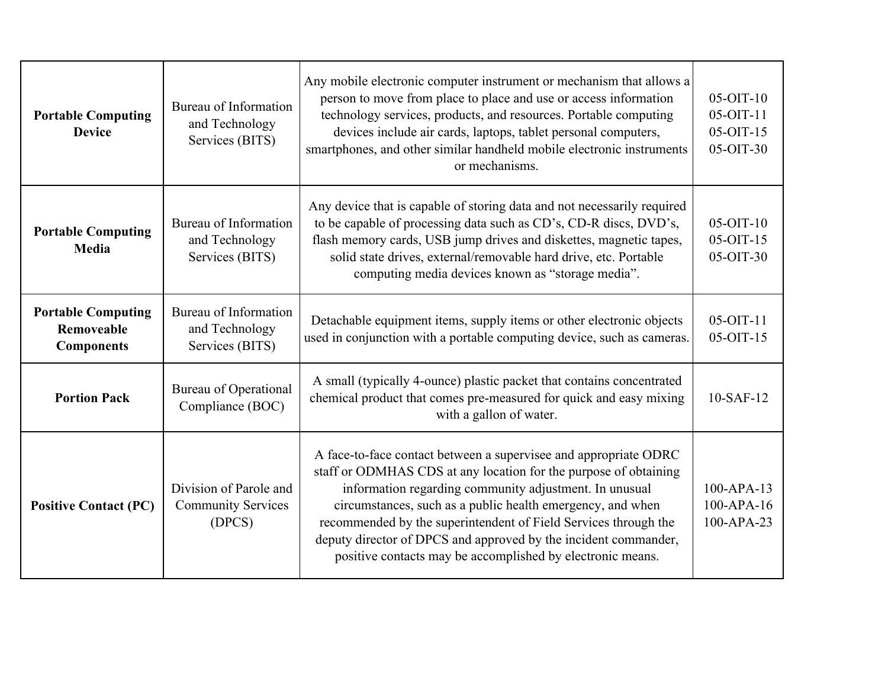| <b>Portable Computing</b><br><b>Device</b>                   | Bureau of Information<br>and Technology<br>Services (BITS)    | Any mobile electronic computer instrument or mechanism that allows a<br>person to move from place to place and use or access information<br>technology services, products, and resources. Portable computing<br>devices include air cards, laptops, tablet personal computers,<br>smartphones, and other similar handheld mobile electronic instruments<br>or mechanisms.                                                                                        | $05-OTT-10$<br>05-OIT-11<br>05-OIT-15<br>05-OIT-30 |
|--------------------------------------------------------------|---------------------------------------------------------------|------------------------------------------------------------------------------------------------------------------------------------------------------------------------------------------------------------------------------------------------------------------------------------------------------------------------------------------------------------------------------------------------------------------------------------------------------------------|----------------------------------------------------|
| <b>Portable Computing</b><br><b>Media</b>                    | Bureau of Information<br>and Technology<br>Services (BITS)    | Any device that is capable of storing data and not necessarily required<br>to be capable of processing data such as CD's, CD-R discs, DVD's,<br>flash memory cards, USB jump drives and diskettes, magnetic tapes,<br>solid state drives, external/removable hard drive, etc. Portable<br>computing media devices known as "storage media".                                                                                                                      | $05-OIT-10$<br>05-OIT-15<br>05-OIT-30              |
| <b>Portable Computing</b><br>Removeable<br><b>Components</b> | Bureau of Information<br>and Technology<br>Services (BITS)    | Detachable equipment items, supply items or other electronic objects<br>used in conjunction with a portable computing device, such as cameras.                                                                                                                                                                                                                                                                                                                   | 05-OIT-11<br>$05-OIT-15$                           |
| <b>Portion Pack</b>                                          | <b>Bureau of Operational</b><br>Compliance (BOC)              | A small (typically 4-ounce) plastic packet that contains concentrated<br>chemical product that comes pre-measured for quick and easy mixing<br>with a gallon of water.                                                                                                                                                                                                                                                                                           | 10-SAF-12                                          |
| <b>Positive Contact (PC)</b>                                 | Division of Parole and<br><b>Community Services</b><br>(DPCS) | A face-to-face contact between a supervisee and appropriate ODRC<br>staff or ODMHAS CDS at any location for the purpose of obtaining<br>information regarding community adjustment. In unusual<br>circumstances, such as a public health emergency, and when<br>recommended by the superintendent of Field Services through the<br>deputy director of DPCS and approved by the incident commander,<br>positive contacts may be accomplished by electronic means. | 100-APA-13<br>100-APA-16<br>100-APA-23             |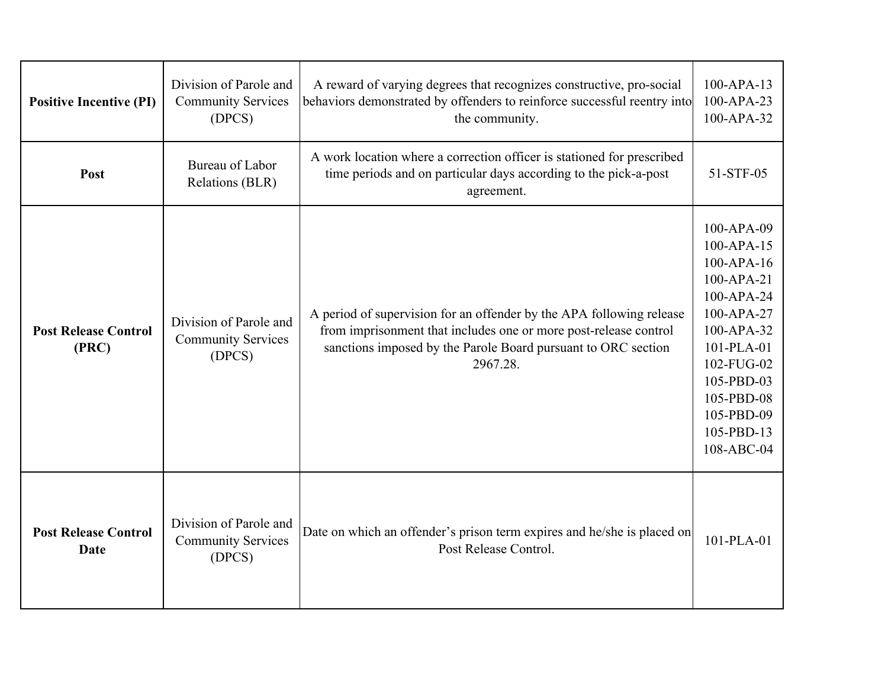| <b>Positive Incentive (PI)</b>             | Division of Parole and<br><b>Community Services</b><br>(DPCS) | A reward of varying degrees that recognizes constructive, pro-social<br>behaviors demonstrated by offenders to reinforce successful reentry into<br>the community.                                                    | 100-APA-13<br>100-APA-23<br>100-APA-32                                                                                                                                                           |
|--------------------------------------------|---------------------------------------------------------------|-----------------------------------------------------------------------------------------------------------------------------------------------------------------------------------------------------------------------|--------------------------------------------------------------------------------------------------------------------------------------------------------------------------------------------------|
| Post                                       | Bureau of Labor<br>Relations (BLR)                            | A work location where a correction officer is stationed for prescribed<br>time periods and on particular days according to the pick-a-post<br>agreement.                                                              | 51-STF-05                                                                                                                                                                                        |
| <b>Post Release Control</b><br>(PRC)       | Division of Parole and<br><b>Community Services</b><br>(DPCS) | A period of supervision for an offender by the APA following release<br>from imprisonment that includes one or more post-release control<br>sanctions imposed by the Parole Board pursuant to ORC section<br>2967.28. | 100-APA-09<br>100-APA-15<br>100-APA-16<br>100-APA-21<br>100-APA-24<br>100-APA-27<br>100-APA-32<br>101-PLA-01<br>102-FUG-02<br>105-PBD-03<br>105-PBD-08<br>105-PBD-09<br>105-PBD-13<br>108-ABC-04 |
| <b>Post Release Control</b><br><b>Date</b> | Division of Parole and<br><b>Community Services</b><br>(DPCS) | Date on which an offender's prison term expires and he/she is placed on<br>Post Release Control.                                                                                                                      | 101-PLA-01                                                                                                                                                                                       |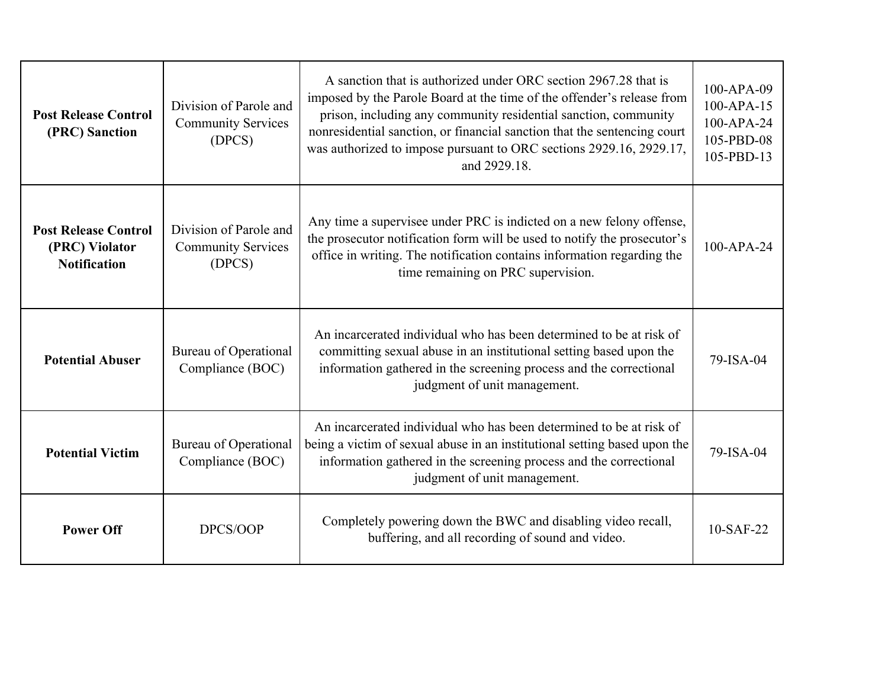| <b>Post Release Control</b><br>(PRC) Sanction                        | Division of Parole and<br><b>Community Services</b><br>(DPCS) | A sanction that is authorized under ORC section 2967.28 that is<br>imposed by the Parole Board at the time of the offender's release from<br>prison, including any community residential sanction, community<br>nonresidential sanction, or financial sanction that the sentencing court<br>was authorized to impose pursuant to ORC sections 2929.16, 2929.17,<br>and 2929.18. | 100-APA-09<br>100-APA-15<br>100-APA-24<br>105-PBD-08<br>105-PBD-13 |
|----------------------------------------------------------------------|---------------------------------------------------------------|---------------------------------------------------------------------------------------------------------------------------------------------------------------------------------------------------------------------------------------------------------------------------------------------------------------------------------------------------------------------------------|--------------------------------------------------------------------|
| <b>Post Release Control</b><br>(PRC) Violator<br><b>Notification</b> | Division of Parole and<br><b>Community Services</b><br>(DPCS) | Any time a supervisee under PRC is indicted on a new felony offense,<br>the prosecutor notification form will be used to notify the prosecutor's<br>office in writing. The notification contains information regarding the<br>time remaining on PRC supervision.                                                                                                                | 100-APA-24                                                         |
| <b>Potential Abuser</b>                                              | <b>Bureau of Operational</b><br>Compliance (BOC)              | An incarcerated individual who has been determined to be at risk of<br>committing sexual abuse in an institutional setting based upon the<br>information gathered in the screening process and the correctional<br>judgment of unit management.                                                                                                                                 | 79-ISA-04                                                          |
| <b>Potential Victim</b>                                              | <b>Bureau of Operational</b><br>Compliance (BOC)              | An incarcerated individual who has been determined to be at risk of<br>being a victim of sexual abuse in an institutional setting based upon the<br>information gathered in the screening process and the correctional<br>judgment of unit management.                                                                                                                          | 79-ISA-04                                                          |
| <b>Power Off</b>                                                     | DPCS/OOP                                                      | Completely powering down the BWC and disabling video recall,<br>buffering, and all recording of sound and video.                                                                                                                                                                                                                                                                | 10-SAF-22                                                          |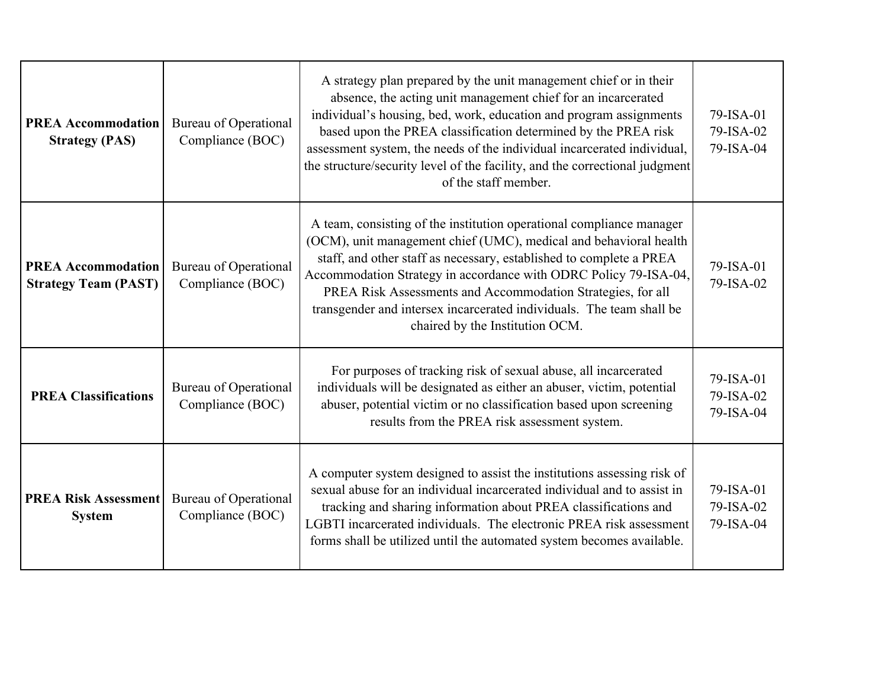| <b>PREA Accommodation</b><br><b>Strategy (PAS)</b>       | <b>Bureau of Operational</b><br>Compliance (BOC) | A strategy plan prepared by the unit management chief or in their<br>absence, the acting unit management chief for an incarcerated<br>individual's housing, bed, work, education and program assignments<br>based upon the PREA classification determined by the PREA risk<br>assessment system, the needs of the individual incarcerated individual,<br>the structure/security level of the facility, and the correctional judgment<br>of the staff member.   | 79-ISA-01<br>79-ISA-02<br>79-ISA-04 |
|----------------------------------------------------------|--------------------------------------------------|----------------------------------------------------------------------------------------------------------------------------------------------------------------------------------------------------------------------------------------------------------------------------------------------------------------------------------------------------------------------------------------------------------------------------------------------------------------|-------------------------------------|
| <b>PREA Accommodation</b><br><b>Strategy Team (PAST)</b> | <b>Bureau of Operational</b><br>Compliance (BOC) | A team, consisting of the institution operational compliance manager<br>(OCM), unit management chief (UMC), medical and behavioral health<br>staff, and other staff as necessary, established to complete a PREA<br>Accommodation Strategy in accordance with ODRC Policy 79-ISA-04,<br>PREA Risk Assessments and Accommodation Strategies, for all<br>transgender and intersex incarcerated individuals. The team shall be<br>chaired by the Institution OCM. | 79-ISA-01<br>79-ISA-02              |
| <b>PREA Classifications</b>                              | <b>Bureau of Operational</b><br>Compliance (BOC) | For purposes of tracking risk of sexual abuse, all incarcerated<br>individuals will be designated as either an abuser, victim, potential<br>abuser, potential victim or no classification based upon screening<br>results from the PREA risk assessment system.                                                                                                                                                                                                | 79-ISA-01<br>79-ISA-02<br>79-ISA-04 |
| <b>PREA Risk Assessment</b><br><b>System</b>             | Bureau of Operational<br>Compliance (BOC)        | A computer system designed to assist the institutions assessing risk of<br>sexual abuse for an individual incarcerated individual and to assist in<br>tracking and sharing information about PREA classifications and<br>LGBTI incarcerated individuals. The electronic PREA risk assessment<br>forms shall be utilized until the automated system becomes available.                                                                                          | 79-ISA-01<br>79-ISA-02<br>79-ISA-04 |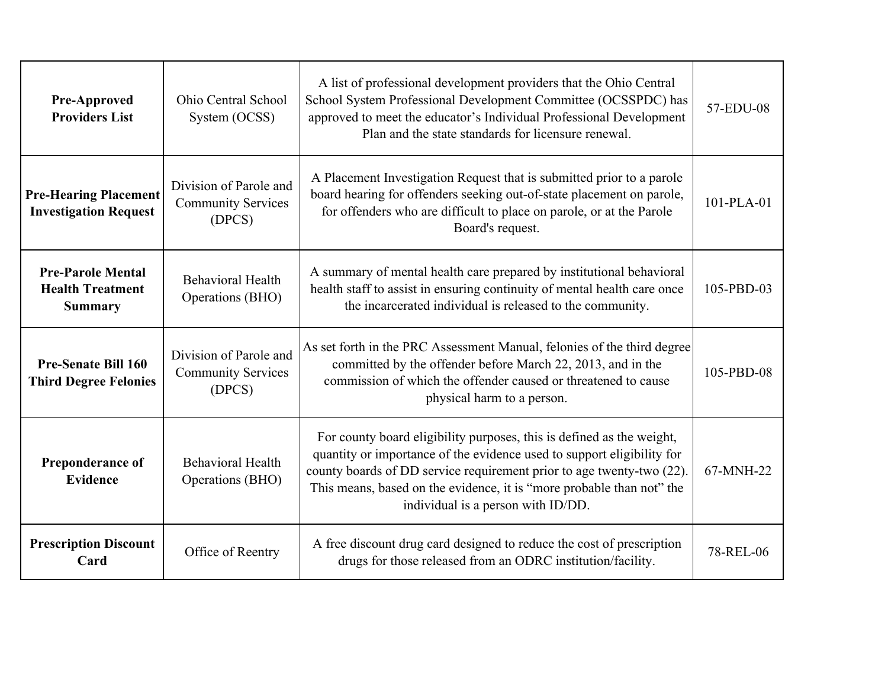| <b>Pre-Approved</b><br><b>Providers List</b>                          | Ohio Central School<br>System (OCSS)                          | A list of professional development providers that the Ohio Central<br>School System Professional Development Committee (OCSSPDC) has<br>approved to meet the educator's Individual Professional Development<br>Plan and the state standards for licensure renewal.                                                                      | 57-EDU-08  |
|-----------------------------------------------------------------------|---------------------------------------------------------------|-----------------------------------------------------------------------------------------------------------------------------------------------------------------------------------------------------------------------------------------------------------------------------------------------------------------------------------------|------------|
| <b>Pre-Hearing Placement</b><br><b>Investigation Request</b>          | Division of Parole and<br><b>Community Services</b><br>(DPCS) | A Placement Investigation Request that is submitted prior to a parole<br>board hearing for offenders seeking out-of-state placement on parole,<br>for offenders who are difficult to place on parole, or at the Parole<br>Board's request.                                                                                              | 101-PLA-01 |
| <b>Pre-Parole Mental</b><br><b>Health Treatment</b><br><b>Summary</b> | <b>Behavioral Health</b><br>Operations (BHO)                  | A summary of mental health care prepared by institutional behavioral<br>health staff to assist in ensuring continuity of mental health care once<br>the incarcerated individual is released to the community.                                                                                                                           | 105-PBD-03 |
| <b>Pre-Senate Bill 160</b><br><b>Third Degree Felonies</b>            | Division of Parole and<br><b>Community Services</b><br>(DPCS) | As set forth in the PRC Assessment Manual, felonies of the third degree<br>committed by the offender before March 22, 2013, and in the<br>commission of which the offender caused or threatened to cause<br>physical harm to a person.                                                                                                  | 105-PBD-08 |
| Preponderance of<br><b>Evidence</b>                                   | <b>Behavioral Health</b><br>Operations (BHO)                  | For county board eligibility purposes, this is defined as the weight,<br>quantity or importance of the evidence used to support eligibility for<br>county boards of DD service requirement prior to age twenty-two (22).<br>This means, based on the evidence, it is "more probable than not" the<br>individual is a person with ID/DD. | 67-MNH-22  |
| <b>Prescription Discount</b><br>Card                                  | Office of Reentry                                             | A free discount drug card designed to reduce the cost of prescription<br>drugs for those released from an ODRC institution/facility.                                                                                                                                                                                                    | 78-REL-06  |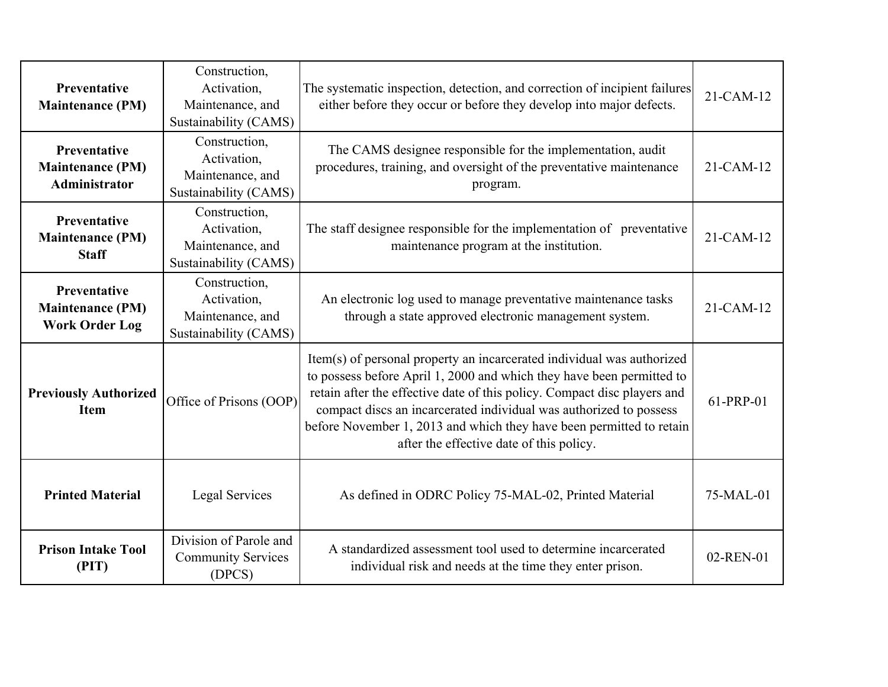| Preventative<br><b>Maintenance (PM)</b>                          | Construction,<br>Activation,<br>Maintenance, and<br>Sustainability (CAMS) | The systematic inspection, detection, and correction of incipient failures<br>either before they occur or before they develop into major defects.                                                                                                                                                                                                                                                                     | 21-CAM-12 |
|------------------------------------------------------------------|---------------------------------------------------------------------------|-----------------------------------------------------------------------------------------------------------------------------------------------------------------------------------------------------------------------------------------------------------------------------------------------------------------------------------------------------------------------------------------------------------------------|-----------|
| <b>Preventative</b><br><b>Maintenance (PM)</b><br>Administrator  | Construction,<br>Activation,<br>Maintenance, and<br>Sustainability (CAMS) | The CAMS designee responsible for the implementation, audit<br>procedures, training, and oversight of the preventative maintenance<br>program.                                                                                                                                                                                                                                                                        | 21-CAM-12 |
| Preventative<br><b>Maintenance (PM)</b><br><b>Staff</b>          | Construction,<br>Activation,<br>Maintenance, and<br>Sustainability (CAMS) | The staff designee responsible for the implementation of preventative<br>maintenance program at the institution.                                                                                                                                                                                                                                                                                                      | 21-CAM-12 |
| Preventative<br><b>Maintenance (PM)</b><br><b>Work Order Log</b> | Construction,<br>Activation,<br>Maintenance, and<br>Sustainability (CAMS) | An electronic log used to manage preventative maintenance tasks<br>through a state approved electronic management system.                                                                                                                                                                                                                                                                                             | 21-CAM-12 |
| <b>Previously Authorized</b><br>Item                             | Office of Prisons (OOP)                                                   | Item(s) of personal property an incarcerated individual was authorized<br>to possess before April 1, 2000 and which they have been permitted to<br>retain after the effective date of this policy. Compact disc players and<br>compact discs an incarcerated individual was authorized to possess<br>before November 1, 2013 and which they have been permitted to retain<br>after the effective date of this policy. | 61-PRP-01 |
| <b>Printed Material</b>                                          | Legal Services                                                            | As defined in ODRC Policy 75-MAL-02, Printed Material                                                                                                                                                                                                                                                                                                                                                                 | 75-MAL-01 |
| <b>Prison Intake Tool</b><br>(PIT)                               | Division of Parole and<br><b>Community Services</b><br>(DPCS)             | A standardized assessment tool used to determine incarcerated<br>individual risk and needs at the time they enter prison.                                                                                                                                                                                                                                                                                             | 02-REN-01 |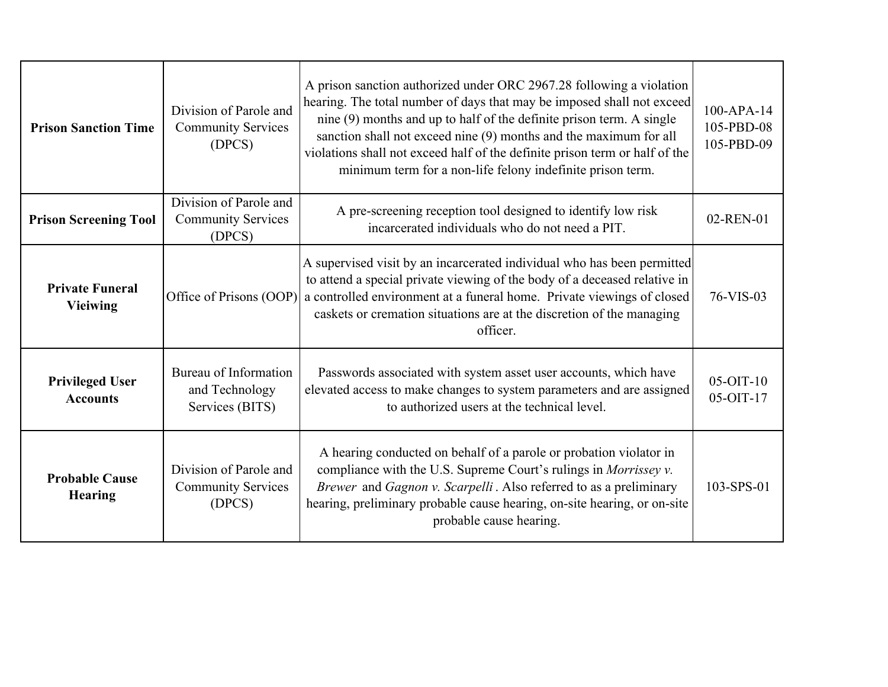| <b>Prison Sanction Time</b>               | Division of Parole and<br><b>Community Services</b><br>(DPCS) | A prison sanction authorized under ORC 2967.28 following a violation<br>hearing. The total number of days that may be imposed shall not exceed<br>nine (9) months and up to half of the definite prison term. A single<br>sanction shall not exceed nine (9) months and the maximum for all<br>violations shall not exceed half of the definite prison term or half of the<br>minimum term for a non-life felony indefinite prison term. | 100-APA-14<br>105-PBD-08<br>105-PBD-09 |
|-------------------------------------------|---------------------------------------------------------------|------------------------------------------------------------------------------------------------------------------------------------------------------------------------------------------------------------------------------------------------------------------------------------------------------------------------------------------------------------------------------------------------------------------------------------------|----------------------------------------|
| <b>Prison Screening Tool</b>              | Division of Parole and<br><b>Community Services</b><br>(DPCS) | A pre-screening reception tool designed to identify low risk<br>incarcerated individuals who do not need a PIT.                                                                                                                                                                                                                                                                                                                          | 02-REN-01                              |
| <b>Private Funeral</b><br><b>Vieiwing</b> | Office of Prisons (OOP)                                       | A supervised visit by an incarcerated individual who has been permitted<br>to attend a special private viewing of the body of a deceased relative in<br>a controlled environment at a funeral home. Private viewings of closed<br>caskets or cremation situations are at the discretion of the managing<br>officer.                                                                                                                      | 76-VIS-03                              |
| <b>Privileged User</b><br><b>Accounts</b> | Bureau of Information<br>and Technology<br>Services (BITS)    | Passwords associated with system asset user accounts, which have<br>elevated access to make changes to system parameters and are assigned<br>to authorized users at the technical level.                                                                                                                                                                                                                                                 | $05-OTT-10$<br>$05-OT-17$              |
| <b>Probable Cause</b><br><b>Hearing</b>   | Division of Parole and<br><b>Community Services</b><br>(DPCS) | A hearing conducted on behalf of a parole or probation violator in<br>compliance with the U.S. Supreme Court's rulings in Morrissey v.<br>Brewer and Gagnon v. Scarpelli. Also referred to as a preliminary<br>hearing, preliminary probable cause hearing, on-site hearing, or on-site<br>probable cause hearing.                                                                                                                       | 103-SPS-01                             |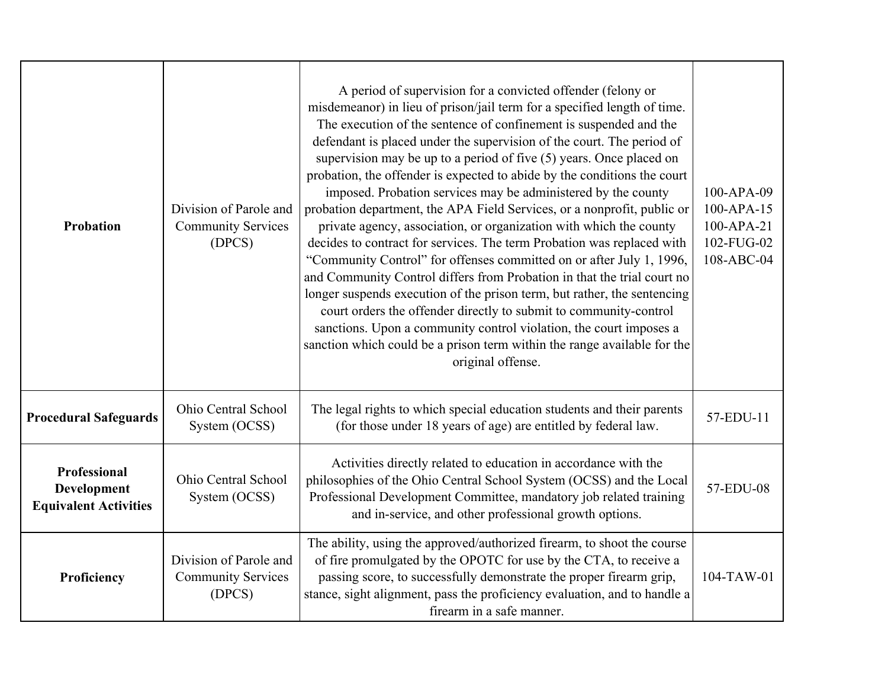| <b>Probation</b>                                            | Division of Parole and<br><b>Community Services</b><br>(DPCS) | A period of supervision for a convicted offender (felony or<br>misdemeanor) in lieu of prison/jail term for a specified length of time.<br>The execution of the sentence of confinement is suspended and the<br>defendant is placed under the supervision of the court. The period of<br>supervision may be up to a period of five $(5)$ years. Once placed on<br>probation, the offender is expected to abide by the conditions the court<br>imposed. Probation services may be administered by the county<br>probation department, the APA Field Services, or a nonprofit, public or<br>private agency, association, or organization with which the county<br>decides to contract for services. The term Probation was replaced with<br>"Community Control" for offenses committed on or after July 1, 1996,<br>and Community Control differs from Probation in that the trial court no<br>longer suspends execution of the prison term, but rather, the sentencing<br>court orders the offender directly to submit to community-control<br>sanctions. Upon a community control violation, the court imposes a<br>sanction which could be a prison term within the range available for the<br>original offense. | 100-APA-09<br>100-APA-15<br>100-APA-21<br>102-FUG-02<br>108-ABC-04 |
|-------------------------------------------------------------|---------------------------------------------------------------|-------------------------------------------------------------------------------------------------------------------------------------------------------------------------------------------------------------------------------------------------------------------------------------------------------------------------------------------------------------------------------------------------------------------------------------------------------------------------------------------------------------------------------------------------------------------------------------------------------------------------------------------------------------------------------------------------------------------------------------------------------------------------------------------------------------------------------------------------------------------------------------------------------------------------------------------------------------------------------------------------------------------------------------------------------------------------------------------------------------------------------------------------------------------------------------------------------------------|--------------------------------------------------------------------|
| <b>Procedural Safeguards</b>                                | Ohio Central School<br>System (OCSS)                          | The legal rights to which special education students and their parents<br>(for those under 18 years of age) are entitled by federal law.                                                                                                                                                                                                                                                                                                                                                                                                                                                                                                                                                                                                                                                                                                                                                                                                                                                                                                                                                                                                                                                                          | 57-EDU-11                                                          |
| Professional<br>Development<br><b>Equivalent Activities</b> | Ohio Central School<br>System (OCSS)                          | Activities directly related to education in accordance with the<br>philosophies of the Ohio Central School System (OCSS) and the Local<br>Professional Development Committee, mandatory job related training<br>and in-service, and other professional growth options.                                                                                                                                                                                                                                                                                                                                                                                                                                                                                                                                                                                                                                                                                                                                                                                                                                                                                                                                            | 57-EDU-08                                                          |
| Proficiency                                                 | Division of Parole and<br><b>Community Services</b><br>(DPCS) | The ability, using the approved/authorized firearm, to shoot the course<br>of fire promulgated by the OPOTC for use by the CTA, to receive a<br>passing score, to successfully demonstrate the proper firearm grip,<br>stance, sight alignment, pass the proficiency evaluation, and to handle a<br>firearm in a safe manner.                                                                                                                                                                                                                                                                                                                                                                                                                                                                                                                                                                                                                                                                                                                                                                                                                                                                                     | 104-TAW-01                                                         |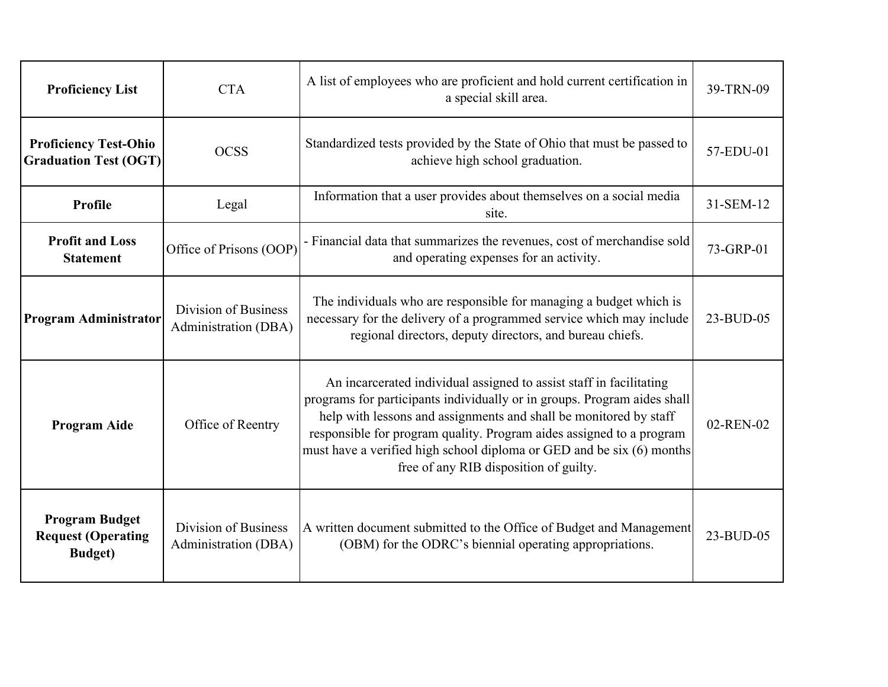| <b>Proficiency List</b>                                               | <b>CTA</b>                                   | A list of employees who are proficient and hold current certification in<br>a special skill area.                                                                                                                                                                                                                                                                                                               | 39-TRN-09 |
|-----------------------------------------------------------------------|----------------------------------------------|-----------------------------------------------------------------------------------------------------------------------------------------------------------------------------------------------------------------------------------------------------------------------------------------------------------------------------------------------------------------------------------------------------------------|-----------|
| <b>Proficiency Test-Ohio</b><br><b>Graduation Test (OGT)</b>          | <b>OCSS</b>                                  | Standardized tests provided by the State of Ohio that must be passed to<br>achieve high school graduation.                                                                                                                                                                                                                                                                                                      | 57-EDU-01 |
| <b>Profile</b>                                                        | Legal                                        | Information that a user provides about themselves on a social media<br>site.                                                                                                                                                                                                                                                                                                                                    | 31-SEM-12 |
| <b>Profit and Loss</b><br><b>Statement</b>                            | Office of Prisons (OOP)                      | - Financial data that summarizes the revenues, cost of merchandise sold<br>and operating expenses for an activity.                                                                                                                                                                                                                                                                                              | 73-GRP-01 |
| <b>Program Administrator</b>                                          | Division of Business<br>Administration (DBA) | The individuals who are responsible for managing a budget which is<br>necessary for the delivery of a programmed service which may include<br>regional directors, deputy directors, and bureau chiefs.                                                                                                                                                                                                          | 23-BUD-05 |
| <b>Program Aide</b>                                                   | Office of Reentry                            | An incarcerated individual assigned to assist staff in facilitating<br>programs for participants individually or in groups. Program aides shall<br>help with lessons and assignments and shall be monitored by staff<br>responsible for program quality. Program aides assigned to a program<br>must have a verified high school diploma or GED and be six (6) months<br>free of any RIB disposition of guilty. | 02-REN-02 |
| <b>Program Budget</b><br><b>Request (Operating</b><br><b>Budget</b> ) | Division of Business<br>Administration (DBA) | A written document submitted to the Office of Budget and Management<br>(OBM) for the ODRC's biennial operating appropriations.                                                                                                                                                                                                                                                                                  | 23-BUD-05 |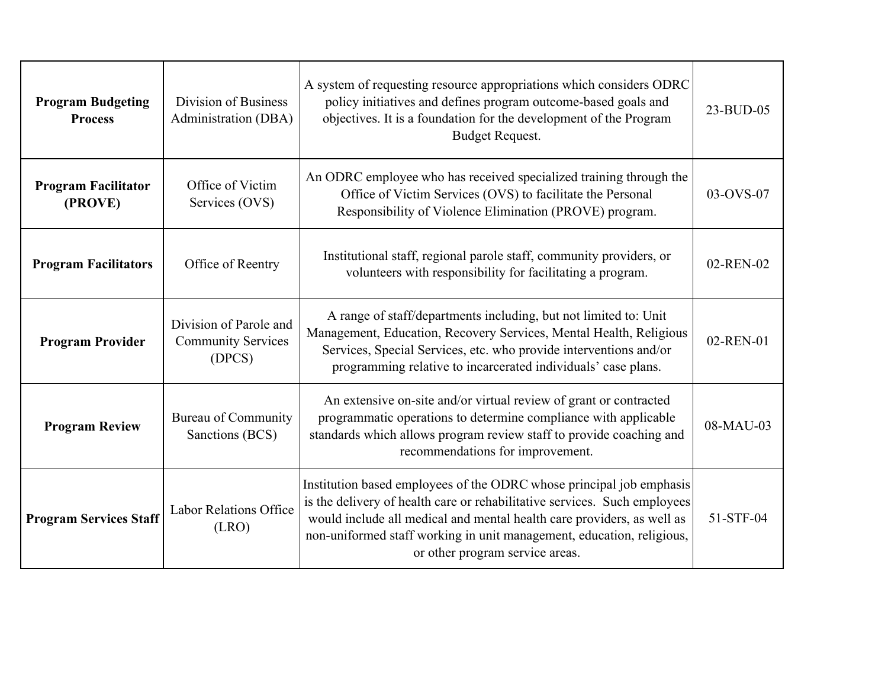| <b>Program Budgeting</b><br><b>Process</b> | Division of Business<br>Administration (DBA)                  | A system of requesting resource appropriations which considers ODRC<br>policy initiatives and defines program outcome-based goals and<br>objectives. It is a foundation for the development of the Program<br><b>Budget Request.</b>                                                                                                    | 23-BUD-05 |
|--------------------------------------------|---------------------------------------------------------------|-----------------------------------------------------------------------------------------------------------------------------------------------------------------------------------------------------------------------------------------------------------------------------------------------------------------------------------------|-----------|
| <b>Program Facilitator</b><br>(PROVE)      | Office of Victim<br>Services (OVS)                            | An ODRC employee who has received specialized training through the<br>Office of Victim Services (OVS) to facilitate the Personal<br>Responsibility of Violence Elimination (PROVE) program.                                                                                                                                             | 03-OVS-07 |
| <b>Program Facilitators</b>                | Office of Reentry                                             | Institutional staff, regional parole staff, community providers, or<br>volunteers with responsibility for facilitating a program.                                                                                                                                                                                                       | 02-REN-02 |
| <b>Program Provider</b>                    | Division of Parole and<br><b>Community Services</b><br>(DPCS) | A range of staff/departments including, but not limited to: Unit<br>Management, Education, Recovery Services, Mental Health, Religious<br>Services, Special Services, etc. who provide interventions and/or<br>programming relative to incarcerated individuals' case plans.                                                            | 02-REN-01 |
| <b>Program Review</b>                      | <b>Bureau of Community</b><br>Sanctions (BCS)                 | An extensive on-site and/or virtual review of grant or contracted<br>programmatic operations to determine compliance with applicable<br>standards which allows program review staff to provide coaching and<br>recommendations for improvement.                                                                                         | 08-MAU-03 |
| <b>Program Services Staff</b>              | <b>Labor Relations Office</b><br>(LRO)                        | Institution based employees of the ODRC whose principal job emphasis<br>is the delivery of health care or rehabilitative services. Such employees<br>would include all medical and mental health care providers, as well as<br>non-uniformed staff working in unit management, education, religious,<br>or other program service areas. | 51-STF-04 |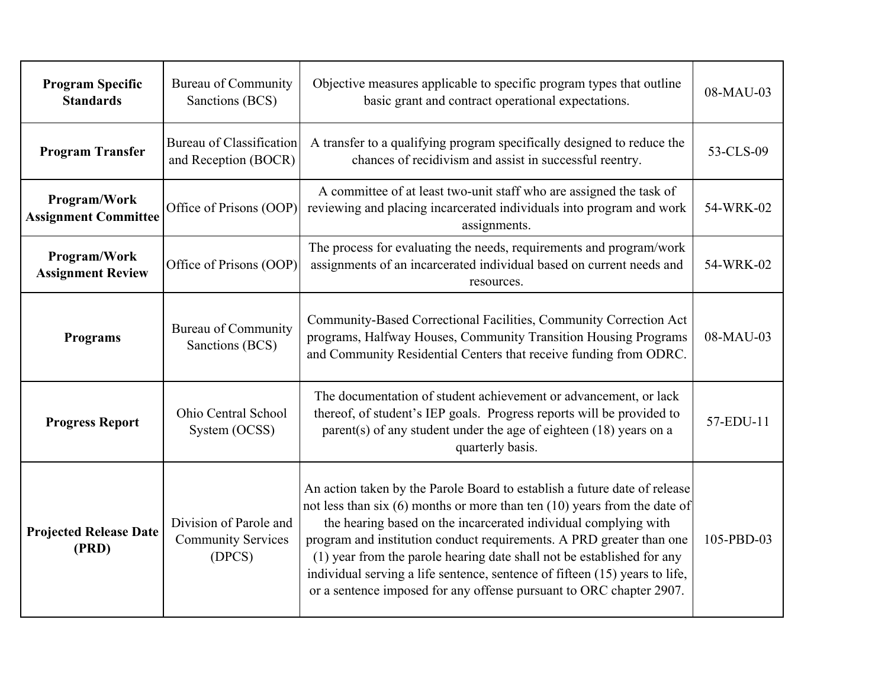| <b>Program Specific</b><br><b>Standards</b> | <b>Bureau of Community</b><br>Sanctions (BCS)                 | Objective measures applicable to specific program types that outline<br>basic grant and contract operational expectations.                                                                                                                                                                                                                                                                                                                                                                                                            | 08-MAU-03  |
|---------------------------------------------|---------------------------------------------------------------|---------------------------------------------------------------------------------------------------------------------------------------------------------------------------------------------------------------------------------------------------------------------------------------------------------------------------------------------------------------------------------------------------------------------------------------------------------------------------------------------------------------------------------------|------------|
| <b>Program Transfer</b>                     | Bureau of Classification<br>and Reception (BOCR)              | A transfer to a qualifying program specifically designed to reduce the<br>chances of recidivism and assist in successful reentry.                                                                                                                                                                                                                                                                                                                                                                                                     | 53-CLS-09  |
| Program/Work<br><b>Assignment Committee</b> | Office of Prisons (OOP)                                       | A committee of at least two-unit staff who are assigned the task of<br>reviewing and placing incarcerated individuals into program and work<br>assignments.                                                                                                                                                                                                                                                                                                                                                                           | 54-WRK-02  |
| Program/Work<br><b>Assignment Review</b>    | Office of Prisons (OOP)                                       | The process for evaluating the needs, requirements and program/work<br>assignments of an incarcerated individual based on current needs and<br>resources.                                                                                                                                                                                                                                                                                                                                                                             | 54-WRK-02  |
| <b>Programs</b>                             | <b>Bureau of Community</b><br>Sanctions (BCS)                 | Community-Based Correctional Facilities, Community Correction Act<br>programs, Halfway Houses, Community Transition Housing Programs<br>and Community Residential Centers that receive funding from ODRC.                                                                                                                                                                                                                                                                                                                             | 08-MAU-03  |
| <b>Progress Report</b>                      | Ohio Central School<br>System (OCSS)                          | The documentation of student achievement or advancement, or lack<br>thereof, of student's IEP goals. Progress reports will be provided to<br>parent(s) of any student under the age of eighteen $(18)$ years on a<br>quarterly basis.                                                                                                                                                                                                                                                                                                 | 57-EDU-11  |
| <b>Projected Release Date</b><br>(PRD)      | Division of Parole and<br><b>Community Services</b><br>(DPCS) | An action taken by the Parole Board to establish a future date of release<br>not less than six $(6)$ months or more than ten $(10)$ years from the date of<br>the hearing based on the incarcerated individual complying with<br>program and institution conduct requirements. A PRD greater than one<br>(1) year from the parole hearing date shall not be established for any<br>individual serving a life sentence, sentence of fifteen (15) years to life,<br>or a sentence imposed for any offense pursuant to ORC chapter 2907. | 105-PBD-03 |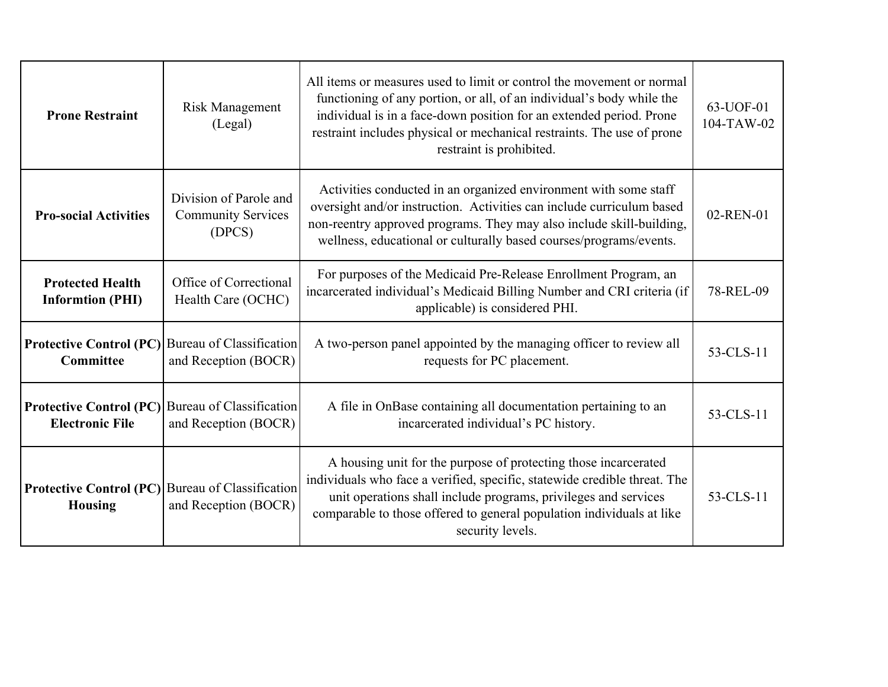| <b>Prone Restraint</b>                                                      | <b>Risk Management</b><br>(Legal)                             | All items or measures used to limit or control the movement or normal<br>functioning of any portion, or all, of an individual's body while the<br>individual is in a face-down position for an extended period. Prone<br>restraint includes physical or mechanical restraints. The use of prone<br>restraint is prohibited. | 63-UOF-01<br>104-TAW-02 |
|-----------------------------------------------------------------------------|---------------------------------------------------------------|-----------------------------------------------------------------------------------------------------------------------------------------------------------------------------------------------------------------------------------------------------------------------------------------------------------------------------|-------------------------|
| <b>Pro-social Activities</b>                                                | Division of Parole and<br><b>Community Services</b><br>(DPCS) | Activities conducted in an organized environment with some staff<br>oversight and/or instruction. Activities can include curriculum based<br>non-reentry approved programs. They may also include skill-building,<br>wellness, educational or culturally based courses/programs/events.                                     | 02-REN-01               |
| <b>Protected Health</b><br><b>Informtion (PHI)</b>                          | Office of Correctional<br>Health Care (OCHC)                  | For purposes of the Medicaid Pre-Release Enrollment Program, an<br>incarcerated individual's Medicaid Billing Number and CRI criteria (if<br>applicable) is considered PHI.                                                                                                                                                 | 78-REL-09               |
| <b>Protective Control (PC)</b> Bureau of Classification<br><b>Committee</b> | and Reception (BOCR)                                          | A two-person panel appointed by the managing officer to review all<br>requests for PC placement.                                                                                                                                                                                                                            | 53-CLS-11               |
| Protective Control (PC) Bureau of Classification<br><b>Electronic File</b>  | and Reception (BOCR)                                          | A file in OnBase containing all documentation pertaining to an<br>incarcerated individual's PC history.                                                                                                                                                                                                                     | 53-CLS-11               |
| Protective Control (PC) Bureau of Classification<br><b>Housing</b>          | and Reception (BOCR)                                          | A housing unit for the purpose of protecting those incarcerated<br>individuals who face a verified, specific, statewide credible threat. The<br>unit operations shall include programs, privileges and services<br>comparable to those offered to general population individuals at like<br>security levels.                | 53-CLS-11               |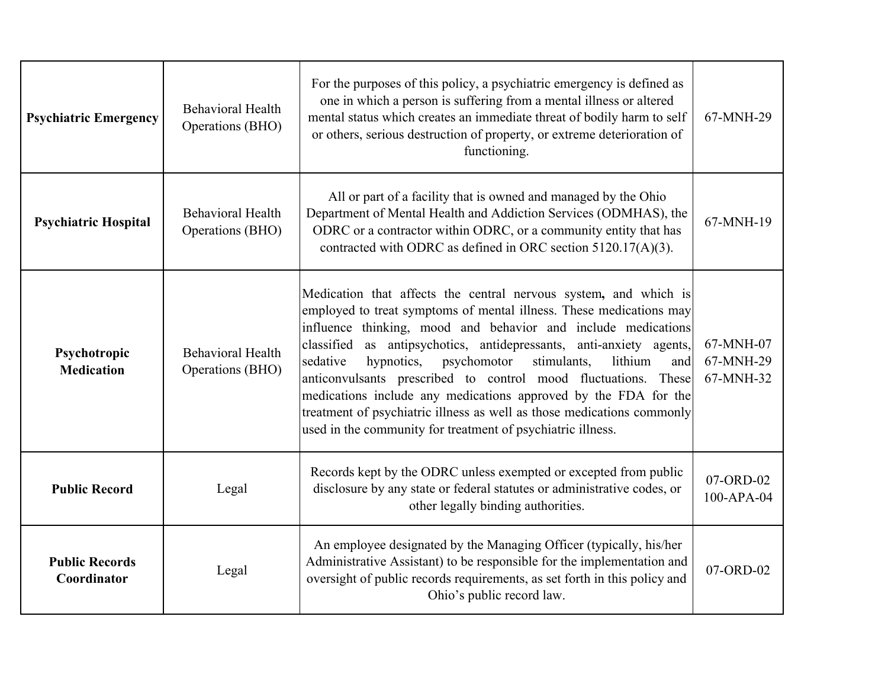| <b>Psychiatric Emergency</b>         | <b>Behavioral Health</b><br>Operations (BHO) | For the purposes of this policy, a psychiatric emergency is defined as<br>one in which a person is suffering from a mental illness or altered<br>mental status which creates an immediate threat of bodily harm to self<br>or others, serious destruction of property, or extreme deterioration of<br>functioning.                                                                                                                                                                                                                                                                                                                      | 67-MNH-29                           |
|--------------------------------------|----------------------------------------------|-----------------------------------------------------------------------------------------------------------------------------------------------------------------------------------------------------------------------------------------------------------------------------------------------------------------------------------------------------------------------------------------------------------------------------------------------------------------------------------------------------------------------------------------------------------------------------------------------------------------------------------------|-------------------------------------|
| <b>Psychiatric Hospital</b>          | <b>Behavioral Health</b><br>Operations (BHO) | All or part of a facility that is owned and managed by the Ohio<br>Department of Mental Health and Addiction Services (ODMHAS), the<br>ODRC or a contractor within ODRC, or a community entity that has<br>contracted with ODRC as defined in ORC section 5120.17(A)(3).                                                                                                                                                                                                                                                                                                                                                                | 67-MNH-19                           |
| Psychotropic<br><b>Medication</b>    | <b>Behavioral Health</b><br>Operations (BHO) | Medication that affects the central nervous system, and which is<br>employed to treat symptoms of mental illness. These medications may<br>influence thinking, mood and behavior and include medications<br>classified as antipsychotics, antidepressants, anti-anxiety agents,<br>psychomotor<br>sedative<br>hypnotics,<br>stimulants,<br>lithium<br>and<br>anticonvulsants prescribed to control mood fluctuations. These<br>medications include any medications approved by the FDA for the<br>treatment of psychiatric illness as well as those medications commonly<br>used in the community for treatment of psychiatric illness. | 67-MNH-07<br>67-MNH-29<br>67-MNH-32 |
| <b>Public Record</b>                 | Legal                                        | Records kept by the ODRC unless exempted or excepted from public<br>disclosure by any state or federal statutes or administrative codes, or<br>other legally binding authorities.                                                                                                                                                                                                                                                                                                                                                                                                                                                       | 07-ORD-02<br>100-APA-04             |
| <b>Public Records</b><br>Coordinator | Legal                                        | An employee designated by the Managing Officer (typically, his/her<br>Administrative Assistant) to be responsible for the implementation and<br>oversight of public records requirements, as set forth in this policy and<br>Ohio's public record law.                                                                                                                                                                                                                                                                                                                                                                                  | 07-ORD-02                           |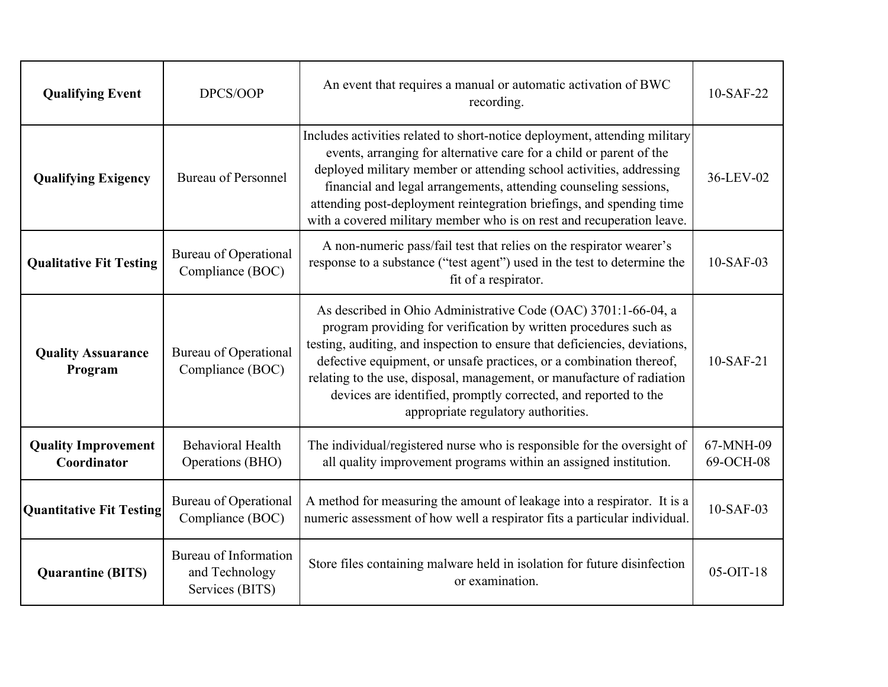| <b>Qualifying Event</b>                   | DPCS/OOP                                                   | An event that requires a manual or automatic activation of BWC<br>recording.                                                                                                                                                                                                                                                                                                                                                                                                | 10-SAF-22              |
|-------------------------------------------|------------------------------------------------------------|-----------------------------------------------------------------------------------------------------------------------------------------------------------------------------------------------------------------------------------------------------------------------------------------------------------------------------------------------------------------------------------------------------------------------------------------------------------------------------|------------------------|
| <b>Qualifying Exigency</b>                | <b>Bureau of Personnel</b>                                 | Includes activities related to short-notice deployment, attending military<br>events, arranging for alternative care for a child or parent of the<br>deployed military member or attending school activities, addressing<br>financial and legal arrangements, attending counseling sessions,<br>attending post-deployment reintegration briefings, and spending time<br>with a covered military member who is on rest and recuperation leave.                               | 36-LEV-02              |
| <b>Qualitative Fit Testing</b>            | <b>Bureau of Operational</b><br>Compliance (BOC)           | A non-numeric pass/fail test that relies on the respirator wearer's<br>response to a substance ("test agent") used in the test to determine the<br>fit of a respirator.                                                                                                                                                                                                                                                                                                     | 10-SAF-03              |
| <b>Quality Assuarance</b><br>Program      | <b>Bureau of Operational</b><br>Compliance (BOC)           | As described in Ohio Administrative Code (OAC) 3701:1-66-04, a<br>program providing for verification by written procedures such as<br>testing, auditing, and inspection to ensure that deficiencies, deviations,<br>defective equipment, or unsafe practices, or a combination thereof,<br>relating to the use, disposal, management, or manufacture of radiation<br>devices are identified, promptly corrected, and reported to the<br>appropriate regulatory authorities. | $10-SAF-21$            |
| <b>Quality Improvement</b><br>Coordinator | <b>Behavioral Health</b><br>Operations (BHO)               | The individual/registered nurse who is responsible for the oversight of<br>all quality improvement programs within an assigned institution.                                                                                                                                                                                                                                                                                                                                 | 67-MNH-09<br>69-OCH-08 |
| <b>Quantitative Fit Testing</b>           | <b>Bureau of Operational</b><br>Compliance (BOC)           | A method for measuring the amount of leakage into a respirator. It is a<br>numeric assessment of how well a respirator fits a particular individual.                                                                                                                                                                                                                                                                                                                        | $10-SAF-03$            |
| <b>Quarantine (BITS)</b>                  | Bureau of Information<br>and Technology<br>Services (BITS) | Store files containing malware held in isolation for future disinfection<br>or examination.                                                                                                                                                                                                                                                                                                                                                                                 | $05-OIT-18$            |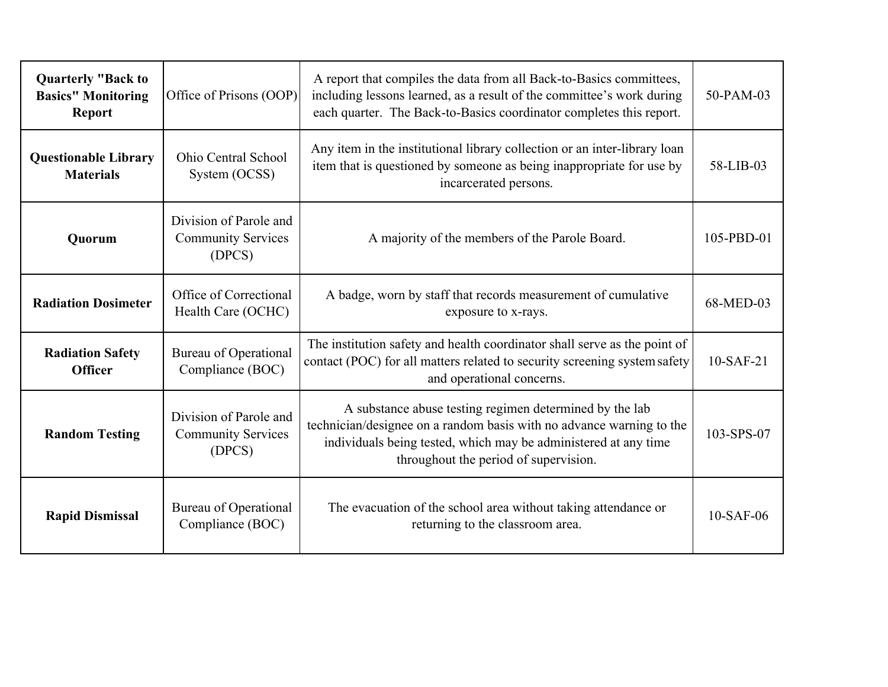| <b>Quarterly "Back to</b><br><b>Basics"</b> Monitoring<br><b>Report</b> | Office of Prisons (OOP)                                       | A report that compiles the data from all Back-to-Basics committees,<br>including lessons learned, as a result of the committee's work during<br>each quarter. The Back-to-Basics coordinator completes this report.                         | 50-PAM-03   |
|-------------------------------------------------------------------------|---------------------------------------------------------------|---------------------------------------------------------------------------------------------------------------------------------------------------------------------------------------------------------------------------------------------|-------------|
| <b>Questionable Library</b><br><b>Materials</b>                         | Ohio Central School<br>System (OCSS)                          | Any item in the institutional library collection or an inter-library loan<br>item that is questioned by someone as being inappropriate for use by<br>incarcerated persons.                                                                  | 58-LIB-03   |
| Quorum                                                                  | Division of Parole and<br><b>Community Services</b><br>(DPCS) | A majority of the members of the Parole Board.                                                                                                                                                                                              | 105-PBD-01  |
| <b>Radiation Dosimeter</b>                                              | Office of Correctional<br>Health Care (OCHC)                  | A badge, worn by staff that records measurement of cumulative<br>exposure to x-rays.                                                                                                                                                        | 68-MED-03   |
| <b>Radiation Safety</b><br><b>Officer</b>                               | Bureau of Operational<br>Compliance (BOC)                     | The institution safety and health coordinator shall serve as the point of<br>contact (POC) for all matters related to security screening system safety<br>and operational concerns.                                                         | $10-SAF-21$ |
| <b>Random Testing</b>                                                   | Division of Parole and<br><b>Community Services</b><br>(DPCS) | A substance abuse testing regimen determined by the lab<br>technician/designee on a random basis with no advance warning to the<br>individuals being tested, which may be administered at any time<br>throughout the period of supervision. | 103-SPS-07  |
| <b>Rapid Dismissal</b>                                                  | Bureau of Operational<br>Compliance (BOC)                     | The evacuation of the school area without taking attendance or<br>returning to the classroom area.                                                                                                                                          | $10-SAF-06$ |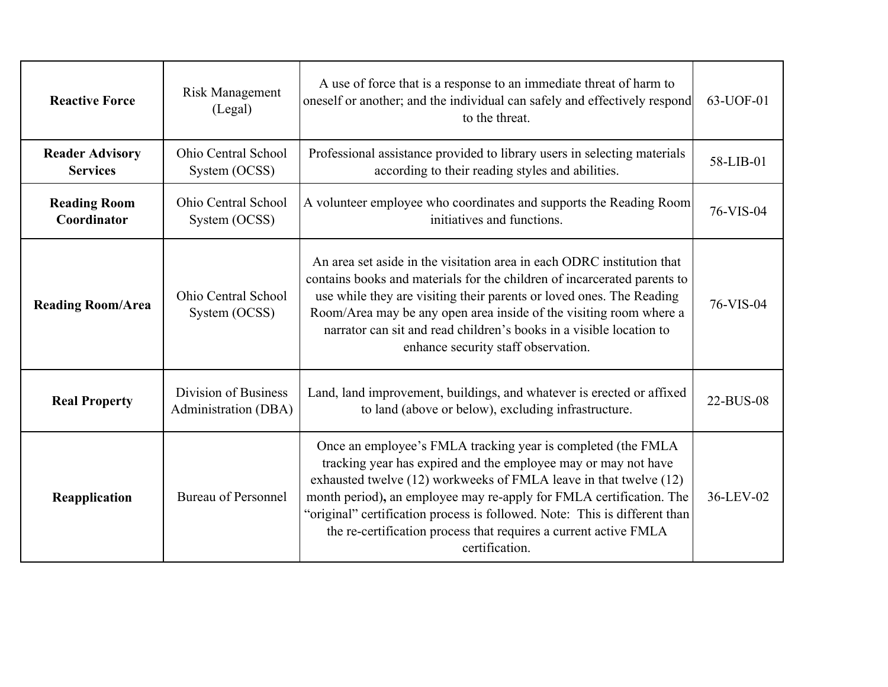| <b>Reactive Force</b>                     | <b>Risk Management</b><br>(Legal)            | A use of force that is a response to an immediate threat of harm to<br>oneself or another; and the individual can safely and effectively respond<br>to the threat.                                                                                                                                                                                                                                                                             | 63-UOF-01 |
|-------------------------------------------|----------------------------------------------|------------------------------------------------------------------------------------------------------------------------------------------------------------------------------------------------------------------------------------------------------------------------------------------------------------------------------------------------------------------------------------------------------------------------------------------------|-----------|
| <b>Reader Advisory</b><br><b>Services</b> | Ohio Central School<br>System (OCSS)         | Professional assistance provided to library users in selecting materials<br>according to their reading styles and abilities.                                                                                                                                                                                                                                                                                                                   | 58-LIB-01 |
| <b>Reading Room</b><br>Coordinator        | Ohio Central School<br>System (OCSS)         | A volunteer employee who coordinates and supports the Reading Room<br>initiatives and functions.                                                                                                                                                                                                                                                                                                                                               | 76-VIS-04 |
| <b>Reading Room/Area</b>                  | Ohio Central School<br>System (OCSS)         | An area set aside in the visitation area in each ODRC institution that<br>contains books and materials for the children of incarcerated parents to<br>use while they are visiting their parents or loved ones. The Reading<br>Room/Area may be any open area inside of the visiting room where a<br>narrator can sit and read children's books in a visible location to<br>enhance security staff observation.                                 | 76-VIS-04 |
| <b>Real Property</b>                      | Division of Business<br>Administration (DBA) | Land, land improvement, buildings, and whatever is erected or affixed<br>to land (above or below), excluding infrastructure.                                                                                                                                                                                                                                                                                                                   | 22-BUS-08 |
| Reapplication                             | <b>Bureau of Personnel</b>                   | Once an employee's FMLA tracking year is completed (the FMLA<br>tracking year has expired and the employee may or may not have<br>exhausted twelve (12) workweeks of FMLA leave in that twelve (12)<br>month period), an employee may re-apply for FMLA certification. The<br>"original" certification process is followed. Note: This is different than<br>the re-certification process that requires a current active FMLA<br>certification. | 36-LEV-02 |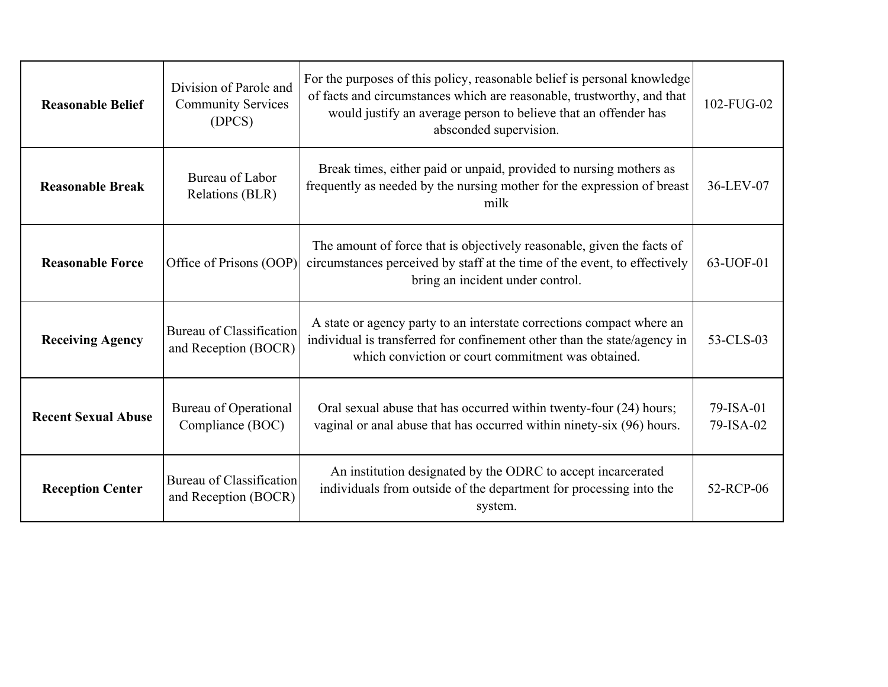| <b>Reasonable Belief</b>   | Division of Parole and<br><b>Community Services</b><br>(DPCS) | For the purposes of this policy, reasonable belief is personal knowledge<br>of facts and circumstances which are reasonable, trustworthy, and that<br>would justify an average person to believe that an offender has<br>absconded supervision. | 102-FUG-02             |
|----------------------------|---------------------------------------------------------------|-------------------------------------------------------------------------------------------------------------------------------------------------------------------------------------------------------------------------------------------------|------------------------|
| <b>Reasonable Break</b>    | Bureau of Labor<br>Relations (BLR)                            | Break times, either paid or unpaid, provided to nursing mothers as<br>frequently as needed by the nursing mother for the expression of breast<br>milk                                                                                           | 36-LEV-07              |
| <b>Reasonable Force</b>    | Office of Prisons (OOP)                                       | The amount of force that is objectively reasonable, given the facts of<br>circumstances perceived by staff at the time of the event, to effectively<br>bring an incident under control.                                                         | 63-UOF-01              |
| <b>Receiving Agency</b>    | Bureau of Classification<br>and Reception (BOCR)              | A state or agency party to an interstate corrections compact where an<br>individual is transferred for confinement other than the state/agency in<br>which conviction or court commitment was obtained.                                         | 53-CLS-03              |
| <b>Recent Sexual Abuse</b> | <b>Bureau of Operational</b><br>Compliance (BOC)              | Oral sexual abuse that has occurred within twenty-four (24) hours;<br>vaginal or anal abuse that has occurred within ninety-six (96) hours.                                                                                                     | 79-ISA-01<br>79-ISA-02 |
| <b>Reception Center</b>    | <b>Bureau of Classification</b><br>and Reception (BOCR)       | An institution designated by the ODRC to accept incarcerated<br>individuals from outside of the department for processing into the<br>system.                                                                                                   | 52-RCP-06              |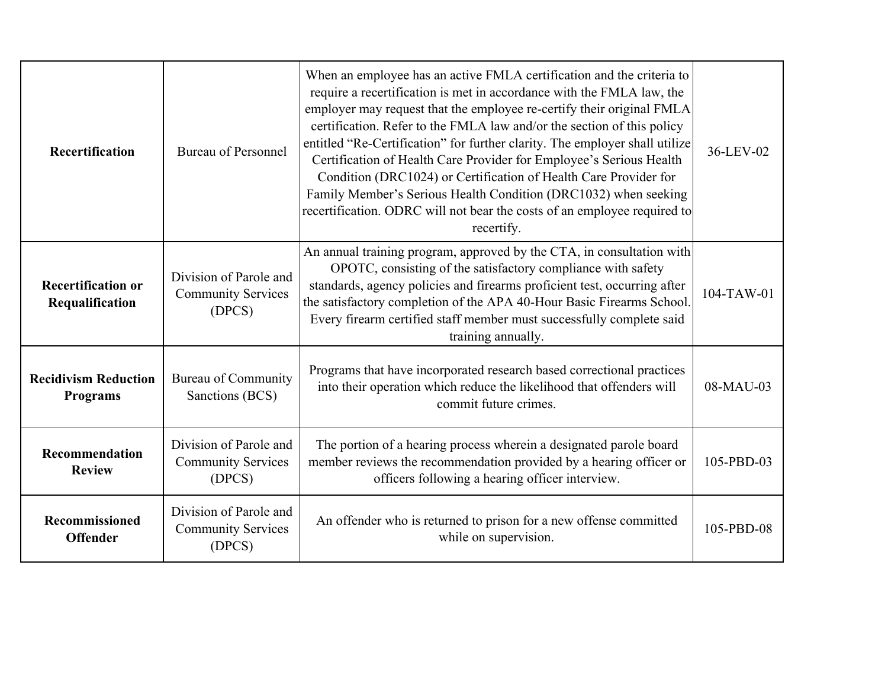| Recertification                                | <b>Bureau of Personnel</b>                                    | When an employee has an active FMLA certification and the criteria to<br>require a recertification is met in accordance with the FMLA law, the<br>employer may request that the employee re-certify their original FMLA<br>certification. Refer to the FMLA law and/or the section of this policy<br>entitled "Re-Certification" for further clarity. The employer shall utilize<br>Certification of Health Care Provider for Employee's Serious Health<br>Condition (DRC1024) or Certification of Health Care Provider for<br>Family Member's Serious Health Condition (DRC1032) when seeking<br>recertification. ODRC will not bear the costs of an employee required to<br>recertify. | 36-LEV-02  |
|------------------------------------------------|---------------------------------------------------------------|------------------------------------------------------------------------------------------------------------------------------------------------------------------------------------------------------------------------------------------------------------------------------------------------------------------------------------------------------------------------------------------------------------------------------------------------------------------------------------------------------------------------------------------------------------------------------------------------------------------------------------------------------------------------------------------|------------|
| <b>Recertification or</b><br>Requalification   | Division of Parole and<br><b>Community Services</b><br>(DPCS) | An annual training program, approved by the CTA, in consultation with<br>OPOTC, consisting of the satisfactory compliance with safety<br>standards, agency policies and firearms proficient test, occurring after<br>the satisfactory completion of the APA 40-Hour Basic Firearms School.<br>Every firearm certified staff member must successfully complete said<br>training annually.                                                                                                                                                                                                                                                                                                 | 104-TAW-01 |
| <b>Recidivism Reduction</b><br><b>Programs</b> | <b>Bureau of Community</b><br>Sanctions (BCS)                 | Programs that have incorporated research based correctional practices<br>into their operation which reduce the likelihood that offenders will<br>commit future crimes.                                                                                                                                                                                                                                                                                                                                                                                                                                                                                                                   | 08-MAU-03  |
| Recommendation<br><b>Review</b>                | Division of Parole and<br><b>Community Services</b><br>(DPCS) | The portion of a hearing process wherein a designated parole board<br>member reviews the recommendation provided by a hearing officer or<br>officers following a hearing officer interview.                                                                                                                                                                                                                                                                                                                                                                                                                                                                                              | 105-PBD-03 |
| <b>Recommissioned</b><br><b>Offender</b>       | Division of Parole and<br><b>Community Services</b><br>(DPCS) | An offender who is returned to prison for a new offense committed<br>while on supervision.                                                                                                                                                                                                                                                                                                                                                                                                                                                                                                                                                                                               | 105-PBD-08 |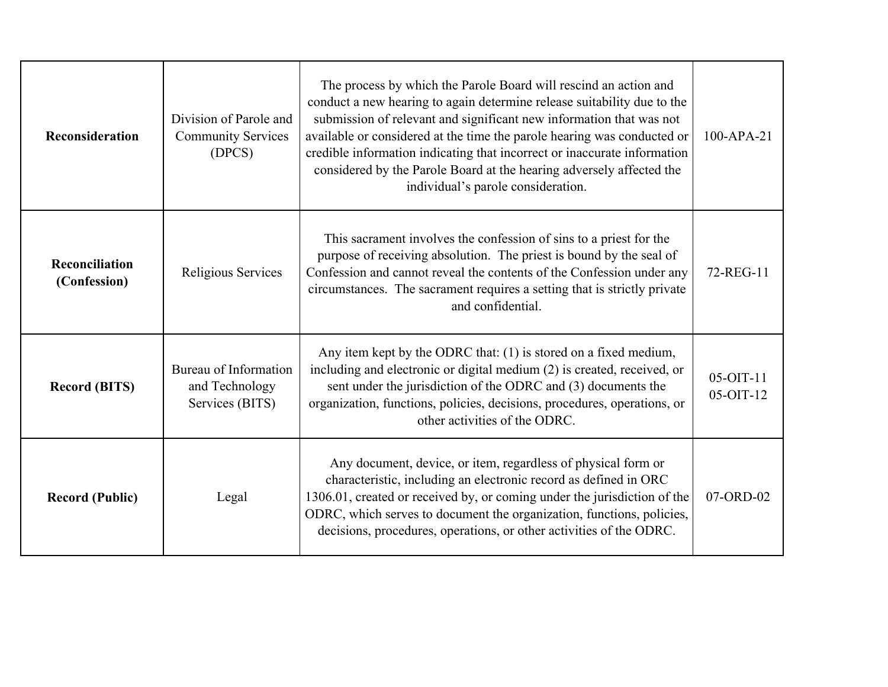| Reconsideration                       | Division of Parole and<br><b>Community Services</b><br>(DPCS) | The process by which the Parole Board will rescind an action and<br>conduct a new hearing to again determine release suitability due to the<br>submission of relevant and significant new information that was not<br>available or considered at the time the parole hearing was conducted or<br>credible information indicating that incorrect or inaccurate information<br>considered by the Parole Board at the hearing adversely affected the<br>individual's parole consideration. | 100-APA-21                 |
|---------------------------------------|---------------------------------------------------------------|-----------------------------------------------------------------------------------------------------------------------------------------------------------------------------------------------------------------------------------------------------------------------------------------------------------------------------------------------------------------------------------------------------------------------------------------------------------------------------------------|----------------------------|
| <b>Reconciliation</b><br>(Confession) | Religious Services                                            | This sacrament involves the confession of sins to a priest for the<br>purpose of receiving absolution. The priest is bound by the seal of<br>Confession and cannot reveal the contents of the Confession under any<br>circumstances. The sacrament requires a setting that is strictly private<br>and confidential.                                                                                                                                                                     | 72-REG-11                  |
| <b>Record (BITS)</b>                  | Bureau of Information<br>and Technology<br>Services (BITS)    | Any item kept by the ODRC that: (1) is stored on a fixed medium,<br>including and electronic or digital medium (2) is created, received, or<br>sent under the jurisdiction of the ODRC and (3) documents the<br>organization, functions, policies, decisions, procedures, operations, or<br>other activities of the ODRC.                                                                                                                                                               | $05-OIT-11$<br>$05-OIT-12$ |
| <b>Record (Public)</b>                | Legal                                                         | Any document, device, or item, regardless of physical form or<br>characteristic, including an electronic record as defined in ORC<br>1306.01, created or received by, or coming under the jurisdiction of the<br>ODRC, which serves to document the organization, functions, policies,<br>decisions, procedures, operations, or other activities of the ODRC.                                                                                                                           | 07-ORD-02                  |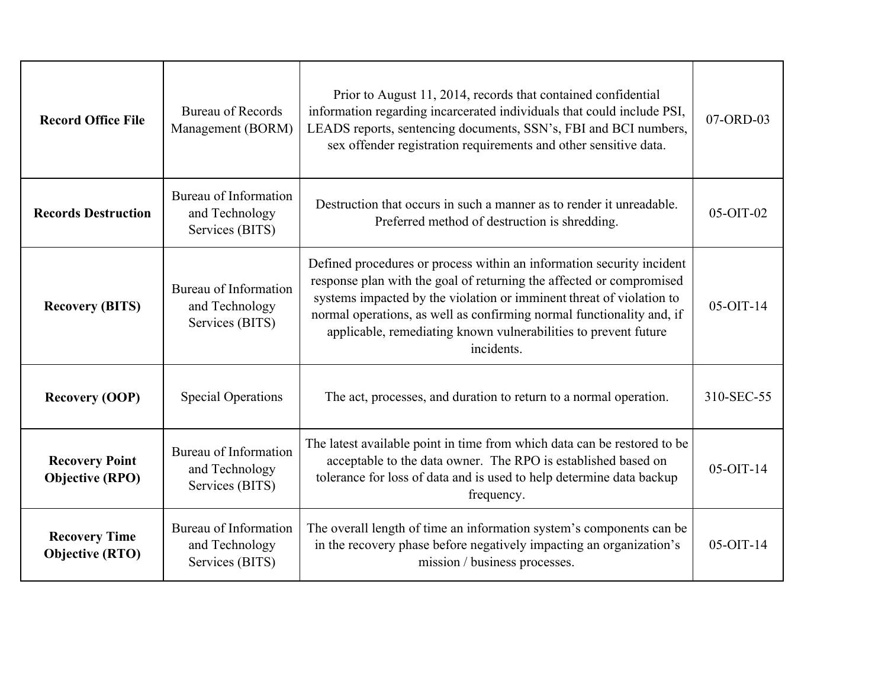| <b>Record Office File</b>                       | <b>Bureau of Records</b><br>Management (BORM)              | Prior to August 11, 2014, records that contained confidential<br>information regarding incarcerated individuals that could include PSI,<br>LEADS reports, sentencing documents, SSN's, FBI and BCI numbers,<br>sex offender registration requirements and other sensitive data.                                                                                                 | 07-ORD-03       |
|-------------------------------------------------|------------------------------------------------------------|---------------------------------------------------------------------------------------------------------------------------------------------------------------------------------------------------------------------------------------------------------------------------------------------------------------------------------------------------------------------------------|-----------------|
| <b>Records Destruction</b>                      | Bureau of Information<br>and Technology<br>Services (BITS) | Destruction that occurs in such a manner as to render it unreadable.<br>Preferred method of destruction is shredding.                                                                                                                                                                                                                                                           | 05-OIT-02       |
| <b>Recovery (BITS)</b>                          | Bureau of Information<br>and Technology<br>Services (BITS) | Defined procedures or process within an information security incident<br>response plan with the goal of returning the affected or compromised<br>systems impacted by the violation or imminent threat of violation to<br>normal operations, as well as confirming normal functionality and, if<br>applicable, remediating known vulnerabilities to prevent future<br>incidents. | $05-$ OIT $-14$ |
| <b>Recovery (OOP)</b>                           | <b>Special Operations</b>                                  | The act, processes, and duration to return to a normal operation.                                                                                                                                                                                                                                                                                                               | 310-SEC-55      |
| <b>Recovery Point</b><br><b>Objective (RPO)</b> | Bureau of Information<br>and Technology<br>Services (BITS) | The latest available point in time from which data can be restored to be<br>acceptable to the data owner. The RPO is established based on<br>tolerance for loss of data and is used to help determine data backup<br>frequency.                                                                                                                                                 | $05-OTT-14$     |
| <b>Recovery Time</b><br><b>Objective (RTO)</b>  | Bureau of Information<br>and Technology<br>Services (BITS) | The overall length of time an information system's components can be<br>in the recovery phase before negatively impacting an organization's<br>mission / business processes.                                                                                                                                                                                                    | $05-OIT-14$     |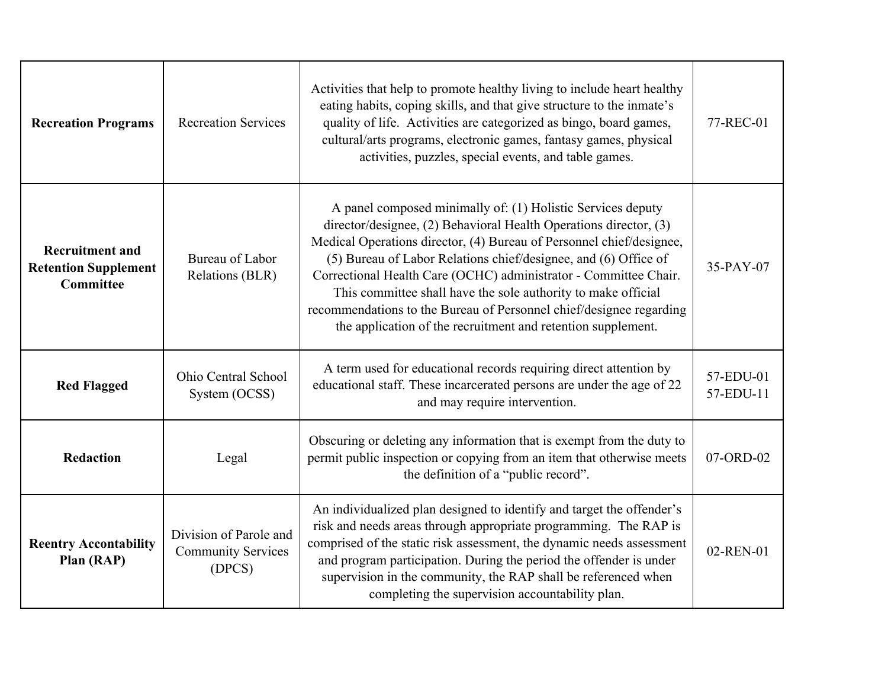| <b>Recreation Programs</b>                                                | <b>Recreation Services</b>                                    | Activities that help to promote healthy living to include heart healthy<br>eating habits, coping skills, and that give structure to the inmate's<br>quality of life. Activities are categorized as bingo, board games,<br>cultural/arts programs, electronic games, fantasy games, physical<br>activities, puzzles, special events, and table games.                                                                                                                                                                                                    | 77-REC-01              |
|---------------------------------------------------------------------------|---------------------------------------------------------------|---------------------------------------------------------------------------------------------------------------------------------------------------------------------------------------------------------------------------------------------------------------------------------------------------------------------------------------------------------------------------------------------------------------------------------------------------------------------------------------------------------------------------------------------------------|------------------------|
| <b>Recruitment and</b><br><b>Retention Supplement</b><br><b>Committee</b> | <b>Bureau of Labor</b><br>Relations (BLR)                     | A panel composed minimally of: (1) Holistic Services deputy<br>director/designee, (2) Behavioral Health Operations director, (3)<br>Medical Operations director, (4) Bureau of Personnel chief/designee,<br>(5) Bureau of Labor Relations chief/designee, and (6) Office of<br>Correctional Health Care (OCHC) administrator - Committee Chair.<br>This committee shall have the sole authority to make official<br>recommendations to the Bureau of Personnel chief/designee regarding<br>the application of the recruitment and retention supplement. | 35-PAY-07              |
| <b>Red Flagged</b>                                                        | Ohio Central School<br>System (OCSS)                          | A term used for educational records requiring direct attention by<br>educational staff. These incarcerated persons are under the age of 22<br>and may require intervention.                                                                                                                                                                                                                                                                                                                                                                             | 57-EDU-01<br>57-EDU-11 |
| <b>Redaction</b>                                                          | Legal                                                         | Obscuring or deleting any information that is exempt from the duty to<br>permit public inspection or copying from an item that otherwise meets<br>the definition of a "public record".                                                                                                                                                                                                                                                                                                                                                                  | 07-ORD-02              |
| <b>Reentry Accontability</b><br>Plan (RAP)                                | Division of Parole and<br><b>Community Services</b><br>(DPCS) | An individualized plan designed to identify and target the offender's<br>risk and needs areas through appropriate programming. The RAP is<br>comprised of the static risk assessment, the dynamic needs assessment<br>and program participation. During the period the offender is under<br>supervision in the community, the RAP shall be referenced when<br>completing the supervision accountability plan.                                                                                                                                           | 02-REN-01              |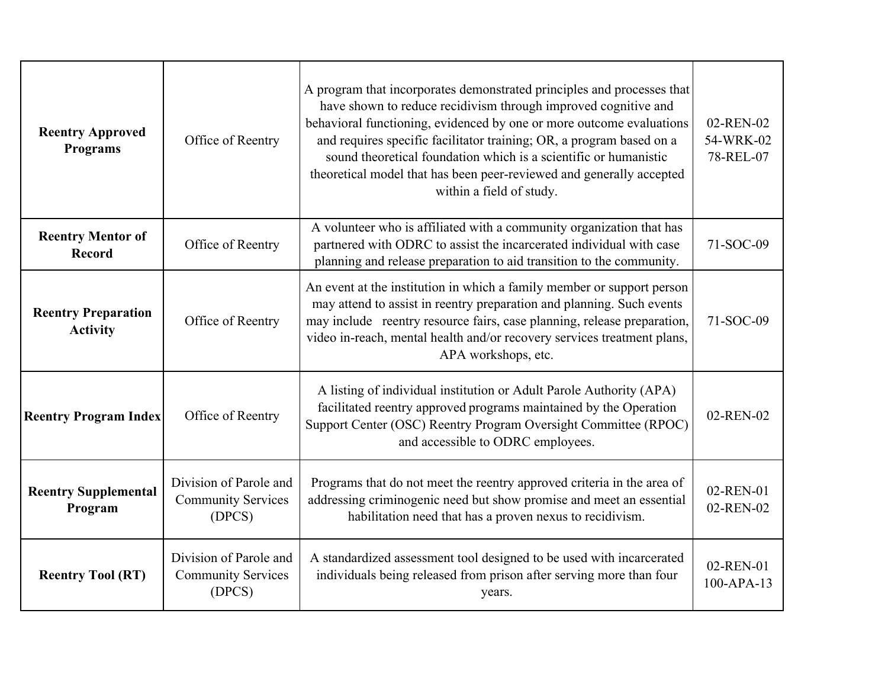| <b>Reentry Approved</b><br><b>Programs</b>    | Office of Reentry                                             | A program that incorporates demonstrated principles and processes that<br>have shown to reduce recidivism through improved cognitive and<br>behavioral functioning, evidenced by one or more outcome evaluations<br>and requires specific facilitator training; OR, a program based on a<br>sound theoretical foundation which is a scientific or humanistic<br>theoretical model that has been peer-reviewed and generally accepted<br>within a field of study. | 02-REN-02<br>54-WRK-02<br>78-REL-07 |
|-----------------------------------------------|---------------------------------------------------------------|------------------------------------------------------------------------------------------------------------------------------------------------------------------------------------------------------------------------------------------------------------------------------------------------------------------------------------------------------------------------------------------------------------------------------------------------------------------|-------------------------------------|
| <b>Reentry Mentor of</b><br><b>Record</b>     | Office of Reentry                                             | A volunteer who is affiliated with a community organization that has<br>partnered with ODRC to assist the incarcerated individual with case<br>planning and release preparation to aid transition to the community.                                                                                                                                                                                                                                              | 71-SOC-09                           |
| <b>Reentry Preparation</b><br><b>Activity</b> | Office of Reentry                                             | An event at the institution in which a family member or support person<br>may attend to assist in reentry preparation and planning. Such events<br>may include reentry resource fairs, case planning, release preparation,<br>video in-reach, mental health and/or recovery services treatment plans,<br>APA workshops, etc.                                                                                                                                     | 71-SOC-09                           |
| <b>Reentry Program Index</b>                  | Office of Reentry                                             | A listing of individual institution or Adult Parole Authority (APA)<br>facilitated reentry approved programs maintained by the Operation<br>Support Center (OSC) Reentry Program Oversight Committee (RPOC)<br>and accessible to ODRC employees.                                                                                                                                                                                                                 | 02-REN-02                           |
| <b>Reentry Supplemental</b><br>Program        | Division of Parole and<br><b>Community Services</b><br>(DPCS) | Programs that do not meet the reentry approved criteria in the area of<br>addressing criminogenic need but show promise and meet an essential<br>habilitation need that has a proven nexus to recidivism.                                                                                                                                                                                                                                                        | 02-REN-01<br>02-REN-02              |
| <b>Reentry Tool (RT)</b>                      | Division of Parole and<br><b>Community Services</b><br>(DPCS) | A standardized assessment tool designed to be used with incarcerated<br>individuals being released from prison after serving more than four<br>years.                                                                                                                                                                                                                                                                                                            | 02-REN-01<br>100-APA-13             |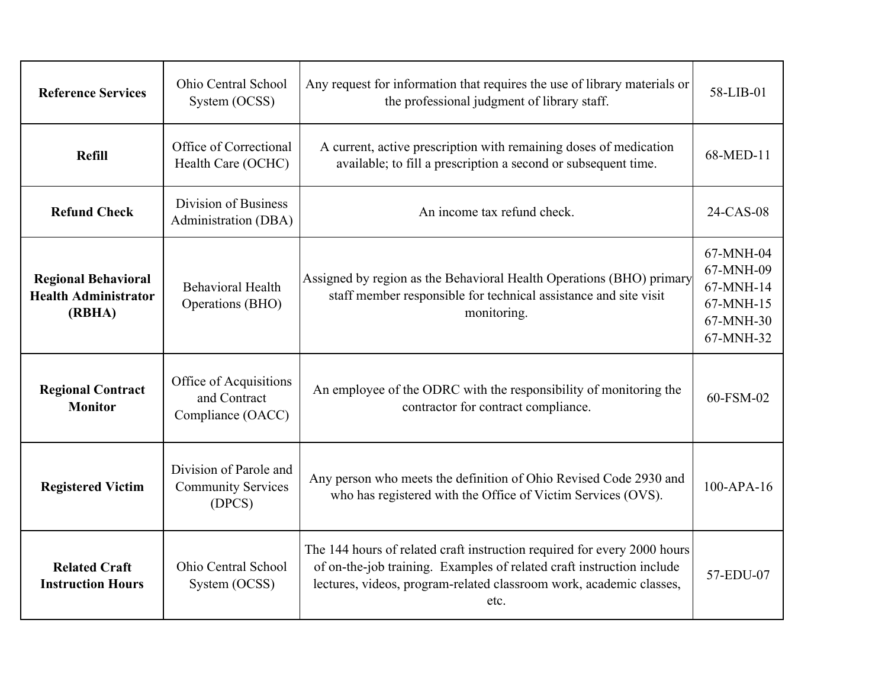| <b>Reference Services</b>                                           | Ohio Central School<br>System (OCSS)                          | Any request for information that requires the use of library materials or<br>the professional judgment of library staff.                                                                                                         | 58-LIB-01                                                                  |
|---------------------------------------------------------------------|---------------------------------------------------------------|----------------------------------------------------------------------------------------------------------------------------------------------------------------------------------------------------------------------------------|----------------------------------------------------------------------------|
| <b>Refill</b>                                                       | Office of Correctional<br>Health Care (OCHC)                  | A current, active prescription with remaining doses of medication<br>available; to fill a prescription a second or subsequent time.                                                                                              | 68-MED-11                                                                  |
| <b>Refund Check</b>                                                 | Division of Business<br>Administration (DBA)                  | An income tax refund check.                                                                                                                                                                                                      | 24-CAS-08                                                                  |
| <b>Regional Behavioral</b><br><b>Health Administrator</b><br>(RBHA) | <b>Behavioral Health</b><br>Operations (BHO)                  | Assigned by region as the Behavioral Health Operations (BHO) primary<br>staff member responsible for technical assistance and site visit<br>monitoring.                                                                          | 67-MNH-04<br>67-MNH-09<br>67-MNH-14<br>67-MNH-15<br>67-MNH-30<br>67-MNH-32 |
| <b>Regional Contract</b><br><b>Monitor</b>                          | Office of Acquisitions<br>and Contract<br>Compliance (OACC)   | An employee of the ODRC with the responsibility of monitoring the<br>contractor for contract compliance.                                                                                                                         | 60-FSM-02                                                                  |
| <b>Registered Victim</b>                                            | Division of Parole and<br><b>Community Services</b><br>(DPCS) | Any person who meets the definition of Ohio Revised Code 2930 and<br>who has registered with the Office of Victim Services (OVS).                                                                                                | $100-APA-16$                                                               |
| <b>Related Craft</b><br><b>Instruction Hours</b>                    | Ohio Central School<br>System (OCSS)                          | The 144 hours of related craft instruction required for every 2000 hours<br>of on-the-job training. Examples of related craft instruction include<br>lectures, videos, program-related classroom work, academic classes,<br>etc. | 57-EDU-07                                                                  |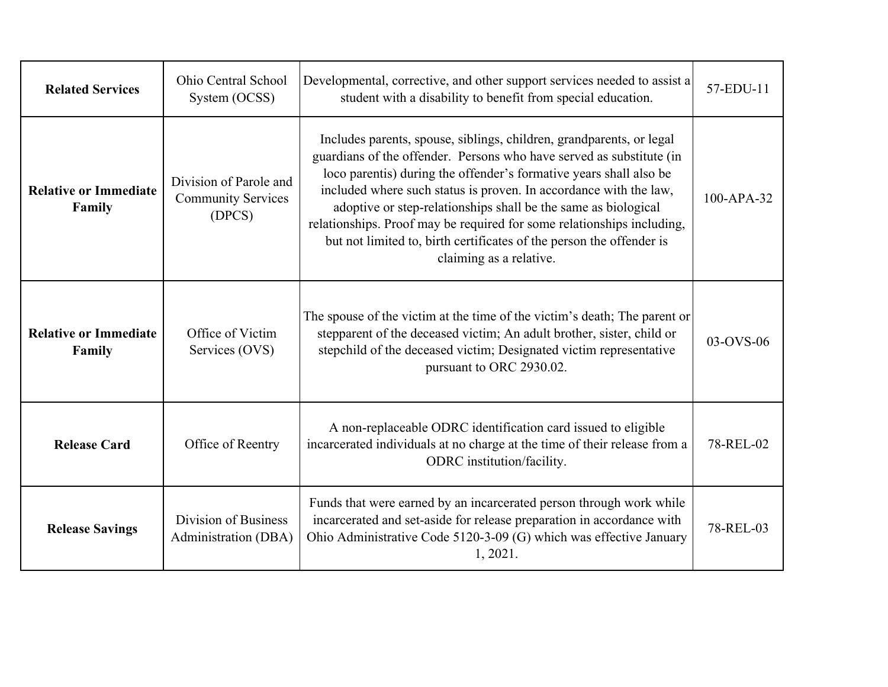| <b>Related Services</b>                | Ohio Central School<br>System (OCSS)                          | Developmental, corrective, and other support services needed to assist a<br>student with a disability to benefit from special education.                                                                                                                                                                                                                                                                                                                                                                                               | 57-EDU-11  |
|----------------------------------------|---------------------------------------------------------------|----------------------------------------------------------------------------------------------------------------------------------------------------------------------------------------------------------------------------------------------------------------------------------------------------------------------------------------------------------------------------------------------------------------------------------------------------------------------------------------------------------------------------------------|------------|
| <b>Relative or Immediate</b><br>Family | Division of Parole and<br><b>Community Services</b><br>(DPCS) | Includes parents, spouse, siblings, children, grandparents, or legal<br>guardians of the offender. Persons who have served as substitute (in<br>loco parentis) during the offender's formative years shall also be<br>included where such status is proven. In accordance with the law,<br>adoptive or step-relationships shall be the same as biological<br>relationships. Proof may be required for some relationships including,<br>but not limited to, birth certificates of the person the offender is<br>claiming as a relative. | 100-APA-32 |
| <b>Relative or Immediate</b><br>Family | Office of Victim<br>Services (OVS)                            | The spouse of the victim at the time of the victim's death; The parent or<br>stepparent of the deceased victim; An adult brother, sister, child or<br>stepchild of the deceased victim; Designated victim representative<br>pursuant to ORC 2930.02.                                                                                                                                                                                                                                                                                   | 03-OVS-06  |
| <b>Release Card</b>                    | Office of Reentry                                             | A non-replaceable ODRC identification card issued to eligible<br>incarcerated individuals at no charge at the time of their release from a<br>ODRC institution/facility.                                                                                                                                                                                                                                                                                                                                                               | 78-REL-02  |
| <b>Release Savings</b>                 | Division of Business<br>Administration (DBA)                  | Funds that were earned by an incarcerated person through work while<br>incarcerated and set-aside for release preparation in accordance with<br>Ohio Administrative Code 5120-3-09 (G) which was effective January<br>1, 2021.                                                                                                                                                                                                                                                                                                         | 78-REL-03  |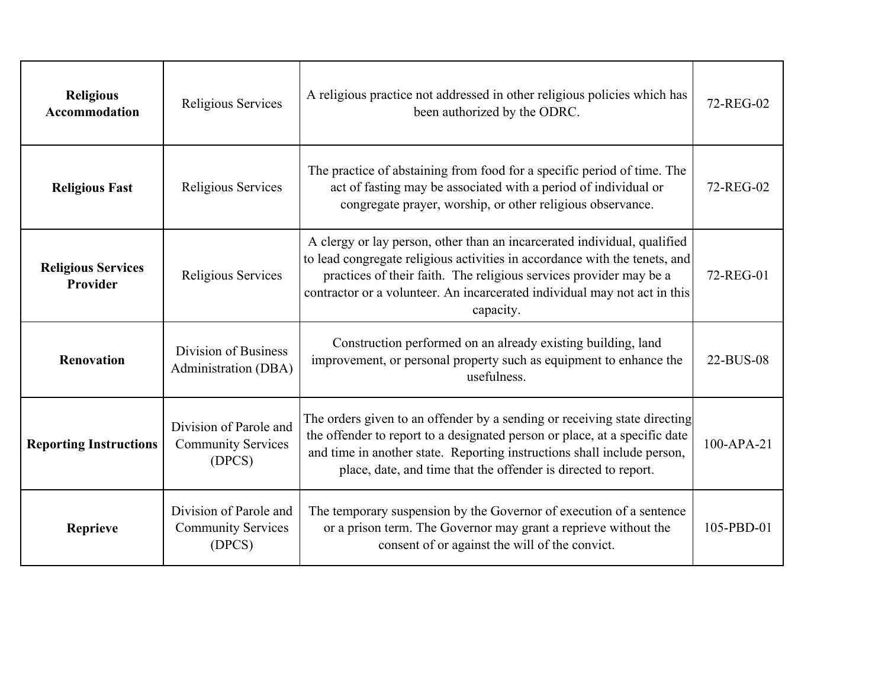| <b>Religious</b><br><b>Accommodation</b> | Religious Services                                            | A religious practice not addressed in other religious policies which has<br>been authorized by the ODRC.                                                                                                                                                                                                               | 72-REG-02  |
|------------------------------------------|---------------------------------------------------------------|------------------------------------------------------------------------------------------------------------------------------------------------------------------------------------------------------------------------------------------------------------------------------------------------------------------------|------------|
| <b>Religious Fast</b>                    | Religious Services                                            | The practice of abstaining from food for a specific period of time. The<br>act of fasting may be associated with a period of individual or<br>congregate prayer, worship, or other religious observance.                                                                                                               | 72-REG-02  |
| <b>Religious Services</b><br>Provider    | Religious Services                                            | A clergy or lay person, other than an incarcerated individual, qualified<br>to lead congregate religious activities in accordance with the tenets, and<br>practices of their faith. The religious services provider may be a<br>contractor or a volunteer. An incarcerated individual may not act in this<br>capacity. | 72-REG-01  |
| Renovation                               | Division of Business<br>Administration (DBA)                  | Construction performed on an already existing building, land<br>improvement, or personal property such as equipment to enhance the<br>usefulness.                                                                                                                                                                      | 22-BUS-08  |
| <b>Reporting Instructions</b>            | Division of Parole and<br><b>Community Services</b><br>(DPCS) | The orders given to an offender by a sending or receiving state directing<br>the offender to report to a designated person or place, at a specific date<br>and time in another state. Reporting instructions shall include person,<br>place, date, and time that the offender is directed to report.                   | 100-APA-21 |
| <b>Reprieve</b>                          | Division of Parole and<br><b>Community Services</b><br>(DPCS) | The temporary suspension by the Governor of execution of a sentence<br>or a prison term. The Governor may grant a reprieve without the<br>consent of or against the will of the convict.                                                                                                                               | 105-PBD-01 |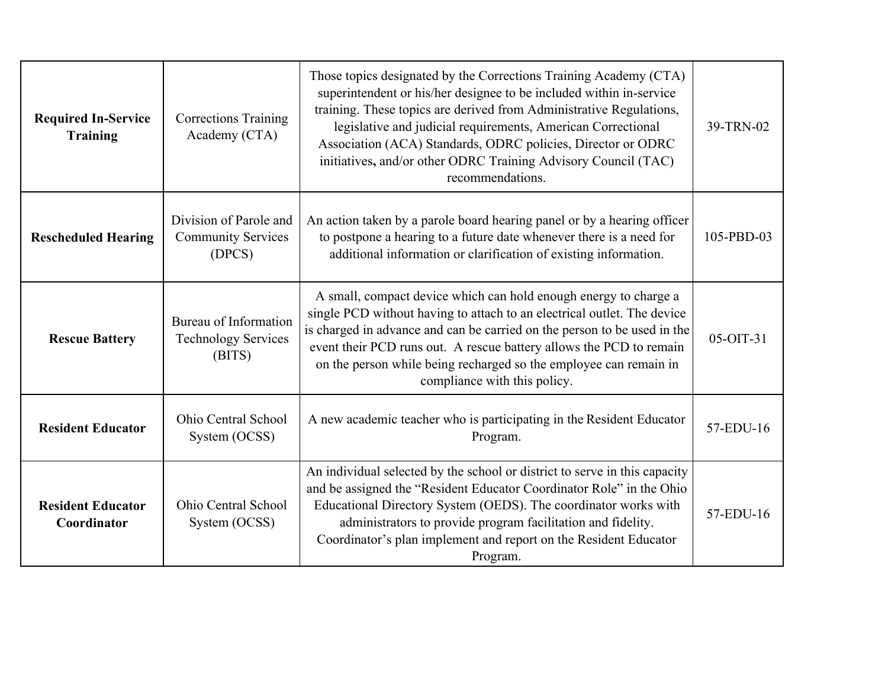| <b>Required In-Service</b><br><b>Training</b> | <b>Corrections Training</b><br>Academy (CTA)                  | Those topics designated by the Corrections Training Academy (CTA)<br>superintendent or his/her designee to be included within in-service<br>training. These topics are derived from Administrative Regulations,<br>legislative and judicial requirements, American Correctional<br>Association (ACA) Standards, ODRC policies, Director or ODRC<br>initiatives, and/or other ODRC Training Advisory Council (TAC)<br>recommendations. | 39-TRN-02  |
|-----------------------------------------------|---------------------------------------------------------------|---------------------------------------------------------------------------------------------------------------------------------------------------------------------------------------------------------------------------------------------------------------------------------------------------------------------------------------------------------------------------------------------------------------------------------------|------------|
| <b>Rescheduled Hearing</b>                    | Division of Parole and<br><b>Community Services</b><br>(DPCS) | An action taken by a parole board hearing panel or by a hearing officer<br>to postpone a hearing to a future date whenever there is a need for<br>additional information or clarification of existing information.                                                                                                                                                                                                                    | 105-PBD-03 |
| <b>Rescue Battery</b>                         | Bureau of Information<br><b>Technology Services</b><br>(BITS) | A small, compact device which can hold enough energy to charge a<br>single PCD without having to attach to an electrical outlet. The device<br>is charged in advance and can be carried on the person to be used in the<br>event their PCD runs out. A rescue battery allows the PCD to remain<br>on the person while being recharged so the employee can remain in<br>compliance with this policy.                                   | 05-OIT-31  |
| <b>Resident Educator</b>                      | Ohio Central School<br>System (OCSS)                          | A new academic teacher who is participating in the Resident Educator<br>Program.                                                                                                                                                                                                                                                                                                                                                      | 57-EDU-16  |
| <b>Resident Educator</b><br>Coordinator       | Ohio Central School<br>System (OCSS)                          | An individual selected by the school or district to serve in this capacity<br>and be assigned the "Resident Educator Coordinator Role" in the Ohio<br>Educational Directory System (OEDS). The coordinator works with<br>administrators to provide program facilitation and fidelity.<br>Coordinator's plan implement and report on the Resident Educator<br>Program.                                                                 | 57-EDU-16  |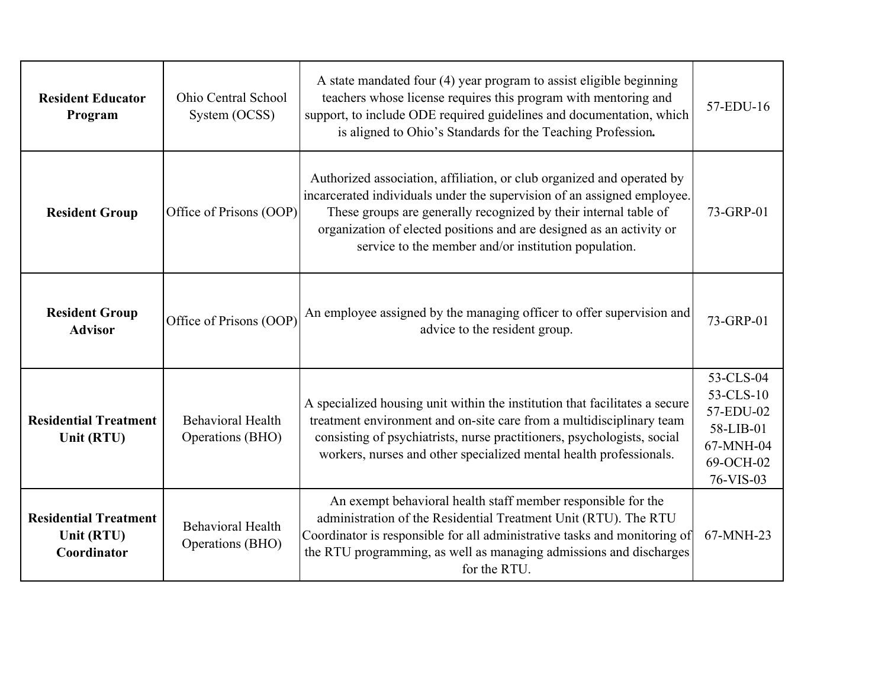| <b>Resident Educator</b><br>Program                       | Ohio Central School<br>System (OCSS)         | A state mandated four (4) year program to assist eligible beginning<br>teachers whose license requires this program with mentoring and<br>support, to include ODE required guidelines and documentation, which<br>is aligned to Ohio's Standards for the Teaching Profession.                                                                         | 57-EDU-16                                                                               |
|-----------------------------------------------------------|----------------------------------------------|-------------------------------------------------------------------------------------------------------------------------------------------------------------------------------------------------------------------------------------------------------------------------------------------------------------------------------------------------------|-----------------------------------------------------------------------------------------|
| <b>Resident Group</b>                                     | Office of Prisons (OOP)                      | Authorized association, affiliation, or club organized and operated by<br>incarcerated individuals under the supervision of an assigned employee.<br>These groups are generally recognized by their internal table of<br>organization of elected positions and are designed as an activity or<br>service to the member and/or institution population. | 73-GRP-01                                                                               |
| <b>Resident Group</b><br><b>Advisor</b>                   | Office of Prisons (OOP)                      | An employee assigned by the managing officer to offer supervision and<br>advice to the resident group.                                                                                                                                                                                                                                                | 73-GRP-01                                                                               |
| <b>Residential Treatment</b><br>Unit (RTU)                | <b>Behavioral Health</b><br>Operations (BHO) | A specialized housing unit within the institution that facilitates a secure<br>treatment environment and on-site care from a multidisciplinary team<br>consisting of psychiatrists, nurse practitioners, psychologists, social<br>workers, nurses and other specialized mental health professionals.                                                  | 53-CLS-04<br>53-CLS-10<br>57-EDU-02<br>58-LIB-01<br>67-MNH-04<br>69-OCH-02<br>76-VIS-03 |
| <b>Residential Treatment</b><br>Unit (RTU)<br>Coordinator | <b>Behavioral Health</b><br>Operations (BHO) | An exempt behavioral health staff member responsible for the<br>administration of the Residential Treatment Unit (RTU). The RTU<br>Coordinator is responsible for all administrative tasks and monitoring of<br>the RTU programming, as well as managing admissions and discharges<br>for the RTU.                                                    | 67-MNH-23                                                                               |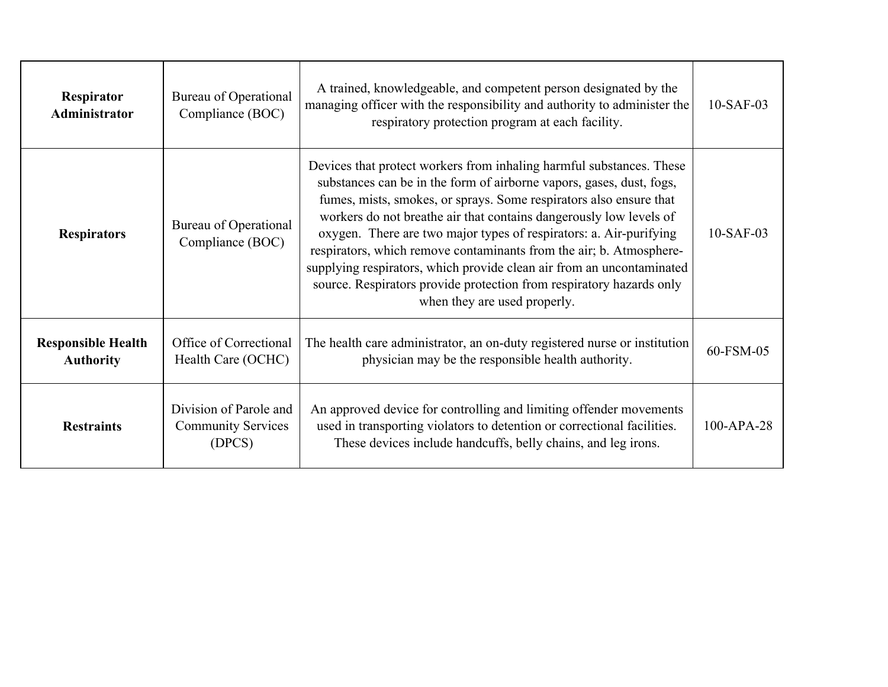| <b>Respirator</b><br>Administrator            | Bureau of Operational<br>Compliance (BOC)                     | A trained, knowledgeable, and competent person designated by the<br>managing officer with the responsibility and authority to administer the<br>respiratory protection program at each facility.                                                                                                                                                                                                                                                                                                                                                                                                                       | $10-SAF-03$      |
|-----------------------------------------------|---------------------------------------------------------------|------------------------------------------------------------------------------------------------------------------------------------------------------------------------------------------------------------------------------------------------------------------------------------------------------------------------------------------------------------------------------------------------------------------------------------------------------------------------------------------------------------------------------------------------------------------------------------------------------------------------|------------------|
| <b>Respirators</b>                            | Bureau of Operational<br>Compliance (BOC)                     | Devices that protect workers from inhaling harmful substances. These<br>substances can be in the form of airborne vapors, gases, dust, fogs,<br>fumes, mists, smokes, or sprays. Some respirators also ensure that<br>workers do not breathe air that contains dangerously low levels of<br>oxygen. There are two major types of respirators: a. Air-purifying<br>respirators, which remove contaminants from the air; b. Atmosphere-<br>supplying respirators, which provide clean air from an uncontaminated<br>source. Respirators provide protection from respiratory hazards only<br>when they are used properly. | $10-SAF-03$      |
| <b>Responsible Health</b><br><b>Authority</b> | Office of Correctional<br>Health Care (OCHC)                  | The health care administrator, an on-duty registered nurse or institution<br>physician may be the responsible health authority.                                                                                                                                                                                                                                                                                                                                                                                                                                                                                        | 60-FSM-05        |
| <b>Restraints</b>                             | Division of Parole and<br><b>Community Services</b><br>(DPCS) | An approved device for controlling and limiting offender movements<br>used in transporting violators to detention or correctional facilities.<br>These devices include handcuffs, belly chains, and leg irons.                                                                                                                                                                                                                                                                                                                                                                                                         | $100 - APA - 28$ |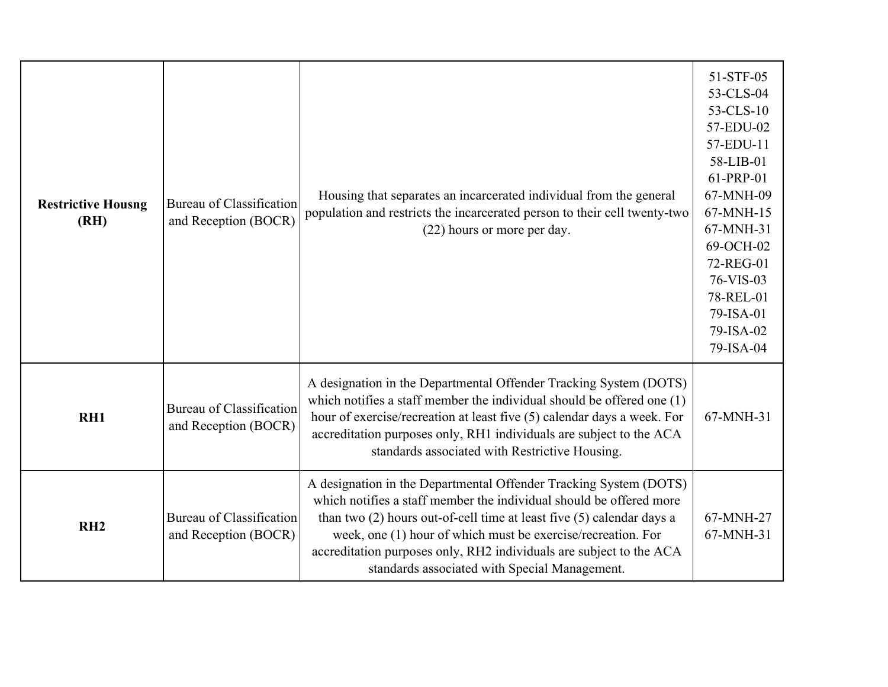| <b>Restrictive Housng</b><br>(RH) | <b>Bureau of Classification</b><br>and Reception (BOCR) | Housing that separates an incarcerated individual from the general<br>population and restricts the incarcerated person to their cell twenty-two<br>(22) hours or more per day.                                                                                                                                                                                                                                | 51-STF-05<br>53-CLS-04<br>53-CLS-10<br>57-EDU-02<br>57-EDU-11<br>58-LIB-01<br>61-PRP-01<br>67-MNH-09<br>67-MNH-15<br>67-MNH-31<br>69-OCH-02<br>72-REG-01<br>76-VIS-03<br>78-REL-01<br>79-ISA-01<br>79-ISA-02<br>79-ISA-04 |
|-----------------------------------|---------------------------------------------------------|---------------------------------------------------------------------------------------------------------------------------------------------------------------------------------------------------------------------------------------------------------------------------------------------------------------------------------------------------------------------------------------------------------------|---------------------------------------------------------------------------------------------------------------------------------------------------------------------------------------------------------------------------|
| RH <sub>1</sub>                   | <b>Bureau of Classification</b><br>and Reception (BOCR) | A designation in the Departmental Offender Tracking System (DOTS)<br>which notifies a staff member the individual should be offered one (1)<br>hour of exercise/recreation at least five (5) calendar days a week. For<br>accreditation purposes only, RH1 individuals are subject to the ACA<br>standards associated with Restrictive Housing.                                                               | 67-MNH-31                                                                                                                                                                                                                 |
| R <sub>H2</sub>                   | Bureau of Classification<br>and Reception (BOCR)        | A designation in the Departmental Offender Tracking System (DOTS)<br>which notifies a staff member the individual should be offered more<br>than two $(2)$ hours out-of-cell time at least five $(5)$ calendar days a<br>week, one (1) hour of which must be exercise/recreation. For<br>accreditation purposes only, RH2 individuals are subject to the ACA<br>standards associated with Special Management. | 67-MNH-27<br>67-MNH-31                                                                                                                                                                                                    |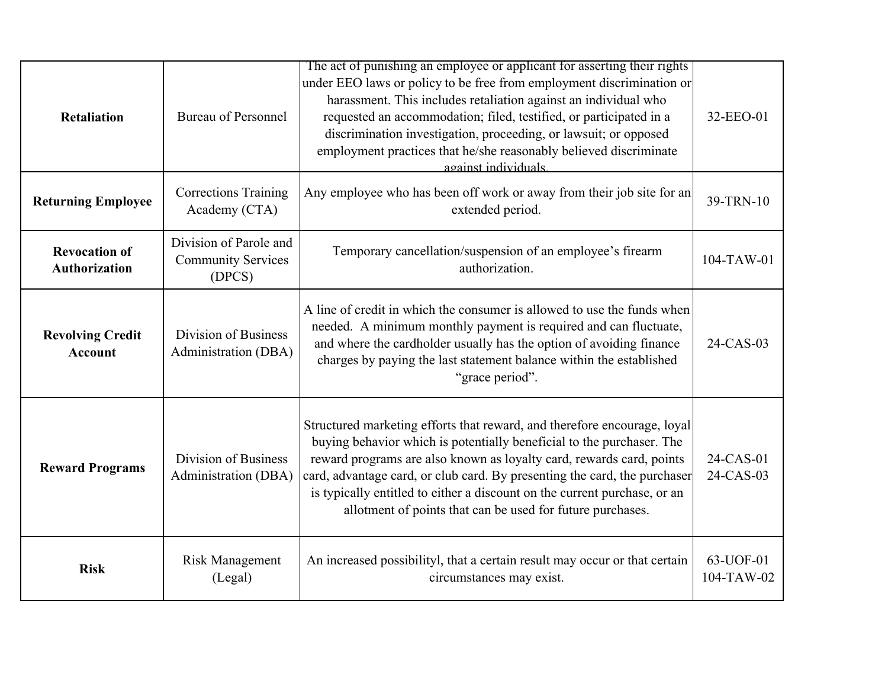| <b>Retaliation</b>                        | <b>Bureau of Personnel</b>                                    | The act of punishing an employee or applicant for asserting their rights<br>under EEO laws or policy to be free from employment discrimination or<br>harassment. This includes retaliation against an individual who<br>requested an accommodation; filed, testified, or participated in a<br>discrimination investigation, proceeding, or lawsuit; or opposed<br>employment practices that he/she reasonably believed discriminate<br>against individuals | 32-EEO-01               |
|-------------------------------------------|---------------------------------------------------------------|------------------------------------------------------------------------------------------------------------------------------------------------------------------------------------------------------------------------------------------------------------------------------------------------------------------------------------------------------------------------------------------------------------------------------------------------------------|-------------------------|
| <b>Returning Employee</b>                 | <b>Corrections Training</b><br>Academy (CTA)                  | Any employee who has been off work or away from their job site for an<br>extended period.                                                                                                                                                                                                                                                                                                                                                                  | 39-TRN-10               |
| <b>Revocation of</b><br>Authorization     | Division of Parole and<br><b>Community Services</b><br>(DPCS) | Temporary cancellation/suspension of an employee's firearm<br>authorization.                                                                                                                                                                                                                                                                                                                                                                               | 104-TAW-01              |
| <b>Revolving Credit</b><br><b>Account</b> | Division of Business<br>Administration (DBA)                  | A line of credit in which the consumer is allowed to use the funds when<br>needed. A minimum monthly payment is required and can fluctuate,<br>and where the cardholder usually has the option of avoiding finance<br>charges by paying the last statement balance within the established<br>"grace period".                                                                                                                                               | 24-CAS-03               |
| <b>Reward Programs</b>                    | Division of Business<br>Administration (DBA)                  | Structured marketing efforts that reward, and therefore encourage, loyal<br>buying behavior which is potentially beneficial to the purchaser. The<br>reward programs are also known as loyalty card, rewards card, points<br>card, advantage card, or club card. By presenting the card, the purchaser<br>is typically entitled to either a discount on the current purchase, or an<br>allotment of points that can be used for future purchases.          | 24-CAS-01<br>24-CAS-03  |
| <b>Risk</b>                               | <b>Risk Management</b><br>(Legal)                             | An increased possibilityl, that a certain result may occur or that certain<br>circumstances may exist.                                                                                                                                                                                                                                                                                                                                                     | 63-UOF-01<br>104-TAW-02 |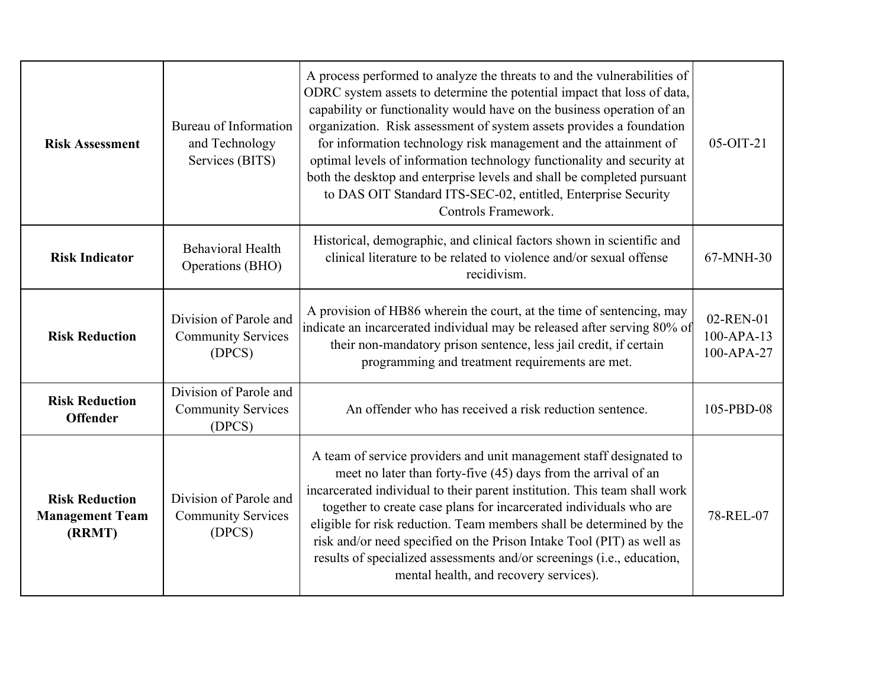| <b>Risk Assessment</b>                                    | Bureau of Information<br>and Technology<br>Services (BITS)    | A process performed to analyze the threats to and the vulnerabilities of<br>ODRC system assets to determine the potential impact that loss of data,<br>capability or functionality would have on the business operation of an<br>organization. Risk assessment of system assets provides a foundation<br>for information technology risk management and the attainment of<br>optimal levels of information technology functionality and security at<br>both the desktop and enterprise levels and shall be completed pursuant<br>to DAS OIT Standard ITS-SEC-02, entitled, Enterprise Security<br>Controls Framework. | $05-OIT-21$                           |
|-----------------------------------------------------------|---------------------------------------------------------------|-----------------------------------------------------------------------------------------------------------------------------------------------------------------------------------------------------------------------------------------------------------------------------------------------------------------------------------------------------------------------------------------------------------------------------------------------------------------------------------------------------------------------------------------------------------------------------------------------------------------------|---------------------------------------|
| <b>Risk Indicator</b>                                     | <b>Behavioral Health</b><br>Operations (BHO)                  | Historical, demographic, and clinical factors shown in scientific and<br>clinical literature to be related to violence and/or sexual offense<br>recidivism.                                                                                                                                                                                                                                                                                                                                                                                                                                                           | 67-MNH-30                             |
| <b>Risk Reduction</b>                                     | Division of Parole and<br><b>Community Services</b><br>(DPCS) | A provision of HB86 wherein the court, at the time of sentencing, may<br>indicate an incarcerated individual may be released after serving 80% of<br>their non-mandatory prison sentence, less jail credit, if certain<br>programming and treatment requirements are met.                                                                                                                                                                                                                                                                                                                                             | 02-REN-01<br>100-APA-13<br>100-APA-27 |
| <b>Risk Reduction</b><br><b>Offender</b>                  | Division of Parole and<br><b>Community Services</b><br>(DPCS) | An offender who has received a risk reduction sentence.                                                                                                                                                                                                                                                                                                                                                                                                                                                                                                                                                               | 105-PBD-08                            |
| <b>Risk Reduction</b><br><b>Management Team</b><br>(RRMT) | Division of Parole and<br><b>Community Services</b><br>(DPCS) | A team of service providers and unit management staff designated to<br>meet no later than forty-five (45) days from the arrival of an<br>incarcerated individual to their parent institution. This team shall work<br>together to create case plans for incarcerated individuals who are<br>eligible for risk reduction. Team members shall be determined by the<br>risk and/or need specified on the Prison Intake Tool (PIT) as well as<br>results of specialized assessments and/or screenings (i.e., education,<br>mental health, and recovery services).                                                         | 78-REL-07                             |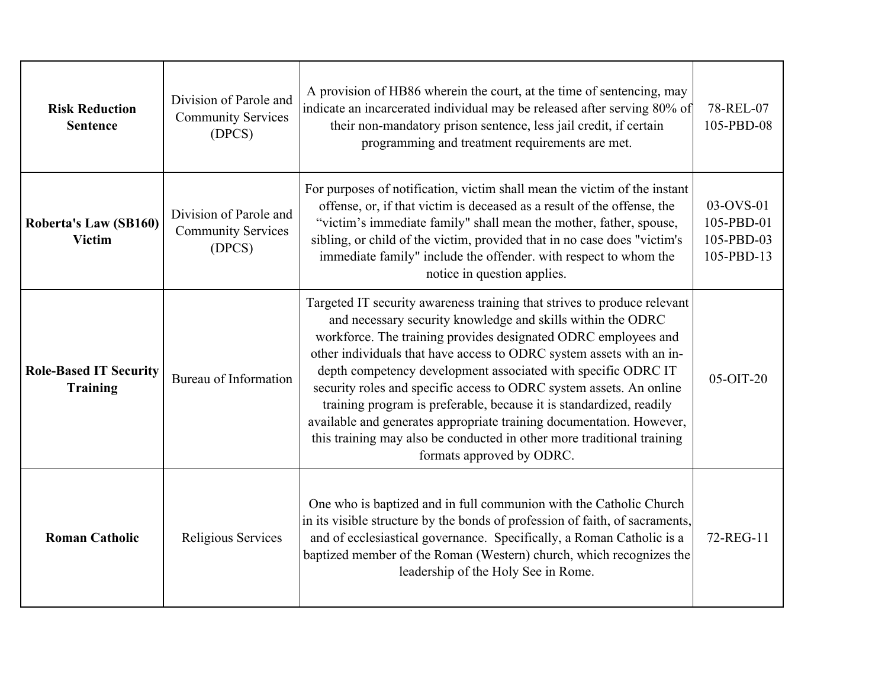| <b>Risk Reduction</b><br><b>Sentence</b>         | Division of Parole and<br><b>Community Services</b><br>(DPCS) | A provision of HB86 wherein the court, at the time of sentencing, may<br>indicate an incarcerated individual may be released after serving 80% of<br>their non-mandatory prison sentence, less jail credit, if certain<br>programming and treatment requirements are met.                                                                                                                                                                                                                                                                                                                                                                                                       | 78-REL-07<br>105-PBD-08                               |
|--------------------------------------------------|---------------------------------------------------------------|---------------------------------------------------------------------------------------------------------------------------------------------------------------------------------------------------------------------------------------------------------------------------------------------------------------------------------------------------------------------------------------------------------------------------------------------------------------------------------------------------------------------------------------------------------------------------------------------------------------------------------------------------------------------------------|-------------------------------------------------------|
| Roberta's Law (SB160)<br><b>Victim</b>           | Division of Parole and<br><b>Community Services</b><br>(DPCS) | For purposes of notification, victim shall mean the victim of the instant<br>offense, or, if that victim is deceased as a result of the offense, the<br>"victim's immediate family" shall mean the mother, father, spouse,<br>sibling, or child of the victim, provided that in no case does "victim's<br>immediate family" include the offender. with respect to whom the<br>notice in question applies.                                                                                                                                                                                                                                                                       | $03-OVS-01$<br>105-PBD-01<br>105-PBD-03<br>105-PBD-13 |
| <b>Role-Based IT Security</b><br><b>Training</b> | Bureau of Information                                         | Targeted IT security awareness training that strives to produce relevant<br>and necessary security knowledge and skills within the ODRC<br>workforce. The training provides designated ODRC employees and<br>other individuals that have access to ODRC system assets with an in-<br>depth competency development associated with specific ODRC IT<br>security roles and specific access to ODRC system assets. An online<br>training program is preferable, because it is standardized, readily<br>available and generates appropriate training documentation. However,<br>this training may also be conducted in other more traditional training<br>formats approved by ODRC. | $05-$ OIT $-20$                                       |
| <b>Roman Catholic</b>                            | Religious Services                                            | One who is baptized and in full communion with the Catholic Church<br>in its visible structure by the bonds of profession of faith, of sacraments,<br>and of ecclesiastical governance. Specifically, a Roman Catholic is a<br>baptized member of the Roman (Western) church, which recognizes the<br>leadership of the Holy See in Rome.                                                                                                                                                                                                                                                                                                                                       | 72-REG-11                                             |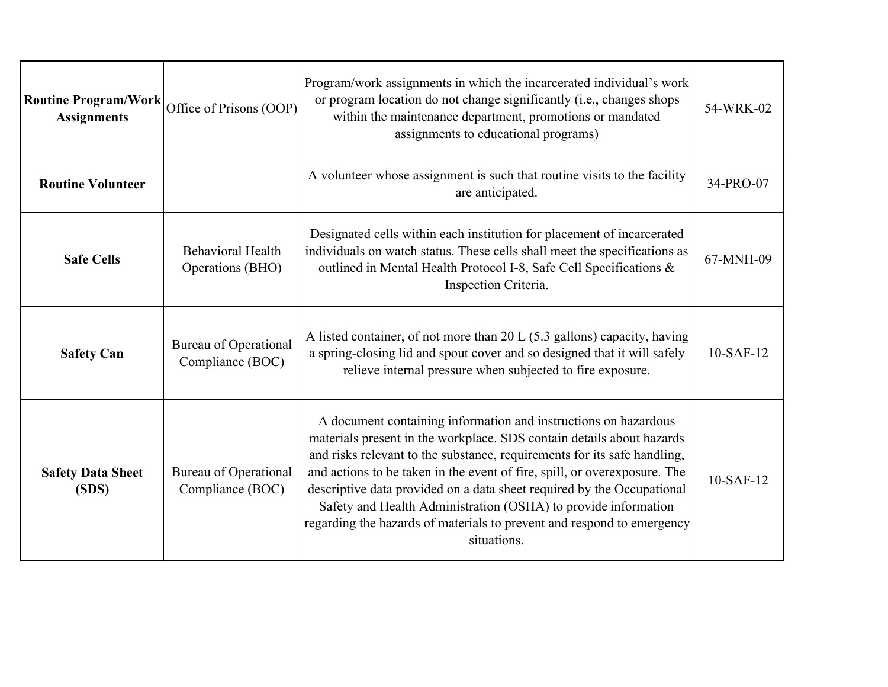| <b>Routine Program/Work</b><br><b>Assignments</b> | Office of Prisons (OOP)                          | Program/work assignments in which the incarcerated individual's work<br>or program location do not change significantly (i.e., changes shops<br>within the maintenance department, promotions or mandated<br>assignments to educational programs)                                                                                                                                                                                                                                                                                      | 54-WRK-02   |
|---------------------------------------------------|--------------------------------------------------|----------------------------------------------------------------------------------------------------------------------------------------------------------------------------------------------------------------------------------------------------------------------------------------------------------------------------------------------------------------------------------------------------------------------------------------------------------------------------------------------------------------------------------------|-------------|
| <b>Routine Volunteer</b>                          |                                                  | A volunteer whose assignment is such that routine visits to the facility<br>are anticipated.                                                                                                                                                                                                                                                                                                                                                                                                                                           | 34-PRO-07   |
| <b>Safe Cells</b>                                 | <b>Behavioral Health</b><br>Operations (BHO)     | Designated cells within each institution for placement of incarcerated<br>individuals on watch status. These cells shall meet the specifications as<br>outlined in Mental Health Protocol I-8, Safe Cell Specifications &<br>Inspection Criteria.                                                                                                                                                                                                                                                                                      | 67-MNH-09   |
| <b>Safety Can</b>                                 | <b>Bureau of Operational</b><br>Compliance (BOC) | A listed container, of not more than 20 L (5.3 gallons) capacity, having<br>a spring-closing lid and spout cover and so designed that it will safely<br>relieve internal pressure when subjected to fire exposure.                                                                                                                                                                                                                                                                                                                     | $10-SAF-12$ |
| <b>Safety Data Sheet</b><br>(SDS)                 | <b>Bureau of Operational</b><br>Compliance (BOC) | A document containing information and instructions on hazardous<br>materials present in the workplace. SDS contain details about hazards<br>and risks relevant to the substance, requirements for its safe handling,<br>and actions to be taken in the event of fire, spill, or overexposure. The<br>descriptive data provided on a data sheet required by the Occupational<br>Safety and Health Administration (OSHA) to provide information<br>regarding the hazards of materials to prevent and respond to emergency<br>situations. | 10-SAF-12   |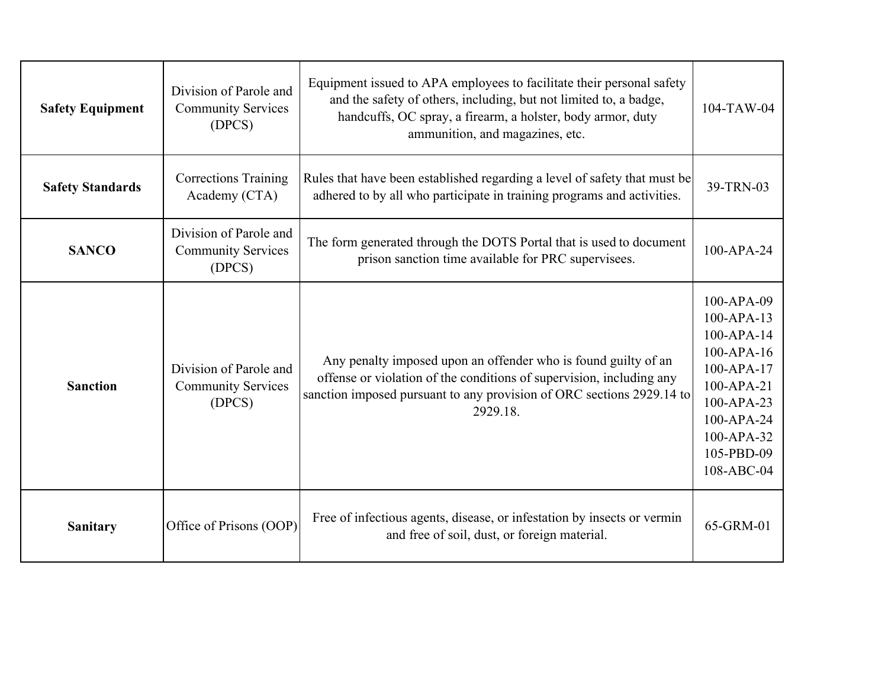| <b>Safety Equipment</b> | Division of Parole and<br><b>Community Services</b><br>(DPCS) | Equipment issued to APA employees to facilitate their personal safety<br>and the safety of others, including, but not limited to, a badge,<br>handcuffs, OC spray, a firearm, a holster, body armor, duty<br>ammunition, and magazines, etc. | 104-TAW-04                                                                                                                                                       |
|-------------------------|---------------------------------------------------------------|----------------------------------------------------------------------------------------------------------------------------------------------------------------------------------------------------------------------------------------------|------------------------------------------------------------------------------------------------------------------------------------------------------------------|
| <b>Safety Standards</b> | <b>Corrections Training</b><br>Academy (CTA)                  | Rules that have been established regarding a level of safety that must be<br>adhered to by all who participate in training programs and activities.                                                                                          | 39-TRN-03                                                                                                                                                        |
| <b>SANCO</b>            | Division of Parole and<br><b>Community Services</b><br>(DPCS) | The form generated through the DOTS Portal that is used to document<br>prison sanction time available for PRC supervisees.                                                                                                                   | 100-APA-24                                                                                                                                                       |
| <b>Sanction</b>         | Division of Parole and<br><b>Community Services</b><br>(DPCS) | Any penalty imposed upon an offender who is found guilty of an<br>offense or violation of the conditions of supervision, including any<br>sanction imposed pursuant to any provision of ORC sections 2929.14 to<br>2929.18.                  | 100-APA-09<br>$100-APA-13$<br>$100-APA-14$<br>$100 - APA - 16$<br>100-APA-17<br>100-APA-21<br>100-APA-23<br>100-APA-24<br>100-APA-32<br>105-PBD-09<br>108-ABC-04 |
| Sanitary                | Office of Prisons (OOP)                                       | Free of infectious agents, disease, or infestation by insects or vermin<br>and free of soil, dust, or foreign material.                                                                                                                      | 65-GRM-01                                                                                                                                                        |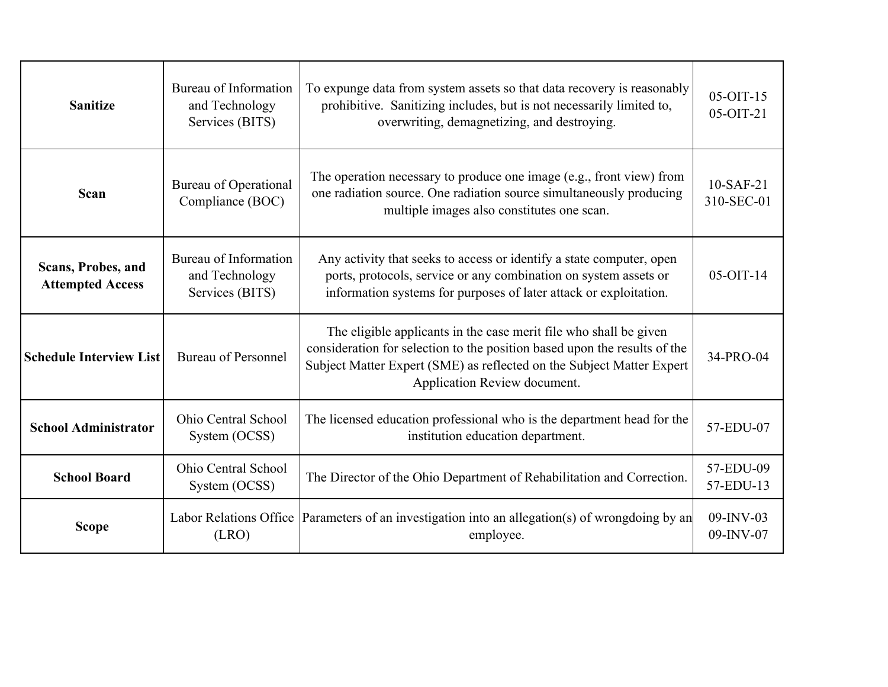| <b>Sanitize</b>                               | Bureau of Information<br>and Technology<br>Services (BITS) | To expunge data from system assets so that data recovery is reasonably<br>prohibitive. Sanitizing includes, but is not necessarily limited to,<br>overwriting, demagnetizing, and destroying.                                                           | 05-OIT-15<br>05-OIT-21    |
|-----------------------------------------------|------------------------------------------------------------|---------------------------------------------------------------------------------------------------------------------------------------------------------------------------------------------------------------------------------------------------------|---------------------------|
| Scan                                          | <b>Bureau of Operational</b><br>Compliance (BOC)           | The operation necessary to produce one image (e.g., front view) from<br>one radiation source. One radiation source simultaneously producing<br>multiple images also constitutes one scan.                                                               | $10-SAF-21$<br>310-SEC-01 |
| Scans, Probes, and<br><b>Attempted Access</b> | Bureau of Information<br>and Technology<br>Services (BITS) | Any activity that seeks to access or identify a state computer, open<br>ports, protocols, service or any combination on system assets or<br>information systems for purposes of later attack or exploitation.                                           | $05-OIT-14$               |
| <b>Schedule Interview List</b>                | <b>Bureau of Personnel</b>                                 | The eligible applicants in the case merit file who shall be given<br>consideration for selection to the position based upon the results of the<br>Subject Matter Expert (SME) as reflected on the Subject Matter Expert<br>Application Review document. | 34-PRO-04                 |
| <b>School Administrator</b>                   | Ohio Central School<br>System (OCSS)                       | The licensed education professional who is the department head for the<br>institution education department.                                                                                                                                             | 57-EDU-07                 |
| <b>School Board</b>                           | Ohio Central School<br>System (OCSS)                       | The Director of the Ohio Department of Rehabilitation and Correction.                                                                                                                                                                                   | 57-EDU-09<br>57-EDU-13    |
| <b>Scope</b>                                  | (LRO)                                                      | Labor Relations Office Parameters of an investigation into an allegation(s) of wrongdoing by an<br>employee.                                                                                                                                            | $09$ -INV-03<br>09-INV-07 |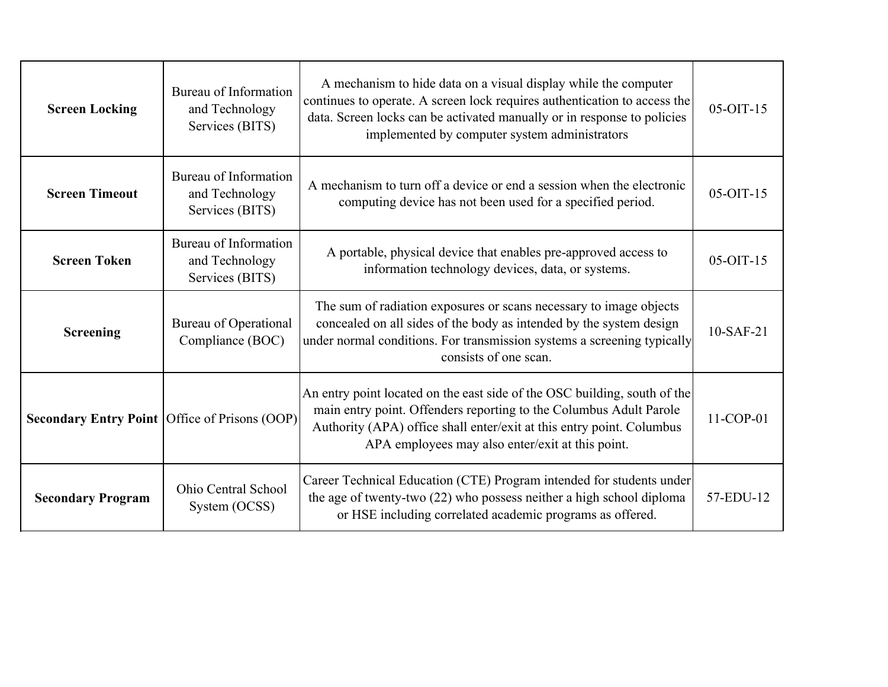| <b>Screen Locking</b>                                | Bureau of Information<br>and Technology<br>Services (BITS) | A mechanism to hide data on a visual display while the computer<br>continues to operate. A screen lock requires authentication to access the<br>data. Screen locks can be activated manually or in response to policies<br>implemented by computer system administrators     | $05-OTT-15$ |
|------------------------------------------------------|------------------------------------------------------------|------------------------------------------------------------------------------------------------------------------------------------------------------------------------------------------------------------------------------------------------------------------------------|-------------|
| <b>Screen Timeout</b>                                | Bureau of Information<br>and Technology<br>Services (BITS) | A mechanism to turn off a device or end a session when the electronic<br>computing device has not been used for a specified period.                                                                                                                                          | $05-OTT-15$ |
| <b>Screen Token</b>                                  | Bureau of Information<br>and Technology<br>Services (BITS) | A portable, physical device that enables pre-approved access to<br>information technology devices, data, or systems.                                                                                                                                                         | $05-OIT-15$ |
| <b>Screening</b>                                     | <b>Bureau of Operational</b><br>Compliance (BOC)           | The sum of radiation exposures or scans necessary to image objects<br>concealed on all sides of the body as intended by the system design<br>under normal conditions. For transmission systems a screening typically<br>consists of one scan.                                | $10-SAF-21$ |
| <b>Secondary Entry Point Office of Prisons (OOP)</b> |                                                            | An entry point located on the east side of the OSC building, south of the<br>main entry point. Offenders reporting to the Columbus Adult Parole<br>Authority (APA) office shall enter/exit at this entry point. Columbus<br>APA employees may also enter/exit at this point. | 11-COP-01   |
| <b>Secondary Program</b>                             | Ohio Central School<br>System (OCSS)                       | Career Technical Education (CTE) Program intended for students under<br>the age of twenty-two (22) who possess neither a high school diploma<br>or HSE including correlated academic programs as offered.                                                                    | 57-EDU-12   |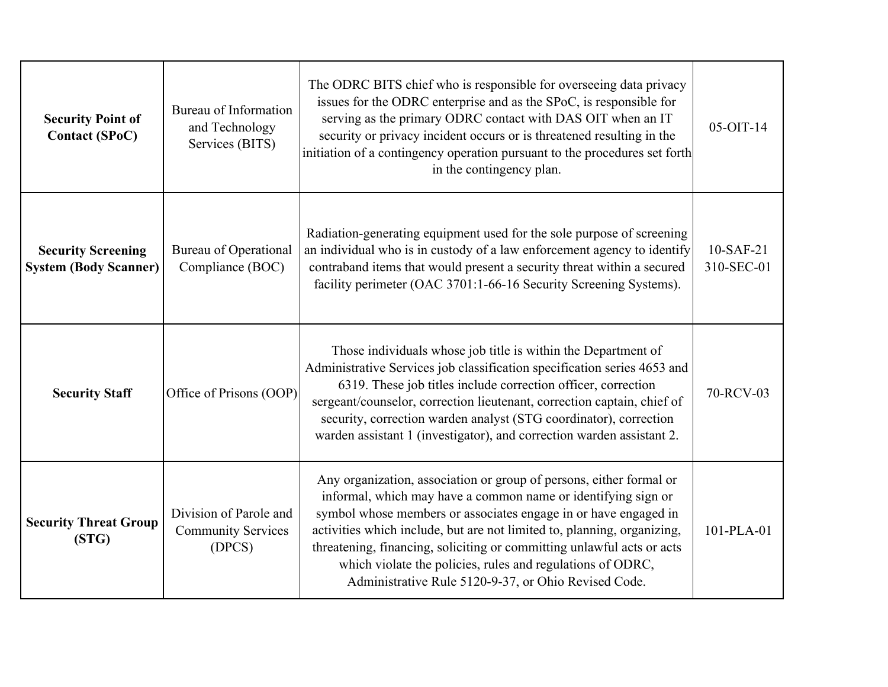| <b>Security Point of</b><br><b>Contact (SPoC)</b>         | <b>Bureau of Information</b><br>and Technology<br>Services (BITS) | The ODRC BITS chief who is responsible for overseeing data privacy<br>issues for the ODRC enterprise and as the SPoC, is responsible for<br>serving as the primary ODRC contact with DAS OIT when an IT<br>security or privacy incident occurs or is threatened resulting in the<br>initiation of a contingency operation pursuant to the procedures set forth<br>in the contingency plan.                                                                                         | $05-OTT-14$             |
|-----------------------------------------------------------|-------------------------------------------------------------------|------------------------------------------------------------------------------------------------------------------------------------------------------------------------------------------------------------------------------------------------------------------------------------------------------------------------------------------------------------------------------------------------------------------------------------------------------------------------------------|-------------------------|
| <b>Security Screening</b><br><b>System (Body Scanner)</b> | <b>Bureau of Operational</b><br>Compliance (BOC)                  | Radiation-generating equipment used for the sole purpose of screening<br>an individual who is in custody of a law enforcement agency to identify<br>contraband items that would present a security threat within a secured<br>facility perimeter (OAC 3701:1-66-16 Security Screening Systems).                                                                                                                                                                                    | 10-SAF-21<br>310-SEC-01 |
| <b>Security Staff</b>                                     | Office of Prisons (OOP)                                           | Those individuals whose job title is within the Department of<br>Administrative Services job classification specification series 4653 and<br>6319. These job titles include correction officer, correction<br>sergeant/counselor, correction lieutenant, correction captain, chief of<br>security, correction warden analyst (STG coordinator), correction<br>warden assistant 1 (investigator), and correction warden assistant 2.                                                | 70-RCV-03               |
| <b>Security Threat Group</b><br>(STG)                     | Division of Parole and<br><b>Community Services</b><br>(DPCS)     | Any organization, association or group of persons, either formal or<br>informal, which may have a common name or identifying sign or<br>symbol whose members or associates engage in or have engaged in<br>activities which include, but are not limited to, planning, organizing,<br>threatening, financing, soliciting or committing unlawful acts or acts<br>which violate the policies, rules and regulations of ODRC,<br>Administrative Rule 5120-9-37, or Ohio Revised Code. | 101-PLA-01              |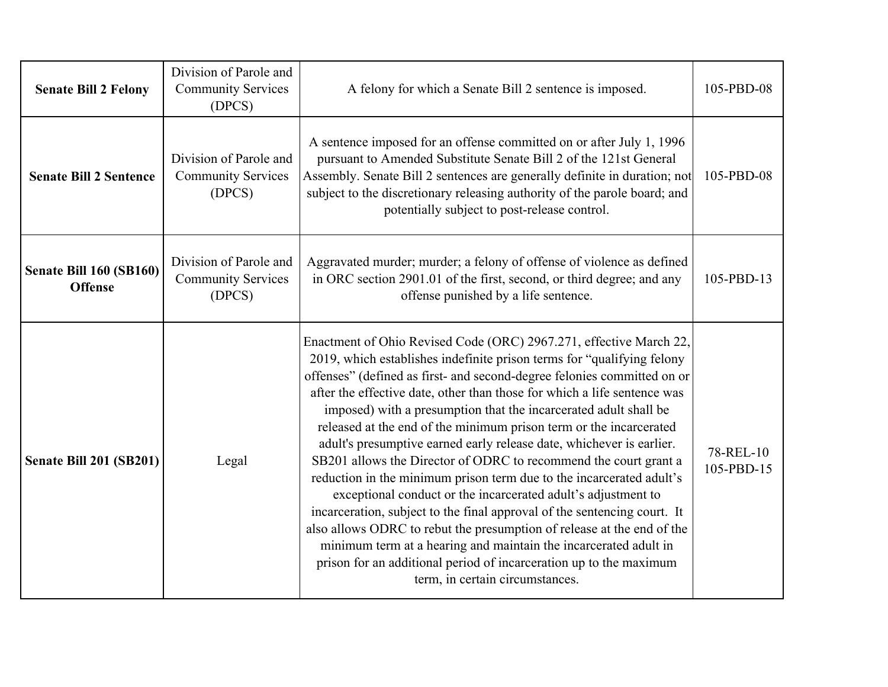| <b>Senate Bill 2 Felony</b>               | Division of Parole and<br><b>Community Services</b><br>(DPCS) | A felony for which a Senate Bill 2 sentence is imposed.                                                                                                                                                                                                                                                                                                                                                                                                                                                                                                                                                                                                                                                                                                                                                                                                                                                                                                                                                                                                               | 105-PBD-08              |
|-------------------------------------------|---------------------------------------------------------------|-----------------------------------------------------------------------------------------------------------------------------------------------------------------------------------------------------------------------------------------------------------------------------------------------------------------------------------------------------------------------------------------------------------------------------------------------------------------------------------------------------------------------------------------------------------------------------------------------------------------------------------------------------------------------------------------------------------------------------------------------------------------------------------------------------------------------------------------------------------------------------------------------------------------------------------------------------------------------------------------------------------------------------------------------------------------------|-------------------------|
| <b>Senate Bill 2 Sentence</b>             | Division of Parole and<br><b>Community Services</b><br>(DPCS) | A sentence imposed for an offense committed on or after July 1, 1996<br>pursuant to Amended Substitute Senate Bill 2 of the 121st General<br>Assembly. Senate Bill 2 sentences are generally definite in duration; not<br>subject to the discretionary releasing authority of the parole board; and<br>potentially subject to post-release control.                                                                                                                                                                                                                                                                                                                                                                                                                                                                                                                                                                                                                                                                                                                   | 105-PBD-08              |
| Senate Bill 160 (SB160)<br><b>Offense</b> | Division of Parole and<br><b>Community Services</b><br>(DPCS) | Aggravated murder; murder; a felony of offense of violence as defined<br>in ORC section 2901.01 of the first, second, or third degree; and any<br>offense punished by a life sentence.                                                                                                                                                                                                                                                                                                                                                                                                                                                                                                                                                                                                                                                                                                                                                                                                                                                                                | 105-PBD-13              |
| Senate Bill 201 (SB201)                   | Legal                                                         | Enactment of Ohio Revised Code (ORC) 2967.271, effective March 22,<br>2019, which establishes indefinite prison terms for "qualifying felony<br>offenses" (defined as first- and second-degree felonies committed on or<br>after the effective date, other than those for which a life sentence was<br>imposed) with a presumption that the incarcerated adult shall be<br>released at the end of the minimum prison term or the incarcerated<br>adult's presumptive earned early release date, whichever is earlier.<br>SB201 allows the Director of ODRC to recommend the court grant a<br>reduction in the minimum prison term due to the incarcerated adult's<br>exceptional conduct or the incarcerated adult's adjustment to<br>incarceration, subject to the final approval of the sentencing court. It<br>also allows ODRC to rebut the presumption of release at the end of the<br>minimum term at a hearing and maintain the incarcerated adult in<br>prison for an additional period of incarceration up to the maximum<br>term, in certain circumstances. | 78-REL-10<br>105-PBD-15 |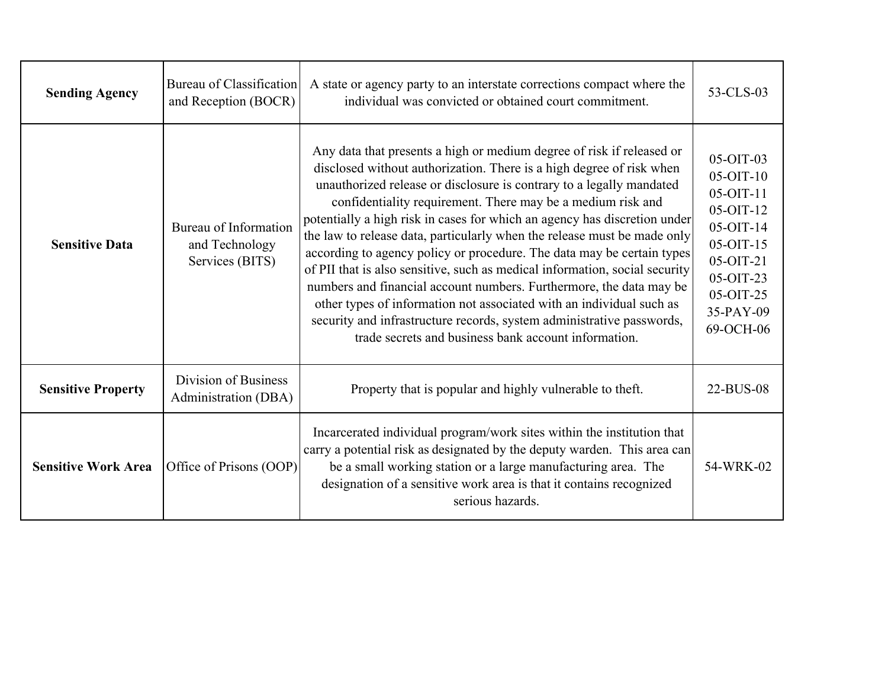| <b>Sending Agency</b>      | <b>Bureau of Classification</b><br>and Reception (BOCR)    | A state or agency party to an interstate corrections compact where the<br>individual was convicted or obtained court commitment.                                                                                                                                                                                                                                                                                                                                                                                                                                                                                                                                                                                                                                                                                                                                                       | 53-CLS-03                                                                                                                                                |
|----------------------------|------------------------------------------------------------|----------------------------------------------------------------------------------------------------------------------------------------------------------------------------------------------------------------------------------------------------------------------------------------------------------------------------------------------------------------------------------------------------------------------------------------------------------------------------------------------------------------------------------------------------------------------------------------------------------------------------------------------------------------------------------------------------------------------------------------------------------------------------------------------------------------------------------------------------------------------------------------|----------------------------------------------------------------------------------------------------------------------------------------------------------|
| <b>Sensitive Data</b>      | Bureau of Information<br>and Technology<br>Services (BITS) | Any data that presents a high or medium degree of risk if released or<br>disclosed without authorization. There is a high degree of risk when<br>unauthorized release or disclosure is contrary to a legally mandated<br>confidentiality requirement. There may be a medium risk and<br>potentially a high risk in cases for which an agency has discretion under<br>the law to release data, particularly when the release must be made only<br>according to agency policy or procedure. The data may be certain types<br>of PII that is also sensitive, such as medical information, social security<br>numbers and financial account numbers. Furthermore, the data may be<br>other types of information not associated with an individual such as<br>security and infrastructure records, system administrative passwords,<br>trade secrets and business bank account information. | $05-OIT-03$<br>$05-OTT-10$<br>$05-OIT-11$<br>$05-OIT-12$<br>$05-OT - 14$<br>$05-OIT-15$<br>05-OIT-21<br>05-OIT-23<br>05-OIT-25<br>35-PAY-09<br>69-OCH-06 |
| <b>Sensitive Property</b>  | Division of Business<br>Administration (DBA)               | Property that is popular and highly vulnerable to theft.                                                                                                                                                                                                                                                                                                                                                                                                                                                                                                                                                                                                                                                                                                                                                                                                                               | 22-BUS-08                                                                                                                                                |
| <b>Sensitive Work Area</b> | Office of Prisons (OOP)                                    | Incarcerated individual program/work sites within the institution that<br>carry a potential risk as designated by the deputy warden. This area can<br>be a small working station or a large manufacturing area. The<br>designation of a sensitive work area is that it contains recognized<br>serious hazards.                                                                                                                                                                                                                                                                                                                                                                                                                                                                                                                                                                         | 54-WRK-02                                                                                                                                                |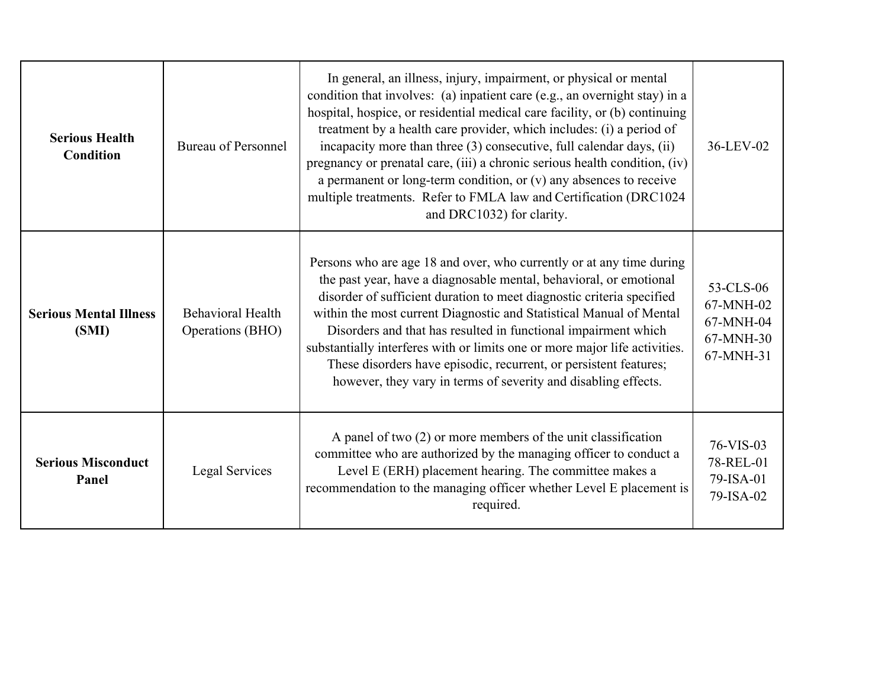| <b>Serious Health</b><br><b>Condition</b> | Bureau of Personnel                          | In general, an illness, injury, impairment, or physical or mental<br>condition that involves: (a) inpatient care (e.g., an overnight stay) in a<br>hospital, hospice, or residential medical care facility, or (b) continuing<br>treatment by a health care provider, which includes: (i) a period of<br>incapacity more than three (3) consecutive, full calendar days, (ii)<br>pregnancy or prenatal care, (iii) a chronic serious health condition, (iv)<br>a permanent or long-term condition, or $(v)$ any absences to receive<br>multiple treatments. Refer to FMLA law and Certification (DRC1024<br>and DRC1032) for clarity. | 36-LEV-02                                                     |
|-------------------------------------------|----------------------------------------------|---------------------------------------------------------------------------------------------------------------------------------------------------------------------------------------------------------------------------------------------------------------------------------------------------------------------------------------------------------------------------------------------------------------------------------------------------------------------------------------------------------------------------------------------------------------------------------------------------------------------------------------|---------------------------------------------------------------|
| <b>Serious Mental Illness</b><br>(SMI)    | <b>Behavioral Health</b><br>Operations (BHO) | Persons who are age 18 and over, who currently or at any time during<br>the past year, have a diagnosable mental, behavioral, or emotional<br>disorder of sufficient duration to meet diagnostic criteria specified<br>within the most current Diagnostic and Statistical Manual of Mental<br>Disorders and that has resulted in functional impairment which<br>substantially interferes with or limits one or more major life activities.<br>These disorders have episodic, recurrent, or persistent features;<br>however, they vary in terms of severity and disabling effects.                                                     | 53-CLS-06<br>67-MNH-02<br>67-MNH-04<br>67-MNH-30<br>67-MNH-31 |
| <b>Serious Misconduct</b><br>Panel        | Legal Services                               | A panel of two $(2)$ or more members of the unit classification<br>committee who are authorized by the managing officer to conduct a<br>Level E (ERH) placement hearing. The committee makes a<br>recommendation to the managing officer whether Level E placement is<br>required.                                                                                                                                                                                                                                                                                                                                                    | 76-VIS-03<br>78-REL-01<br>79-ISA-01<br>79-ISA-02              |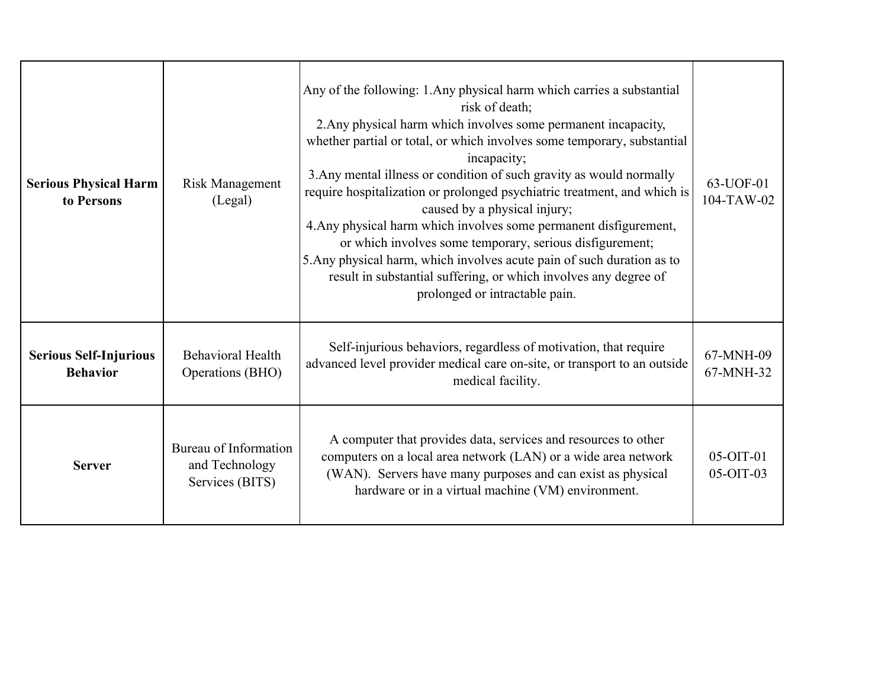| <b>Serious Physical Harm</b><br>to Persons       | <b>Risk Management</b><br>(Legal)                          | Any of the following: 1.Any physical harm which carries a substantial<br>risk of death;<br>2. Any physical harm which involves some permanent incapacity,<br>whether partial or total, or which involves some temporary, substantial<br>incapacity;<br>3. Any mental illness or condition of such gravity as would normally<br>require hospitalization or prolonged psychiatric treatment, and which is<br>caused by a physical injury;<br>4. Any physical harm which involves some permanent disfigurement,<br>or which involves some temporary, serious disfigurement;<br>5. Any physical harm, which involves acute pain of such duration as to<br>result in substantial suffering, or which involves any degree of<br>prolonged or intractable pain. | 63-UOF-01<br>104-TAW-02  |
|--------------------------------------------------|------------------------------------------------------------|----------------------------------------------------------------------------------------------------------------------------------------------------------------------------------------------------------------------------------------------------------------------------------------------------------------------------------------------------------------------------------------------------------------------------------------------------------------------------------------------------------------------------------------------------------------------------------------------------------------------------------------------------------------------------------------------------------------------------------------------------------|--------------------------|
| <b>Serious Self-Injurious</b><br><b>Behavior</b> | <b>Behavioral Health</b><br>Operations (BHO)               | Self-injurious behaviors, regardless of motivation, that require<br>advanced level provider medical care on-site, or transport to an outside<br>medical facility.                                                                                                                                                                                                                                                                                                                                                                                                                                                                                                                                                                                        | 67-MNH-09<br>67-MNH-32   |
| <b>Server</b>                                    | Bureau of Information<br>and Technology<br>Services (BITS) | A computer that provides data, services and resources to other<br>computers on a local area network (LAN) or a wide area network<br>(WAN). Servers have many purposes and can exist as physical<br>hardware or in a virtual machine (VM) environment.                                                                                                                                                                                                                                                                                                                                                                                                                                                                                                    | $05-OIT-01$<br>05-OIT-03 |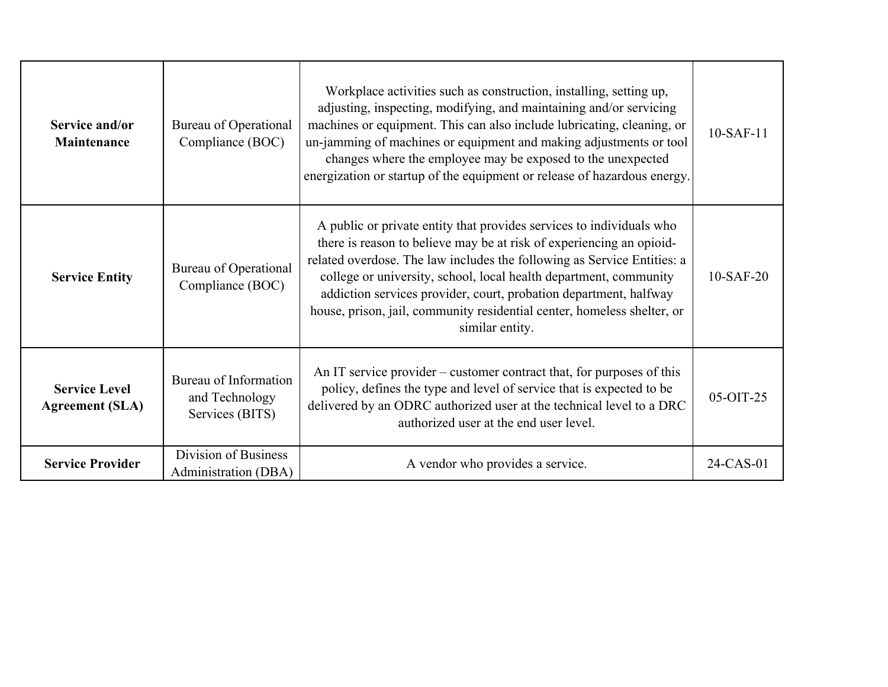| Service and/or<br>Maintenance                  | <b>Bureau of Operational</b><br>Compliance (BOC)           | Workplace activities such as construction, installing, setting up,<br>adjusting, inspecting, modifying, and maintaining and/or servicing<br>machines or equipment. This can also include lubricating, cleaning, or<br>un-jamming of machines or equipment and making adjustments or tool<br>changes where the employee may be exposed to the unexpected<br>energization or startup of the equipment or release of hazardous energy.                             | $10-SAF-11$ |
|------------------------------------------------|------------------------------------------------------------|-----------------------------------------------------------------------------------------------------------------------------------------------------------------------------------------------------------------------------------------------------------------------------------------------------------------------------------------------------------------------------------------------------------------------------------------------------------------|-------------|
| <b>Service Entity</b>                          | <b>Bureau of Operational</b><br>Compliance (BOC)           | A public or private entity that provides services to individuals who<br>there is reason to believe may be at risk of experiencing an opioid-<br>related overdose. The law includes the following as Service Entities: a<br>college or university, school, local health department, community<br>addiction services provider, court, probation department, halfway<br>house, prison, jail, community residential center, homeless shelter, or<br>similar entity. | 10-SAF-20   |
| <b>Service Level</b><br><b>Agreement (SLA)</b> | Bureau of Information<br>and Technology<br>Services (BITS) | An IT service provider – customer contract that, for purposes of this<br>policy, defines the type and level of service that is expected to be<br>delivered by an ODRC authorized user at the technical level to a DRC<br>authorized user at the end user level.                                                                                                                                                                                                 | 05-OIT-25   |
| <b>Service Provider</b>                        | Division of Business<br>Administration (DBA)               | A vendor who provides a service.                                                                                                                                                                                                                                                                                                                                                                                                                                | 24-CAS-01   |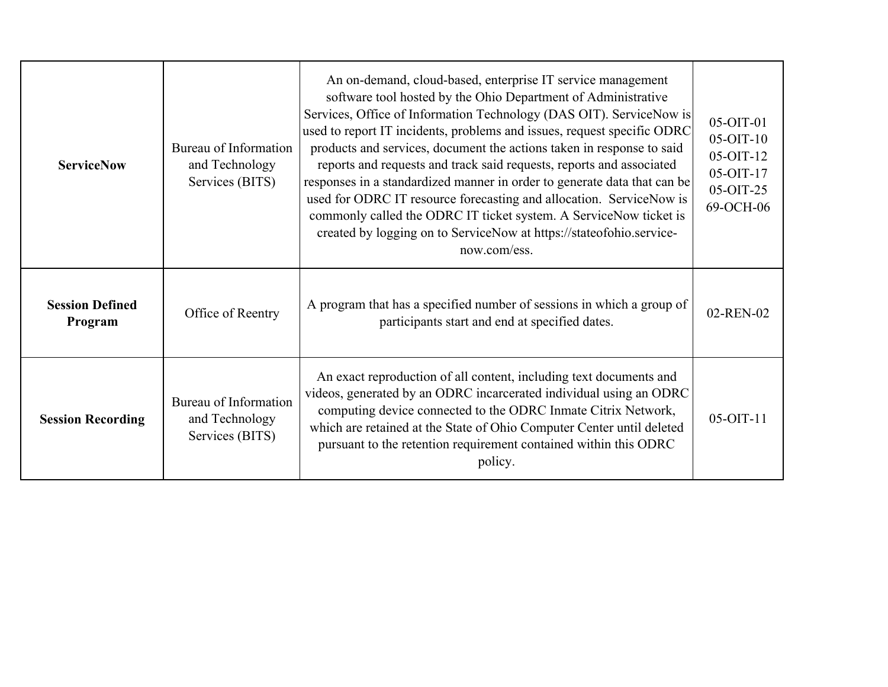| <b>ServiceNow</b>                 | Bureau of Information<br>and Technology<br>Services (BITS) | An on-demand, cloud-based, enterprise IT service management<br>software tool hosted by the Ohio Department of Administrative<br>Services, Office of Information Technology (DAS OIT). ServiceNow is<br>used to report IT incidents, problems and issues, request specific ODRC<br>products and services, document the actions taken in response to said<br>reports and requests and track said requests, reports and associated<br>responses in a standardized manner in order to generate data that can be<br>used for ODRC IT resource forecasting and allocation. ServiceNow is<br>commonly called the ODRC IT ticket system. A ServiceNow ticket is<br>created by logging on to ServiceNow at https://stateofohio.service-<br>now.com/ess. | $05-OT-01$<br>$05-OIT-10$<br>05-OIT-12<br>05-OIT-17<br>05-OIT-25<br>69-OCH-06 |
|-----------------------------------|------------------------------------------------------------|------------------------------------------------------------------------------------------------------------------------------------------------------------------------------------------------------------------------------------------------------------------------------------------------------------------------------------------------------------------------------------------------------------------------------------------------------------------------------------------------------------------------------------------------------------------------------------------------------------------------------------------------------------------------------------------------------------------------------------------------|-------------------------------------------------------------------------------|
| <b>Session Defined</b><br>Program | Office of Reentry                                          | A program that has a specified number of sessions in which a group of<br>participants start and end at specified dates.                                                                                                                                                                                                                                                                                                                                                                                                                                                                                                                                                                                                                        | 02-REN-02                                                                     |
| <b>Session Recording</b>          | Bureau of Information<br>and Technology<br>Services (BITS) | An exact reproduction of all content, including text documents and<br>videos, generated by an ODRC incarcerated individual using an ODRC<br>computing device connected to the ODRC Inmate Citrix Network,<br>which are retained at the State of Ohio Computer Center until deleted<br>pursuant to the retention requirement contained within this ODRC<br>policy.                                                                                                                                                                                                                                                                                                                                                                              | $05-OIT-11$                                                                   |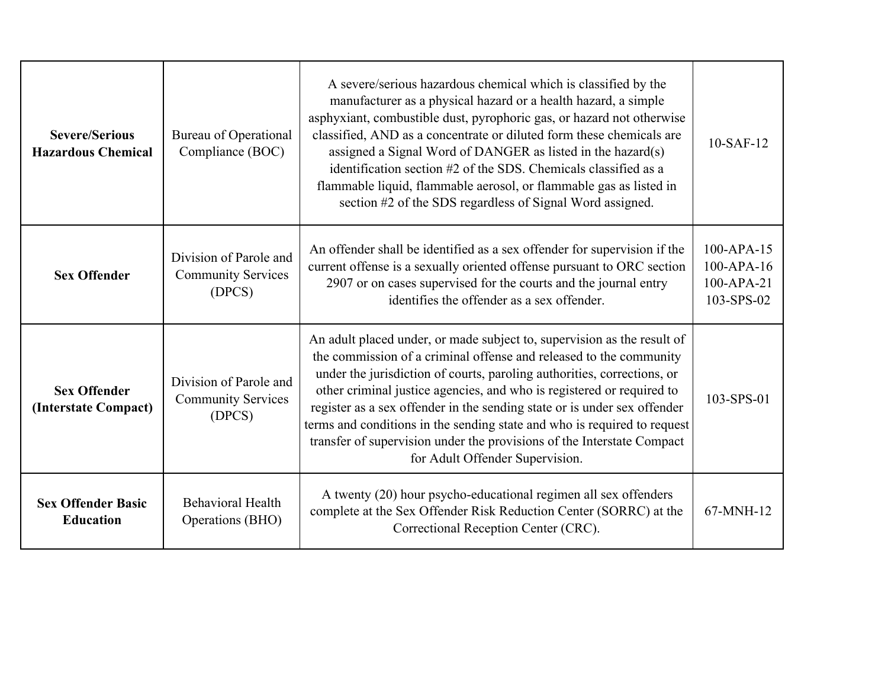| <b>Severe/Serious</b><br><b>Hazardous Chemical</b> | Bureau of Operational<br>Compliance (BOC)                     | A severe/serious hazardous chemical which is classified by the<br>manufacturer as a physical hazard or a health hazard, a simple<br>asphyxiant, combustible dust, pyrophoric gas, or hazard not otherwise<br>classified, AND as a concentrate or diluted form these chemicals are<br>assigned a Signal Word of DANGER as listed in the hazard(s)<br>identification section #2 of the SDS. Chemicals classified as a<br>flammable liquid, flammable aerosol, or flammable gas as listed in<br>section #2 of the SDS regardless of Signal Word assigned.                 | $10-SAF-12$                                            |
|----------------------------------------------------|---------------------------------------------------------------|------------------------------------------------------------------------------------------------------------------------------------------------------------------------------------------------------------------------------------------------------------------------------------------------------------------------------------------------------------------------------------------------------------------------------------------------------------------------------------------------------------------------------------------------------------------------|--------------------------------------------------------|
| <b>Sex Offender</b>                                | Division of Parole and<br><b>Community Services</b><br>(DPCS) | An offender shall be identified as a sex offender for supervision if the<br>current offense is a sexually oriented offense pursuant to ORC section<br>2907 or on cases supervised for the courts and the journal entry<br>identifies the offender as a sex offender.                                                                                                                                                                                                                                                                                                   | 100-APA-15<br>$100-APA-16$<br>100-APA-21<br>103-SPS-02 |
| <b>Sex Offender</b><br>(Interstate Compact)        | Division of Parole and<br><b>Community Services</b><br>(DPCS) | An adult placed under, or made subject to, supervision as the result of<br>the commission of a criminal offense and released to the community<br>under the jurisdiction of courts, paroling authorities, corrections, or<br>other criminal justice agencies, and who is registered or required to<br>register as a sex offender in the sending state or is under sex offender<br>terms and conditions in the sending state and who is required to request<br>transfer of supervision under the provisions of the Interstate Compact<br>for Adult Offender Supervision. | 103-SPS-01                                             |
| <b>Sex Offender Basic</b><br><b>Education</b>      | <b>Behavioral Health</b><br>Operations (BHO)                  | A twenty (20) hour psycho-educational regimen all sex offenders<br>complete at the Sex Offender Risk Reduction Center (SORRC) at the<br>Correctional Reception Center (CRC).                                                                                                                                                                                                                                                                                                                                                                                           | 67-MNH-12                                              |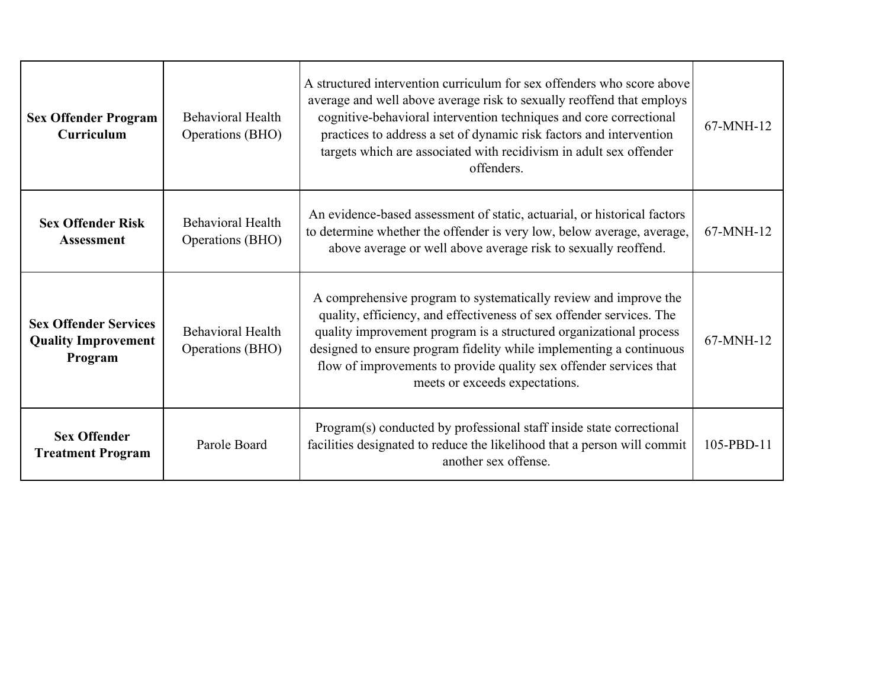| <b>Sex Offender Program</b><br>Curriculum                             | <b>Behavioral Health</b><br>Operations (BHO) | A structured intervention curriculum for sex offenders who score above<br>average and well above average risk to sexually reoffend that employs<br>cognitive-behavioral intervention techniques and core correctional<br>practices to address a set of dynamic risk factors and intervention<br>targets which are associated with recidivism in adult sex offender<br>offenders.              | 67-MNH-12  |
|-----------------------------------------------------------------------|----------------------------------------------|-----------------------------------------------------------------------------------------------------------------------------------------------------------------------------------------------------------------------------------------------------------------------------------------------------------------------------------------------------------------------------------------------|------------|
| <b>Sex Offender Risk</b><br><b>Assessment</b>                         | <b>Behavioral Health</b><br>Operations (BHO) | An evidence-based assessment of static, actuarial, or historical factors<br>to determine whether the offender is very low, below average, average,<br>above average or well above average risk to sexually reoffend.                                                                                                                                                                          | 67-MNH-12  |
| <b>Sex Offender Services</b><br><b>Quality Improvement</b><br>Program | <b>Behavioral Health</b><br>Operations (BHO) | A comprehensive program to systematically review and improve the<br>quality, efficiency, and effectiveness of sex offender services. The<br>quality improvement program is a structured organizational process<br>designed to ensure program fidelity while implementing a continuous<br>flow of improvements to provide quality sex offender services that<br>meets or exceeds expectations. | 67-MNH-12  |
| <b>Sex Offender</b><br><b>Treatment Program</b>                       | Parole Board                                 | Program(s) conducted by professional staff inside state correctional<br>facilities designated to reduce the likelihood that a person will commit<br>another sex offense.                                                                                                                                                                                                                      | 105-PBD-11 |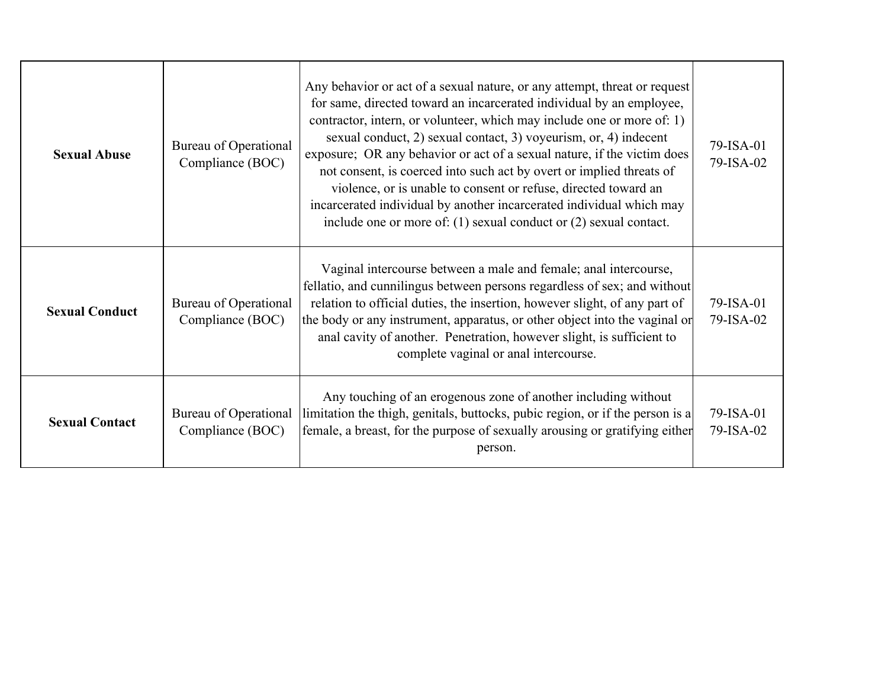| <b>Sexual Abuse</b>   | Bureau of Operational<br>Compliance (BOC) | Any behavior or act of a sexual nature, or any attempt, threat or request<br>for same, directed toward an incarcerated individual by an employee,<br>contractor, intern, or volunteer, which may include one or more of: 1)<br>sexual conduct, 2) sexual contact, 3) voyeurism, or, 4) indecent<br>exposure; OR any behavior or act of a sexual nature, if the victim does<br>not consent, is coerced into such act by overt or implied threats of<br>violence, or is unable to consent or refuse, directed toward an<br>incarcerated individual by another incarcerated individual which may<br>include one or more of: $(1)$ sexual conduct or $(2)$ sexual contact. | 79-ISA-01<br>79-ISA-02 |
|-----------------------|-------------------------------------------|------------------------------------------------------------------------------------------------------------------------------------------------------------------------------------------------------------------------------------------------------------------------------------------------------------------------------------------------------------------------------------------------------------------------------------------------------------------------------------------------------------------------------------------------------------------------------------------------------------------------------------------------------------------------|------------------------|
| <b>Sexual Conduct</b> | Bureau of Operational<br>Compliance (BOC) | Vaginal intercourse between a male and female; anal intercourse,<br>fellatio, and cunnilingus between persons regardless of sex; and without<br>relation to official duties, the insertion, however slight, of any part of<br>the body or any instrument, apparatus, or other object into the vaginal or<br>anal cavity of another. Penetration, however slight, is sufficient to<br>complete vaginal or anal intercourse.                                                                                                                                                                                                                                             | 79-ISA-01<br>79-ISA-02 |
| <b>Sexual Contact</b> | Bureau of Operational<br>Compliance (BOC) | Any touching of an erogenous zone of another including without<br>limitation the thigh, genitals, buttocks, pubic region, or if the person is a<br>female, a breast, for the purpose of sexually arousing or gratifying either<br>person.                                                                                                                                                                                                                                                                                                                                                                                                                              | 79-ISA-01<br>79-ISA-02 |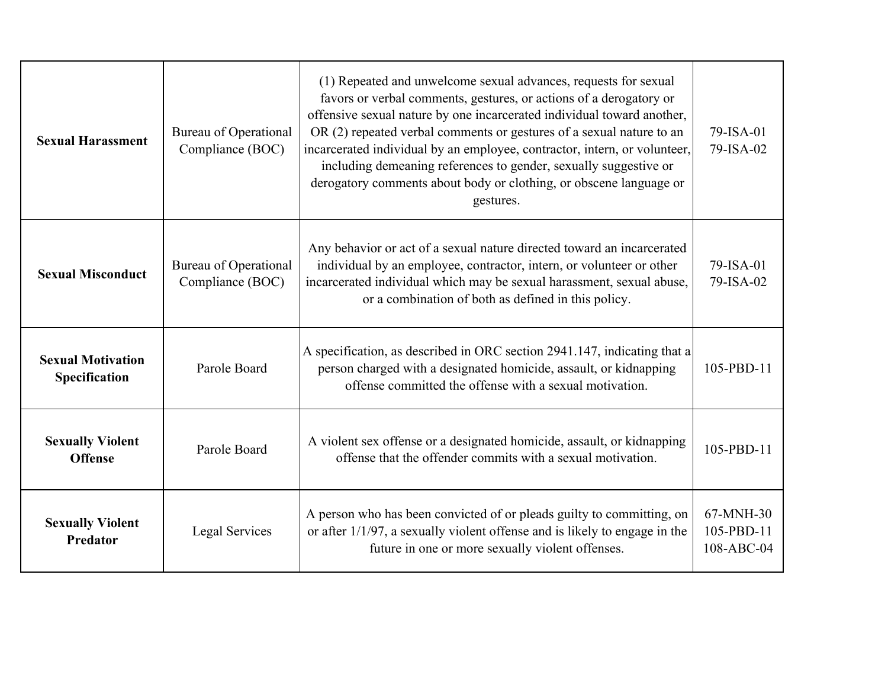| <b>Sexual Harassment</b>                   | <b>Bureau of Operational</b><br>Compliance (BOC) | (1) Repeated and unwelcome sexual advances, requests for sexual<br>favors or verbal comments, gestures, or actions of a derogatory or<br>offensive sexual nature by one incarcerated individual toward another,<br>OR (2) repeated verbal comments or gestures of a sexual nature to an<br>incarcerated individual by an employee, contractor, intern, or volunteer,<br>including demeaning references to gender, sexually suggestive or<br>derogatory comments about body or clothing, or obscene language or<br>gestures. | 79-ISA-01<br>79-ISA-02                |
|--------------------------------------------|--------------------------------------------------|-----------------------------------------------------------------------------------------------------------------------------------------------------------------------------------------------------------------------------------------------------------------------------------------------------------------------------------------------------------------------------------------------------------------------------------------------------------------------------------------------------------------------------|---------------------------------------|
| <b>Sexual Misconduct</b>                   | Bureau of Operational<br>Compliance (BOC)        | Any behavior or act of a sexual nature directed toward an incarcerated<br>individual by an employee, contractor, intern, or volunteer or other<br>incarcerated individual which may be sexual harassment, sexual abuse,<br>or a combination of both as defined in this policy.                                                                                                                                                                                                                                              | 79-ISA-01<br>79-ISA-02                |
| <b>Sexual Motivation</b><br>Specification  | Parole Board                                     | A specification, as described in ORC section 2941.147, indicating that a<br>person charged with a designated homicide, assault, or kidnapping<br>offense committed the offense with a sexual motivation.                                                                                                                                                                                                                                                                                                                    | 105-PBD-11                            |
| <b>Sexually Violent</b><br><b>Offense</b>  | Parole Board                                     | A violent sex offense or a designated homicide, assault, or kidnapping<br>offense that the offender commits with a sexual motivation.                                                                                                                                                                                                                                                                                                                                                                                       | 105-PBD-11                            |
| <b>Sexually Violent</b><br><b>Predator</b> | Legal Services                                   | A person who has been convicted of or pleads guilty to committing, on<br>or after 1/1/97, a sexually violent offense and is likely to engage in the<br>future in one or more sexually violent offenses.                                                                                                                                                                                                                                                                                                                     | 67-MNH-30<br>105-PBD-11<br>108-ABC-04 |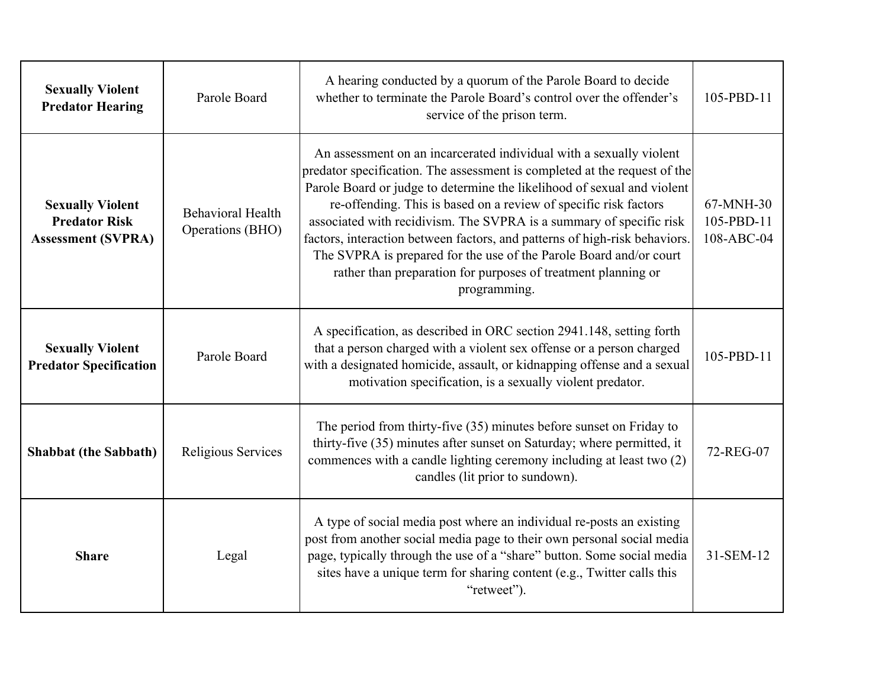| <b>Sexually Violent</b><br><b>Predator Hearing</b>                           | Parole Board                                 | A hearing conducted by a quorum of the Parole Board to decide<br>whether to terminate the Parole Board's control over the offender's<br>service of the prison term.                                                                                                                                                                                                                                                                                                                                                                                                                                         | 105-PBD-11                            |
|------------------------------------------------------------------------------|----------------------------------------------|-------------------------------------------------------------------------------------------------------------------------------------------------------------------------------------------------------------------------------------------------------------------------------------------------------------------------------------------------------------------------------------------------------------------------------------------------------------------------------------------------------------------------------------------------------------------------------------------------------------|---------------------------------------|
| <b>Sexually Violent</b><br><b>Predator Risk</b><br><b>Assessment (SVPRA)</b> | <b>Behavioral Health</b><br>Operations (BHO) | An assessment on an incarcerated individual with a sexually violent<br>predator specification. The assessment is completed at the request of the<br>Parole Board or judge to determine the likelihood of sexual and violent<br>re-offending. This is based on a review of specific risk factors<br>associated with recidivism. The SVPRA is a summary of specific risk<br>factors, interaction between factors, and patterns of high-risk behaviors.<br>The SVPRA is prepared for the use of the Parole Board and/or court<br>rather than preparation for purposes of treatment planning or<br>programming. | 67-MNH-30<br>105-PBD-11<br>108-ABC-04 |
| <b>Sexually Violent</b><br><b>Predator Specification</b>                     | Parole Board                                 | A specification, as described in ORC section 2941.148, setting forth<br>that a person charged with a violent sex offense or a person charged<br>with a designated homicide, assault, or kidnapping offense and a sexual<br>motivation specification, is a sexually violent predator.                                                                                                                                                                                                                                                                                                                        | 105-PBD-11                            |
| <b>Shabbat (the Sabbath)</b>                                                 | Religious Services                           | The period from thirty-five (35) minutes before sunset on Friday to<br>thirty-five (35) minutes after sunset on Saturday; where permitted, it<br>commences with a candle lighting ceremony including at least two (2)<br>candles (lit prior to sundown).                                                                                                                                                                                                                                                                                                                                                    | 72-REG-07                             |
| <b>Share</b>                                                                 | Legal                                        | A type of social media post where an individual re-posts an existing<br>post from another social media page to their own personal social media<br>page, typically through the use of a "share" button. Some social media<br>sites have a unique term for sharing content (e.g., Twitter calls this<br>"retweet").                                                                                                                                                                                                                                                                                           | 31-SEM-12                             |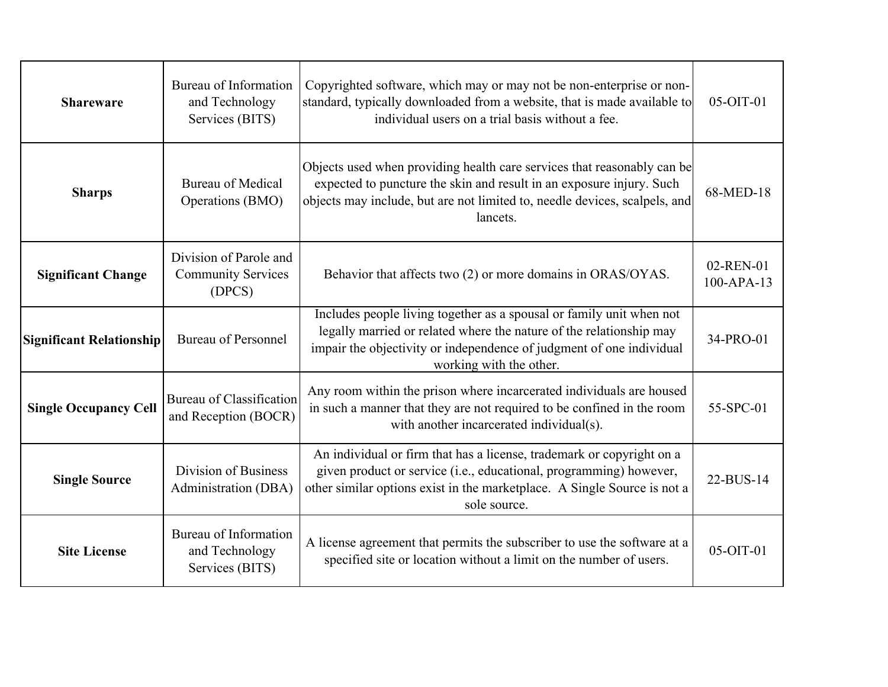| <b>Shareware</b>                | Bureau of Information<br>and Technology<br>Services (BITS)    | Copyrighted software, which may or may not be non-enterprise or non-<br>standard, typically downloaded from a website, that is made available to<br>individual users on a trial basis without a fee.                                           | 05-OIT-01               |
|---------------------------------|---------------------------------------------------------------|------------------------------------------------------------------------------------------------------------------------------------------------------------------------------------------------------------------------------------------------|-------------------------|
| <b>Sharps</b>                   | <b>Bureau of Medical</b><br>Operations (BMO)                  | Objects used when providing health care services that reasonably can be<br>expected to puncture the skin and result in an exposure injury. Such<br>objects may include, but are not limited to, needle devices, scalpels, and<br>lancets.      | 68-MED-18               |
| <b>Significant Change</b>       | Division of Parole and<br><b>Community Services</b><br>(DPCS) | Behavior that affects two (2) or more domains in ORAS/OYAS.                                                                                                                                                                                    | 02-REN-01<br>100-APA-13 |
| <b>Significant Relationship</b> | <b>Bureau of Personnel</b>                                    | Includes people living together as a spousal or family unit when not<br>legally married or related where the nature of the relationship may<br>impair the objectivity or independence of judgment of one individual<br>working with the other. | 34-PRO-01               |
| <b>Single Occupancy Cell</b>    | <b>Bureau of Classification</b><br>and Reception (BOCR)       | Any room within the prison where incarcerated individuals are housed<br>in such a manner that they are not required to be confined in the room<br>with another incarcerated individual(s).                                                     | 55-SPC-01               |
| <b>Single Source</b>            | Division of Business<br>Administration (DBA)                  | An individual or firm that has a license, trademark or copyright on a<br>given product or service (i.e., educational, programming) however,<br>other similar options exist in the marketplace. A Single Source is not a<br>sole source.        | 22-BUS-14               |
| <b>Site License</b>             | Bureau of Information<br>and Technology<br>Services (BITS)    | A license agreement that permits the subscriber to use the software at a<br>specified site or location without a limit on the number of users.                                                                                                 | 05-OIT-01               |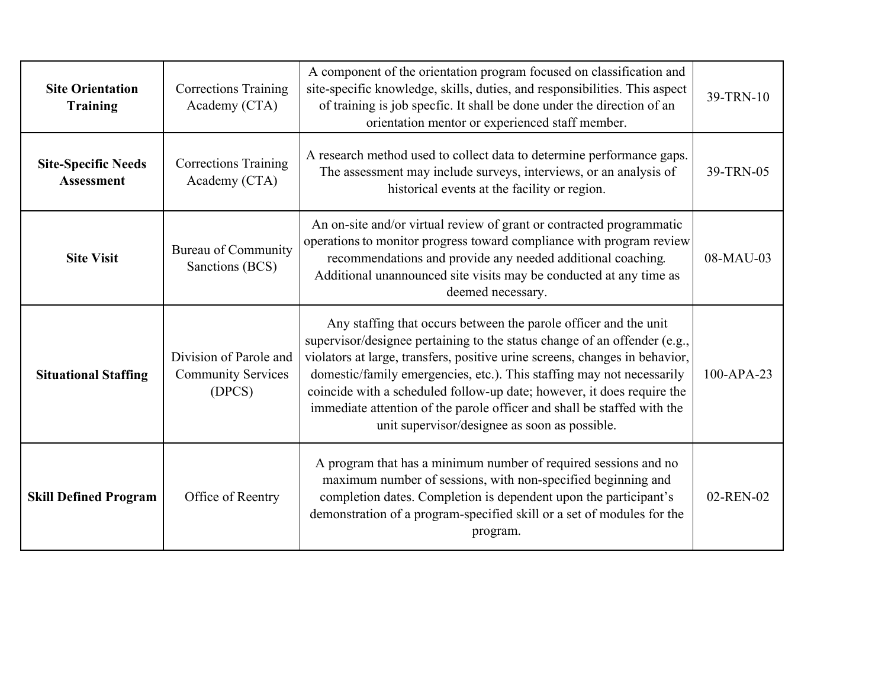| <b>Site Orientation</b><br><b>Training</b>      | <b>Corrections Training</b><br>Academy (CTA)                  | A component of the orientation program focused on classification and<br>site-specific knowledge, skills, duties, and responsibilities. This aspect<br>of training is job specfic. It shall be done under the direction of an<br>orientation mentor or experienced staff member.                                                                                                                                                                                                                             | 39-TRN-10  |
|-------------------------------------------------|---------------------------------------------------------------|-------------------------------------------------------------------------------------------------------------------------------------------------------------------------------------------------------------------------------------------------------------------------------------------------------------------------------------------------------------------------------------------------------------------------------------------------------------------------------------------------------------|------------|
| <b>Site-Specific Needs</b><br><b>Assessment</b> | <b>Corrections Training</b><br>Academy (CTA)                  | A research method used to collect data to determine performance gaps.<br>The assessment may include surveys, interviews, or an analysis of<br>historical events at the facility or region.                                                                                                                                                                                                                                                                                                                  | 39-TRN-05  |
| <b>Site Visit</b>                               | <b>Bureau of Community</b><br>Sanctions (BCS)                 | An on-site and/or virtual review of grant or contracted programmatic<br>operations to monitor progress toward compliance with program review<br>recommendations and provide any needed additional coaching.<br>Additional unannounced site visits may be conducted at any time as<br>deemed necessary.                                                                                                                                                                                                      | 08-MAU-03  |
| <b>Situational Staffing</b>                     | Division of Parole and<br><b>Community Services</b><br>(DPCS) | Any staffing that occurs between the parole officer and the unit<br>supervisor/designee pertaining to the status change of an offender (e.g.,<br>violators at large, transfers, positive urine screens, changes in behavior,<br>domestic/family emergencies, etc.). This staffing may not necessarily<br>coincide with a scheduled follow-up date; however, it does require the<br>immediate attention of the parole officer and shall be staffed with the<br>unit supervisor/designee as soon as possible. | 100-APA-23 |
| <b>Skill Defined Program</b>                    | Office of Reentry                                             | A program that has a minimum number of required sessions and no<br>maximum number of sessions, with non-specified beginning and<br>completion dates. Completion is dependent upon the participant's<br>demonstration of a program-specified skill or a set of modules for the<br>program.                                                                                                                                                                                                                   | 02-REN-02  |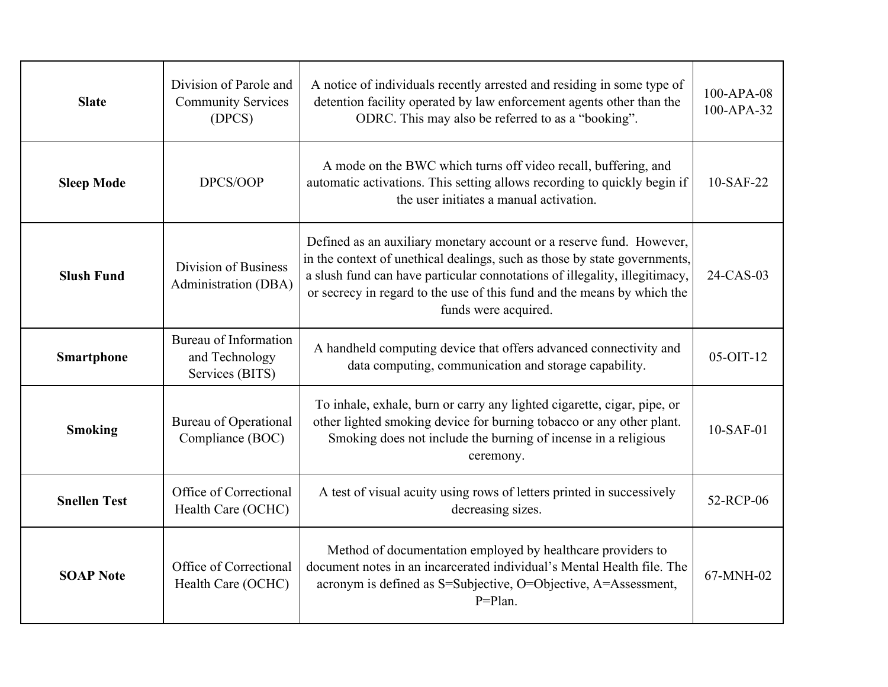| <b>Slate</b>        | Division of Parole and<br><b>Community Services</b><br>(DPCS)     | A notice of individuals recently arrested and residing in some type of<br>detention facility operated by law enforcement agents other than the<br>ODRC. This may also be referred to as a "booking".                                                                                                                               | 100-APA-08<br>100-APA-32 |
|---------------------|-------------------------------------------------------------------|------------------------------------------------------------------------------------------------------------------------------------------------------------------------------------------------------------------------------------------------------------------------------------------------------------------------------------|--------------------------|
| <b>Sleep Mode</b>   | DPCS/OOP                                                          | A mode on the BWC which turns off video recall, buffering, and<br>automatic activations. This setting allows recording to quickly begin if<br>the user initiates a manual activation.                                                                                                                                              | 10-SAF-22                |
| <b>Slush Fund</b>   | Division of Business<br>Administration (DBA)                      | Defined as an auxiliary monetary account or a reserve fund. However,<br>in the context of unethical dealings, such as those by state governments,<br>a slush fund can have particular connotations of illegality, illegitimacy,<br>or secrecy in regard to the use of this fund and the means by which the<br>funds were acquired. | 24-CAS-03                |
| <b>Smartphone</b>   | <b>Bureau of Information</b><br>and Technology<br>Services (BITS) | A handheld computing device that offers advanced connectivity and<br>data computing, communication and storage capability.                                                                                                                                                                                                         | $05-OTT-12$              |
| <b>Smoking</b>      | <b>Bureau of Operational</b><br>Compliance (BOC)                  | To inhale, exhale, burn or carry any lighted cigarette, cigar, pipe, or<br>other lighted smoking device for burning tobacco or any other plant.<br>Smoking does not include the burning of incense in a religious<br>ceremony.                                                                                                     | $10-SAF-01$              |
| <b>Snellen Test</b> | Office of Correctional<br>Health Care (OCHC)                      | A test of visual acuity using rows of letters printed in successively<br>decreasing sizes.                                                                                                                                                                                                                                         | 52-RCP-06                |
| <b>SOAP Note</b>    | Office of Correctional<br>Health Care (OCHC)                      | Method of documentation employed by healthcare providers to<br>document notes in an incarcerated individual's Mental Health file. The<br>acronym is defined as S=Subjective, O=Objective, A=Assessment,<br>$P = Plan$ .                                                                                                            | 67-MNH-02                |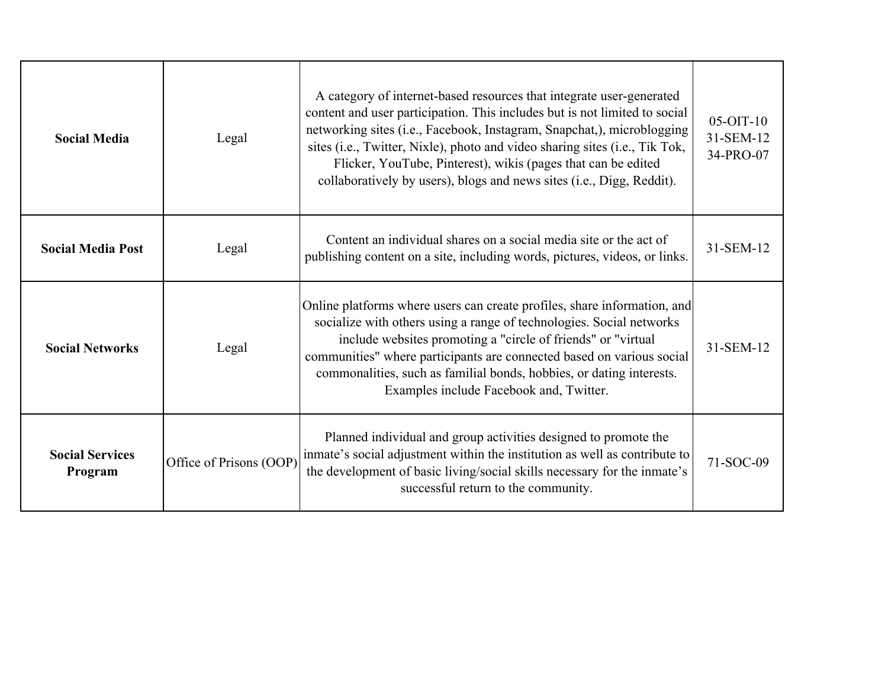| <b>Social Media</b>               | Legal                   | A category of internet-based resources that integrate user-generated<br>content and user participation. This includes but is not limited to social<br>networking sites (i.e., Facebook, Instagram, Snapchat,), microblogging<br>sites (i.e., Twitter, Nixle), photo and video sharing sites (i.e., Tik Tok,<br>Flicker, YouTube, Pinterest), wikis (pages that can be edited<br>collaboratively by users), blogs and news sites (i.e., Digg, Reddit). | $05-OTT-10$<br>31-SEM-12<br>34-PRO-07 |
|-----------------------------------|-------------------------|-------------------------------------------------------------------------------------------------------------------------------------------------------------------------------------------------------------------------------------------------------------------------------------------------------------------------------------------------------------------------------------------------------------------------------------------------------|---------------------------------------|
| <b>Social Media Post</b>          | Legal                   | Content an individual shares on a social media site or the act of<br>publishing content on a site, including words, pictures, videos, or links.                                                                                                                                                                                                                                                                                                       | 31-SEM-12                             |
| <b>Social Networks</b>            | Legal                   | Online platforms where users can create profiles, share information, and<br>socialize with others using a range of technologies. Social networks<br>include websites promoting a "circle of friends" or "virtual<br>communities" where participants are connected based on various social<br>commonalities, such as familial bonds, hobbies, or dating interests.<br>Examples include Facebook and, Twitter.                                          | 31-SEM-12                             |
| <b>Social Services</b><br>Program | Office of Prisons (OOP) | Planned individual and group activities designed to promote the<br>inmate's social adjustment within the institution as well as contribute to<br>the development of basic living/social skills necessary for the inmate's<br>successful return to the community.                                                                                                                                                                                      | 71-SOC-09                             |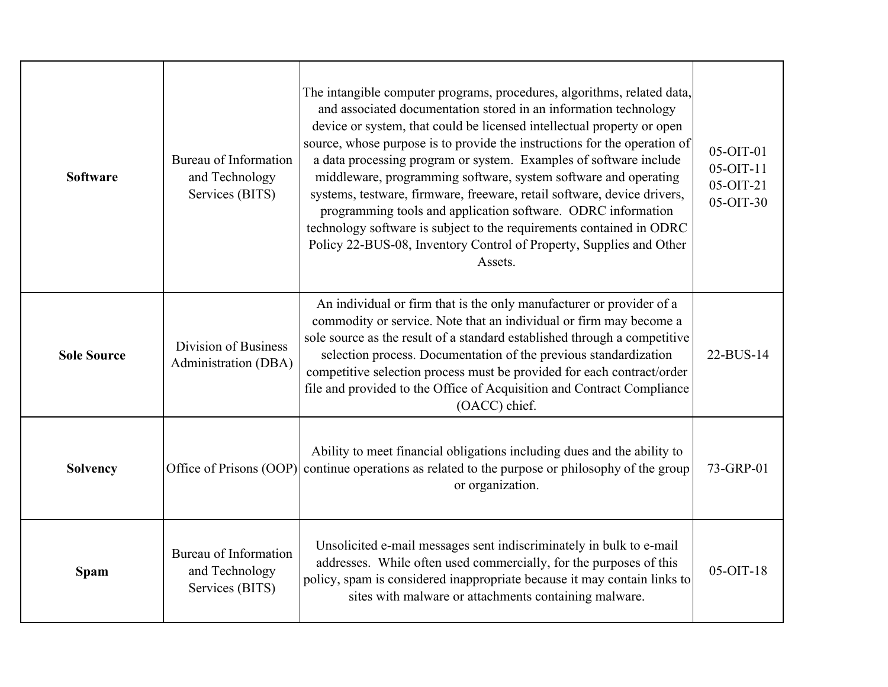| <b>Software</b>    | Bureau of Information<br>and Technology<br>Services (BITS) | The intangible computer programs, procedures, algorithms, related data,<br>and associated documentation stored in an information technology<br>device or system, that could be licensed intellectual property or open<br>source, whose purpose is to provide the instructions for the operation of<br>a data processing program or system. Examples of software include<br>middleware, programming software, system software and operating<br>systems, testware, firmware, freeware, retail software, device drivers,<br>programming tools and application software. ODRC information<br>technology software is subject to the requirements contained in ODRC<br>Policy 22-BUS-08, Inventory Control of Property, Supplies and Other<br>Assets. | 05-OIT-01<br>$05-OIT-11$<br>05-OIT-21<br>05-OIT-30 |
|--------------------|------------------------------------------------------------|-------------------------------------------------------------------------------------------------------------------------------------------------------------------------------------------------------------------------------------------------------------------------------------------------------------------------------------------------------------------------------------------------------------------------------------------------------------------------------------------------------------------------------------------------------------------------------------------------------------------------------------------------------------------------------------------------------------------------------------------------|----------------------------------------------------|
| <b>Sole Source</b> | Division of Business<br>Administration (DBA)               | An individual or firm that is the only manufacturer or provider of a<br>commodity or service. Note that an individual or firm may become a<br>sole source as the result of a standard established through a competitive<br>selection process. Documentation of the previous standardization<br>competitive selection process must be provided for each contract/order<br>file and provided to the Office of Acquisition and Contract Compliance<br>(OACC) chief.                                                                                                                                                                                                                                                                                | 22-BUS-14                                          |
| Solvency           |                                                            | Ability to meet financial obligations including dues and the ability to<br>Office of Prisons $(OOP)$ continue operations as related to the purpose or philosophy of the group<br>or organization.                                                                                                                                                                                                                                                                                                                                                                                                                                                                                                                                               | 73-GRP-01                                          |
| Spam               | Bureau of Information<br>and Technology<br>Services (BITS) | Unsolicited e-mail messages sent indiscriminately in bulk to e-mail<br>addresses. While often used commercially, for the purposes of this<br>policy, spam is considered inappropriate because it may contain links to<br>sites with malware or attachments containing malware.                                                                                                                                                                                                                                                                                                                                                                                                                                                                  | 05-OIT-18                                          |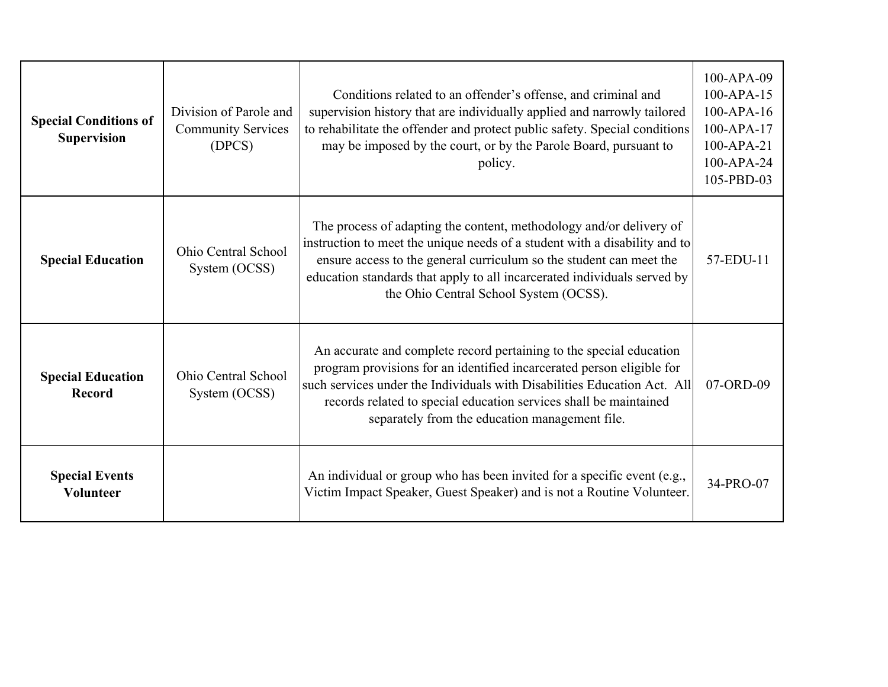| <b>Special Conditions of</b><br><b>Supervision</b> | Division of Parole and<br><b>Community Services</b><br>(DPCS) | Conditions related to an offender's offense, and criminal and<br>supervision history that are individually applied and narrowly tailored<br>to rehabilitate the offender and protect public safety. Special conditions<br>may be imposed by the court, or by the Parole Board, pursuant to<br>policy.                                           | 100-APA-09<br>100-APA-15<br>$100-APA-16$<br>100-APA-17<br>100-APA-21<br>100-APA-24<br>105-PBD-03 |
|----------------------------------------------------|---------------------------------------------------------------|-------------------------------------------------------------------------------------------------------------------------------------------------------------------------------------------------------------------------------------------------------------------------------------------------------------------------------------------------|--------------------------------------------------------------------------------------------------|
| <b>Special Education</b>                           | Ohio Central School<br>System (OCSS)                          | The process of adapting the content, methodology and/or delivery of<br>instruction to meet the unique needs of a student with a disability and to<br>ensure access to the general curriculum so the student can meet the<br>education standards that apply to all incarcerated individuals served by<br>the Ohio Central School System (OCSS).  | 57-EDU-11                                                                                        |
| <b>Special Education</b><br><b>Record</b>          | Ohio Central School<br>System (OCSS)                          | An accurate and complete record pertaining to the special education<br>program provisions for an identified incarcerated person eligible for<br>such services under the Individuals with Disabilities Education Act. All<br>records related to special education services shall be maintained<br>separately from the education management file. | 07-ORD-09                                                                                        |
| <b>Special Events</b><br><b>Volunteer</b>          |                                                               | An individual or group who has been invited for a specific event (e.g.,<br>Victim Impact Speaker, Guest Speaker) and is not a Routine Volunteer.                                                                                                                                                                                                | 34-PRO-07                                                                                        |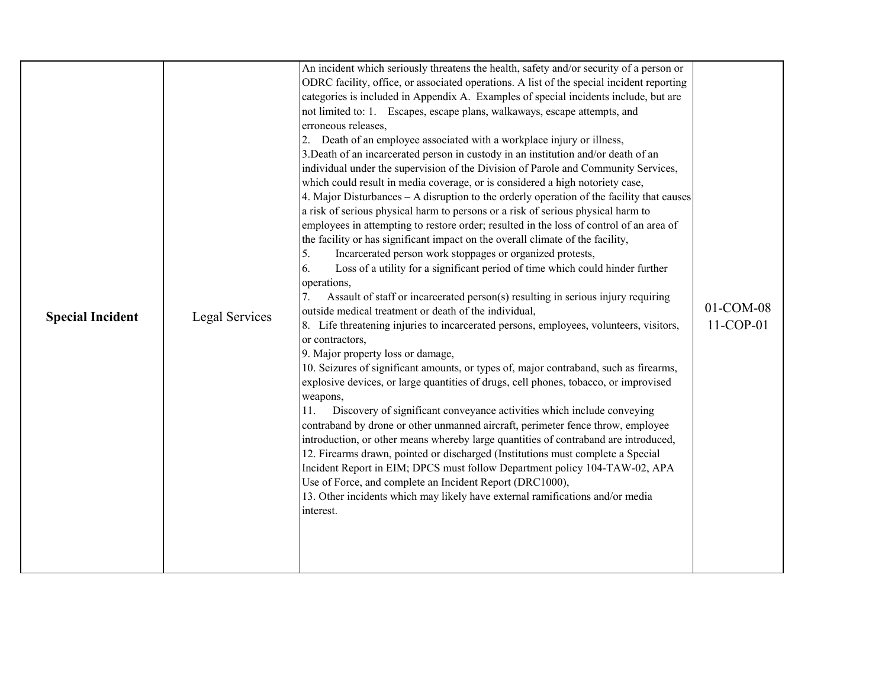|  | <b>Special Incident</b> | Legal Services | An incident which seriously threatens the health, safety and/or security of a person or<br>ODRC facility, office, or associated operations. A list of the special incident reporting<br>categories is included in Appendix A. Examples of special incidents include, but are<br>not limited to: 1. Escapes, escape plans, walkaways, escape attempts, and<br>erroneous releases,<br>2. Death of an employee associated with a workplace injury or illness,<br>3. Death of an incarcerated person in custody in an institution and/or death of an<br>individual under the supervision of the Division of Parole and Community Services,<br>which could result in media coverage, or is considered a high notoriety case,<br>4. Major Disturbances - A disruption to the orderly operation of the facility that causes<br>a risk of serious physical harm to persons or a risk of serious physical harm to<br>employees in attempting to restore order; resulted in the loss of control of an area of<br>the facility or has significant impact on the overall climate of the facility,<br>Incarcerated person work stoppages or organized protests,<br>5.<br>Loss of a utility for a significant period of time which could hinder further<br>6.<br>operations,<br>Assault of staff or incarcerated person(s) resulting in serious injury requiring<br>7.<br>outside medical treatment or death of the individual,<br>8. Life threatening injuries to incarcerated persons, employees, volunteers, visitors,<br>or contractors,<br>9. Major property loss or damage,<br>10. Seizures of significant amounts, or types of, major contraband, such as firearms,<br>explosive devices, or large quantities of drugs, cell phones, tobacco, or improvised<br>weapons,<br>Discovery of significant conveyance activities which include conveying<br>11.<br>contraband by drone or other unmanned aircraft, perimeter fence throw, employee<br>introduction, or other means whereby large quantities of contraband are introduced,<br>12. Firearms drawn, pointed or discharged (Institutions must complete a Special<br>Incident Report in EIM; DPCS must follow Department policy 104-TAW-02, APA<br>Use of Force, and complete an Incident Report (DRC1000),<br>13. Other incidents which may likely have external ramifications and/or media<br>interest. | 01-COM-08<br>11-COP-01 |
|--|-------------------------|----------------|--------------------------------------------------------------------------------------------------------------------------------------------------------------------------------------------------------------------------------------------------------------------------------------------------------------------------------------------------------------------------------------------------------------------------------------------------------------------------------------------------------------------------------------------------------------------------------------------------------------------------------------------------------------------------------------------------------------------------------------------------------------------------------------------------------------------------------------------------------------------------------------------------------------------------------------------------------------------------------------------------------------------------------------------------------------------------------------------------------------------------------------------------------------------------------------------------------------------------------------------------------------------------------------------------------------------------------------------------------------------------------------------------------------------------------------------------------------------------------------------------------------------------------------------------------------------------------------------------------------------------------------------------------------------------------------------------------------------------------------------------------------------------------------------------------------------------------------------------------------------------------------------------------------------------------------------------------------------------------------------------------------------------------------------------------------------------------------------------------------------------------------------------------------------------------------------------------------------------------------------------------------------------------------------------------------------------------------------------------|------------------------|
|--|-------------------------|----------------|--------------------------------------------------------------------------------------------------------------------------------------------------------------------------------------------------------------------------------------------------------------------------------------------------------------------------------------------------------------------------------------------------------------------------------------------------------------------------------------------------------------------------------------------------------------------------------------------------------------------------------------------------------------------------------------------------------------------------------------------------------------------------------------------------------------------------------------------------------------------------------------------------------------------------------------------------------------------------------------------------------------------------------------------------------------------------------------------------------------------------------------------------------------------------------------------------------------------------------------------------------------------------------------------------------------------------------------------------------------------------------------------------------------------------------------------------------------------------------------------------------------------------------------------------------------------------------------------------------------------------------------------------------------------------------------------------------------------------------------------------------------------------------------------------------------------------------------------------------------------------------------------------------------------------------------------------------------------------------------------------------------------------------------------------------------------------------------------------------------------------------------------------------------------------------------------------------------------------------------------------------------------------------------------------------------------------------------------------------|------------------------|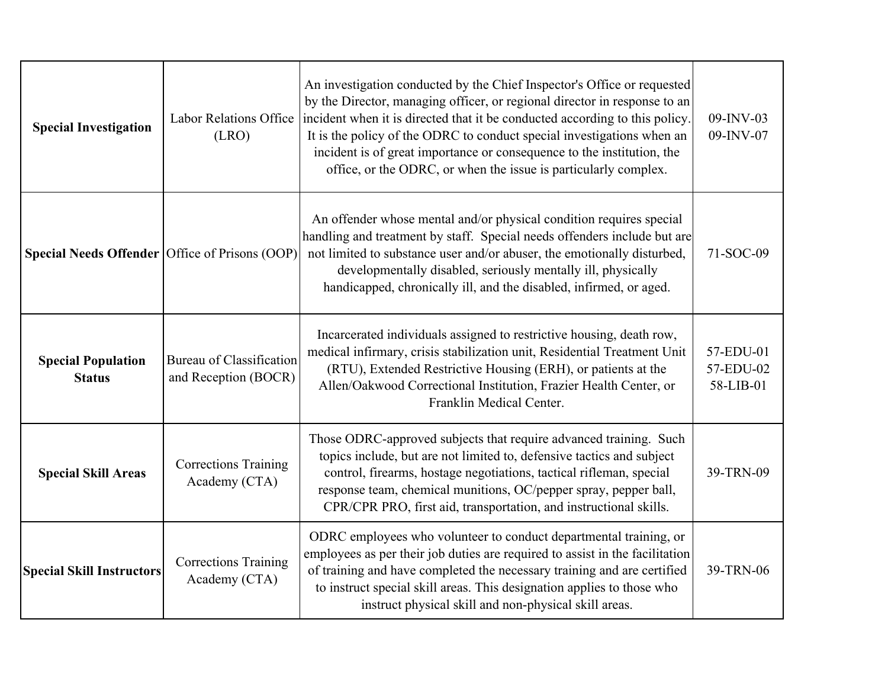| <b>Special Investigation</b>                   | (LRO)                                            | An investigation conducted by the Chief Inspector's Office or requested<br>by the Director, managing officer, or regional director in response to an<br>Labor Relations Office incident when it is directed that it be conducted according to this policy.<br>It is the policy of the ODRC to conduct special investigations when an<br>incident is of great importance or consequence to the institution, the<br>office, or the ODRC, or when the issue is particularly complex. | 09-INV-03<br>09-INV-07              |
|------------------------------------------------|--------------------------------------------------|-----------------------------------------------------------------------------------------------------------------------------------------------------------------------------------------------------------------------------------------------------------------------------------------------------------------------------------------------------------------------------------------------------------------------------------------------------------------------------------|-------------------------------------|
| Special Needs Offender Office of Prisons (OOP) |                                                  | An offender whose mental and/or physical condition requires special<br>handling and treatment by staff. Special needs offenders include but are<br>not limited to substance user and/or abuser, the emotionally disturbed,<br>developmentally disabled, seriously mentally ill, physically<br>handicapped, chronically ill, and the disabled, infirmed, or aged.                                                                                                                  | 71-SOC-09                           |
| <b>Special Population</b><br><b>Status</b>     | Bureau of Classification<br>and Reception (BOCR) | Incarcerated individuals assigned to restrictive housing, death row,<br>medical infirmary, crisis stabilization unit, Residential Treatment Unit<br>(RTU), Extended Restrictive Housing (ERH), or patients at the<br>Allen/Oakwood Correctional Institution, Frazier Health Center, or<br>Franklin Medical Center.                                                                                                                                                                | 57-EDU-01<br>57-EDU-02<br>58-LIB-01 |
| <b>Special Skill Areas</b>                     | <b>Corrections Training</b><br>Academy (CTA)     | Those ODRC-approved subjects that require advanced training. Such<br>topics include, but are not limited to, defensive tactics and subject<br>control, firearms, hostage negotiations, tactical rifleman, special<br>response team, chemical munitions, OC/pepper spray, pepper ball,<br>CPR/CPR PRO, first aid, transportation, and instructional skills.                                                                                                                        | 39-TRN-09                           |
| <b>Special Skill Instructors</b>               | <b>Corrections Training</b><br>Academy (CTA)     | ODRC employees who volunteer to conduct departmental training, or<br>employees as per their job duties are required to assist in the facilitation<br>of training and have completed the necessary training and are certified<br>to instruct special skill areas. This designation applies to those who<br>instruct physical skill and non-physical skill areas.                                                                                                                   | 39-TRN-06                           |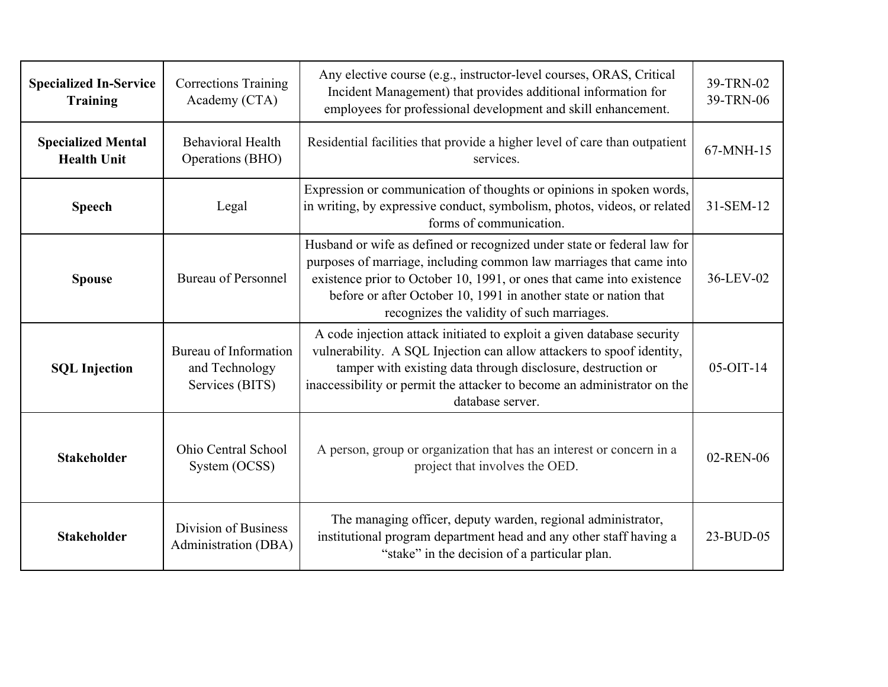| <b>Specialized In-Service</b><br><b>Training</b> | <b>Corrections Training</b><br>Academy (CTA)               | Any elective course (e.g., instructor-level courses, ORAS, Critical<br>Incident Management) that provides additional information for<br>employees for professional development and skill enhancement.                                                                                                                                     | 39-TRN-02<br>39-TRN-06 |
|--------------------------------------------------|------------------------------------------------------------|-------------------------------------------------------------------------------------------------------------------------------------------------------------------------------------------------------------------------------------------------------------------------------------------------------------------------------------------|------------------------|
| <b>Specialized Mental</b><br><b>Health Unit</b>  | <b>Behavioral Health</b><br>Operations (BHO)               | Residential facilities that provide a higher level of care than outpatient<br>services.                                                                                                                                                                                                                                                   | 67-MNH-15              |
| <b>Speech</b>                                    | Legal                                                      | Expression or communication of thoughts or opinions in spoken words,<br>in writing, by expressive conduct, symbolism, photos, videos, or related<br>forms of communication.                                                                                                                                                               | 31-SEM-12              |
| <b>Spouse</b>                                    | <b>Bureau of Personnel</b>                                 | Husband or wife as defined or recognized under state or federal law for<br>purposes of marriage, including common law marriages that came into<br>existence prior to October 10, 1991, or ones that came into existence<br>before or after October 10, 1991 in another state or nation that<br>recognizes the validity of such marriages. | 36-LEV-02              |
| <b>SQL</b> Injection                             | Bureau of Information<br>and Technology<br>Services (BITS) | A code injection attack initiated to exploit a given database security<br>vulnerability. A SQL Injection can allow attackers to spoof identity,<br>tamper with existing data through disclosure, destruction or<br>inaccessibility or permit the attacker to become an administrator on the<br>database server.                           | $05-OIT-14$            |
| <b>Stakeholder</b>                               | Ohio Central School<br>System (OCSS)                       | A person, group or organization that has an interest or concern in a<br>project that involves the OED.                                                                                                                                                                                                                                    | 02-REN-06              |
| <b>Stakeholder</b>                               | Division of Business<br>Administration (DBA)               | The managing officer, deputy warden, regional administrator,<br>institutional program department head and any other staff having a<br>"stake" in the decision of a particular plan.                                                                                                                                                       | 23-BUD-05              |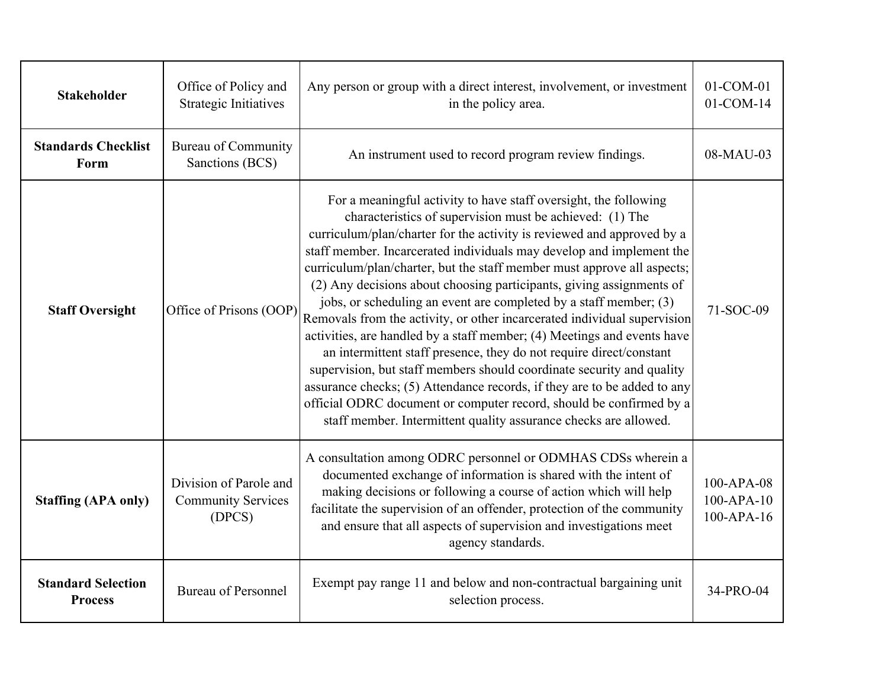| <b>Stakeholder</b>                          | Office of Policy and<br><b>Strategic Initiatives</b>          | Any person or group with a direct interest, involvement, or investment<br>in the policy area.                                                                                                                                                                                                                                                                                                                                                                                                                                                                                                                                                                                                                                                                                                                                                                                                                                                                                                                                        | 01-COM-01<br>$01$ -COM-14                |
|---------------------------------------------|---------------------------------------------------------------|--------------------------------------------------------------------------------------------------------------------------------------------------------------------------------------------------------------------------------------------------------------------------------------------------------------------------------------------------------------------------------------------------------------------------------------------------------------------------------------------------------------------------------------------------------------------------------------------------------------------------------------------------------------------------------------------------------------------------------------------------------------------------------------------------------------------------------------------------------------------------------------------------------------------------------------------------------------------------------------------------------------------------------------|------------------------------------------|
| <b>Standards Checklist</b><br>Form          | <b>Bureau of Community</b><br>Sanctions (BCS)                 | An instrument used to record program review findings.                                                                                                                                                                                                                                                                                                                                                                                                                                                                                                                                                                                                                                                                                                                                                                                                                                                                                                                                                                                | 08-MAU-03                                |
| <b>Staff Oversight</b>                      | Office of Prisons (OOP)                                       | For a meaningful activity to have staff oversight, the following<br>characteristics of supervision must be achieved: (1) The<br>curriculum/plan/charter for the activity is reviewed and approved by a<br>staff member. Incarcerated individuals may develop and implement the<br>curriculum/plan/charter, but the staff member must approve all aspects;<br>(2) Any decisions about choosing participants, giving assignments of<br>jobs, or scheduling an event are completed by a staff member; (3)<br>Removals from the activity, or other incarcerated individual supervision<br>activities, are handled by a staff member; (4) Meetings and events have<br>an intermittent staff presence, they do not require direct/constant<br>supervision, but staff members should coordinate security and quality<br>assurance checks; (5) Attendance records, if they are to be added to any<br>official ODRC document or computer record, should be confirmed by a<br>staff member. Intermittent quality assurance checks are allowed. | 71-SOC-09                                |
| <b>Staffing (APA only)</b>                  | Division of Parole and<br><b>Community Services</b><br>(DPCS) | A consultation among ODRC personnel or ODMHAS CDSs wherein a<br>documented exchange of information is shared with the intent of<br>making decisions or following a course of action which will help<br>facilitate the supervision of an offender, protection of the community<br>and ensure that all aspects of supervision and investigations meet<br>agency standards.                                                                                                                                                                                                                                                                                                                                                                                                                                                                                                                                                                                                                                                             | 100-APA-08<br>100-APA-10<br>$100-APA-16$ |
| <b>Standard Selection</b><br><b>Process</b> | <b>Bureau of Personnel</b>                                    | Exempt pay range 11 and below and non-contractual bargaining unit<br>selection process.                                                                                                                                                                                                                                                                                                                                                                                                                                                                                                                                                                                                                                                                                                                                                                                                                                                                                                                                              | 34-PRO-04                                |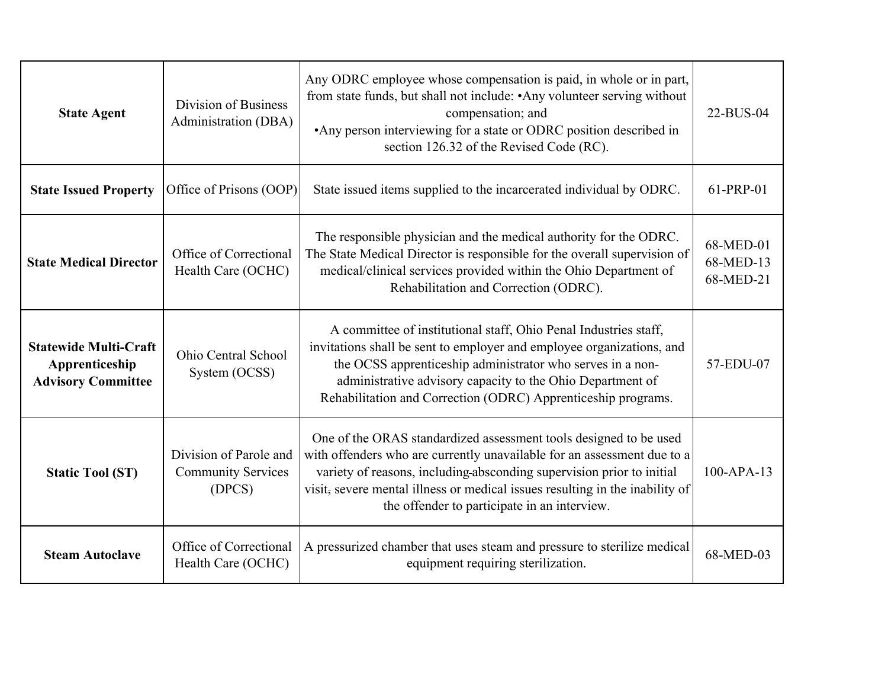| <b>State Agent</b>                                                          | Division of Business<br>Administration (DBA)                  | Any ODRC employee whose compensation is paid, in whole or in part,<br>from state funds, but shall not include: • Any volunteer serving without<br>compensation; and<br>• Any person interviewing for a state or ODRC position described in<br>section 126.32 of the Revised Code (RC).                                                                | 22-BUS-04                           |
|-----------------------------------------------------------------------------|---------------------------------------------------------------|-------------------------------------------------------------------------------------------------------------------------------------------------------------------------------------------------------------------------------------------------------------------------------------------------------------------------------------------------------|-------------------------------------|
| <b>State Issued Property</b>                                                | Office of Prisons (OOP)                                       | State issued items supplied to the incarcerated individual by ODRC.                                                                                                                                                                                                                                                                                   | 61-PRP-01                           |
| <b>State Medical Director</b>                                               | Office of Correctional<br>Health Care (OCHC)                  | The responsible physician and the medical authority for the ODRC.<br>The State Medical Director is responsible for the overall supervision of<br>medical/clinical services provided within the Ohio Department of<br>Rehabilitation and Correction (ODRC).                                                                                            | 68-MED-01<br>68-MED-13<br>68-MED-21 |
| <b>Statewide Multi-Craft</b><br>Apprenticeship<br><b>Advisory Committee</b> | Ohio Central School<br>System (OCSS)                          | A committee of institutional staff, Ohio Penal Industries staff,<br>invitations shall be sent to employer and employee organizations, and<br>the OCSS apprenticeship administrator who serves in a non-<br>administrative advisory capacity to the Ohio Department of<br>Rehabilitation and Correction (ODRC) Apprenticeship programs.                | 57-EDU-07                           |
| <b>Static Tool (ST)</b>                                                     | Division of Parole and<br><b>Community Services</b><br>(DPCS) | One of the ORAS standardized assessment tools designed to be used<br>with offenders who are currently unavailable for an assessment due to a<br>variety of reasons, including-absconding supervision prior to initial<br>visit, severe mental illness or medical issues resulting in the inability of<br>the offender to participate in an interview. | 100-APA-13                          |
| <b>Steam Autoclave</b>                                                      | Office of Correctional<br>Health Care (OCHC)                  | A pressurized chamber that uses steam and pressure to sterilize medical<br>equipment requiring sterilization.                                                                                                                                                                                                                                         | 68-MED-03                           |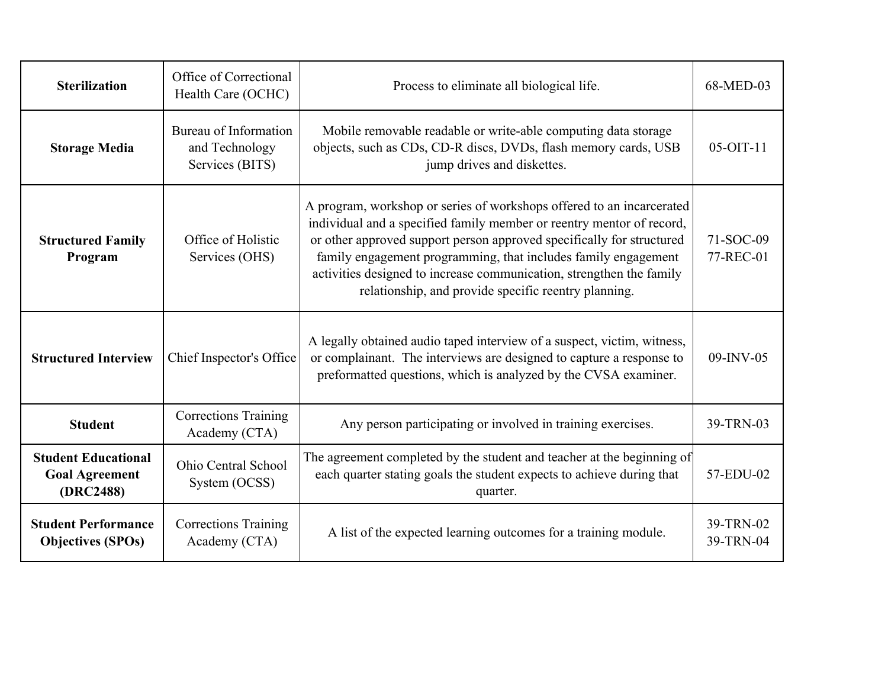| <b>Sterilization</b>                                             | Office of Correctional<br>Health Care (OCHC)               | Process to eliminate all biological life.                                                                                                                                                                                                                                                                                                                                                                                 | 68-MED-03              |
|------------------------------------------------------------------|------------------------------------------------------------|---------------------------------------------------------------------------------------------------------------------------------------------------------------------------------------------------------------------------------------------------------------------------------------------------------------------------------------------------------------------------------------------------------------------------|------------------------|
| <b>Storage Media</b>                                             | Bureau of Information<br>and Technology<br>Services (BITS) | Mobile removable readable or write-able computing data storage<br>objects, such as CDs, CD-R discs, DVDs, flash memory cards, USB<br>jump drives and diskettes.                                                                                                                                                                                                                                                           | $05-OIT-11$            |
| <b>Structured Family</b><br>Program                              | Office of Holistic<br>Services (OHS)                       | A program, workshop or series of workshops offered to an incarcerated<br>individual and a specified family member or reentry mentor of record,<br>or other approved support person approved specifically for structured<br>family engagement programming, that includes family engagement<br>activities designed to increase communication, strengthen the family<br>relationship, and provide specific reentry planning. | 71-SOC-09<br>77-REC-01 |
| <b>Structured Interview</b>                                      | Chief Inspector's Office                                   | A legally obtained audio taped interview of a suspect, victim, witness,<br>or complainant. The interviews are designed to capture a response to<br>preformatted questions, which is analyzed by the CVSA examiner.                                                                                                                                                                                                        | $09$ -INV- $05$        |
| <b>Student</b>                                                   | <b>Corrections Training</b><br>Academy (CTA)               | Any person participating or involved in training exercises.                                                                                                                                                                                                                                                                                                                                                               | 39-TRN-03              |
| <b>Student Educational</b><br><b>Goal Agreement</b><br>(DRC2488) | Ohio Central School<br>System (OCSS)                       | The agreement completed by the student and teacher at the beginning of<br>each quarter stating goals the student expects to achieve during that<br>quarter.                                                                                                                                                                                                                                                               | 57-EDU-02              |
| <b>Student Performance</b><br><b>Objectives (SPOs)</b>           | <b>Corrections Training</b><br>Academy (CTA)               | A list of the expected learning outcomes for a training module.                                                                                                                                                                                                                                                                                                                                                           | 39-TRN-02<br>39-TRN-04 |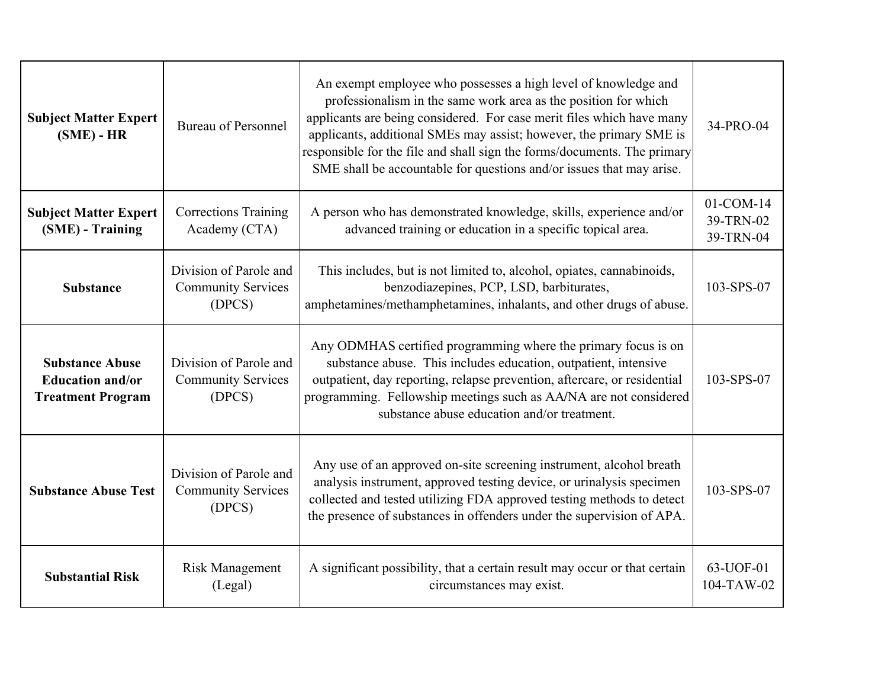| <b>Subject Matter Expert</b><br>$(SME) - HR$                                  | <b>Bureau of Personnel</b>                                    | An exempt employee who possesses a high level of knowledge and<br>professionalism in the same work area as the position for which<br>applicants are being considered. For case merit files which have many<br>applicants, additional SMEs may assist; however, the primary SME is<br>responsible for the file and shall sign the forms/documents. The primary<br>SME shall be accountable for questions and/or issues that may arise. | 34-PRO-04                              |
|-------------------------------------------------------------------------------|---------------------------------------------------------------|---------------------------------------------------------------------------------------------------------------------------------------------------------------------------------------------------------------------------------------------------------------------------------------------------------------------------------------------------------------------------------------------------------------------------------------|----------------------------------------|
| <b>Subject Matter Expert</b><br>(SME) - Training                              | <b>Corrections Training</b><br>Academy (CTA)                  | A person who has demonstrated knowledge, skills, experience and/or<br>advanced training or education in a specific topical area.                                                                                                                                                                                                                                                                                                      | $01$ -COM-14<br>39-TRN-02<br>39-TRN-04 |
| <b>Substance</b>                                                              | Division of Parole and<br><b>Community Services</b><br>(DPCS) | This includes, but is not limited to, alcohol, opiates, cannabinoids,<br>benzodiazepines, PCP, LSD, barbiturates,<br>amphetamines/methamphetamines, inhalants, and other drugs of abuse.                                                                                                                                                                                                                                              | 103-SPS-07                             |
| <b>Substance Abuse</b><br><b>Education and/or</b><br><b>Treatment Program</b> | Division of Parole and<br><b>Community Services</b><br>(DPCS) | Any ODMHAS certified programming where the primary focus is on<br>substance abuse. This includes education, outpatient, intensive<br>outpatient, day reporting, relapse prevention, aftercare, or residential<br>programming. Fellowship meetings such as AA/NA are not considered<br>substance abuse education and/or treatment.                                                                                                     | 103-SPS-07                             |
| <b>Substance Abuse Test</b>                                                   | Division of Parole and<br><b>Community Services</b><br>(DPCS) | Any use of an approved on-site screening instrument, alcohol breath<br>analysis instrument, approved testing device, or urinalysis specimen<br>collected and tested utilizing FDA approved testing methods to detect<br>the presence of substances in offenders under the supervision of APA.                                                                                                                                         | 103-SPS-07                             |
| <b>Substantial Risk</b>                                                       | <b>Risk Management</b><br>(Legal)                             | A significant possibility, that a certain result may occur or that certain<br>circumstances may exist.                                                                                                                                                                                                                                                                                                                                | 63-UOF-01<br>104-TAW-02                |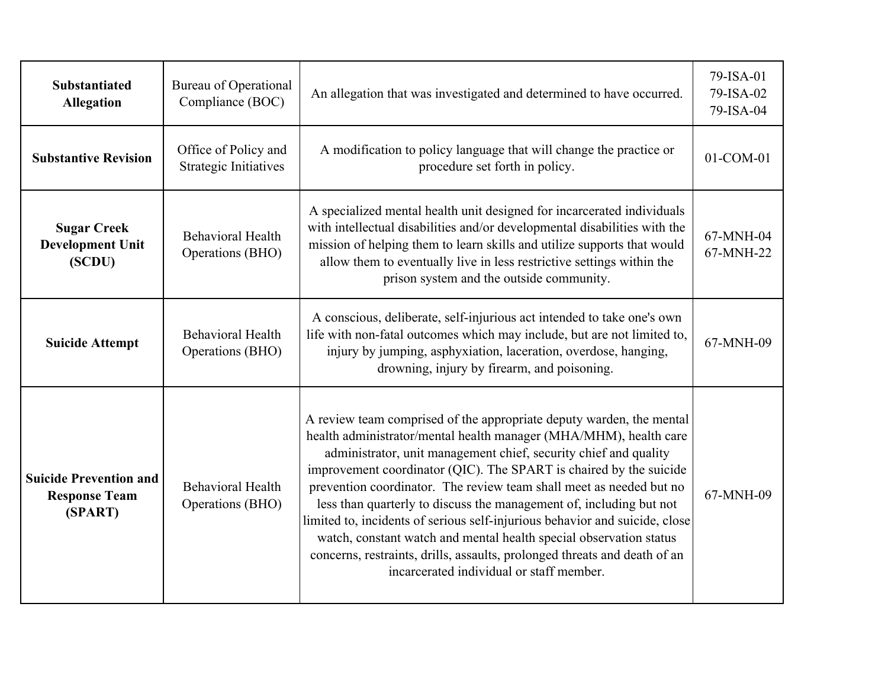| <b>Substantiated</b><br><b>Allegation</b>                        | <b>Bureau of Operational</b><br>Compliance (BOC)     | An allegation that was investigated and determined to have occurred.                                                                                                                                                                                                                                                                                                                                                                                                                                                                                                                                                                                                                                            | 79-ISA-01<br>79-ISA-02<br>79-ISA-04 |
|------------------------------------------------------------------|------------------------------------------------------|-----------------------------------------------------------------------------------------------------------------------------------------------------------------------------------------------------------------------------------------------------------------------------------------------------------------------------------------------------------------------------------------------------------------------------------------------------------------------------------------------------------------------------------------------------------------------------------------------------------------------------------------------------------------------------------------------------------------|-------------------------------------|
| <b>Substantive Revision</b>                                      | Office of Policy and<br><b>Strategic Initiatives</b> | A modification to policy language that will change the practice or<br>procedure set forth in policy.                                                                                                                                                                                                                                                                                                                                                                                                                                                                                                                                                                                                            | 01-COM-01                           |
| <b>Sugar Creek</b><br><b>Development Unit</b><br>(SCDU)          | <b>Behavioral Health</b><br>Operations (BHO)         | A specialized mental health unit designed for incarcerated individuals<br>with intellectual disabilities and/or developmental disabilities with the<br>mission of helping them to learn skills and utilize supports that would<br>allow them to eventually live in less restrictive settings within the<br>prison system and the outside community.                                                                                                                                                                                                                                                                                                                                                             | 67-MNH-04<br>67-MNH-22              |
| <b>Suicide Attempt</b>                                           | <b>Behavioral Health</b><br>Operations (BHO)         | A conscious, deliberate, self-injurious act intended to take one's own<br>life with non-fatal outcomes which may include, but are not limited to,<br>injury by jumping, asphyxiation, laceration, overdose, hanging,<br>drowning, injury by firearm, and poisoning.                                                                                                                                                                                                                                                                                                                                                                                                                                             | 67-MNH-09                           |
| <b>Suicide Prevention and</b><br><b>Response Team</b><br>(SPART) | <b>Behavioral Health</b><br>Operations (BHO)         | A review team comprised of the appropriate deputy warden, the mental<br>health administrator/mental health manager (MHA/MHM), health care<br>administrator, unit management chief, security chief and quality<br>improvement coordinator (QIC). The SPART is chaired by the suicide<br>prevention coordinator. The review team shall meet as needed but no<br>less than quarterly to discuss the management of, including but not<br>limited to, incidents of serious self-injurious behavior and suicide, close<br>watch, constant watch and mental health special observation status<br>concerns, restraints, drills, assaults, prolonged threats and death of an<br>incarcerated individual or staff member. | 67-MNH-09                           |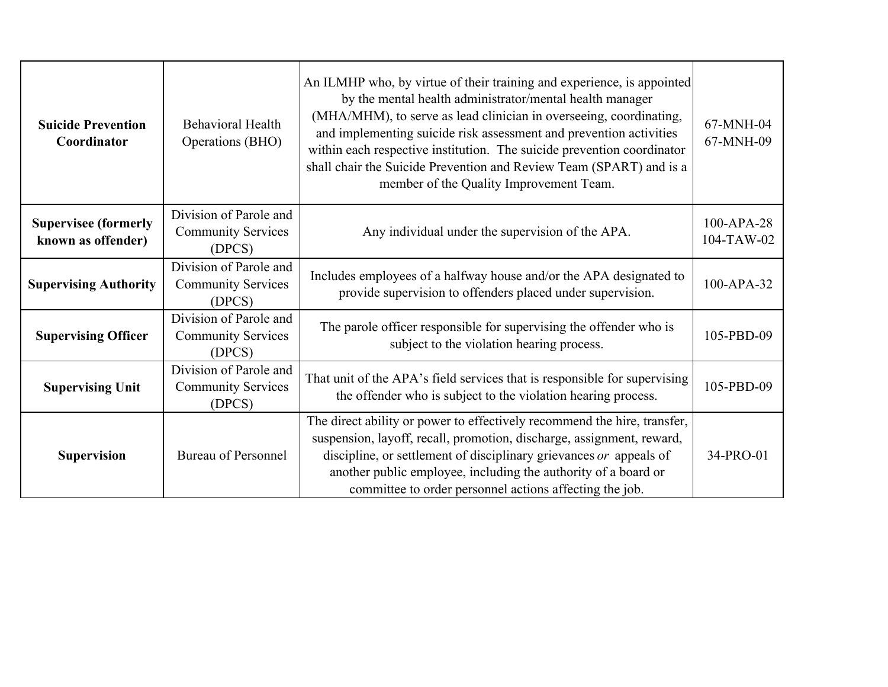| <b>Suicide Prevention</b><br>Coordinator          | <b>Behavioral Health</b><br>Operations (BHO)                  | An ILMHP who, by virtue of their training and experience, is appointed<br>by the mental health administrator/mental health manager<br>(MHA/MHM), to serve as lead clinician in overseeing, coordinating,<br>and implementing suicide risk assessment and prevention activities<br>within each respective institution. The suicide prevention coordinator<br>shall chair the Suicide Prevention and Review Team (SPART) and is a<br>member of the Quality Improvement Team. | 67-MNH-04<br>67-MNH-09   |
|---------------------------------------------------|---------------------------------------------------------------|----------------------------------------------------------------------------------------------------------------------------------------------------------------------------------------------------------------------------------------------------------------------------------------------------------------------------------------------------------------------------------------------------------------------------------------------------------------------------|--------------------------|
| <b>Supervisee (formerly</b><br>known as offender) | Division of Parole and<br><b>Community Services</b><br>(DPCS) | Any individual under the supervision of the APA.                                                                                                                                                                                                                                                                                                                                                                                                                           | 100-APA-28<br>104-TAW-02 |
| <b>Supervising Authority</b>                      | Division of Parole and<br><b>Community Services</b><br>(DPCS) | Includes employees of a halfway house and/or the APA designated to<br>provide supervision to offenders placed under supervision.                                                                                                                                                                                                                                                                                                                                           | 100-APA-32               |
| <b>Supervising Officer</b>                        | Division of Parole and<br><b>Community Services</b><br>(DPCS) | The parole officer responsible for supervising the offender who is<br>subject to the violation hearing process.                                                                                                                                                                                                                                                                                                                                                            | 105-PBD-09               |
| <b>Supervising Unit</b>                           | Division of Parole and<br><b>Community Services</b><br>(DPCS) | That unit of the APA's field services that is responsible for supervising<br>the offender who is subject to the violation hearing process.                                                                                                                                                                                                                                                                                                                                 | 105-PBD-09               |
| <b>Supervision</b>                                | <b>Bureau of Personnel</b>                                    | The direct ability or power to effectively recommend the hire, transfer,<br>suspension, layoff, recall, promotion, discharge, assignment, reward,<br>discipline, or settlement of disciplinary grievances or appeals of<br>another public employee, including the authority of a board or<br>committee to order personnel actions affecting the job.                                                                                                                       | 34-PRO-01                |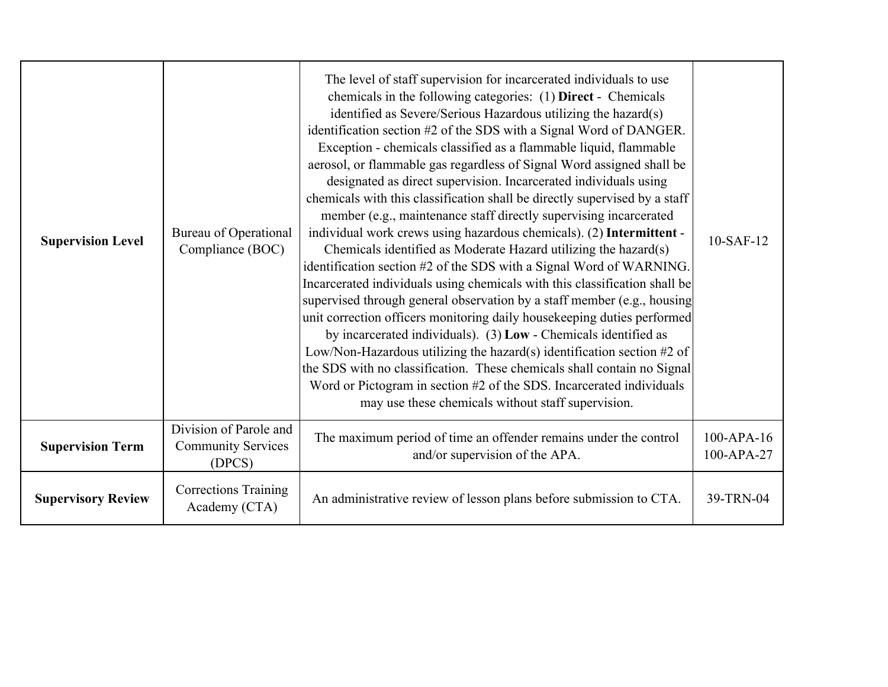| <b>Supervision Level</b>  | <b>Bureau of Operational</b><br>Compliance (BOC)              | The level of staff supervision for incarcerated individuals to use<br>chemicals in the following categories: (1) Direct - Chemicals<br>identified as Severe/Serious Hazardous utilizing the hazard(s)<br>identification section #2 of the SDS with a Signal Word of DANGER.<br>Exception - chemicals classified as a flammable liquid, flammable<br>aerosol, or flammable gas regardless of Signal Word assigned shall be<br>designated as direct supervision. Incarcerated individuals using<br>chemicals with this classification shall be directly supervised by a staff<br>member (e.g., maintenance staff directly supervising incarcerated<br>individual work crews using hazardous chemicals). (2) Intermittent -<br>Chemicals identified as Moderate Hazard utilizing the hazard(s)<br>identification section #2 of the SDS with a Signal Word of WARNING.<br>Incarcerated individuals using chemicals with this classification shall be<br>supervised through general observation by a staff member (e.g., housing<br>unit correction officers monitoring daily housekeeping duties performed<br>by incarcerated individuals). (3) Low - Chemicals identified as<br>Low/Non-Hazardous utilizing the hazard(s) identification section #2 of<br>the SDS with no classification. These chemicals shall contain no Signal<br>Word or Pictogram in section #2 of the SDS. Incarcerated individuals<br>may use these chemicals without staff supervision. | $10-SAF-12$              |
|---------------------------|---------------------------------------------------------------|--------------------------------------------------------------------------------------------------------------------------------------------------------------------------------------------------------------------------------------------------------------------------------------------------------------------------------------------------------------------------------------------------------------------------------------------------------------------------------------------------------------------------------------------------------------------------------------------------------------------------------------------------------------------------------------------------------------------------------------------------------------------------------------------------------------------------------------------------------------------------------------------------------------------------------------------------------------------------------------------------------------------------------------------------------------------------------------------------------------------------------------------------------------------------------------------------------------------------------------------------------------------------------------------------------------------------------------------------------------------------------------------------------------------------------------------------------------|--------------------------|
| <b>Supervision Term</b>   | Division of Parole and<br><b>Community Services</b><br>(DPCS) | The maximum period of time an offender remains under the control<br>and/or supervision of the APA.                                                                                                                                                                                                                                                                                                                                                                                                                                                                                                                                                                                                                                                                                                                                                                                                                                                                                                                                                                                                                                                                                                                                                                                                                                                                                                                                                           | 100-APA-16<br>100-APA-27 |
| <b>Supervisory Review</b> | <b>Corrections Training</b><br>Academy (CTA)                  | An administrative review of lesson plans before submission to CTA.                                                                                                                                                                                                                                                                                                                                                                                                                                                                                                                                                                                                                                                                                                                                                                                                                                                                                                                                                                                                                                                                                                                                                                                                                                                                                                                                                                                           | 39-TRN-04                |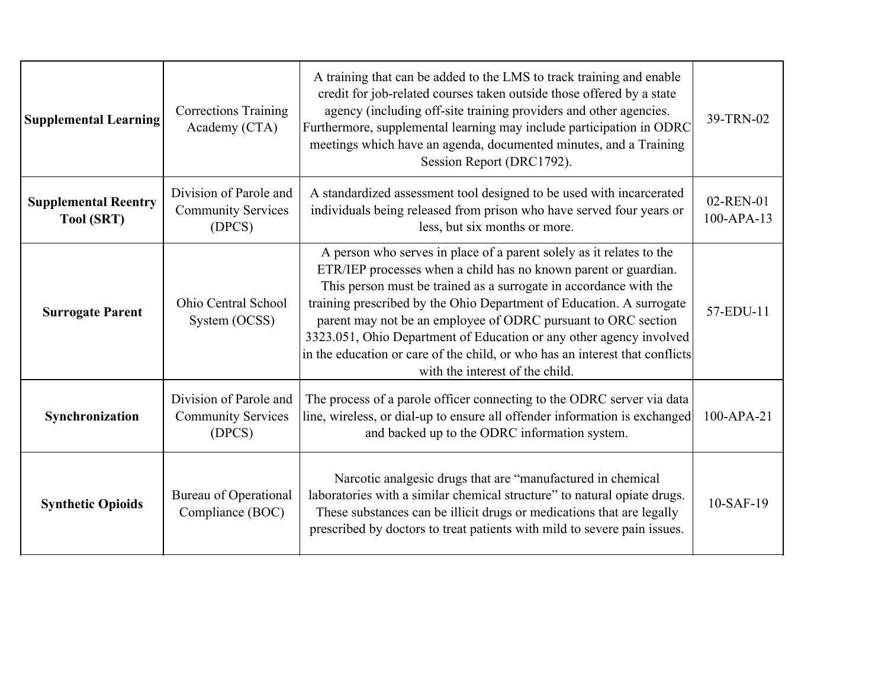| <b>Supplemental Learning</b>                     | <b>Corrections Training</b><br>Academy (CTA)                  | A training that can be added to the LMS to track training and enable<br>credit for job-related courses taken outside those offered by a state<br>agency (including off-site training providers and other agencies.<br>Furthermore, supplemental learning may include participation in ODRC<br>meetings which have an agenda, documented minutes, and a Training<br>Session Report (DRC1792).                                                                                                                                                    | 39-TRN-02               |
|--------------------------------------------------|---------------------------------------------------------------|-------------------------------------------------------------------------------------------------------------------------------------------------------------------------------------------------------------------------------------------------------------------------------------------------------------------------------------------------------------------------------------------------------------------------------------------------------------------------------------------------------------------------------------------------|-------------------------|
| <b>Supplemental Reentry</b><br><b>Tool (SRT)</b> | Division of Parole and<br><b>Community Services</b><br>(DPCS) | A standardized assessment tool designed to be used with incarcerated<br>individuals being released from prison who have served four years or<br>less, but six months or more.                                                                                                                                                                                                                                                                                                                                                                   | 02-REN-01<br>100-APA-13 |
| <b>Surrogate Parent</b>                          | Ohio Central School<br>System (OCSS)                          | A person who serves in place of a parent solely as it relates to the<br>ETR/IEP processes when a child has no known parent or guardian.<br>This person must be trained as a surrogate in accordance with the<br>training prescribed by the Ohio Department of Education. A surrogate<br>parent may not be an employee of ODRC pursuant to ORC section<br>3323.051, Ohio Department of Education or any other agency involved<br>in the education or care of the child, or who has an interest that conflicts<br>with the interest of the child. | 57-EDU-11               |
| Synchronization                                  | Division of Parole and<br><b>Community Services</b><br>(DPCS) | The process of a parole officer connecting to the ODRC server via data<br>line, wireless, or dial-up to ensure all offender information is exchanged<br>and backed up to the ODRC information system.                                                                                                                                                                                                                                                                                                                                           | 100-APA-21              |
| <b>Synthetic Opioids</b>                         | <b>Bureau of Operational</b><br>Compliance (BOC)              | Narcotic analgesic drugs that are "manufactured in chemical<br>laboratories with a similar chemical structure" to natural opiate drugs.<br>These substances can be illicit drugs or medications that are legally<br>prescribed by doctors to treat patients with mild to severe pain issues.                                                                                                                                                                                                                                                    | 10-SAF-19               |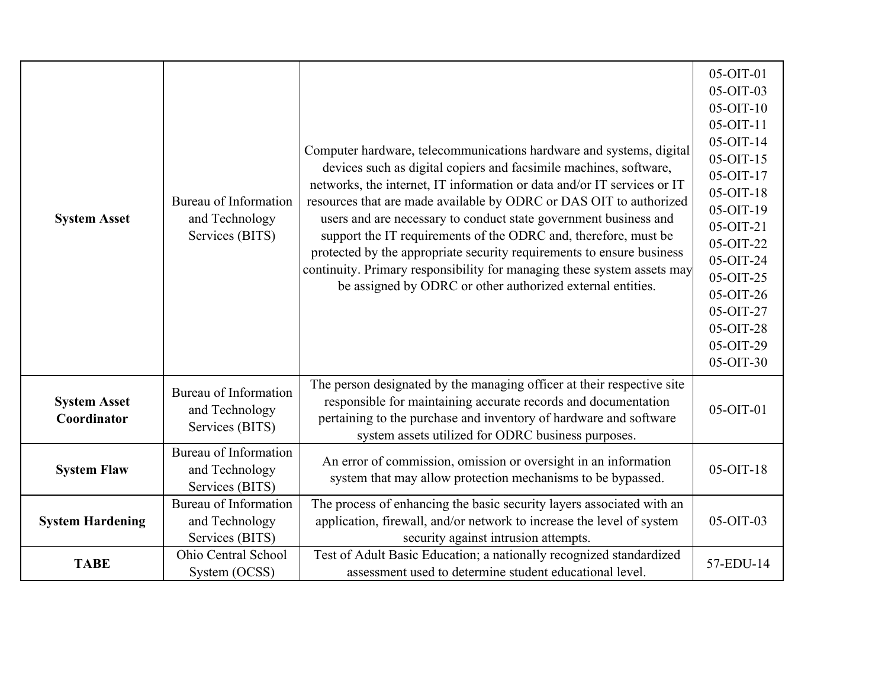| <b>System Asset</b>                | Bureau of Information<br>and Technology<br>Services (BITS) | Computer hardware, telecommunications hardware and systems, digital<br>devices such as digital copiers and facsimile machines, software,<br>networks, the internet, IT information or data and/or IT services or IT<br>resources that are made available by ODRC or DAS OIT to authorized<br>users and are necessary to conduct state government business and<br>support the IT requirements of the ODRC and, therefore, must be<br>protected by the appropriate security requirements to ensure business<br>continuity. Primary responsibility for managing these system assets may<br>be assigned by ODRC or other authorized external entities. | 05-OIT-01<br>05-OIT-03<br>$05-OTT-10$<br>$05-OIT-11$<br>05-OIT-14<br>05-OIT-15<br>05-OIT-17<br>05-OIT-18<br>05-OIT-19<br>05-OIT-21<br>05-OIT-22<br>05-OIT-24<br>05-OIT-25<br>05-OIT-26<br>05-OIT-27<br>05-OIT-28<br>05-OIT-29<br>05-OIT-30 |
|------------------------------------|------------------------------------------------------------|----------------------------------------------------------------------------------------------------------------------------------------------------------------------------------------------------------------------------------------------------------------------------------------------------------------------------------------------------------------------------------------------------------------------------------------------------------------------------------------------------------------------------------------------------------------------------------------------------------------------------------------------------|--------------------------------------------------------------------------------------------------------------------------------------------------------------------------------------------------------------------------------------------|
| <b>System Asset</b><br>Coordinator | Bureau of Information<br>and Technology<br>Services (BITS) | The person designated by the managing officer at their respective site<br>responsible for maintaining accurate records and documentation<br>pertaining to the purchase and inventory of hardware and software<br>system assets utilized for ODRC business purposes.                                                                                                                                                                                                                                                                                                                                                                                | 05-OIT-01                                                                                                                                                                                                                                  |
| <b>System Flaw</b>                 | Bureau of Information<br>and Technology<br>Services (BITS) | An error of commission, omission or oversight in an information<br>system that may allow protection mechanisms to be bypassed.                                                                                                                                                                                                                                                                                                                                                                                                                                                                                                                     | 05-OIT-18                                                                                                                                                                                                                                  |
| <b>System Hardening</b>            | Bureau of Information<br>and Technology<br>Services (BITS) | The process of enhancing the basic security layers associated with an<br>application, firewall, and/or network to increase the level of system<br>security against intrusion attempts.                                                                                                                                                                                                                                                                                                                                                                                                                                                             | 05-OIT-03                                                                                                                                                                                                                                  |
| <b>TABE</b>                        | Ohio Central School<br>System (OCSS)                       | Test of Adult Basic Education; a nationally recognized standardized<br>assessment used to determine student educational level.                                                                                                                                                                                                                                                                                                                                                                                                                                                                                                                     | 57-EDU-14                                                                                                                                                                                                                                  |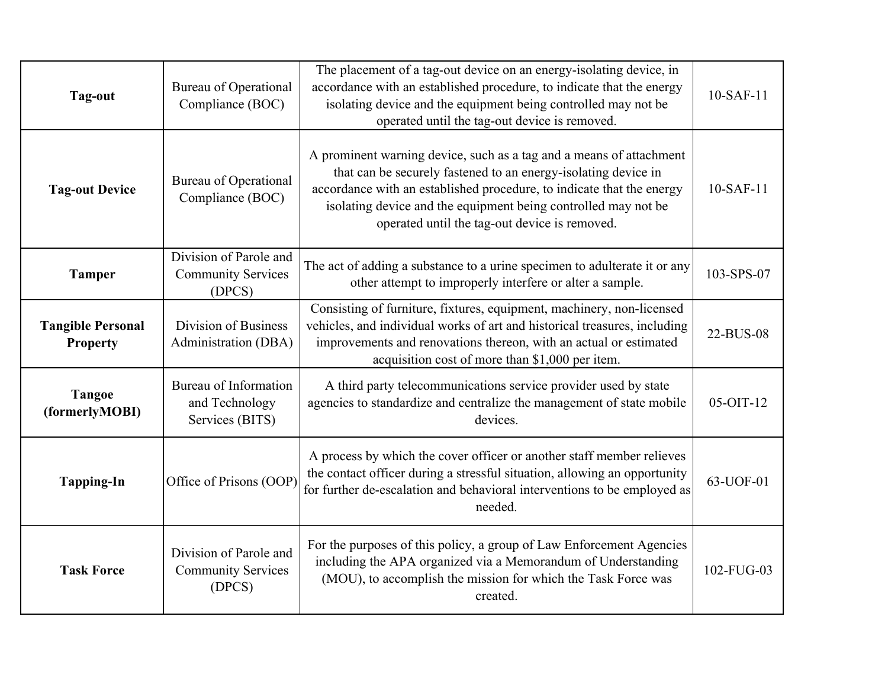| Tag-out                                     | <b>Bureau of Operational</b><br>Compliance (BOC)                  | The placement of a tag-out device on an energy-isolating device, in<br>accordance with an established procedure, to indicate that the energy<br>isolating device and the equipment being controlled may not be<br>operated until the tag-out device is removed.                                                                   | 10-SAF-11  |
|---------------------------------------------|-------------------------------------------------------------------|-----------------------------------------------------------------------------------------------------------------------------------------------------------------------------------------------------------------------------------------------------------------------------------------------------------------------------------|------------|
| <b>Tag-out Device</b>                       | <b>Bureau of Operational</b><br>Compliance (BOC)                  | A prominent warning device, such as a tag and a means of attachment<br>that can be securely fastened to an energy-isolating device in<br>accordance with an established procedure, to indicate that the energy<br>isolating device and the equipment being controlled may not be<br>operated until the tag-out device is removed. | 10-SAF-11  |
| <b>Tamper</b>                               | Division of Parole and<br><b>Community Services</b><br>(DPCS)     | The act of adding a substance to a urine specimen to adulterate it or any<br>other attempt to improperly interfere or alter a sample.                                                                                                                                                                                             | 103-SPS-07 |
| <b>Tangible Personal</b><br><b>Property</b> | Division of Business<br>Administration (DBA)                      | Consisting of furniture, fixtures, equipment, machinery, non-licensed<br>vehicles, and individual works of art and historical treasures, including<br>improvements and renovations thereon, with an actual or estimated<br>acquisition cost of more than \$1,000 per item.                                                        | 22-BUS-08  |
| <b>Tangoe</b><br>(formerlyMOBI)             | <b>Bureau of Information</b><br>and Technology<br>Services (BITS) | A third party telecommunications service provider used by state<br>agencies to standardize and centralize the management of state mobile<br>devices.                                                                                                                                                                              | 05-OIT-12  |
| <b>Tapping-In</b>                           | Office of Prisons (OOP)                                           | A process by which the cover officer or another staff member relieves<br>the contact officer during a stressful situation, allowing an opportunity<br>for further de-escalation and behavioral interventions to be employed as<br>needed.                                                                                         | 63-UOF-01  |
| <b>Task Force</b>                           | Division of Parole and<br><b>Community Services</b><br>(DPCS)     | For the purposes of this policy, a group of Law Enforcement Agencies<br>including the APA organized via a Memorandum of Understanding<br>(MOU), to accomplish the mission for which the Task Force was<br>created.                                                                                                                | 102-FUG-03 |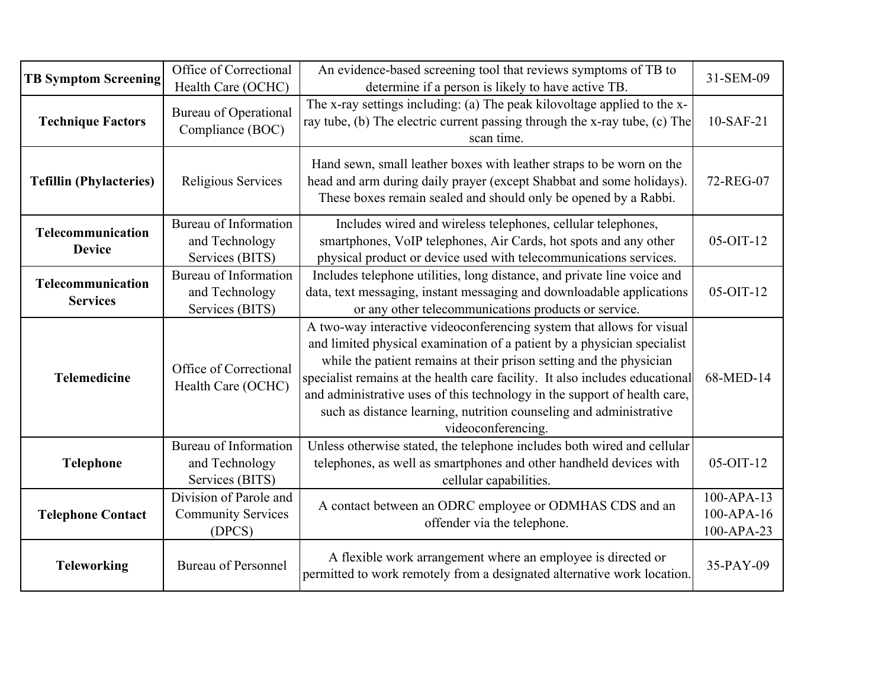| <b>TB Symptom Screening</b>          | Office of Correctional<br>Health Care (OCHC)                      | An evidence-based screening tool that reviews symptoms of TB to<br>determine if a person is likely to have active TB.                                                                                                                                                                                                                                                                                                                                                            | 31-SEM-09                              |
|--------------------------------------|-------------------------------------------------------------------|----------------------------------------------------------------------------------------------------------------------------------------------------------------------------------------------------------------------------------------------------------------------------------------------------------------------------------------------------------------------------------------------------------------------------------------------------------------------------------|----------------------------------------|
| <b>Technique Factors</b>             | <b>Bureau of Operational</b><br>Compliance (BOC)                  | The x-ray settings including: (a) The peak kilovoltage applied to the x-<br>ray tube, (b) The electric current passing through the x-ray tube, (c) The<br>scan time.                                                                                                                                                                                                                                                                                                             | 10-SAF-21                              |
| <b>Tefillin (Phylacteries)</b>       | Religious Services                                                | Hand sewn, small leather boxes with leather straps to be worn on the<br>head and arm during daily prayer (except Shabbat and some holidays).<br>These boxes remain sealed and should only be opened by a Rabbi.                                                                                                                                                                                                                                                                  | 72-REG-07                              |
| Telecommunication<br><b>Device</b>   | <b>Bureau of Information</b><br>and Technology<br>Services (BITS) | Includes wired and wireless telephones, cellular telephones,<br>smartphones, VoIP telephones, Air Cards, hot spots and any other<br>physical product or device used with telecommunications services.                                                                                                                                                                                                                                                                            | $05-OIT-12$                            |
| Telecommunication<br><b>Services</b> | Bureau of Information<br>and Technology<br>Services (BITS)        | Includes telephone utilities, long distance, and private line voice and<br>data, text messaging, instant messaging and downloadable applications<br>or any other telecommunications products or service.                                                                                                                                                                                                                                                                         | $05-OIT-12$                            |
| <b>Telemedicine</b>                  | Office of Correctional<br>Health Care (OCHC)                      | A two-way interactive videoconferencing system that allows for visual<br>and limited physical examination of a patient by a physician specialist<br>while the patient remains at their prison setting and the physician<br>specialist remains at the health care facility. It also includes educational<br>and administrative uses of this technology in the support of health care,<br>such as distance learning, nutrition counseling and administrative<br>videoconferencing. | 68-MED-14                              |
| <b>Telephone</b>                     | <b>Bureau of Information</b><br>and Technology<br>Services (BITS) | Unless otherwise stated, the telephone includes both wired and cellular<br>telephones, as well as smartphones and other handheld devices with<br>cellular capabilities.                                                                                                                                                                                                                                                                                                          | $05-OIT-12$                            |
| <b>Telephone Contact</b>             | Division of Parole and<br><b>Community Services</b><br>(DPCS)     | A contact between an ODRC employee or ODMHAS CDS and an<br>offender via the telephone.                                                                                                                                                                                                                                                                                                                                                                                           | 100-APA-13<br>100-APA-16<br>100-APA-23 |
| <b>Teleworking</b>                   | <b>Bureau of Personnel</b>                                        | A flexible work arrangement where an employee is directed or<br>permitted to work remotely from a designated alternative work location.                                                                                                                                                                                                                                                                                                                                          | 35-PAY-09                              |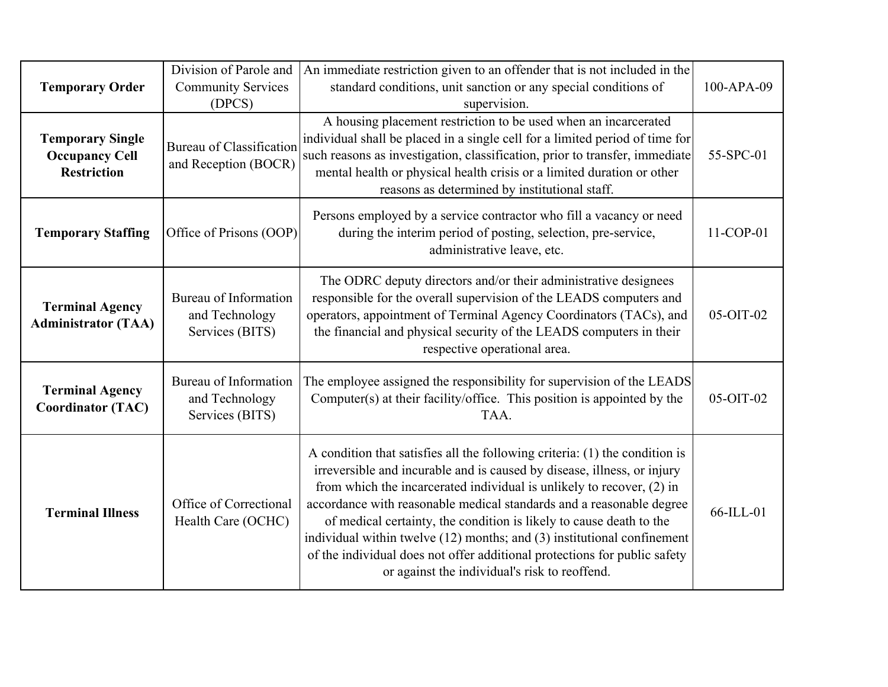| <b>Temporary Order</b>                                                 | Division of Parole and<br><b>Community Services</b><br>(DPCS) | An immediate restriction given to an offender that is not included in the<br>standard conditions, unit sanction or any special conditions of<br>supervision.                                                                                                                                                                                                                                                                                                                                                                                                                                | 100-APA-09 |
|------------------------------------------------------------------------|---------------------------------------------------------------|---------------------------------------------------------------------------------------------------------------------------------------------------------------------------------------------------------------------------------------------------------------------------------------------------------------------------------------------------------------------------------------------------------------------------------------------------------------------------------------------------------------------------------------------------------------------------------------------|------------|
| <b>Temporary Single</b><br><b>Occupancy Cell</b><br><b>Restriction</b> | <b>Bureau of Classification</b><br>and Reception (BOCR)       | A housing placement restriction to be used when an incarcerated<br>individual shall be placed in a single cell for a limited period of time for<br>such reasons as investigation, classification, prior to transfer, immediate<br>mental health or physical health crisis or a limited duration or other<br>reasons as determined by institutional staff.                                                                                                                                                                                                                                   | 55-SPC-01  |
| <b>Temporary Staffing</b>                                              | Office of Prisons (OOP)                                       | Persons employed by a service contractor who fill a vacancy or need<br>during the interim period of posting, selection, pre-service,<br>administrative leave, etc.                                                                                                                                                                                                                                                                                                                                                                                                                          | 11-COP-01  |
| <b>Terminal Agency</b><br><b>Administrator (TAA)</b>                   | Bureau of Information<br>and Technology<br>Services (BITS)    | The ODRC deputy directors and/or their administrative designees<br>responsible for the overall supervision of the LEADS computers and<br>operators, appointment of Terminal Agency Coordinators (TACs), and<br>the financial and physical security of the LEADS computers in their<br>respective operational area.                                                                                                                                                                                                                                                                          | 05-OIT-02  |
| <b>Terminal Agency</b><br><b>Coordinator (TAC)</b>                     | Bureau of Information<br>and Technology<br>Services (BITS)    | The employee assigned the responsibility for supervision of the LEADS<br>Computer(s) at their facility/office. This position is appointed by the<br>TAA.                                                                                                                                                                                                                                                                                                                                                                                                                                    | 05-OIT-02  |
| <b>Terminal Illness</b>                                                | Office of Correctional<br>Health Care (OCHC)                  | A condition that satisfies all the following criteria: (1) the condition is<br>irreversible and incurable and is caused by disease, illness, or injury<br>from which the incarcerated individual is unlikely to recover, (2) in<br>accordance with reasonable medical standards and a reasonable degree<br>of medical certainty, the condition is likely to cause death to the<br>individual within twelve $(12)$ months; and $(3)$ institutional confinement<br>of the individual does not offer additional protections for public safety<br>or against the individual's risk to reoffend. | 66-ILL-01  |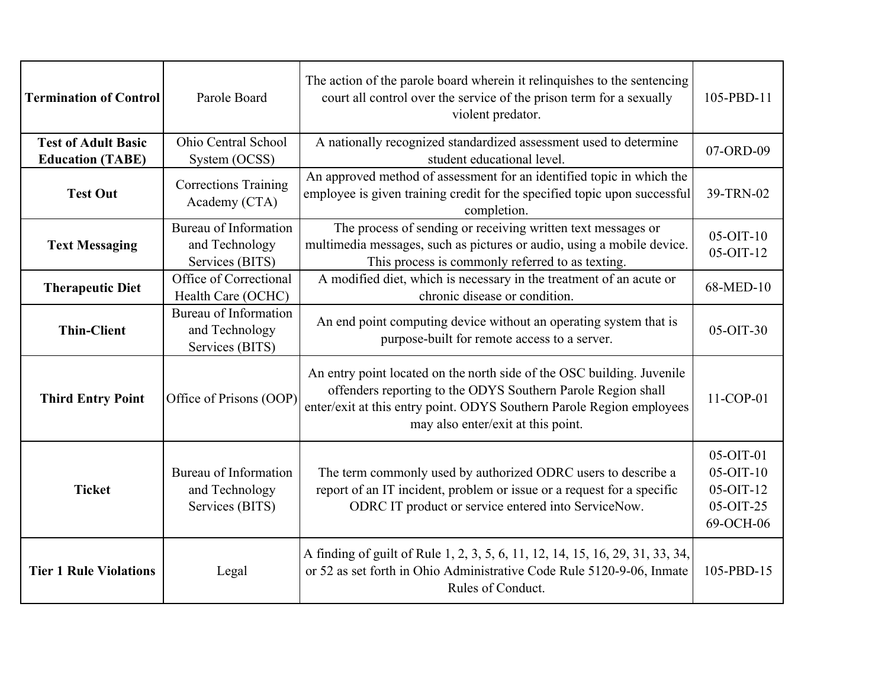| <b>Termination of Control</b>                         | Parole Board                                                      | The action of the parole board wherein it relinquishes to the sentencing<br>court all control over the service of the prison term for a sexually<br>violent predator.                                                                                 | 105-PBD-11                                                       |
|-------------------------------------------------------|-------------------------------------------------------------------|-------------------------------------------------------------------------------------------------------------------------------------------------------------------------------------------------------------------------------------------------------|------------------------------------------------------------------|
| <b>Test of Adult Basic</b><br><b>Education (TABE)</b> | Ohio Central School<br>System (OCSS)                              | A nationally recognized standardized assessment used to determine<br>student educational level.                                                                                                                                                       | 07-ORD-09                                                        |
| <b>Test Out</b>                                       | <b>Corrections Training</b><br>Academy (CTA)                      | An approved method of assessment for an identified topic in which the<br>employee is given training credit for the specified topic upon successful<br>completion.                                                                                     | 39-TRN-02                                                        |
| <b>Text Messaging</b>                                 | Bureau of Information<br>and Technology<br>Services (BITS)        | The process of sending or receiving written text messages or<br>multimedia messages, such as pictures or audio, using a mobile device.<br>This process is commonly referred to as texting.                                                            | $05-OIT-10$<br>05-OIT-12                                         |
| <b>Therapeutic Diet</b>                               | Office of Correctional<br>Health Care (OCHC)                      | A modified diet, which is necessary in the treatment of an acute or<br>chronic disease or condition.                                                                                                                                                  | 68-MED-10                                                        |
| <b>Thin-Client</b>                                    | <b>Bureau of Information</b><br>and Technology<br>Services (BITS) | An end point computing device without an operating system that is<br>purpose-built for remote access to a server.                                                                                                                                     | 05-OIT-30                                                        |
| <b>Third Entry Point</b>                              | Office of Prisons (OOP)                                           | An entry point located on the north side of the OSC building. Juvenile<br>offenders reporting to the ODYS Southern Parole Region shall<br>enter/exit at this entry point. ODYS Southern Parole Region employees<br>may also enter/exit at this point. | 11-COP-01                                                        |
| <b>Ticket</b>                                         | Bureau of Information<br>and Technology<br>Services (BITS)        | The term commonly used by authorized ODRC users to describe a<br>report of an IT incident, problem or issue or a request for a specific<br>ODRC IT product or service entered into ServiceNow.                                                        | 05-OIT-01<br>$05-OIT-10$<br>$05-OT-12$<br>05-OIT-25<br>69-OCH-06 |
| <b>Tier 1 Rule Violations</b>                         | Legal                                                             | A finding of guilt of Rule 1, 2, 3, 5, 6, 11, 12, 14, 15, 16, 29, 31, 33, 34,<br>or 52 as set forth in Ohio Administrative Code Rule 5120-9-06, Inmate<br>Rules of Conduct.                                                                           | 105-PBD-15                                                       |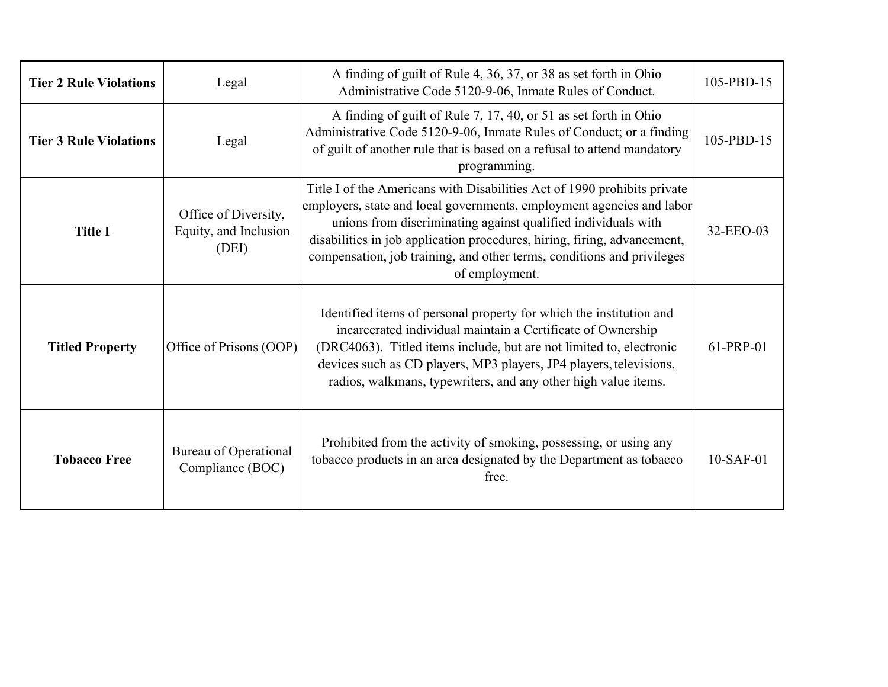| <b>Tier 2 Rule Violations</b> | Legal                                                  | A finding of guilt of Rule 4, 36, 37, or 38 as set forth in Ohio<br>Administrative Code 5120-9-06, Inmate Rules of Conduct.                                                                                                                                                                                                                                                                | 105-PBD-15  |
|-------------------------------|--------------------------------------------------------|--------------------------------------------------------------------------------------------------------------------------------------------------------------------------------------------------------------------------------------------------------------------------------------------------------------------------------------------------------------------------------------------|-------------|
| <b>Tier 3 Rule Violations</b> | Legal                                                  | A finding of guilt of Rule 7, 17, 40, or 51 as set forth in Ohio<br>Administrative Code 5120-9-06, Inmate Rules of Conduct; or a finding<br>of guilt of another rule that is based on a refusal to attend mandatory<br>programming.                                                                                                                                                        | 105-PBD-15  |
| <b>Title I</b>                | Office of Diversity,<br>Equity, and Inclusion<br>(DEI) | Title I of the Americans with Disabilities Act of 1990 prohibits private<br>employers, state and local governments, employment agencies and labor<br>unions from discriminating against qualified individuals with<br>disabilities in job application procedures, hiring, firing, advancement,<br>compensation, job training, and other terms, conditions and privileges<br>of employment. | 32-EEO-03   |
| <b>Titled Property</b>        | Office of Prisons (OOP)                                | Identified items of personal property for which the institution and<br>incarcerated individual maintain a Certificate of Ownership<br>(DRC4063). Titled items include, but are not limited to, electronic<br>devices such as CD players, MP3 players, JP4 players, televisions,<br>radios, walkmans, typewriters, and any other high value items.                                          | 61-PRP-01   |
| <b>Tobacco Free</b>           | <b>Bureau of Operational</b><br>Compliance (BOC)       | Prohibited from the activity of smoking, possessing, or using any<br>tobacco products in an area designated by the Department as tobacco<br>free.                                                                                                                                                                                                                                          | $10-SAF-01$ |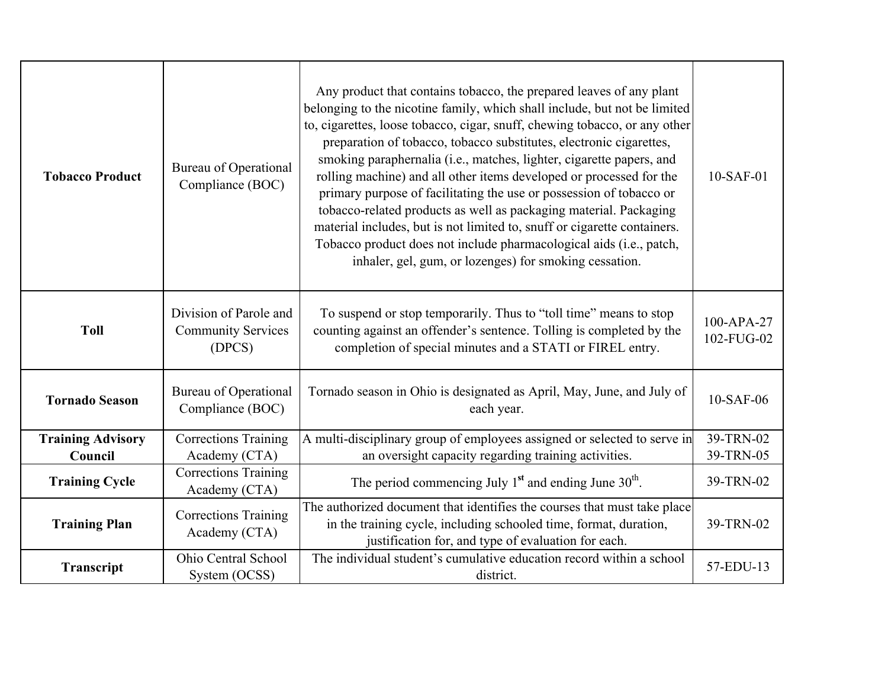| <b>Tobacco Product</b>   | Bureau of Operational<br>Compliance (BOC)                     | Any product that contains tobacco, the prepared leaves of any plant<br>belonging to the nicotine family, which shall include, but not be limited<br>to, cigarettes, loose tobacco, cigar, snuff, chewing tobacco, or any other<br>preparation of tobacco, tobacco substitutes, electronic cigarettes,<br>smoking paraphernalia (i.e., matches, lighter, cigarette papers, and<br>rolling machine) and all other items developed or processed for the<br>primary purpose of facilitating the use or possession of tobacco or<br>tobacco-related products as well as packaging material. Packaging<br>material includes, but is not limited to, snuff or cigarette containers.<br>Tobacco product does not include pharmacological aids (i.e., patch,<br>inhaler, gel, gum, or lozenges) for smoking cessation. | 10-SAF-01                |
|--------------------------|---------------------------------------------------------------|---------------------------------------------------------------------------------------------------------------------------------------------------------------------------------------------------------------------------------------------------------------------------------------------------------------------------------------------------------------------------------------------------------------------------------------------------------------------------------------------------------------------------------------------------------------------------------------------------------------------------------------------------------------------------------------------------------------------------------------------------------------------------------------------------------------|--------------------------|
| <b>Toll</b>              | Division of Parole and<br><b>Community Services</b><br>(DPCS) | To suspend or stop temporarily. Thus to "toll time" means to stop<br>counting against an offender's sentence. Tolling is completed by the<br>completion of special minutes and a STATI or FIREL entry.                                                                                                                                                                                                                                                                                                                                                                                                                                                                                                                                                                                                        | 100-APA-27<br>102-FUG-02 |
| <b>Tornado Season</b>    | <b>Bureau of Operational</b><br>Compliance (BOC)              | Tornado season in Ohio is designated as April, May, June, and July of<br>each year.                                                                                                                                                                                                                                                                                                                                                                                                                                                                                                                                                                                                                                                                                                                           | 10-SAF-06                |
| <b>Training Advisory</b> | <b>Corrections Training</b>                                   | A multi-disciplinary group of employees assigned or selected to serve in                                                                                                                                                                                                                                                                                                                                                                                                                                                                                                                                                                                                                                                                                                                                      | 39-TRN-02                |
| Council                  | Academy (CTA)                                                 | an oversight capacity regarding training activities.                                                                                                                                                                                                                                                                                                                                                                                                                                                                                                                                                                                                                                                                                                                                                          | 39-TRN-05                |
| <b>Training Cycle</b>    | <b>Corrections Training</b><br>Academy (CTA)                  | The period commencing July $1st$ and ending June $30th$ .                                                                                                                                                                                                                                                                                                                                                                                                                                                                                                                                                                                                                                                                                                                                                     | 39-TRN-02                |
| <b>Training Plan</b>     | <b>Corrections Training</b><br>Academy (CTA)                  | The authorized document that identifies the courses that must take place<br>in the training cycle, including schooled time, format, duration,<br>justification for, and type of evaluation for each.                                                                                                                                                                                                                                                                                                                                                                                                                                                                                                                                                                                                          | 39-TRN-02                |
| Transcript               | Ohio Central School<br>System (OCSS)                          | The individual student's cumulative education record within a school<br>district.                                                                                                                                                                                                                                                                                                                                                                                                                                                                                                                                                                                                                                                                                                                             | 57-EDU-13                |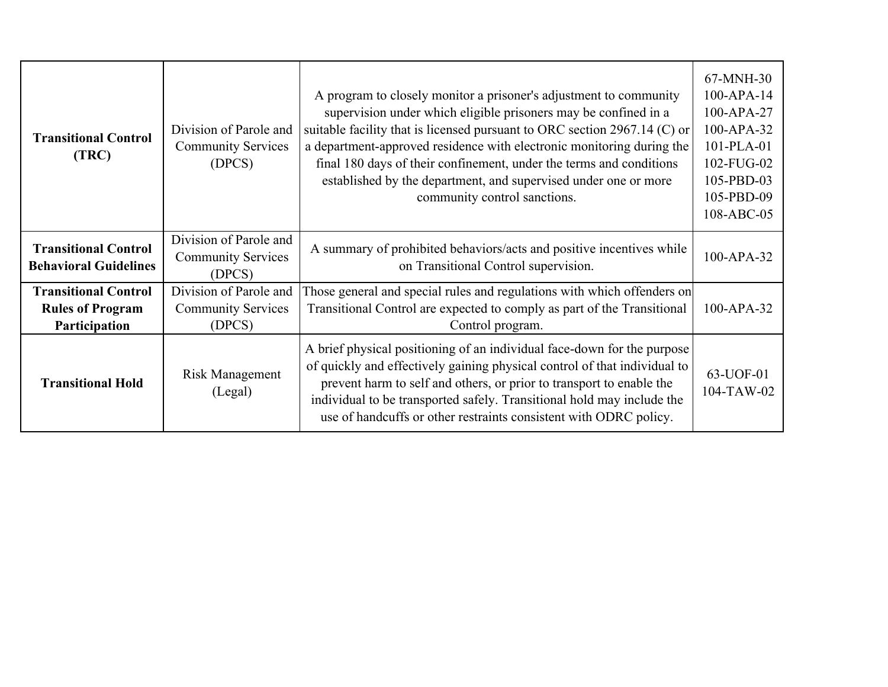| <b>Transitional Control</b><br>(TRC)                                    | Division of Parole and<br><b>Community Services</b><br>(DPCS) | A program to closely monitor a prisoner's adjustment to community<br>supervision under which eligible prisoners may be confined in a<br>suitable facility that is licensed pursuant to ORC section 2967.14 (C) or<br>a department-approved residence with electronic monitoring during the<br>final 180 days of their confinement, under the terms and conditions<br>established by the department, and supervised under one or more<br>community control sanctions. | 67-MNH-30<br>$100-APA-14$<br>100-APA-27<br>100-APA-32<br>101-PLA-01<br>102-FUG-02<br>105-PBD-03<br>105-PBD-09<br>108-ABC-05 |
|-------------------------------------------------------------------------|---------------------------------------------------------------|----------------------------------------------------------------------------------------------------------------------------------------------------------------------------------------------------------------------------------------------------------------------------------------------------------------------------------------------------------------------------------------------------------------------------------------------------------------------|-----------------------------------------------------------------------------------------------------------------------------|
| <b>Transitional Control</b><br><b>Behavioral Guidelines</b>             | Division of Parole and<br><b>Community Services</b><br>(DPCS) | A summary of prohibited behaviors/acts and positive incentives while<br>on Transitional Control supervision.                                                                                                                                                                                                                                                                                                                                                         | 100-APA-32                                                                                                                  |
| <b>Transitional Control</b><br><b>Rules of Program</b><br>Participation | Division of Parole and<br><b>Community Services</b><br>(DPCS) | Those general and special rules and regulations with which offenders on<br>Transitional Control are expected to comply as part of the Transitional<br>Control program.                                                                                                                                                                                                                                                                                               | 100-APA-32                                                                                                                  |
| <b>Transitional Hold</b>                                                | Risk Management<br>(Legal)                                    | A brief physical positioning of an individual face-down for the purpose<br>of quickly and effectively gaining physical control of that individual to<br>prevent harm to self and others, or prior to transport to enable the<br>individual to be transported safely. Transitional hold may include the<br>use of handcuffs or other restraints consistent with ODRC policy.                                                                                          | 63-UOF-01<br>104-TAW-02                                                                                                     |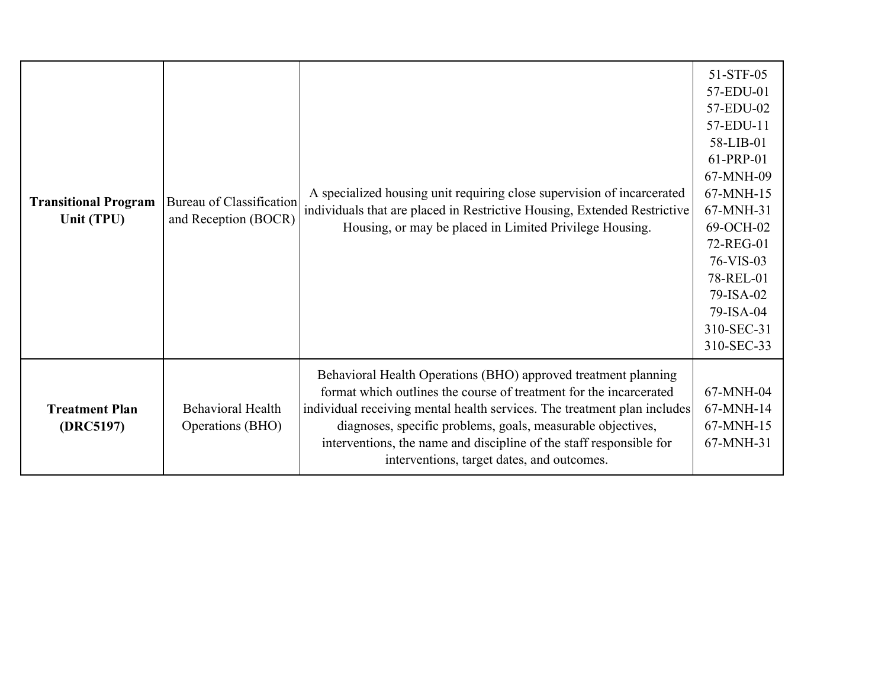| <b>Transitional Program</b><br>Unit (TPU) | Bureau of Classification<br>and Reception (BOCR) | A specialized housing unit requiring close supervision of incarcerated<br>individuals that are placed in Restrictive Housing, Extended Restrictive<br>Housing, or may be placed in Limited Privilege Housing.                                                                                                                                                                                        | 51-STF-05<br>57-EDU-01<br>57-EDU-02<br>57-EDU-11<br>58-LIB-01<br>61-PRP-01<br>67-MNH-09<br>67-MNH-15<br>67-MNH-31<br>69-OCH-02<br>72-REG-01<br>76-VIS-03<br>78-REL-01<br>79-ISA-02<br>79-ISA-04<br>310-SEC-31<br>310-SEC-33 |
|-------------------------------------------|--------------------------------------------------|------------------------------------------------------------------------------------------------------------------------------------------------------------------------------------------------------------------------------------------------------------------------------------------------------------------------------------------------------------------------------------------------------|-----------------------------------------------------------------------------------------------------------------------------------------------------------------------------------------------------------------------------|
| <b>Treatment Plan</b><br>(DRC5197)        | <b>Behavioral Health</b><br>Operations (BHO)     | Behavioral Health Operations (BHO) approved treatment planning<br>format which outlines the course of treatment for the incarcerated<br>individual receiving mental health services. The treatment plan includes<br>diagnoses, specific problems, goals, measurable objectives,<br>interventions, the name and discipline of the staff responsible for<br>interventions, target dates, and outcomes. | 67-MNH-04<br>67-MNH-14<br>67-MNH-15<br>67-MNH-31                                                                                                                                                                            |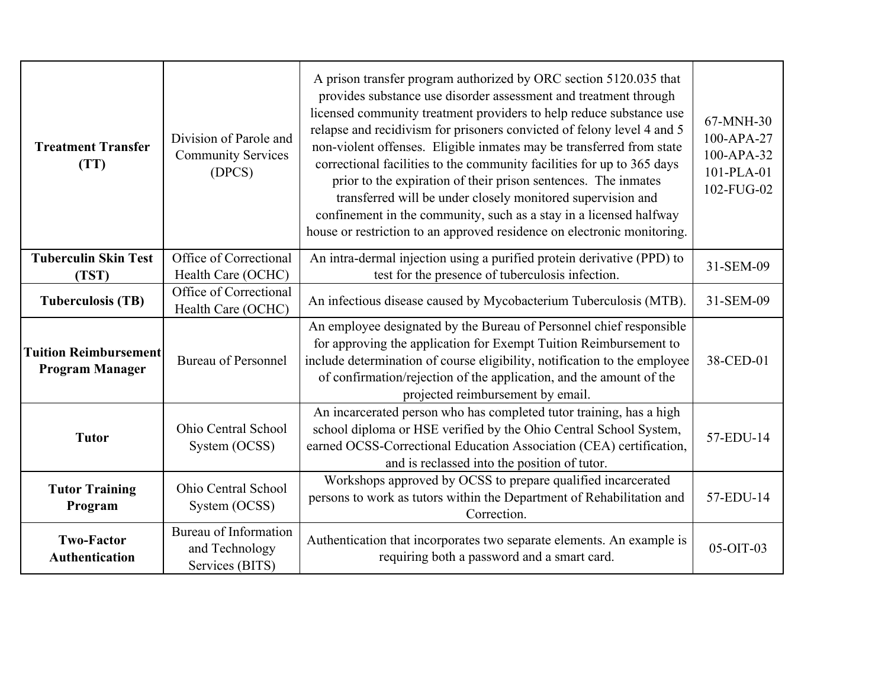| <b>Treatment Transfer</b><br>(TT)                      | Division of Parole and<br><b>Community Services</b><br>(DPCS) | A prison transfer program authorized by ORC section 5120.035 that<br>provides substance use disorder assessment and treatment through<br>licensed community treatment providers to help reduce substance use<br>relapse and recidivism for prisoners convicted of felony level 4 and 5<br>non-violent offenses. Eligible inmates may be transferred from state<br>correctional facilities to the community facilities for up to 365 days<br>prior to the expiration of their prison sentences. The inmates<br>transferred will be under closely monitored supervision and<br>confinement in the community, such as a stay in a licensed halfway<br>house or restriction to an approved residence on electronic monitoring. | 67-MNH-30<br>100-APA-27<br>100-APA-32<br>101-PLA-01<br>102-FUG-02 |
|--------------------------------------------------------|---------------------------------------------------------------|----------------------------------------------------------------------------------------------------------------------------------------------------------------------------------------------------------------------------------------------------------------------------------------------------------------------------------------------------------------------------------------------------------------------------------------------------------------------------------------------------------------------------------------------------------------------------------------------------------------------------------------------------------------------------------------------------------------------------|-------------------------------------------------------------------|
| <b>Tuberculin Skin Test</b><br>(TST)                   | Office of Correctional<br>Health Care (OCHC)                  | An intra-dermal injection using a purified protein derivative (PPD) to<br>test for the presence of tuberculosis infection.                                                                                                                                                                                                                                                                                                                                                                                                                                                                                                                                                                                                 | 31-SEM-09                                                         |
| <b>Tuberculosis (TB)</b>                               | Office of Correctional<br>Health Care (OCHC)                  | An infectious disease caused by Mycobacterium Tuberculosis (MTB).                                                                                                                                                                                                                                                                                                                                                                                                                                                                                                                                                                                                                                                          | 31-SEM-09                                                         |
| <b>Tuition Reimbursement</b><br><b>Program Manager</b> | <b>Bureau of Personnel</b>                                    | An employee designated by the Bureau of Personnel chief responsible<br>for approving the application for Exempt Tuition Reimbursement to<br>include determination of course eligibility, notification to the employee<br>of confirmation/rejection of the application, and the amount of the<br>projected reimbursement by email.                                                                                                                                                                                                                                                                                                                                                                                          | 38-CED-01                                                         |
| <b>Tutor</b>                                           | Ohio Central School<br>System (OCSS)                          | An incarcerated person who has completed tutor training, has a high<br>school diploma or HSE verified by the Ohio Central School System,<br>earned OCSS-Correctional Education Association (CEA) certification,<br>and is reclassed into the position of tutor.                                                                                                                                                                                                                                                                                                                                                                                                                                                            | 57-EDU-14                                                         |
| <b>Tutor Training</b><br>Program                       | Ohio Central School<br>System (OCSS)                          | Workshops approved by OCSS to prepare qualified incarcerated<br>persons to work as tutors within the Department of Rehabilitation and<br>Correction.                                                                                                                                                                                                                                                                                                                                                                                                                                                                                                                                                                       | 57-EDU-14                                                         |
| <b>Two-Factor</b><br><b>Authentication</b>             | Bureau of Information<br>and Technology<br>Services (BITS)    | Authentication that incorporates two separate elements. An example is<br>requiring both a password and a smart card.                                                                                                                                                                                                                                                                                                                                                                                                                                                                                                                                                                                                       | 05-OIT-03                                                         |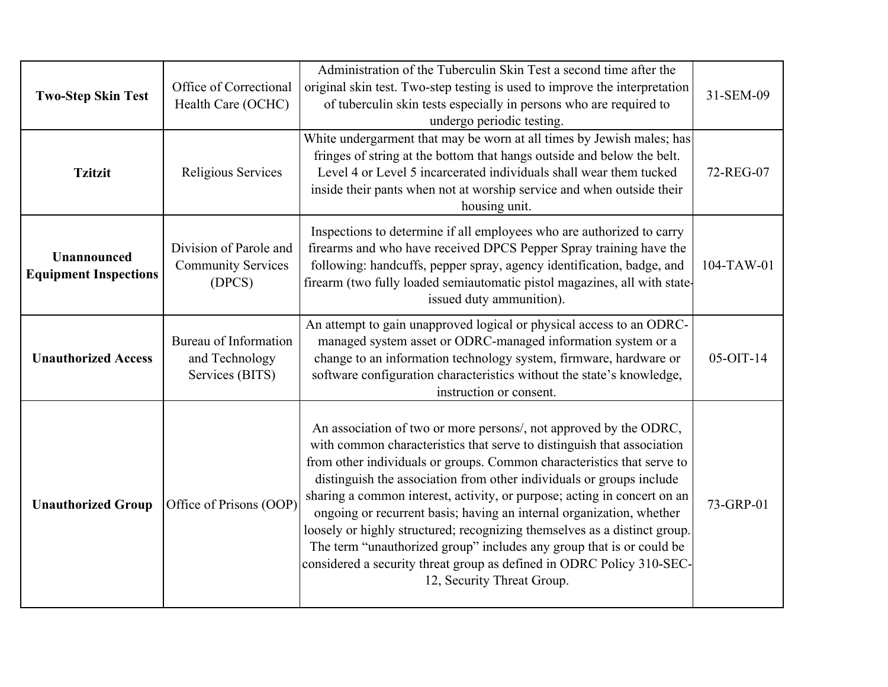| <b>Two-Step Skin Test</b>                          | Office of Correctional<br>Health Care (OCHC)                  | Administration of the Tuberculin Skin Test a second time after the<br>original skin test. Two-step testing is used to improve the interpretation<br>of tuberculin skin tests especially in persons who are required to<br>undergo periodic testing.                                                                                                                                                                                                                                                                                                                                                                                                                                                           | 31-SEM-09   |
|----------------------------------------------------|---------------------------------------------------------------|---------------------------------------------------------------------------------------------------------------------------------------------------------------------------------------------------------------------------------------------------------------------------------------------------------------------------------------------------------------------------------------------------------------------------------------------------------------------------------------------------------------------------------------------------------------------------------------------------------------------------------------------------------------------------------------------------------------|-------------|
| <b>Tzitzit</b>                                     | Religious Services                                            | White undergarment that may be worn at all times by Jewish males; has<br>fringes of string at the bottom that hangs outside and below the belt.<br>Level 4 or Level 5 incarcerated individuals shall wear them tucked<br>inside their pants when not at worship service and when outside their<br>housing unit.                                                                                                                                                                                                                                                                                                                                                                                               | 72-REG-07   |
| <b>Unannounced</b><br><b>Equipment Inspections</b> | Division of Parole and<br><b>Community Services</b><br>(DPCS) | Inspections to determine if all employees who are authorized to carry<br>firearms and who have received DPCS Pepper Spray training have the<br>following: handcuffs, pepper spray, agency identification, badge, and<br>firearm (two fully loaded semiautomatic pistol magazines, all with state-<br>issued duty ammunition).                                                                                                                                                                                                                                                                                                                                                                                 | 104-TAW-01  |
| <b>Unauthorized Access</b>                         | Bureau of Information<br>and Technology<br>Services (BITS)    | An attempt to gain unapproved logical or physical access to an ODRC-<br>managed system asset or ODRC-managed information system or a<br>change to an information technology system, firmware, hardware or<br>software configuration characteristics without the state's knowledge,<br>instruction or consent.                                                                                                                                                                                                                                                                                                                                                                                                 | $05-OIT-14$ |
| <b>Unauthorized Group</b>                          | Office of Prisons (OOP)                                       | An association of two or more persons/, not approved by the ODRC,<br>with common characteristics that serve to distinguish that association<br>from other individuals or groups. Common characteristics that serve to<br>distinguish the association from other individuals or groups include<br>sharing a common interest, activity, or purpose; acting in concert on an<br>ongoing or recurrent basis; having an internal organization, whether<br>loosely or highly structured; recognizing themselves as a distinct group.<br>The term "unauthorized group" includes any group that is or could be<br>considered a security threat group as defined in ODRC Policy 310-SEC-<br>12, Security Threat Group. | 73-GRP-01   |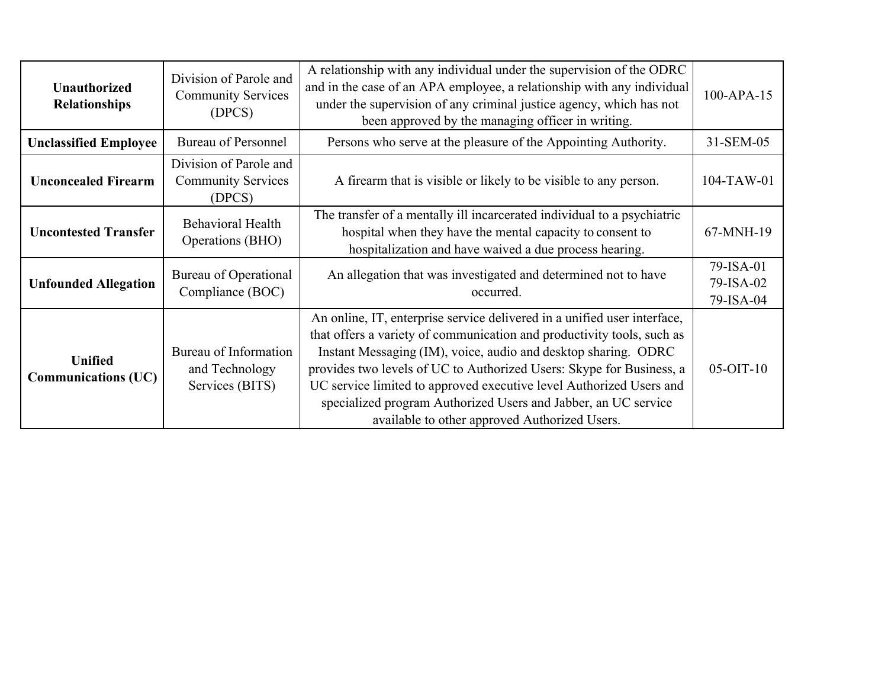| <b>Unauthorized</b><br><b>Relationships</b>  | Division of Parole and<br><b>Community Services</b><br>(DPCS) | A relationship with any individual under the supervision of the ODRC<br>and in the case of an APA employee, a relationship with any individual<br>under the supervision of any criminal justice agency, which has not<br>been approved by the managing officer in writing.                                                                                                                                                                                                             | 100-APA-15                          |
|----------------------------------------------|---------------------------------------------------------------|----------------------------------------------------------------------------------------------------------------------------------------------------------------------------------------------------------------------------------------------------------------------------------------------------------------------------------------------------------------------------------------------------------------------------------------------------------------------------------------|-------------------------------------|
| <b>Unclassified Employee</b>                 | <b>Bureau of Personnel</b>                                    | Persons who serve at the pleasure of the Appointing Authority.                                                                                                                                                                                                                                                                                                                                                                                                                         | 31-SEM-05                           |
| <b>Unconcealed Firearm</b>                   | Division of Parole and<br><b>Community Services</b><br>(DPCS) | A firearm that is visible or likely to be visible to any person.                                                                                                                                                                                                                                                                                                                                                                                                                       | 104-TAW-01                          |
| <b>Uncontested Transfer</b>                  | <b>Behavioral Health</b><br>Operations (BHO)                  | The transfer of a mentally ill incarcerated individual to a psychiatric<br>hospital when they have the mental capacity to consent to<br>hospitalization and have waived a due process hearing.                                                                                                                                                                                                                                                                                         | 67-MNH-19                           |
| <b>Unfounded Allegation</b>                  | Bureau of Operational<br>Compliance (BOC)                     | An allegation that was investigated and determined not to have<br>occurred.                                                                                                                                                                                                                                                                                                                                                                                                            | 79-ISA-01<br>79-ISA-02<br>79-ISA-04 |
| <b>Unified</b><br><b>Communications (UC)</b> | Bureau of Information<br>and Technology<br>Services (BITS)    | An online, IT, enterprise service delivered in a unified user interface,<br>that offers a variety of communication and productivity tools, such as<br>Instant Messaging (IM), voice, audio and desktop sharing. ODRC<br>provides two levels of UC to Authorized Users: Skype for Business, a<br>UC service limited to approved executive level Authorized Users and<br>specialized program Authorized Users and Jabber, an UC service<br>available to other approved Authorized Users. | $05-OIT-10$                         |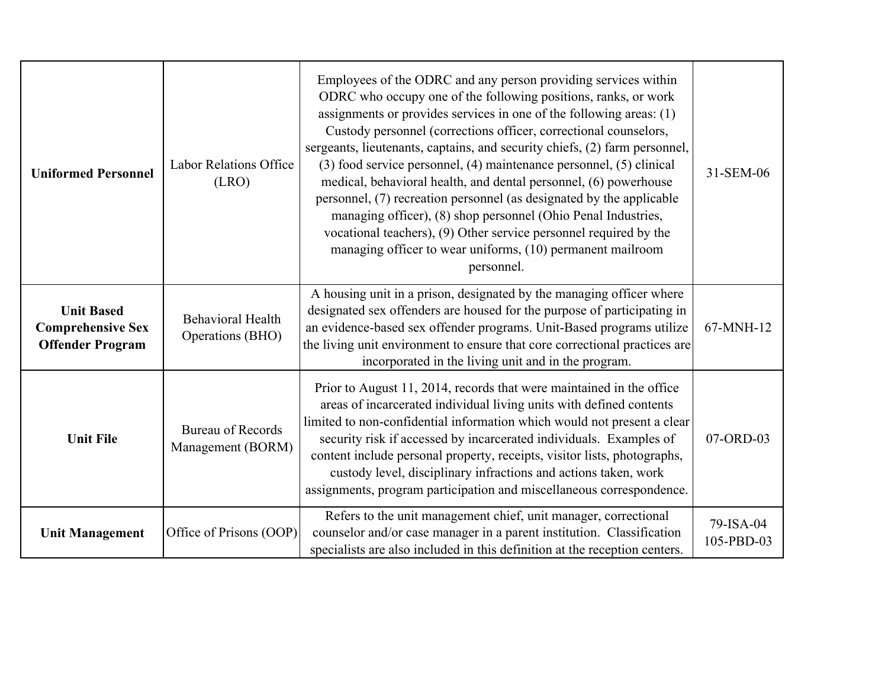| <b>Uniformed Personnel</b>                                               | <b>Labor Relations Office</b><br>(LRO)        | Employees of the ODRC and any person providing services within<br>ODRC who occupy one of the following positions, ranks, or work<br>assignments or provides services in one of the following areas: (1)<br>Custody personnel (corrections officer, correctional counselors,<br>sergeants, lieutenants, captains, and security chiefs, (2) farm personnel,<br>(3) food service personnel, (4) maintenance personnel, (5) clinical<br>medical, behavioral health, and dental personnel, (6) powerhouse<br>personnel, (7) recreation personnel (as designated by the applicable<br>managing officer), (8) shop personnel (Ohio Penal Industries,<br>vocational teachers), (9) Other service personnel required by the<br>managing officer to wear uniforms, (10) permanent mailroom<br>personnel. | 31-SEM-06               |
|--------------------------------------------------------------------------|-----------------------------------------------|------------------------------------------------------------------------------------------------------------------------------------------------------------------------------------------------------------------------------------------------------------------------------------------------------------------------------------------------------------------------------------------------------------------------------------------------------------------------------------------------------------------------------------------------------------------------------------------------------------------------------------------------------------------------------------------------------------------------------------------------------------------------------------------------|-------------------------|
| <b>Unit Based</b><br><b>Comprehensive Sex</b><br><b>Offender Program</b> | <b>Behavioral Health</b><br>Operations (BHO)  | A housing unit in a prison, designated by the managing officer where<br>designated sex offenders are housed for the purpose of participating in<br>an evidence-based sex offender programs. Unit-Based programs utilize<br>the living unit environment to ensure that core correctional practices are<br>incorporated in the living unit and in the program.                                                                                                                                                                                                                                                                                                                                                                                                                                   | 67-MNH-12               |
| <b>Unit File</b>                                                         | <b>Bureau of Records</b><br>Management (BORM) | Prior to August 11, 2014, records that were maintained in the office<br>areas of incarcerated individual living units with defined contents<br>limited to non-confidential information which would not present a clear<br>security risk if accessed by incarcerated individuals. Examples of<br>content include personal property, receipts, visitor lists, photographs,<br>custody level, disciplinary infractions and actions taken, work<br>assignments, program participation and miscellaneous correspondence.                                                                                                                                                                                                                                                                            | 07-ORD-03               |
| <b>Unit Management</b>                                                   | Office of Prisons (OOP)                       | Refers to the unit management chief, unit manager, correctional<br>counselor and/or case manager in a parent institution. Classification<br>specialists are also included in this definition at the reception centers.                                                                                                                                                                                                                                                                                                                                                                                                                                                                                                                                                                         | 79-ISA-04<br>105-PBD-03 |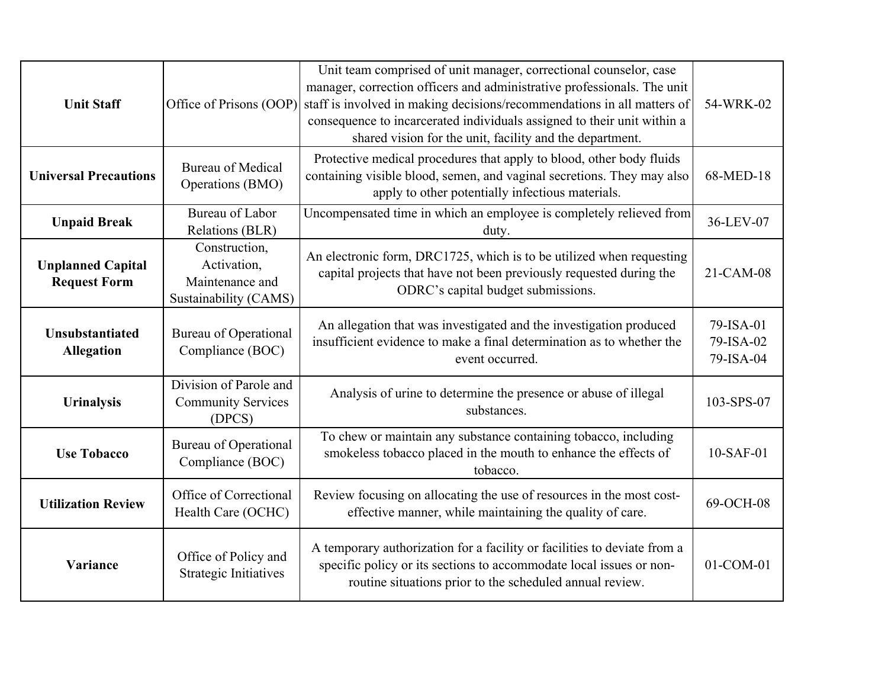| <b>Unit Staff</b>                               |                                                                          | Unit team comprised of unit manager, correctional counselor, case<br>manager, correction officers and administrative professionals. The unit<br>Office of Prisons (OOP) staff is involved in making decisions/recommendations in all matters of<br>consequence to incarcerated individuals assigned to their unit within a<br>shared vision for the unit, facility and the department. | 54-WRK-02                           |
|-------------------------------------------------|--------------------------------------------------------------------------|----------------------------------------------------------------------------------------------------------------------------------------------------------------------------------------------------------------------------------------------------------------------------------------------------------------------------------------------------------------------------------------|-------------------------------------|
| <b>Universal Precautions</b>                    | <b>Bureau of Medical</b><br>Operations (BMO)                             | Protective medical procedures that apply to blood, other body fluids<br>containing visible blood, semen, and vaginal secretions. They may also<br>apply to other potentially infectious materials.                                                                                                                                                                                     | 68-MED-18                           |
| <b>Unpaid Break</b>                             | Bureau of Labor<br>Relations (BLR)                                       | Uncompensated time in which an employee is completely relieved from<br>duty.                                                                                                                                                                                                                                                                                                           | 36-LEV-07                           |
| <b>Unplanned Capital</b><br><b>Request Form</b> | Construction,<br>Activation,<br>Maintenance and<br>Sustainability (CAMS) | An electronic form, DRC1725, which is to be utilized when requesting<br>capital projects that have not been previously requested during the<br>ODRC's capital budget submissions.                                                                                                                                                                                                      | 21-CAM-08                           |
| <b>Unsubstantiated</b><br>Allegation            | <b>Bureau of Operational</b><br>Compliance (BOC)                         | An allegation that was investigated and the investigation produced<br>insufficient evidence to make a final determination as to whether the<br>event occurred.                                                                                                                                                                                                                         | 79-ISA-01<br>79-ISA-02<br>79-ISA-04 |
| <b>Urinalysis</b>                               | Division of Parole and<br><b>Community Services</b><br>(DPCS)            | Analysis of urine to determine the presence or abuse of illegal<br>substances.                                                                                                                                                                                                                                                                                                         | 103-SPS-07                          |
| <b>Use Tobacco</b>                              | <b>Bureau of Operational</b><br>Compliance (BOC)                         | To chew or maintain any substance containing tobacco, including<br>smokeless tobacco placed in the mouth to enhance the effects of<br>tobacco.                                                                                                                                                                                                                                         | $10-SAF-01$                         |
| <b>Utilization Review</b>                       | Office of Correctional<br>Health Care (OCHC)                             | Review focusing on allocating the use of resources in the most cost-<br>effective manner, while maintaining the quality of care.                                                                                                                                                                                                                                                       | 69-OCH-08                           |
| Variance                                        | Office of Policy and<br><b>Strategic Initiatives</b>                     | A temporary authorization for a facility or facilities to deviate from a<br>specific policy or its sections to accommodate local issues or non-<br>routine situations prior to the scheduled annual review.                                                                                                                                                                            | 01-COM-01                           |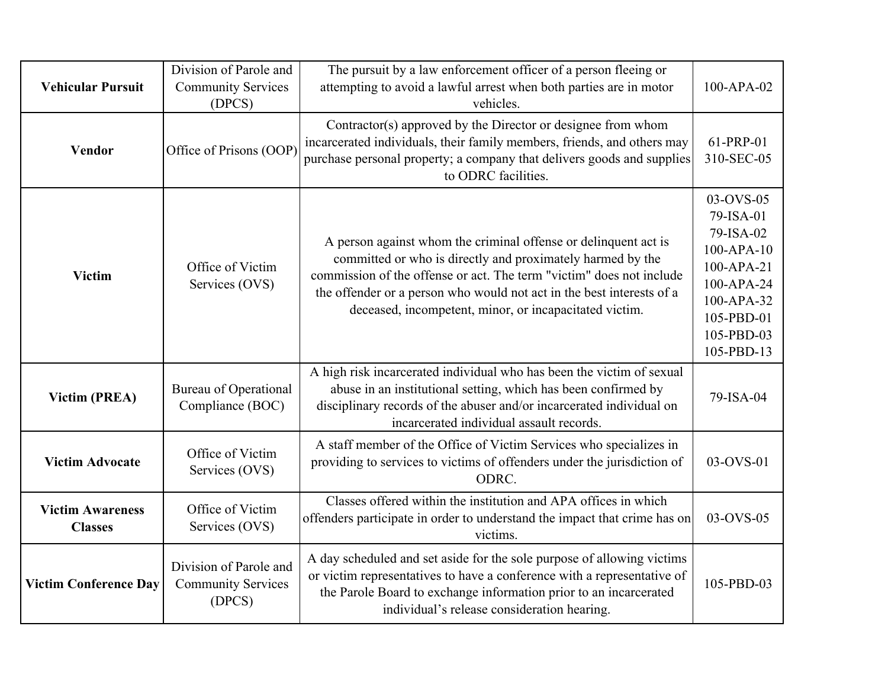| <b>Vehicular Pursuit</b>                  | Division of Parole and<br><b>Community Services</b><br>(DPCS) | The pursuit by a law enforcement officer of a person fleeing or<br>attempting to avoid a lawful arrest when both parties are in motor<br>vehicles.                                                                                                                                                                                       | 100-APA-02                                                                                                                            |
|-------------------------------------------|---------------------------------------------------------------|------------------------------------------------------------------------------------------------------------------------------------------------------------------------------------------------------------------------------------------------------------------------------------------------------------------------------------------|---------------------------------------------------------------------------------------------------------------------------------------|
| <b>Vendor</b>                             | Office of Prisons (OOP)                                       | Contractor(s) approved by the Director or designee from whom<br>incarcerated individuals, their family members, friends, and others may<br>purchase personal property; a company that delivers goods and supplies<br>to ODRC facilities.                                                                                                 | 61-PRP-01<br>310-SEC-05                                                                                                               |
| <b>Victim</b>                             | Office of Victim<br>Services (OVS)                            | A person against whom the criminal offense or delinquent act is<br>committed or who is directly and proximately harmed by the<br>commission of the offense or act. The term "victim" does not include<br>the offender or a person who would not act in the best interests of a<br>deceased, incompetent, minor, or incapacitated victim. | 03-OVS-05<br>79-ISA-01<br>79-ISA-02<br>100-APA-10<br>100-APA-21<br>100-APA-24<br>100-APA-32<br>105-PBD-01<br>105-PBD-03<br>105-PBD-13 |
| Victim (PREA)                             | <b>Bureau of Operational</b><br>Compliance (BOC)              | A high risk incarcerated individual who has been the victim of sexual<br>abuse in an institutional setting, which has been confirmed by<br>disciplinary records of the abuser and/or incarcerated individual on<br>incarcerated individual assault records.                                                                              | 79-ISA-04                                                                                                                             |
| <b>Victim Advocate</b>                    | Office of Victim<br>Services (OVS)                            | A staff member of the Office of Victim Services who specializes in<br>providing to services to victims of offenders under the jurisdiction of<br>ODRC.                                                                                                                                                                                   | 03-OVS-01                                                                                                                             |
| <b>Victim Awareness</b><br><b>Classes</b> | Office of Victim<br>Services (OVS)                            | Classes offered within the institution and APA offices in which<br>offenders participate in order to understand the impact that crime has on<br>victims.                                                                                                                                                                                 | 03-OVS-05                                                                                                                             |
| <b>Victim Conference Day</b>              | Division of Parole and<br><b>Community Services</b><br>(DPCS) | A day scheduled and set aside for the sole purpose of allowing victims<br>or victim representatives to have a conference with a representative of<br>the Parole Board to exchange information prior to an incarcerated<br>individual's release consideration hearing.                                                                    | 105-PBD-03                                                                                                                            |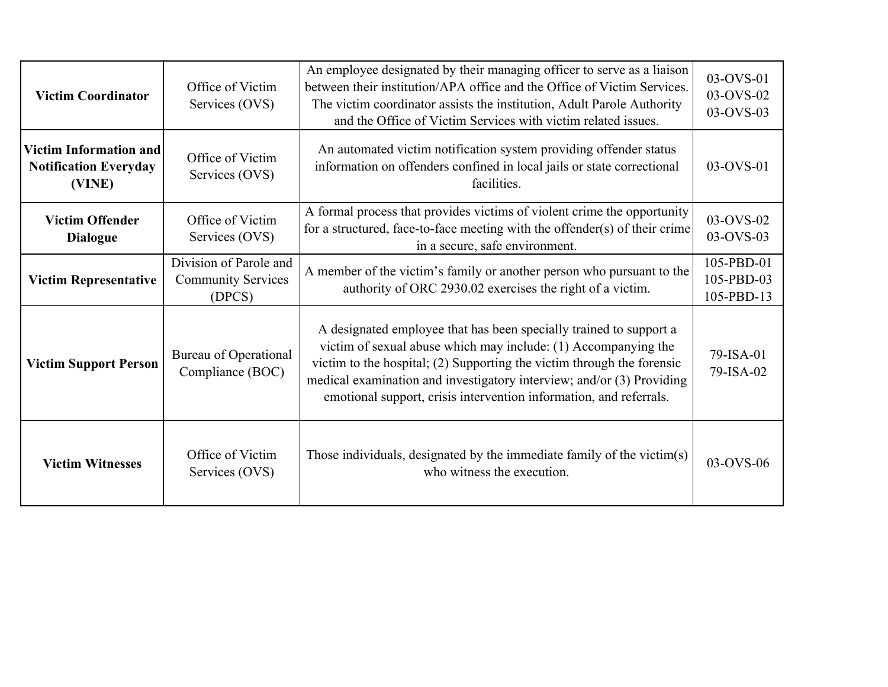| <b>Victim Coordinator</b>                                               | Office of Victim<br>Services (OVS)                            | An employee designated by their managing officer to serve as a liaison<br>between their institution/APA office and the Office of Victim Services.<br>The victim coordinator assists the institution, Adult Parole Authority<br>and the Office of Victim Services with victim related issues.                                                                    | 03-OVS-01<br>03-OVS-02<br>03-OVS-03    |
|-------------------------------------------------------------------------|---------------------------------------------------------------|-----------------------------------------------------------------------------------------------------------------------------------------------------------------------------------------------------------------------------------------------------------------------------------------------------------------------------------------------------------------|----------------------------------------|
| <b>Victim Information and</b><br><b>Notification Everyday</b><br>(VINE) | Office of Victim<br>Services (OVS)                            | An automated victim notification system providing offender status<br>information on offenders confined in local jails or state correctional<br>facilities.                                                                                                                                                                                                      | $03-OVS-01$                            |
| <b>Victim Offender</b><br><b>Dialogue</b>                               | Office of Victim<br>Services (OVS)                            | A formal process that provides victims of violent crime the opportunity<br>for a structured, face-to-face meeting with the offender(s) of their crime<br>in a secure, safe environment.                                                                                                                                                                         | 03-OVS-02<br>03-OVS-03                 |
| <b>Victim Representative</b>                                            | Division of Parole and<br><b>Community Services</b><br>(DPCS) | A member of the victim's family or another person who pursuant to the<br>authority of ORC 2930.02 exercises the right of a victim.                                                                                                                                                                                                                              | 105-PBD-01<br>105-PBD-03<br>105-PBD-13 |
| <b>Victim Support Person</b>                                            | <b>Bureau of Operational</b><br>Compliance (BOC)              | A designated employee that has been specially trained to support a<br>victim of sexual abuse which may include: (1) Accompanying the<br>victim to the hospital; $(2)$ Supporting the victim through the forensic<br>medical examination and investigatory interview; and/or (3) Providing<br>emotional support, crisis intervention information, and referrals. | 79-ISA-01<br>79-ISA-02                 |
| <b>Victim Witnesses</b>                                                 | Office of Victim<br>Services (OVS)                            | Those individuals, designated by the immediate family of the victim(s)<br>who witness the execution.                                                                                                                                                                                                                                                            | 03-OVS-06                              |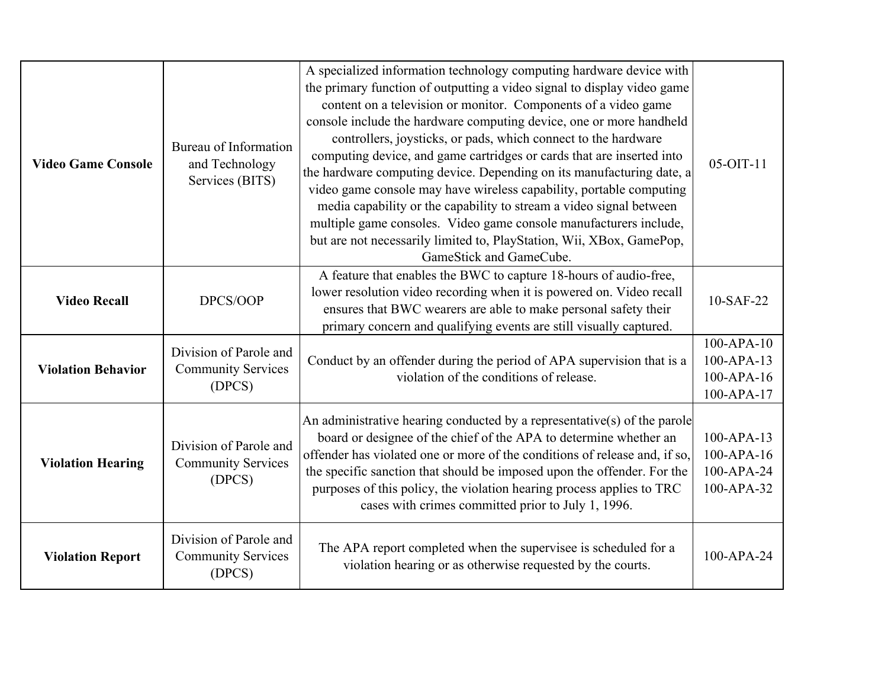| <b>Video Game Console</b> | Bureau of Information<br>and Technology<br>Services (BITS)    | A specialized information technology computing hardware device with<br>the primary function of outputting a video signal to display video game<br>content on a television or monitor. Components of a video game<br>console include the hardware computing device, one or more handheld<br>controllers, joysticks, or pads, which connect to the hardware<br>computing device, and game cartridges or cards that are inserted into<br>the hardware computing device. Depending on its manufacturing date, a<br>video game console may have wireless capability, portable computing<br>media capability or the capability to stream a video signal between<br>multiple game consoles. Video game console manufacturers include,<br>but are not necessarily limited to, PlayStation, Wii, XBox, GamePop,<br>GameStick and GameCube. | $05-OIT-11$                                          |
|---------------------------|---------------------------------------------------------------|-----------------------------------------------------------------------------------------------------------------------------------------------------------------------------------------------------------------------------------------------------------------------------------------------------------------------------------------------------------------------------------------------------------------------------------------------------------------------------------------------------------------------------------------------------------------------------------------------------------------------------------------------------------------------------------------------------------------------------------------------------------------------------------------------------------------------------------|------------------------------------------------------|
| <b>Video Recall</b>       | DPCS/OOP                                                      | A feature that enables the BWC to capture 18-hours of audio-free,<br>lower resolution video recording when it is powered on. Video recall<br>ensures that BWC wearers are able to make personal safety their<br>primary concern and qualifying events are still visually captured.                                                                                                                                                                                                                                                                                                                                                                                                                                                                                                                                                | 10-SAF-22                                            |
| <b>Violation Behavior</b> | Division of Parole and<br><b>Community Services</b><br>(DPCS) | Conduct by an offender during the period of APA supervision that is a<br>violation of the conditions of release.                                                                                                                                                                                                                                                                                                                                                                                                                                                                                                                                                                                                                                                                                                                  | 100-APA-10<br>100-APA-13<br>100-APA-16<br>100-APA-17 |
| <b>Violation Hearing</b>  | Division of Parole and<br><b>Community Services</b><br>(DPCS) | An administrative hearing conducted by a representative(s) of the parole<br>board or designee of the chief of the APA to determine whether an<br>offender has violated one or more of the conditions of release and, if so,<br>the specific sanction that should be imposed upon the offender. For the<br>purposes of this policy, the violation hearing process applies to TRC<br>cases with crimes committed prior to July 1, 1996.                                                                                                                                                                                                                                                                                                                                                                                             | 100-APA-13<br>100-APA-16<br>100-APA-24<br>100-APA-32 |
| <b>Violation Report</b>   | Division of Parole and<br><b>Community Services</b><br>(DPCS) | The APA report completed when the supervisee is scheduled for a<br>violation hearing or as otherwise requested by the courts.                                                                                                                                                                                                                                                                                                                                                                                                                                                                                                                                                                                                                                                                                                     | 100-APA-24                                           |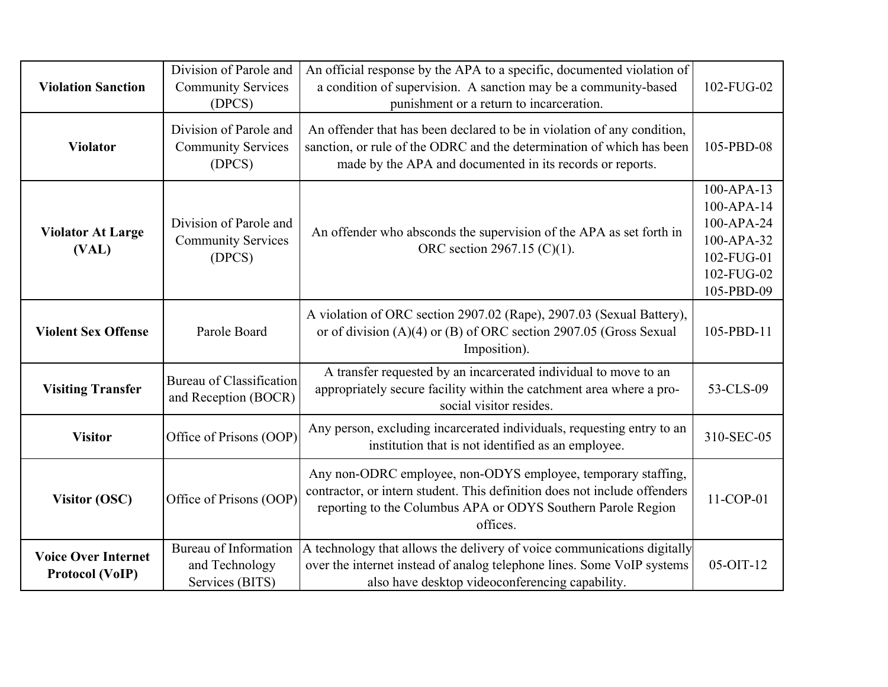| <b>Violation Sanction</b>                            | Division of Parole and<br><b>Community Services</b><br>(DPCS)     | An official response by the APA to a specific, documented violation of<br>a condition of supervision. A sanction may be a community-based<br>punishment or a return to incarceration.                                  | 102-FUG-02                                                                                     |
|------------------------------------------------------|-------------------------------------------------------------------|------------------------------------------------------------------------------------------------------------------------------------------------------------------------------------------------------------------------|------------------------------------------------------------------------------------------------|
| <b>Violator</b>                                      | Division of Parole and<br><b>Community Services</b><br>(DPCS)     | An offender that has been declared to be in violation of any condition,<br>sanction, or rule of the ODRC and the determination of which has been<br>made by the APA and documented in its records or reports.          | 105-PBD-08                                                                                     |
| <b>Violator At Large</b><br>(VAL)                    | Division of Parole and<br><b>Community Services</b><br>(DPCS)     | An offender who absconds the supervision of the APA as set forth in<br>ORC section 2967.15 (C)(1).                                                                                                                     | 100-APA-13<br>100-APA-14<br>100-APA-24<br>100-APA-32<br>102-FUG-01<br>102-FUG-02<br>105-PBD-09 |
| <b>Violent Sex Offense</b>                           | Parole Board                                                      | A violation of ORC section 2907.02 (Rape), 2907.03 (Sexual Battery),<br>or of division (A)(4) or (B) of ORC section 2907.05 (Gross Sexual<br>Imposition).                                                              | 105-PBD-11                                                                                     |
| <b>Visiting Transfer</b>                             | <b>Bureau of Classification</b><br>and Reception (BOCR)           | A transfer requested by an incarcerated individual to move to an<br>appropriately secure facility within the catchment area where a pro-<br>social visitor resides.                                                    | 53-CLS-09                                                                                      |
| <b>Visitor</b>                                       | Office of Prisons (OOP)                                           | Any person, excluding incarcerated individuals, requesting entry to an<br>institution that is not identified as an employee.                                                                                           | 310-SEC-05                                                                                     |
| Visitor (OSC)                                        | Office of Prisons (OOP)                                           | Any non-ODRC employee, non-ODYS employee, temporary staffing,<br>contractor, or intern student. This definition does not include offenders<br>reporting to the Columbus APA or ODYS Southern Parole Region<br>offices. | 11-COP-01                                                                                      |
| <b>Voice Over Internet</b><br><b>Protocol (VoIP)</b> | <b>Bureau of Information</b><br>and Technology<br>Services (BITS) | A technology that allows the delivery of voice communications digitally<br>over the internet instead of analog telephone lines. Some VoIP systems<br>also have desktop videoconferencing capability.                   | 05-OIT-12                                                                                      |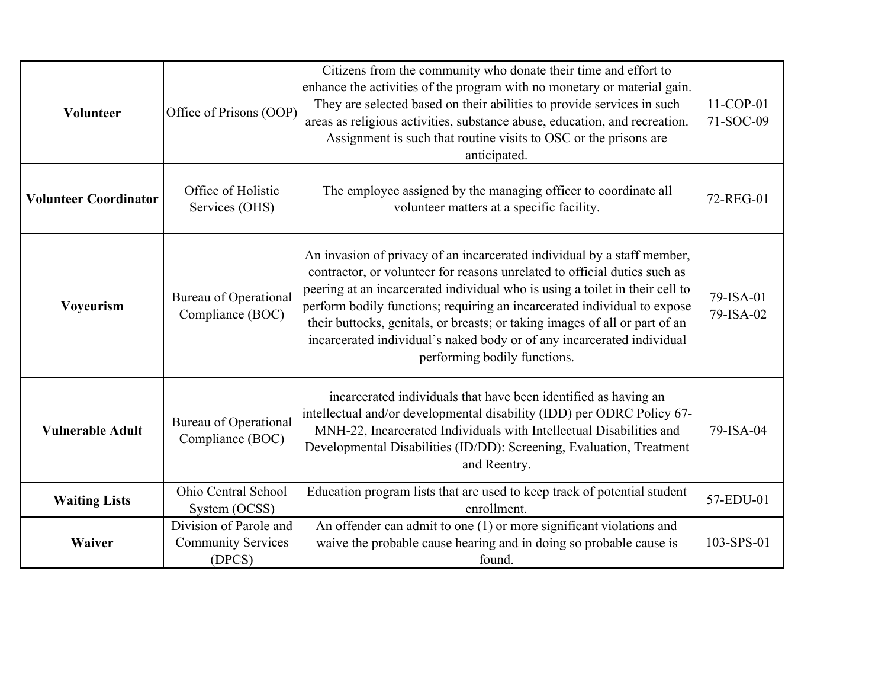| <b>Volunteer</b>             | Office of Prisons (OOP)                                       | Citizens from the community who donate their time and effort to<br>enhance the activities of the program with no monetary or material gain.<br>They are selected based on their abilities to provide services in such<br>areas as religious activities, substance abuse, education, and recreation.<br>Assignment is such that routine visits to OSC or the prisons are<br>anticipated.                                                                                                                   | 11-COP-01<br>71-SOC-09 |
|------------------------------|---------------------------------------------------------------|-----------------------------------------------------------------------------------------------------------------------------------------------------------------------------------------------------------------------------------------------------------------------------------------------------------------------------------------------------------------------------------------------------------------------------------------------------------------------------------------------------------|------------------------|
| <b>Volunteer Coordinator</b> | Office of Holistic<br>Services (OHS)                          | The employee assigned by the managing officer to coordinate all<br>volunteer matters at a specific facility.                                                                                                                                                                                                                                                                                                                                                                                              | 72-REG-01              |
| Voyeurism                    | <b>Bureau of Operational</b><br>Compliance (BOC)              | An invasion of privacy of an incarcerated individual by a staff member,<br>contractor, or volunteer for reasons unrelated to official duties such as<br>peering at an incarcerated individual who is using a toilet in their cell to<br>perform bodily functions; requiring an incarcerated individual to expose<br>their buttocks, genitals, or breasts; or taking images of all or part of an<br>incarcerated individual's naked body or of any incarcerated individual<br>performing bodily functions. | 79-ISA-01<br>79-ISA-02 |
| <b>Vulnerable Adult</b>      | <b>Bureau of Operational</b><br>Compliance (BOC)              | incarcerated individuals that have been identified as having an<br>intellectual and/or developmental disability (IDD) per ODRC Policy 67-<br>MNH-22, Incarcerated Individuals with Intellectual Disabilities and<br>Developmental Disabilities (ID/DD): Screening, Evaluation, Treatment<br>and Reentry.                                                                                                                                                                                                  | 79-ISA-04              |
| <b>Waiting Lists</b>         | Ohio Central School<br>System (OCSS)                          | Education program lists that are used to keep track of potential student<br>enrollment.                                                                                                                                                                                                                                                                                                                                                                                                                   | 57-EDU-01              |
| Waiver                       | Division of Parole and<br><b>Community Services</b><br>(DPCS) | An offender can admit to one (1) or more significant violations and<br>waive the probable cause hearing and in doing so probable cause is<br>found.                                                                                                                                                                                                                                                                                                                                                       | 103-SPS-01             |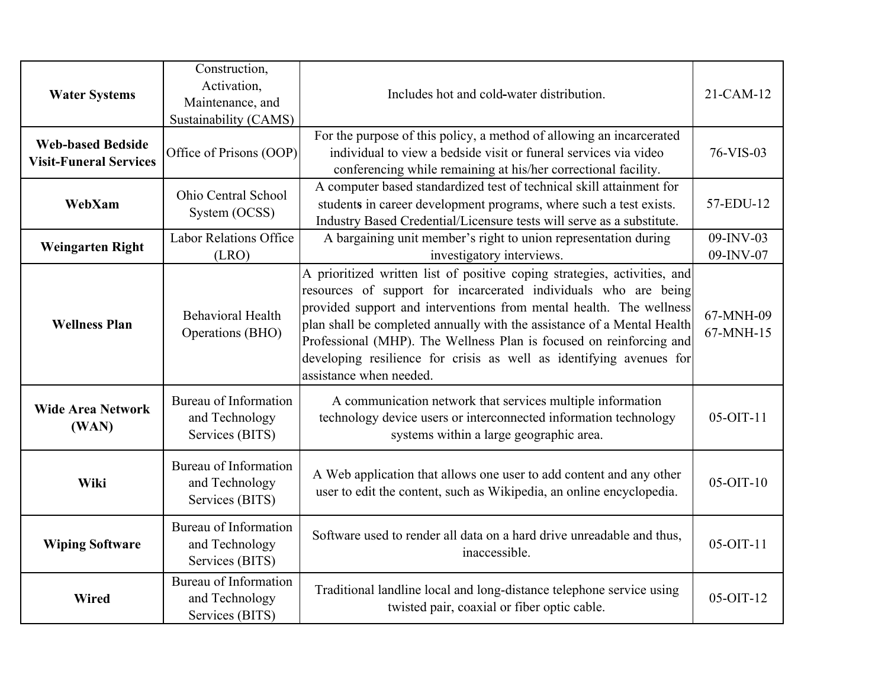| <b>Water Systems</b>                                      | Construction,<br>Activation,<br>Maintenance, and<br>Sustainability (CAMS) | Includes hot and cold-water distribution.                                                                                                                                                                                                                                                                                                                                                                                                                               | 21-CAM-12              |
|-----------------------------------------------------------|---------------------------------------------------------------------------|-------------------------------------------------------------------------------------------------------------------------------------------------------------------------------------------------------------------------------------------------------------------------------------------------------------------------------------------------------------------------------------------------------------------------------------------------------------------------|------------------------|
| <b>Web-based Bedside</b><br><b>Visit-Funeral Services</b> | Office of Prisons (OOP)                                                   | For the purpose of this policy, a method of allowing an incarcerated<br>individual to view a bedside visit or funeral services via video<br>conferencing while remaining at his/her correctional facility.                                                                                                                                                                                                                                                              | 76-VIS-03              |
| WebXam                                                    | Ohio Central School<br>System (OCSS)                                      | A computer based standardized test of technical skill attainment for<br>students in career development programs, where such a test exists.<br>Industry Based Credential/Licensure tests will serve as a substitute.                                                                                                                                                                                                                                                     | 57-EDU-12              |
| <b>Weingarten Right</b>                                   | <b>Labor Relations Office</b><br>(LRO)                                    | A bargaining unit member's right to union representation during<br>investigatory interviews.                                                                                                                                                                                                                                                                                                                                                                            | 09-INV-03<br>09-INV-07 |
| <b>Wellness Plan</b>                                      | <b>Behavioral Health</b><br>Operations (BHO)                              | A prioritized written list of positive coping strategies, activities, and<br>resources of support for incarcerated individuals who are being<br>provided support and interventions from mental health. The wellness<br>plan shall be completed annually with the assistance of a Mental Health<br>Professional (MHP). The Wellness Plan is focused on reinforcing and<br>developing resilience for crisis as well as identifying avenues for<br>assistance when needed. | 67-MNH-09<br>67-MNH-15 |
| <b>Wide Area Network</b><br>(WAN)                         | Bureau of Information<br>and Technology<br>Services (BITS)                | A communication network that services multiple information<br>technology device users or interconnected information technology<br>systems within a large geographic area.                                                                                                                                                                                                                                                                                               | 05-OIT-11              |
| Wiki                                                      | <b>Bureau of Information</b><br>and Technology<br>Services (BITS)         | A Web application that allows one user to add content and any other<br>user to edit the content, such as Wikipedia, an online encyclopedia.                                                                                                                                                                                                                                                                                                                             | $05-OIT-10$            |
| <b>Wiping Software</b>                                    | Bureau of Information<br>and Technology<br>Services (BITS)                | Software used to render all data on a hard drive unreadable and thus,<br>inaccessible.                                                                                                                                                                                                                                                                                                                                                                                  | 05-OIT-11              |
| <b>Wired</b>                                              | Bureau of Information<br>and Technology<br>Services (BITS)                | Traditional landline local and long-distance telephone service using<br>twisted pair, coaxial or fiber optic cable.                                                                                                                                                                                                                                                                                                                                                     | 05-OIT-12              |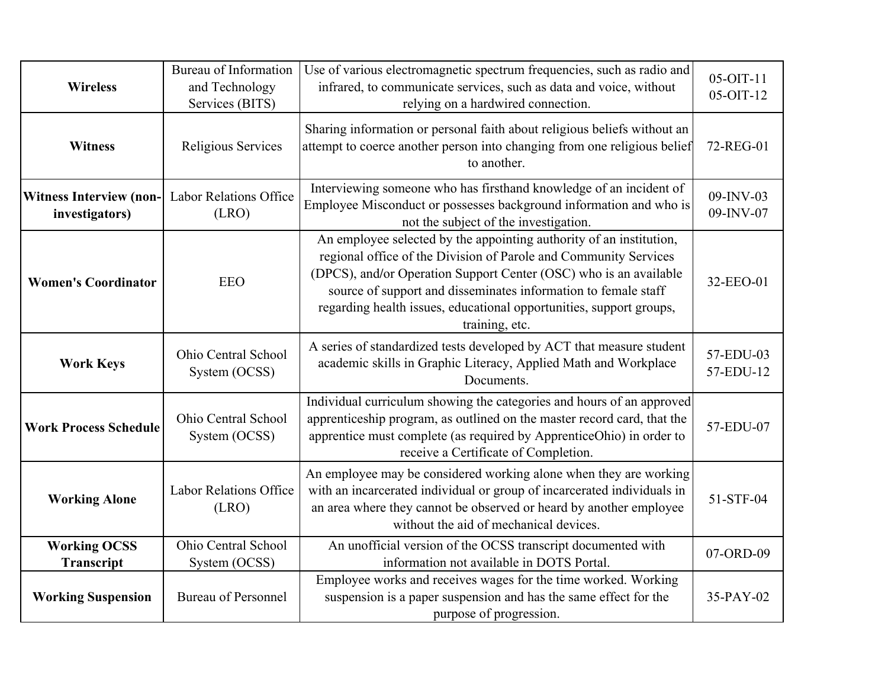| <b>Wireless</b>                                  | Bureau of Information<br>and Technology<br>Services (BITS) | Use of various electromagnetic spectrum frequencies, such as radio and<br>infrared, to communicate services, such as data and voice, without<br>relying on a hardwired connection.                                                                                                                                                                                      | 05-OIT-11<br>05-OIT-12 |
|--------------------------------------------------|------------------------------------------------------------|-------------------------------------------------------------------------------------------------------------------------------------------------------------------------------------------------------------------------------------------------------------------------------------------------------------------------------------------------------------------------|------------------------|
| <b>Witness</b>                                   | Religious Services                                         | Sharing information or personal faith about religious beliefs without an<br>attempt to coerce another person into changing from one religious belief<br>to another.                                                                                                                                                                                                     | 72-REG-01              |
| <b>Witness Interview (non-</b><br>investigators) | <b>Labor Relations Office</b><br>(LRO)                     | Interviewing someone who has firsthand knowledge of an incident of<br>Employee Misconduct or possesses background information and who is<br>not the subject of the investigation.                                                                                                                                                                                       | 09-INV-03<br>09-INV-07 |
| <b>Women's Coordinator</b>                       | EEO                                                        | An employee selected by the appointing authority of an institution,<br>regional office of the Division of Parole and Community Services<br>(DPCS), and/or Operation Support Center (OSC) who is an available<br>source of support and disseminates information to female staff<br>regarding health issues, educational opportunities, support groups,<br>training, etc. | 32-EEO-01              |
| <b>Work Keys</b>                                 | Ohio Central School<br>System (OCSS)                       | A series of standardized tests developed by ACT that measure student<br>academic skills in Graphic Literacy, Applied Math and Workplace<br>Documents.                                                                                                                                                                                                                   | 57-EDU-03<br>57-EDU-12 |
| <b>Work Process Schedule</b>                     | Ohio Central School<br>System (OCSS)                       | Individual curriculum showing the categories and hours of an approved<br>apprenticeship program, as outlined on the master record card, that the<br>apprentice must complete (as required by ApprenticeOhio) in order to<br>receive a Certificate of Completion.                                                                                                        | 57-EDU-07              |
| <b>Working Alone</b>                             | Labor Relations Office<br>(LRO)                            | An employee may be considered working alone when they are working<br>with an incarcerated individual or group of incarcerated individuals in<br>an area where they cannot be observed or heard by another employee<br>without the aid of mechanical devices.                                                                                                            | 51-STF-04              |
| <b>Working OCSS</b><br>Transcript                | Ohio Central School<br>System (OCSS)                       | An unofficial version of the OCSS transcript documented with<br>information not available in DOTS Portal.                                                                                                                                                                                                                                                               | 07-ORD-09              |
| <b>Working Suspension</b>                        | <b>Bureau of Personnel</b>                                 | Employee works and receives wages for the time worked. Working<br>suspension is a paper suspension and has the same effect for the<br>purpose of progression.                                                                                                                                                                                                           | 35-PAY-02              |